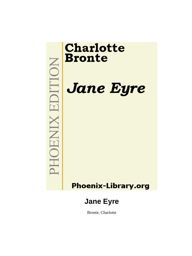

Bronte, Charlotte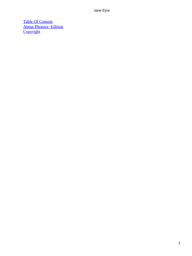[Table Of Content](#page-434-0) [About Phoenix−Edition](#page-436-0) **[Copyright](#page-437-0)**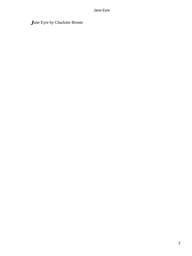# *J*ane Eyre by Charlotte Bronte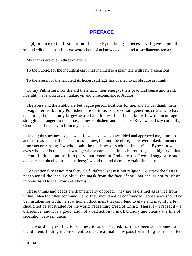# **[PREFACE](#page-434-0)**

*A* preface to the first edition of «Jane Eyre» being unnecessary, I gave none: this second edition demands a few words both of acknowledgment and miscellaneous remark.

My thanks are due in three quarters.

To the Public, for the indulgent ear it has inclined to a plain tale with few pretensions.

To the Press, for the fair field its honest suffrage has opened to an obscure aspirant.

 To my Publishers, for the aid their tact, their energy, their practical sense and frank liberality have afforded an unknown and unrecommended Author.

 The Press and the Public are but vague personifications for me, and I must thank them in vague terms; but my Publishers are definite: so are certain generous critics who have encouraged me as only large−hearted and high−minded men know how to encourage a struggling stranger; to them, i.e., to my Publishers and the select Reviewers, I say cordially, Gentlemen, I thank you from my heart.

 Having thus acknowledged what I owe those who have aided and approved me, I turn to another class; a small one, so far as I know, but not, therefore, to be overlooked. I mean the timorous or carping few who doubt the tendency of such books as «Jane Eyre:» in whose eyes whatever is unusual is wrong; whose ears detect in each protest against bigotry – that parent of crime – an insult to piety, that regent of God on earth. I would suggest to such doubters certain obvious distinctions; I would remind them of certain simple truths.

 Conventionality is not morality. Self−righteousness is not religion. To attack the first is not to assail the last. To pluck the mask from the face of the Pharisee, is not to lift an impious hand to the Crown of Thorns.

 These things and deeds are diametrically opposed: they are as distinct as is vice from virtue. Men too often confound them: they should not be confounded: appearance should not be mistaken for truth; narrow human doctrines, that only tend to elate and magnify a few, should not be substituted for the world−redeeming creed of Christ. There is – I repeat it – a difference; and it is a good, and not a bad action to mark broadly and clearly the line of separation between them.

 The world may not like to see these ideas dissevered, for it has been accustomed to blend them; finding it convenient to make external show pass for sterling worth – to let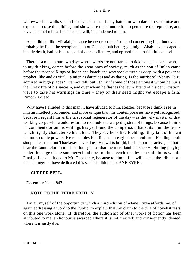white−washed walls vouch for clean shrines. It may hate him who dares to scrutinise and expose – to rase the gilding, and show base metal under it – to penetrate the sepulchre, and reveal charnel relics: but hate as it will, it is indebted to him.

 Ahab did not like Micaiah, because he never prophesied good concerning him, but evil; probably he liked the sycophant son of Chenaannah better; yet might Ahab have escaped a bloody death, had he but stopped his ears to flattery, and opened them to faithful counsel.

 There is a man in our own days whose words are not framed to tickle delicate ears: who, to my thinking, comes before the great ones of society, much as the son of Imlah came before the throned Kings of Judah and Israel; and who speaks truth as deep, with a power as prophet−like and as vital – a mien as dauntless and as daring. Is the satirist of «Vanity Fair» admired in high places? I cannot tell; but I think if some of those amongst whom he hurls the Greek fire of his sarcasm, and over whom he flashes the levin−brand of his denunciation, were to take his warnings in time – they or their seed might yet escape a fatal Rimoth−Gilead.

 Why have I alluded to this man? I have alluded to him, Reader, because I think I see in him an intellect profounder and more unique than his contemporaries have yet recognised; because I regard him as the first social regenerator of the day – as the very master of that working corps who would restore to rectitude the warped system of things; because I think no commentator on his writings has yet found the comparison that suits him, the terms which rightly characterise his talent. They say he is like Fielding: they talk of his wit, humour, comic powers. He resembles Fielding as an eagle does a vulture: Fielding could stoop on carrion, but Thackeray never does. His wit is bright, his humour attractive, but both bear the same relation to his serious genius that the mere lambent sheet−lightning playing under the edge of the summer−cloud does to the electric death−spark hid in its womb. Finally, I have alluded to Mr. Thackeray, because to him – if he will accept the tribute of a total stranger – I have dedicated this second edition of «JANE EYRE.»

### **CURRER BELL.**

December 21st, 1847.

### **NOTE TO THE THIRD EDITION**

 I avail myself of the opportunity which a third edition of «Jane Eyre» affords me, of again addressing a word to the Public, to explain that my claim to the title of novelist rests on this one work alone. If, therefore, the authorship of other works of fiction has been attributed to me, an honour is awarded where it is not merited; and consequently, denied where it is justly due.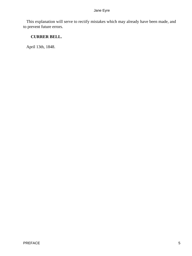This explanation will serve to rectify mistakes which may already have been made, and to prevent future errors.

### **CURRER BELL.**

April 13th, 1848.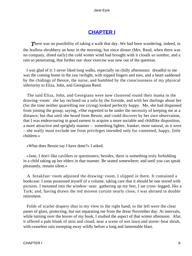# **[CHAPTER I](#page-434-0)**

**There was no possibility of taking a walk that day. We had been wandering, indeed, in** the leafless shrubbery an hour in the morning; but since dinner (Mrs. Reed, when there was no company, dined early) the cold winter wind had brought with it clouds so sombre, and a rain so penetrating, that further out−door exercise was now out of the question.

 I was glad of it: I never liked long walks, especially on chilly afternoons: dreadful to me was the coming home in the raw twilight, with nipped fingers and toes, and a heart saddened by the chidings of Bessie, the nurse, and humbled by the consciousness of my physical inferiority to Eliza, John, and Georgiana Reed.

 The said Eliza, John, and Georgiana were now clustered round their mama in the drawing−room: she lay reclined on a sofa by the fireside, and with her darlings about her (for the time neither quarrelling nor crying) looked perfectly happy. Me, she had dispensed from joining the group; saying, «She regretted to be under the necessity of keeping me at a distance; but that until she heard from Bessie, and could discover by her own observation, that I was endeavouring in good earnest to acquire a more sociable and childlike disposition, a more attractive and sprightly manner – something lighter, franker, more natural, as it were – she really must exclude me from privileges intended only for contented, happy, little children.»

«What does Bessie say I have done?» I asked.

 «Jane, I don't like cavillers or questioners; besides, there is something truly forbidding in a child taking up her elders in that manner. Be seated somewhere; and until you can speak pleasantly, remain silent.»

 A breakfast−room adjoined the drawing−room, I slipped in there. It contained a bookcase: I soon possessed myself of a volume, taking care that it should be one stored with pictures. I mounted into the window−seat: gathering up my feet, I sat cross−legged, like a Turk; and, having drawn the red moreen curtain nearly close, I was shrined in double retirement.

 Folds of scarlet drapery shut in my view to the right hand; to the left were the clear panes of glass, protecting, but not separating me from the drear November day. At intervals, while turning over the leaves of my book, I studied the aspect of that winter afternoon. Afar, it offered a pale blank of mist and cloud; near a scene of wet lawn and storm−beat shrub, with ceaseless rain sweeping away wildly before a long and lamentable blast.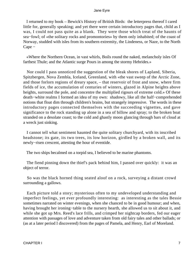I returned to my book – Bewick's History of British Birds: the letterpress thereof I cared little for, generally speaking; and yet there were certain introductory pages that, child as I was, I could not pass quite as a blank. They were those which treat of the haunts of sea−fowl; of «the solitary rocks and promontories» by them only inhabited; of the coast of Norway, studded with isles from its southern extremity, the Lindeness, or Naze, to the North Cape −

 «Where the Northern Ocean, in vast whirls, Boils round the naked, melancholy isles Of farthest Thule; and the Atlantic surge Pours in among the stormy Hebrides.»

 Nor could I pass unnoticed the suggestion of the bleak shores of Lapland, Siberia, Spitzbergen, Nova Zembla, Iceland, Greenland, with «the vast sweep of the Arctic Zone, and those forlorn regions of dreary space, – that reservoir of frost and snow, where firm fields of ice, the accumulation of centuries of winters, glazed in Alpine heights above heights, surround the pole, and concentre the multiplied rigours of extreme cold.» Of these death−white realms I formed an idea of my own: shadowy, like all the half−comprehended notions that float dim through children's brains, but strangely impressive. The words in these introductory pages connected themselves with the succeeding vignettes, and gave significance to the rock standing up alone in a sea of billow and spray; to the broken boat stranded on a desolate coast; to the cold and ghastly moon glancing through bars of cloud at a wreck just sinking.

 I cannot tell what sentiment haunted the quite solitary churchyard, with its inscribed headstone; its gate, its two trees, its low horizon, girdled by a broken wall, and its newly−risen crescent, attesting the hour of eventide.

The two ships becalmed on a torpid sea, I believed to be marine phantoms.

 The fiend pinning down the thief's pack behind him, I passed over quickly: it was an object of terror.

 So was the black horned thing seated aloof on a rock, surveying a distant crowd surrounding a gallows.

 Each picture told a story; mysterious often to my undeveloped understanding and imperfect feelings, yet ever profoundly interesting: as interesting as the tales Bessie sometimes narrated on winter evenings, when she chanced to be in good humour; and when, having brought her ironing−table to the nursery hearth, she allowed us to sit about it, and while she got up Mrs. Reed's lace frills, and crimped her nightcap borders, fed our eager attention with passages of love and adventure taken from old fairy tales and other ballads; or (as at a later period I discovered) from the pages of Pamela, and Henry, Earl of Moreland.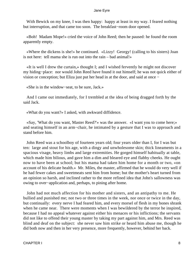With Bewick on my knee, I was then happy: happy at least in my way. I feared nothing but interruption, and that came too soon. The breakfast−room door opened.

 «Boh! Madam Mope!» cried the voice of John Reed; then he paused: he found the room apparently empty.

 «Where the dickens is she!» he continued. «Lizzy! Georgy! (calling to his sisters) Joan is not here: tell mama she is run out into the rain – bad animal!»

 «It is well I drew the curtain,» thought I; and I wished fervently he might not discover my hiding−place: nor would John Reed have found it out himself; he was not quick either of vision or conception; but Eliza just put her head in at the door, and said at once −

«She is in the window−seat, to be sure, Jack.»

 And I came out immediately, for I trembled at the idea of being dragged forth by the said Jack.

«What do you want?» I asked, with awkward diffidence.

 «Say, 'What do you want, Master Reed?'» was the answer. «I want you to come here;» and seating himself in an arm−chair, he intimated by a gesture that I was to approach and stand before him.

 John Reed was a schoolboy of fourteen years old; four years older than I, for I was but ten: large and stout for his age, with a dingy and unwholesome skin; thick lineaments in a spacious visage, heavy limbs and large extremities. He gorged himself habitually at table, which made him bilious, and gave him a dim and bleared eye and flabby cheeks. He ought now to have been at school; but his mama had taken him home for a month or two, «on account of his delicate health.» Mr. Miles, the master, affirmed that he would do very well if he had fewer cakes and sweetmeats sent him from home; but the mother's heart turned from an opinion so harsh, and inclined rather to the more refined idea that John's sallowness was owing to over−application and, perhaps, to pining after home.

 John had not much affection for his mother and sisters, and an antipathy to me. He bullied and punished me; not two or three times in the week, nor once or twice in the day, but continually: every nerve I had feared him, and every morsel of flesh in my bones shrank when he came near. There were moments when I was bewildered by the terror he inspired, because I had no appeal whatever against either his menaces or his inflictions; the servants did not like to offend their young master by taking my part against him, and Mrs. Reed was blind and deaf on the subject: she never saw him strike or heard him abuse me, though he did both now and then in her very presence, more frequently, however, behind her back.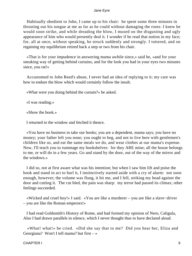Habitually obedient to John, I came up to his chair: he spent some three minutes in thrusting out his tongue at me as far as he could without damaging the roots: I knew he would soon strike, and while dreading the blow, I mused on the disgusting and ugly appearance of him who would presently deal it. I wonder if he read that notion in my face; for, all at once, without speaking, he struck suddenly and strongly. I tottered, and on regaining my equilibrium retired back a step or two from his chair.

 «That is for your impudence in answering mama awhile since,» said he, «and for your sneaking way of getting behind curtains, and for the look you had in your eyes two minutes since, you rat!»

 Accustomed to John Reed's abuse, I never had an idea of replying to it; my care was how to endure the blow which would certainly follow the insult.

«What were you doing behind the curtain?» he asked.

«I was reading.»

«Show the book.»

I returned to the window and fetched it thence.

 «You have no business to take our books; you are a dependent, mama says; you have no money; your father left you none; you ought to beg, and not to live here with gentlemen's children like us, and eat the same meals we do, and wear clothes at our mama's expense. Now, I'll teach you to rummage my bookshelves: for they ARE mine; all the house belongs to me, or will do in a few years. Go and stand by the door, out of the way of the mirror and the windows.»

 I did so, not at first aware what was his intention; but when I saw him lift and poise the book and stand in act to hurl it, I instinctively started aside with a cry of alarm: not soon enough, however; the volume was flung, it hit me, and I fell, striking my head against the door and cutting it. The cut bled, the pain was sharp: my terror had passed its climax; other feelings succeeded.

 «Wicked and cruel boy!» I said. «You are like a murderer – you are like a slave−driver – you are like the Roman emperors!»

 I had read Goldsmith's History of Rome, and had formed my opinion of Nero, Caligula, Also I had drawn parallels in silence, which I never thought thus to have declared aloud.

 «What! what!» he cried. «Did she say that to me? Did you hear her, Eliza and Georgiana? Won't I tell mama? but first  $-\infty$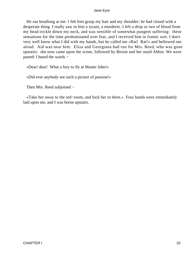He ran headlong at me: I felt him grasp my hair and my shoulder: he had closed with a desperate thing. I really saw in him a tyrant, a murderer. I felt a drop or two of blood from my head trickle down my neck, and was sensible of somewhat pungent suffering: these sensations for the time predominated over fear, and I received him in frantic sort. I don't very well know what I did with my hands, but he called me «Rat! Rat!» and bellowed out aloud. Aid was near him: Eliza and Georgiana had run for Mrs. Reed, who was gone upstairs: she now came upon the scene, followed by Bessie and her maid Abbot. We were parted: I heard the words −

«Dear! dear! What a fury to fly at Master John!»

«Did ever anybody see such a picture of passion!»

Then Mrs. Reed subjoined −

 «Take her away to the red−room, and lock her in there.» Four hands were immediately laid upon me, and I was borne upstairs.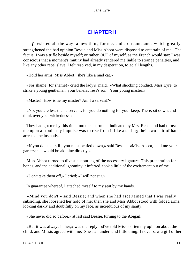# **[CHAPTER II](#page-434-0)**

*I* resisted all the way: a new thing for me, and a circumstance which greatly strengthened the bad opinion Bessie and Miss Abbot were disposed to entertain of me. The fact is, I was a trifle beside myself; or rather OUT of myself, as the French would say: I was conscious that a moment's mutiny had already rendered me liable to strange penalties, and, like any other rebel slave, I felt resolved, in my desperation, to go all lengths.

«Hold her arms, Miss Abbot: she's like a mad cat.»

 «For shame! for shame!» cried the lady's−maid. «What shocking conduct, Miss Eyre, to strike a young gentleman, your benefactress's son! Your young master.»

«Master! How is he my master? Am I a servant?»

 «No; you are less than a servant, for you do nothing for your keep. There, sit down, and think over your wickedness.»

 They had got me by this time into the apartment indicated by Mrs. Reed, and had thrust me upon a stool: my impulse was to rise from it like a spring; their two pair of hands arrested me instantly.

 «If you don't sit still, you must be tied down,» said Bessie. «Miss Abbot, lend me your garters; she would break mine directly.»

 Miss Abbot turned to divest a stout leg of the necessary ligature. This preparation for bonds, and the additional ignominy it inferred, took a little of the excitement out of me.

«Don't take them off,» I cried; «I will not stir.»

In guarantee whereof, I attached myself to my seat by my hands.

 «Mind you don't,» said Bessie; and when she had ascertained that I was really subsiding, she loosened her hold of me; then she and Miss Abbot stood with folded arms, looking darkly and doubtfully on my face, as incredulous of my sanity.

«She never did so before,» at last said Bessie, turning to the Abigail.

 «But it was always in her,» was the reply. «I've told Missis often my opinion about the child, and Missis agreed with me. She's an underhand little thing: I never saw a girl of her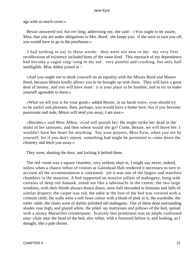age with so much cover.»

 Bessie answered not; but ere long, addressing me, she said – «You ought to be aware, Miss, that you are under obligations to Mrs. Reed: she keeps you: if she were to turn you off, you would have to go to the poorhouse.»

 I had nothing to say to these words: they were not new to me: my very first recollections of existence included hints of the same kind. This reproach of my dependence had become a vague sing−song in my ear: very painful and crushing, but only half intelligible. Miss Abbot joined in −

 «And you ought not to think yourself on an equality with the Misses Reed and Master Reed, because Missis kindly allows you to be brought up with them. They will have a great deal of money, and you will have none: it is your place to be humble, and to try to make yourself agreeable to them.»

 «What we tell you is for your good,» added Bessie, in no harsh voice, «you should try to be useful and pleasant, then, perhaps, you would have a home here; but if you become passionate and rude, Missis will send you away, I am sure.»

 «Besides,» said Miss Abbot, «God will punish her: He might strike her dead in the midst of her tantrums, and then where would she go? Come, Bessie, we will leave her: I wouldn't have her heart for anything. Say your prayers, Miss Eyre, when you are by yourself; for if you don't repent, something bad might be permitted to come down the chimney and fetch you away.»

They went, shutting the door, and locking it behind them.

 The red−room was a square chamber, very seldom slept in, I might say never, indeed, unless when a chance influx of visitors at Gateshead Hall rendered it necessary to turn to account all the accommodation it contained: yet it was one of the largest and stateliest chambers in the mansion. A bed supported on massive pillars of mahogany, hung with curtains of deep red damask, stood out like a tabernacle in the centre; the two large windows, with their blinds always drawn down, were half shrouded in festoons and falls of similar drapery; the carpet was red; the table at the foot of the bed was covered with a crimson cloth; the walls were a soft fawn colour with a blush of pink in it; the wardrobe, the toilet−table, the chairs were of darkly polished old mahogany. Out of these deep surrounding shades rose high, and glared white, the piled−up mattresses and pillows of the bed, spread with a snowy Marseilles counterpane. Scarcely less prominent was an ample cushioned easy−chair near the head of the bed, also white, with a footstool before it; and looking, as I thought, like a pale throne.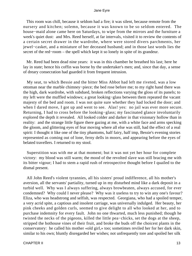This room was chill, because it seldom had a fire; it was silent, because remote from the nursery and kitchen; solemn, because it was known to be so seldom entered. The house−maid alone came here on Saturdays, to wipe from the mirrors and the furniture a week's quiet dust: and Mrs. Reed herself, at far intervals, visited it to review the contents of a certain secret drawer in the wardrobe, where were stored divers parchments, her jewel−casket, and a miniature of her deceased husband; and in those last words lies the secret of the red−room – the spell which kept it so lonely in spite of its grandeur.

 Mr. Reed had been dead nine years: it was in this chamber he breathed his last; here he lay in state; hence his coffin was borne by the undertaker's men; and, since that day, a sense of dreary consecration had guarded it from frequent intrusion.

 My seat, to which Bessie and the bitter Miss Abbot had left me riveted, was a low ottoman near the marble chimney−piece; the bed rose before me; to my right hand there was the high, dark wardrobe, with subdued, broken reflections varying the gloss of its panels; to my left were the muffled windows; a great looking−glass between them repeated the vacant majesty of the bed and room. I was not quite sure whether they had locked the door; and when I dared move, I got up and went to see. Alas! yes: no jail was ever more secure. Returning, I had to cross before the looking−glass; my fascinated glance involuntarily explored the depth it revealed. All looked colder and darker in that visionary hollow than in reality: and the strange little figure there gazing at me, with a white face and arms specking the gloom, and glittering eyes of fear moving where all else was still, had the effect of a real spirit: I thought it like one of the tiny phantoms, half fairy, half imp, Bessie's evening stories represented as coming out of lone, ferny dells in moors, and appearing before the eyes of belated travellers. I returned to my stool.

 Superstition was with me at that moment; but it was not yet her hour for complete victory: my blood was still warm; the mood of the revolted slave was still bracing me with its bitter vigour; I had to stem a rapid rush of retrospective thought before I quailed to the dismal present.

 All John Reed's violent tyrannies, all his sisters' proud indifference, all his mother's aversion, all the servants' partiality, turned up in my disturbed mind like a dark deposit in a turbid well. Why was I always suffering, always browbeaten, always accused, for ever condemned? Why could I never please? Why was it useless to try to win any one's favour? Eliza, who was headstrong and selfish, was respected. Georgiana, who had a spoiled temper, a very acrid spite, a captious and insolent carriage, was universally indulged. Her beauty, her pink cheeks and golden curls, seemed to give delight to all who looked at her, and to purchase indemnity for every fault. John no one thwarted, much less punished; though he twisted the necks of the pigeons, killed the little pea−chicks, set the dogs at the sheep, stripped the hothouse vines of their fruit, and broke the buds off the choicest plants in the conservatory: he called his mother «old girl,» too; sometimes reviled her for her dark skin, similar to his own; bluntly disregarded her wishes; not unfrequently tore and spoiled her silk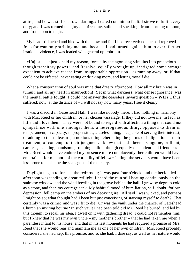attire; and he was still «her own darling.» I dared commit no fault: I strove to fulfil every duty; and I was termed naughty and tiresome, sullen and sneaking, from morning to noon, and from noon to night.

 My head still ached and bled with the blow and fall I had received: no one had reproved John for wantonly striking me; and because I had turned against him to avert farther irrational violence, I was loaded with general opprobrium.

 «Unjust! – unjust!» said my reason, forced by the agonising stimulus into precocious though transitory power: and Resolve, equally wrought up, instigated some strange expedient to achieve escape from insupportable oppression – as running away, or, if that could not be effected, never eating or drinking more, and letting myself die.

 What a consternation of soul was mine that dreary afternoon! How all my brain was in tumult, and all my heart in insurrection! Yet in what darkness, what dense ignorance, was the mental battle fought! I could not answer the ceaseless inward question – **WHY I** thus suffered; now, at the distance of – I will not say how many years, I see it clearly.

 I was a discord in Gateshead Hall: I was like nobody there; I had nothing in harmony with Mrs. Reed or her children, or her chosen vassalage. If they did not love me, in fact, as little did I love them. They were not bound to regard with affection a thing that could not sympathise with one amongst them; a heterogeneous thing, opposed to them in temperament, in capacity, in propensities; a useless thing, incapable of serving their interest, or adding to their pleasure; a noxious thing, cherishing the germs of indignation at their treatment, of contempt of their judgment. I know that had I been a sanguine, brilliant, careless, exacting, handsome, romping child – though equally dependent and friendless – Mrs. Reed would have endured my presence more complacently; her children would have entertained for me more of the cordiality of fellow−feeling; the servants would have been less prone to make me the scapegoat of the nursery.

 Daylight began to forsake the red−room; it was past four o'clock, and the beclouded afternoon was tending to drear twilight. I heard the rain still beating continuously on the staircase window, and the wind howling in the grove behind the hall; I grew by degrees cold as a stone, and then my courage sank. My habitual mood of humiliation, self−doubt, forlorn depression, fell damp on the embers of my decaying ire. All said I was wicked, and perhaps I might be so; what thought had I been but just conceiving of starving myself to death? That certainly was a crime: and was I fit to die? Or was the vault under the chancel of Gateshead Church an inviting bourne? In such vault I had been told did Mr. Reed lie buried; and led by this thought to recall his idea, I dwelt on it with gathering dread. I could not remember him; but I knew that he was my own uncle – my mother's brother – that he had taken me when a parentless infant to his house; and that in his last moments he had required a promise of Mrs. Reed that she would rear and maintain me as one of her own children. Mrs. Reed probably considered she had kept this promise; and so she had, I dare say, as well as her nature would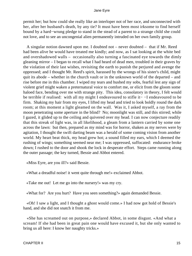permit her; but how could she really like an interloper not of her race, and unconnected with her, after her husband's death, by any tie? It must have been most irksome to find herself bound by a hard−wrung pledge to stand in the stead of a parent to a strange child she could not love, and to see an uncongenial alien permanently intruded on her own family group.

 A singular notion dawned upon me. I doubted not – never doubted – that if Mr. Reed had been alive he would have treated me kindly; and now, as I sat looking at the white bed and overshadowed walls – occasionally also turning a fascinated eye towards the dimly gleaning mirror – I began to recall what I had heard of dead men, troubled in their graves by the violation of their last wishes, revisiting the earth to punish the perjured and avenge the oppressed; and I thought Mr. Reed's spirit, harassed by the wrongs of his sister's child, might quit its abode – whether in the church vault or in the unknown world of the departed – and rise before me in this chamber. I wiped my tears and hushed my sobs, fearful lest any sign of violent grief might waken a preternatural voice to comfort me, or elicit from the gloom some haloed face, bending over me with strange pity. This idea, consolatory in theory, I felt would be terrible if realised: with all my might I endeavoured to stifle it− −I endeavoured to be firm. Shaking my hair from my eyes, I lifted my head and tried to look boldly round the dark room; at this moment a light gleamed on the wall. Was it, I asked myself, a ray from the moon penetrating some aperture in the blind? No; moonlight was still, and this stirred; while I gazed, it glided up to the ceiling and quivered over my head. I can now conjecture readily that this streak of light was, in all likelihood, a gleam from a lantern carried by some one across the lawn: but then, prepared as my mind was for horror, shaken as my nerves were by agitation, I thought the swift darting beam was a herald of some coming vision from another world. My heart beat thick, my head grew hot; a sound filled my ears, which I deemed the rushing of wings; something seemed near me; I was oppressed, suffocated: endurance broke down; I rushed to the door and shook the lock in desperate effort. Steps came running along the outer passage; the key turned, Bessie and Abbot entered.

«Miss Eyre, are you ill?» said Bessie.

«What a dreadful noise! it went quite through me!» exclaimed Abbot.

«Take me out! Let me go into the nursery!» was my cry.

«What for? Are you hurt? Have you seen something?» again demanded Bessie.

 «Oh! I saw a light, and I thought a ghost would come.» I had now got hold of Bessie's hand, and she did not snatch it from me.

 «She has screamed out on purpose,» declared Abbot, in some disgust. «And what a scream! If she had been in great pain one would have excused it, but she only wanted to bring us all here: I know her naughty tricks.»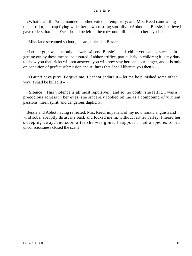«What is all this?» demanded another voice peremptorily; and Mrs. Reed came along the corridor, her cap flying wide, her gown rustling stormily. «Abbot and Bessie, I believe I gave orders that Jane Eyre should be left in the red−room till I came to her myself.»

«Miss Jane screamed so loud, ma'am,» pleaded Bessie.

 «Let her go,» was the only answer. «Loose Bessie's hand, child: you cannot succeed in getting out by these means, be assured. I abhor artifice, particularly in children; it is my duty to show you that tricks will not answer: you will now stay here an hour longer, and it is only on condition of perfect submission and stillness that I shall liberate you then.»

 «O aunt! have pity! Forgive me! I cannot endure it – let me be punished some other way! I shall be killed if  $-\infty$ 

 «Silence! This violence is all most repulsive:» and so, no doubt, she felt it. I was a precocious actress in her eyes; she sincerely looked on me as a compound of virulent passions, mean spirit, and dangerous duplicity.

 Bessie and Abbot having retreated, Mrs. Reed, impatient of my now frantic anguish and wild sobs, abruptly thrust me back and locked me in, without farther parley. I heard her sweeping away; and soon after she was gone, I suppose I had a species of fit: unconsciousness closed the scene.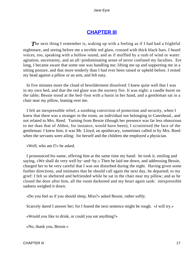### **[CHAPTER III](#page-434-0)**

**The next thing I remember is, waking up with a feeling as if I had had a frightful** nightmare, and seeing before me a terrible red glare, crossed with thick black bars. I heard voices, too, speaking with a hollow sound, and as if muffled by a rush of wind or water: agitation, uncertainty, and an all−predominating sense of terror confused my faculties. Ere long, I became aware that some one was handling me; lifting me up and supporting me in a sitting posture, and that more tenderly than I had ever been raised or upheld before. I rested my head against a pillow or an arm, and felt easy.

 In five minutes more the cloud of bewilderment dissolved: I knew quite well that I was in my own bed, and that the red glare was the nursery fire. It was night: a candle burnt on the table; Bessie stood at the bed−foot with a basin in her hand, and a gentleman sat in a chair near my pillow, leaning over me.

 I felt an inexpressible relief, a soothing conviction of protection and security, when I knew that there was a stranger in the room, an individual not belonging to Gateshead., and not related to Mrs. Reed. Turning from Bessie (though her presence was far less obnoxious to me than that of Abbot, for instance, would have been), I scrutinised the face of the gentleman: I knew him; it was Mr. Lloyd, an apothecary, sometimes called in by Mrs. Reed when the servants were ailing: for herself and the children she employed a physician.

«Well, who am I?» he asked.

 I pronounced his name, offering him at the same time my hand: he took it, smiling and saying, «We shall do very well by−and−by.» Then he laid me down, and addressing Bessie, charged her to be very careful that I was not disturbed during the night. Having given some further directions, and intimates that he should call again the next day, he departed; to my grief: I felt so sheltered and befriended while he sat in the chair near my pillow; and as he closed the door after him, all the room darkened and my heart again sank: inexpressible sadness weighed it down.

«Do you feel as if you should sleep, Miss?» asked Bessie, rather softly.

Scarcely dared I answer her; for I feared the next sentence might be rough. «I will try.»

«Would you like to drink, or could you eat anything?»

«No, thank you, Bessie.»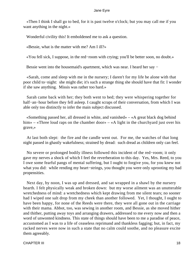«Then I think I shall go to bed, for it is past twelve o'clock; but you may call me if you want anything in the night.»

Wonderful civility this! It emboldened me to ask a question.

«Bessie, what is the matter with me? Am I ill?»

«You fell sick, I suppose, in the red−room with crying; you'll be better soon, no doubt.»

Bessie went into the housemaid's apartment, which was near. I heard her say −

 «Sarah, come and sleep with me in the nursery; I daren't for my life be alone with that poor child to−night: she might die; it's such a strange thing she should have that fit: I wonder if she saw anything. Missis was rather too hard.»

 Sarah came back with her; they both went to bed; they were whispering together for half–an–hour before they fell asleep. I caught scraps of their conversation, from which I was able only too distinctly to infer the main subject discussed.

 «Something passed her, all dressed in white, and vanished» – «A great black dog behind him» – «Three loud raps on the chamber door» – «A light in the churchyard just over his grave,»

 At last both slept: the fire and the candle went out. For me, the watches of that long night passed in ghastly wakefulness; strained by dread: such dread as children only can feel.

 No severe or prolonged bodily illness followed this incident of the red−room; it only gave my nerves a shock of which I feel the reverberation to this day. Yes, Mrs. Reed, to you I owe some fearful pangs of mental suffering, but I ought to forgive you, for you knew not what you did: while rending my heart−strings, you thought you were only uprooting my bad propensities.

 Next day, by noon, I was up and dressed, and sat wrapped in a shawl by the nursery hearth. I felt physically weak and broken down: but my worse ailment was an unutterable wretchedness of mind: a wretchedness which kept drawing from me silent tears; no sooner had I wiped one salt drop from my cheek than another followed. Yet, I thought, I ought to have been happy, for none of the Reeds were there, they were all gone out in the carriage with their mama. Abbot, too, was sewing in another room, and Bessie, as she moved hither and thither, putting away toys and arranging drawers, addressed to me every now and then a word of unwonted kindness. This state of things should have been to me a paradise of peace, accustomed as I was to a life of ceaseless reprimand and thankless fagging; but, in fact, my racked nerves were now in such a state that no calm could soothe, and no pleasure excite them agreeably.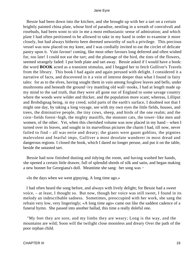Bessie had been down into the kitchen, and she brought up with her a tart on a certain brightly painted china plate, whose bird of paradise, nestling in a wreath of convolvuli and rosebuds, had been wont to stir in me a most enthusiastic sense of admiration; and which plate I had often petitioned to be allowed to take in my hand in order to examine it more closely, but had always hitherto been deemed unworthy of such a privilege. This precious vessel was now placed on my knee, and I was cordially invited to eat the circlet of delicate pastry upon it. Vain favour! coming, like most other favours long deferred and often wished for, too late! I could not eat the tart; and the plumage of the bird, the tints of the flowers, seemed strangely faded: I put both plate and tart away. Bessie asked if I would have a book: the word **BOOK** acted as a transient stimulus, and I begged her to fetch Gulliver's Travels from the library. This book I had again and again perused with delight. I considered it a narrative of facts, and discovered in it a vein of interest deeper than what I found in fairy tales: for as to the elves, having sought them in vain among foxglove leaves and bells, under mushrooms and beneath the ground−ivy mantling old wall−nooks, I had at length made up my mind to the sad truth, that they were all gone out of England to some savage country where the woods were wilder and thicker, and the population more scant; whereas, Lilliput and Brobdignag being, in my creed, solid parts of the earth's surface, I doubted not that I might one day, by taking a long voyage, see with my own eyes the little fields, houses, and trees, the diminutive people, the tiny cows, sheep, and birds of the one realm; and the corn−fields forest−high, the mighty mastiffs, the monster cats, the tower−like men and women, of the other. Yet, when this cherished volume was now placed in my hand – when I turned over its leaves, and sought in its marvellous pictures the charm I had, till now, never failed to find – all was eerie and dreary; the giants were gaunt goblins, the pigmies malevolent and fearful imps, Gulliver a most desolate wanderer in most dread and dangerous regions. I closed the book, which I dared no longer peruse, and put it on the table, beside the untasted tart.

 Bessie had now finished dusting and tidying the room, and having washed her hands, she opened a certain little drawer, full of splendid shreds of silk and satin, and began making a new bonnet for Georgiana's doll. Meantime she sang: her song was −

«In the days when we went gipsying, A long time ago.»

 I had often heard the song before, and always with lively delight; for Bessie had a sweet voice, – at least, I thought so. But now, though her voice was still sweet, I found in its melody an indescribable sadness. Sometimes, preoccupied with her work, she sang the refrain very low, very lingeringly; «A long time ago» came out like the saddest cadence of a funeral hymn. She passed into another ballad, this time a really doleful one.

 "My feet they are sore, and my limbs they are weary; Long is the way, and the mountains are wild; Soon will the twilight close moonless and dreary Over the path of the poor orphan child.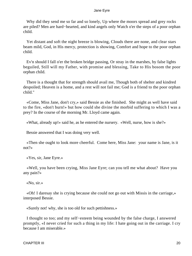Why did they send me so far and so lonely, Up where the moors spread and grey rocks are piled? Men are hard−hearted, and kind angels only Watch o'er the steps of a poor orphan child.

 Yet distant and soft the night breeze is blowing, Clouds there are none, and clear stars beam mild, God, in His mercy, protection is showing, Comfort and hope to the poor orphan child.

 Ev'n should I fall o'er the broken bridge passing, Or stray in the marshes, by false lights beguiled, Still will my Father, with promise and blessing, Take to His bosom the poor orphan child.

 There is a thought that for strength should avail me, Though both of shelter and kindred despoiled; Heaven is a home, and a rest will not fail me; God is a friend to the poor orphan child."

 «Come, Miss Jane, don't cry,» said Bessie as she finished. She might as well have said to the fire, «don't burn!» but how could she divine the morbid suffering to which I was a prey? In the course of the morning Mr. Lloyd came again.

«What, already up!» said he, as he entered the nursery. «Well, nurse, how is she?»

Bessie answered that I was doing very well.

 «Then she ought to look more cheerful. Come here, Miss Jane: your name is Jane, is it not?»

«Yes, sir, Jane Eyre.»

 «Well, you have been crying, Miss Jane Eyre; can you tell me what about? Have you any pain?»

«No, sir.»

 «Oh! I daresay she is crying because she could not go out with Missis in the carriage,» interposed Bessie.

«Surely not! why, she is too old for such pettishness.»

 I thought so too; and my self−esteem being wounded by the false charge, I answered promptly, «I never cried for such a thing in my life: I hate going out in the carriage. I cry because I am miserable.»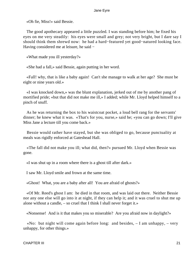«Oh fie, Miss!» said Bessie.

 The good apothecary appeared a little puzzled. I was standing before him; he fixed his eyes on me very steadily: his eyes were small and grey; not very bright, but I dare say I should think them shrewd now: he had a hard−featured yet good−natured looking face. Having considered me at leisure, he said −

«What made you ill yesterday?»

«She had a fall,» said Bessie, again putting in her word.

 «Fall! why, that is like a baby again! Can't she manage to walk at her age? She must be eight or nine years old.»

 «I was knocked down,» was the blunt explanation, jerked out of me by another pang of mortified pride; «but that did not make me ill,» I added; while Mr. Lloyd helped himself to a pinch of snuff.

 As he was returning the box to his waistcoat pocket, a loud bell rang for the servants' dinner; he knew what it was. «That's for you, nurse,» said he; «you can go down; I'll give Miss Jane a lecture till you come back.»

 Bessie would rather have stayed, but she was obliged to go, because punctuality at meals was rigidly enforced at Gateshead Hall.

 «The fall did not make you ill; what did, then?» pursued Mr. Lloyd when Bessie was gone.

«I was shut up in a room where there is a ghost till after dark.»

I saw Mr. Lloyd smile and frown at the same time.

«Ghost! What, you are a baby after all! You are afraid of ghosts?»

 «Of Mr. Reed's ghost I am: he died in that room, and was laid out there. Neither Bessie nor any one else will go into it at night, if they can help it; and it was cruel to shut me up alone without a candle, – so cruel that I think I shall never forget it.»

«Nonsense! And is it that makes you so miserable? Are you afraid now in daylight?»

 «No: but night will come again before long: and besides, – I am unhappy, – very unhappy, for other things.»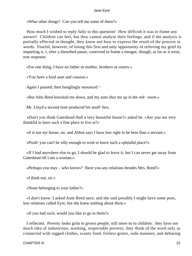«What other things? Can you tell me some of them?»

 How much I wished to reply fully to this question! How difficult it was to frame any answer! Children can feel, but they cannot analyse their feelings; and if the analysis is partially effected in thought, they know not how to express the result of the process in words. Fearful, however, of losing this first and only opportunity of relieving my grief by imparting it, I, after a disturbed pause, contrived to frame a meagre, though, as far as it went, true response.

«For one thing, I have no father or mother, brothers or sisters.»

«You have a kind aunt and cousins.»

Again I paused; then bunglingly enounced −

«But John Reed knocked me down, and my aunt shut me up in the red− room.»

Mr. Lloyd a second time produced his snuff−box.

 «Don't you think Gateshead Hall a very beautiful house?» asked he. «Are you not very thankful to have such a fine place to live at?»

«It is not my house, sir; and Abbot says I have less right to be here than a servant.»

«Pooh! you can't be silly enough to wish to leave such a splendid place?»

 «If I had anywhere else to go, I should be glad to leave it; but I can never get away from Gateshead till I am a woman.»

«Perhaps you may – who knows? Have you any relations besides Mrs. Reed?»

«I think not, sir.»

«None belonging to your father?»

 «I don't know. I asked Aunt Reed once, and she said possibly I might have some poor, low relations called Eyre, but she knew nothing about them.»

«If you had such, would you like to go to them?»

 I reflected. Poverty looks grim to grown people; still more so to children: they have not much idea of industrious, working, respectable poverty; they think of the word only as connected with ragged clothes, scanty food, fireless grates, rude manners, and debasing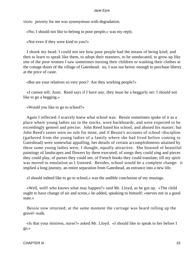vices: poverty for me was synonymous with degradation.

«No; I should not like to belong to poor people,» was my reply.

«Not even if they were kind to you?»

 I shook my head: I could not see how poor people had the means of being kind; and then to learn to speak like them, to adopt their manners, to be uneducated, to grow up like one of the poor women I saw sometimes nursing their children or washing their clothes at the cottage doors of the village of Gateshead: no, I was not heroic enough to purchase liberty at the price of caste.

«But are your relatives so very poor? Are they working people?»

 «I cannot tell; Aunt. Reed says if I have any, they must be a beggarly set: I should not like to go a begging.»

«Would you like to go to school?»

 Again I reflected: I scarcely knew what school was: Bessie sometimes spoke of it as a place where young ladies sat in the stocks, wore backboards, and were expected to be exceedingly genteel and precise: John Reed hated his school, and abused his master; but John Reed's tastes were no rule for mine, and if Bessie's accounts of school−discipline (gathered from the young ladies of a family where she had lived before coming to Gateshead) were somewhat appalling, her details of certain accomplishments attained by these same young ladies were, I thought, equally attractive. She boasted of beautiful paintings of landscapes and flowers by them executed; of songs they could sing and pieces they could play, of purses they could net, of French books they could translate; till my spirit was moved to emulation as I listened. Besides, school would be a complete change: it implied a long journey, an entire separation from Gateshead, an entrance into a new life.

«I should indeed like to go to school,» was the audible conclusion of my musings.

 «Well, well! who knows what may happen?» said Mr. Lloyd, as he got up. «The child ought to have change of air and scene,» he added, speaking to himself; «nerves not in a good state.»

 Bessie now returned; at the same moment the carriage was heard rolling up the gravel−walk.

 «Is that your mistress, nurse?» asked Mr. Lloyd. «I should like to speak to her before I go.»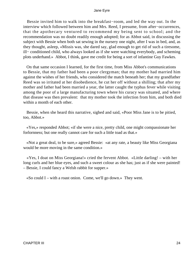Bessie invited him to walk into the breakfast−room, and led the way out. In the interview which followed between him and Mrs. Reed, I presume, from after−occurrences, that the apothecary ventured to recommend my being sent to school; and the recommendation was no doubt readily enough adopted; for as Abbot said, in discussing the subject with Bessie when both sat sewing in the nursery one night, after I was in bed, and, as they thought, asleep, «Missis was, she dared say, glad enough to get rid of such a tiresome, ill− conditioned child, who always looked as if she were watching everybody, and scheming plots underhand.» Abbot, I think, gave me credit for being a sort of infantine Guy Fawkes.

 On that same occasion I learned, for the first time, from Miss Abbot's communications to Bessie, that my father had been a poor clergyman; that my mother had married him against the wishes of her friends, who considered the match beneath her; that my grandfather Reed was so irritated at her disobedience, he cut her off without a shilling; that after my mother and father had been married a year, the latter caught the typhus fever while visiting among the poor of a large manufacturing town where his curacy was situated, and where that disease was then prevalent: that my mother took the infection from him, and both died within a month of each other.

 Bessie, when she heard this narrative, sighed and said, «Poor Miss Jane is to be pitied, too, Abbot.»

 «Yes,» responded Abbot; «if she were a nice, pretty child, one might compassionate her forlornness; but one really cannot care for such a little toad as that.»

 «Not a great deal, to be sure,» agreed Bessie: «at any rate, a beauty like Miss Georgiana would be more moving in the same condition.»

 «Yes, I doat on Miss Georgiana!» cried the fervent Abbot. «Little darling! – with her long curls and her blue eyes, and such a sweet colour as she has; just as if she were painted! – Bessie, I could fancy a Welsh rabbit for supper.»

«So could I – with a roast onion. Come, we'll go down.» They went.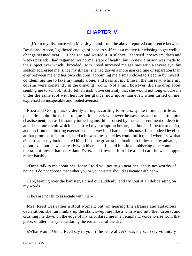### **[CHAPTER IV](#page-434-0)**

*F* rom my discourse with Mr. Lloyd, and from the above reported conference between Bessie and Abbot, I gathered enough of hope to suffice as a motive for wishing to get well: a change seemed near,− −I desired and waited it in silence. It tarried, however: days and weeks passed: I had regained my normal state of health, but no new allusion was made to the subject over which I brooded. Mrs. Reed surveyed me at times with a severe eye, but seldom addressed me: since my illness, she had drawn a more marked line of separation than ever between me and her own children; appointing me a small closet to sleep in by myself, condemning me to take my meals alone, and pass all my time in the nursery, while my cousins were constantly in the drawing−room. Not a hint, however, did she drop about sending me to school: still I felt an instinctive certainty that she would not long endure me under the same roof with her; for her glance, now more than ever, when turned on me, expressed an insuperable and rooted aversion.

 Eliza and Georgiana, evidently acting according to orders, spoke to me as little as possible: John thrust his tongue in his cheek whenever he saw me, and once attempted chastisement; but as I instantly turned against him, roused by the same sentiment of deep ire and desperate revolt which had stirred my corruption before, he thought it better to desist, and ran from me tittering execrations, and vowing I had burst his nose. I had indeed levelled at that prominent feature as hard a blow as my knuckles could inflict; and when I saw that either that or my look daunted him, I had the greatest inclination to follow up my advantage to purpose; but he was already with his mama. I heard him in a blubbering tone commence the tale of how «that nasty Jane Eyre» had flown at him like a mad cat: he was stopped rather harshly −

 «Don't talk to me about her, John: I told you not to go near her; she is not worthy of notice; I do not choose that either you or your sisters should associate with her.»

 Here, leaning over the banister, I cried out suddenly, and without at all deliberating on my words −

«They are not fit to associate with me.»

 Mrs. Reed was rather a stout woman; but, on hearing this strange and audacious declaration, she ran nimbly up the stair, swept me like a whirlwind into the nursery, and crushing me down on the edge of my crib, dared me in an emphatic voice to rise from that place, or utter one syllable during the remainder of the day.

«What would Uncle Reed say to you, if he were alive?» was my scarcely voluntary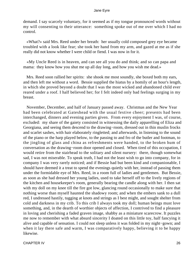demand. I say scarcely voluntary, for it seemed as if my tongue pronounced words without my will consenting to their utterance: something spoke out of me over which I had no control.

 «What?» said Mrs. Reed under her breath: her usually cold composed grey eye became troubled with a look like fear; she took her hand from my arm, and gazed at me as if she really did not know whether I were child or fiend. I was now in for it.

 «My Uncle Reed is in heaven, and can see all you do and think; and so can papa and mama: they know how you shut me up all day long, and how you wish me dead.»

 Mrs. Reed soon rallied her spirits: she shook me most soundly, she boxed both my ears, and then left me without a word. Bessie supplied the hiatus by a homily of an hour's length, in which she proved beyond a doubt that I was the most wicked and abandoned child ever reared under a roof. I half believed her; for I felt indeed only bad feelings surging in my breast.

 November, December, and half of January passed away. Christmas and the New Year had been celebrated at Gateshead with the usual festive cheer; presents had been interchanged, dinners and evening parties given. From every enjoyment I was, of course, excluded: my share of the gaiety consisted in witnessing the daily apparelling of Eliza and Georgiana, and seeing them descend to the drawing−room, dressed out in thin muslin frocks and scarlet sashes, with hair elaborately ringletted; and afterwards, in listening to the sound of the piano or the harp played below, to the passing to and fro of the butler and footman, to the jingling of glass and china as refreshments were handed, to the broken hum of conversation as the drawing−room door opened and closed. When tired of this occupation, I would retire from the stairhead to the solitary and silent nursery: there, though somewhat sad, I was not miserable. To speak truth, I had not the least wish to go into company, for in company I was very rarely noticed; and if Bessie had but been kind and companionable, I should have deemed it a treat to spend the evenings quietly with her, instead of passing them under the formidable eye of Mrs. Reed, in a room full of ladies and gentlemen. But Bessie, as soon as she had dressed her young ladies, used to take herself off to the lively regions of the kitchen and housekeeper's room, generally bearing the candle along with her. I then sat with my doll on my knee till the fire got low, glancing round occasionally to make sure that nothing worse than myself haunted the shadowy room; and when the embers sank to a dull red, I undressed hastily, tugging at knots and strings as I best might, and sought shelter from cold and darkness in my crib. To this crib I always took my doll; human beings must love something, and, in the dearth of worthier objects of affection, I contrived to find a pleasure in loving and cherishing a faded graven image, shabby as a miniature scarecrow. It puzzles me now to remember with what absurd sincerity I doated on this little toy, half fancying it alive and capable of sensation. I could not sleep unless it was folded in my night−gown; and when it lay there safe and warm, I was comparatively happy, believing it to be happy likewise.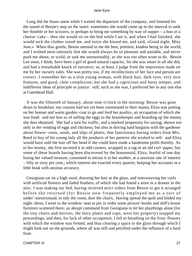Long did the hours seem while I waited the departure of the company, and listened for the sound of Bessie's step on the stairs: sometimes she would come up in the interval to seek her thimble or her scissors, or perhaps to bring me something by way of supper – a bun or a cheese−cake – then she would sit on the bed while I ate it, and when I had finished, she would tuck the clothes round me, and twice she kissed me, and said, «Good night, Miss Jane.» When thus gentle, Bessie seemed to me the best, prettiest, kindest being in the world; and I wished most intensely that she would always be so pleasant and amiable, and never push me about, or scold, or task me unreasonably, as she was too often wont to do. Bessie Lee must, I think, have been a girl of good natural capacity, for she was smart in all she did, and had a remarkable knack of narrative; so, at least, I judge from the impression made on me by her nursery tales. She was pretty too, if my recollections of her face and person are correct. I remember her as a slim young woman, with black hair, dark eyes, very nice features, and good, clear complexion; but she had a capricious and hasty temper, and indifferent ideas of principle or justice: still, such as she was, I preferred her to any one else at Gateshead Hall.

 It was the fifteenth of January, about nine o'clock in the morning: Bessie was gone down to breakfast; my cousins had not yet been summoned to their mama; Eliza was putting on her bonnet and warm garden−coat to go and feed her poultry, an occupation of which she was fond: and not less so of selling the eggs to the housekeeper and hoarding up the money she thus obtained. She had a turn for traffic, and a marked propensity for saving; shown not only in the vending of eggs and chickens, but also in driving hard bargains with the gardener about flower−roots, seeds, and slips of plants; that functionary having orders from Mrs. Reed to buy of his young lady all the products of her parterre she wished to sell: and Eliza would have sold the hair off her head if she could have made a handsome profit thereby. As to her money, she first secreted it in odd corners, wrapped in a rag or an old curl−paper; but some of these hoards having been discovered by the housemaid, Eliza, fearful of one day losing her valued treasure, consented to intrust it to her mother, at a usurious rate of interest – fifty or sixty per cent.; which interest she exacted every quarter, keeping her accounts in a little book with anxious accuracy.

 Georgiana sat on a high stool, dressing her hair at the glass, and interweaving her curls with artificial flowers and faded feathers, of which she had found a store in a drawer in the attic. I was making my bed, having received strict orders from Bessie to get it arranged before she returned (for Bessie now frequently employed me as a sort of under−nurserymaid, to tidy the room, dust the chairs, Having spread the quilt and folded my night−dress, I went to the window−seat to put in order some picture−books and doll's house furniture scattered there; an abrupt command from Georgiana to let her playthings alone (for the tiny chairs and mirrors, the fairy plates and cups, were her property) stopped my proceedings; and then, for lack of other occupation, I fell to breathing on the frost−flowers with which the window was fretted, and thus clearing a space in the glass through which I might look out on the grounds, where all was still and petrified under the influence of a hard frost.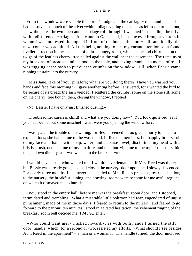From this window were visible the porter's lodge and the carriage− road, and just as I had dissolved so much of the silver−white foliage veiling the panes as left room to look out, I saw the gates thrown open and a carriage roll through. I watched it ascending the drive with indifference; carriages often came to Gateshead, but none ever brought visitors in whom I was interested; it stopped in front of the house, the door−bell rang loudly, the new−comer was admitted. All this being nothing to me, my vacant attention soon found livelier attraction in the spectacle of a little hungry robin, which came and chirruped on the twigs of the leafless cherry−tree nailed against the wall near the casement. The remains of my breakfast of bread and milk stood on the table, and having crumbled a morsel of roll, I was tugging at the sash to put out the crumbs on the window− sill, when Bessie came running upstairs into the nursery.

 «Miss Jane, take off your pinafore; what are you doing there? Have you washed your hands and face this morning?» I gave another tug before I answered, for I wanted the bird to be secure of its bread: the sash yielded; I scattered the crumbs, some on the stone sill, some on the cherry−tree bough, then, closing the window, I replied −

«No, Bessie; I have only just finished dusting.»

 «Troublesome, careless child! and what are you doing now? You look quite red, as if you had been about some mischief: what were you opening the window for?»

 I was spared the trouble of answering, for Bessie seemed in too great a hurry to listen to explanations; she hauled me to the washstand, inflicted a merciless, but happily brief scrub on my face and hands with soap, water, and a coarse towel; disciplined my head with a bristly brush, denuded me of my pinafore, and then hurrying me to the top of the stairs, bid me go down directly, as I was wanted in the breakfast−room.

 I would have asked who wanted me: I would have demanded if Mrs. Reed was there; but Bessie was already gone, and had closed the nursery−door upon me. I slowly descended. For nearly three months, I had never been called to Mrs. Reed's presence; restricted so long to the nursery, the breakfast, dining, and drawing−rooms were become for me awful regions, on which it dismayed me to intrude.

 I now stood in the empty hall; before me was the breakfast−room door, and I stopped, intimidated and trembling. What a miserable little poltroon had fear, engendered of unjust punishment, made of me in those days! I feared to return to the nursery, and feared to go forward to the parlour; ten minutes I stood in agitated hesitation; the vehement ringing of the breakfast−room bell decided me; **I MUST** enter.

 «Who could want me?» I asked inwardly, as with both hands I turned the stiff door−handle, which, for a second or two, resisted my efforts. «What should I see besides Aunt Reed in the apartment? – a man or a woman?» The handle turned, the door unclosed,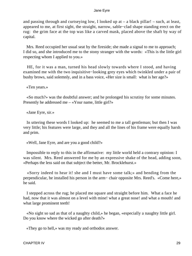and passing through and curtseying low, I looked up at  $-$  a black pillar!  $-$  such, at least, appeared to me, at first sight, the straight, narrow, sable−clad shape standing erect on the rug: the grim face at the top was like a carved mask, placed above the shaft by way of capital.

 Mrs. Reed occupied her usual seat by the fireside; she made a signal to me to approach; I did so, and she introduced me to the stony stranger with the words: «This is the little girl respecting whom I applied to you.»

 HE, for it was a man, turned his head slowly towards where I stood, and having examined me with the two inquisitive−looking grey eyes which twinkled under a pair of bushy brows, said solemnly, and in a bass voice, «Her size is small: what is her age?»

«Ten years.»

 «So much?» was the doubtful answer; and he prolonged his scrutiny for some minutes. Presently he addressed me – «Your name, little girl?»

«Jane Eyre, sir.»

 In uttering these words I looked up: he seemed to me a tall gentleman; but then I was very little; his features were large, and they and all the lines of his frame were equally harsh and prim.

«Well, Jane Eyre, and are you a good child?»

 Impossible to reply to this in the affirmative: my little world held a contrary opinion: I was silent. Mrs. Reed answered for me by an expressive shake of the head, adding soon, «Perhaps the less said on that subject the better, Mr. Brocklehurst.»

 «Sorry indeed to hear it! she and I must have some talk;» and bending from the perpendicular, he installed his person in the arm− chair opposite Mrs. Reed's. «Come here,» he said.

 I stepped across the rug; he placed me square and straight before him. What a face he had, now that it was almost on a level with mine! what a great nose! and what a mouth! and what large prominent teeth!

 «No sight so sad as that of a naughty child,» he began, «especially a naughty little girl. Do you know where the wicked go after death?»

«They go to hell,» was my ready and orthodox answer.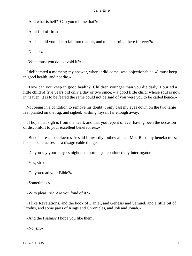«And what is hell? Can you tell me that?»

«A pit full of fire.»

«And should you like to fall into that pit, and to be burning there for ever?»

«No, sir.»

«What must you do to avoid it?»

 I deliberated a moment; my answer, when it did come, was objectionable: «I must keep in good health, and not die.»

 «How can you keep in good health? Children younger than you die daily. I buried a little child of five years old only a day or two since, – a good little child, whose soul is now in heaven. It is to be feared the same could not be said of you were you to be called hence.»

 Not being in a condition to remove his doubt, I only cast my eyes down on the two large feet planted on the rug, and sighed, wishing myself far enough away.

 «I hope that sigh is from the heart, and that you repent of ever having been the occasion of discomfort to your excellent benefactress.»

 «Benefactress! benefactress!» said I inwardly: «they all call Mrs. Reed my benefactress; if so, a benefactress is a disagreeable thing.»

«Do you say your prayers night and morning?» continued my interrogator.

«Yes, sir.»

«Do you read your Bible?»

«Sometimes.»

«With pleasure? Are you fond of it?»

 «I like Revelations, and the book of Daniel, and Genesis and Samuel, and a little bit of Exodus, and some parts of Kings and Chronicles, and Job and Jonah.»

«And the Psalms? I hope you like them?»

«No, sir.»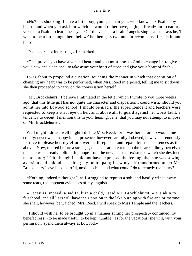«No? oh, shocking! I have a little boy, younger than you, who knows six Psalms by heart: and when you ask him which he would rather have, a gingerbread−nut to eat or a verse of a Psalm to learn, he says: 'Oh! the verse of a Psalm! angels sing Psalms;' says he, 'I wish to be a little angel here below;' he then gets two nuts in recompense for his infant piety.»

«Psalms are not interesting,» I remarked.

 «That proves you have a wicked heart; and you must pray to God to change it: to give you a new and clean one: to take away your heart of stone and give you a heart of flesh.»

 I was about to propound a question, touching the manner in which that operation of changing my heart was to be performed, when Mrs. Reed interposed, telling me to sit down; she then proceeded to carry on the conversation herself.

 «Mr. Brocklehurst, I believe I intimated in the letter which I wrote to you three weeks ago, that this little girl has not quite the character and disposition I could wish: should you admit her into Lowood school, I should be glad if the superintendent and teachers were requested to keep a strict eye on her, and, above all, to guard against her worst fault, a tendency to deceit. I mention this in your hearing, Jane, that you may not attempt to impose on Mr. Brocklehurst.»

 Well might I dread, well might I dislike Mrs. Reed; for it was her nature to wound me cruelly; never was I happy in her presence; however carefully I obeyed, however strenuously I strove to please her, my efforts were still repulsed and repaid by such sentences as the above. Now, uttered before a stranger, the accusation cut me to the heart; I dimly perceived that she was already obliterating hope from the new phase of existence which she destined me to enter; I felt, though I could not have expressed the feeling, that she was sowing aversion and unkindness along my future path; I saw myself transformed under Mr. Brocklehurst's eye into an artful, noxious child, and what could I do to remedy the injury?

 «Nothing, indeed,» thought I, as I struggled to repress a sob, and hastily wiped away some tears, the impotent evidences of my anguish.

 «Deceit is, indeed, a sad fault in a child,» said Mr. Brocklehurst; «it is akin to falsehood, and all liars will have their portion in the lake burning with fire and brimstone; she shall, however, be watched, Mrs. Reed. I will speak to Miss Temple and the teachers.»

 «I should wish her to be brought up in a manner suiting her prospects,» continued my benefactress; «to be made useful, to be kept humble: as for the vacations, she will, with your permission, spend them always at Lowood.»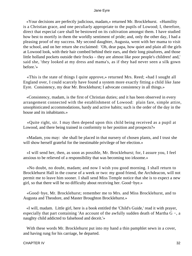«Your decisions are perfectly judicious, madam,» returned Mr. Brocklehurst. «Humility is a Christian grace, and one peculiarly appropriate to the pupils of Lowood; I, therefore, direct that especial care shall be bestowed on its cultivation amongst them. I have studied how best to mortify in them the worldly sentiment of pride; and, only the other day, I had a pleasing proof of my success. My second daughter, Augusta, went with her mama to visit the school, and on her return she exclaimed: 'Oh, dear papa, how quiet and plain all the girls at Lowood look, with their hair combed behind their ears, and their long pinafores, and those little holland pockets outside their frocks – they are almost like poor people's children! and,' said she, 'they looked at my dress and mama's, as if they had never seen a silk gown before.'»

 «This is the state of things I quite approve,» returned Mrs. Reed; «had I sought all England over, I could scarcely have found a system more exactly fitting a child like Jane Eyre. Consistency, my dear Mr. Brocklehurst; I advocate consistency in all things.»

 «Consistency, madam, is the first of Christian duties; and it has been observed in every arrangement connected with the establishment of Lowood: plain fare, simple attire, unsophisticated accommodations, hardy and active habits; such is the order of the day in the house and its inhabitants.»

 «Quite right, sir. I may then depend upon this child being received as a pupil at Lowood, and there being trained in conformity to her position and prospects?»

 «Madam, you may: she shall be placed in that nursery of chosen plants, and I trust she will show herself grateful for the inestimable privilege of her election.»

 «I will send her, then, as soon as possible, Mr. Brocklehurst; for, I assure you, I feel anxious to be relieved of a responsibility that was becoming too irksome.»

 «No doubt, no doubt, madam; and now I wish you good morning. I shall return to Brocklehurst Hall in the course of a week or two: my good friend, the Archdeacon, will not permit me to leave him sooner. I shall send Miss Temple notice that she is to expect a new girl, so that there will he no difficulty about receiving her. Good−bye.»

 «Good−bye, Mr. Brocklehurst; remember me to Mrs. and Miss Brocklehurst, and to Augusta and Theodore, and Master Broughton Brocklehurst.»

 «I will, madam. Little girl, here is a book entitled the 'Child's Guide,' read it with prayer, especially that part containing 'An account of the awfully sudden death of Martha G −, a naughty child addicted to falsehood and deceit.'»

With these words Mr. Brocklehurst put into my hand a thin pamphlet sewn in a cover, and having rung for his carriage, he departed.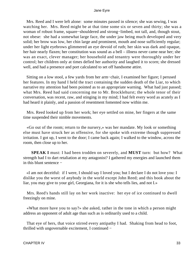Mrs. Reed and I were left alone: some minutes passed in silence; she was sewing, I was watching her. Mrs. Reed might be at that time some six or seven and thirty; she was a woman of robust frame, square−shouldered and strong−limbed, not tall, and, though stout, not obese: she had a somewhat large face, the under jaw being much developed and very solid; her brow was low, her chin large and prominent, mouth and nose sufficiently regular; under her light eyebrows glimmered an eye devoid of ruth; her skin was dark and opaque, her hair nearly flaxen; her constitution was sound as a bell – illness never came near her; she was an exact, clever manager; her household and tenantry were thoroughly under her control; her children only at times defied her authority and laughed it to scorn; she dressed well, and had a presence and port calculated to set off handsome attire.

 Sitting on a low stool, a few yards from her arm−chair, I examined her figure; I perused her features. In my hand I held the tract containing the sudden death of the Liar, to which narrative my attention had been pointed as to an appropriate warning. What had just passed; what Mrs. Reed had said concerning me to Mr. Brocklehurst; the whole tenor of their conversation, was recent, raw, and stinging in my mind; I had felt every word as acutely as I had heard it plainly, and a passion of resentment fomented now within me.

 Mrs. Reed looked up from her work; her eye settled on mine, her fingers at the same time suspended their nimble movements.

 «Go out of the room; return to the nursery,» was her mandate. My look or something else must have struck her as offensive, for she spoke with extreme though suppressed irritation. I got up, I went to the door; I came back again; I walked to the window, across the room, then close up to her.

**SPEAK I** must: I had been trodden on severely, and **MUST** turn: but how? What strength had I to dart retaliation at my antagonist? I gathered my energies and launched them in this blunt sentence −

 «I am not deceitful: if I were, I should say I loved you; but I declare I do not love you: I dislike you the worst of anybody in the world except John Reed; and this book about the liar, you may give to your girl, Georgiana, for it is she who tells lies, and not I.»

 Mrs. Reed's hands still lay on her work inactive: her eye of ice continued to dwell freezingly on mine.

 «What more have you to say?» she asked, rather in the tone in which a person might address an opponent of adult age than such as is ordinarily used to a child.

 That eye of hers, that voice stirred every antipathy I had. Shaking from head to foot, thrilled with ungovernable excitement, I continued −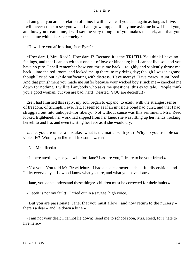«I am glad you are no relation of mine: I will never call you aunt again as long as I live. I will never come to see you when I am grown up; and if any one asks me how I liked you, and how you treated me, I will say the very thought of you makes me sick, and that you treated me with miserable cruelty.»

«How dare you affirm that, Jane Eyre?»

 «How dare I, Mrs. Reed? How dare I? Because it is the **TRUTH.** You think I have no feelings, and that I can do without one bit of love or kindness; but I cannot live so: and you have no pity. I shall remember how you thrust me back – roughly and violently thrust me back – into the red−room, and locked me up there, to my dying day; though I was in agony; though I cried out, while suffocating with distress, 'Have mercy! Have mercy, Aunt Reed!' And that punishment you made me suffer because your wicked boy struck me – knocked me down for nothing. I will tell anybody who asks me questions, this exact tale. People think you a good woman, but you are bad, hard− hearted. YOU are deceitful!»

 Ere I had finished this reply, my soul began to expand, to exult, with the strangest sense of freedom, of triumph, I ever felt. It seemed as if an invisible bond had burst, and that I had struggled out into unhoped−for liberty. Not without cause was this sentiment: Mrs. Reed looked frightened; her work had slipped from her knee; she was lifting up her hands, rocking herself to and fro, and even twisting her face as if she would cry.

 «Jane, you are under a mistake: what is the matter with you? Why do you tremble so violently? Would you like to drink some water?»

«No, Mrs. Reed.»

«Is there anything else you wish for, Jane? I assure you, I desire to be your friend.»

 «Not you. You told Mr. Brocklehurst I had a bad character, a deceitful disposition; and I'll let everybody at Lowood know what you are, and what you have done.»

«Jane, you don't understand these things: children must be corrected for their faults.»

«Deceit is not my fault!» I cried out in a savage, high voice.

 «But you are passionate, Jane, that you must allow: and now return to the nursery – there's a dear – and lie down a little.»

 «I am not your dear; I cannot lie down: send me to school soon, Mrs. Reed, for I hate to live here.»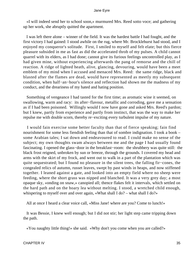«I will indeed send her to school soon,» murmured Mrs. Reed sotto voce; and gathering up her work, she abruptly quitted the apartment.

 I was left there alone – winner of the field. It was the hardest battle I had fought, and the first victory I had gained: I stood awhile on the rug, where Mr. Brocklehurst had stood, and I enjoyed my conqueror's solitude. First, I smiled to myself and felt elate; but this fierce pleasure subsided in me as fast as did the accelerated throb of my pulses. A child cannot quarrel with its elders, as I had done; cannot give its furious feelings uncontrolled play, as I had given mine, without experiencing afterwards the pang of remorse and the chill of reaction. A ridge of lighted heath, alive, glancing, devouring, would have been a meet emblem of my mind when I accused and menaced Mrs. Reed: the same ridge, black and blasted after the flames are dead, would have represented as meetly my subsequent condition, when half−an−hour's silence and reflection had shown me the madness of my conduct, and the dreariness of my hated and hating position.

 Something of vengeance I had tasted for the first time; as aromatic wine it seemed, on swallowing, warm and racy: its after−flavour, metallic and corroding, gave me a sensation as if I had been poisoned. Willingly would I now have gone and asked Mrs. Reed's pardon; but I knew, partly from experience and partly from instinct, that was the way to make her repulse me with double scorn, thereby re−exciting every turbulent impulse of my nature.

 I would fain exercise some better faculty than that of fierce speaking; fain find nourishment for some less fiendish feeling than that of sombre indignation. I took a book – some Arabian tales; I sat down and endeavoured to read. I could make no sense of the subject; my own thoughts swam always between me and the page I had usually found fascinating. I opened the glass−door in the breakfast−room: the shrubbery was quite still: the black frost reigned, unbroken by sun or breeze, through the grounds. I covered my head and arms with the skirt of my frock, and went out to walk in a part of the plantation which was quite sequestrated; but I found no pleasure in the silent trees, the falling fir−cones, the congealed relics of autumn, russet leaves, swept by past winds in heaps, and now stiffened together. I leaned against a gate, and looked into an empty field where no sheep were feeding, where the short grass was nipped and blanched. It was a very grey day; a most opaque sky, «onding on snaw,» canopied all; thence flakes felt it intervals, which settled on the hard path and on the hoary lea without melting. I stood, a wretched child enough, whispering to myself over and over again, «What shall I do? – what shall I do?»

All at once I heard a clear voice call, «Miss Jane! where are you? Come to lunch!»

 It was Bessie, I knew well enough; but I did not stir; her light step came tripping down the path.

«You naughty little thing!» she said. «Why don't you come when you are called?»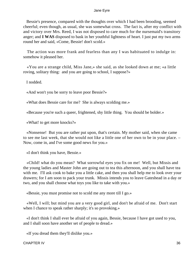Bessie's presence, compared with the thoughts over which I had been brooding, seemed cheerful; even though, as usual, she was somewhat cross. The fact is, after my conflict with and victory over Mrs. Reed, I was not disposed to care much for the nursemaid's transitory anger; and **I WAS** disposed to bask in her youthful lightness of heart. I just put my two arms round her and said, «Come, Bessie! don't scold.»

 The action was more frank and fearless than any I was habituated to indulge in: somehow it pleased her.

 «You are a strange child, Miss Jane,» she said, as she looked down at me; «a little roving, solitary thing: and you are going to school, I suppose?»

I nodded.

«And won't you be sorry to leave poor Bessie?»

«What does Bessie care for me? She is always scolding me.»

«Because you're such a queer, frightened, shy little thing. You should be bolder.»

«What! to get more knocks?»

 «Nonsense! But you are rather put upon, that's certain. My mother said, when she came to see me last week, that she would not like a little one of her own to be in your place. – Now, come in, and I've some good news for you.»

«I don't think you have, Bessie.»

 «Child! what do you mean? What sorrowful eyes you fix on me! Well, but Missis and the young ladies and Master John are going out to tea this afternoon, and you shall have tea with me. I'll ask cook to bake you a little cake, and then you shall help me to look over your drawers; for I am soon to pack your trunk. Missis intends you to leave Gateshead in a day or two, and you shall choose what toys you like to take with you.»

«Bessie, you must promise not to scold me any more till I go.»

 «Well, I will; but mind you are a very good girl, and don't be afraid of me. Don't start when I chance to speak rather sharply; it's so provoking.»

 «I don't think I shall ever be afraid of you again, Bessie, because I have got used to you, and I shall soon have another set of people to dread.»

«If you dread them they'll dislike you.»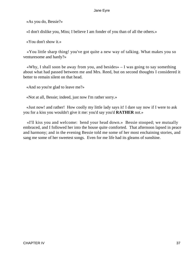«As you do, Bessie?»

«I don't dislike you, Miss; I believe I am fonder of you than of all the others.»

«You don't show it.»

 «You little sharp thing! you've got quite a new way of talking. What makes you so venturesome and hardy?»

 «Why, I shall soon be away from you, and besides» – I was going to say something about what had passed between me and Mrs. Reed, but on second thoughts I considered it better to remain silent on that head.

«And so you're glad to leave me?»

«Not at all, Bessie; indeed, just now I'm rather sorry.»

 «Just now! and rather! How coolly my little lady says it! I dare say now if I were to ask you for a kiss you wouldn't give it me: you'd say you'd **RATHER** not.»

 «I'll kiss you and welcome: bend your head down.» Bessie stooped; we mutually embraced, and I followed her into the house quite comforted. That afternoon lapsed in peace and harmony; and in the evening Bessie told me some of her most enchaining stories, and sang me some of her sweetest songs. Even for me life had its gleams of sunshine.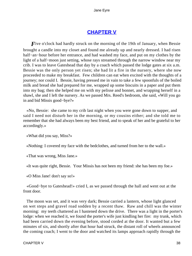# **[CHAPTER V](#page-434-0)**

*F*ive o'clock had hardly struck on the morning of the 19th of January, when Bessie brought a candle into my closet and found me already up and nearly dressed. I had risen half−an−hour before her entrance, and had washed my face, and put on my clothes by the light of a half−moon just setting, whose rays streamed through the narrow window near my crib. I was to leave Gateshead that day by a coach which passed the lodge gates at six a.m. Bessie was the only person yet risen; she had lit a fire in the nursery, where she now proceeded to make my breakfast. Few children can eat when excited with the thoughts of a journey; nor could I. Bessie, having pressed me in vain to take a few spoonfuls of the boiled milk and bread she had prepared for me, wrapped up some biscuits in a paper and put them into my bag; then she helped me on with my pelisse and bonnet, and wrapping herself in a shawl, she and I left the nursery. As we passed Mrs. Reed's bedroom, she said, «Will you go in and bid Missis good−bye?»

 «No, Bessie: she came to my crib last night when you were gone down to supper, and said I need not disturb her in the morning, or my cousins either; and she told me to remember that she had always been my best friend, and to speak of her and be grateful to her accordingly.»

«What did you say, Miss?»

«Nothing: I covered my face with the bedclothes, and turned from her to the wall.»

«That was wrong, Miss Jane.»

«It was quite right, Bessie. Your Missis has not been my friend: she has been my foe.»

«O Miss Jane! don't say so!»

 «Good−bye to Gateshead!» cried I, as we passed through the hall and went out at the front door.

 The moon was set, and it was very dark; Bessie carried a lantern, whose light glanced on wet steps and gravel road sodden by a recent thaw. Raw and chill was the winter morning: my teeth chattered as I hastened down the drive. There was a light in the porter's lodge: when we reached it, we found the porter's wife just kindling her fire: my trunk, which had been carried down the evening before, stood corded at the door. It wanted but a few minutes of six, and shortly after that hour had struck, the distant roll of wheels announced the coming coach; I went to the door and watched its lamps approach rapidly through the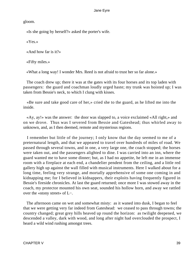gloom.

«Is she going by herself?» asked the porter's wife.

«Yes.»

«And how far is it?»

«Fifty miles.»

«What a long way! I wonder Mrs. Reed is not afraid to trust her so far alone.»

 The coach drew up; there it was at the gates with its four horses and its top laden with passengers: the guard and coachman loudly urged haste; my trunk was hoisted up; I was taken from Bessie's neck, to which I clung with kisses.

 «Be sure and take good care of her,» cried she to the guard, as he lifted me into the inside.

 «Ay, ay!» was the answer: the door was slapped to, a voice exclaimed «All right,» and on we drove. Thus was I severed from Bessie and Gateshead; thus whirled away to unknown, and, as I then deemed, remote and mysterious regions.

 I remember but little of the journey; I only know that the day seemed to me of a preternatural length, and that we appeared to travel over hundreds of miles of road. We passed through several towns, and in one, a very large one, the coach stopped; the horses were taken out, and the passengers alighted to dine. I was carried into an inn, where the guard wanted me to have some dinner; but, as I had no appetite, he left me in an immense room with a fireplace at each end, a chandelier pendent from the ceiling, and a little red gallery high up against the wall filled with musical instruments. Here I walked about for a long time, feeling very strange, and mortally apprehensive of some one coming in and kidnapping me; for I believed in kidnappers, their exploits having frequently figured in Bessie's fireside chronicles. At last the guard returned; once more I was stowed away in the coach, my protector mounted his own seat, sounded his hollow horn, and away we rattled over the «stony street» of L−.

 The afternoon came on wet and somewhat misty: as it waned into dusk, I began to feel that we were getting very far indeed from Gateshead: we ceased to pass through towns; the country changed; great grey hills heaved up round the horizon: as twilight deepened, we descended a valley, dark with wood, and long after night had overclouded the prospect, I heard a wild wind rushing amongst trees.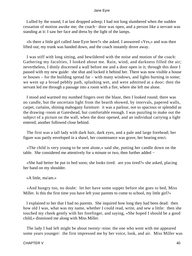Lulled by the sound, I at last dropped asleep; I had not long slumbered when the sudden cessation of motion awoke me; the coach− door was open, and a person like a servant was standing at it: I saw her face and dress by the light of the lamps.

 «Is there a little girl called Jane Eyre here?» she asked. I answered «Yes,» and was then lifted out; my trunk was handed down, and the coach instantly drove away.

 I was stiff with long sitting, and bewildered with the noise and motion of the coach: Gathering my faculties, I looked about me. Rain, wind, and darkness filled the air; nevertheless, I dimly discerned a wall before me and a door open in it; through this door I passed with my new guide: she shut and locked it behind her. There was now visible a house or houses – for the building spread far – with many windows, and lights burning in some; we went up a broad pebbly path, splashing wet, and were admitted at a door; then the servant led me through a passage into a room with a fire, where she left me alone.

 I stood and warmed my numbed fingers over the blaze, then I looked round; there was no candle, but the uncertain light from the hearth showed, by intervals, papered walls, carpet, curtains, shining mahogany furniture: it was a parlour, not so spacious or splendid as the drawing−room at Gateshead, but comfortable enough. I was puzzling to make out the subject of a picture on the wall, when the door opened, and an individual carrying a light entered; another followed close behind.

 The first was a tall lady with dark hair, dark eyes, and a pale and large forehead; her figure was partly enveloped in a shawl, her countenance was grave, her bearing erect.

 «The child is very young to be sent alone,» said she, putting her candle down on the table. She considered me attentively for a minute or two, then further added −

 «She had better be put to bed soon; she looks tired: are you tired?» she asked, placing her hand on my shoulder.

«A little, ma'am.»

 «And hungry too, no doubt: let her have some supper before she goes to bed, Miss Miller. Is this the first time you have left your parents to come to school, my little girl?»

 I explained to her that I had no parents. She inquired how long they had been dead: then how old I was, what was my name, whether I could read, write, and sew a little: then she touched my cheek gently with her forefinger, and saying, «She hoped I should be a good child,» dismissed me along with Miss Miller.

 The lady I had left might be about twenty−nine; the one who went with me appeared some years younger: the first impressed me by her voice, look, and air. Miss Miller was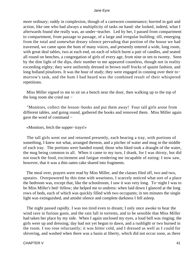more ordinary; ruddy in complexion, though of a careworn countenance; hurried in gait and action, like one who had always a multiplicity of tasks on hand: she looked, indeed, what I afterwards found she really was, an under−teacher. Led by her, I passed from compartment to compartment, from passage to passage, of a large and irregular building; till, emerging from the total and somewhat dreary silence pervading that portion of the house we had traversed, we came upon the hum of many voices, and presently entered a wide, long room, with great deal tables, two at each end, on each of which burnt a pair of candles, and seated all round on benches, a congregation of girls of every age, from nine or ten to twenty. Seen by the dim light of the dips, their number to me appeared countless, though not in reality exceeding eighty; they were uniformly dressed in brown stuff frocks of quaint fashion, and long holland pinafores. It was the hour of study; they were engaged in conning over their to− morrow's task, and the hum I had heard was the combined result of their whispered repetitions.

 Miss Miller signed to me to sit on a bench near the door, then walking up to the top of the long room she cried out −

 "Monitors, collect the lesson−books and put them away! Four tall girls arose from different tables, and going round, gathered the books and removed them. Miss Miller again gave the word of command −

«Monitors, fetch the supper−trays!»

 The tall girls went out and returned presently, each bearing a tray, with portions of something, I knew not what, arranged thereon, and a pitcher of water and mug in the middle of each tray. The portions were handed round; those who liked took a draught of the water, the mug being common to all. When it came to my turn, I drank, for I was thirsty, but did not touch the food, excitement and fatigue rendering me incapable of eating: I now saw, however, that it was a thin oaten cake shared into fragments.

 The meal over, prayers were read by Miss Miller, and the classes filed off, two and two, upstairs. Overpowered by this time with weariness, I scarcely noticed what sort of a place the bedroom was, except that, like the schoolroom, I saw it was very long. To−night I was to be Miss Miller's bed−fellow; she helped me to undress: when laid down I glanced at the long rows of beds, each of which was quickly filled with two occupants; in ten minutes the single light was extinguished, and amidst silence and complete darkness I fell asleep.

 The night passed rapidly. I was too tired even to dream; I only once awoke to hear the wind rave in furious gusts, and the rain fall in torrents, and to be sensible that Miss Miller had taken her place by my side. When I again unclosed my eyes, a loud bell was ringing; the girls were up and dressing; day had not yet begun to dawn, and a rushlight or two burned in the room. I too rose reluctantly; it was bitter cold, and I dressed as well as I could for shivering, and washed when there was a basin at liberty, which did not occur soon, as there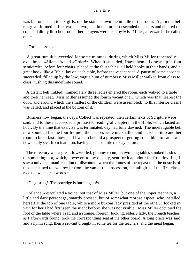was but one basin to six girls, on the stands down the middle of the room. Again the bell rang: all formed in file, two and two, and in that order descended the stairs and entered the cold and dimly lit schoolroom: here prayers were read by Miss Miller; afterwards she called out −

### «Form classes!»

 A great tumult succeeded for some minutes, during which Miss Miller repeatedly exclaimed, «Silence!» and «Order!» When it subsided, I saw them all drawn up in four semicircles, before four chairs, placed at the four tables; all held books in their hands, and a great book, like a Bible, lay on each table, before the vacant seat. A pause of some seconds succeeded, filled up by the low, vague hum of numbers; Miss Miller walked from class to class, hushing this indefinite sound.

 A distant bell tinkled: immediately three ladies entered the room, each walked to a table and took her seat. Miss Miller assumed the fourth vacant chair, which was that nearest the door, and around which the smallest of the children were assembled: to this inferior class I was called, and placed at the bottom of it.

 Business now began, the day's Collect was repeated, then certain texts of Scripture were said, and to these succeeded a protracted reading of chapters in the Bible, which lasted an hour. By the time that exercise was terminated, day had fully dawned. The indefatigable bell now sounded for the fourth time: the classes were marshalled and marched into another room to breakfast: how glad I was to behold a prospect of getting something to eat! I was now nearly sick from inanition, having taken so little the day before.

 The refectory was a great, low−ceiled, gloomy room; on two long tables smoked basins of something hot, which, however, to my dismay, sent forth an odour far from inviting. I saw a universal manifestation of discontent when the fumes of the repast met the nostrils of those destined to swallow it; from the van of the procession, the tall girls of the first class, rose the whispered words −

«Disgusting! The porridge is burnt again!»

 «Silence!» ejaculated a voice; not that of Miss Miller, but one of the upper teachers, a little and dark personage, smartly dressed, but of somewhat morose aspect, who installed herself at the top of one table, while a more buxom lady presided at the other. I looked in vain for her I had first seen the night before; she was not visible: Miss Miller occupied the foot of the table where I sat, and a strange, foreign−looking, elderly lady, the French teacher, as I afterwards found, took the corresponding seat at the other board. A long grace was said and a hymn sung; then a servant brought in some tea for the teachers, and the meal began.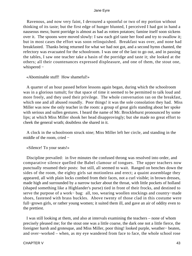Ravenous, and now very faint, I devoured a spoonful or two of my portion without thinking of its taste; but the first edge of hunger blunted, I perceived I had got in hand a nauseous mess; burnt porridge is almost as bad as rotten potatoes; famine itself soon sickens over it. The spoons were moved slowly: I saw each girl taste her food and try to swallow it; but in most cases the effort was soon relinquished. Breakfast was over, and none had breakfasted. Thanks being returned for what we had not got, and a second hymn chanted, the refectory was evacuated for the schoolroom. I was one of the last to go out, and in passing the tables, I saw one teacher take a basin of the porridge and taste it; she looked at the others; all their countenances expressed displeasure, and one of them, the stout one, whispered –

«Abominable stuff! How shameful!»

 A quarter of an hour passed before lessons again began, during which the schoolroom was in a glorious tumult; for that space of time it seemed to be permitted to talk loud and more freely, and they used their privilege. The whole conversation ran on the breakfast, which one and all abused roundly. Poor things! it was the sole consolation they had. Miss Miller was now the only teacher in the room: a group of great girls standing about her spoke with serious and sullen gestures. I heard the name of Mr. Brocklehurst pronounced by some lips; at which Miss Miller shook her head disapprovingly; but she made no great effort to cheek the general wrath; doubtless she shared in it.

 A clock in the schoolroom struck nine; Miss Miller left her circle, and standing in the middle of the room, cried −

«Silence! To your seats!»

 Discipline prevailed: in five minutes the confused throng was resolved into order, and comparative silence quelled the Babel clamour of tongues. The upper teachers now punctually resumed their posts: but still, all seemed to wait. Ranged on benches down the sides of the room, the eighty girls sat motionless and erect; a quaint assemblage they appeared, all with plain locks combed from their faces, not a curl visible; in brown dresses, made high and surrounded by a narrow tucker about the throat, with little pockets of holland (shaped something like a Highlander's purse) tied in front of their frocks, and destined to serve the purpose of a work− bag: all, too, wearing woollen stockings and country−made shoes, fastened with brass buckles. Above twenty of those clad in this costume were full−grown girls, or rather young women; it suited them ill, and gave an air of oddity even to the prettiest.

 I was still looking at them, and also at intervals examining the teachers – none of whom precisely pleased me; for the stout one was a little coarse, the dark one not a little fierce, the foreigner harsh and grotesque, and Miss Miller, poor thing! looked purple, weather− beaten, and over−worked – when, as my eye wandered from face to face, the whole school rose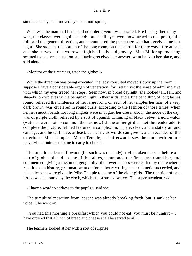simultaneously, as if moved by a common spring.

 What was the matter? I had heard no order given: I was puzzled. Ere I had gathered my wits, the classes were again seated: but as all eyes were now turned to one point, mine followed the general direction, and encountered the personage who had received me last night. She stood at the bottom of the long room, on the hearth; for there was a fire at each end; she surveyed the two rows of girls silently and gravely. Miss Miller approaching, seemed to ask her a question, and having received her answer, went back to her place, and said aloud −

«Monitor of the first class, fetch the globes!»

While the direction was being executed, the lady consulted moved slowly up the room. I suppose I have a considerable organ of veneration, for I retain yet the sense of admiring awe with which my eyes traced her steps. Seen now, in broad daylight, she looked tall, fair, and shapely; brown eyes with a benignant light in their irids, and a fine pencilling of long lashes round, relieved the whiteness of her large front; on each of her temples her hair, of a very dark brown, was clustered in round curls, according to the fashion of those times, when neither smooth bands nor long ringlets were in vogue; her dress, also in the mode of the day, was of purple cloth, relieved by a sort of Spanish trimming of black velvet; a gold watch (watches were not so common then as now) shone at her girdle. Let the reader add, to complete the picture, refined features; a complexion, if pale, clear; and a stately air and carriage, and he will have, at least, as clearly as words can give it, a correct idea of the exterior of Miss Temple – Maria Temple, as I afterwards saw the name written in a prayer−book intrusted to me to carry to church.

 The superintendent of Lowood (for such was this lady) having taken her seat before a pair of globes placed on one of the tables, summoned the first class round her, and commenced giving a lesson on geography; the lower classes were called by the teachers: repetitions in history, grammar, went on for an hour; writing and arithmetic succeeded, and music lessons were given by Miss Temple to some of the elder girls. The duration of each lesson was measured by the clock, which at last struck twelve. The superintendent rose −

«I have a word to address to the pupils,» said she.

 The tumult of cessation from lessons was already breaking forth, but it sank at her voice. She went on −

 «You had this morning a breakfast which you could not eat; you must be hungry: – I have ordered that a lunch of bread and cheese shall be served to all.»

The teachers looked at her with a sort of surprise.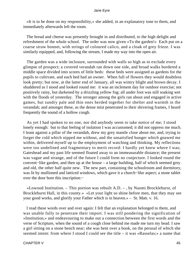«It is to be done on my responsibility,» she added, in an explanatory tone to them, and immediately afterwards left the room.

 The bread and cheese was presently brought in and distributed, to the high delight and refreshment of the whole school. The order was now given «To the garden!» Each put on a coarse straw bonnet, with strings of coloured calico, and a cloak of grey frieze. I was similarly equipped, and, following the stream, I made my way into the open air.

 The garden was a wide inclosure, surrounded with walls so high as to exclude every glimpse of prospect; a covered verandah ran down one side, and broad walks bordered a middle space divided into scores of little beds: these beds were assigned as gardens for the pupils to cultivate, and each bed had an owner. When full of flowers they would doubtless look pretty; but now, at the latter end of January, all was wintry blight and brown decay. I shuddered as I stood and looked round me: it was an inclement day for outdoor exercise; not positively rainy, but darkened by a drizzling yellow fog; all under foot was still soaking wet with the floods of yesterday. The stronger among the girls ran about and engaged in active games, but sundry pale and thin ones herded together for shelter and warmth in the verandah; and amongst these, as the dense mist penetrated to their shivering frames, I heard frequently the sound of a hollow cough.

 As yet I had spoken to no one, nor did anybody seem to take notice of me; I stood lonely enough: but to that feeling of isolation I was accustomed; it did not oppress me much. I leant against a pillar of the verandah, drew my grey mantle close about me, and, trying to forget the cold which nipped me without, and the unsatisfied hunger which gnawed me within, delivered myself up to the employment of watching and thinking. My reflections were too undefined and fragmentary to merit record: I hardly yet knew where I was; Gateshead and my past life seemed floated away to an immeasurable distance; the present was vague and strange, and of the future I could form no conjecture. I looked round the convent−like garden, and then up at the house – a large building, half of which seemed grey and old, the other half quite new. The new part, containing the schoolroom and dormitory, was lit by mullioned and latticed windows, which gave it a church−like aspect; a stone tablet over the door bore this inscription:−

 «Lowood Institution. – This portion was rebuilt A.D. – , by Naomi Brocklehurst, of Brocklehurst Hall, in this county.» «Let your light so shine before men, that they may see your good works, and glorify your Father which is in heaven.» – St. Matt. v. 16.

 I read these words over and over again: I felt that an explanation belonged to them, and was unable fully to penetrate their import. I was still pondering the signification of «Institution,» and endeavouring to make out a connection between the first words and the verse of Scripture, when the sound of a cough close behind me made me turn my head. I saw a girl sitting on a stone bench near; she was bent over a book, on the perusal of which she seemed intent: from where I stood I could see the title – it was «Rasselas;» a name that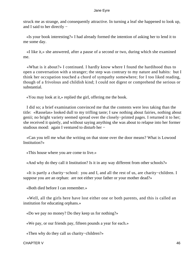struck me as strange, and consequently attractive. In turning a leaf she happened to look up, and I said to her directly −

 «Is your book interesting?» I had already formed the intention of asking her to lend it to me some day.

 «I like it,» she answered, after a pause of a second or two, during which she examined me.

 «What is it about?» I continued. I hardly know where I found the hardihood thus to open a conversation with a stranger; the step was contrary to my nature and habits: but I think her occupation touched a chord of sympathy somewhere; for I too liked reading, though of a frivolous and childish kind; I could not digest or comprehend the serious or substantial.

«You may look at it,» replied the girl, offering me the book.

 I did so; a brief examination convinced me that the contents were less taking than the title: «Rasselas» looked dull to my trifling taste; I saw nothing about fairies, nothing about genii; no bright variety seemed spread over the closely−printed pages. I returned it to her; she received it quietly, and without saying anything she was about to relapse into her former studious mood: again I ventured to disturb her −

 «Can you tell me what the writing on that stone over the door means? What is Lowood Institution?»

«This house where you are come to live.»

«And why do they call it Institution? Is it in any way different from other schools?»

 «It is partly a charity−school: you and I, and all the rest of us, are charity−children. I suppose you are an orphan: are not either your father or your mother dead?»

«Both died before I can remember.»

 «Well, all the girls here have lost either one or both parents, and this is called an institution for educating orphans.»

«Do we pay no money? Do they keep us for nothing?»

«We pay, or our friends pay, fifteen pounds a year for each.»

«Then why do they call us charity−children?»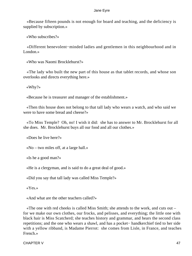«Because fifteen pounds is not enough for board and teaching, and the deficiency is supplied by subscription.»

«Who subscribes?»

 «Different benevolent−minded ladies and gentlemen in this neighbourhood and in London.»

«Who was Naomi Brocklehurst?»

 «The lady who built the new part of this house as that tablet records, and whose son overlooks and directs everything here.»

«Why?»

«Because he is treasurer and manager of the establishment.»

 «Then this house does not belong to that tall lady who wears a watch, and who said we were to have some bread and cheese?»

 «To Miss Temple? Oh, no! I wish it did: she has to answer to Mr. Brocklehurst for all she does. Mr. Brocklehurst buys all our food and all our clothes.»

«Does he live here?»

«No – two miles off, at a large hall.»

«Is he a good man?»

«He is a clergyman, and is said to do a great deal of good.»

«Did you say that tall lady was called Miss Temple?»

«Yes.»

«And what are the other teachers called?»

 «The one with red cheeks is called Miss Smith; she attends to the work, and cuts out – for we make our own clothes, our frocks, and pelisses, and everything; the little one with black hair is Miss Scatcherd; she teaches history and grammar, and hears the second class repetitions; and the one who wears a shawl, and has a pocket− handkerchief tied to her side with a yellow ribband, is Madame Pierrot: she comes from Lisle, in France, and teaches French.»

CHAPTER V 47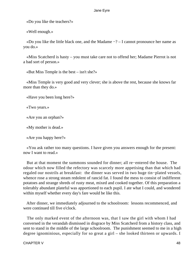«Do you like the teachers?»

«Well enough.»

 «Do you like the little black one, and the Madame −? – I cannot pronounce her name as you do.»

 «Miss Scatcherd is hasty – you must take care not to offend her; Madame Pierrot is not a bad sort of person.»

«But Miss Temple is the best – isn't she?»

 «Miss Temple is very good and very clever; she is above the rest, because she knows far more than they do.»

«Have you been long here?»

«Two years.»

«Are you an orphan?»

«My mother is dead.»

«Are you happy here?»

 «You ask rather too many questions. I have given you answers enough for the present: now I want to read.»

 But at that moment the summons sounded for dinner; all re−entered the house. The odour which now filled the refectory was scarcely more appetising than that which had regaled our nostrils at breakfast: the dinner was served in two huge tin−plated vessels, whence rose a strong steam redolent of rancid fat. I found the mess to consist of indifferent potatoes and strange shreds of rusty meat, mixed and cooked together. Of this preparation a tolerably abundant plateful was apportioned to each pupil. I ate what I could, and wondered within myself whether every day's fare would be like this.

 After dinner, we immediately adjourned to the schoolroom: lessons recommenced, and were continued till five o'clock.

 The only marked event of the afternoon was, that I saw the girl with whom I had conversed in the verandah dismissed in disgrace by Miss Scatcherd from a history class, and sent to stand in the middle of the large schoolroom. The punishment seemed to me in a high degree ignominious, especially for so great a girl – she looked thirteen or upwards. I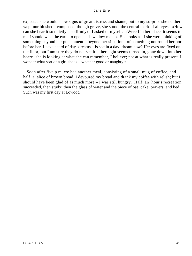expected she would show signs of great distress and shame; but to my surprise she neither wept nor blushed: composed, though grave, she stood, the central mark of all eyes. «How can she bear it so quietly – so firmly?» I asked of myself. «Were I in her place, it seems to me I should wish the earth to open and swallow me up. She looks as if she were thinking of something beyond her punishment – beyond her situation: of something not round her nor before her. I have heard of day−dreams – is she in a day−dream now? Her eyes are fixed on the floor, but I am sure they do not see it – her sight seems turned in, gone down into her heart: she is looking at what she can remember, I believe; not at what is really present. I wonder what sort of a girl she is – whether good or naughty.»

 Soon after five p.m. we had another meal, consisting of a small mug of coffee, and half−a−slice of brown bread. I devoured my bread and drank my coffee with relish; but I should have been glad of as much more – I was still hungry. Half−an−hour's recreation succeeded, then study; then the glass of water and the piece of oat−cake, prayers, and bed. Such was my first day at Lowood.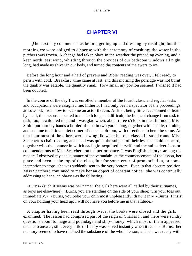## **[CHAPTER VI](#page-434-0)**

**The next day commenced as before, getting up and dressing by rushlight; but this** morning we were obliged to dispense with the ceremony of washing; the water in the pitchers was frozen. A change had taken place in the weather the preceding evening, and a keen north−east wind, whistling through the crevices of our bedroom windows all night long, had made us shiver in our beds, and turned the contents of the ewers to ice.

 Before the long hour and a half of prayers and Bible−reading was over, I felt ready to perish with cold. Breakfast−time came at last, and this morning the porridge was not burnt; the quality was eatable, the quantity small. How small my portion seemed! I wished it had been doubled.

 In the course of the day I was enrolled a member of the fourth class, and regular tasks and occupations were assigned me: hitherto, I had only been a spectator of the proceedings at Lowood; I was now to become an actor therein. At first, being little accustomed to learn by heart, the lessons appeared to me both long and difficult; the frequent change from task to task, too, bewildered me; and I was glad when, about three o'clock in the afternoon, Miss Smith put into my hands a border of muslin two yards long, together with needle, thimble, and sent me to sit in a quiet corner of the schoolroom, with directions to hem the same. At that hour most of the others were sewing likewise; but one class still stood round Miss Scatcherd's chair reading, and as all was quiet, the subject of their lessons could be heard, together with the manner in which each girl acquitted herself, and the animadversions or commendations of Miss Scatcherd on the performance. It was English history: among the readers I observed my acquaintance of the verandah: at the commencement of the lesson, her place had been at the top of the class, but for some error of pronunciation, or some inattention to stops, she was suddenly sent to the very bottom. Even in that obscure position, Miss Scatcherd continued to make her an object of constant notice: she was continually addressing to her such phrases as the following:−

 «Burns» (such it seems was her name: the girls here were all called by their surnames, as boys are elsewhere), «Burns, you are standing on the side of your shoe; turn your toes out immediately.» «Burns, you poke your chin most unpleasantly; draw it in.» «Burns, I insist on your holding your head up; I will not have you before me in that attitude,»

 A chapter having been read through twice, the books were closed and the girls examined. The lesson had comprised part of the reign of Charles I., and there were sundry questions about tonnage and poundage and ship−money, which most of them appeared unable to answer; still, every little difficulty was solved instantly when it reached Burns: her memory seemed to have retained the substance of the whole lesson, and she was ready with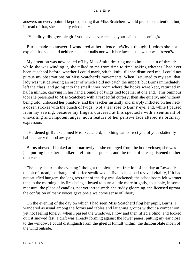answers on every point. I kept expecting that Miss Scatcherd would praise her attention; but, instead of that, she suddenly cried out −

«You dirty, disagreeable girl! you have never cleaned your nails this morning!»

 Burns made no answer: I wondered at her silence. «Why,» thought I, «does she not explain that she could neither clean her nails nor wash her face, as the water was frozen?»

 My attention was now called off by Miss Smith desiring me to hold a skein of thread: while she was winding it, she talked to me from time to time, asking whether I had ever been at school before, whether I could mark, stitch, knit, till she dismissed me, I could not pursue my observations on Miss Scatcherd's movements. When I returned to my seat, that lady was just delivering an order of which I did not catch the import; but Burns immediately left the class, and going into the small inner room where the books were kept, returned in half a minute, carrying in her hand a bundle of twigs tied together at one end. This ominous tool she presented to Miss Scatcherd with a respectful curtesy; then she quietly, and without being told, unloosed her pinafore, and the teacher instantly and sharply inflicted on her neck a dozen strokes with the bunch of twigs. Not a tear rose to Burns' eye; and, while I paused from my sewing, because my fingers quivered at this spectacle with a sentiment of unavailing and impotent anger, not a feature of her pensive face altered its ordinary expression.

 «Hardened girl!» exclaimed Miss Scatcherd; «nothing can correct you of your slatternly habits: carry the rod away.»

 Burns obeyed: I looked at her narrowly as she emerged from the book−closet; she was just putting back her handkerchief into her pocket, and the trace of a tear glistened on her thin cheek.

 The play−hour in the evening I thought the pleasantest fraction of the day at Lowood: the bit of bread, the draught of coffee swallowed at five o'clock had revived vitality, if it had not satisfied hunger: the long restraint of the day was slackened; the schoolroom felt warmer than in the morning – its fires being allowed to burn a little more brightly, to supply, in some measure, the place of candles, not yet introduced: the ruddy gloaming, the licensed uproar, the confusion of many voices gave one a welcome sense of liberty.

 On the evening of the day on which I had seen Miss Scatcherd flog her pupil, Burns, I wandered as usual among the forms and tables and laughing groups without a companion, yet not feeling lonely: when I passed the windows, I now and then lifted a blind, and looked out; it snowed fast, a drift was already forming against the lower panes; putting my ear close to the window, I could distinguish from the gleeful tumult within, the disconsolate moan of the wind outside.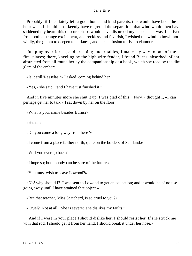Probably, if I had lately left a good home and kind parents, this would have been the hour when I should most keenly have regretted the separation; that wind would then have saddened my heart; this obscure chaos would have disturbed my peace! as it was, I derived from both a strange excitement, and reckless and feverish, I wished the wind to howl more wildly, the gloom to deepen to darkness, and the confusion to rise to clamour.

 Jumping over forms, and creeping under tables, I made my way to one of the fire−places; there, kneeling by the high wire fender, I found Burns, absorbed, silent, abstracted from all round her by the companionship of a book, which she read by the dim glare of the embers.

«Is it still 'Rasselas'?» I asked, coming behind her.

«Yes,» she said, «and I have just finished it.»

 And in five minutes more she shut it up. I was glad of this. «Now,» thought I, «I can perhaps get her to talk.» I sat down by her on the floor.

«What is your name besides Burns?»

«Helen.»

«Do you come a long way from here?»

«I come from a place farther north, quite on the borders of Scotland.»

«Will you ever go back?»

«I hope so; but nobody can be sure of the future.»

«You must wish to leave Lowood?»

 «No! why should I? I was sent to Lowood to get an education; and it would be of no use going away until I have attained that object.»

«But that teacher, Miss Scatcherd, is so cruel to you?»

«Cruel? Not at all! She is severe: she dislikes my faults.»

 «And if I were in your place I should dislike her; I should resist her. If she struck me with that rod, I should get it from her hand; I should break it under her nose.»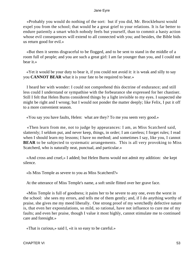«Probably you would do nothing of the sort: but if you did, Mr. Brocklehurst would expel you from the school; that would be a great grief to your relations. It is far better to endure patiently a smart which nobody feels but yourself, than to commit a hasty action whose evil consequences will extend to all connected with you; and besides, the Bible bids us return good for evil.»

 «But then it seems disgraceful to be flogged, and to be sent to stand in the middle of a room full of people; and you are such a great girl: I am far younger than you, and I could not bear it.»

 «Yet it would be your duty to bear it, if you could not avoid it: it is weak and silly to say you **CANNOT BEAR** what it is your fate to be required to bear.»

 I heard her with wonder: I could not comprehend this doctrine of endurance; and still less could I understand or sympathise with the forbearance she expressed for her chastiser. Still I felt that Helen Burns considered things by a light invisible to my eyes. I suspected she might be right and I wrong; but I would not ponder the matter deeply; like Felix, I put it off to a more convenient season.

«You say you have faults, Helen: what are they? To me you seem very good.»

 «Then learn from me, not to judge by appearances: I am, as Miss Scatcherd said, slatternly; I seldom put, and never keep, things, in order; I am careless; I forget rules; I read when I should learn my lessons; I have no method; and sometimes I say, like you, I cannot **BEAR** to be subjected to systematic arrangements. This is all very provoking to Miss Scatcherd, who is naturally neat, punctual, and particular.»

 «And cross and cruel,» I added; but Helen Burns would not admit my addition: she kept silence.

«Is Miss Temple as severe to you as Miss Scatcherd?»

At the utterance of Miss Temple's name, a soft smile flitted over her grave face.

 «Miss Temple is full of goodness; it pains her to be severe to any one, even the worst in the school: she sees my errors, and tells me of them gently; and, if I do anything worthy of praise, she gives me my meed liberally. One strong proof of my wretchedly defective nature is, that even her expostulations, so mild, so rational, have not influence to cure me of my faults; and even her praise, though I value it most highly, cannot stimulate me to continued care and foresight.»

«That is curious,» said I, «it is so easy to be careful.»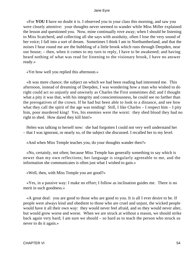«For **YOU I** have no doubt it is. I observed you in your class this morning, and saw you were closely attentive: your thoughts never seemed to wander while Miss Miller explained the lesson and questioned you. Now, mine continually rove away; when I should be listening to Miss Scatcherd, and collecting all she says with assiduity, often I lose the very sound of her voice; I fall into a sort of dream. Sometimes I think I am in Northumberland, and that the noises I hear round me are the bubbling of a little brook which runs through Deepden, near our house; – then, when it comes to my turn to reply, I have to be awakened; and having heard nothing of what was read for listening to the visionary brook, I have no answer ready.»

«Yet how well you replied this afternoon.»

 «It was mere chance; the subject on which we had been reading had interested me. This afternoon, instead of dreaming of Deepden, I was wondering how a man who wished to do right could act so unjustly and unwisely as Charles the First sometimes did; and I thought what a pity it was that, with his integrity and conscientiousness, he could see no farther than the prerogatives of the crown. If he had but been able to look to a distance, and see how what they call the spirit of the age was tending! Still, I like Charles  $-$  I respect him  $-$  I pity him, poor murdered king! Yes, his enemies were the worst: they shed blood they had no right to shed. How dared they kill him!»

 Helen was talking to herself now: she had forgotten I could not very well understand her – that I was ignorant, or nearly so, of the subject she discussed. I recalled her to my level.

«And when Miss Temple teaches you, do your thoughts wander then?»

 «No, certainly, not often; because Miss Temple has generally something to say which is newer than my own reflections; her language is singularly agreeable to me, and the information she communicates is often just what I wished to gain.»

«Well, then, with Miss Temple you are good?»

 «Yes, in a passive way: I make no effort; I follow as inclination guides me. There is no merit in such goodness.»

 «A great deal: you are good to those who are good to you. It is all I ever desire to be. If people were always kind and obedient to those who are cruel and unjust, the wicked people would have it all their own way: they would never feel afraid, and so they would never alter, but would grow worse and worse. When we are struck at without a reason, we should strike back again very hard; I am sure we should – so hard as to teach the person who struck us never to do it again.»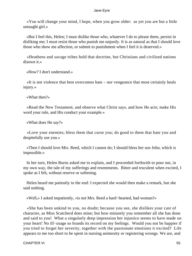«You will change your mind, I hope, when you grow older: as yet you are but a little untaught girl.»

 «But I feel this, Helen; I must dislike those who, whatever I do to please them, persist in disliking me; I must resist those who punish me unjustly. It is as natural as that I should love those who show me affection, or submit to punishment when I feel it is deserved.»

 «Heathens and savage tribes hold that doctrine, but Christians and civilised nations disown it.»

«How? I don't understand.»

 «It is not violence that best overcomes hate – nor vengeance that most certainly heals injury.»

«What then?»

 «Read the New Testament, and observe what Christ says, and how He acts; make His word your rule, and His conduct your example.»

«What does He say?»

 «Love your enemies; bless them that curse you; do good to them that hate you and despitefully use you.»

 «Then I should love Mrs. Reed, which I cannot do; I should bless her son John, which is impossible.»

 In her turn, Helen Burns asked me to explain, and I proceeded forthwith to pour out, in my own way, the tale of my sufferings and resentments. Bitter and truculent when excited, I spoke as I felt, without reserve or softening.

 Helen heard me patiently to the end: I expected she would then make a remark, but she said nothing.

«Well,» I asked impatiently, «is not Mrs. Reed a hard−hearted, bad woman?»

 «She has been unkind to you, no doubt; because you see, she dislikes your cast of character, as Miss Scatcherd does mine; but how minutely you remember all she has done and said to you! What a singularly deep impression her injustice seems to have made on your heart! No ill−usage so brands its record on my feelings. Would you not be happier if you tried to forget her severity, together with the passionate emotions it excited? Life appears to me too short to be spent in nursing animosity or registering wrongs. We are, and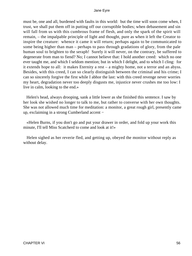must be, one and all, burdened with faults in this world: but the time will soon come when, I trust, we shall put them off in putting off our corruptible bodies; when debasement and sin will fall from us with this cumbrous frame of flesh, and only the spark of the spirit will remain, – the impalpable principle of light and thought, pure as when it left the Creator to inspire the creature: whence it came it will return; perhaps again to be communicated to some being higher than man – perhaps to pass through gradations of glory, from the pale human soul to brighten to the seraph! Surely it will never, on the contrary, be suffered to degenerate from man to fiend? No; I cannot believe that: I hold another creed: which no one ever taught me, and which I seldom mention; but in which I delight, and to which I cling: for it extends hope to all: it makes Eternity a rest – a mighty home, not a terror and an abyss. Besides, with this creed, I can so clearly distinguish between the criminal and his crime; I can so sincerely forgive the first while I abhor the last: with this creed revenge never worries my heart, degradation never too deeply disgusts me, injustice never crushes me too low: I live in calm, looking to the end.»

 Helen's head, always drooping, sank a little lower as she finished this sentence. I saw by her look she wished no longer to talk to me, but rather to converse with her own thoughts. She was not allowed much time for meditation: a monitor, a great rough girl, presently came up, exclaiming in a strong Cumberland accent −

 «Helen Burns, if you don't go and put your drawer in order, and fold up your work this minute, I'll tell Miss Scatcherd to come and look at it!»

 Helen sighed as her reverie fled, and getting up, obeyed the monitor without reply as without delay.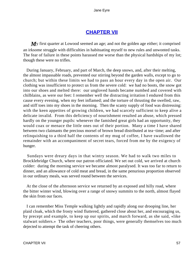# **[CHAPTER VII](#page-434-0)**

*My* first quarter at Lowood seemed an age; and not the golden age either; it comprised an irksome struggle with difficulties in habituating myself to new rules and unwonted tasks. The fear of failure in these points harassed me worse than the physical hardships of my lot; though these were no trifles.

 During January, February, and part of March, the deep snows, and, after their melting, the almost impassable roads, prevented our stirring beyond the garden walls, except to go to church; but within these limits we had to pass an hour every day in the open air. Our clothing was insufficient to protect us from the severe cold: we had no boots, the snow got into our shoes and melted there: our ungloved hands became numbed and covered with chilblains, as were our feet: I remember well the distracting irritation I endured from this cause every evening, when my feet inflamed; and the torture of thrusting the swelled, raw, and stiff toes into my shoes in the morning. Then the scanty supply of food was distressing: with the keen appetites of growing children, we had scarcely sufficient to keep alive a delicate invalid. From this deficiency of nourishment resulted an abuse, which pressed hardly on the younger pupils: whenever the famished great girls had an opportunity, they would coax or menace the little ones out of their portion. Many a time I have shared between two claimants the precious morsel of brown bread distributed at tea−time; and after relinquishing to a third half the contents of my mug of coffee, I have swallowed the remainder with an accompaniment of secret tears, forced from me by the exigency of hunger.

 Sundays were dreary days in that wintry season. We had to walk two miles to Brocklebridge Church, where our patron officiated. We set out cold, we arrived at church colder: during the morning service we became almost paralysed. It was too far to return to dinner, and an allowance of cold meat and bread, in the same penurious proportion observed in our ordinary meals, was served round between the services.

 At the close of the afternoon service we returned by an exposed and hilly road, where the bitter winter wind, blowing over a range of snowy summits to the north, almost flayed the skin from our faces.

 I can remember Miss Temple walking lightly and rapidly along our drooping line, her plaid cloak, which the frosty wind fluttered, gathered close about her, and encouraging us, by precept and example, to keep up our spirits, and march forward, as she said, «like stalwart soldiers.» The other teachers, poor things, were generally themselves too much dejected to attempt the task of cheering others.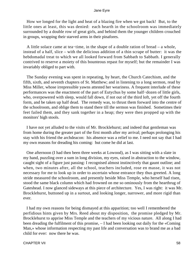How we longed for the light and heat of a blazing fire when we got back! But, to the little ones at least, this was denied: each hearth in the schoolroom was immediately surrounded by a double row of great girls, and behind them the younger children crouched in groups, wrapping their starved arms in their pinafores.

 A little solace came at tea−time, in the shape of a double ration of bread – a whole, instead of a half, slice – with the delicious addition of a thin scrape of butter: it was the hebdomadal treat to which we all looked forward from Sabbath to Sabbath. I generally contrived to reserve a moiety of this bounteous repast for myself; but the remainder I was invariably obliged to part with.

 The Sunday evening was spent in repeating, by heart, the Church Catechism, and the fifth, sixth, and seventh chapters of St. Matthew; and in listening to a long sermon, read by Miss Miller, whose irrepressible yawns attested her weariness. A frequent interlude of these performances was the enactment of the part of Eutychus by some half−dozen of little girls, who, overpowered with sleep, would fall down, if not out of the third loft, yet off the fourth form, and be taken up half dead. The remedy was, to thrust them forward into the centre of the schoolroom, and oblige them to stand there till the sermon was finished. Sometimes their feet failed them, and they sank together in a heap; they were then propped up with the monitors' high stools.

 I have not yet alluded to the visits of Mr. Brocklehurst; and indeed that gentleman was from home during the greater part of the first month after my arrival; perhaps prolonging his stay with his friend the archdeacon: his absence was a relief to me. I need not say that I had my own reasons for dreading his coming: but come he did at last.

 One afternoon (I had then been three weeks at Lowood), as I was sitting with a slate in my hand, puzzling over a sum in long division, my eyes, raised in abstraction to the window, caught sight of a figure just passing: I recognised almost instinctively that gaunt outline; and when, two minutes after, all the school, teachers included, rose en masse, it was not necessary for me to look up in order to ascertain whose entrance they thus greeted. A long stride measured the schoolroom, and presently beside Miss Temple, who herself had risen, stood the same black column which had frowned on me so ominously from the hearthrug of Gateshead. I now glanced sideways at this piece of architecture. Yes, I was right: it was Mr. Brocklehurst, buttoned up in a surtout, and looking longer, narrower, and more rigid than ever.

 I had my own reasons for being dismayed at this apparition; too well I remembered the perfidious hints given by Mrs. Reed about my disposition, the promise pledged by Mr. Brocklehurst to apprise Miss Temple and the teachers of my vicious nature. All along I had been dreading the fulfilment of this promise, – I had been looking out daily for the «Coming Man,» whose information respecting my past life and conversation was to brand me as a bad child for ever: now there he was.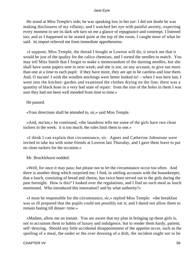He stood at Miss Temple's side; he was speaking low in her ear: I did not doubt he was making disclosures of my villainy; and I watched her eye with painful anxiety, expecting every moment to see its dark orb turn on me a glance of repugnance and contempt. I listened too; and as I happened to be seated quite at the top of the room, I caught most of what he said: its import relieved me from immediate apprehension.

 «I suppose, Miss Temple, the thread I bought at Lowton will do; it struck me that it would be just of the quality for the calico chemises, and I sorted the needles to match. You may tell Miss Smith that I forgot to make a memorandum of the darning needles, but she shall have some papers sent in next week; and she is not, on any account, to give out more than one at a time to each pupil: if they have more, they are apt to be careless and lose them. And, O ma'am! I wish the woollen stockings were better looked to! – when I was here last, I went into the kitchen−garden and examined the clothes drying on the line; there was a quantity of black hose in a very bad state of repair: from the size of the holes in them I was sure they had not been well mended from time to time.»

He paused.

«Your directions shall be attended to, sir,» said Miss Temple.

 «And, ma'am,» he continued, «the laundress tells me some of the girls have two clean tuckers in the week: it is too much; the rules limit them to one.»

 «I think I can explain that circumstance, sir. Agnes and Catherine Johnstone were invited to take tea with some friends at Lowton last Thursday, and I gave them leave to put on clean tuckers for the occasion.»

Mr. Brocklehurst nodded.

 «Well, for once it may pass; but please not to let the circumstance occur too often. And there is another thing which surprised me; I find, in settling accounts with the housekeeper, that a lunch, consisting of bread and cheese, has twice been served out to the girls during the past fortnight. How is this? I looked over the regulations, and I find no such meal as lunch mentioned. Who introduced this innovation? and by what authority?»

 «I must be responsible for the circumstance, sir,» replied Miss Temple: «the breakfast was so ill prepared that the pupils could not possibly eat it; and I dared not allow them to remain fasting till dinner−time.»

 «Madam, allow me an instant. You are aware that my plan in bringing up these girls is, not to accustom them to habits of luxury and indulgence, but to render them hardy, patient, self−denying. Should any little accidental disappointment of the appetite occur, such as the spoiling of a meal, the under or the over dressing of a dish, the incident ought not to be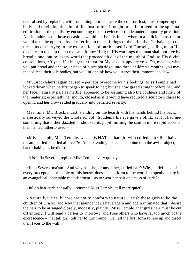neutralised by replacing with something more delicate the comfort lost, thus pampering the body and obviating the aim of this institution; it ought to be improved to the spiritual edification of the pupils, by encouraging them to evince fortitude under temporary privation. A brief address on those occasions would not be mistimed, wherein a judicious instructor would take the opportunity of referring to the sufferings of the primitive Christians; to the torments of martyrs; to the exhortations of our blessed Lord Himself, calling upon His disciples to take up their cross and follow Him; to His warnings that man shall not live by bread alone, but by every word that proceedeth out of the mouth of God; to His divine consolations, »If ye suffer hunger or thirst for My sake, happy are ye.« Oh, madam, when you put bread and cheese, instead of burnt porridge, into these children's mouths, you may indeed feed their vile bodies, but you little think how you starve their immortal souls!»

 Mr. Brocklehurst again paused – perhaps overcome by his feelings. Miss Temple had looked down when he first began to speak to her; but she now gazed straight before her, and her face, naturally pale as marble, appeared to be assuming also the coldness and fixity of that material; especially her mouth, closed as if it would have required a sculptor's chisel to open it, and her brow settled gradually into petrified severity.

 Meantime, Mr. Brocklehurst, standing on the hearth with his hands behind his back, majestically surveyed the whole school. Suddenly his eye gave a blink, as if it had met something that either dazzled or shocked its pupil; turning, he said in more rapid accents than he had hitherto used −

 «Miss Temple, Miss Temple, what – **WHAT** is that girl with curled hair? Red hair, ma'am, curled – curled all over?» And extending his cane he pointed to the awful object, his hand shaking as he did so.

«It is Julia Severn,» replied Miss Temple, very quietly.

 «Julia Severn, ma'am! And why has she, or any other, curled hair? Why, in defiance of every precept and principle of this house, does she conform to the world so openly – here in an evangelical, charitable establishment – as to wear her hair one mass of curls?»

«Julia's hair curls naturally,» returned Miss Temple, still more quietly.

 «Naturally! Yes, but we are not to conform to nature; I wish these girls to be the children of Grace: and why that abundance? I have again and again intimated that I desire the hair to be arranged closely, modestly, plainly. Miss Temple, that girl's hair must be cut off entirely; I will send a barber to−morrow: and I see others who have far too much of the excrescence – that tall girl, tell her to turn round. Tell all the first form to rise up and direct their faces to the wall.»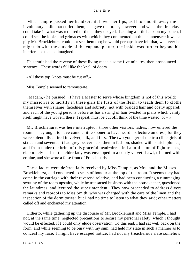Miss Temple passed her handkerchief over her lips, as if to smooth away the involuntary smile that curled them; she gave the order, however, and when the first class could take in what was required of them, they obeyed. Leaning a little back on my bench, I could see the looks and grimaces with which they commented on this manoeuvre: it was a pity Mr. Brocklehurst could not see them too; he would perhaps have felt that, whatever he might do with the outside of the cup and platter, the inside was further beyond his interference than he imagined.

 He scrutinised the reverse of these living medals some five minutes, then pronounced sentence. These words fell like the knell of doom −

«All those top−knots must be cut off.»

Miss Temple seemed to remonstrate.

 «Madam,» he pursued, «I have a Master to serve whose kingdom is not of this world: my mission is to mortify in these girls the lusts of the flesh; to teach them to clothe themselves with shame−facedness and sobriety, not with braided hair and costly apparel; and each of the young persons before us has a string of hair twisted in plaits which vanity itself might have woven; these, I repeat, must be cut off; think of the time wasted, of  $-\infty$ 

 Mr. Brocklehurst was here interrupted: three other visitors, ladies, now entered the room. They ought to have come a little sooner to have heard his lecture on dress, for they were splendidly attired in velvet, silk, and furs. The two younger of the trio (fine girls of sixteen and seventeen) had grey beaver hats, then in fashion, shaded with ostrich plumes, and from under the brim of this graceful head−dress fell a profusion of light tresses, elaborately curled; the elder lady was enveloped in a costly velvet shawl, trimmed with ermine, and she wore a false front of French curls.

 These ladies were deferentially received by Miss Temple, as Mrs. and the Misses Brocklehurst, and conducted to seats of honour at the top of the room. It seems they had come in the carriage with their reverend relative, and had been conducting a rummaging scrutiny of the room upstairs, while he transacted business with the housekeeper, questioned the laundress, and lectured the superintendent. They now proceeded to address divers remarks and reproofs to Miss Smith, who was charged with the care of the linen and the inspection of the dormitories: but I had no time to listen to what they said; other matters called off and enchanted my attention.

 Hitherto, while gathering up the discourse of Mr. Brocklehurst and Miss Temple, I had not, at the same time, neglected precautions to secure my personal safety; which I thought would be effected, if I could only elude observation. To this end, I had sat well back on the form, and while seeming to be busy with my sum, had held my slate in such a manner as to conceal my face: I might have escaped notice, had not my treacherous slate somehow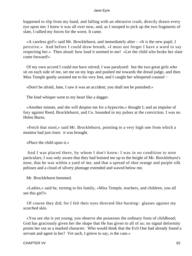happened to slip from my hand, and falling with an obtrusive crash, directly drawn every eye upon me; I knew it was all over now, and, as I stooped to pick up the two fragments of slate, I rallied my forces for the worst. It came.

 «A careless girl!» said Mr. Brocklehurst, and immediately after – «It is the new pupil, I perceive.» And before I could draw breath, «I must not forget I have a word to say respecting her.» Then aloud: how loud it seemed to me! «Let the child who broke her slate come forward!»

 Of my own accord I could not have stirred; I was paralysed: but the two great girls who sit on each side of me, set me on my legs and pushed me towards the dread judge, and then Miss Temple gently assisted me to his very feet, and I caught her whispered counsel –

«Don't be afraid, Jane, I saw it was an accident; you shall not be punished.»

The kind whisper went to my heart like a dagger.

 «Another minute, and she will despise me for a hypocrite,» thought I; and an impulse of fury against Reed, Brocklehurst, and Co. bounded in my pulses at the conviction. I was no Helen Burns.

 «Fetch that stool,» said Mr. Brocklehurst, pointing to a very high one from which a monitor had just risen: it was brought.

«Place the child upon it.»

 And I was placed there, by whom I don't know: I was in no condition to note particulars; I was only aware that they had hoisted me up to the height of Mr. Brocklehurst's nose, that he was within a yard of me, and that a spread of shot orange and purple silk pelisses and a cloud of silvery plumage extended and waved below me.

Mr. Brocklehurst hemmed.

 «Ladies,» said he, turning to his family, «Miss Temple, teachers, and children, you all see this girl?»

 Of course they did; for I felt their eyes directed like burning− glasses against my scorched skin.

 «You see she is yet young; you observe she possesses the ordinary form of childhood; God has graciously given her the shape that He has given to all of us; no signal deformity points her out as a marked character. Who would think that the Evil One had already found a servant and agent in her? Yet such, I grieve to say, is the case.»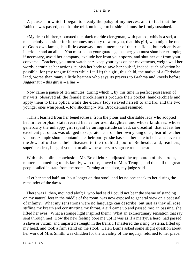A pause – in which I began to steady the palsy of my nerves, and to feel that the Rubicon was passed; and that the trial, no longer to be shirked, must be firmly sustained.

 «My dear children,» pursued the black marble clergyman, with pathos, «this is a sad, a melancholy occasion; for it becomes my duty to warn you, that this girl, who might be one of God's own lambs, is a little castaway: not a member of the true flock, but evidently an interloper and an alien. You must be on your guard against her; you must shun her example; if necessary, avoid her company, exclude her from your sports, and shut her out from your converse. Teachers, you must watch her: keep your eyes on her movements, weigh well her words, scrutinise her actions, punish her body to save her soul: if, indeed, such salvation be possible, for (my tongue falters while I tell it) this girl, this child, the native of a Christian land, worse than many a little heathen who says its prayers to Brahma and kneels before Juggernaut – this girl is – a liar!»

 Now came a pause of ten minutes, during which I, by this time in perfect possession of my wits, observed all the female Brocklehursts produce their pocket−handkerchiefs and apply them to their optics, while the elderly lady swayed herself to and fro, and the two younger ones whispered, «How shocking!» Mr. Brocklehurst resumed.

 «This I learned from her benefactress; from the pious and charitable lady who adopted her in her orphan state, reared her as her own daughter, and whose kindness, whose generosity the unhappy girl repaid by an ingratitude so bad, so dreadful, that at last her excellent patroness was obliged to separate her from her own young ones, fearful lest her vicious example should contaminate their purity: she has sent her here to be healed, even as the Jews of old sent their diseased to the troubled pool of Bethesda; and, teachers, superintendent, I beg of you not to allow the waters to stagnate round her.»

 With this sublime conclusion, Mr. Brocklehurst adjusted the top button of his surtout, muttered something to his family, who rose, bowed to Miss Temple, and then all the great people sailed in state from the room. Turning at the door, my judge said −

 «Let her stand half−an−hour longer on that stool, and let no one speak to her during the remainder of the day.»

 There was I, then, mounted aloft; I, who had said I could not bear the shame of standing on my natural feet in the middle of the room, was now exposed to general view on a pedestal of infamy. What my sensations were no language can describe; but just as they all rose, stifling my breath and constricting my throat, a girl came up and passed me: in passing, she lifted her eyes. What a strange light inspired them! What an extraordinary sensation that ray sent through me! How the new feeling bore me up! It was as if a martyr, a hero, had passed a slave or victim, and imparted strength in the transit. I mastered the rising hysteria, lifted up my head, and took a firm stand on the stool. Helen Burns asked some slight question about her work of Miss Smith, was chidden for the triviality of the inquiry, returned to her place,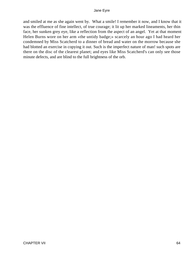and smiled at me as she again went by. What a smile! I remember it now, and I know that it was the effluence of fine intellect, of true courage; it lit up her marked lineaments, her thin face, her sunken grey eye, like a reflection from the aspect of an angel. Yet at that moment Helen Burns wore on her arm «the untidy badge;» scarcely an hour ago I had heard her condemned by Miss Scatcherd to a dinner of bread and water on the morrow because she had blotted an exercise in copying it out. Such is the imperfect nature of man! such spots are there on the disc of the clearest planet; and eyes like Miss Scatcherd's can only see those minute defects, and are blind to the full brightness of the orb.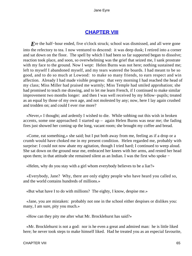## **[CHAPTER VIII](#page-434-0)**

*E*re the half–hour ended, five o'clock struck; school was dismissed, and all were gone into the refectory to tea. I now ventured to descend: it was deep dusk; I retired into a corner and sat down on the floor. The spell by which I had been so far supported began to dissolve; reaction took place, and soon, so overwhelming was the grief that seized me, I sank prostrate with my face to the ground. Now I wept: Helen Burns was not here; nothing sustained me; left to myself I abandoned myself, and my tears watered the boards. I had meant to be so good, and to do so much at Lowood: to make so many friends, to earn respect and win affection. Already I had made visible progress: that very morning I had reached the head of my class; Miss Miller had praised me warmly; Miss Temple had smiled approbation; she had promised to teach me drawing, and to let me learn French, if I continued to make similar improvement two months longer: and then I was well received by my fellow−pupils; treated as an equal by those of my own age, and not molested by any; now, here I lay again crushed and trodden on; and could I ever rise more?

 «Never,» I thought; and ardently I wished to die. While sobbing out this wish in broken accents, some one approached: I started up – again Helen Burns was near me; the fading fires just showed her coming up the long, vacant room; she brought my coffee and bread.

 «Come, eat something,» she said; but I put both away from me, feeling as if a drop or a crumb would have choked me in my present condition. Helen regarded me, probably with surprise: I could not now abate my agitation, though I tried hard; I continued to weep aloud. She sat down on the ground near me, embraced her knees with her arms, and rested her head upon them; in that attitude she remained silent as an Indian. I was the first who spoke −

«Helen, why do you stay with a girl whom everybody believes to be a liar?»

 «Everybody, Jane? Why, there are only eighty people who have heard you called so, and the world contains hundreds of millions.»

«But what have I to do with millions? The eighty, I know, despise me.»

 «Jane, you are mistaken: probably not one in the school either despises or dislikes you: many, I am sure, pity you much.»

«How can they pity me after what Mr. Brocklehurst has said?»

 «Mr. Brocklehurst is not a god: nor is he even a great and admired man: he is little liked here; he never took steps to make himself liked. Had he treated you as an especial favourite,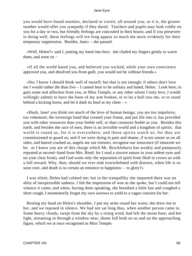you would have found enemies, declared or covert, all around you; as it is, the greater number would offer you sympathy if they dared. Teachers and pupils may look coldly on you for a day or two, but friendly feelings are concealed in their hearts; and if you persevere in doing well, these feelings will ere long appear so much the more evidently for their temporary suppression. Besides, Jane» – she paused.

 «Well, Helen?» said I, putting my hand into hers: she chafed my fingers gently to warm them, and went on −

 «If all the world hated you, and believed you wicked, while your own conscience approved you, and absolved you from guilt, you would not be without friends.»

 «No; I know I should think well of myself; but that is not enough: if others don't love me I would rather die than live – I cannot bear to be solitary and hated, Helen. Look here; to gain some real affection from you, or Miss Temple, or any other whom I truly love, I would willingly submit to have the bone of my arm broken, or to let a bull toss me, or to stand behind a kicking horse, and let it dash its hoof at my chest  $-\infty$ 

 «Hush, Jane! you think too much of the love of human beings; you are too impulsive, too vehement; the sovereign hand that created your frame, and put life into it, has provided you with other resources than your feeble self, or than creatures feeble as you. Besides this earth, and besides the race of men, there is an invisible world and a kingdom of spirits: that world is round us, for it is everywhere; and those spirits watch us, for they are commissioned to guard us; and if we were dying in pain and shame, if scorn smote us on all sides, and hatred crushed us, angels see our tortures, recognise our innocence (if innocent we be: as I know you are of this charge which Mr. Brocklehurst has weakly and pompously repeated at second−hand from Mrs. Reed; for I read a sincere nature in your ardent eyes and on your clear front), and God waits only the separation of spirit from flesh to crown us with a full reward. Why, then, should we ever sink overwhelmed with distress, when life is so soon over, and death is so certain an entrance to happiness – to glory?»

 I was silent; Helen had calmed me; but in the tranquillity she imparted there was an alloy of inexpressible sadness. I felt the impression of woe as she spoke, but I could not tell whence it came; and when, having done speaking, she breathed a little fast and coughed a short cough, I momentarily forgot my own sorrows to yield to a vague concern for her.

 Resting my head on Helen's shoulder, I put my arms round her waist; she drew me to her, and we reposed in silence. We had not sat long thus, when another person came in. Some heavy clouds, swept from the sky by a rising wind, had left the moon bare; and her light, streaming in through a window near, shone full both on us and on the approaching figure, which we at once recognised as Miss Temple.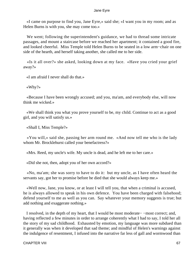«I came on purpose to find you, Jane Eyre,» said she; «I want you in my room; and as Helen Burns is with you, she may come too.»

 We went; following the superintendent's guidance, we had to thread some intricate passages, and mount a staircase before we reached her apartment; it contained a good fire, and looked cheerful. Miss Temple told Helen Burns to be seated in a low arm−chair on one side of the hearth, and herself taking another, she called me to her side.

 «Is it all over?» she asked, looking down at my face. «Have you cried your grief away?»

«I am afraid I never shall do that.»

«Why?»

 «Because I have been wrongly accused; and you, ma'am, and everybody else, will now think me wicked.»

 «We shall think you what you prove yourself to be, my child. Continue to act as a good girl, and you will satisfy us.»

«Shall I, Miss Temple?»

 «You will,» said she, passing her arm round me. «And now tell me who is the lady whom Mr. Brocklehurst called your benefactress?»

«Mrs. Reed, my uncle's wife. My uncle is dead, and he left me to her care.»

«Did she not, then, adopt you of her own accord?»

 «No, ma'am; she was sorry to have to do it: but my uncle, as I have often heard the servants say, got her to promise before he died that she would always keep me.»

 «Well now, Jane, you know, or at least I will tell you, that when a criminal is accused, he is always allowed to speak in his own defence. You have been charged with falsehood; defend yourself to me as well as you can. Say whatever your memory suggests is true; but add nothing and exaggerate nothing.»

 I resolved, in the depth of my heart, that I would be most moderate− −most correct; and, having reflected a few minutes in order to arrange coherently what I had to say, I told her all the story of my sad childhood. Exhausted by emotion, my language was more subdued than it generally was when it developed that sad theme; and mindful of Helen's warnings against the indulgence of resentment, I infused into the narrative far less of gall and wormwood than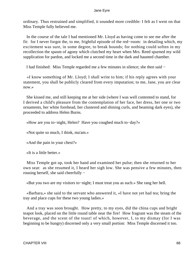ordinary. Thus restrained and simplified, it sounded more credible: I felt as I went on that Miss Temple fully believed me.

 In the course of the tale I had mentioned Mr. Lloyd as having come to see me after the fit: for I never forgot the, to me, frightful episode of the red−room: in detailing which, my excitement was sure, in some degree, to break bounds; for nothing could soften in my recollection the spasm of agony which clutched my heart when Mrs. Reed spurned my wild supplication for pardon, and locked me a second time in the dark and haunted chamber.

I had finished: Miss Temple regarded me a few minutes in silence; she then said −

 «I know something of Mr. Lloyd; I shall write to him; if his reply agrees with your statement, you shall be publicly cleared from every imputation; to me, Jane, you are clear now.»

 She kissed me, and still keeping me at her side (where I was well contented to stand, for I derived a child's pleasure from the contemplation of her face, her dress, her one or two ornaments, her white forehead, her clustered and shining curls, and beaming dark eyes), she proceeded to address Helen Burns.

«How are you to−night, Helen? Have you coughed much to−day?»

«Not quite so much, I think, ma'am.»

«And the pain in your chest?»

«It is a little better.»

 Miss Temple got up, took her hand and examined her pulse; then she returned to her own seat: as she resumed it, I heard her sigh low. She was pensive a few minutes, then rousing herself, she said cheerfully −

«But you two are my visitors to−night; I must treat you as such.» She rang her bell.

 «Barbara,» she said to the servant who answered it, «I have not yet had tea; bring the tray and place cups for these two young ladies.»

 And a tray was soon brought. How pretty, to my eyes, did the china cups and bright teapot look, placed on the little round table near the fire! How fragrant was the steam of the beverage, and the scent of the toast! of which, however, I, to my dismay (for I was beginning to be hungry) discerned only a very small portion: Miss Temple discerned it too.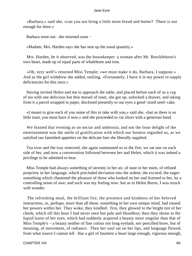«Barbara,» said she, «can you not bring a little more bread and butter? There is not enough for three.»

Barbara went out: she returned soon −

«Madam, Mrs. Harden says she has sent up the usual quantity.»

 Mrs. Harden, be it observed, was the housekeeper: a woman after Mr. Brocklehurst's own heart, made up of equal parts of whalebone and iron.

 «Oh, very well!» returned Miss Temple; «we must make it do, Barbara, I suppose.» And as the girl withdrew she added, smiling, «Fortunately, I have it in my power to supply deficiencies for this once.»

 Having invited Helen and me to approach the table, and placed before each of us a cup of tea with one delicious but thin morsel of toast, she got up, unlocked a drawer, and taking from it a parcel wrapped in paper, disclosed presently to our eyes a good−sized seed−cake.

 «I meant to give each of you some of this to take with you,» said she, «but as there is so little toast, you must have it now,» and she proceeded to cut slices with a generous hand.

 We feasted that evening as on nectar and ambrosia; and not the least delight of the entertainment was the smile of gratification with which our hostess regarded us, as we satisfied our famished appetites on the delicate fare she liberally supplied.

 Tea over and the tray removed, she again summoned us to the fire; we sat one on each side of her, and now a conversation followed between her and Helen, which it was indeed a privilege to be admitted to hear.

 Miss Temple had always something of serenity in her air, of state in her mien, of refined propriety in her language, which precluded deviation into the ardent, the excited, the eager: something which chastened the pleasure of those who looked on her and listened to her, by a controlling sense of awe; and such was my feeling now: but as to Helen Burns, I was struck with wonder.

 The refreshing meal, the brilliant fire, the presence and kindness of her beloved instructress, or, perhaps, more than all these, something in her own unique mind, had roused her powers within her. They woke, they kindled: first, they glowed in the bright tint of her cheek, which till this hour I had never seen but pale and bloodless; then they shone in the liquid lustre of her eyes, which had suddenly acquired a beauty more singular than that of Miss Temple's – a beauty neither of fine colour nor long eyelash, nor pencilled brow, but of meaning, of movement, of radiance. Then her soul sat on her lips, and language flowed, from what source I cannot tell. Has a girl of fourteen a heart large enough, vigorous enough,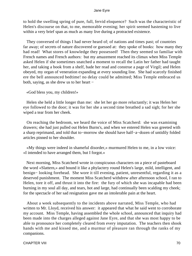to hold the swelling spring of pure, full, fervid eloquence? Such was the characteristic of Helen's discourse on that, to me, memorable evening; her spirit seemed hastening to live within a very brief span as much as many live during a protracted existence.

 They conversed of things I had never heard of; of nations and times past; of countries far away; of secrets of nature discovered or guessed at: they spoke of books: how many they had read! What stores of knowledge they possessed! Then they seemed so familiar with French names and French authors: but my amazement reached its climax when Miss Temple asked Helen if she sometimes snatched a moment to recall the Latin her father had taught her, and taking a book from a shelf, bade her read and construe a page of Virgil; and Helen obeyed, my organ of veneration expanding at every sounding line. She had scarcely finished ere the bell announced bedtime! no delay could be admitted; Miss Temple embraced us both, saying, as she drew us to her heart −

#### «God bless you, my children!»

 Helen she held a little longer than me: she let her go more reluctantly; it was Helen her eye followed to the door; it was for her she a second time breathed a sad sigh; for her she wiped a tear from her cheek.

 On reaching the bedroom, we heard the voice of Miss Scatcherd: she was examining drawers; she had just pulled out Helen Burns's, and when we entered Helen was greeted with a sharp reprimand, and told that to−morrow she should have half−a−dozen of untidily folded articles pinned to her shoulder.

 «My things were indeed in shameful disorder,» murmured Helen to me, in a low voice: «I intended to have arranged them, but I forgot.»

 Next morning, Miss Scatcherd wrote in conspicuous characters on a piece of pasteboard the word «Slattern,» and bound it like a phylactery round Helen's large, mild, intelligent, and benign− looking forehead. She wore it till evening, patient, unresentful, regarding it as a deserved punishment. The moment Miss Scatcherd withdrew after afternoon school, I ran to Helen, tore it off, and thrust it into the fire: the fury of which she was incapable had been burning in my soul all day, and tears, hot and large, had continually been scalding my cheek; for the spectacle of her sad resignation gave me an intolerable pain at the heart.

 About a week subsequently to the incidents above narrated, Miss Temple, who had written to Mr. Lloyd, received his answer: it appeared that what he said went to corroborate my account. Miss Temple, having assembled the whole school, announced that inquiry had been made into the charges alleged against Jane Eyre, and that she was most happy to be able to pronounce her completely cleared from every imputation. The teachers then shook hands with me and kissed me, and a murmur of pleasure ran through the ranks of my companions.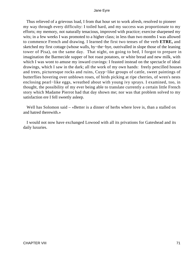Thus relieved of a grievous load, I from that hour set to work afresh, resolved to pioneer my way through every difficulty: I toiled hard, and my success was proportionate to my efforts; my memory, not naturally tenacious, improved with practice; exercise sharpened my wits; in a few weeks I was promoted to a higher class; in less than two months I was allowed to commence French and drawing. I learned the first two tenses of the verb **ETRE,** and sketched my first cottage (whose walls, by−the−bye, outrivalled in slope those of the leaning tower of Pisa), on the same day. That night, on going to bed, I forgot to prepare in imagination the Barmecide supper of hot roast potatoes, or white bread and new milk, with which I was wont to amuse my inward cravings: I feasted instead on the spectacle of ideal drawings, which I saw in the dark; all the work of my own hands: freely pencilled houses and trees, picturesque rocks and ruins, Cuyp−like groups of cattle, sweet paintings of butterflies hovering over unblown roses, of birds picking at ripe cherries, of wren's nests enclosing pearl−like eggs, wreathed about with young ivy sprays. I examined, too, in thought, the possibility of my ever being able to translate currently a certain little French story which Madame Pierrot had that day shown me; nor was that problem solved to my satisfaction ere I fell sweetly asleep.

Well has Solomon said – «Better is a dinner of herbs where love is, than a stalled ox and hatred therewith.»

 I would not now have exchanged Lowood with all its privations for Gateshead and its daily luxuries.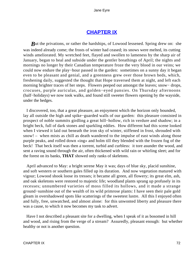## **[CHAPTER IX](#page-434-0)**

*But the privations, or rather the hardships, of Lowood lessened. Spring drew on: she* was indeed already come; the frosts of winter had ceased; its snows were melted, its cutting winds ameliorated. My wretched feet, flayed and swollen to lameness by the sharp air of January, began to heal and subside under the gentler breathings of April; the nights and mornings no longer by their Canadian temperature froze the very blood in our veins; we could now endure the play−hour passed in the garden: sometimes on a sunny day it began even to be pleasant and genial, and a greenness grew over those brown beds, which, freshening daily, suggested the thought that Hope traversed them at night, and left each morning brighter traces of her steps. Flowers peeped out amongst the leaves; snow− drops, crocuses, purple auriculas, and golden−eyed pansies. On Thursday afternoons (half−holidays) we now took walks, and found still sweeter flowers opening by the wayside, under the hedges.

 I discovered, too, that a great pleasure, an enjoyment which the horizon only bounded, lay all outside the high and spike−guarded walls of our garden: this pleasure consisted in prospect of noble summits girdling a great hill−hollow, rich in verdure and shadow; in a bright beck, full of dark stones and sparkling eddies. How different had this scene looked when I viewed it laid out beneath the iron sky of winter, stiffened in frost, shrouded with snow! – when mists as chill as death wandered to the impulse of east winds along those purple peaks, and rolled down «ing» and holm till they blended with the frozen fog of the beck! That beck itself was then a torrent, turbid and curbless: it tore asunder the wood, and sent a raving sound through the air, often thickened with wild rain or whirling sleet; and for the forest on its banks, **THAT** showed only ranks of skeletons.

 April advanced to May: a bright serene May it was; days of blue sky, placid sunshine, and soft western or southern gales filled up its duration. And now vegetation matured with vigour; Lowood shook loose its tresses; it became all green, all flowery; its great elm, ash, and oak skeletons were restored to majestic life; woodland plants sprang up profusely in its recesses; unnumbered varieties of moss filled its hollows, and it made a strange ground−sunshine out of the wealth of its wild primrose plants: I have seen their pale gold gleam in overshadowed spots like scatterings of the sweetest lustre. All this I enjoyed often and fully, free, unwatched, and almost alone: for this unwonted liberty and pleasure there was a cause, to which it now becomes my task to advert.

 Have I not described a pleasant site for a dwelling, when I speak of it as bosomed in hill and wood, and rising from the verge of a stream? Assuredly, pleasant enough: but whether healthy or not is another question.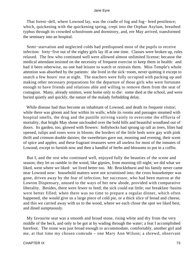That forest−dell, where Lowood lay, was the cradle of fog and fog− bred pestilence; which, quickening with the quickening spring, crept into the Orphan Asylum, breathed typhus through its crowded schoolroom and dormitory, and, ere May arrived, transformed the seminary into an hospital.

 Semi−starvation and neglected colds had predisposed most of the pupils to receive infection: forty−five out of the eighty girls lay ill at one time. Classes were broken up, rules relaxed. The few who continued well were allowed almost unlimited license; because the medical attendant insisted on the necessity of frequent exercise to keep them in health: and had it been otherwise, no one had leisure to watch or restrain them. Miss Temple's whole attention was absorbed by the patients: she lived in the sick−room, never quitting it except to snatch a few hours' rest at night. The teachers were fully occupied with packing up and making other necessary preparations for the departure of those girls who were fortunate enough to have friends and relations able and willing to remove them from the seat of contagion. Many, already smitten, went home only to die: some died at the school, and were buried quietly and quickly, the nature of the malady forbidding delay.

 While disease had thus become an inhabitant of Lowood, and death its frequent visitor; while there was gloom and fear within its walls; while its rooms and passages steamed with hospital smells, the drug and the pastille striving vainly to overcome the effluvia of mortality, that bright May shone unclouded over the bold hills and beautiful woodland out of doors. Its garden, too, glowed with flowers: hollyhocks had sprung up tall as trees, lilies had opened, tulips and roses were in bloom; the borders of the little beds were gay with pink thrift and crimson double daisies; the sweetbriars gave out, morning and evening, their scent of spice and apples; and these fragrant treasures were all useless for most of the inmates of Lowood, except to furnish now and then a handful of herbs and blossoms to put in a coffin.

 But I, and the rest who continued well, enjoyed fully the beauties of the scene and season; they let us ramble in the wood, like gipsies, from morning till night; we did what we liked, went where we liked: we lived better too. Mr. Brocklehurst and his family never came near Lowood now: household matters were not scrutinised into; the cross housekeeper was gone, driven away by the fear of infection; her successor, who had been matron at the Lowton Dispensary, unused to the ways of her new abode, provided with comparative liberality. Besides, there were fewer to feed; the sick could eat little; our breakfast−basins were better filled; when there was no time to prepare a regular dinner, which often happened, she would give us a large piece of cold pie, or a thick slice of bread and cheese, and this we carried away with us to the wood, where we each chose the spot we liked best, and dined sumptuously.

 My favourite seat was a smooth and broad stone, rising white and dry from the very middle of the beck, and only to be got at by wading through the water; a feat I accomplished barefoot. The stone was just broad enough to accommodate, comfortably, another girl and me, at that time my chosen comrade – one Mary Ann Wilson; a shrewd, observant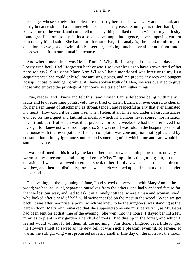personage, whose society I took pleasure in, partly because she was witty and original, and partly because she had a manner which set me at my ease. Some years older than I, she knew more of the world, and could tell me many things I liked to hear: with her my curiosity found gratification: to my faults also she gave ample indulgence, never imposing curb or rein on anything I said. She had a turn for narrative, I for analysis; she liked to inform, I to question; so we got on swimmingly together, deriving much entertainment, if not much improvement, from our mutual intercourse.

 And where, meantime, was Helen Burns? Why did I not spend these sweet days of liberty with her? Had I forgotten her? or was I so worthless as to have grown tired of her pare society? Surely the Mary Arm Wilson I have mentioned was inferior to my first acquaintance: she could only tell me amusing stories, and reciprocate any racy and pungent gossip I chose to indulge in; while, if I have spoken truth of Helen, she was qualified to give those who enjoyed the privilege of her converse a taste of far higher things.

 True, reader; and I knew and felt this: and though I am a defective being, with many faults and few redeeming points, yet I never tired of Helen Burns; nor ever ceased to cherish for her a sentiment of attachment, as strong, tender, and respectful as any that ever animated my heart. How could it be otherwise, when Helen, at all times and under all circumstances, evinced for me a quiet and faithful friendship, which ill−humour never soured, nor irritation never troubled? But Helen was ill at present: for some weeks she had been removed from my sight to I knew not what room upstairs. She was not, I was told, in the hospital portion of the house with the fever patients; for her complaint was consumption, not typhus: and by consumption I, in my ignorance, understood something mild, which time and care would be sure to alleviate.

 I was confirmed in this idea by the fact of her once or twice coming downstairs on very warm sunny afternoons, and being taken by Miss Temple into the garden; but, on these occasions, I was not allowed to go and speak to her; I only saw her from the schoolroom window, and then not distinctly; for she was much wrapped up, and sat at a distance under the verandah.

 One evening, in the beginning of June, I had stayed out very late with Mary Ann in the wood; we had, as usual, separated ourselves from the others, and had wandered far; so far that we lost our way, and had to ask it at a lonely cottage, where a man and woman lived, who looked after a herd of half−wild swine that fed on the mast in the wood. When we got back, it was after moonrise: a pony, which we knew to be the surgeon's, was standing at the garden door. Mary Ann remarked that she supposed some one must be very ill, as Mr. Bates had been sent for at that time of the evening. She went into the house; I stayed behind a few minutes to plant in my garden a handful of roots I had dug up in the forest, and which I feared would wither if I left them till the morning. This done, I lingered yet a little longer: the flowers smelt so sweet as the dew fell; it was such a pleasant evening, so serene, so warm; the still glowing west promised so fairly another fine day on the morrow; the moon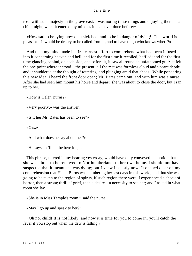rose with such majesty in the grave east. I was noting these things and enjoying them as a child might, when it entered my mind as it had never done before:−

 «How sad to be lying now on a sick bed, and to be in danger of dying! This world is pleasant – it would be dreary to be called from it, and to have to go who knows where?»

 And then my mind made its first earnest effort to comprehend what had been infused into it concerning heaven and hell; and for the first time it recoiled, baffled; and for the first time glancing behind, on each side, and before it, it saw all round an unfathomed gulf: it felt the one point where it stood – the present; all the rest was formless cloud and vacant depth; and it shuddered at the thought of tottering, and plunging amid that chaos. While pondering this new idea, I heard the front door open; Mr. Bates came out, and with him was a nurse. After she had seen him mount his horse and depart, she was about to close the door, but I ran up to her.

«How is Helen Burns?»

«Very poorly,» was the answer.

«Is it her Mr. Bates has been to see?»

«Yes.»

«And what does he say about her?»

«He says she'll not be here long.»

 This phrase, uttered in my hearing yesterday, would have only conveyed the notion that she was about to be removed to Northumberland, to her own home. I should not have suspected that it meant she was dying; but I knew instantly now! It opened clear on my comprehension that Helen Burns was numbering her last days in this world, and that she was going to be taken to the region of spirits, if such region there were. I experienced a shock of horror, then a strong thrill of grief, then a desire – a necessity to see her; and I asked in what room she lay.

«She is in Miss Temple's room,» said the nurse.

«May I go up and speak to her?»

 «Oh no, child! It is not likely; and now it is time for you to come in; you'll catch the fever if you stop out when the dew is falling.»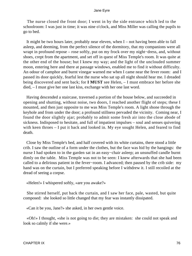The nurse closed the front door; I went in by the side entrance which led to the schoolroom: I was just in time; it was nine o'clock, and Miss Miller was calling the pupils to go to bed.

 It might be two hours later, probably near eleven, when I – not having been able to fall asleep, and deeming, from the perfect silence of the dormitory, that my companions were all wrapt in profound repose – rose softly, put on my frock over my night−dress, and, without shoes, crept from the apartment, and set off in quest of Miss Temple's room. It was quite at the other end of the house; but I knew my way; and the light of the unclouded summer moon, entering here and there at passage windows, enabled me to find it without difficulty. An odour of camphor and burnt vinegar warned me when I came near the fever room: and I passed its door quickly, fearful lest the nurse who sat up all night should hear me. I dreaded being discovered and sent back; for **I MUST** see Helen, – I must embrace her before she died, – I must give her one last kiss, exchange with her one last word.

 Having descended a staircase, traversed a portion of the house below, and succeeded in opening and shutting, without noise, two doors, I reached another flight of steps; these I mounted, and then just opposite to me was Miss Temple's room. A light shone through the keyhole and from under the door; a profound stillness pervaded the vicinity. Coming near, I found the door slightly ajar; probably to admit some fresh air into the close abode of sickness. Indisposed to hesitate, and full of impatient impulses – soul and senses quivering with keen throes – I put it back and looked in. My eye sought Helen, and feared to find death.

 Close by Miss Temple's bed, and half covered with its white curtains, there stood a little crib. I saw the outline of a form under the clothes, but the face was hid by the hangings: the nurse I had spoken to in the garden sat in an easy−chair asleep; an unsnuffed candle burnt dimly on the table. Miss Temple was not to be seen: I knew afterwards that she had been called to a delirious patient in the fever−room. I advanced; then paused by the crib side: my hand was on the curtain, but I preferred speaking before I withdrew it. I still recoiled at the dread of seeing a corpse.

«Helen!» I whispered softly, «are you awake?»

 She stirred herself, put back the curtain, and I saw her face, pale, wasted, but quite composed: she looked so little changed that my fear was instantly dissipated.

«Can it be you, Jane?» she asked, in her own gentle voice.

 «Oh!» I thought, «she is not going to die; they are mistaken: she could not speak and look so calmly if she were.»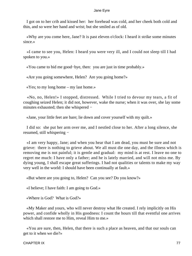I got on to her crib and kissed her: her forehead was cold, and her cheek both cold and thin, and so were her hand and wrist; but she smiled as of old.

 «Why are you come here, Jane? It is past eleven o'clock: I heard it strike some minutes since.»

 «I came to see you, Helen: I heard you were very ill, and I could not sleep till I had spoken to you.»

«You came to bid me good−bye, then: you are just in time probably.»

«Are you going somewhere, Helen? Are you going home?»

«Yes; to my long home – my last home.»

 «No, no, Helen!» I stopped, distressed. While I tried to devour my tears, a fit of coughing seized Helen; it did not, however, wake the nurse; when it was over, she lay some minutes exhausted; then she whispered −

«Jane, your little feet are bare; lie down and cover yourself with my quilt.»

 I did so: she put her arm over me, and I nestled close to her. After a long silence, she resumed, still whispering −

 «I am very happy, Jane; and when you hear that I am dead, you must be sure and not grieve: there is nothing to grieve about. We all must die one day, and the illness which is removing me is not painful; it is gentle and gradual: my mind is at rest. I leave no one to regret me much: I have only a father; and he is lately married, and will not miss me. By dying young, I shall escape great sufferings. I had not qualities or talents to make my way very well in the world: I should have been continually at fault.»

«But where are you going to, Helen? Can you see? Do you know?»

«I believe; I have faith: I am going to God.»

«Where is God? What is God?»

 «My Maker and yours, who will never destroy what He created. I rely implicitly on His power, and confide wholly in His goodness: I count the hours till that eventful one arrives which shall restore me to Him, reveal Him to me.»

 «You are sure, then, Helen, that there is such a place as heaven, and that our souls can get to it when we die?»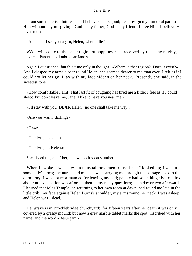«I am sure there is a future state; I believe God is good; I can resign my immortal part to Him without any misgiving. God is my father; God is my friend: I love Him; I believe He loves me.»

«And shall I see you again, Helen, when I die?»

 «You will come to the same region of happiness: be received by the same mighty, universal Parent, no doubt, dear Jane.»

 Again I questioned, but this time only in thought. «Where is that region? Does it exist?» And I clasped my arms closer round Helen; she seemed dearer to me than ever; I felt as if I could not let her go; I lay with my face hidden on her neck. Presently she said, in the sweetest tone –

 «How comfortable I am! That last fit of coughing has tired me a little; I feel as if I could sleep: but don't leave me, Jane; I like to have you near me.»

«I'll stay with you, **DEAR** Helen: no one shall take me way.»

«Are you warm, darling?»

«Yes.»

«Good−night, Jane.»

«Good−night, Helen.»

She kissed me, and I her, and we both soon slumbered.

 When I awoke it was day: an unusual movement roused me; I looked up; I was in somebody's arms; the nurse held me; she was carrying me through the passage back to the dormitory. I was not reprimanded for leaving my bed; people had something else to think about; no explanation was afforded then to my many questions; but a day or two afterwards I learned that Miss Temple, on returning to her own room at dawn, had found me laid in the little crib; my face against Helen Burns's shoulder, my arms round her neck. I was asleep, and Helen was – dead.

 Her grave is in Brocklebridge churchyard: for fifteen years after her death it was only covered by a grassy mound; but now a grey marble tablet marks the spot, inscribed with her name, and the word «Resurgam.»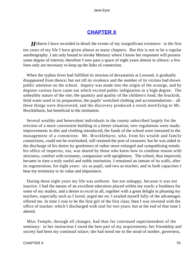# **[CHAPTER X](#page-434-0)**

*H*itherto I have recorded in detail the events of my insignificant existence: to the first ten years of my life I have given almost as many chapters. But this is not to be a regular autobiography. I am only bound to invoke Memory where I know her responses will possess some degree of interest; therefore I now pass a space of eight years almost in silence: a few lines only are necessary to keep up the links of connection.

 When the typhus fever had fulfilled its mission of devastation at Lowood, it gradually disappeared from thence; but not till its virulence and the number of its victims had drawn public attention on the school. Inquiry was made into the origin of the scourge, and by degrees various facts came out which excited public indignation in a high degree. The unhealthy nature of the site; the quantity and quality of the children's food; the brackish, fetid water used in its preparation; the pupils' wretched clothing and accommodations – all these things were discovered, and the discovery produced a result mortifying to Mr. Brocklehurst, but beneficial to the institution.

 Several wealthy and benevolent individuals in the county subscribed largely for the erection of a more convenient building in a better situation; new regulations were made; improvements in diet and clothing introduced; the funds of the school were intrusted to the management of a committee. Mr. Brocklehurst, who, from his wealth and family connections, could not be overlooked, still retained the post of treasurer; but he was aided in the discharge of his duties by gentlemen of rather more enlarged and sympathising minds: his office of inspector, too, was shared by those who knew how to combine reason with strictness, comfort with economy, compassion with uprightness. The school, thus improved, became in time a truly useful and noble institution. I remained an inmate of its walls, after its regeneration, for eight years: six as pupil, and two as teacher; and in both capacities I bear my testimony to its value and importance.

 During these eight years my life was uniform: but not unhappy, because it was not inactive. I had the means of an excellent education placed within my reach; a fondness for some of my studies, and a desire to excel in all, together with a great delight in pleasing my teachers, especially such as I loved, urged me on: I availed myself fully of the advantages offered me. In time I rose to be the first girl of the first class; then I was invested with the office of teacher; which I discharged with zeal for two years: but at the end of that time I altered.

 Miss Temple, through all changes, had thus far continued superintendent of the seminary: to her instruction I owed the best part of my acquirements; her friendship and society had been my continual solace; she had stood me in the stead of mother, governess,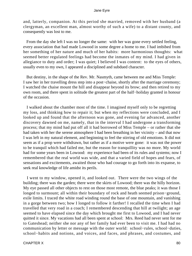and, latterly, companion. At this period she married, removed with her husband (a clergyman, an excellent man, almost worthy of such a wife) to a distant county, and consequently was lost to me.

 From the day she left I was no longer the same: with her was gone every settled feeling, every association that had made Lowood in some degree a home to me. I had imbibed from her something of her nature and much of her habits: more harmonious thoughts: what seemed better regulated feelings had become the inmates of my mind. I had given in allegiance to duty and order; I was quiet; I believed I was content: to the eyes of others, usually even to my own, I appeared a disciplined and subdued character.

 But destiny, in the shape of the Rev. Mr. Nasmyth, came between me and Miss Temple: I saw her in her travelling dress step into a post−chaise, shortly after the marriage ceremony; I watched the chaise mount the hill and disappear beyond its brow; and then retired to my own room, and there spent in solitude the greatest part of the half−holiday granted in honour of the occasion.

 I walked about the chamber most of the time. I imagined myself only to be regretting my loss, and thinking how to repair it; but when my reflections were concluded, and I looked up and found that the afternoon was gone, and evening far advanced, another discovery dawned on me, namely, that in the interval I had undergone a transforming process; that my mind had put off all it had borrowed of Miss Temple – or rather that she had taken with her the serene atmosphere I had been breathing in her vicinity – and that now I was left in my natural element, and beginning to feel the stirring of old emotions. It did not seem as if a prop were withdrawn, but rather as if a motive were gone: it was not the power to be tranquil which had failed me, but the reason for tranquillity was no more. My world had for some years been in Lowood: my experience had been of its rules and systems; now I remembered that the real world was wide, and that a varied field of hopes and fears, of sensations and excitements, awaited those who had courage to go forth into its expanse, to seek real knowledge of life amidst its perils.

 I went to my window, opened it, and looked out. There were the two wings of the building; there was the garden; there were the skirts of Lowood; there was the hilly horizon. My eye passed all other objects to rest on those most remote, the blue peaks; it was those I longed to surmount; all within their boundary of rock and heath seemed prison−ground, exile limits. I traced the white road winding round the base of one mountain, and vanishing in a gorge between two; how I longed to follow it farther! I recalled the time when I had travelled that very road in a coach; I remembered descending that hill at twilight; an age seemed to have elapsed since the day which brought me first to Lowood, and I had never quitted it since. My vacations had all been spent at school: Mrs. Reed had never sent for me to Gateshead; neither she nor any of her family had ever been to visit me. I had had no communication by letter or message with the outer world: school−rules, school−duties, school−habits and notions, and voices, and faces, and phrases, and costumes, and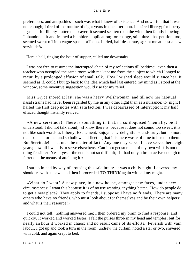preferences, and antipathies – such was what I knew of existence. And now I felt that it was not enough; I tired of the routine of eight years in one afternoon. I desired liberty; for liberty I gasped; for liberty I uttered a prayer; it seemed scattered on the wind then faintly blowing. I abandoned it and framed a humbler supplication; for change, stimulus: that petition, too, seemed swept off into vague space: «Then,» I cried, half desperate, «grant me at least a new servitude!»

Here a bell, ringing the hour of supper, called me downstairs.

 I was not free to resume the interrupted chain of my reflections till bedtime: even then a teacher who occupied the same room with me kept me from the subject to which I longed to recur, by a prolonged effusion of small talk. How I wished sleep would silence her. It seemed as if, could I but go back to the idea which had last entered my mind as I stood at the window, some inventive suggestion would rise for my relief.

 Miss Gryce snored at last; she was a heavy Welshwoman, and till now her habitual nasal strains had never been regarded by me in any other light than as a nuisance; to−night I hailed the first deep notes with satisfaction; I was debarrassed of interruption; my half− effaced thought instantly revived.

 «A new servitude! There is something in that,» I soliloquised (mentally, be it understood; I did not talk aloud), «I know there is, because it does not sound too sweet; it is not like such words as Liberty, Excitement, Enjoyment: delightful sounds truly; but no more than sounds for me; and so hollow and fleeting that it is mere waste of time to listen to them. But Servitude! That must be matter of fact. Any one may serve: I have served here eight years; now all I want is to serve elsewhere. Can I not get so much of my own will? Is not the thing feasible? Yes – yes – the end is not so difficult; if I had only a brain active enough to ferret out the means of attaining it.»

 I sat up in bed by way of arousing this said brain: it was a chilly night; I covered my shoulders with a shawl, and then I proceeded **TO THINK** again with all my might.

 «What do I want? A new place, in a new house, amongst new faces, under new circumstances: I want this because it is of no use wanting anything better. How do people do to get a new place? They apply to friends, I suppose: I have no friends. There are many others who have no friends, who must look about for themselves and be their own helpers; and what is their resource?»

 I could not tell: nothing answered me; I then ordered my brain to find a response, and quickly. It worked and worked faster: I felt the pulses throb in my head and temples; but for nearly an hour it worked in chaos; and no result came of its efforts. Feverish with vain labour, I got up and took a turn in the room; undrew the curtain, noted a star or two, shivered with cold, and again crept to bed.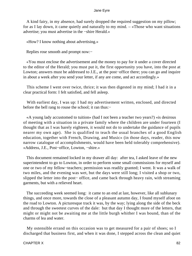A kind fairy, in my absence, had surely dropped the required suggestion on my pillow; for as I lay down, it came quietly and naturally to my mind.  $-\alpha$  Those who want situations advertise; you must advertise in the −shire Herald.»

«How? I know nothing about advertising.»

Replies rose smooth and prompt now:−

 «You must enclose the advertisement and the money to pay for it under a cover directed to the editor of the Herald; you must put it, the first opportunity you have, into the post at Lowton; answers must be addressed to J.E., at the post−office there; you can go and inquire in about a week after you send your letter, if any are come, and act accordingly.»

 This scheme I went over twice, thrice; it was then digested in my mind; I had it in a clear practical form: I felt satisfied, and fell asleep.

With earliest day, I was up: I had my advertisement written, enclosed, and directed before the bell rang to rouse the school; it ran thus:−

 «A young lady accustomed to tuition» (had I not been a teacher two years?) «is desirous of meeting with a situation in a private family where the children are under fourteen (I thought that as I was barely eighteen, it would not do to undertake the guidance of pupils nearer my own age). She is qualified to teach the usual branches of a good English education, together with French, Drawing, and Music» (in those days, reader, this now narrow catalogue of accomplishments, would have been held tolerably comprehensive). «Address, J.E., Post−office, Lowton, −shire.»

 This document remained locked in my drawer all day: after tea, I asked leave of the new superintendent to go to Lowton, in order to perform some small commissions for myself and one or two of my fellow−teachers; permission was readily granted; I went. It was a walk of two miles, and the evening was wet, but the days were still long; I visited a shop or two, slipped the letter into the post− office, and came back through heavy rain, with streaming garments, but with a relieved heart.

 The succeeding week seemed long: it came to an end at last, however, like all sublunary things, and once more, towards the close of a pleasant autumn day, I found myself afoot on the road to Lowton. A picturesque track it was, by the way; lying along the side of the beck and through the sweetest curves of the dale: but that day I thought more of the letters, that might or might not be awaiting me at the little burgh whither I was bound, than of the charms of lea and water.

 My ostensible errand on this occasion was to get measured for a pair of shoes; so I discharged that business first, and when it was done, I stepped across the clean and quiet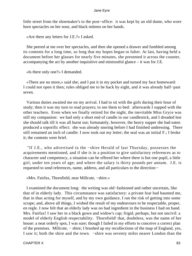little street from the shoemaker's to the post−office: it was kept by an old dame, who wore horn spectacles on her nose, and black mittens on her hands.

«Are there any letters for J.E.?» I asked.

 She peered at me over her spectacles, and then she opened a drawer and fumbled among its contents for a long time, so long that my hopes began to falter. At last, having held a document before her glasses for nearly five minutes, she presented it across the counter, accompanying the act by another inquisitive and mistrustful glance – it was for J.E.

«Is there only one?» I demanded.

 «There are no more,» said she; and I put it in my pocket and turned my face homeward: I could not open it then; rules obliged me to be back by eight, and it was already half−past seven.

 Various duties awaited me on my arrival. I had to sit with the girls during their hour of study; then it was my turn to read prayers; to see them to bed: afterwards I supped with the other teachers. Even when we finally retired for the night, the inevitable Miss Gryce was still my companion: we had only a short end of candle in our candlestick, and I dreaded lest she should talk till it was all burnt out; fortunately, however, the heavy supper she had eaten produced a soporific effect: she was already snoring before I had finished undressing. There still remained an inch of candle: I now took out my letter; the seal was an initial F.; I broke it; the contents were brief.

 "If J.E., who advertised in the −shire Herald of last Thursday, possesses the acquirements mentioned, and if she is in a position to give satisfactory references as to character and competency, a situation can be offered her where there is but one pupil, a little girl, under ten years of age; and where the salary is thirty pounds per annum. J.E. is requested to send references, name, address, and all particulars to the direction:−

«Mrs. Fairfax, Thornfield, near Millcote, −shire.»

 I examined the document long: the writing was old−fashioned and rather uncertain, like that of in elderly lady. This circumstance was satisfactory: a private fear had haunted me, that in thus acting for myself, and by my own guidance, I ran the risk of getting into some scrape; and, above all things, I wished the result of my endeavours to be respectable, proper, en regle. I now felt that an elderly lady was no bad ingredient in the business I had on hand. Mrs. Fairfax! I saw her in a black gown and widow's cap; frigid, perhaps, but not uncivil: a model of elderly English respectability. Thornfield! that, doubtless, was the name of her house: a neat orderly spot, I was sure; though I failed in my efforts to conceive a correct plan of the premises. Millcote, − shire; I brushed up my recollections of the map of England, yes, I saw it; both the shire and the town. −shire was seventy miles nearer London than the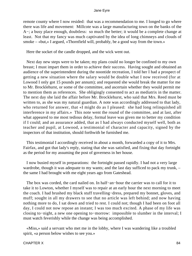remote county where I now resided: that was a recommendation to me. I longed to go where there was life and movement: Millcote was a large manufacturing town on the banks of the A−; a busy place enough, doubtless: so much the better; it would be a complete change at least. Not that my fancy was much captivated by the idea of long chimneys and clouds of smoke – «but,» I argued, «Thornfield will, probably, be a good way from the town.»

Here the socket of the candle dropped, and the wick went out.

 Next day new steps were to be taken; my plans could no longer be confined to my own breast; I must impart them in order to achieve their success. Having sought and obtained an audience of the superintendent during the noontide recreation, I told her I had a prospect of getting a new situation where the salary would be double what I now received (for at Lowood I only got 15 pounds per annum); and requested she would break the matter for me to Mr. Brocklehurst, or some of the committee, and ascertain whether they would permit me to mention them as references. She obligingly consented to act as mediatrix in the matter. The next day she laid the affair before Mr. Brocklehurst, who said that Mrs. Reed must be written to, as she was my natural guardian. A note was accordingly addressed to that lady, who returned for answer, that «I might do as I pleased: she had long relinquished all interference in my affairs.» This note went the round of the committee, and at last, after what appeared to me most tedious delay, formal leave was given me to better my condition if I could; and an assurance added, that as I had always conducted myself well, both as teacher and pupil, at Lowood, a testimonial of character and capacity, signed by the inspectors of that institution, should forthwith be furnished me.

 This testimonial I accordingly received in about a month, forwarded a copy of it to Mrs. Fairfax, and got that lady's reply, stating that she was satisfied, and fixing that day fortnight as the period for my assuming the post of governess in her house.

 I now busied myself in preparations: the fortnight passed rapidly. I had not a very large wardrobe, though it was adequate to my wants; and the last day sufficed to pack my trunk, – the same I had brought with me eight years ago from Gateshead.

The box was corded, the card nailed on. In half–an–hour the carrier was to call for it to take it to Lowton, whether I myself was to repair at an early hour the next morning to meet the coach. I had brushed my black stuff travelling−dress, prepared my bonnet, gloves, and muff; sought in all my drawers to see that no article was left behind; and now having nothing more to do, I sat down and tried to rest. I could not; though I had been on foot all day, I could not now repose an instant; I was too much excited. A phase of my life was closing to−night, a new one opening to−morrow: impossible to slumber in the interval; I must watch feverishly while the change was being accomplished.

 «Miss,» said a servant who met me in the lobby, where I was wandering like a troubled spirit, «a person below wishes to see you.»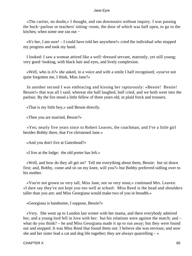«The carrier, no doubt,» I thought, and ran downstairs without inquiry. I was passing the back−parlour or teachers' sitting−room, the door of which was half open, to go to the kitchen, when some one ran out −

 «It's her, I am sure! – I could have told her anywhere!» cried the individual who stopped my progress and took my hand.

 I looked: I saw a woman attired like a well−dressed servant, matronly, yet still young; very good−looking, with black hair and eyes, and lively complexion.

 «Well, who is it?» she asked, in a voice and with a smile I half recognised; «you've not quite forgotten me, I think, Miss Jane?»

 In another second I was embracing and kissing her rapturously: «Bessie! Bessie! Bessie!» that was all I said; whereat she half laughed, half cried, and we both went into the parlour. By the fire stood a little fellow of three years old, in plaid frock and trousers.

«That is my little boy,» said Bessie directly.

«Then you are married, Bessie?»

 «Yes; nearly five years since to Robert Leaven, the coachman; and I've a little girl besides Bobby there, that I've christened Jane.»

«And you don't live at Gateshead?»

«I live at the lodge: the old porter has left.»

 «Well, and how do they all get on? Tell me everything about them, Bessie: but sit down first; and, Bobby, come and sit on my knee, will you?» but Bobby preferred sidling over to his mother.

 «You're not grown so very tall, Miss Jane, nor so very stout,» continued Mrs. Leaven. «I dare say they've not kept you too well at school: Miss Reed is the head and shoulders taller than you are; and Miss Georgiana would make two of you in breadth.»

«Georgiana is handsome, I suppose, Bessie?»

 «Very. She went up to London last winter with her mama, and there everybody admired her, and a young lord fell in love with her: but his relations were against the match; and – what do you think? – he and Miss Georgiana made it up to run away; but they were found out and stopped. It was Miss Reed that found them out: I believe she was envious; and now she and her sister lead a cat and dog life together; they are always quarrelling – »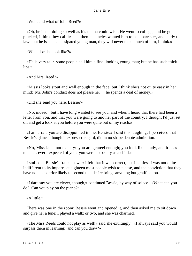«Well, and what of John Reed?»

 «Oh, he is not doing so well as his mama could wish. He went to college, and he got – plucked, I think they call it: and then his uncles wanted him to be a barrister, and study the law: but he is such a dissipated young man, they will never make much of him, I think.»

«What does he look like?»

 «He is very tall: some people call him a fine−looking young man; but he has such thick lips.»

«And Mrs. Reed?»

 «Missis looks stout and well enough in the face, but I think she's not quite easy in her mind: Mr. John's conduct does not please her– −he spends a deal of money.»

«Did she send you here, Bessie?»

 «No, indeed: but I have long wanted to see you, and when I heard that there had been a letter from you, and that you were going to another part of the country, I thought I'd just set of, and get a look at you before you were quite out of my reach.»

 «I am afraid you are disappointed in me, Bessie.» I said this laughing: I perceived that Bessie's glance, though it expressed regard, did in no shape denote admiration.

 «No, Miss Jane, not exactly: you are genteel enough; you look like a lady, and it is as much as ever I expected of you: you were no beauty as a child.»

 I smiled at Bessie's frank answer: I felt that it was correct, but I confess I was not quite indifferent to its import: at eighteen most people wish to please, and the conviction that they have not an exterior likely to second that desire brings anything but gratification.

 «I dare say you are clever, though,» continued Bessie, by way of solace. «What can you do? Can you play on the piano?»

«A little.»

 There was one in the room; Bessie went and opened it, and then asked me to sit down and give her a tune: I played a waltz or two, and she was charmed.

 «The Miss Reeds could not play as well!» said she exultingly. «I always said you would surpass them in learning: and can you draw?»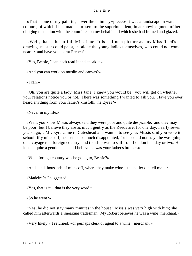«That is one of my paintings over the chimney−piece.» It was a landscape in water colours, of which I had made a present to the superintendent, in acknowledgment of her obliging mediation with the committee on my behalf, and which she had framed and glazed.

 «Well, that is beautiful, Miss Jane! It is as fine a picture as any Miss Reed's drawing−master could paint, let alone the young ladies themselves, who could not come near it: and have you learnt French?»

«Yes, Bessie, I can both read it and speak it.»

«And you can work on muslin and canvas?»

«I can.»

 «Oh, you are quite a lady, Miss Jane! I knew you would be: you will get on whether your relations notice you or not. There was something I wanted to ask you. Have you ever heard anything from your father's kinsfolk, the Eyres?»

«Never in my life.»

 «Well, you know Missis always said they were poor and quite despicable: and they may be poor; but I believe they are as much gentry as the Reeds are; for one day, nearly seven years ago, a Mr. Eyre came to Gateshead and wanted to see you; Missis said you were it school fifty miles off; he seemed so much disappointed, for he could not stay: he was going on a voyage to a foreign country, and the ship was to sail from London in a day or two. He looked quite a gentleman, and I believe he was your father's brother.»

«What foreign country was he going to, Bessie?»

«An island thousands of miles off, where they make wine – the butler did tell me –  $\ast$ 

«Madeira?» I suggested.

 $\langle$  Yes, that is it – that is the very word.»

«So he went?»

 «Yes; he did not stay many minutes in the house: Missis was very high with him; she called him afterwards a 'sneaking tradesman.' My Robert believes he was a wine−merchant.»

«Very likely,» I returned; «or perhaps clerk or agent to a wine− merchant.»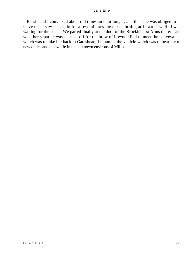Bessie and I conversed about old times an hour longer, and then she was obliged to leave me: I saw her again for a few minutes the next morning at Lowton, while I was waiting for the coach. We parted finally at the door of the Brocklehurst Arms there: each went her separate way; she set off for the brow of Lowood Fell to meet the conveyance which was to take her back to Gateshead, I mounted the vehicle which was to bear me to new duties and a new life in the unknown environs of Millcote.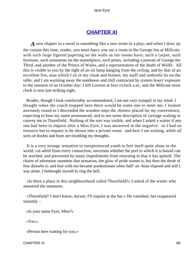## **[CHAPTER XI](#page-434-0)**

*A* new chapter in a novel is something like a new scene in a play; and when I draw up the curtain this time, reader, you must fancy you see a room in the George Inn at Millcote, with such large figured papering on the walls as inn rooms have; such a carpet, such furniture, such ornaments on the mantelpiece, such prints, including a portrait of George the Third, and another of the Prince of Wales, and a representation of the death of Wolfe. All this is visible to you by the light of an oil lamp hanging from the ceiling, and by that of an excellent fire, near which I sit in my cloak and bonnet; my muff and umbrella lie on the table, and I am warming away the numbness and chill contracted by sixteen hours' exposure to the rawness of an October day: I left Lowton at four o'clock a.m., and the Millcote town clock is now just striking eight.

 Reader, though I look comfortably accommodated, I am not very tranquil in my mind. I thought when the coach stopped here there would be some one to meet me; I looked anxiously round as I descended the wooden steps the «boots» placed for my convenience, expecting to hear my name pronounced, and to see some description of carriage waiting to convey me to Thornfield. Nothing of the sort was visible; and when I asked a waiter if any one had been to inquire after a Miss Eyre, I was answered in the negative: so I had no resource but to request to be shown into a private room: and here I am waiting, while all sorts of doubts and fears are troubling my thoughts.

 It is a very strange sensation to inexperienced youth to feel itself quite alone in the world, cut adrift from every connection, uncertain whether the port to which it is bound can be reached, and prevented by many impediments from returning to that it has quitted. The charm of adventure sweetens that sensation, the glow of pride warms it; but then the throb of fear disturbs it; and fear with me became predominant when half−an−hour elapsed and still I was alone. I bethought myself to ring the bell.

 «Is there a place in this neighbourhood called Thornfield?» I asked of the waiter who answered the summons.

 «Thornfield? I don't know, ma'am; I'll inquire at the bar.» He vanished, but reappeared instantly −

«Is your name Eyre, Miss?»

«Yes.»

«Person here waiting for you.»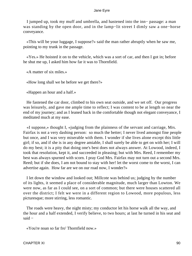I jumped up, took my muff and umbrella, and hastened into the inn− passage: a man was standing by the open door, and in the lamp−lit street I dimly saw a one−horse conveyance.

 «This will be your luggage, I suppose?» said the man rather abruptly when he saw me, pointing to my trunk in the passage.

 «Yes.» He hoisted it on to the vehicle, which was a sort of car, and then I got in; before he shut me up, I asked him how far it was to Thornfield.

«A matter of six miles.»

«How long shall we be before we get there?»

«Happen an hour and a half.»

 He fastened the car door, climbed to his own seat outside, and we set off. Our progress was leisurely, and gave me ample time to reflect; I was content to be at length so near the end of my journey; and as I leaned back in the comfortable though not elegant conveyance, I meditated much at my ease.

 «I suppose,» thought I, «judging from the plainness of the servant and carriage, Mrs. Fairfax is not a very dashing person: so much the better; I never lived amongst fine people but once, and I was very miserable with them. I wonder if she lives alone except this little girl; if so, and if she is in any degree amiable, I shall surely be able to get on with her; I will do my best; it is a pity that doing one's best does not always answer. At Lowood, indeed, I took that resolution, kept it, and succeeded in pleasing; but with Mrs. Reed, I remember my best was always spurned with scorn. I pray God Mrs. Fairfax may not turn out a second Mrs. Reed; but if she does, I am not bound to stay with her! let the worst come to the worst, I can advertise again. How far are we on our road now, I wonder?»

 I let down the window and looked out; Millcote was behind us; judging by the number of its lights, it seemed a place of considerable magnitude, much larger than Lowton. We were now, as far as I could see, on a sort of common; but there were houses scattered all over the district; I felt we were in a different region to Lowood, more populous, less picturesque; more stirring, less romantic.

 The roads were heavy, the night misty; my conductor let his horse walk all the way, and the hour and a half extended, I verify believe, to two hours; at last he turned in his seat and said −

«You're noan so far fro' Thornfield now.»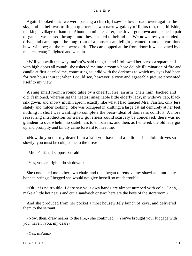Again I looked out: we were passing a church; I saw its low broad tower against the sky, and its bell was tolling a quarter; I saw a narrow galaxy of lights too, on a hillside, marking a village or hamlet. About ten minutes after, the driver got down and opened a pair of gates: we passed through, and they clashed to behind us. We now slowly ascended a drive, and came upon the long front of a house: candlelight gleamed from one curtained bow−window; all the rest were dark. The car stopped at the front door; it was opened by a maid−servant; I alighted and went in.

 «Will you walk this way, ma'am?» said the girl; and I followed her across a square hall with high doors all round: she ushered me into a room whose double illumination of fire and candle at first dazzled me, contrasting as it did with the darkness to which my eyes had been for two hours inured; when I could see, however, a cosy and agreeable picture presented itself to my view.

 A snug small room; a round table by a cheerful fire; an arm−chair high−backed and old−fashioned, wherein sat the neatest imaginable little elderly lady, in widow's cap, black silk gown, and snowy muslin apron; exactly like what I had fancied Mrs. Fairfax, only less stately and milder looking. She was occupied in knitting; a large cat sat demurely at her feet; nothing in short was wanting to complete the beau−ideal of domestic comfort. A more reassuring introduction for a new governess could scarcely be conceived; there was no grandeur to overwhelm, no stateliness to embarrass; and then, as I entered, the old lady got up and promptly and kindly came forward to meet me.

 «How do you do, my dear? I am afraid you have had a tedious ride; John drives so slowly; you must be cold, come to the fire.»

«Mrs. Fairfax, I suppose?» said I.

«Yes, you are right: do sit down.»

 She conducted me to her own chair, and then began to remove my shawl and untie my bonnet−strings; I begged she would not give herself so much trouble.

 «Oh, it is no trouble; I dare say your own hands are almost numbed with cold. Leah, make a little hot negus and cut a sandwich or two: here are the keys of the storeroom.»

 And she produced from her pocket a most housewifely bunch of keys, and delivered them to the servant.

 «Now, then, draw nearer to the fire,» she continued. «You've brought your luggage with you, haven't you, my dear?»

«Yes, ma'am.»

CHAPTER XI 91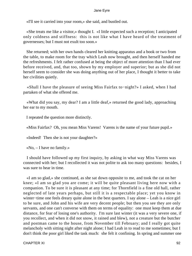«I'll see it carried into your room,» she said, and bustled out.

 «She treats me like a visitor,» thought I. «I little expected such a reception; I anticipated only coldness and stiffness: this is not like what I have heard of the treatment of governesses; but I must not exult too soon.»

 She returned; with her own hands cleared her knitting apparatus and a book or two from the table, to make room for the tray which Leah now brought, and then herself handed me the refreshments. I felt rather confused at being the object of more attention than I had ever before received, and, that too, shown by my employer and superior; but as she did not herself seem to consider she was doing anything out of her place, I thought it better to take her civilities quietly.

 «Shall I have the pleasure of seeing Miss Fairfax to−night?» I asked, when I had partaken of what she offered me.

 «What did you say, my dear? I am a little deaf,» returned the good lady, approaching her ear to my mouth.

I repeated the question more distinctly.

«Miss Fairfax? Oh, you mean Miss Varens! Varens is the name of your future pupil.»

«Indeed! Then she is not your daughter?»

 $\triangleleft$ No,  $-$  I have no family.»

 I should have followed up my first inquiry, by asking in what way Miss Varens was connected with her; but I recollected it was not polite to ask too many questions: besides, I was sure to hear in time.

 «I am so glad,» she continued, as she sat down opposite to me, and took the cat on her knee; «I am so glad you are come; it will be quite pleasant living here now with a companion. To be sure it is pleasant at any time; for Thornfield is a fine old hall, rather neglected of late years perhaps, but still it is a respectable place; yet you know in winter−time one feels dreary quite alone in the best quarters. I say alone – Leah is a nice girl to be sure, and John and his wife are very decent people; but then you see they are only servants, and one can't converse with them on terms of equality: one must keep them at due distance, for fear of losing one's authority. I'm sure last winter (it was a very severe one, if you recollect, and when it did not snow, it rained and blew), not a creature but the butcher and postman came to the house, from November till February; and I really got quite melancholy with sitting night after night alone; I had Leah in to read to me sometimes; but I don't think the poor girl liked the task much: she felt it confining. In spring and summer one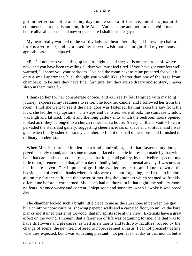got on better: sunshine and long days make such a difference; and then, just at the commencement of this autumn, little Adela Varens came and her nurse: a child makes a house alive all at once; and now you are here I shall be quite gay.»

 My heart really warmed to the worthy lady as I heard her talk; and I drew my chair a little nearer to her, and expressed my sincere wish that she might find my company as agreeable as she anticipated.

 «But I'll not keep you sitting up late to−night,» said she; «it is on the stroke of twelve now, and you have been travelling all day: you must feel tired. If you have got your feet well warmed, I'll show you your bedroom. I've had the room next to mine prepared for you; it is only a small apartment, but I thought you would like it better than one of the large front chambers: to be sure they have finer furniture, but they are so dreary and solitary, I never sleep in them myself.»

 I thanked her for her considerate choice, and as I really felt fatigued with my long journey, expressed my readiness to retire. She took her candle, and I followed her from the room. First she went to see if the hall−door was fastened; having taken the key from the lock, she led the way upstairs. The steps and banisters were of oak; the staircase window was high and latticed; both it and the long gallery into which the bedroom doors opened looked as if they belonged to a church rather than a house. A very chill and vault− like air pervaded the stairs and gallery, suggesting cheerless ideas of space and solitude; and I was glad, when finally ushered into my chamber, to find it of small dimensions, and furnished in ordinary, modern style.

 When Mrs. Fairfax had bidden me a kind good−night, and I had fastened my door, gazed leisurely round, and in some measure effaced the eerie impression made by that wide hall, that dark and spacious staircase, and that long, cold gallery, by the livelier aspect of my little room, I remembered that, after a day of bodily fatigue and mental anxiety, I was now at last in safe haven. The impulse of gratitude swelled my heart, and I knelt down at the bedside, and offered up thanks where thanks were due; not forgetting, ere I rose, to implore aid on my further path, and the power of meriting the kindness which seemed so frankly offered me before it was earned. My couch had no thorns in it that night; my solitary room no fears. At once weary and content, I slept soon and soundly: when I awoke it was broad day.

 The chamber looked such a bright little place to me as the sun shone in between the gay blue chintz window curtains, showing papered walls and a carpeted floor, so unlike the bare planks and stained plaster of Lowood, that my spirits rose at the view. Externals have a great effect on the young: I thought that a fairer era of life was beginning for me, one that was to have its flowers and pleasures, as well as its thorns and toils. My faculties, roused by the change of scene, the new field offered to hope, seemed all astir. I cannot precisely define what they expected, but it was something pleasant: not perhaps that day or that month, but at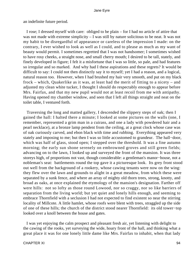an indefinite future period.

 I rose; I dressed myself with care: obliged to be plain – for I had no article of attire that was not made with extreme simplicity – I was still by nature solicitous to be neat. It was not my habit to be disregardful of appearance or careless of the impression I made: on the contrary, I ever wished to look as well as I could, and to please as much as my want of beauty would permit. I sometimes regretted that I was not handsomer; I sometimes wished to have rosy cheeks, a straight nose, and small cherry mouth; I desired to be tall, stately, and finely developed in figure; I felt it a misfortune that I was so little, so pale, and had features so irregular and so marked. And why had I these aspirations and these regrets? It would be difficult to say: I could not then distinctly say it to myself; yet I had a reason, and a logical, natural reason too. However, when I had brushed my hair very smooth, and put on my black frock – which, Quakerlike as it was, at least had the merit of fitting to a nicety – and adjusted my clean white tucker, I thought I should do respectably enough to appear before Mrs. Fairfax, and that my new pupil would not at least recoil from me with antipathy. Having opened my chamber window, and seen that I left all things straight and neat on the toilet table, I ventured forth.

 Traversing the long and matted gallery, I descended the slippery steps of oak; then I gained the hall: I halted there a minute; I looked at some pictures on the walls (one, I remember, represented a grim man in a cuirass, and one a lady with powdered hair and a pearl necklace), at a bronze lamp pendent from the ceiling, at a great clock whose case was of oak curiously carved, and ebon black with time and rubbing. Everything appeared very stately and imposing to me; but then I was so little accustomed to grandeur. The hall−door, which was half of glass, stood open; I stepped over the threshold. It was a fine autumn morning; the early sun shone serenely on embrowned groves and still green fields; advancing on to the lawn, I looked up and surveyed the front of the mansion. It was three storeys high, of proportions not vast, though considerable: a gentleman's manor−house, not a nobleman's seat: battlements round the top gave it a picturesque look. Its grey front stood out well from the background of a rookery, whose cawing tenants were now on the wing: they flew over the lawn and grounds to alight in a great meadow, from which these were separated by a sunk fence, and where an array of mighty old thorn trees, strong, knotty, and broad as oaks, at once explained the etymology of the mansion's designation. Farther off were hills: not so lofty as those round Lowood, nor so craggy, nor so like barriers of separation from the living world; but yet quiet and lonely hills enough, and seeming to embrace Thornfield with a seclusion I had not expected to find existent so near the stirring locality of Millcote. A little hamlet, whose roofs were blent with trees, straggled up the side of one of these hills; the church of the district stood nearer Thornfield: its old tower−top looked over a knoll between the house and gates.

 I was yet enjoying the calm prospect and pleasant fresh air, yet listening with delight to the cawing of the rooks, yet surveying the wide, hoary front of the hall, and thinking what a great place it was for one lonely little dame like Mrs. Fairfax to inhabit, when that lady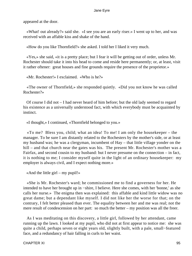appeared at the door.

 «What! out already?» said she. «I see you are an early riser.» I went up to her, and was received with an affable kiss and shake of the hand.

«How do you like Thornfield?» she asked. I told her I liked it very much.

 «Yes,» she said, «it is a pretty place; but I fear it will be getting out of order, unless Mr. Rochester should take it into his head to come and reside here permanently; or, at least, visit it rather oftener: great houses and fine grounds require the presence of the proprietor.»

«Mr. Rochester!» I exclaimed. «Who is he?»

 «The owner of Thornfield,» she responded quietly. «Did you not know he was called Rochester?»

 Of course I did not – I had never heard of him before; but the old lady seemed to regard his existence as a universally understood fact, with which everybody must be acquainted by instinct.

«I thought,» I continued, «Thornfield belonged to you.»

 «To me? Bless you, child; what an idea! To me! I am only the housekeeper – the manager. To be sure I am distantly related to the Rochesters by the mother's side, or at least my husband was; he was a clergyman, incumbent of Hay – that little village yonder on the hill – and that church near the gates was his. The present Mr. Rochester's mother was a Fairfax, and second cousin to my husband: but I never presume on the connection – in fact, it is nothing to me; I consider myself quite in the light of an ordinary housekeeper: my employer is always civil, and I expect nothing more.»

«And the little girl – my pupil!»

 «She is Mr. Rochester's ward; he commissioned me to find a governess for her. He intended to have her brought up in −shire, I believe. Here she comes, with her 'bonne,' as she calls her nurse.» The enigma then was explained: this affable and kind little widow was no great dame; but a dependant like myself. I did not like her the worse for that; on the contrary, I felt better pleased than ever. The equality between her and me was real; not the mere result of condescension on her part: so much the better – my position was all the freer.

 As I was meditating on this discovery, a little girl, followed by her attendant, came running up the lawn. I looked at my pupil, who did not at first appear to notice me: she was quite a child, perhaps seven or eight years old, slightly built, with a pale, small−featured face, and a redundancy of hair falling in curls to her waist.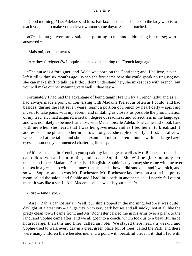«Good morning, Miss Adela,» said Mrs. Fairfax. «Come and speak to the lady who is to teach you, and to make you a clever woman some day.» She approached.

 «C'est le ma gouverante!» said she, pointing to me, and addressing her nurse; who answered −

«Mais oui, certainement.»

«Are they foreigners?» I inquired, amazed at hearing the French language.

 «The nurse is a foreigner, and Adela was born on the Continent; and, I believe, never left it till within six months ago. When she first came here she could speak no English; now she can make shift to talk it a little: I don't understand her, she mixes it so with French; but you will make out her meaning very well, I dare say.»

 Fortunately I had had the advantage of being taught French by a French lady; and as I had always made a point of conversing with Madame Pierrot as often as I could, and had besides, during the last seven years, learnt a portion of French by heart daily – applying myself to take pains with my accent, and imitating as closely as possible the pronunciation of my teacher, I had acquired a certain degree of readiness and correctness in the language, and was not likely to be much at a loss with Mademoiselle Adela. She came and shook hand with me when she heard that I was her governess; and as I led her in to breakfast, I addressed some phrases to her in her own tongue: she replied briefly at first, but after we were seated at the table, and she had examined me some ten minutes with her large hazel eyes, she suddenly commenced chattering fluently.

 «Ah!» cried she, in French, «you speak my language as well as Mr. Rochester does: I can talk to you as I can to him, and so can Sophie. She will be glad: nobody here understands her: Madame Fairfax is all English. Sophie is my nurse; she came with me over the sea in a great ship with a chimney that smoked – how it did smoke! – and I was sick, and so was Sophie, and so was Mr. Rochester. Mr. Rochester lay down on a sofa in a pretty room called the salon, and Sophie and I had little beds in another place. I nearly fell out of mine; it was like a shelf. And Mademoiselle – what is your name?»

«Eyre – Jane Eyre.»

 «Aire? Bah! I cannot say it. Well, our ship stopped in the morning, before it was quite daylight, at a great city – a huge city, with very dark houses and all smoky; not at all like the pretty clean town I came from; and Mr. Rochester carried me in his arms over a plank to the land, and Sophie came after, and we all got into a coach, which took us to a beautiful large house, larger than this and finer, called an hotel. We stayed there nearly a week: I and Sophie used to walk every day in a great green place full of trees, called the Park; and there were many children there besides me, and a pond with beautiful birds in it, that I fed with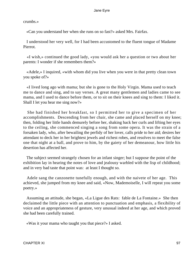crumbs.»

«Can you understand her when she runs on so fast?» asked Mrs. Fairfax.

 I understood her very well, for I had been accustomed to the fluent tongue of Madame Pierrot.

 «I wish,» continued the good lady, «you would ask her a question or two about her parents: I wonder if she remembers them?»

 «Adele,» I inquired, «with whom did you live when you were in that pretty clean town you spoke of?»

 «I lived long ago with mama; but she is gone to the Holy Virgin. Mama used to teach me to dance and sing, and to say verses. A great many gentlemen and ladies came to see mama, and I used to dance before them, or to sit on their knees and sing to them: I liked it. Shall I let you hear me sing now?»

 She had finished her breakfast, so I permitted her to give a specimen of her accomplishments. Descending from her chair, she came and placed herself on my knee; then, folding her little hands demurely before her, shaking back her curls and lifting her eyes to the ceiling, she commenced singing a song from some opera. It was the strain of a forsaken lady, who, after bewailing the perfidy of her lover, calls pride to her aid; desires her attendant to deck her in her brightest jewels and richest robes, and resolves to meet the false one that night at a ball, and prove to him, by the gaiety of her demeanour, how little his desertion has affected her.

 The subject seemed strangely chosen for an infant singer; but I suppose the point of the exhibition lay in hearing the notes of love and jealousy warbled with the lisp of childhood; and in very bad taste that point was: at least I thought so.

 Adele sang the canzonette tunefully enough, and with the naivete of her age. This achieved, she jumped from my knee and said, «Now, Mademoiselle, I will repeat you some poetry.»

 Assuming an attitude, she began, «La Ligue des Rats: fable de La Fontaine.» She then declaimed the little piece with an attention to punctuation and emphasis, a flexibility of voice and an appropriateness of gesture, very unusual indeed at her age, and which proved she had been carefully trained.

«Was it your mama who taught you that piece?» I asked.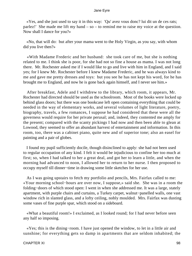«Yes, and she just used to say it in this way: 'Qu' avez vous donc? lui dit un de ces rats; parlez!' She made me lift my hand – so – to remind me to raise my voice at the question. Now shall I dance for you?»

 «No, that will do: but after your mama went to the Holy Virgin, as you say, with whom did you live then?»

 «With Madame Frederic and her husband: she took care of me, but she is nothing related to me. I think she is poor, for she had not so fine a house as mama. I was not long there. Mr. Rochester asked me if I would like to go and live with him in England, and I said yes; for I knew Mr. Rochester before I knew Madame Frederic, and he was always kind to me and gave me pretty dresses and toys: but you see he has not kept his word, for he has brought me to England, and now he is gone back again himself, and I never see him.»

 After breakfast, Adele and I withdrew to the library, which room, it appears, Mr. Rochester had directed should be used as the schoolroom. Most of the books were locked up behind glass doors; but there was one bookcase left open containing everything that could be needed in the way of elementary works, and several volumes of light literature, poetry, biography, travels, a few romances, I suppose he had considered that these were all the governess would require for her private perusal; and, indeed, they contented me amply for the present; compared with the scanty pickings I had now and then been able to glean at Lowood, they seemed to offer an abundant harvest of entertainment and information. In this room, too, there was a cabinet piano, quite new and of superior tone; also an easel for painting and a pair of globes.

 I found my pupil sufficiently docile, though disinclined to apply: she had not been used to regular occupation of any kind. I felt it would be injudicious to confine her too much at first; so, when I had talked to her a great deal, and got her to learn a little, and when the morning had advanced to noon, I allowed her to return to her nurse. I then proposed to occupy myself till dinner−time in drawing some little sketches for her use.

 As I was going upstairs to fetch my portfolio and pencils, Mrs. Fairfax called to me: «Your morning school−hours are over now, I suppose,» said she. She was in a room the folding−doors of which stood open: I went in when she addressed me. It was a large, stately apartment, with purple chairs and curtains, a Turkey carpet, walnut−panelled walls, one vast window rich in slanted glass, and a lofty ceiling, nobly moulded. Mrs. Fairfax was dusting some vases of fine purple spar, which stood on a sideboard.

 «What a beautiful room!» I exclaimed, as I looked round; for I had never before seen any half so imposing.

 «Yes; this is the dining−room. I have just opened the window, to let in a little air and sunshine; for everything gets so damp in apartments that are seldom inhabited; the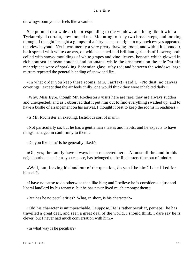drawing−room yonder feels like a vault.»

 She pointed to a wide arch corresponding to the window, and hung like it with a Tyrian−dyed curtain, now looped up. Mounting to it by two broad steps, and looking through, I thought I caught a glimpse of a fairy place, so bright to my novice−eyes appeared the view beyond. Yet it was merely a very pretty drawing−room, and within it a boudoir, both spread with white carpets, on which seemed laid brilliant garlands of flowers; both ceiled with snowy mouldings of white grapes and vine−leaves, beneath which glowed in rich contrast crimson couches and ottomans; while the ornaments on the pale Pariain mantelpiece were of sparkling Bohemian glass, ruby red; and between the windows large mirrors repeated the general blending of snow and fire.

 «In what order you keep these rooms, Mrs. Fairfax!» said I. «No dust, no canvas coverings: except that the air feels chilly, one would think they were inhabited daily.»

 «Why, Miss Eyre, though Mr. Rochester's visits here are rare, they are always sudden and unexpected; and as I observed that it put him out to find everything swathed up, and to have a bustle of arrangement on his arrival, I thought it best to keep the rooms in readiness.»

«Is Mr. Rochester an exacting, fastidious sort of man?»

 «Not particularly so; but he has a gentleman's tastes and habits, and he expects to have things managed in conformity to them.»

«Do you like him? Is he generally liked?»

 «Oh, yes; the family have always been respected here. Almost all the land in this neighbourhood, as far as you can see, has belonged to the Rochesters time out of mind.»

 «Well, but, leaving his land out of the question, do you like him? Is he liked for himself?»

 «I have no cause to do otherwise than like him; and I believe he is considered a just and liberal landlord by his tenants: but he has never lived much amongst them.»

«But has he no peculiarities? What, in short, is his character?»

 «Oh! his character is unimpeachable, I suppose. He is rather peculiar, perhaps: he has travelled a great deal, and seen a great deal of the world, I should think. I dare say he is clever, but I never had much conversation with him.»

«In what way is he peculiar?»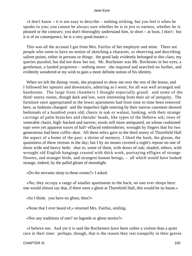«I don't know – it is not easy to describe – nothing striking, but you feel it when he speaks to you; you cannot be always sure whether he is in jest or earnest, whether he is pleased or the contrary; you don't thoroughly understand him, in short – at least, I don't: but it is of no consequence, he is a very good master.»

 This was all the account I got from Mrs. Fairfax of her employer and mine. There are people who seem to have no notion of sketching a character, or observing and describing salient points, either in persons or things: the good lady evidently belonged to this class; my queries puzzled, but did not draw her out. Mr. Rochester was Mr. Rochester in her eyes; a gentleman, a landed proprietor – nothing more: she inquired and searched no further, and evidently wondered at my wish to gain a more definite notion of his identity.

 When we left the dining−room, she proposed to show me over the rest of the house; and I followed her upstairs and downstairs, admiring as I went; for all was well arranged and handsome. The large front chambers I thought especially grand: and some of the third−storey rooms, though dark and low, were interesting from their air of antiquity. The furniture once appropriated to the lower apartments had from time to time been removed here, as fashions changed: and the imperfect light entering by their narrow casement showed bedsteads of a hundred years old; chests in oak or walnut, looking, with their strange carvings of palm branches and cherubs' heads, like types of the Hebrew ark; rows of venerable chairs, high−backed and narrow; stools still more antiquated, on whose cushioned tops were yet apparent traces of half−effaced embroideries, wrought by fingers that for two generations had been coffin−dust. All these relics gave to the third storey of Thornfield Hall the aspect of a home of the past: a shrine of memory. I liked the hush, the gloom, the quaintness of these retreats in the day; but I by no means coveted a night's repose on one of those wide and heavy beds: shut in, some of them, with doors of oak; shaded, others, with wrought old English hangings crusted with thick work, portraying effigies of strange flowers, and stranger birds, and strangest human beings, – all which would have looked strange, indeed, by the pallid gleam of moonlight.

«Do the servants sleep in these rooms?» I asked.

 «No; they occupy a range of smaller apartments to the back; no one ever sleeps here: one would almost say that, if there were a ghost at Thornfield Hall, this would be its haunt.»

«So I think: you have no ghost, then?»

«None that I ever heard of,» returned Mrs. Fairfax, smiling.

«Nor any traditions of one? no legends or ghost stories?»

 «I believe not. And yet it is said the Rochesters have been rather a violent than a quiet race in their time: perhaps, though, that is the reason they rest tranquilly in their graves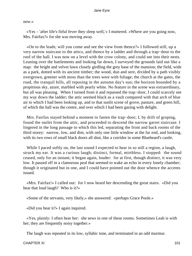#### now.»

 «Yes – 'after life's fitful fever they sleep well,'» I muttered. «Where are you going now, Mrs. Fairfax?» for she was moving away.

 «On to the leads; will you come and see the view from thence?» I followed still, up a very narrow staircase to the attics, and thence by a ladder and through a trap−door to the roof of the hall. I was now on a level with the crow colony, and could see into their nests. Leaning over the battlements and looking far down, I surveyed the grounds laid out like a map: the bright and velvet lawn closely girdling the grey base of the mansion; the field, wide as a park, dotted with its ancient timber; the wood, dun and sere, divided by a path visibly overgrown, greener with moss than the trees were with foliage; the church at the gates, the road, the tranquil hills, all reposing in the autumn day's sun; the horizon bounded by a propitious sky, azure, marbled with pearly white. No feature in the scene was extraordinary, but all was pleasing. When I turned from it and repassed the trap−door, I could scarcely see my way down the ladder; the attic seemed black as a vault compared with that arch of blue air to which I had been looking up, and to that sunlit scene of grove, pasture, and green hill, of which the hall was the centre, and over which I had been gazing with delight.

 Mrs. Fairfax stayed behind a moment to fasten the trap−door; I, by drift of groping, found the outlet from the attic, and proceeded to descend the narrow garret staircase. I lingered in the long passage to which this led, separating the front and back rooms of the third storey: narrow, low, and dim, with only one little window at the far end, and looking, with its two rows of small black doors all shut, like a corridor in some Bluebeard's castle.

While I paced softly on, the last sound I expected to hear in so still a region, a laugh, struck my ear. It was a curious laugh; distinct, formal, mirthless. I stopped: the sound ceased, only for an instant; it began again, louder: for at first, though distinct, it was very low. It passed off in a clamorous peal that seemed to wake an echo in every lonely chamber; though it originated but in one, and I could have pointed out the door whence the accents issued.

 «Mrs. Fairfax!» I called out: for I now heard her descending the great stairs. «Did you hear that loud laugh? Who is it?»

«Some of the servants, very likely,» she answered: «perhaps Grace Poole.»

«Did you hear it?» I again inquired.

 «Yes, plainly: I often hear her: she sews in one of these rooms. Sometimes Leah is with her; they are frequently noisy together.»

The laugh was repeated in its low, syllabic tone, and terminated in an odd murmur.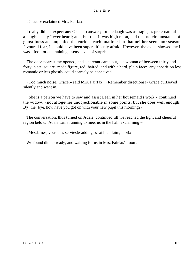«Grace!» exclaimed Mrs. Fairfax.

 I really did not expect any Grace to answer; for the laugh was as tragic, as preternatural a laugh as any I ever heard; and, but that it was high noon, and that no circumstance of ghostliness accompanied the curious cachinnation; but that neither scene nor season favoured fear, I should have been superstitiously afraid. However, the event showed me I was a fool for entertaining a sense even of surprise.

 The door nearest me opened, and a servant came out, – a woman of between thirty and forty; a set, square−made figure, red−haired, and with a hard, plain face: any apparition less romantic or less ghostly could scarcely be conceived.

 «Too much noise, Grace,» said Mrs. Fairfax. «Remember directions!» Grace curtseyed silently and went in.

 «She is a person we have to sew and assist Leah in her housemaid's work,» continued the widow; «not altogether unobjectionable in some points, but she does well enough. By−the−bye, how have you got on with your new pupil this morning?»

 The conversation, thus turned on Adele, continued till we reached the light and cheerful region below. Adele came running to meet us in the hall, exclaiming −

«Mesdames, vous etes servies!» adding, «J'ai bien faim, moi!»

We found dinner ready, and waiting for us in Mrs. Fairfax's room.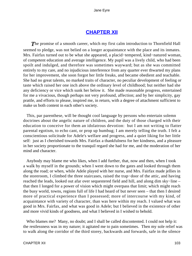### **[CHAPTER XII](#page-434-0)**

**The promise of a smooth career, which my first calm introduction to Thornfield Hall** seemed to pledge, was not belied on a longer acquaintance with the place and its inmates. Mrs. Fairfax turned out to be what she appeared, a placid−tempered, kind−natured woman, of competent education and average intelligence. My pupil was a lively child, who had been spoilt and indulged, and therefore was sometimes wayward; but as she was committed entirely to my care, and no injudicious interference from any quarter ever thwarted my plans for her improvement, she soon forgot her little freaks, and became obedient and teachable. She had no great talents, no marked traits of character, no peculiar development of feeling or taste which raised her one inch above the ordinary level of childhood; but neither had she any deficiency or vice which sunk her below it. She made reasonable progress, entertained for me a vivacious, though perhaps not very profound, affection; and by her simplicity, gay prattle, and efforts to please, inspired me, in return, with a degree of attachment sufficient to make us both content in each other's society.

 This, par parenthese, will be thought cool language by persons who entertain solemn doctrines about the angelic nature of children, and the duty of those charged with their education to conceive for them an idolatrous devotion: but I am not writing to flatter parental egotism, to echo cant, or prop up humbug; I am merely telling the truth. I felt a conscientious solicitude for Adele's welfare and progress, and a quiet liking for her little self: just as I cherished towards Mrs. Fairfax a thankfulness for her kindness, and a pleasure in her society proportionate to the tranquil regard she had for me, and the moderation of her mind and character.

 Anybody may blame me who likes, when I add further, that, now and then, when I took a walk by myself in the grounds; when I went down to the gates and looked through them along the road; or when, while Adele played with her nurse, and Mrs. Fairfax made jellies in the storeroom, I climbed the three staircases, raised the trap−door of the attic, and having reached the leads, looked out afar over sequestered field and hill, and along dim sky−line – that then I longed for a power of vision which might overpass that limit; which might reach the busy world, towns, regions full of life I had heard of but never seen – that then I desired more of practical experience than I possessed; more of intercourse with my kind, of acquaintance with variety of character, than was here within my reach. I valued what was good in Mrs. Fairfax, and what was good in Adele; but I believed in the existence of other and more vivid kinds of goodness, and what I believed in I wished to behold.

 Who blames me? Many, no doubt; and I shall be called discontented. I could not help it: the restlessness was in my nature; it agitated me to pain sometimes. Then my sole relief was to walk along the corridor of the third storey, backwards and forwards, safe in the silence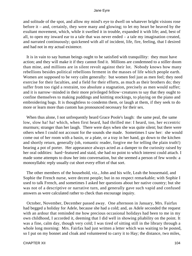and solitude of the spot, and allow my mind's eye to dwell on whatever bright visions rose before it – and, certainly, they were many and glowing; to let my heart be heaved by the exultant movement, which, while it swelled it in trouble, expanded it with life; and, best of all, to open my inward ear to a tale that was never ended – a tale my imagination created, and narrated continuously; quickened with all of incident, life, fire, feeling, that I desired and had not in my actual existence.

 It is in vain to say human beings ought to be satisfied with tranquillity: they must have action; and they will make it if they cannot find it. Millions are condemned to a stiller doom than mine, and millions are in silent revolt against their lot. Nobody knows how many rebellions besides political rebellions ferment in the masses of life which people earth. Women are supposed to be very calm generally: but women feel just as men feel; they need exercise for their faculties, and a field for their efforts, as much as their brothers do; they suffer from too rigid a restraint, too absolute a stagnation, precisely as men would suffer; and it is narrow−minded in their more privileged fellow−creatures to say that they ought to confine themselves to making puddings and knitting stockings, to playing on the piano and embroidering bags. It is thoughtless to condemn them, or laugh at them, if they seek to do more or learn more than custom has pronounced necessary for their sex.

 When thus alone, I not unfrequently heard Grace Poole's laugh: the same peal, the same low, slow ha! ha! which, when first heard, had thrilled me: I heard, too, her eccentric murmurs; stranger than her laugh. There were days when she was quite silent; but there were others when I could not account for the sounds she made. Sometimes I saw her: she would come out of her room with a basin, or a plate, or a tray in her hand, go down to the kitchen and shortly return, generally (oh, romantic reader, forgive me for telling the plain truth!) bearing a pot of porter. Her appearance always acted as a damper to the curiosity raised by her oral oddities: hard−featured and staid, she had no point to which interest could attach. I made some attempts to draw her into conversation, but she seemed a person of few words: a monosyllabic reply usually cut short every effort of that sort.

 The other members of the household, viz., John and his wife, Leah the housemaid, and Sophie the French nurse, were decent people; but in no respect remarkable; with Sophie I used to talk French, and sometimes I asked her questions about her native country; but she was not of a descriptive or narrative turn, and generally gave such vapid and confused answers as were calculated rather to check than encourage inquiry.

 October, November, December passed away. One afternoon in January, Mrs. Fairfax had begged a holiday for Adele, because she had a cold; and, as Adele seconded the request with an ardour that reminded me how precious occasional holidays had been to me in my own childhood, I accorded it, deeming that I did well in showing pliability on the point. It was a fine, calm day, though very cold; I was tired of sitting still in the library through a whole long morning: Mrs. Fairfax had just written a letter which was waiting to be posted, so I put on my bonnet and cloak and volunteered to carry it to Hay; the distance, two miles,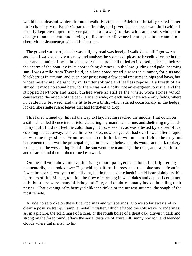would be a pleasant winter afternoon walk. Having seen Adele comfortably seated in her little chair by Mrs. Fairfax's parlour fireside, and given her her best wax doll (which I usually kept enveloped in silver paper in a drawer) to play with, and a story−book for change of amusement; and having replied to her «Revenez bientot, ma bonne amie, ma chere Mdlle. Jeannette,» with a kiss I set out.

 The ground was hard, the air was still, my road was lonely; I walked fast till I got warm, and then I walked slowly to enjoy and analyse the species of pleasure brooding for me in the hour and situation. It was three o'clock; the church bell tolled as I passed under the belfry: the charm of the hour lay in its approaching dimness, in the low−gliding and pale−beaming sun. I was a mile from Thornfield, in a lane noted for wild roses in summer, for nuts and blackberries in autumn, and even now possessing a few coral treasures in hips and haws, but whose best winter delight lay in its utter solitude and leafless repose. If a breath of air stirred, it made no sound here; for there was not a holly, not an evergreen to rustle, and the stripped hawthorn and hazel bushes were as still as the white, worn stones which causewayed the middle of the path. Far and wide, on each side, there were only fields, where no cattle now browsed; and the little brown birds, which stirred occasionally in the hedge, looked like single russet leaves that had forgotten to drop.

 This lane inclined up−hill all the way to Hay; having reached the middle, I sat down on a stile which led thence into a field. Gathering my mantle about me, and sheltering my hands in my muff, I did not feel the cold, though it froze keenly; as was attested by a sheet of ice covering the causeway, where a little brooklet, now congealed, had overflowed after a rapid thaw some days since. From my seat I could look down on Thornfield: the grey and battlemented hall was the principal object in the vale below me; its woods and dark rookery rose against the west. I lingered till the sun went down amongst the trees, and sank crimson and clear behind them. I then turned eastward.

 On the hill−top above me sat the rising moon; pale yet as a cloud, but brightening momentarily, she looked over Hay, which, half lost in trees, sent up a blue smoke from its few chimneys: it was yet a mile distant, but in the absolute hush I could hear plainly its thin murmurs of life. My ear, too, felt the flow of currents; in what dales and depths I could not tell: but there were many hills beyond Hay, and doubtless many becks threading their passes. That evening calm betrayed alike the tinkle of the nearest streams, the sough of the most remote.

 A rude noise broke on these fine ripplings and whisperings, at once so far away and so clear: a positive tramp, tramp, a metallic clatter, which effaced the soft wave−wanderings; as, in a picture, the solid mass of a crag, or the rough boles of a great oak, drawn in dark and strong on the foreground, efface the aerial distance of azure hill, sunny horizon, and blended clouds where tint melts into tint.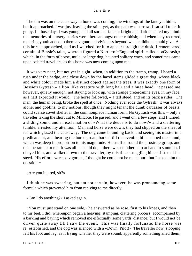The din was on the causeway: a horse was coming; the windings of the lane yet hid it, but it approached. I was just leaving the stile; yet, as the path was narrow, I sat still to let it go by. In those days I was young, and all sorts of fancies bright and dark tenanted my mind: the memories of nursery stories were there amongst other rubbish; and when they recurred, maturing youth added to them a vigour and vividness beyond what childhood could give. As this horse approached, and as I watched for it to appear through the dusk, I remembered certain of Bessie's tales, wherein figured a North−of−England spirit called a «Gytrash,» which, in the form of horse, mule, or large dog, haunted solitary ways, and sometimes came upon belated travellers, as this horse was now coming upon me.

 It was very near, but not yet in sight; when, in addition to the tramp, tramp, I heard a rush under the hedge, and close down by the hazel stems glided a great dog, whose black and white colour made him a distinct object against the trees. It was exactly one form of Bessie's Gytrash – a lion−like creature with long hair and a huge head: it passed me, however, quietly enough; not staying to look up, with strange pretercanine eyes, in my face, as I half expected it would. The horse followed, – a tall steed, and on its back a rider. The man, the human being, broke the spell at once. Nothing ever rode the Gytrash: it was always alone; and goblins, to my notions, though they might tenant the dumb carcasses of beasts, could scarce covet shelter in the commonplace human form. No Gytrash was this, – only a traveller taking the short cut to Millcote. He passed, and I went on; a few steps, and I turned: a sliding sound and an exclamation of «What the deuce is to do now?» and a clattering tumble, arrested my attention. Man and horse were down; they had slipped on the sheet of ice which glazed the causeway. The dog came bounding back, and seeing his master in a predicament, and hearing the horse groan, barked till the evening hills echoed the sound, which was deep in proportion to his magnitude. He snuffed round the prostrate group, and then he ran up to me; it was all he could do, – there was no other help at hand to summon. I obeyed him, and walked down to the traveller, by this time struggling himself free of his steed. His efforts were so vigorous, I thought he could not be much hurt; but I asked him the question –

«Are you injured, sir?»

 I think he was swearing, but am not certain; however, he was pronouncing some formula which prevented him from replying to me directly.

«Can I do anything?» I asked again.

 «You must just stand on one side,» he answered as he rose, first to his knees, and then to his feet. I did; whereupon began a heaving, stamping, clattering process, accompanied by a barking and baying which removed me effectually some yards' distance; but I would not be driven quite away till I saw the event. This was finally fortunate; the horse was re−established, and the dog was silenced with a «Down, Pilot!» The traveller now, stooping, felt his foot and leg, as if trying whether they were sound; apparently something ailed them,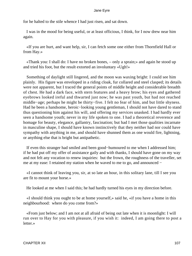for he halted to the stile whence I had just risen, and sat down.

 I was in the mood for being useful, or at least officious, I think, for I now drew near him again.

 «If you are hurt, and want help, sir, I can fetch some one either from Thornfield Hall or from Hay.»

 «Thank you: I shall do: I have no broken bones, – only a sprain;» and again he stood up and tried his foot, but the result extorted an involuntary «Ugh!»

 Something of daylight still lingered, and the moon was waxing bright: I could see him plainly. His figure was enveloped in a riding cloak, fur collared and steel clasped; its details were not apparent, but I traced the general points of middle height and considerable breadth of chest. He had a dark face, with stern features and a heavy brow; his eyes and gathered eyebrows looked ireful and thwarted just now; he was past youth, but had not reached middle−age; perhaps he might be thirty−five. I felt no fear of him, and but little shyness. Had he been a handsome, heroic−looking young gentleman, I should not have dared to stand thus questioning him against his will, and offering my services unasked. I had hardly ever seen a handsome youth; never in my life spoken to one. I had a theoretical reverence and homage for beauty, elegance, gallantry, fascination; but had I met those qualities incarnate in masculine shape, I should have known instinctively that they neither had nor could have sympathy with anything in me, and should have shunned them as one would fire, lightning, or anything else that is bright but antipathetic.

 If even this stranger had smiled and been good−humoured to me when I addressed him; if he had put off my offer of assistance gaily and with thanks, I should have gone on my way and not felt any vocation to renew inquiries: but the frown, the roughness of the traveller, set me at my ease: I retained my station when he waved to me to go, and announced −

 «I cannot think of leaving you, sir, at so late an hour, in this solitary lane, till I see you are fit to mount your horse.»

He looked at me when I said this; he had hardly turned his eyes in my direction before.

 «I should think you ought to be at home yourself,» said he, «if you have a home in this neighbourhood: where do you come from?»

 «From just below; and I am not at all afraid of being out late when it is moonlight: I will run over to Hay for you with pleasure, if you wish it: indeed, I am going there to post a letter.»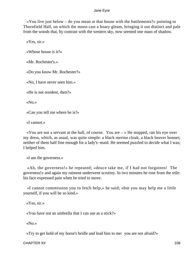«You live just below – do you mean at that house with the battlements?» pointing to Thornfield Hall, on which the moon cast a hoary gleam, bringing it out distinct and pale from the woods that, by contrast with the western sky, now seemed one mass of shadow.

«Yes, sir.»

«Whose house is it?»

«Mr. Rochester's.»

«Do you know Mr. Rochester?»

«No, I have never seen him.»

«He is not resident, then?»

«No.»

«Can you tell me where he is?»

«I cannot.»

«You are not a servant at the hall, of course. You are  $-$  » He stopped, ran his eye over my dress, which, as usual, was quite simple: a black merino cloak, a black beaver bonnet; neither of them half fine enough for a lady's−maid. He seemed puzzled to decide what I was; I helped him.

«I am the governess.»

 «Ah, the governess!» he repeated; «deuce take me, if I had not forgotten! The governess!» and again my raiment underwent scrutiny. In two minutes he rose from the stile: his face expressed pain when he tried to move.

 «I cannot commission you to fetch help,» he said; «but you may help me a little yourself, if you will be so kind.»

«Yes, sir.»

«You have not an umbrella that I can use as a stick?»

«No.»

«Try to get hold of my horse's bridle and lead him to me: you are not afraid?»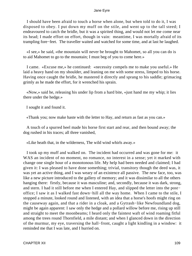I should have been afraid to touch a horse when alone, but when told to do it, I was disposed to obey. I put down my muff on the stile, and went up to the tall steed; I endeavoured to catch the bridle, but it was a spirited thing, and would not let me come near its head; I made effort on effort, though in vain: meantime, I was mortally afraid of its trampling fore−feet. The traveller waited and watched for some time, and at last he laughed.

 «I see,» he said, «the mountain will never be brought to Mahomet, so all you can do is to aid Mahomet to go to the mountain; I must beg of you to come here.»

 I came. «Excuse me,» he continued: «necessity compels me to make you useful.» He laid a heavy hand on my shoulder, and leaning on me with some stress, limped to his horse. Having once caught the bridle, he mastered it directly and sprang to his saddle; grimacing grimly as he made the effort, for it wrenched his sprain.

 «Now,» said he, releasing his under lip from a hard bite, «just hand me my whip; it lies there under the hedge.»

I sought it and found it.

«Thank you; now make haste with the letter to Hay, and return as fast as you can.»

 A touch of a spurred heel made his horse first start and rear, and then bound away; the dog rushed in his traces; all three vanished,

«Like heath that, in the wilderness, The wild wind whirls away.»

 I took up my muff and walked on. The incident had occurred and was gone for me: it WAS an incident of no moment, no romance, no interest in a sense; yet it marked with change one single hour of a monotonous life. My help had been needed and claimed; I had given it: I was pleased to have done something; trivial, transitory though the deed was, it was yet an active thing, and I was weary of an existence all passive. The new face, too, was like a new picture introduced to the gallery of memory; and it was dissimilar to all the others hanging there: firstly, because it was masculine; and, secondly, because it was dark, strong, and stern. I had it still before me when I entered Hay, and slipped the letter into the post− office; I saw it as I walked fast down−hill all the way home. When I came to the stile, I stopped a minute, looked round and listened, with an idea that a horse's hoofs might ring on the causeway again, and that a rider in a cloak, and a Gytrash−like Newfoundland dog, might be again apparent: I saw only the hedge and a pollard willow before me, rising up still and straight to meet the moonbeams; I heard only the faintest waft of wind roaming fitful among the trees round Thornfield, a mile distant; and when I glanced down in the direction of the murmur, my eye, traversing the hall−front, caught a light kindling in a window: it reminded me that I was late, and I hurried on.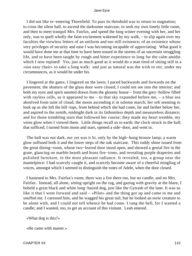I did not like re−entering Thornfield. To pass its threshold was to return to stagnation; to cross the silent hall, to ascend the darksome staircase, to seek my own lonely little room, and then to meet tranquil Mrs. Fairfax, and spend the long winter evening with her, and her only, was to quell wholly the faint excitement wakened by my walk, – to slip again over my faculties the viewless fetters of an uniform and too still existence; of an existence whose very privileges of security and ease I was becoming incapable of appreciating. What good it would have done me at that time to have been tossed in the storms of an uncertain struggling life, and to have been taught by rough and bitter experience to long for the calm amidst which I now repined! Yes, just as much good as it would do a man tired of sitting still in a «too easy chair» to take a long walk: and just as natural was the wish to stir, under my circumstances, as it would be under his.

 I lingered at the gates; I lingered on the lawn; I paced backwards and forwards on the pavement; the shutters of the glass door were closed; I could not see into the interior; and both my eyes and spirit seemed drawn from the gloomy house – from the grey−hollow filled with rayless cells, as it appeared to me – to that sky expanded before me, – a blue sea absolved from taint of cloud; the moon ascending it in solemn march; her orb seeming to look up as she left the hill−tops, from behind which she had come, far and farther below her, and aspired to the zenith, midnight dark in its fathomless depth and measureless distance; and for those trembling stars that followed her course; they made my heart tremble, my veins glow when I viewed them. Little things recall us to earth; the clock struck in the hall; that sufficed; I turned from moon and stars, opened a side−door, and went in.

 The hall was not dark, nor yet was it lit, only by the high−hung bronze lamp; a warm glow suffused both it and the lower steps of the oak staircase. This ruddy shine issued from the great dining−room, whose two−leaved door stood open, and showed a genial fire in the grate, glancing on marble hearth and brass fire−irons, and revealing purple draperies and polished furniture, in the most pleasant radiance. It revealed, too, a group near the mantelpiece: I had scarcely caught it, and scarcely become aware of a cheerful mingling of voices, amongst which I seemed to distinguish the tones of Adele, when the door closed.

 I hastened to Mrs. Fairfax's room; there was a fire there too, but no candle, and no Mrs. Fairfax. Instead, all alone, sitting upright on the rug, and gazing with gravity at the blaze, I beheld a great black and white long−haired dog, just like the Gytrash of the lane. It was so like it that I went forward and said – «Pilot» and the thing got up and came to me and snuffed me. I caressed him, and he wagged his great tail; but he looked an eerie creature to be alone with, and I could not tell whence he had come. I rang the bell, for I wanted a candle; and I wanted, too, to get an account of this visitant. Leah entered.

«What dog is this?»

«He came with master.»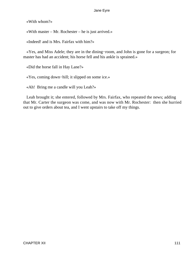«With whom?»

«With master – Mr. Rochester – he is just arrived.»

«Indeed! and is Mrs. Fairfax with him?»

 «Yes, and Miss Adele; they are in the dining−room, and John is gone for a surgeon; for master has had an accident; his horse fell and his ankle is sprained.»

«Did the horse fall in Hay Lane?»

«Yes, coming down−hill; it slipped on some ice.»

«Ah! Bring me a candle will you Leah?»

 Leah brought it; she entered, followed by Mrs. Fairfax, who repeated the news; adding that Mr. Carter the surgeon was come, and was now with Mr. Rochester: then she hurried out to give orders about tea, and I went upstairs to take off my things.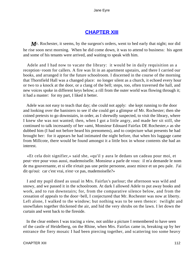# **[CHAPTER XIII](#page-434-0)**

*M*<sub>r</sub>. Rochester, it seems, by the surgeon's orders, went to bed early that night; nor did he rise soon next morning. When he did come down, it was to attend to business: his agent and some of his tenants were arrived, and waiting to speak with him.

 Adele and I had now to vacate the library: it would be in daily requisition as a reception−room for callers. A fire was lit in an apartment upstairs, and there I carried our books, and arranged it for the future schoolroom. I discerned in the course of the morning that Thornfield Hall was a changed place: no longer silent as a church, it echoed every hour or two to a knock at the door, or a clang of the bell; steps, too, often traversed the hall, and new voices spoke in different keys below; a rill from the outer world was flowing through it; it had a master: for my part, I liked it better.

 Adele was not easy to teach that day; she could not apply: she kept running to the door and looking over the banisters to see if she could get a glimpse of Mr. Rochester; then she coined pretexts to go downstairs, in order, as I shrewdly suspected, to visit the library, where I knew she was not wanted; then, when I got a little angry, and made her sit still, she continued to talk incessantly of her «ami, Monsieur Edouard Fairfax DE Rochester,» as she dubbed him (I had not before heard his prenomens), and to conjecture what presents he had brought her: for it appears he had intimated the night before, that when his luggage came from Millcote, there would be found amongst it a little box in whose contents she had an interest.

 «Et cela doit signifier,» said she, «qu'il y aura le dedans un cadeau pour moi, et peut−etre pour vous aussi, mademoiselle. Monsieur a parle de vous: il m'a demande le nom de ma gouvernante, et si elle n'etait pas une petite personne, assez mince et un peu pale. J'ai dit qu'oui: car c'est vrai, n'est−ce pas, mademoiselle?»

 I and my pupil dined as usual in Mrs. Fairfax's parlour; the afternoon was wild and snowy, and we passed it in the schoolroom. At dark I allowed Adele to put away books and work, and to run downstairs; for, from the comparative silence below, and from the cessation of appeals to the door−bell, I conjectured that Mr. Rochester was now at liberty. Left alone, I walked to the window; but nothing was to be seen thence: twilight and snowflakes together thickened the air, and hid the very shrubs on the lawn. I let down the curtain and went back to the fireside.

In the clear embers I was tracing a view, not unlike a picture I remembered to have seen of the castle of Heidelberg, on the Rhine, when Mrs. Fairfax came in, breaking up by her entrance the fiery mosaic I had been piercing together, and scattering too some heavy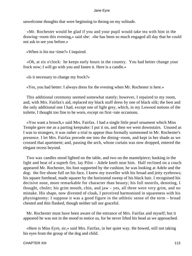unwelcome thoughts that were beginning to throng on my solitude.

 «Mr. Rochester would be glad if you and your pupil would take tea with him in the drawing−room this evening,» said she: «he has been so much engaged all day that he could not ask to see you before.»

«When is his tea−time?» I inquired.

 «Oh, at six o'clock: he keeps early hours in the country. You had better change your frock now; I will go with you and fasten it. Here is a candle.»

«Is it necessary to change my frock?»

«Yes, you had better: I always dress for the evening when Mr. Rochester is here.»

 This additional ceremony seemed somewhat stately; however, I repaired to my room, and, with Mrs. Fairfax's aid, replaced my black stuff dress by one of black silk; the best and the only additional one I had, except one of light grey, which, in my Lowood notions of the toilette, I thought too fine to be worn, except on first−rate occasions.

 «You want a brooch,» said Mrs. Fairfax. I had a single little pearl ornament which Miss Temple gave me as a parting keepsake: I put it on, and then we went downstairs. Unused as I was to strangers, it was rather a trial to appear thus formally summoned in Mr. Rochester's presence. I let Mrs. Fairfax precede me into the dining−room, and kept in her shade as we crossed that apartment; and, passing the arch, whose curtain was now dropped, entered the elegant recess beyond.

 Two wax candles stood lighted on the table, and two on the mantelpiece; basking in the light and heat of a superb fire, lay Pilot – Adele knelt near him. Half reclined on a couch appeared Mr. Rochester, his foot supported by the cushion; he was looking at Adele and the dog: the fire shone full on his face. I knew my traveller with his broad and jetty eyebrows; his square forehead, made squarer by the horizontal sweep of his black hair. I recognised his decisive nose, more remarkable for character than beauty; his full nostrils, denoting, I thought, choler; his grim mouth, chin, and jaw – yes, all three were very grim, and no mistake. His shape, now divested of cloak, I perceived harmonised in squareness with his physiognomy: I suppose it was a good figure in the athletic sense of the term – broad chested and thin flanked, though neither tall nor graceful.

 Mr. Rochester must have been aware of the entrance of Mrs. Fairfax and myself; but it appeared he was not in the mood to notice us, for he never lifted his head as we approached.

 «Here is Miss Eyre, sir,» said Mrs. Fairfax, in her quiet way. He bowed, still not taking his eyes from the group of the dog and child.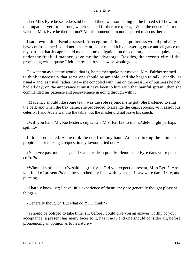«Let Miss Eyre be seated,» said he: and there was something in the forced stiff bow, in the impatient yet formal tone, which seemed further to express, «What the deuce is it to me whether Miss Eyre be there or not? At this moment I am not disposed to accost her.»

 I sat down quite disembarrassed. A reception of finished politeness would probably have confused me: I could not have returned or repaid it by answering grace and elegance on my part; but harsh caprice laid me under no obligation; on the contrary, a decent quiescence, under the freak of manner, gave me the advantage. Besides, the eccentricity of the proceeding was piquant: I felt interested to see how he would go on.

 He went on as a statue would, that is, he neither spoke nor moved. Mrs. Fairfax seemed to think it necessary that some one should be amiable, and she began to talk. Kindly, as usual – and, as usual, rather trite – she condoled with him on the pressure of business he had had all day; on the annoyance it must have been to him with that painful sprain: then she commended his patience and perseverance in going through with it.

 «Madam, I should like some tea,» was the sole rejoinder she got. She hastened to ring the bell; and when the tray came, she proceeded to arrange the cups, spoons, with assiduous celerity. I and Adele went to the table; but the master did not leave his couch.

 «Will you hand Mr. Rochester's cup?» said Mrs. Fairfax to me; «Adele might perhaps spill it.»

 I did as requested. As he took the cup from my hand, Adele, thinking the moment propitious for making a request in my favour, cried out −

 «N'est−ce pas, monsieur, qu'il y a un cadeau pour Mademoiselle Eyre dans votre petit coffre?»

 «Who talks of cadeaux?» said he gruffly. «Did you expect a present, Miss Eyre? Are you fond of presents?» and he searched my face with eyes that I saw were dark, irate, and piercing.

 «I hardly know, sir; I have little experience of them: they are generally thought pleasant things.»

«Generally thought? But what do YOU think?»

 «I should be obliged to take time, sir, before I could give you an answer worthy of your acceptance: a present has many faces to it, has it not? and one should consider all, before pronouncing an opinion as to its nature.»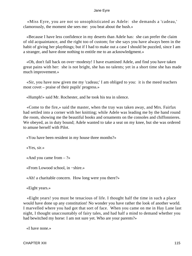«Miss Eyre, you are not so unsophisticated as Adele: she demands a 'cadeau,' clamorously, the moment she sees me: you beat about the bush.»

 «Because I have less confidence in my deserts than Adele has: she can prefer the claim of old acquaintance, and the right too of custom; for she says you have always been in the habit of giving her playthings; but if I had to make out a case I should be puzzled, since I am a stranger, and have done nothing to entitle me to an acknowledgment.»

 «Oh, don't fall back on over−modesty! I have examined Adele, and find you have taken great pains with her: she is not bright, she has no talents; yet in a short time she has made much improvement.»

 «Sir, you have now given me my 'cadeau;' I am obliged to you: it is the meed teachers most covet – praise of their pupils' progress.»

«Humph!» said Mr. Rochester, and he took his tea in silence.

 «Come to the fire,» said the master, when the tray was taken away, and Mrs. Fairfax had settled into a corner with her knitting; while Adele was leading me by the hand round the room, showing me the beautiful books and ornaments on the consoles and chiffonnieres. We obeyed, as in duty bound; Adele wanted to take a seat on my knee, but she was ordered to amuse herself with Pilot.

«You have been resident in my house three months?»

«Yes, sir.»

«And you came from  $-$  ?»

«From Lowood school, in −shire.»

«Ah! a charitable concern. How long were you there?»

«Eight years.»

 «Eight years! you must be tenacious of life. I thought half the time in such a place would have done up any constitution! No wonder you have rather the look of another world. I marvelled where you had got that sort of face. When you came on me in Hay Lane last night, I thought unaccountably of fairy tales, and had half a mind to demand whether you had bewitched my horse: I am not sure yet. Who are your parents?»

«I have none.»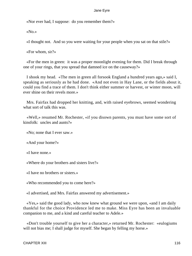«Nor ever had, I suppose: do you remember them?»

«No.»

«I thought not. And so you were waiting for your people when you sat on that stile?»

«For whom, sir?»

 «For the men in green: it was a proper moonlight evening for them. Did I break through one of your rings, that you spread that damned ice on the causeway?»

 I shook my head. «The men in green all forsook England a hundred years ago,» said I, speaking as seriously as he had done. «And not even in Hay Lane, or the fields about it, could you find a trace of them. I don't think either summer or harvest, or winter moon, will ever shine on their revels more.»

 Mrs. Fairfax had dropped her knitting, and, with raised eyebrows, seemed wondering what sort of talk this was.

 «Well,» resumed Mr. Rochester, «if you disown parents, you must have some sort of kinsfolk: uncles and aunts?»

«No; none that I ever saw.»

«And your home?»

«I have none.»

«Where do your brothers and sisters live?»

«I have no brothers or sisters.»

«Who recommended you to come here?»

«I advertised, and Mrs. Fairfax answered my advertisement.»

 «Yes,» said the good lady, who now knew what ground we were upon, «and I am daily thankful for the choice Providence led me to make. Miss Eyre has been an invaluable companion to me, and a kind and careful teacher to Adele.»

 «Don't trouble yourself to give her a character,» returned Mr. Rochester: «eulogiums will not bias me; I shall judge for myself. She began by felling my horse.»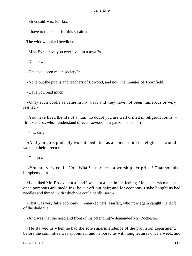«Sir?» said Mrs. Fairfax.

«I have to thank her for this sprain.»

The widow looked bewildered.

«Miss Eyre, have you ever lived in a town?»

«No, sir.»

«Have you seen much society?»

«None but the pupils and teachers of Lowood, and now the inmates of Thornfield.»

«Have you read much?»

 «Only such books as came in my way; and they have not been numerous or very learned.»

 «You have lived the life of a nun: no doubt you are well drilled in religious forms; – Brocklehurst, who I understand directs Lowood, is a parson, is he not?»

«Yes, sir.»

 «And you girls probably worshipped him, as a convent full of religieuses would worship their director.»

«Oh, no.»

 «You are very cool! No! What! a novice not worship her priest! That sounds blasphemous.»

 «I disliked Mr. Brocklehurst; and I was not alone in the feeling. He is a harsh man; at once pompous and meddling; he cut off our hair; and for economy's sake bought us bad needles and thread, with which we could hardly sew.»

 «That was very false economy,» remarked Mrs. Fairfax, who now again caught the drift of the dialogue.

«And was that the head and front of his offending?» demanded Mr. Rochester.

 «He starved us when he had the sole superintendence of the provision department, before the committee was appointed; and he bored us with long lectures once a week, and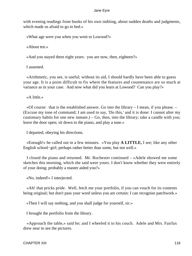with evening readings from books of his own inditing, about sudden deaths and judgments, which made us afraid to go to bed.»

«What age were you when you went to Lowood?»

«About ten.»

«And you stayed there eight years: you are now, then, eighteen?»

I assented.

 «Arithmetic, you see, is useful; without its aid, I should hardly have been able to guess your age. It is a point difficult to fix where the features and countenance are so much at variance as in your case. And now what did you learn at Lowood? Can you play?»

«A little.»

«Of course: that is the established answer. Go into the library  $-1$  mean, if you please.  $-$ (Excuse my tone of command; I am used to say, 'Do this,' and it is done: I cannot alter my customary habits for one new inmate.)  $-$  Go, then, into the library; take a candle with you; leave the door open; sit down to the piano, and play a tune.»

I departed, obeying his directions.

 «Enough!» he called out in a few minutes. «You play **A LITTLE,** I see; like any other English school−girl; perhaps rather better than some, but not well.»

 I closed the piano and returned. Mr. Rochester continued – «Adele showed me some sketches this morning, which she said were yours. I don't know whether they were entirely of your doing; probably a master aided you?»

«No, indeed!» I interjected.

 «Ah! that pricks pride. Well, fetch me your portfolio, if you can vouch for its contents being original; but don't pass your word unless you are certain: I can recognise patchwork.»

«Then I will say nothing, and you shall judge for yourself, sir.»

I brought the portfolio from the library.

 «Approach the table,» said he; and I wheeled it to his couch. Adele and Mrs. Fairfax drew near to see the pictures.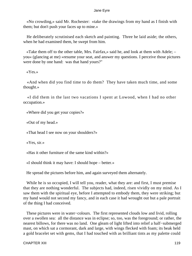«No crowding,» said Mr. Rochester: «take the drawings from my hand as I finish with them; but don't push your faces up to mine.»

 He deliberately scrutinised each sketch and painting. Three he laid aside; the others, when he had examined them, he swept from him.

 «Take them off to the other table, Mrs. Fairfax,» said he, and look at them with Adele; – you« (glancing at me) »resume your seat, and answer my questions. I perceive those pictures were done by one hand: was that hand yours?"

«Yes.»

 «And when did you find time to do them? They have taken much time, and some thought.»

 «I did them in the last two vacations I spent at Lowood, when I had no other occupation.»

«Where did you get your copies?»

«Out of my head.»

«That head I see now on your shoulders?»

«Yes, sir.»

«Has it other furniture of the same kind within?»

«I should think it may have: I should hope – better.»

He spread the pictures before him, and again surveyed them alternately.

While he is so occupied, I will tell you, reader, what they are: and first, I must premise that they are nothing wonderful. The subjects had, indeed, risen vividly on my mind. As I saw them with the spiritual eye, before I attempted to embody them, they were striking; but my hand would not second my fancy, and in each case it had wrought out but a pale portrait of the thing I had conceived.

 These pictures were in water−colours. The first represented clouds low and livid, rolling over a swollen sea: all the distance was in eclipse; so, too, was the foreground; or rather, the nearest billows, for there was no land. One gleam of light lifted into relief a half−submerged mast, on which sat a cormorant, dark and large, with wings flecked with foam; its beak held a gold bracelet set with gems, that I had touched with as brilliant tints as my palette could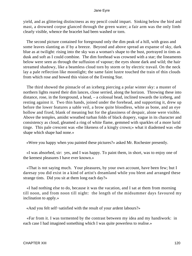yield, and as glittering distinctness as my pencil could impart. Sinking below the bird and mast, a drowned corpse glanced through the green water; a fair arm was the only limb clearly visible, whence the bracelet had been washed or torn.

 The second picture contained for foreground only the dim peak of a hill, with grass and some leaves slanting as if by a breeze. Beyond and above spread an expanse of sky, dark blue as at twilight: rising into the sky was a woman's shape to the bust, portrayed in tints as dusk and soft as I could combine. The dim forehead was crowned with a star; the lineaments below were seen as through the suffusion of vapour; the eyes shone dark and wild; the hair streamed shadowy, like a beamless cloud torn by storm or by electric travail. On the neck lay a pale reflection like moonlight; the same faint lustre touched the train of thin clouds from which rose and bowed this vision of the Evening Star.

 The third showed the pinnacle of an iceberg piercing a polar winter sky: a muster of northern lights reared their dim lances, close serried, along the horizon. Throwing these into distance, rose, in the foreground, a head, – a colossal head, inclined towards the iceberg, and resting against it. Two thin hands, joined under the forehead, and supporting it, drew up before the lower features a sable veil, a brow quite bloodless, white as bone, and an eye hollow and fixed, blank of meaning but for the glassiness of despair, alone were visible. Above the temples, amidst wreathed turban folds of black drapery, vague in its character and consistency as cloud, gleamed a ring of white flame, gemmed with sparkles of a more lurid tinge. This pale crescent was «the likeness of a kingly crown;» what it diademed was «the shape which shape had none.»

«Were you happy when you painted these pictures?» asked Mr. Rochester presently.

 «I was absorbed, sir: yes, and I was happy. To paint them, in short, was to enjoy one of the keenest pleasures I have ever known.»

 «That is not saying much. Your pleasures, by your own account, have been few; but I daresay you did exist in a kind of artist's dreamland while you blent and arranged these strange tints. Did you sit at them long each day?»

 «I had nothing else to do, because it was the vacation, and I sat at them from morning till noon, and from noon till night: the length of the midsummer days favoured my inclination to apply.»

«And you felt self−satisfied with the result of your ardent labours?»

 «Far from it. I was tormented by the contrast between my idea and my handiwork: in each case I had imagined something which I was quite powerless to realise.»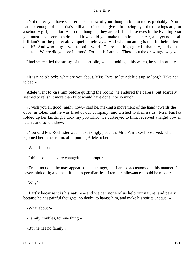«Not quite: you have secured the shadow of your thought; but no more, probably. You had not enough of the artist's skill and science to give it full being: yet the drawings are, for a school− girl, peculiar. As to the thoughts, they are elfish. These eyes in the Evening Star you must have seen in a dream. How could you make them look so clear, and yet not at all brilliant? for the planet above quells their rays. And what meaning is that in their solemn depth? And who taught you to paint wind. There is a high gale in that sky, and on this hill–top. Where did you see Latmos? For that is Latmos. There! put the drawings away!»

 I had scarce tied the strings of the portfolio, when, looking at his watch, he said abruptly −

 «It is nine o'clock: what are you about, Miss Eyre, to let Adele sit up so long? Take her to bed.»

 Adele went to kiss him before quitting the room: he endured the caress, but scarcely seemed to relish it more than Pilot would have done, nor so much.

 «I wish you all good−night, now,» said he, making a movement of the hand towards the door, in token that he was tired of our company, and wished to dismiss us. Mrs. Fairfax folded up her knitting: I took my portfolio: we curtseyed to him, received a frigid bow in return, and so withdrew.

 «You said Mr. Rochester was not strikingly peculiar, Mrs. Fairfax,» I observed, when I rejoined her in her room, after putting Adele to bed.

«Well, is he?»

«I think so: he is very changeful and abrupt.»

 «True: no doubt he may appear so to a stranger, but I am so accustomed to his manner, I never think of it; and then, if he has peculiarities of temper, allowance should be made.»

«Why?»

 «Partly because it is his nature – and we can none of us help our nature; and partly because he has painful thoughts, no doubt, to harass him, and make his spirits unequal.»

«What about?»

«Family troubles, for one thing.»

«But he has no family.»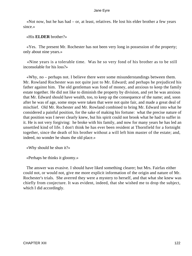«Not now, but he has had – or, at least, relatives. He lost his elder brother a few years since.»

«His **ELDER** brother?»

 «Yes. The present Mr. Rochester has not been very long in possession of the property; only about nine years.»

 «Nine years is a tolerable time. Was he so very fond of his brother as to be still inconsolable for his loss?»

 «Why, no – perhaps not. I believe there were some misunderstandings between them. Mr. Rowland Rochester was not quite just to Mr. Edward; and perhaps he prejudiced his father against him. The old gentleman was fond of money, and anxious to keep the family estate together. He did not like to diminish the property by division, and yet he was anxious that Mr. Edward should have wealth, too, to keep up the consequence of the name; and, soon after he was of age, some steps were taken that were not quite fair, and made a great deal of mischief. Old Mr. Rochester and Mr. Rowland combined to bring Mr. Edward into what he considered a painful position, for the sake of making his fortune: what the precise nature of that position was I never clearly knew, but his spirit could not brook what he had to suffer in it. He is not very forgiving: he broke with his family, and now for many years he has led an unsettled kind of life. I don't think he has ever been resident at Thornfield for a fortnight together, since the death of his brother without a will left him master of the estate; and, indeed, no wonder he shuns the old place.»

«Why should he shun it?»

«Perhaps he thinks it gloomy.»

 The answer was evasive. I should have liked something clearer; but Mrs. Fairfax either could not, or would not, give me more explicit information of the origin and nature of Mr. Rochester's trials. She averred they were a mystery to herself, and that what she knew was chiefly from conjecture. It was evident, indeed, that she wished me to drop the subject, which I did accordingly.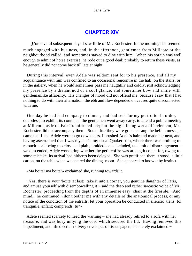## **[CHAPTER XIV](#page-434-0)**

*F* or several subsequent days I saw little of Mr. Rochester. In the mornings he seemed much engaged with business, and, in the afternoon, gentlemen from Millcote or the neighbourhood called, and sometimes stayed to dine with him. When his sprain was well enough to admit of horse exercise, he rode out a good deal; probably to return these visits, as he generally did not come back till late at night.

 During this interval, even Adele was seldom sent for to his presence, and all my acquaintance with him was confined to an occasional rencontre in the hall, on the stairs, or in the gallery, when he would sometimes pass me haughtily and coldly, just acknowledging my presence by a distant nod or a cool glance, and sometimes bow and smile with gentlemanlike affability. His changes of mood did not offend me, because I saw that I had nothing to do with their alternation; the ebb and flow depended on causes quite disconnected with me.

 One day he had had company to dinner, and had sent for my portfolio; in order, doubtless, to exhibit its contents: the gentlemen went away early, to attend a public meeting at Millcote, as Mrs. Fairfax informed me; but the night being wet and inclement, Mr. Rochester did not accompany them. Soon after they were gone he rang the bell: a message came that I and Adele were to go downstairs. I brushed Adele's hair and made her neat, and having ascertained that I was myself in my usual Quaker trim, where there was nothing to retouch – all being too close and plain, braided locks included, to admit of disarrangement – we descended, Adele wondering whether the petit coffre was at length come; for, owing to some mistake, its arrival had hitherto been delayed. She was gratified: there it stood, a little carton, on the table when we entered the dining−room. She appeared to know it by instinct.

«Ma boite! ma boite!» exclaimed she, running towards it.

 «Yes, there is your 'boite' at last: take it into a corner, you genuine daughter of Paris, and amuse yourself with disembowelling it,» said the deep and rather sarcastic voice of Mr. Rochester, proceeding from the depths of an immense easy−chair at the fireside. «And mind,» he continued, «don't bother me with any details of the anatomical process, or any notice of the condition of the entrails: let your operation be conducted in silence: tiens−toi tranquille, enfant; comprends−tu?»

 Adele seemed scarcely to need the warning – she had already retired to a sofa with her treasure, and was busy untying the cord which secured the lid. Having removed this impediment, and lifted certain silvery envelopes of tissue paper, she merely exclaimed −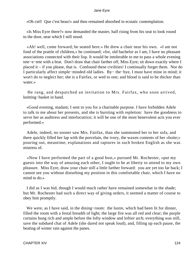«Oh ciel! Que c'est beau!» and then remained absorbed in ecstatic contemplation.

 «Is Miss Eyre there?» now demanded the master, half rising from his seat to look round to the door, near which I still stood.

 «Ah! well, come forward; be seated here.» He drew a chair near his own. «I am not fond of the prattle of children,» he continued; «for, old bachelor as I am, I have no pleasant associations connected with their lisp. It would be intolerable to me to pass a whole evening tete−e−tete with a brat. Don't draw that chair farther off, Miss Eyre; sit down exactly where I placed it – if you please, that is. Confound these civilities! I continually forget them. Nor do I particularly affect simple−minded old ladies. By− the−bye, I must have mine in mind; it won't do to neglect her; she is a Fairfax, or wed to one; and blood is said to be thicker than water.»

 He rang, and despatched an invitation to Mrs. Fairfax, who soon arrived, knitting−basket in hand.

 «Good evening, madam; I sent to you for a charitable purpose. I have forbidden Adele to talk to me about her presents, and she is bursting with repletion: have the goodness to serve her as auditress and interlocutrice; it will be one of the most benevolent acts you ever performed.»

 Adele, indeed, no sooner saw Mrs. Fairfax, than she summoned her to her sofa, and there quickly filled her lap with the porcelain, the ivory, the waxen contents of her «boite;» pouring out, meantime, explanations and raptures in such broken English as she was mistress of.

 «Now I have performed the part of a good host,» pursued Mr. Rochester, «put my guests into the way of amusing each other, I ought to be at liberty to attend to my own pleasure. Miss Eyre, draw your chair still a little farther forward: you are yet too far back; I cannot see you without disturbing my position in this comfortable chair, which I have no mind to do.»

 I did as I was bid, though I would much rather have remained somewhat in the shade; but Mr. Rochester had such a direct way of giving orders, it seemed a matter of course to obey him promptly.

 We were, as I have said, in the dining−room: the lustre, which had been lit for dinner, filled the room with a festal breadth of light; the large fire was all red and clear; the purple curtains hung rich and ample before the lofty window and loftier arch; everything was still, save the subdued chat of Adele (she dared not speak loud), and, filling up each pause, the beating of winter rain against the panes.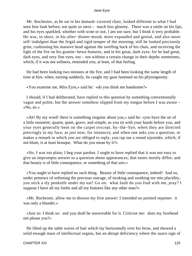Mr. Rochester, as he sat in his damask−covered chair, looked different to what I had seen him look before; not quite so stern – much less gloomy. There was a smile on his lips, and his eyes sparkled, whether with wine or not, I am not sure; but I think it very probable. He was, in short, in his after−dinner mood; more expanded and genial, and also more self−indulgent than the frigid and rigid temper of the morning; still he looked preciously grim, cushioning his massive head against the swelling back of his chair, and receiving the light of the fire on his granite−hewn features, and in his great, dark eyes; for he had great, dark eyes, and very fine eyes, too – not without a certain change in their depths sometimes, which, if it was not softness, reminded you, at least, of that feeling.

 He had been looking two minutes at the fire, and I had been looking the same length of time at him, when, turning suddenly, he caught my gaze fastened on his physiognomy.

«You examine me, Miss Eyre,» said he: «do you think me handsome?»

 I should, if I had deliberated, have replied to this question by something conventionally vague and polite; but the answer somehow slipped from my tongue before I was aware – «No, sir.»

 «Ah! By my word! there is something singular about you,» said he: «you have the air of a little nonnette; quaint, quiet, grave, and simple, as you sit with your hands before you, and your eyes generally bent on the carpet (except, by−the−bye, when they are directed piercingly to my face; as just now, for instance); and when one asks you a question, or makes a remark to which you are obliged to reply, you rap out a round rejoinder, which, if not blunt, is at least brusque. What do you mean by it?»

 «Sir, I was too plain; I beg your pardon. I ought to have replied that it was not easy to give an impromptu answer to a question about appearances; that tastes mostly differ; and that beauty is of little consequence, or something of that sort.»

 «You ought to have replied no such thing. Beauty of little consequence, indeed! And so, under pretence of softening the previous outrage, of stroking and soothing me into placidity, you stick a sly penknife under my ear! Go on: what fault do you find with me, pray? I suppose I have all my limbs and all my features like any other man?»

 «Mr. Rochester, allow me to disown my first answer: I intended no pointed repartee: it was only a blunder.»

 «Just so: I think so: and you shall be answerable for it. Criticise me: does my forehead not please you?»

 He lifted up the sable waves of hair which lay horizontally over his brow, and showed a solid enough mass of intellectual organs, but an abrupt deficiency where the suave sign of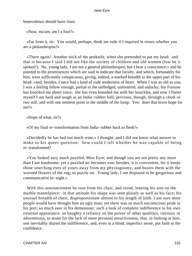benevolence should have risen.

«Now, ma'am, am I a fool?»

 «Far from it, sir. You would, perhaps, think me rude if I inquired in return whether you are a philanthropist?»

 «There again! Another stick of the penknife, when she pretended to pat my head: and that is because I said I did not like the society of children and old women (low be it spoken!). No, young lady, I am not a general philanthropist; but I bear a conscience;» and he pointed to the prominences which are said to indicate that faculty, and which, fortunately for him, were sufficiently conspicuous; giving, indeed, a marked breadth to the upper part of his head: «and, besides, I once had a kind of rude tenderness of heart. When I was as old as you, I was a feeling fellow enough, partial to the unfledged, unfostered, and unlucky; but Fortune has knocked me about since: she has even kneaded me with her knuckles, and now I flatter myself I am hard and tough as an India−rubber ball; pervious, though, through a chink or two still, and with one sentient point in the middle of the lump. Yes: does that leave hope for me?»

«Hope of what, sir?»

«Of my final re−transformation from India−rubber back to flesh?»

 «Decidedly he has had too much wine,» I thought; and I did not know what answer to make to his queer question: how could I tell whether he was capable of being re−transformed?

 «You looked very much puzzled, Miss Eyre; and though you are not pretty any more than I am handsome, yet a puzzled air becomes you; besides, it is convenient, for it keeps those searching eyes of yours away from my physiognomy, and busies them with the worsted flowers of the rug; so puzzle on. Young lady, I am disposed to be gregarious and communicative to−night.»

 With this announcement he rose from his chair, and stood, leaning his arm on the marble mantelpiece: in that attitude his shape was seen plainly as well as his face; his unusual breadth of chest, disproportionate almost to his length of limb. I am sure most people would have thought him an ugly man; yet there was so much unconscious pride in his port; so much ease in his demeanour; such a look of complete indifference to his own external appearance; so haughty a reliance on the power of other qualities, intrinsic or adventitious, to atone for the lack of mere personal attractiveness, that, in looking at him, one inevitably shared the indifference, and, even in a blind, imperfect sense, put faith in the confidence.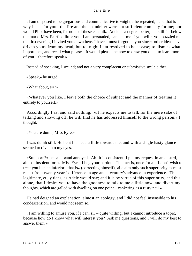«I am disposed to be gregarious and communicative to−night,» he repeated, «and that is why I sent for you: the fire and the chandelier were not sufficient company for me; nor would Pilot have been, for none of these can talk. Adele is a degree better, but still far below the mark; Mrs. Fairfax ditto; you, I am persuaded, can suit me if you will: you puzzled me the first evening I invited you down here. I have almost forgotten you since: other ideas have driven yours from my head; but to−night I am resolved to be at ease; to dismiss what importunes, and recall what pleases. It would please me now to draw you out – to learn more of you – therefore speak.»

Instead of speaking, I smiled; and not a very complacent or submissive smile either.

«Speak,» he urged.

«What about, sir?»

 «Whatever you like. I leave both the choice of subject and the manner of treating it entirely to yourself.»

 Accordingly I sat and said nothing: «If he expects me to talk for the mere sake of talking and showing off, he will find he has addressed himself to the wrong person,» I thought.

«You are dumb, Miss Eyre.»

 I was dumb still. He bent his head a little towards me, and with a single hasty glance seemed to dive into my eyes.

 «Stubborn?» he said, «and annoyed. Ah! it is consistent. I put my request in an absurd, almost insolent form. Miss Eyre, I beg your pardon. The fact is, once for all, I don't wish to treat you like an inferior: that is» (correcting himself), «I claim only such superiority as must result from twenty years' difference in age and a century's advance in experience. This is legitimate, et j'y tiens, as Adele would say; and it is by virtue of this superiority, and this alone, that I desire you to have the goodness to talk to me a little now, and divert my thoughts, which are galled with dwelling on one point – cankering as a rusty nail.»

 He had deigned an explanation, almost an apology, and I did not feel insensible to his condescension, and would not seem so.

 «I am willing to amuse you, if I can, sir – quite willing; but I cannot introduce a topic, because how do I know what will interest you? Ask me questions, and I will do my best to answer them.»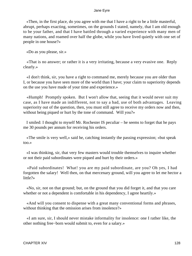«Then, in the first place, do you agree with me that I have a right to be a little masterful, abrupt, perhaps exacting, sometimes, on the grounds I stated, namely, that I am old enough to be your father, and that I have battled through a varied experience with many men of many nations, and roamed over half the globe, while you have lived quietly with one set of people in one house?»

«Do as you please, sir.»

 «That is no answer; or rather it is a very irritating, because a very evasive one. Reply clearly.»

 «I don't think, sir, you have a right to command me, merely because you are older than I, or because you have seen more of the world than I have; your claim to superiority depends on the use you have made of your time and experience.»

 «Humph! Promptly spoken. But I won't allow that, seeing that it would never suit my case, as I have made an indifferent, not to say a bad, use of both advantages. Leaving superiority out of the question, then, you must still agree to receive my orders now and then, without being piqued or hurt by the tone of command. Will you?»

 I smiled: I thought to myself Mr. Rochester IS peculiar – he seems to forget that he pays me 30 pounds per annum for receiving his orders.

 «The smile is very well,» said he, catching instantly the passing expression; «but speak too.»

 «I was thinking, sir, that very few masters would trouble themselves to inquire whether or not their paid subordinates were piqued and hurt by their orders.»

 «Paid subordinates! What! you are my paid subordinate, are you? Oh yes, I had forgotten the salary! Well then, on that mercenary ground, will you agree to let me hector a little?»

 «No, sir, not on that ground; but, on the ground that you did forget it, and that you care whether or not a dependent is comfortable in his dependency, I agree heartily.»

 «And will you consent to dispense with a great many conventional forms and phrases, without thinking that the omission arises from insolence?»

 «I am sure, sir, I should never mistake informality for insolence: one I rather like, the other nothing free−born would submit to, even for a salary.»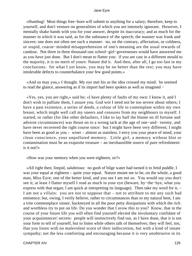«Humbug! Most things free−born will submit to anything for a salary; therefore, keep to yourself, and don't venture on generalities of which you are intensely ignorant. However, I mentally shake hands with you for your answer, despite its inaccuracy; and as much for the manner in which it was said, as for the substance of the speech; the manner was frank and sincere; one does not often see such a manner: no, on the contrary, affectation, or coldness, or stupid, coarse−minded misapprehension of one's meaning are the usual rewards of candour. Not three in three thousand raw school−girl−governesses would have answered me as you have just done. But I don't mean to flatter you: if you are cast in a different mould to the majority, it is no merit of yours: Nature did it. And then, after all, I go too fast in my conclusions: for what I yet know, you may be no better than the rest; you may have intolerable defects to counterbalance your few good points.»

 «And so may you,» I thought. My eye met his as the idea crossed my mind: he seemed to read the glance, answering as if its import had been spoken as well as imagined −

 «Yes, yes, you are right,» said he; «I have plenty of faults of my own: I know it, and I don't wish to palliate them, I assure you. God wot I need not be too severe about others; I have a past existence, a series of deeds, a colour of life to contemplate within my own breast, which might well call my sneers and censures from my neighbours to myself. I started, or rather (for like other defaulters, I like to lay half the blame on ill fortune and adverse circumstances) was thrust on to a wrong tack at the age of one−and− twenty, and have never recovered the right course since: but I might have been very different; I might have been as good as you – wiser – almost as stainless. I envy you your peace of mind, your clean conscience, your unpolluted memory. Little girl, a memory without blot or contamination must be an exquisite treasure – an inexhaustible source of pure refreshment: is it not?»

«How was your memory when you were eighteen, sir?»

 «All right then; limpid, salubrious: no gush of bilge water had turned it to fetid puddle. I was your equal at eighteen – quite your equal. Nature meant me to be, on the whole, a good man, Miss Eyre; one of the better kind, and you see I am not so. You would say you don't see it; at least I flatter myself I read as much in your eye (beware, by−the−bye, what you express with that organ; I am quick at interpreting its language). Then take my word for it, – I am not a villain: you are not to suppose that – not to attribute to me any such bad eminence; but, owing, I verily believe, rather to circumstances than to my natural bent, I am a trite commonplace sinner, hackneyed in all the poor petty dissipations with which the rich and worthless try to put on life. Do you wonder that I avow this to you? Know, that in the course of your future life you will often find yourself elected the involuntary confidant of your acquaintances' secrets: people will instinctively find out, as I have done, that it is not your forte to tell of yourself, but to listen while others talk of themselves; they will feel, too, that you listen with no malevolent scorn of their indiscretion, but with a kind of innate sympathy; not the less comforting and encouraging because it is very unobtrusive in its

CHAPTER XIV 129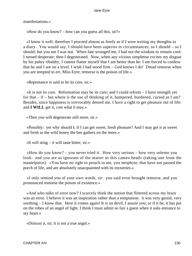manifestations.»

«How do you know? – how can you guess all this, sir?»

 «I know it well; therefore I proceed almost as freely as if I were writing my thoughts in a diary. You would say, I should have been superior to circumstances; so I should – so I should; but you see I was not. When fate wronged me, I had not the wisdom to remain cool: I turned desperate; then I degenerated. Now, when any vicious simpleton excites my disgust by his paltry ribaldry, I cannot flatter myself that I am better than he: I am forced to confess that he and I are on a level. I wish I had stood firm – God knows I do! Dread remorse when you are tempted to err, Miss Eyre; remorse is the poison of life.»

«Repentance is said to be its cure, sir.»

 «It is not its cure. Reformation may be its cure; and I could reform – I have strength yet for that – if – but where is the use of thinking of it, hampered, burdened, cursed as I am? Besides, since happiness is irrevocably denied me, I have a right to get pleasure out of life: and **I WILL** get it, cost what it may.»

«Then you will degenerate still more, sir.»

 «Possibly: yet why should I, if I can get sweet, fresh pleasure? And I may get it as sweet and fresh as the wild honey the bee gathers on the moor.»

«It will sting – it will taste bitter, sir.»

 «How do you know? – you never tried it. How very serious – how very solemn you look: and you are as ignorant of the matter as this cameo head» (taking one from the mantelpiece). «You have no right to preach to me, you neophyte, that have not passed the porch of life, and are absolutely unacquainted with its mysteries.»

 «I only remind you of your own words, sir: you said error brought remorse, and you pronounced remorse the poison of existence.»

 «And who talks of error now? I scarcely think the notion that flittered across my brain was an error. I believe it was an inspiration rather than a temptation: it was very genial, very soothing – I know that. Here it comes again! It is no devil, I assure you; or if it be, it has put on the robes of an angel of light. I think I must admit so fair a guest when it asks entrance to my heart.»

«Distrust it, sir; it is not a true angel.»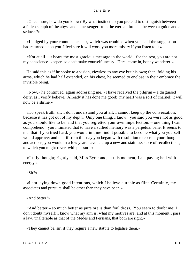«Once more, how do you know? By what instinct do you pretend to distinguish between a fallen seraph of the abyss and a messenger from the eternal throne – between a guide and a seducer?»

 «I judged by your countenance, sir, which was troubled when you said the suggestion had returned upon you. I feel sure it will work you more misery if you listen to it.»

 «Not at all – it bears the most gracious message in the world: for the rest, you are not my conscience−keeper, so don't make yourself uneasy. Here, come in, bonny wanderer!»

 He said this as if he spoke to a vision, viewless to any eye but his own; then, folding his arms, which he had half extended, on his chest, he seemed to enclose in their embrace the invisible being.

 «Now,» he continued, again addressing me, «I have received the pilgrim – a disguised deity, as I verify believe. Already it has done me good: my heart was a sort of charnel; it will now be a shrine.»

 «To speak truth, sir, I don't understand you at all: I cannot keep up the conversation, because it has got out of my depth. Only one thing, I know: you said you were not as good as you should like to be, and that you regretted your own imperfection; – one thing I can comprehend: you intimated that to have a sullied memory was a perpetual bane. It seems to me, that if you tried hard, you would in time find it possible to become what you yourself would approve; and that if from this day you began with resolution to correct your thoughts and actions, you would in a few years have laid up a new and stainless store of recollections, to which you might revert with pleasure.»

 «Justly thought; rightly said, Miss Eyre; and, at this moment, I am paving hell with energy.»

## «Sir?»

 «I am laying down good intentions, which I believe durable as flint. Certainly, my associates and pursuits shall be other than they have been.»

«And better?»

 «And better – so much better as pure ore is than foul dross. You seem to doubt me; I don't doubt myself: I know what my aim is, what my motives are; and at this moment I pass a law, unalterable as that of the Medes and Persians, that both are right.»

«They cannot be, sir, if they require a new statute to legalise them.»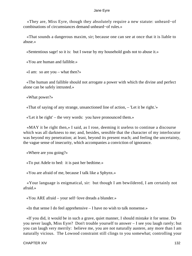«They are, Miss Eyre, though they absolutely require a new statute: unheard−of combinations of circumstances demand unheard−of rules.»

 «That sounds a dangerous maxim, sir; because one can see at once that it is liable to abuse.»

«Sententious sage! so it is: but I swear by my household gods not to abuse it.»

«You are human and fallible.»

«I am: so are you – what then?»

 «The human and fallible should not arrogate a power with which the divine and perfect alone can be safely intrusted.»

«What power?»

«That of saying of any strange, unsanctioned line of action, – 'Let it be right.'»

«'Let it be right' – the very words: you have pronounced them.»

 «MAY it be right then,» I said, as I rose, deeming it useless to continue a discourse which was all darkness to me; and, besides, sensible that the character of my interlocutor was beyond my penetration; at least, beyond its present reach; and feeling the uncertainty, the vague sense of insecurity, which accompanies a conviction of ignorance.

«Where are you going?»

«To put Adele to bed: it is past her bedtime.»

«You are afraid of me, because I talk like a Sphynx.»

 «Your language is enigmatical, sir: but though I am bewildered, I am certainly not afraid.»

«You ARE afraid – your self−love dreads a blunder.»

«In that sense I do feel apprehensive – I have no wish to talk nonsense.»

 «If you did, it would be in such a grave, quiet manner, I should mistake it for sense. Do you never laugh, Miss Eyre? Don't trouble yourself to answer – I see you laugh rarely; but you can laugh very merrily: believe me, you are not naturally austere, any more than I am naturally vicious. The Lowood constraint still clings to you somewhat; controlling your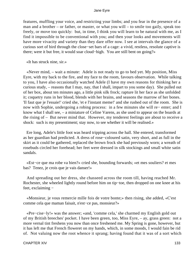features, muffling your voice, and restricting your limbs; and you fear in the presence of a man and a brother – or father, or master, or what you will – to smile too gaily, speak too freely, or move too quickly: but, in time, I think you will learn to be natural with me, as I find it impossible to be conventional with you; and then your looks and movements will have more vivacity and variety than they dare offer now. I see at intervals the glance of a curious sort of bird through the close−set bars of a cage: a vivid, restless, resolute captive is there; were it but free, it would soar cloud−high. You are still bent on going?»

«It has struck nine, sir.»

 «Never mind, – wait a minute: Adele is not ready to go to bed yet. My position, Miss Eyre, with my back to the fire, and my face to the room, favours observation. While talking to you, I have also occasionally watched Adele (I have my own reasons for thinking her a curious study, – reasons that I may, nay, that I shall, impart to you some day). She pulled out of her box, about ten minutes ago, a little pink silk frock; rapture lit her face as she unfolded it; coquetry runs in her blood, blends with her brains, and seasons the marrow of her bones. 'Il faut que je l'essaie!' cried she, 'et e l'instant meme!' and she rushed out of the room. She is now with Sophie, undergoing a robing process: in a few minutes she will re− enter; and I know what I shall see, – a miniature of Celine Varens, as she used to appear on the boards at the rising of – But never mind that. However, my tenderest feelings are about to receive a shock: such is my presentiment; stay now, to see whether it will be realised.»

 Ere long, Adele's little foot was heard tripping across the hall. She entered, transformed as her guardian had predicted. A dress of rose−coloured satin, very short, and as full in the skirt as it could be gathered, replaced the brown frock she had previously worn; a wreath of rosebuds circled her forehead; her feet were dressed in silk stockings and small white satin sandals.

 «Est−ce que ma robe va bien?» cried she, bounding forwards; «et mes souliers? et mes bas? Tenez, je crois que je vais danser!»

 And spreading out her dress, she chasseed across the room till, having reached Mr. Rochester, she wheeled lightly round before him on tip−toe, then dropped on one knee at his feet, exclaiming −

 «Monsieur, je vous remercie mille fois de votre bonte;» then rising, she added, «C'est comme cela que maman faisait, n'est−ce pas, monsieur?»

 «Pre−cise−ly!» was the answer; «and, 'comme cela,' she charmed my English gold out of my British breeches' pocket. I have been green, too, Miss Eyre, – ay, grass green: not a more vernal tint freshens you now than once freshened me. My Spring is gone, however, but it has left me that French floweret on my hands, which, in some moods, I would fain be rid of. Not valuing now the root whence it sprang; having found that it was of a sort which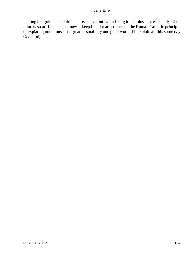nothing but gold dust could manure, I have but half a liking to the blossom, especially when it looks so artificial as just now. I keep it and rear it rather on the Roman Catholic principle of expiating numerous sins, great or small, by one good work. I'll explain all this some day. Good− night.»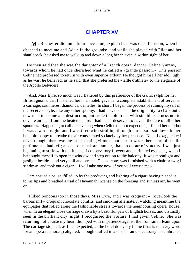## **[CHAPTER XV](#page-434-0)**

*M*r. Rochester did, on a future occasion, explain it. It was one afternoon, when he chanced to meet me and Adele in the grounds: and while she played with Pilot and her shuttlecock, he asked me to walk up and down a long beech avenue within sight of her.

 He then said that she was the daughter of a French opera−dancer, Celine Varens, towards whom he had once cherished what he called a «grande passion.» This passion Celine had professed to return with even superior ardour. He thought himself her idol, ugly as he was: he believed, as he said, that she preferred his «taille d'athlete» to the elegance of the Apollo Belvidere.

 «And, Miss Eyre, so much was I flattered by this preference of the Gallic sylph for her British gnome, that I installed her in an hotel; gave her a complete establishment of servants, a carriage, cashmeres, diamonds, dentelles, In short, I began the process of ruining myself in the received style, like any other spoony. I had not, it seems, the originality to chalk out a new road to shame and destruction, but trode the old track with stupid exactness not to deviate an inch from the beaten centre. I had – as I deserved to have – the fate of all other spoonies. Happening to call one evening when Celine did not expect me, I found her out; but it was a warm night, and I was tired with strolling through Paris, so I sat down in her boudoir; happy to breathe the air consecrated so lately by her presence. No, – I exaggerate; I never thought there was any consecrating virtue about her: it was rather a sort of pastille perfume she had left; a scent of musk and amber, than an odour of sanctity. I was just beginning to stifle with the fumes of conservatory flowers and sprinkled essences, when I bethought myself to open the window and step out on to the balcony. It was moonlight and gaslight besides, and very still and serene. The balcony was furnished with a chair or two; I sat down, and took out a cigar, – I will take one now, if you will excuse me.»

 Here ensued a pause, filled up by the producing and lighting of a cigar; having placed it to his lips and breathed a trail of Havannah incense on the freezing and sunless air, he went on −

 "I liked bonbons too in those days, Miss Eyre, and I was croquant – (overlook the barbarism) – croquant chocolate comfits, and smoking alternately, watching meantime the equipages that rolled along the fashionable streets towards the neighbouring opera−house, when in an elegant close carriage drawn by a beautiful pair of English horses, and distinctly seen in the brilliant city−night, I recognised the 'voiture' I had given Celine. She was returning: of course my heart thumped with impatience against the iron rails I leant upon. The carriage stopped, as I had expected, at the hotel door; my flame (that is the very word for an opera inamorata) alighted: though muffed in a cloak – an unnecessary encumbrance,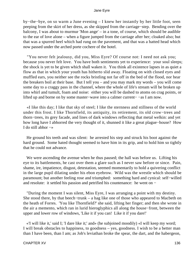by−the−bye, on so warm a June evening – I knew her instantly by her little foot, seen peeping from the skirt of her dress, as she skipped from the carriage−step. Bending over the balcony, I was about to murmur 'Mon ange' – in a tone, of course, which should be audible to the ear of love alone – when a figure jumped from the carriage after her; cloaked also; but that was a spurred heel which had rung on the pavement, and that was a hatted head which now passed under the arched porte cochere of the hotel.

 "You never felt jealousy, did you, Miss Eyre? Of course not: I need not ask you; because you never felt love. You have both sentiments yet to experience: your soul sleeps; the shock is yet to be given which shall waken it. You think all existence lapses in as quiet a flow as that in which your youth has hitherto slid away. Floating on with closed eyes and muffled ears, you neither see the rocks bristling not far off in the bed of the flood, nor hear the breakers boil at their base. But I tell you – and you may mark my words – you will come some day to a craggy pass in the channel, where the whole of life's stream will be broken up into whirl and tumult, foam and noise: either you will be dashed to atoms on crag points, or lifted up and borne on by some master−wave into a calmer current− −as I am now.

 «I like this day; I like that sky of steel; I like the sternness and stillness of the world under this frost. I like Thornfield, its antiquity, its retirement, its old crow−trees and thorn−trees, its grey facade, and lines of dark windows reflecting that metal welkin: and yet how long have I abhorred the very thought of it, shunned it like a great plague−house? How I do still abhor −»

 He ground his teeth and was silent: he arrested his step and struck his boot against the hard ground. Some hated thought seemed to have him in its grip, and to hold him so tightly that he could not advance.

 We were ascending the avenue when he thus paused; the hall was before us. Lifting his eye to its battlements, he cast over them a glare such as I never saw before or since. Pain, shame, ire, impatience, disgust, detestation, seemed momentarily to hold a quivering conflict in the large pupil dilating under his ebon eyebrow. Wild was the wrestle which should be paramount; but another feeling rose and triumphed: something hard and cynical: self−willed and resolute: it settled his passion and petrified his countenance: he went on −

 "During the moment I was silent, Miss Eyre, I was arranging a point with my destiny. She stood there, by that beech−trunk – a hag like one of those who appeared to Macbeth on the heath of Forres. 'You like Thornfield?' she said, lifting her finger; and then she wrote in the air a memento, which ran in lurid hieroglyphics all along the house−front, between the upper and lower row of windows, 'Like it if you can! Like it if you dare!'

 «'I will like it,' said I; 'I dare like it;' and» (he subjoined moodily) «I will keep my word; I will break obstacles to happiness, to goodness – yes, goodness. I wish to be a better man than I have been, than I am; as Job's leviathan broke the spear, the dart, and the habergeon,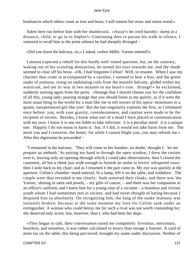hindrances which others count as iron and brass, I will esteem but straw and rotten wood.»

 Adele here ran before him with her shuttlecock. «Away!» he cried harshly; «keep at a distance, child; or go in to Sophie!» Continuing then to pursue his walk in silence, I ventured to recall him to the point whence he had abruptly diverged −

«Did you leave the balcony, sir,» I asked, «when Mdlle. Varens entered?»

 I almost expected a rebuff for this hardly well−timed question, but, on the contrary, waking out of his scowling abstraction, he turned his eyes towards me, and the shade seemed to clear off his brow. «Oh, I had forgotten Celine! Well, to resume. When I saw my charmer thus come in accompanied by a cavalier, I seemed to hear a hiss, and the green snake of jealousy, rising on undulating coils from the moonlit balcony, glided within my waistcoat, and ate its way in two minutes to my heart's core. Strange!» he exclaimed, suddenly starting again from the point. «Strange that I should choose you for the confidant of all this, young lady; passing strange that you should listen to me quietly, as if it were the most usual thing in the world for a man like me to tell stories of his opera−mistresses to a quaint, inexperienced girl like you! But the last singularity explains the first, as I intimated once before: you, with your gravity, considerateness, and caution were made to be the recipient of secrets. Besides, I know what sort of a mind I have placed in communication with my own: I know it is one not liable to take infection: it is a peculiar mind: it is a unique one. Happily I do not mean to harm it: but, if I did, it would not take harm from me. The more you and I converse, the better; for while I cannot blight you, you may refresh me.» After this digression he proceeded −

 "I remained in the balcony. 'They will come to her boudoir, no doubt,' thought I: 'let me prepare an ambush.' So putting my hand in through the open window, I drew the curtain over it, leaving only an opening through which I could take observations; then I closed the casement, all but a chink just wide enough to furnish an outlet to lovers' whispered vows: then I stole back to my chair; and as I resumed it the pair came in. My eye was quickly at the aperture. Celine's chamber−maid entered, lit a lamp, left it on the table, and withdrew. The couple were thus revealed to me clearly: both removed their cloaks, and there was 'the Varens,' shining in satin and jewels, – my gifts of course, – and there was her companion in an officer's uniform; and I knew him for a young roue of a vicomte – a brainless and vicious youth whom I had sometimes met in society, and had never thought of hating because I despised him so absolutely. On recognising him, the fang of the snake Jealousy was instantly broken; because at the same moment my love for Celine sank under an extinguisher. A woman who could betray me for such a rival was not worth contending for; she deserved only scorn; less, however, than I, who had been her dupe.

 «They began to talk; their conversation eased me completely: frivolous, mercenary, heartless, and senseless, it was rather calculated to weary than enrage a listener. A card of mine lay on the table; this being perceived, brought my name under discussion. Neither of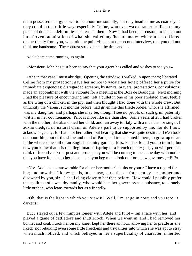them possessed energy or wit to belabour me soundly, but they insulted me as coarsely as they could in their little way: especially Celine, who even waxed rather brilliant on my personal defects – deformities she termed them. Now it had been her custom to launch out into fervent admiration of what she called my 'beaute male:' wherein she differed diametrically from you, who told me point−blank, at the second interview, that you did not think me handsome. The contrast struck me at the time and  $\rightarrow \infty$ 

Adele here came running up again.

«Monsieur, John has just been to say that your agent has called and wishes to see you.»

 «Ah! in that case I must abridge. Opening the window, I walked in upon them; liberated Celine from my protection; gave her notice to vacate her hotel; offered her a purse for immediate exigencies; disregarded screams, hysterics, prayers, protestations, convulsions; made an appointment with the vicomte for a meeting at the Bois de Boulogne. Next morning I had the pleasure of encountering him; left a bullet in one of his poor etiolated arms, feeble as the wing of a chicken in the pip, and then thought I had done with the whole crew. But unluckily the Varens, six months before, had given me this filette Adele, who, she affirmed, was my daughter; and perhaps she may be, though I see no proofs of such grim paternity written in her countenance: Pilot is more like me than she. Some years after I had broken with the mother, she abandoned her child, and ran away to Italy with a musician or singer. I acknowledged no natural claim on Adele's part to be supported by me, nor do I now acknowledge any, for I am not her father; but hearing that she was quite destitute, I e'en took the poor thing out of the slime and mud of Paris, and transplanted it here, to grow up clean in the wholesome soil of an English country garden. Mrs. Fairfax found you to train it; but now you know that it is the illegitimate offspring of a French opera− girl, you will perhaps think differently of your post and protegee: you will be coming to me some day with notice that you have found another place – that you beg me to look out for a new governess, −Eh?»

 «No: Adele is not answerable for either her mother's faults or yours: I have a regard for her; and now that I know she is, in a sense, parentless – forsaken by her mother and disowned by you, sir – I shall cling closer to her than before. How could I possibly prefer the spoilt pet of a wealthy family, who would hate her governess as a nuisance, to a lonely little orphan, who leans towards her as a friend?»

 «Oh, that is the light in which you view it! Well, I must go in now; and you too: it darkens.»

 But I stayed out a few minutes longer with Adele and Pilot – ran a race with her, and played a game of battledore and shuttlecock. When we went in, and I had removed her bonnet and coat, I took her on my knee; kept her there an hour, allowing her to prattle as she liked: not rebuking even some little freedoms and trivialities into which she was apt to stray when much noticed, and which betrayed in her a superficiality of character, inherited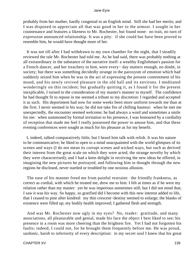probably from her mother, hardly congenial to an English mind. Still she had her merits; and I was disposed to appreciate all that was good in her to the utmost. I sought in her countenance and features a likeness to Mr. Rochester, but found none: no trait, no turn of expression announced relationship. It was a pity: if she could but have been proved to resemble him, he would have thought more of her.

 It was not till after I had withdrawn to my own chamber for the night, that I steadily reviewed the tale Mr. Rochester had told me. As he had said, there was probably nothing at all extraordinary in the substance of the narrative itself: a wealthy Englishman's passion for a French dancer, and her treachery to him, were every− day matters enough, no doubt, in society; but there was something decidedly strange in the paroxysm of emotion which had suddenly seized him when he was in the act of expressing the present contentment of his mood, and his newly revived pleasure in the old hall and its environs. I meditated wonderingly on this incident; but gradually quitting it, as I found it for the present inexplicable, I turned to the consideration of my master's manner to myself. The confidence he had thought fit to repose in me seemed a tribute to my discretion: I regarded and accepted it as such. His deportment had now for some weeks been more uniform towards me than at the first. I never seemed in his way; he did not take fits of chilling hauteur: when he met me unexpectedly, the encounter seemed welcome; he had always a word and sometimes a smile for me: when summoned by formal invitation to his presence, I was honoured by a cordiality of reception that made me feel I really possessed the power to amuse him, and that these evening conferences were sought as much for his pleasure as for my benefit.

 I, indeed, talked comparatively little, but I heard him talk with relish. It was his nature to be communicative; he liked to open to a mind unacquainted with the world glimpses of its scenes and ways (I do not mean its corrupt scenes and wicked ways, but such as derived their interest from the great scale on which they were acted, the strange novelty by which they were characterised); and I had a keen delight in receiving the new ideas he offered, in imagining the new pictures he portrayed, and following him in thought through the new regions he disclosed, never startled or troubled by one noxious allusion.

 The ease of his manner freed me from painful restraint: the friendly frankness, as correct as cordial, with which he treated me, drew me to him. I felt at times as if he were my relation rather than my master: yet he was imperious sometimes still; but I did not mind that; I saw it was his way. So happy, so gratified did I become with this new interest added to life, that I ceased to pine after kindred: my thin crescent−destiny seemed to enlarge; the blanks of existence were filled up; my bodily health improved; I gathered flesh and strength.

 And was Mr. Rochester now ugly in my eyes? No, reader: gratitude, and many associations, all pleasurable and genial, made his face the object I best liked to see; his presence in a room was more cheering than the brightest fire. Yet I had not forgotten his faults; indeed, I could not, for he brought them frequently before me. He was proud, sardonic, harsh to inferiority of every description: in my secret soul I knew that his great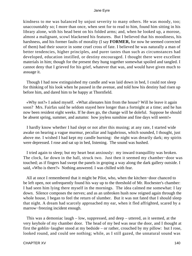kindness to me was balanced by unjust severity to many others. He was moody, too; unaccountably so; I more than once, when sent for to read to him, found him sitting in his library alone, with his head bent on his folded arms; and, when he looked up, a morose, almost a malignant, scowl blackened his features. But I believed that his moodiness, his harshness, and his former faults of morality (I say **FORMER,** for now he seemed corrected of them) had their source in some cruel cross of fate. I believed he was naturally a man of better tendencies, higher principles, and purer tastes than such as circumstances had developed, education instilled, or destiny encouraged. I thought there were excellent materials in him; though for the present they hung together somewhat spoiled and tangled. I cannot deny that I grieved for his grief, whatever that was, and would have given much to assuage it.

 Though I had now extinguished my candle and was laid down in bed, I could not sleep for thinking of his look when he paused in the avenue, and told how his destiny had risen up before him, and dared him to be happy at Thornfield.

 «Why not?» I asked myself. «What alienates him from the house? Will he leave it again soon? Mrs. Fairfax said he seldom stayed here longer than a fortnight at a time; and he has now been resident eight weeks. If he does go, the change will be doleful. Suppose he should be absent spring, summer, and autumn: how joyless sunshine and fine days will seem!»

 I hardly know whether I had slept or not after this musing; at any rate, I started wide awake on hearing a vague murmur, peculiar and lugubrious, which sounded, I thought, just above me. I wished I had kept my candle burning: the night was drearily dark; my spirits were depressed. I rose and sat up in bed, listening. The sound was hushed.

 I tried again to sleep; but my heart beat anxiously: my inward tranquillity was broken. The clock, far down in the hall, struck two. Just then it seemed my chamber−door was touched; as if fingers had swept the panels in groping a way along the dark gallery outside. I said, «Who is there?» Nothing answered. I was chilled with fear.

 All at once I remembered that it might be Pilot, who, when the kitchen−door chanced to be left open, not unfrequently found his way up to the threshold of Mr. Rochester's chamber: I had seen him lying there myself in the mornings. The idea calmed me somewhat: I lay down. Silence composes the nerves; and as an unbroken hush now reigned again through the whole house, I began to feel the return of slumber. But it was not fated that I should sleep that night. A dream had scarcely approached my ear, when it fled affrighted, scared by a marrow−freezing incident enough.

 This was a demoniac laugh – low, suppressed, and deep – uttered, as it seemed, at the very keyhole of my chamber door. The head of my bed was near the door, and I thought at first the goblin−laugher stood at my bedside – or rather, crouched by my pillow: but I rose, looked round, and could see nothing; while, as I still gazed, the unnatural sound was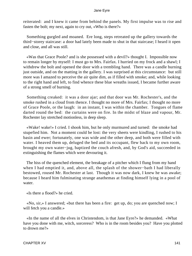reiterated: and I knew it came from behind the panels. My first impulse was to rise and fasten the bolt; my next, again to cry out, «Who is there?»

 Something gurgled and moaned. Ere long, steps retreated up the gallery towards the third−storey staircase: a door had lately been made to shut in that staircase; I heard it open and close, and all was still.

 «Was that Grace Poole? and is she possessed with a devil?» thought I. Impossible now to remain longer by myself: I must go to Mrs. Fairfax. I hurried on my frock and a shawl; I withdrew the bolt and opened the door with a trembling hand. There was a candle burning just outside, and on the matting in the gallery. I was surprised at this circumstance: but still more was I amazed to perceive the air quite dim, as if filled with smoke; and, while looking to the right hand and left, to find whence these blue wreaths issued, I became further aware of a strong smell of burning.

 Something creaked: it was a door ajar; and that door was Mr. Rochester's, and the smoke rushed in a cloud from thence. I thought no more of Mrs. Fairfax; I thought no more of Grace Poole, or the laugh: in an instant, I was within the chamber. Tongues of flame darted round the bed: the curtains were on fire. In the midst of blaze and vapour, Mr. Rochester lay stretched motionless, in deep sleep.

 «Wake! wake!» I cried. I shook him, but he only murmured and turned: the smoke had stupefied him. Not a moment could be lost: the very sheets were kindling, I rushed to his basin and ewer; fortunately, one was wide and the other deep, and both were filled with water. I heaved them up, deluged the bed and its occupant, flew back to my own room, brought my own water−jug, baptized the couch afresh, and, by God's aid, succeeded in extinguishing the flames which were devouring it.

 The hiss of the quenched element, the breakage of a pitcher which I flung from my hand when I had emptied it, and, above all, the splash of the shower−bath I had liberally bestowed, roused Mr. Rochester at last. Though it was now dark, I knew he was awake; because I heard him fulminating strange anathemas at finding himself lying in a pool of water.

«Is there a flood?» he cried.

 «No, sir,» I answered; «but there has been a fire: get up, do; you are quenched now; I will fetch you a candle.»

 «In the name of all the elves in Christendom, is that Jane Eyre?» he demanded. «What have you done with me, witch, sorceress? Who is in the room besides you? Have you plotted to drown me?»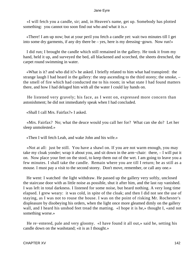«I will fetch you a candle, sir; and, in Heaven's name, get up. Somebody has plotted something: you cannot too soon find out who and what it is.»

 «There! I am up now; but at your peril you fetch a candle yet: wait two minutes till I get into some dry garments, if any dry there be – yes, here is my dressing−gown. Now run!»

 I did run; I brought the candle which still remained in the gallery. He took it from my hand, held it up, and surveyed the bed, all blackened and scorched, the sheets drenched, the carpet round swimming in water.

 «What is it? and who did it?» he asked. I briefly related to him what had transpired: the strange laugh I had heard in the gallery: the step ascending to the third storey; the smoke, – the smell of fire which had conducted me to his room; in what state I had found matters there, and how I had deluged him with all the water I could lay hands on.

 He listened very gravely; his face, as I went on, expressed more concern than astonishment; he did not immediately speak when I had concluded.

«Shall I call Mrs. Fairfax?» I asked.

 «Mrs. Fairfax? No; what the deuce would you call her for? What can she do? Let her sleep unmolested.»

«Then I will fetch Leah, and wake John and his wife.»

 «Not at all: just be still. You have a shawl on. If you are not warm enough, you may take my cloak yonder; wrap it about you, and sit down in the arm−chair: there, – I will put it on. Now place your feet on the stool, to keep them out of the wet. I am going to leave you a few minutes. I shall take the candle. Remain where you are till I return; be as still as a mouse. I must pay a visit to the second storey. Don't move, remember, or call any one.»

 He went: I watched the light withdraw. He passed up the gallery very softly, unclosed the staircase door with as little noise as possible, shut it after him, and the last ray vanished. I was left in total darkness. I listened for some noise, but heard nothing. A very long time elapsed. I grew weary: it was cold, in spite of the cloak; and then I did not see the use of staying, as I was not to rouse the house. I was on the point of risking Mr. Rochester's displeasure by disobeying his orders, when the light once more gleamed dimly on the gallery wall, and I heard his unshod feet tread the matting. «I hope it is he,» thought I, «and not something worse.»

 He re−entered, pale and very gloomy. «I have found it all out,» said he, setting his candle down on the washstand; «it is as I thought.»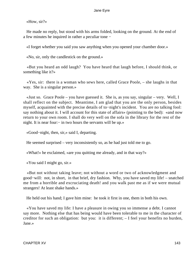«How, sir?»

 He made no reply, but stood with his arms folded, looking on the ground. At the end of a few minutes he inquired in rather a peculiar tone −

«I forget whether you said you saw anything when you opened your chamber door.»

«No, sir, only the candlestick on the ground.»

 «But you heard an odd laugh? You have heard that laugh before, I should think, or something like it?»

 «Yes, sir: there is a woman who sews here, called Grace Poole, – she laughs in that way. She is a singular person.»

 «Just so. Grace Poole – you have guessed it. She is, as you say, singular – very. Well, I shall reflect on the subject. Meantime, I am glad that you are the only person, besides myself, acquainted with the precise details of to−night's incident. You are no talking fool: say nothing about it. I will account for this state of affairs» (pointing to the bed): «and now return to your own room. I shall do very well on the sofa in the library for the rest of the night. It is near four:− in two hours the servants will be up.»

«Good−night, then, sir,» said I, departing.

He seemed surprised – very inconsistently so, as he had just told me to go.

«What!» he exclaimed, «are you quitting me already, and in that way?»

«You said I might go, sir.»

 «But not without taking leave; not without a word or two of acknowledgment and good−will: not, in short, in that brief, dry fashion. Why, you have saved my life! – snatched me from a horrible and excruciating death! and you walk past me as if we were mutual strangers! At least shake hands.»

He held out his hand; I gave him mine: he took it first in one, them in both his own.

 «You have saved my life: I have a pleasure in owing you so immense a debt. I cannot say more. Nothing else that has being would have been tolerable to me in the character of creditor for such an obligation: but you: it is different; – I feel your benefits no burden, Jane.»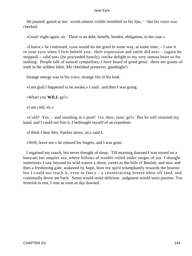He paused; gazed at me: words almost visible trembled on his lips, — −but his voice was checked.

«Good−night again, sir. There is no debt, benefit, burden, obligation, in the case.»

 «I knew,» he continued, «you would do me good in some way, at some time; – I saw it in your eyes when I first beheld you: their expression and smile did not» – (again he stopped) – «did not» (he proceeded hastily) «strike delight to my very inmost heart so for nothing. People talk of natural sympathies; I have heard of good genii: there are grains of truth in the wildest fable. My cherished preserver, goodnight!»

Strange energy was in his voice, strange fire in his look.

«I am glad I happened to be awake,» I said: and then I was going.

«What! you **WILL** go?»

«I am cold, sir.»

 «Cold? Yes, – and standing in a pool! Go, then, Jane; go!» But he still retained my hand, and I could not free it. I bethought myself of an expedient.

«I think I hear Mrs. Fairfax move, sir,» said I.

«Well, leave me:» he relaxed his fingers, and I was gone.

 I regained my couch, but never thought of sleep. Till morning dawned I was tossed on a buoyant but unquiet sea, where billows of trouble rolled under surges of joy. I thought sometimes I saw beyond its wild waters a shore, sweet as the hills of Beulah; and now and then a freshening gale, wakened by hope, bore my spirit triumphantly towards the bourne: but I could not reach it, even in fancy – a counteracting breeze blew off land, and continually drove me back. Sense would resist delirium: judgment would warn passion. Too feverish to rest, I rose as soon as day dawned.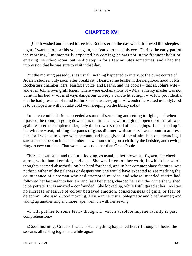## **[CHAPTER XVI](#page-434-0)**

*I* both wished and feared to see Mr. Rochester on the day which followed this sleepless night: I wanted to hear his voice again, yet feared to meet his eye. During the early part of the morning, I momentarily expected his coming; he was not in the frequent habit of entering the schoolroom, but he did step in for a few minutes sometimes, and I had the impression that he was sure to visit it that day.

 But the morning passed just as usual: nothing happened to interrupt the quiet course of Adele's studies; only soon after breakfast, I heard some bustle in the neighbourhood of Mr. Rochester's chamber, Mrs. Fairfax's voice, and Leah's, and the cook's – that is, John's wife – and even John's own gruff tones. There were exclamations of «What a mercy master was not burnt in his bed!» «It is always dangerous to keep a candle lit at night.» «How providential that he had presence of mind to think of the water−jug!» «I wonder he waked nobody!» «It is to be hoped he will not take cold with sleeping on the library sofa,»

 To much confabulation succeeded a sound of scrubbing and setting to rights; and when I passed the room, in going downstairs to dinner, I saw through the open door that all was again restored to complete order; only the bed was stripped of its hangings. Leah stood up in the window−seat, rubbing the panes of glass dimmed with smoke. I was about to address her, for I wished to know what account had been given of the affair: but, on advancing, I saw a second person in the chamber – a woman sitting on a chair by the bedside, and sewing rings to new curtains. That woman was no other than Grace Poole.

 There she sat, staid and taciturn−looking, as usual, in her brown stuff gown, her check apron, white handkerchief, and cap. She was intent on her work, in which her whole thoughts seemed absorbed: on her hard forehead, and in her commonplace features, was nothing either of the paleness or desperation one would have expected to see marking the countenance of a woman who had attempted murder, and whose intended victim had followed her last night to her lair, and (as I believed), charged her with the crime she wished to perpetrate. I was amazed – confounded. She looked up, while I still gazed at her: no start, no increase or failure of colour betrayed emotion, consciousness of guilt, or fear of detection. She said «Good morning, Miss,» in her usual phlegmatic and brief manner; and taking up another ring and more tape, went on with her sewing.

 «I will put her to some test,» thought I: «such absolute impenetrability is past comprehension.»

 «Good morning, Grace,» I said. «Has anything happened here? I thought I heard the servants all talking together a while ago.»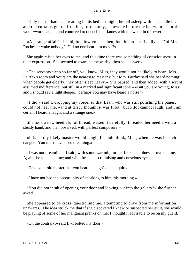"Only master had been reading in his bed last night; he fell asleep with his candle lit, and the curtains got on fire; but, fortunately, he awoke before the bed−clothes or the wood−work caught, and contrived to quench the flames with the water in the ewer.

 «A strange affair!» I said, in a low voice: then, looking at her fixedly – «Did Mr. Rochester wake nobody? Did no one hear him move?»

 She again raised her eyes to me, and this time there was something of consciousness in their expression. She seemed to examine me warily; then she answered −

 «The servants sleep so far off, you know, Miss, they would not be likely to hear. Mrs. Fairfax's room and yours are the nearest to master's; but Mrs. Fairfax said she heard nothing: when people get elderly, they often sleep heavy.» She paused, and then added, with a sort of assumed indifference, but still in a marked and significant tone – «But you are young, Miss; and I should say a light sleeper: perhaps you may have heard a noise?»

 «I did,» said I, dropping my voice, so that Leah, who was still polishing the panes, could not hear me, «and at first I thought it was Pilot: but Pilot cannot laugh; and I am certain I heard a laugh, and a strange one.»

 She took a new needleful of thread, waxed it carefully, threaded her needle with a steady hand, and then observed, with perfect composure −

 «It is hardly likely master would laugh, I should think, Miss, when he was in such danger: You must have been dreaming.»

 «I was not dreaming,» I said, with some warmth, for her brazen coolness provoked me. Again she looked at me; and with the same scrutinising and conscious eye.

«Have you told master that you heard a laugh?» she inquired.

«I have not had the opportunity of speaking to him this morning.»

 «You did not think of opening your door and looking out into the gallery?» she further asked.

 She appeared to be cross−questioning me, attempting to draw from me information unawares. The idea struck me that if she discovered I knew or suspected her guilt, she would be playing of some of her malignant pranks on me; I thought it advisable to be on my guard.

«On the contrary,» said I, «I bolted my door.»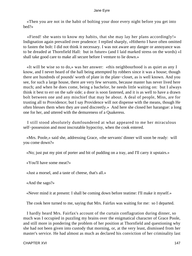«Then you are not in the habit of bolting your door every night before you get into bed?»

 «Fiend! she wants to know my habits, that she may lay her plans accordingly!» Indignation again prevailed over prudence: I replied sharply, «Hitherto I have often omitted to fasten the bolt: I did not think it necessary. I was not aware any danger or annoyance was to be dreaded at Thornfield Hall: but in future» (and I laid marked stress on the words) «I shall take good care to make all secure before I venture to lie down.»

 «It will be wise so to do,» was her answer: «this neighbourhood is as quiet as any I know, and I never heard of the hall being attempted by robbers since it was a house; though there are hundreds of pounds' worth of plate in the plate−closet, as is well known. And you see, for such a large house, there are very few servants, because master has never lived here much; and when he does come, being a bachelor, he needs little waiting on: but I always think it best to err on the safe side; a door is soon fastened, and it is as well to have a drawn bolt between one and any mischief that may be about. A deal of people, Miss, are for trusting all to Providence; but I say Providence will not dispense with the means, though He often blesses them when they are used discreetly.» And here she closed her harangue: a long one for her, and uttered with the demureness of a Quakeress.

 I still stood absolutely dumfoundered at what appeared to me her miraculous self–possession and most inscrutable hypocrisy, when the cook entered.

 «Mrs. Poole,» said she, addressing Grace, «the servants' dinner will soon be ready: will you come down?»

«No; just put my pint of porter and bit of pudding on a tray, and I'll carry it upstairs.»

«You'll have some meat?»

«Just a morsel, and a taste of cheese, that's all.»

«And the sago?»

«Never mind it at present: I shall be coming down before teatime: I'll make it myself.»

The cook here turned to me, saying that Mrs. Fairfax was waiting for me: so I departed.

 I hardly heard Mrs. Fairfax's account of the curtain conflagration during dinner, so much was I occupied in puzzling my brains over the enigmatical character of Grace Poole, and still more in pondering the problem of her position at Thornfield and questioning why she had not been given into custody that morning, or, at the very least, dismissed from her master's service. He had almost as much as declared his conviction of her criminality last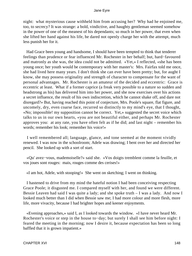night: what mysterious cause withheld him from accusing her? Why had he enjoined me, too, to secrecy? It was strange: a bold, vindictive, and haughty gentleman seemed somehow in the power of one of the meanest of his dependants; so much in her power, that even when she lifted her hand against his life, he dared not openly charge her with the attempt, much less punish her for it.

 Had Grace been young and handsome, I should have been tempted to think that tenderer feelings than prudence or fear influenced Mr. Rochester in her behalf; but, hard−favoured and matronly as she was, the idea could not be admitted. «Yet,» I reflected, «she has been young once; her youth would be contemporary with her master's: Mrs. Fairfax told me once, she had lived here many years. I don't think she can ever have been pretty; but, for aught I know, she may possess originality and strength of character to compensate for the want of personal advantages. Mr. Rochester is an amateur of the decided and eccentric: Grace is eccentric at least. What if a former caprice (a freak very possible to a nature so sudden and headstrong as his) has delivered him into her power, and she now exercises over his actions a secret influence, the result of his own indiscretion, which he cannot shake off, and dare not disregard?» But, having reached this point of conjecture, Mrs. Poole's square, flat figure, and uncomely, dry, even coarse face, recurred so distinctly to my mind's eye, that I thought, «No; impossible! my supposition cannot be correct. Yet,» suggested the secret voice which talks to us in our own hearts, «you are not beautiful either, and perhaps Mr. Rochester approves you: at any rate, you have often felt as if he did; and last night – remember his words; remember his look; remember his voice!»

 I well remembered all; language, glance, and tone seemed at the moment vividly renewed. I was now in the schoolroom; Adele was drawing; I bent over her and directed her pencil. She looked up with a sort of start.

 «Qu' avez−vous, mademoiselle?» said she. «Vos doigts tremblent comme la feuille, et vos joues sont rouges: mais, rouges comme des cerises!»

«I am hot, Adele, with stooping!» She went on sketching; I went on thinking.

 I hastened to drive from my mind the hateful notion I had been conceiving respecting Grace Poole; it disgusted me. I compared myself with her, and found we were different. Bessie Leaven had said I was quite a lady; and she spoke truth – I was a lady. And now I looked much better than I did when Bessie saw me; I had more colour and more flesh, more life, more vivacity, because I had brighter hopes and keener enjoyments.

 «Evening approaches,» said I, as I looked towards the window. «I have never heard Mr. Rochester's voice or step in the house to−day; but surely I shall see him before night: I feared the meeting in the morning; now I desire it, because expectation has been so long baffled that it is grown impatient.»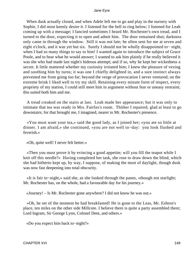When dusk actually closed, and when Adele left me to go and play in the nursery with Sophie, I did most keenly desire it. I listened for the bell to ring below; I listened for Leah coming up with a message; I fancied sometimes I heard Mr. Rochester's own tread, and I turned to the door, expecting it to open and admit him. The door remained shut; darkness only came in through the window. Still it was not late; he often sent for me at seven and eight o'clock, and it was yet but six. Surely I should not be wholly disappointed to− night, when I had so many things to say to him! I wanted again to introduce the subject of Grace Poole, and to hear what he would answer; I wanted to ask him plainly if he really believed it was she who had made last night's hideous attempt; and if so, why he kept her wickedness a secret. It little mattered whether my curiosity irritated him; I knew the pleasure of vexing and soothing him by turns; it was one I chiefly delighted in, and a sure instinct always prevented me from going too far; beyond the verge of provocation I never ventured; on the extreme brink I liked well to try my skill. Retaining every minute form of respect, every propriety of my station, I could still meet him in argument without fear or uneasy restraint; this suited both him and me.

 A tread creaked on the stairs at last. Leah made her appearance; but it was only to intimate that tea was ready in Mrs. Fairfax's room. Thither I repaired, glad at least to go downstairs; for that brought me, I imagined, nearer to Mr. Rochester's presence.

 «You must want your tea,» said the good lady, as I joined her; «you ate so little at dinner. I am afraid,» she continued, «you are not well to−day: you look flushed and feverish.»

«Oh, quite well! I never felt better.»

 «Then you must prove it by evincing a good appetite; will you fill the teapot while I knit off this needle?» Having completed her task, she rose to draw down the blind, which she had hitherto kept up, by way, I suppose, of making the most of daylight, though dusk was now fast deepening into total obscurity.

 «It is fair to−night,» said she, as she looked through the panes, «though not starlight; Mr. Rochester has, on the whole, had a favourable day for his journey.»

«Journey! – Is Mr. Rochester gone anywhere? I did not know he was out.»

 «Oh, he set of the moment he had breakfasted! He is gone to the Leas, Mr. Eshton's place, ten miles on the other side Millcote. I believe there is quite a party assembled there; Lord Ingram, Sir George Lynn, Colonel Dent, and others.»

«Do you expect him back to−night?»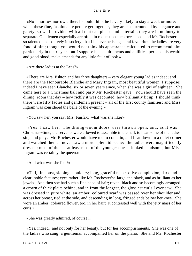«No – nor to−morrow either; I should think he is very likely to stay a week or more: when these fine, fashionable people get together, they are so surrounded by elegance and gaiety, so well provided with all that can please and entertain, they are in no hurry to separate. Gentlemen especially are often in request on such occasions; and Mr. Rochester is so talented and so lively in society, that I believe he is a general favourite: the ladies are very fond of him; though you would not think his appearance calculated to recommend him particularly in their eyes: but I suppose his acquirements and abilities, perhaps his wealth and good blood, make amends for any little fault of look.»

«Are there ladies at the Leas?»

 «There are Mrs. Eshton and her three daughters – very elegant young ladies indeed; and there are the Honourable Blanche and Mary Ingram, most beautiful women, I suppose: indeed I have seen Blanche, six or seven years since, when she was a girl of eighteen. She came here to a Christmas ball and party Mr. Rochester gave. You should have seen the dining−room that day – how richly it was decorated, how brilliantly lit up! I should think there were fifty ladies and gentlemen present – all of the first county families; and Miss Ingram was considered the belle of the evening.»

«You saw her, you say, Mrs. Fairfax: what was she like?»

 «Yes, I saw her. The dining−room doors were thrown open; and, as it was Christmas−time, the servants were allowed to assemble in the hall, to hear some of the ladies sing and play. Mr. Rochester would have me to come in, and I sat down in a quiet corner and watched them. I never saw a more splendid scene: the ladies were magnificently dressed; most of them – at least most of the younger ones – looked handsome; but Miss Ingram was certainly the queen.»

«And what was she like?»

 «Tall, fine bust, sloping shoulders; long, graceful neck: olive complexion, dark and clear; noble features; eyes rather like Mr. Rochester's: large and black, and as brilliant as her jewels. And then she had such a fine head of hair; raven−black and so becomingly arranged: a crown of thick plaits behind, and in front the longest, the glossiest curls I ever saw. She was dressed in pure white; an amber−coloured scarf was passed over her shoulder and across her breast, tied at the side, and descending in long, fringed ends below her knee. She wore an amber−coloured flower, too, in her hair: it contrasted well with the jetty mass of her curls.»

«She was greatly admired, of course?»

 «Yes, indeed: and not only for her beauty, but for her accomplishments. She was one of the ladies who sang: a gentleman accompanied her on the piano. She and Mr. Rochester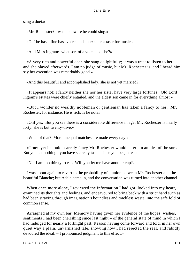sang a duet.»

«Mr. Rochester? I was not aware he could sing.»

«Oh! he has a fine bass voice, and an excellent taste for music.»

«And Miss Ingram: what sort of a voice had she?»

 «A very rich and powerful one: she sang delightfully; it was a treat to listen to her; – and she played afterwards. I am no judge of music, but Mr. Rochester is; and I heard him say her execution was remarkably good.»

«And this beautiful and accomplished lady, she is not yet married?»

 «It appears not: I fancy neither she nor her sister have very large fortunes. Old Lord Ingram's estates were chiefly entailed, and the eldest son came in for everything almost.»

 «But I wonder no wealthy nobleman or gentleman has taken a fancy to her: Mr. Rochester, for instance. He is rich, is he not?»

 «Oh! yes. But you see there is a considerable difference in age: Mr. Rochester is nearly forty; she is but twenty−five.»

«What of that? More unequal matches are made every day.»

 «True: yet I should scarcely fancy Mr. Rochester would entertain an idea of the sort. But you eat nothing: you have scarcely tasted since you began tea.»

«No: I am too thirsty to eat. Will you let me have another cup?»

 I was about again to revert to the probability of a union between Mr. Rochester and the beautiful Blanche; but Adele came in, and the conversation was turned into another channel.

When once more alone, I reviewed the information I had got; looked into my heart, examined its thoughts and feelings, and endeavoured to bring back with a strict hand such as had been straying through imagination's boundless and trackless waste, into the safe fold of common sense.

 Arraigned at my own bar, Memory having given her evidence of the hopes, wishes, sentiments I had been cherishing since last night – of the general state of mind in which I had indulged for nearly a fortnight past; Reason having come forward and told, in her own quiet way a plain, unvarnished tale, showing how I had rejected the real, and rabidly devoured the ideal; – I pronounced judgment to this effect:−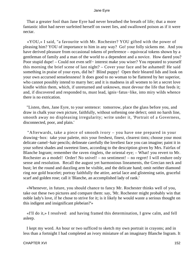That a greater fool than Jane Eyre had never breathed the breath of life; that a more fantastic idiot had never surfeited herself on sweet lies, and swallowed poison as if it were nectar.

 «YOU,» I said, "a favourite with Mr. Rochester? YOU gifted with the power of pleasing him? YOU of importance to him in any way? Go! your folly sickens me. And you have derived pleasure from occasional tokens of preference – equivocal tokens shown by a gentleman of family and a man of the world to a dependent and a novice. How dared you? Poor stupid dupe! – Could not even self– interest make you wiser? You repeated to yourself this morning the brief scene of last night? – Cover your face and be ashamed! He said something in praise of your eyes, did he? Blind puppy! Open their bleared lids and look on your own accursed senselessness! It does good to no woman to be flattered by her superior, who cannot possibly intend to marry her; and it is madness in all women to let a secret love kindle within them, which, if unreturned and unknown, must devour the life that feeds it; and, if discovered and responded to, must lead, ignis−fatus−like, into miry wilds whence there is no extrication.

 "Listen, then, Jane Eyre, to your sentence: tomorrow, place the glass before you, and draw in chalk your own picture, faithfully, without softening one defect; omit no harsh line, smooth away no displeasing irregularity; write under it, 'Portrait of a Governess, disconnected, poor, and plain.'

 "Afterwards, take a piece of smooth ivory – you have one prepared in your drawing−box: take your palette, mix your freshest, finest, clearest tints; choose your most delicate camel−hair pencils; delineate carefully the loveliest face you can imagine; paint it in your softest shades and sweetest lines, according to the description given by Mrs. Fairfax of Blanche Ingram; remember the raven ringlets, the oriental eye; – What! you revert to Mr. Rochester as a model! Order! No snivel! – no sentiment! – no regret! I will endure only sense and resolution. Recall the august yet harmonious lineaments, the Grecian neck and bust; let the round and dazzling arm be visible, and the delicate hand; omit neither diamond ring nor gold bracelet; portray faithfully the attire, aerial lace and glistening satin, graceful scarf and golden rose; call it 'Blanche, an accomplished lady of rank.'

 «Whenever, in future, you should chance to fancy Mr. Rochester thinks well of you, take out these two pictures and compare them: say, 'Mr. Rochester might probably win that noble lady's love, if he chose to strive for it; is it likely he would waste a serious thought on this indigent and insignificant plebeian?'»

 «I'll do it,» I resolved: and having framed this determination, I grew calm, and fell asleep.

 I kept my word. An hour or two sufficed to sketch my own portrait in crayons; and in less than a fortnight I had completed an ivory miniature of an imaginary Blanche Ingram. It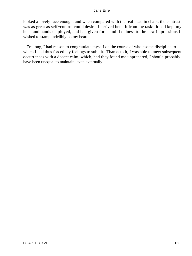looked a lovely face enough, and when compared with the real head in chalk, the contrast was as great as self−control could desire. I derived benefit from the task: it had kept my head and hands employed, and had given force and fixedness to the new impressions I wished to stamp indelibly on my heart.

 Ere long, I had reason to congratulate myself on the course of wholesome discipline to which I had thus forced my feelings to submit. Thanks to it, I was able to meet subsequent occurrences with a decent calm, which, had they found me unprepared, I should probably have been unequal to maintain, even externally.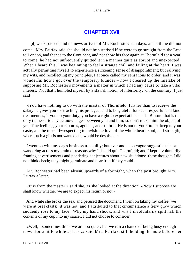## **[CHAPTER XVII](#page-434-0)**

A week passed, and no news arrived of Mr. Rochester: ten days, and still he did not come. Mrs. Fairfax said she should not be surprised if he were to go straight from the Leas to London, and thence to the Continent, and not show his face again at Thornfield for a year to come; he had not unfrequently quitted it in a manner quite as abrupt and unexpected. When I heard this, I was beginning to feel a strange chill and failing at the heart. I was actually permitting myself to experience a sickening sense of disappointment; but rallying my wits, and recollecting my principles, I at once called my sensations to order; and it was wonderful how I got over the temporary blunder – how I cleared up the mistake of supposing Mr. Rochester's movements a matter in which I had any cause to take a vital interest. Not that I humbled myself by a slavish notion of inferiority: on the contrary, I just said −

 «You have nothing to do with the master of Thornfield, further than to receive the salary he gives you for teaching his protegee, and to be grateful for such respectful and kind treatment as, if you do your duty, you have a right to expect at his hands. Be sure that is the only tie he seriously acknowledges between you and him; so don't make him the object of your fine feelings, your raptures, agonies, and so forth. He is not of your order: keep to your caste, and be too self−respecting to lavish the love of the whole heart, soul, and strength, where such a gift is not wanted and would be despised.»

 I went on with my day's business tranquilly; but ever and anon vague suggestions kept wandering across my brain of reasons why I should quit Thornfield; and I kept involuntarily framing advertisements and pondering conjectures about new situations: these thoughts I did not think check; they might germinate and bear fruit if they could.

 Mr. Rochester had been absent upwards of a fortnight, when the post brought Mrs. Fairfax a letter.

 «It is from the master,» said she, as she looked at the direction. «Now I suppose we shall know whether we are to expect his return or not.»

 And while she broke the seal and perused the document, I went on taking my coffee (we were at breakfast): it was hot, and I attributed to that circumstance a fiery glow which suddenly rose to my face. Why my hand shook, and why I involuntarily spilt half the contents of my cup into my saucer, I did not choose to consider.

 «Well, I sometimes think we are too quiet; but we run a chance of being busy enough now: for a little while at least,» said Mrs. Fairfax, still holding the note before her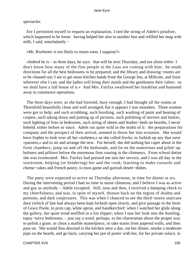spectacles.

 Ere I permitted myself to request an explanation, I tied the string of Adele's pinafore, which happened to be loose: having helped her also to another bun and refilled her mug with milk, I said, nonchalantly −

«Mr. Rochester is not likely to return soon, I suppose?»

 «Indeed he is – in three days, he says: that will be next Thursday; and not alone either. I don't know how many of the fine people at the Leas are coming with him: he sends directions for all the best bedrooms to be prepared; and the library and drawing−rooms are to be cleaned out; I am to get more kitchen hands from the George Inn, at Millcote, and from wherever else I can; and the ladies will bring their maids and the gentlemen their valets: so we shall have a full house of it.» And Mrs. Fairfax swallowed her breakfast and hastened away to commence operations.

 The three days were, as she had foretold, busy enough. I had thought all the rooms at Thornfield beautifully clean and well arranged; but it appears I was mistaken. Three women were got to help; and such scrubbing, such brushing, such washing of paint and beating of carpets, such taking down and putting up of pictures, such polishing of mirrors and lustres, such lighting of fires in bedrooms, such airing of sheets and feather−beds on hearths, I never beheld, either before or since. Adele ran quite wild in the midst of it: the preparations for company and the prospect of their arrival, seemed to throw her into ecstasies. She would have Sophie to look over all her «toilettes,» as she called frocks; to furbish up any that were «passees,» and to air and arrange the new. For herself, she did nothing but caper about in the front chambers, jump on and off the bedsteads, and lie on the mattresses and piled−up bolsters and pillows before the enormous fires roaring in the chimneys. From school duties she was exonerated: Mrs. Fairfax had pressed me into her service, and I was all day in the storeroom, helping (or hindering) her and the cook; learning to make custards and cheese−cakes and French pastry, to truss game and garnish desert−dishes.

 The party were expected to arrive on Thursday afternoon, in time for dinner at six. During the intervening period I had no time to nurse chimeras; and I believe I was as active and gay as anybody – Adele excepted. Still, now and then, I received a damping check to my cheerfulness; and was, in spite of myself, thrown back on the region of doubts and portents, and dark conjectures. This was when I chanced to see the third−storey staircase door (which of late had always been kept locked) open slowly, and give passage to the form of Grace Poole, in prim cap, white apron, and handkerchief; when I watched her glide along the gallery, her quiet tread muffled in a list slipper; when I saw her look into the bustling, topsy−turvy bedrooms, – just say a word, perhaps, to the charwoman about the proper way to polish a grate, or clean a marble mantelpiece, or take stains from papered walls, and then pass on. She would thus descend to the kitchen once a day, eat her dinner, smoke a moderate pipe on the hearth, and go back, carrying her pot of porter with her, for her private solace, in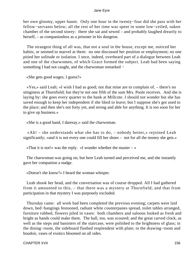her own gloomy, upper haunt. Only one hour in the twenty−four did she pass with her fellow−servants below; all the rest of her time was spent in some low−ceiled, oaken chamber of the second storey: there she sat and sewed – and probably laughed drearily to herself, – as companionless as a prisoner in his dungeon.

 The strangest thing of all was, that not a soul in the house, except me, noticed her habits, or seemed to marvel at them: no one discussed her position or employment; no one pitied her solitude or isolation. I once, indeed, overheard part of a dialogue between Leah and one of the charwomen, of which Grace formed the subject. Leah had been saying something I had not caught, and the charwoman remarked −

«She gets good wages, I guess?»

 «Yes,» said Leah; «I wish I had as good; not that mine are to complain of, – there's no stinginess at Thornfield; but they're not one fifth of the sum Mrs. Poole receives. And she is laying by: she goes every quarter to the bank at Millcote. I should not wonder but she has saved enough to keep her independent if she liked to leave; but I suppose she's got used to the place; and then she's not forty yet, and strong and able for anything. It is too soon for her to give up business.»

«She is a good hand, I daresay,» said the charwoman.

 «Ah! – she understands what she has to do, – nobody better,» rejoined Leah significantly; «and it is not every one could fill her shoes – not for all the money she gets.»

«That it is not!» was the reply. «I wonder whether the master  $-\infty$ 

 The charwoman was going on; but here Leah turned and perceived me, and she instantly gave her companion a nudge.

«Doesn't she know?» I heard the woman whisper.

 Leah shook her head, and the conversation was of course dropped. All I had gathered from it amounted to this, – that there was a mystery at Thornfield; and that from participation in that mystery I was purposely excluded.

 Thursday came: all work had been completed the previous evening; carpets were laid down, bed−hangings festooned, radiant white counterpanes spread, toilet tables arranged, furniture rubbed, flowers piled in vases: both chambers and saloons looked as fresh and bright as hands could make them. The hall, too, was scoured; and the great carved clock, as well as the steps and banisters of the staircase, were polished to the brightness of glass; in the dining−room, the sideboard flashed resplendent with plate; in the drawing−room and boudoir, vases of exotics bloomed on all sides.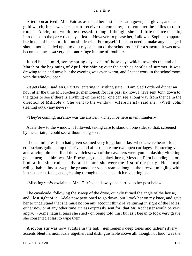Afternoon arrived: Mrs. Fairfax assumed her best black satin gown, her gloves, and her gold watch; for it was her part to receive the company, – to conduct the ladies to their rooms, Adele, too, would be dressed: though I thought she had little chance of being introduced to the party that day at least. However, to please her, I allowed Sophie to apparel her in one of her short, full muslin frocks. For myself, I had no need to make any change; I should not be called upon to quit my sanctum of the schoolroom; for a sanctum it was now become to me, – «a very pleasant refuge in time of trouble.»

 It had been a mild, serene spring day – one of those days which, towards the end of March or the beginning of April, rise shining over the earth as heralds of summer. It was drawing to an end now; but the evening was even warm, and I sat at work in the schoolroom with the window open.

 «It gets late,» said Mrs. Fairfax, entering in rustling state. «I am glad I ordered dinner an hour after the time Mr. Rochester mentioned; for it is past six now. I have sent John down to the gates to see if there is anything on the road: one can see a long way from thence in the direction of Millcote.» She went to the window. «Here he is!» said she. «Well, John» (leaning out), «any news?»

«They're coming, ma'am,» was the answer. «They'll be here in ten minutes.»

 Adele flew to the window. I followed, taking care to stand on one side, so that, screened by the curtain, I could see without being seen.

 The ten minutes John had given seemed very long, but at last wheels were heard; four equestrians galloped up the drive, and after them came two open carriages. Fluttering veils and waving plumes filled the vehicles; two of the cavaliers were young, dashing−looking gentlemen; the third was Mr. Rochester, on his black horse, Mesrour, Pilot bounding before him; at his side rode a lady, and he and she were the first of the party. Her purple riding−habit almost swept the ground, her veil streamed long on the breeze; mingling with its transparent folds, and gleaming through them, shone rich raven ringlets.

«Miss Ingram!» exclaimed Mrs. Fairfax, and away she hurried to her post below.

 The cavalcade, following the sweep of the drive, quickly turned the angle of the house, and I lost sight of it. Adele now petitioned to go down; but I took her on my knee, and gave her to understand that she must not on any account think of venturing in sight of the ladies, either now or at any other time, unless expressly sent for: that Mr. Rochester would be very angry, «Some natural tears she shed» on being told this; but as I began to look very grave, she consented at last to wipe them.

 A joyous stir was now audible in the hall: gentlemen's deep tones and ladies' silvery accents blent harmoniously together, and distinguishable above all, though not loud, was the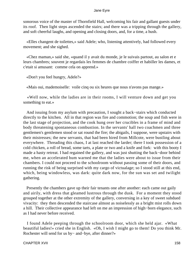sonorous voice of the master of Thornfield Hall, welcoming his fair and gallant guests under its roof. Then light steps ascended the stairs; and there was a tripping through the gallery, and soft cheerful laughs, and opening and closing doors, and, for a time, a hush.

 «Elles changent de toilettes,» said Adele; who, listening attentively, had followed every movement; and she sighed.

 «Chez maman,» said she, «quand il y avait du monde, je le suivais partout, au salon et e leurs chambres; souvent je regardais les femmes de chambre coiffer et habiller les dames, et c'etait si amusant: comme cela on apprend.»

«Don't you feel hungry, Adele?»

«Mais oui, mademoiselle: voile cinq ou six heures que nous n'avons pas mange.»

 «Well now, while the ladies are in their rooms, I will venture down and get you something to eat.»

 And issuing from my asylum with precaution, I sought a back−stairs which conducted directly to the kitchen. All in that region was fire and commotion; the soup and fish were in the last stage of projection, and the cook hung over her crucibles in a frame of mind and body threatening spontaneous combustion. In the servants' hall two coachmen and three gentlemen's gentlemen stood or sat round the fire; the abigails, I suppose, were upstairs with their mistresses; the new servants, that had been hired from Millcote, were bustling about everywhere. Threading this chaos, I at last reached the larder; there I took possession of a cold chicken, a roll of bread, some tarts, a plate or two and a knife and fork: with this booty I made a hasty retreat. I had regained the gallery, and was just shutting the back−door behind me, when an accelerated hum warned me that the ladies were about to issue from their chambers. I could not proceed to the schoolroom without passing some of their doors, and running the risk of being surprised with my cargo of victualage; so I stood still at this end, which, being windowless, was dark: quite dark now, for the sun was set and twilight gathering.

 Presently the chambers gave up their fair tenants one after another: each came out gaily and airily, with dress that gleamed lustrous through the dusk. For a moment they stood grouped together at the other extremity of the gallery, conversing in a key of sweet subdued vivacity: they then descended the staircase almost as noiselessly as a bright mist rolls down a hill. Their collective appearance had left on me an impression of high−born elegance, such as I had never before received.

 I found Adele peeping through the schoolroom door, which she held ajar. «What beautiful ladies!» cried she in English. «Oh, I wish I might go to them! Do you think Mr. Rochester will send for us by− and−bye, after dinner?»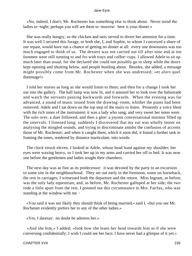«No, indeed, I don't; Mr. Rochester has something else to think about. Never mind the ladies to−night; perhaps you will see them to−morrow: here is your dinner.»

 She was really hungry, so the chicken and tarts served to divert her attention for a time. It was well I secured this forage, or both she, I, and Sophie, to whom I conveyed a share of our repast, would have run a chance of getting no dinner at all: every one downstairs was too much engaged to think of us. The dessert was not carried out till after nine and at ten footmen were still running to and fro with trays and coffee−cups. I allowed Adele to sit up much later than usual; for she declared she could not possibly go to sleep while the doors kept opening and shutting below, and people bustling about. Besides, she added, a message might possibly come from Mr. Rochester when she was undressed; «et alors quel dommage!»

 I told her stories as long as she would listen to them; and then for a change I took her out into the gallery. The hall lamp was now lit, and it amused her to look over the balustrade and watch the servants passing backwards and forwards. When the evening was far advanced, a sound of music issued from the drawing−room, whither the piano had been removed; Adele and I sat down on the top step of the stairs to listen. Presently a voice blent with the rich tones of the instrument; it was a lady who sang, and very sweet her notes were. The solo over, a duet followed, and then a glee: a joyous conversational murmur filled up the intervals. I listened long: suddenly I discovered that my ear was wholly intent on analysing the mingled sounds, and trying to discriminate amidst the confusion of accents those of Mr. Rochester; and when it caught them, which it soon did, it found a further task in framing the tones, rendered by distance inarticulate, into words.

 The clock struck eleven. I looked at Adele, whose head leant against my shoulder; her eyes were waxing heavy, so I took her up in my arms and carried her off to bed. It was near one before the gentlemen and ladies sought their chambers.

 The next day was as fine as its predecessor: it was devoted by the party to an excursion to some site in the neighbourhood. They set out early in the forenoon, some on horseback, the rest in carriages; I witnessed both the departure and the return. Miss Ingram, as before, was the only lady equestrian; and, as before, Mr. Rochester galloped at her side; the two rode a little apart from the rest. I pointed out this circumstance to Mrs. Fairfax, who was standing at the window with me −

 «You said it was not likely they should think of being married,» said I, «but you see Mr. Rochester evidently prefers her to any of the other ladies.»

«Yes, I daresay: no doubt he admires her.»

 «And she him,» I added; «look how she leans her head towards him as if she were conversing confidentially; I wish I could see her face; I have never had a glimpse of it yet.»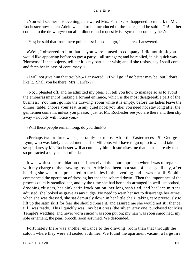«You will see her this evening,» answered Mrs. Fairfax. «I happened to remark to Mr. Rochester how much Adele wished to be introduced to the ladies, and he said: 'Oh! let her come into the drawing−room after dinner; and request Miss Eyre to accompany her.'»

«Yes; he said that from mere politeness: I need not go, I am sure,» I answered.

 «Well, I observed to him that as you were unused to company, I did not think you would like appearing before so gay a party – all strangers; and he replied, in his quick way – 'Nonsense! If she objects, tell her it is my particular wish; and if she resists, say I shall come and fetch her in case of contumacy.'»

 «I will not give him that trouble,» I answered. «I will go, if no better may be; but I don't like it. Shall you be there, Mrs. Fairfax?»

 «No; I pleaded off, and he admitted my plea. I'll tell you how to manage so as to avoid the embarrassment of making a formal entrance, which is the most disagreeable part of the business. You must go into the drawing−room while it is empty, before the ladies leave the dinner−table; choose your seat in any quiet nook you like; you need not stay long after the gentlemen come in, unless you please: just let Mr. Rochester see you are there and then slip away – nobody will notice you.»

«Will these people remain long, do you think?»

 «Perhaps two or three weeks, certainly not more. After the Easter recess, Sir George Lynn, who was lately elected member for Millcote, will have to go up to town and take his seat; I daresay Mr. Rochester will accompany him: it surprises me that he has already made so protracted a stay at Thornfield.»

 It was with some trepidation that I perceived the hour approach when I was to repair with my charge to the drawing−room. Adele had been in a state of ecstasy all day, after hearing she was to be presented to the ladies in the evening; and it was not till Sophie commenced the operation of dressing her that she sobered down. Then the importance of the process quickly steadied her, and by the time she had her curls arranged in well−smoothed, drooping clusters, her pink satin frock put on, her long sash tied, and her lace mittens adjusted, she looked as grave as any judge. No need to warn her not to disarrange her attire: when she was dressed, she sat demurely down in her little chair, taking care previously to lift up the satin skirt for fear she should crease it, and assured me she would not stir thence till I was ready. This I quickly was: my best dress (the silver−grey one, purchased for Miss Temple's wedding, and never worn since) was soon put on; my hair was soon smoothed; my sole ornament, the pearl brooch, soon assumed. We descended.

 Fortunately there was another entrance to the drawing−room than that through the saloon where they were all seated at dinner. We found the apartment vacant; a large fire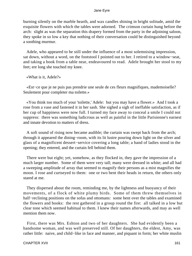burning silently on the marble hearth, and wax candles shining in bright solitude, amid the exquisite flowers with which the tables were adorned. The crimson curtain hung before the arch: slight as was the separation this drapery formed from the party in the adjoining saloon, they spoke in so low a key that nothing of their conversation could be distinguished beyond a soothing murmur.

 Adele, who appeared to be still under the influence of a most solemnising impression, sat down, without a word, on the footstool I pointed out to her. I retired to a window−seat, and taking a book from a table near, endeavoured to read. Adele brought her stool to my feet; ere long she touched my knee.

«What is it, Adele?»

 «Est−ce que je ne puis pas prendrie une seule de ces fleurs magnifiques, mademoiselle? Seulement pour completer ma toilette.»

 «You think too much of your 'toilette,' Adele: but you may have a flower.» And I took a rose from a vase and fastened it in her sash. She sighed a sigh of ineffable satisfaction, as if her cup of happiness were now full. I turned my face away to conceal a smile I could not suppress: there was something ludicrous as well as painful in the little Parisienne's earnest and innate devotion to matters of dress.

 A soft sound of rising now became audible; the curtain was swept back from the arch; through it appeared the dining−room, with its lit lustre pouring down light on the silver and glass of a magnificent dessert−service covering a long table; a band of ladies stood in the opening; they entered, and the curtain fell behind them.

 There were but eight; yet, somehow, as they flocked in, they gave the impression of a much larger number. Some of them were very tall; many were dressed in white; and all had a sweeping amplitude of array that seemed to magnify their persons as a mist magnifies the moon. I rose and curtseyed to them: one or two bent their heads in return, the others only stared at me.

 They dispersed about the room, reminding me, by the lightness and buoyancy of their movements, of a flock of white plumy birds. Some of them threw themselves in half−reclining positions on the sofas and ottomans: some bent over the tables and examined the flowers and books: the rest gathered in a group round the fire: all talked in a low but clear tone which seemed habitual to them. I knew their names afterwards, and may as well mention them now.

 First, there was Mrs. Eshton and two of her daughters. She had evidently been a handsome woman, and was well preserved still. Of her daughters, the eldest, Amy, was rather little: naive, and child−like in face and manner, and piquant in form; her white muslin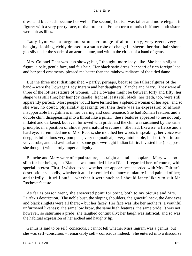dress and blue sash became her well. The second, Louisa, was taller and more elegant in figure; with a very pretty face, of that order the French term minois chiffone: both sisters were fair as lilies.

 Lady Lynn was a large and stout personage of about forty, very erect, very haughty−looking, richly dressed in a satin robe of changeful sheen: her dark hair shone glossily under the shade of an azure plume, and within the circlet of a band of gems.

 Mrs. Colonel Dent was less showy; but, I thought, more lady−like. She had a slight figure, a pale, gentle face, and fair hair. Her black satin dress, her scarf of rich foreign lace, and her pearl ornaments, pleased me better than the rainbow radiance of the titled dame.

 But the three most distinguished – partly, perhaps, because the tallest figures of the band – were the Dowager Lady Ingram and her daughters, Blanche and Mary. They were all three of the loftiest stature of women. The Dowager might be between forty and fifty: her shape was still fine; her hair (by candle−light at least) still black; her teeth, too, were still apparently perfect. Most people would have termed her a splendid woman of her age: and so she was, no doubt, physically speaking; but then there was an expression of almost insupportable haughtiness in her bearing and countenance. She had Roman features and a double chin, disappearing into a throat like a pillar: these features appeared to me not only inflated and darkened, but even furrowed with pride; and the chin was sustained by the same principle, in a position of almost preternatural erectness. She had, likewise, a fierce and a hard eye: it reminded me of Mrs. Reed's; she mouthed her words in speaking; her voice was deep, its inflections very pompous, very dogmatical, – very intolerable, in short. A crimson velvet robe, and a shawl turban of some gold−wrought Indian fabric, invested her (I suppose she thought) with a truly imperial dignity.

 Blanche and Mary were of equal stature, – straight and tall as poplars. Mary was too slim for her height, but Blanche was moulded like a Dian. I regarded her, of course, with special interest. First, I wished to see whether her appearance accorded with Mrs. Fairfax's description; secondly, whether it at all resembled the fancy miniature I had painted of her; and thirdly – it will out! – whether it were such as I should fancy likely to suit Mr. Rochester's taste.

 As far as person went, she answered point for point, both to my picture and Mrs. Fairfax's description. The noble bust, the sloping shoulders, the graceful neck, the dark eyes and black ringlets were all there; – but her face? Her face was like her mother's; a youthful unfurrowed likeness: the same low brow, the same high features, the same pride. It was not, however, so saturnine a pride! she laughed continually; her laugh was satirical, and so was the habitual expression of her arched and haughty lip.

 Genius is said to be self−conscious. I cannot tell whether Miss Ingram was a genius, but she was self−conscious – remarkably self− conscious indeed. She entered into a discourse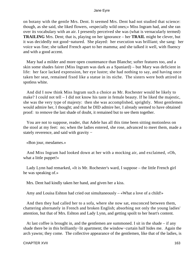on botany with the gentle Mrs. Dent. It seemed Mrs. Dent had not studied that science: though, as she said, she liked flowers, «especially wild ones;» Miss Ingram had, and she ran over its vocabulary with an air. I presently perceived she was (what is vernacularly termed) **TRAILING** Mrs. Dent; that is, playing on her ignorance – her **TRAIL** might be clever, but it was decidedly not good−natured. She played: her execution was brilliant; she sang: her voice was fine; she talked French apart to her mamma; and she talked it well, with fluency and with a good accent.

 Mary had a milder and more open countenance than Blanche; softer features too, and a skin some shades fairer (Miss Ingram was dark as a Spaniard) – but Mary was deficient in life: her face lacked expression, her eye lustre; she had nothing to say, and having once taken her seat, remained fixed like a statue in its niche. The sisters were both attired in spotless white.

 And did I now think Miss Ingram such a choice as Mr. Rochester would be likely to make? I could not tell – I did not know his taste in female beauty. If he liked the majestic, she was the very type of majesty: then she was accomplished, sprightly. Most gentlemen would admire her, I thought; and that he DID admire her, I already seemed to have obtained proof: to remove the last shade of doubt, it remained but to see them together.

 You are not to suppose, reader, that Adele has all this time been sitting motionless on the stool at my feet: no; when the ladies entered, she rose, advanced to meet them, made a stately reverence, and said with gravity −

«Bon jour, mesdames.»

 And Miss Ingram had looked down at her with a mocking air, and exclaimed, «Oh, what a little puppet!»

 Lady Lynn had remarked, «It is Mr. Rochester's ward, I suppose – the little French girl he was speaking of.»

Mrs. Dent had kindly taken her hand, and given her a kiss.

Amy and Louisa Eshton had cried out simultaneously – «What a love of a child!»

 And then they had called her to a sofa, where she now sat, ensconced between them, chattering alternately in French and broken English; absorbing not only the young ladies' attention, but that of Mrs. Eshton and Lady Lynn, and getting spoilt to her heart's content.

 At last coffee is brought in, and the gentlemen are summoned. I sit in the shade – if any shade there be in this brilliantly−lit apartment; the window−curtain half hides me. Again the arch yawns; they come. The collective appearance of the gentlemen, like that of the ladies, is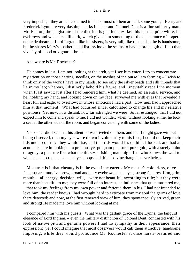very imposing: they are all costumed in black; most of them are tall, some young. Henry and Frederick Lynn are very dashing sparks indeed; and Colonel Dent is a fine soldierly man. Mr. Eshton, the magistrate of the district, is gentleman−like: his hair is quite white, his eyebrows and whiskers still dark, which gives him something of the appearance of a «pere noble de theatre.» Lord Ingram, like his sisters, is very tall; like them, also, he is handsome; but he shares Mary's apathetic and listless look: he seems to have more length of limb than vivacity of blood or vigour of brain.

#### And where is Mr. Rochester?

 He comes in last: I am not looking at the arch, yet I see him enter. I try to concentrate my attention on those netting−needles, on the meshes of the purse I am forming – I wish to think only of the work I have in my hands, to see only the silver beads and silk threads that lie in my lap; whereas, I distinctly behold his figure, and I inevitably recall the moment when I last saw it; just after I had rendered him, what he deemed, an essential service, and he, holding my hand, and looking down on my face, surveyed me with eyes that revealed a heart full and eager to overflow; in whose emotions I had a part. How near had I approached him at that moment! What had occurred since, calculated to change his and my relative positions? Yet now, how distant, how far estranged we were! So far estranged, that I did not expect him to come and speak to me. I did not wonder, when, without looking at me, he took a seat at the other side of the room, and began conversing with some of the ladies.

 No sooner did I see that his attention was riveted on them, and that I might gaze without being observed, than my eyes were drawn involuntarily to his face; I could not keep their lids under control: they would rise, and the irids would fix on him. I looked, and had an acute pleasure in looking, – a precious yet poignant pleasure; pure gold, with a steely point of agony: a pleasure like what the thirst−perishing man might feel who knows the well to which he has crept is poisoned, yet stoops and drinks divine draughts nevertheless.

 Most true is it that «beauty is in the eye of the gazer.» My master's colourless, olive face, square, massive brow, broad and jetty eyebrows, deep eyes, strong features, firm, grim mouth, – all energy, decision, will, – were not beautiful, according to rule; but they were more than beautiful to me; they were full of an interest, an influence that quite mastered me, – that took my feelings from my own power and fettered them in his. I had not intended to love him; the reader knows I had wrought hard to extirpate from my soul the germs of love there detected; and now, at the first renewed view of him, they spontaneously arrived, green and strong! He made me love him without looking at me.

 I compared him with his guests. What was the gallant grace of the Lynns, the languid elegance of Lord Ingram, – even the military distinction of Colonel Dent, contrasted with his look of native pith and genuine power? I had no sympathy in their appearance, their expression: yet I could imagine that most observers would call them attractive, handsome, imposing; while they would pronounce Mr. Rochester at once harsh−featured and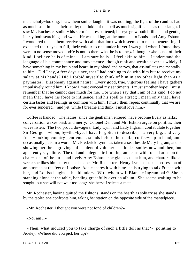melancholy−looking. I saw them smile, laugh – it was nothing; the light of the candles had as much soul in it as their smile; the tinkle of the bell as much significance as their laugh. I saw Mr. Rochester smile:− his stern features softened; his eye grew both brilliant and gentle, its ray both searching and sweet. He was talking, at the moment, to Louisa and Amy Eshton. I wondered to see them receive with calm that look which seemed to me so penetrating: I expected their eyes to fall, their colour to rise under it; yet I was glad when I found they were in no sense moved. «He is not to them what he is to me,» I thought: «he is not of their kind. I believe he is of mine;  $- I$  am sure he is  $- I$  feel akin to him  $- I$  understand the language of his countenance and movements: though rank and wealth sever us widely, I have something in my brain and heart, in my blood and nerves, that assimilates me mentally to him. Did I say, a few days since, that I had nothing to do with him but to receive my salary at his hands? Did I forbid myself to think of him in any other light than as a paymaster? Blasphemy against nature! Every good, true, vigorous feeling I have gathers impulsively round him. I know I must conceal my sentiments: I must smother hope; I must remember that he cannot care much for me. For when I say that I am of his kind, I do not mean that I have his force to influence, and his spell to attract; I mean only that I have certain tastes and feelings in common with him. I must, then, repeat continually that we are for ever sundered:− and yet, while I breathe and think, I must love him.»

 Coffee is handed. The ladies, since the gentlemen entered, have become lively as larks; conversation waxes brisk and merry. Colonel Dent and Mr. Eshton argue on politics; their wives listen. The two proud dowagers, Lady Lynn and Lady Ingram, confabulate together. Sir George – whom, by−the−bye, I have forgotten to describe, – a very big, and very fresh−looking country gentleman, stands before their sofa, coffee−cup in hand, and occasionally puts in a word. Mr. Frederick Lynn has taken a seat beside Mary Ingram, and is showing her the engravings of a splendid volume: she looks, smiles now and then, but apparently says little. The tall and phlegmatic Lord Ingram leans with folded arms on the chair−back of the little and lively Amy Eshton; she glances up at him, and chatters like a wren: she likes him better than she does Mr. Rochester. Henry Lynn has taken possession of an ottoman at the feet of Louisa: Adele shares it with him: he is trying to talk French with her, and Louisa laughs at his blunders. With whom will Blanche Ingram pair? She is standing alone at the table, bending gracefully over an album. She seems waiting to be sought; but she will not wait too long: she herself selects a mate.

 Mr. Rochester, having quitted the Eshtons, stands on the hearth as solitary as she stands by the table: she confronts him, taking her station on the opposite side of the mantelpiece.

«Mr. Rochester, I thought you were not fond of children?»

«Nor am I.»

 «Then, what induced you to take charge of such a little doll as that?» (pointing to Adele). «Where did you pick her up?»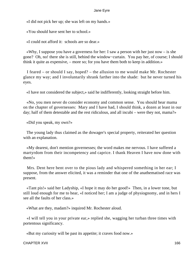«I did not pick her up; she was left on my hands.»

«You should have sent her to school.»

«I could not afford it: schools are so dear.»

 «Why, I suppose you have a governess for her: I saw a person with her just now – is she gone? Oh, no! there she is still, behind the window−curtain. You pay her, of course; I should think it quite as expensive, – more so; for you have them both to keep in addition.»

 I feared – or should I say, hoped? – the allusion to me would make Mr. Rochester glance my way; and I involuntarily shrank farther into the shade: but he never turned his eyes.

«I have not considered the subject,» said he indifferently, looking straight before him.

 «No, you men never do consider economy and common sense. You should hear mama on the chapter of governesses: Mary and I have had, I should think, a dozen at least in our day; half of them detestable and the rest ridiculous, and all incubi – were they not, mama?»

«Did you speak, my own?»

 The young lady thus claimed as the dowager's special property, reiterated her question with an explanation.

 «My dearest, don't mention governesses; the word makes me nervous. I have suffered a martyrdom from their incompetency and caprice. I thank Heaven I have now done with them!»

 Mrs. Dent here bent over to the pious lady and whispered something in her ear; I suppose, from the answer elicited, it was a reminder that one of the anathematised race was present.

 «Tant pis!» said her Ladyship, «I hope it may do her good!» Then, in a lower tone, but still loud enough for me to hear, «I noticed her; I am a judge of physiognomy, and in hers I see all the faults of her class.»

«What are they, madam?» inquired Mr. Rochester aloud.

 «I will tell you in your private ear,» replied she, wagging her turban three times with portentous significancy.

«But my curiosity will be past its appetite; it craves food now.»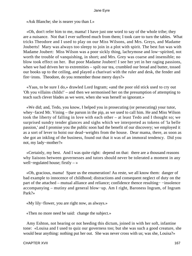«Ask Blanche; she is nearer you than I.»

 «Oh, don't refer him to me, mama! I have just one word to say of the whole tribe; they are a nuisance. Not that I ever suffered much from them; I took care to turn the tables. What tricks Theodore and I used to play on our Miss Wilsons, and Mrs. Greys, and Madame Jouberts! Mary was always too sleepy to join in a plot with spirit. The best fun was with Madame Joubert: Miss Wilson was a poor sickly thing, lachrymose and low−spirited, not worth the trouble of vanquishing, in short; and Mrs. Grey was coarse and insensible; no blow took effect on her. But poor Madame Joubert! I see her yet in her raging passions, when we had driven her to extremities – spilt our tea, crumbled our bread and butter, tossed our books up to the ceiling, and played a charivari with the ruler and desk, the fender and fire−irons. Theodore, do you remember those merry days?»

 «Yaas, to be sure I do,» drawled Lord Ingram; «and the poor old stick used to cry out 'Oh you villains childs!' – and then we sermonised her on the presumption of attempting to teach such clever blades as we were, when she was herself so ignorant.»

 «We did; and, Tedo, you know, I helped you in prosecuting (or persecuting) your tutor, whey−faced Mr. Vining – the parson in the pip, as we used to call him. He and Miss Wilson took the liberty of falling in love with each other – at least Tedo and I thought so; we surprised sundry tender glances and sighs which we interpreted as tokens of 'la belle passion,' and I promise you the public soon had the benefit of our discovery; we employed it as a sort of lever to hoist our dead−weights from the house. Dear mama, there, as soon as she got an inkling of the business, found out that it was of an immoral tendency. Did you not, my lady−mother?»

 «Certainly, my best. And I was quite right: depend on that: there are a thousand reasons why liaisons between governesses and tutors should never be tolerated a moment in any well−regulated house; firstly – »

 «Oh, gracious, mama! Spare us the enumeration! Au reste, we all know them: danger of bad example to innocence of childhood; distractions and consequent neglect of duty on the part of the attached – mutual alliance and reliance; confidence thence resulting− −insolence accompanying – mutiny and general blow−up. Am I right, Baroness Ingram, of Ingram Park?»

«My lily−flower, you are right now, as always.»

«Then no more need be said: change the subject.»

 Amy Eshton, not hearing or not heeding this dictum, joined in with her soft, infantine tone: «Louisa and I used to quiz our governess too; but she was such a good creature, she would bear anything: nothing put her out. She was never cross with us; was she, Louisa?»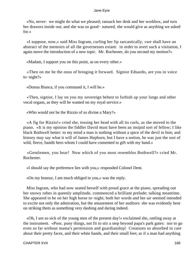«No, never: we might do what we pleased; ransack her desk and her workbox, and turn her drawers inside out; and she was so good− natured, she would give as anything we asked for.»

 «I suppose, now,» said Miss Ingram, curling her lip sarcastically, «we shall have an abstract of the memoirs of all the governesses extant: in order to avert such a visitation, I again move the introduction of a new topic. Mr. Rochester, do you second my motion?»

«Madam, I support you on this point, as on every other.»

 «Then on me be the onus of bringing it forward. Signior Eduardo, are you in voice to−night?»

«Donna Bianca, if you command it, I will be.»

 «Then, signior, I lay on you my sovereign behest to furbish up your lungs and other vocal organs, as they will be wanted on my royal service.»

«Who would not be the Rizzio of so divine a Mary?»

 «A fig for Rizzio!» cried she, tossing her head with all its curls, as she moved to the piano. «It is my opinion the fiddler David must have been an insipid sort of fellow; I like black Bothwell better: to my mind a man is nothing without a spice of the devil in him; and history may say what it will of James Hepburn, but I have a notion, he was just the sort of wild, fierce, bandit hero whom I could have consented to gift with my hand.»

 «Gentlemen, you hear! Now which of you most resembles Bothwell?» cried Mr. Rochester.

«I should say the preference lies with you,» responded Colonel Dent.

«On my honour, I am much obliged to you,» was the reply.

 Miss Ingram, who had now seated herself with proud grace at the piano, spreading out her snowy robes in queenly amplitude, commenced a brilliant prelude; talking meantime. She appeared to be on her high horse to−night; both her words and her air seemed intended to excite not only the admiration, but the amazement of her auditors: she was evidently bent on striking them as something very dashing and daring indeed.

 «Oh, I am so sick of the young men of the present day!» exclaimed she, rattling away at the instrument. «Poor, puny things, not fit to stir a step beyond papa's park gates: nor to go even so far without mama's permission and guardianship! Creatures so absorbed in care about their pretty faces, and their white hands, and their small feet; as if a man had anything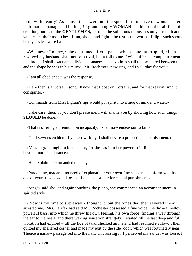to do with beauty! As if loveliness were not the special prerogative of woman – her legitimate appanage and heritage! I grant an ugly **WOMAN** is a blot on the fair face of creation; but as to the **GENTLEMEN,** let them be solicitous to possess only strength and valour: let their motto be:− Hunt, shoot, and fight: the rest is not worth a fillip. Such should be my device, were I a man.»

 «Whenever I marry,» she continued after a pause which none interrupted, «I am resolved my husband shall not be a rival, but a foil to me. I will suffer no competitor near the throne; I shall exact an undivided homage: his devotions shall not be shared between me and the shape he sees in his mirror. Mr. Rochester, now sing, and I will play for you.»

«I am all obedience,» was the response.

 «Here then is a Corsair−song. Know that I doat on Corsairs; and for that reason, sing it con spirito.»

«Commands from Miss Ingram's lips would put spirit into a mug of milk and water.»

 «Take care, then: if you don't please me, I will shame you by showing how such things **SHOULD** be done.»

«That is offering a premium on incapacity: I shall now endeavour to fail.»

«Gardez−vous en bien! If you err wilfully, I shall devise a proportionate punishment.»

 «Miss Ingram ought to be clement, for she has it in her power to inflict a chastisement beyond mortal endurance.»

«Ha! explain!» commanded the lady.

 «Pardon me, madam: no need of explanation; your own fine sense must inform you that one of your frowns would be a sufficient substitute for capital punishment.»

 «Sing!» said she, and again touching the piano, she commenced an accompaniment in spirited style.

 «Now is my time to slip away,» thought I: but the tones that then severed the air arrested me. Mrs. Fairfax had said Mr. Rochester possessed a fine voice: he did – a mellow, powerful bass, into which he threw his own feeling, his own force; finding a way through the ear to the heart, and there waking sensation strangely. I waited till the last deep and full vibration had expired – till the tide of talk, checked an instant, had resumed its flow; I then quitted my sheltered corner and made my exit by the side−door, which was fortunately near. Thence a narrow passage led into the hall: in crossing it, I perceived my sandal was loose; I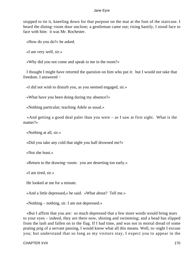stopped to tie it, kneeling down for that purpose on the mat at the foot of the staircase. I heard the dining−room door unclose; a gentleman came out; rising hastily, I stood face to face with him: it was Mr. Rochester.

«How do you do?» he asked.

«I am very well, sir.»

«Why did you not come and speak to me in the room?»

 I thought I might have retorted the question on him who put it: but I would not take that freedom. I answered –

«I did not wish to disturb you, as you seemed engaged, sir.»

«What have you been doing during my absence?»

«Nothing particular; teaching Adele as usual.»

 «And getting a good deal paler than you were – as I saw at first sight. What is the matter?»

«Nothing at all, sir.»

«Did you take any cold that night you half drowned me?»

«Not she least.»

«Return to the drawing−room: you are deserting too early.»

«I am tired, sir.»

He looked at me for a minute.

«And a little depressed,» he said. «What about? Tell me.»

«Nothing – nothing, sir. I am not depressed.»

 «But I affirm that you are: so much depressed that a few more words would bring tears to your eyes – indeed, they are there now, shining and swimming; and a bead has slipped from the lash and fallen on to the flag. If I had time, and was not in mortal dread of some prating prig of a servant passing, I would know what all this means. Well, to−night I excuse you; but understand that so long as my visitors stay, I expect you to appear in the

CHAPTER XVII 170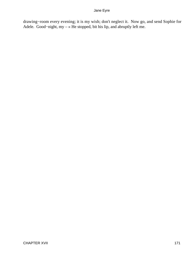drawing−room every evening; it is my wish; don't neglect it. Now go, and send Sophie for Adele. Good−night, my – » He stopped, bit his lip, and abruptly left me.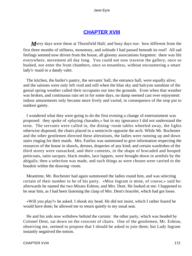# **[CHAPTER XVIII](#page-434-0)**

*M*erry days were these at Thornfield Hall; and busy days too: how different from the first three months of stillness, monotony, and solitude I had passed beneath its roof! All sad feelings seemed now driven from the house, all gloomy associations forgotten: there was life everywhere, movement all day long. You could not now traverse the gallery, once so hushed, nor enter the front chambers, once so tenantless, without encountering a smart lady's−maid or a dandy valet.

 The kitchen, the butler's pantry, the servants' hall, the entrance hall, were equally alive; and the saloons were only left void and still when the blue sky and halcyon sunshine of the genial spring weather called their occupants out into the grounds. Even when that weather was broken, and continuous rain set in for some days, no damp seemed cast over enjoyment: indoor amusements only became more lively and varied, in consequence of the stop put to outdoor gaiety.

 I wondered what they were going to do the first evening a change of entertainment was proposed: they spoke of «playing charades,» but in my ignorance I did not understand the term. The servants were called in, the dining−room tables wheeled away, the lights otherwise disposed, the chairs placed in a semicircle opposite the arch. While Mr. Rochester and the other gentlemen directed these alterations, the ladies were running up and down stairs ringing for their maids. Mrs. Fairfax was summoned to give information respecting the resources of the house in shawls, dresses, draperies of any kind; and certain wardrobes of the third storey were ransacked, and their contents, in the shape of brocaded and hooped petticoats, satin sacques, black modes, lace lappets, were brought down in armfuls by the abigails; then a selection was made, and such things as were chosen were carried to the boudoir within the drawing−room.

 Meantime, Mr. Rochester had again summoned the ladies round him, and was selecting certain of their number to be of his party. «Miss Ingram is mine, of course,» said he: afterwards he named the two Misses Eshton, and Mrs. Dent. He looked at me: I happened to be near him, as I had been fastening the clasp of Mrs. Dent's bracelet, which had got loose.

 «Will you play?» he asked. I shook my head. He did not insist, which I rather feared he would have done; he allowed me to return quietly to my usual seat.

 He and his aids now withdrew behind the curtain: the other party, which was headed by Colonel Dent, sat down on the crescent of chairs. One of the gentlemen, Mr. Eshton, observing me, seemed to propose that I should be asked to join them; but Lady Ingram instantly negatived the notion.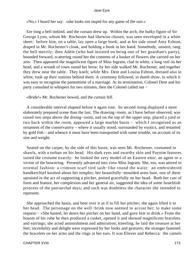«No,» I heard her say: «she looks too stupid for any game of the sort.»

 Ere long a bell tinkled, and the curtain drew up. Within the arch, the bulky figure of Sir George Lynn, whom Mr. Rochester had likewise chosen, was seen enveloped in a white sheet: before him, on a table, lay open a large book; and at his side stood Amy Eshton, draped in Mr. Rochester's cloak, and holding a book in her hand. Somebody, unseen, rang the bell merrily; then Adele (who had insisted on being one of her guardian's party), bounded forward, scattering round her the contents of a basket of flowers she carried on her arm. Then appeared the magnificent figure of Miss Ingram, clad in white, a long veil on her head, and a wreath of roses round her brow; by her side walked Mr. Rochester, and together they drew near the table. They knelt; while Mrs. Dent and Louisa Eshton, dressed also in white, took up their stations behind them. A ceremony followed, in dumb show, in which it was easy to recognise the pantomime of a marriage. At its termination, Colonel Dent and his party consulted in whispers for two minutes, then the Colonel called out −

«Bride!» Mr. Rochester bowed, and the curtain fell.

 A considerable interval elapsed before it again rose. Its second rising displayed a more elaborately prepared scene than the last. The drawing−room, as I have before observed, was raised two steps above the dining−room, and on the top of the upper step, placed a yard or two back within the room, appeared a large marble basin – which I recognised as an ornament of the conservatory – where it usually stood, surrounded by exotics, and tenanted by gold fish – and whence it must have been transported with some trouble, on account of its size and weight.

 Seated on the carpet, by the side of this basin, was seen Mr. Rochester, costumed in shawls, with a turban on his head. His dark eyes and swarthy skin and Paynim features suited the costume exactly: he looked the very model of an Eastern emir, an agent or a victim of the bowstring. Presently advanced into view Miss Ingram. She, too, was attired in oriental fashion: a crimson scarf tied sash−like round the waist: an embroidered handkerchief knotted about her temples; her beautifully−moulded arms bare, one of them upraised in the act of supporting a pitcher, poised gracefully on her head. Both her cast of form and feature, her complexion and her general air, suggested the idea of some Israelitish princess of the patriarchal days; and such was doubtless the character she intended to represent.

 She approached the basin, and bent over it as if to fill her pitcher; she again lifted it to her head. The personage on the well−brink now seemed to accost her; to make some request:− «She hasted, let down her pitcher on her hand, and gave him to drink.» From the bosom of his robe he then produced a casket, opened it and showed magnificent bracelets and earrings; she acted astonishment and admiration; kneeling, he laid the treasure at her feet; incredulity and delight were expressed by her looks and gestures; the stranger fastened the bracelets on her arms and the rings in her ears. It was Eliezer and Rebecca: the camels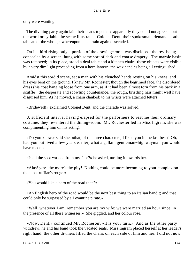only were wanting.

 The divining party again laid their heads together: apparently they could not agree about the word or syllable the scene illustrated. Colonel Dent, their spokesman, demanded «the tableau of the whole;» whereupon the curtain again descended.

 On its third rising only a portion of the drawing−room was disclosed; the rest being concealed by a screen, hung with some sort of dark and coarse drapery. The marble basin was removed; in its place, stood a deal table and a kitchen chair: these objects were visible by a very dim light proceeding from a horn lantern, the wax candles being all extinguished.

 Amidst this sordid scene, sat a man with his clenched hands resting on his knees, and his eyes bent on the ground. I knew Mr. Rochester; though the begrimed face, the disordered dress (his coat hanging loose from one arm, as if it had been almost torn from his back in a scuffle), the desperate and scowling countenance, the rough, bristling hair might well have disguised him. As he moved, a chain clanked; to his wrists were attached fetters.

«Bridewell!» exclaimed Colonel Dent, and the charade was solved.

 A sufficient interval having elapsed for the performers to resume their ordinary costume, they re−entered the dining−room. Mr. Rochester led in Miss Ingram; she was complimenting him on his acting.

 «Do you know,» said she, «that, of the three characters, I liked you in the last best? Oh, had you but lived a few years earlier, what a gallant gentleman−highwayman you would have made!»

«Is all the soot washed from my face?» he asked, turning it towards her.

 «Alas! yes: the more's the pity! Nothing could be more becoming to your complexion than that ruffian's rouge.»

«You would like a hero of the road then?»

 «An English hero of the road would be the next best thing to an Italian bandit; and that could only be surpassed by a Levantine pirate.»

 «Well, whatever I am, remember you are my wife; we were married an hour since, in the presence of all these witnesses.» She giggled, and her colour rose.

 «Now, Dent,» continued Mr. Rochester, «it is your turn.» And as the other party withdrew, he and his band took the vacated seats. Miss Ingram placed herself at her leader's right hand; the other diviners filled the chairs on each side of him and her. I did not now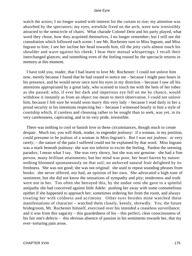watch the actors; I no longer waited with interest for the curtain to rise; my attention was absorbed by the spectators; my eyes, erewhile fixed on the arch, were now irresistibly attracted to the semicircle of chairs. What charade Colonel Dent and his party played, what word they chose, how they acquitted themselves, I no longer remember; but I still see the consultation which followed each scene: I see Mr. Rochester turn to Miss Ingram, and Miss Ingram to him; I see her incline her head towards him, till the jetty curls almost touch his shoulder and wave against his cheek; I hear their mutual whisperings; I recall their interchanged glances; and something even of the feeling roused by the spectacle returns in memory at this moment.

 I have told you, reader, that I had learnt to love Mr. Rochester: I could not unlove him now, merely because I found that he had ceased to notice me – because I might pass hours in his presence, and he would never once turn his eyes in my direction – because I saw all his attentions appropriated by a great lady, who scorned to touch me with the hem of her robes as she passed; who, if ever her dark and imperious eye fell on me by chance, would withdraw it instantly as from an object too mean to merit observation. I could not unlove him, because I felt sure he would soon marry this very lady – because I read daily in her a proud security in his intentions respecting her – because I witnessed hourly in him a style of courtship which, if careless and choosing rather to be sought than to seek, was yet, in its very carelessness, captivating, and in its very pride, irresistible.

 There was nothing to cool or banish love in these circumstances, though much to create despair. Much too, you will think, reader, to engender jealousy: if a woman, in my position, could presume to be jealous of a woman in Miss Ingram's. But I was not jealous: or very rarely; – the nature of the pain I suffered could not be explained by that word. Miss Ingram was a mark beneath jealousy: she was too inferior to excite the feeling. Pardon the seeming paradox; I mean what I say. She was very showy, but she was not genuine: she had a fine person, many brilliant attainments; but her mind was poor, her heart barren by nature: nothing bloomed spontaneously on that soil; no unforced natural fruit delighted by its freshness. She was not good; she was not original: she used to repeat sounding phrases from books: she never offered, nor had, an opinion of her own. She advocated a high tone of sentiment; but she did not know the sensations of sympathy and pity; tenderness and truth were not in her. Too often she betrayed this, by the undue vent she gave to a spiteful antipathy she had conceived against little Adele: pushing her away with some contumelious epithet if she happened to approach her; sometimes ordering her from the room, and always treating her with coldness and acrimony. Other eyes besides mine watched these manifestations of character – watched them closely, keenly, shrewdly. Yes; the future bridegroom, Mr. Rochester himself, exercised over his intended a ceaseless surveillance; and it was from this sagacity – this guardedness of his – this perfect, clear consciousness of his fair one's defects – this obvious absence of passion in his sentiments towards her, that my ever−torturing pain arose.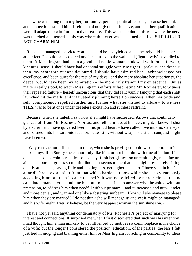I saw he was going to marry her, for family, perhaps political reasons, because her rank and connections suited him; I felt he had not given her his love, and that her qualifications were ill adapted to win from him that treasure. This was the point – this was where the nerve was touched and teased – this was where the fever was sustained and fed: **SHE COULD NOT CHARM HIM.**

 If she had managed the victory at once, and he had yielded and sincerely laid his heart at her feet, I should have covered my face, turned to the wall, and (figuratively) have died to them. If Miss Ingram had been a good and noble woman, endowed with force, fervour, kindness, sense, I should have had one vital struggle with two tigers – jealousy and despair: then, my heart torn out and devoured, I should have admired her – acknowledged her excellence, and been quiet for the rest of my days: and the more absolute her superiority, the deeper would have been my admiration – the more truly tranquil my quiescence. But as matters really stood, to watch Miss Ingram's efforts at fascinating Mr. Rochester, to witness their repeated failure – herself unconscious that they did fail; vainly fancying that each shaft launched hit the mark, and infatuatedly pluming herself on success, when her pride and self−complacency repelled further and further what she wished to allure – to witness **THIS,** was to be at once under ceaseless excitation and ruthless restraint.

 Because, when she failed, I saw how she might have succeeded. Arrows that continually glanced off from Mr. Rochester's breast and fell harmless at his feet, might, I knew, if shot by a surer hand, have quivered keen in his proud heart – have called love into his stern eye, and softness into his sardonic face; or, better still, without weapons a silent conquest might have been won.

 «Why can she not influence him more, when she is privileged to draw so near to him?» I asked myself. «Surely she cannot truly like him, or not like him with true affection! If she did, she need not coin her smiles so lavishly, flash her glances so unremittingly, manufacture airs so elaborate, graces so multitudinous. It seems to me that she might, by merely sitting quietly at his side, saying little and looking less, get nigher his heart. I have seen in his face a far different expression from that which hardens it now while she is so vivaciously accosting him; but then it came of itself: it was not elicited by meretricious arts and calculated manoeuvres; and one had but to accept it – to answer what he asked without pretension, to address him when needful without grimace – and it increased and grew kinder and more genial, and warmed one like a fostering sunbeam. How will she manage to please him when they are married? I do not think she will manage it; and yet it might be managed; and his wife might, I verily believe, be the very happiest woman the sun shines on.»

 I have not yet said anything condemnatory of Mr. Rochester's project of marrying for interest and connections. It surprised me when I first discovered that such was his intention: I had thought him a man unlikely to be influenced by motives so commonplace in his choice of a wife; but the longer I considered the position, education, of the parties, the less I felt justified in judging and blaming either him or Miss Ingram for acting in conformity to ideas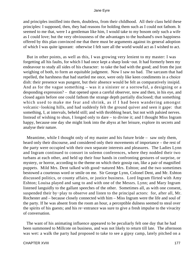and principles instilled into them, doubtless, from their childhood. All their class held these principles: I supposed, then, they had reasons for holding them such as I could not fathom. It seemed to me that, were I a gentleman like him, I would take to my bosom only such a wife as I could love; but the very obviousness of the advantages to the husband's own happiness offered by this plan convinced me that there must be arguments against its general adoption of which I was quite ignorant: otherwise I felt sure all the world would act as I wished to act.

 But in other points, as well as this, I was growing very lenient to my master: I was forgetting all his faults, for which I had once kept a sharp look−out. It had formerly been my endeavour to study all sides of his character: to take the bad with the good; and from the just weighing of both, to form an equitable judgment. Now I saw no bad. The sarcasm that had repelled, the harshness that had startled me once, were only like keen condiments in a choice dish: their presence was pungent, but their absence would be felt as comparatively insipid. And as for the vague something – was it a sinister or a sorrowful, a designing or a desponding expression? – that opened upon a careful observer, now and then, in his eye, and closed again before one could fathom the strange depth partially disclosed; that something which used to make me fear and shrink, as if I had been wandering amongst volcanic−looking hills, and had suddenly felt the ground quiver and seen it gape: that something, I, at intervals, beheld still; and with throbbing heart, but not with palsied nerves. Instead of wishing to shun, I longed only to dare – to divine it; and I thought Miss Ingram happy, because one day she might look into the abyss at her leisure, explore its secrets and analyse their nature.

 Meantime, while I thought only of my master and his future bride – saw only them, heard only their discourse, and considered only their movements of importance – the rest of the party were occupied with their own separate interests and pleasures. The Ladies Lynn and Ingram continued to consort in solemn conferences, where they nodded their two turbans at each other, and held up their four hands in confronting gestures of surprise, or mystery, or horror, according to the theme on which their gossip ran, like a pair of magnified puppets. Mild Mrs. Dent talked with good−natured Mrs. Eshton; and the two sometimes bestowed a courteous word or smile on me. Sir George Lynn, Colonel Dent, and Mr. Eshton discussed politics, or county affairs, or justice business. Lord Ingram flirted with Amy Eshton; Louisa played and sang to and with one of the Messrs. Lynn; and Mary Ingram listened languidly to the gallant speeches of the other. Sometimes all, as with one consent, suspended their by−play to observe and listen to the principal actors: for, after all, Mr. Rochester and – because closely connected with him – Miss Ingram were the life and soul of the party. If he was absent from the room an hour, a perceptible dulness seemed to steal over the spirits of his guests; and his re−entrance was sure to give a fresh impulse to the vivacity of conversation.

 The want of his animating influence appeared to be peculiarly felt one day that he had been summoned to Millcote on business, and was not likely to return till late. The afternoon was wet: a walk the party had proposed to take to see a gipsy camp, lately pitched on a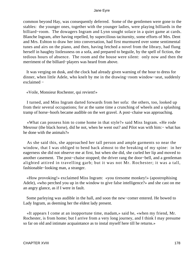common beyond Hay, was consequently deferred. Some of the gentlemen were gone to the stables: the younger ones, together with the younger ladies, were playing billiards in the billiard−room. The dowagers Ingram and Lynn sought solace in a quiet game at cards. Blanche Ingram, after having repelled, by supercilious taciturnity, some efforts of Mrs. Dent and Mrs. Eshton to draw her into conversation, had first murmured over some sentimental tunes and airs on the piano, and then, having fetched a novel from the library, had flung herself in haughty listlessness on a sofa, and prepared to beguile, by the spell of fiction, the tedious hours of absence. The room and the house were silent: only now and then the merriment of the billiard−players was heard from above.

 It was verging on dusk, and the clock had already given warning of the hour to dress for dinner, when little Adele, who knelt by me in the drawing−room window−seat, suddenly exclaimed −

«Voile, Monsieur Rochester, qui revient!»

 I turned, and Miss Ingram darted forwards from her sofa: the others, too, looked up from their several occupations; for at the same time a crunching of wheels and a splashing tramp of horse−hoofs became audible on the wet gravel. A post−chaise was approaching.

 «What can possess him to come home in that style?» said Miss Ingram. «He rode Mesrour (the black horse), did he not, when he went out? and Pilot was with him:− what has he done with the animals?»

 As she said this, she approached her tall person and ample garments so near the window, that I was obliged to bend back almost to the breaking of my spine: in her eagerness she did not observe me at first, but when she did, she curled her lip and moved to another casement. The post−chaise stopped; the driver rang the door−bell, and a gentleman alighted attired in travelling garb; but it was not Mr. Rochester; it was a tall, fashionable−looking man, a stranger.

 «How provoking!» exclaimed Miss Ingram: «you tiresome monkey!» (apostrophising Adele), «who perched you up in the window to give false intelligence?» and she cast on me an angry glance, as if I were in fault.

 Some parleying was audible in the hall, and soon the new−comer entered. He bowed to Lady Ingram, as deeming her the eldest lady present.

 «It appears I come at an inopportune time, madam,» said he, «when my friend, Mr. Rochester, is from home; but I arrive from a very long journey, and I think I may presume so far on old and intimate acquaintance as to instal myself here till he returns.»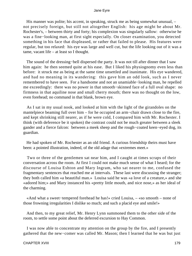His manner was polite; his accent, in speaking, struck me as being somewhat unusual, – not precisely foreign, but still not altogether English: his age might be about Mr. Rochester's, – between thirty and forty; his complexion was singularly sallow: otherwise he was a fine−looking man, at first sight especially. On closer examination, you detected something in his face that displeased, or rather that failed to please. His features were regular, but too relaxed: his eye was large and well cut, but the life looking out of it was a tame, vacant life – at least so I thought.

The sound of the dressing–bell dispersed the party. It was not till after dinner that I saw him again: he then seemed quite at his ease. But I liked his physiognomy even less than before: it struck me as being at the same time unsettled and inanimate. His eye wandered, and had no meaning in its wandering: this gave him an odd look, such as I never remembered to have seen. For a handsome and not an unamiable−looking man, he repelled me exceedingly: there was no power in that smooth−skinned face of a full oval shape: no firmness in that aquiline nose and small cherry mouth; there was no thought on the low, even forehead; no command in that blank, brown eye.

 As I sat in my usual nook, and looked at him with the light of the girandoles on the mantelpiece beaming full over him – for he occupied an arm−chair drawn close to the fire, and kept shrinking still nearer, as if he were cold, I compared him with Mr. Rochester. I think (with deference be it spoken) the contrast could not be much greater between a sleek gander and a fierce falcon: between a meek sheep and the rough−coated keen−eyed dog, its guardian.

 He had spoken of Mr. Rochester as an old friend. A curious friendship theirs must have been: a pointed illustration, indeed, of the old adage that «extremes meet.»

 Two or three of the gentlemen sat near him, and I caught at times scraps of their conversation across the room. At first I could not make much sense of what I heard; for the discourse of Louisa Eshton and Mary Ingram, who sat nearer to me, confused the fragmentary sentences that reached me at intervals. These last were discussing the stranger; they both called him «a beautiful man.» Louisa said he was «a love of a creature,» and she «adored him;» and Mary instanced his «pretty little mouth, and nice nose,» as her ideal of the charming.

 «And what a sweet−tempered forehead he has!» cried Louisa, – «so smooth – none of those frowning irregularities I dislike so much; and such a placid eye and smile!»

 And then, to my great relief, Mr. Henry Lynn summoned them to the other side of the room, to settle some point about the deferred excursion to Hay Common.

 I was now able to concentrate my attention on the group by the fire, and I presently gathered that the new−comer was called Mr. Mason; then I learned that he was but just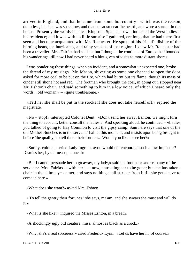arrived in England, and that he came from some hot country: which was the reason, doubtless, his face was so sallow, and that he sat so near the hearth, and wore a surtout in the house. Presently the words Jamaica, Kingston, Spanish Town, indicated the West Indies as his residence; and it was with no little surprise I gathered, ere long, that he had there first seen and become acquainted with Mr. Rochester. He spoke of his friend's dislike of the burning heats, the hurricanes, and rainy seasons of that region. I knew Mr. Rochester had been a traveller: Mrs. Fairfax had said so; but I thought the continent of Europe had bounded his wanderings; till now I had never heard a hint given of visits to more distant shores.

 I was pondering these things, when an incident, and a somewhat unexpected one, broke the thread of my musings. Mr. Mason, shivering as some one chanced to open the door, asked for more coal to be put on the fire, which had burnt out its flame, though its mass of cinder still shone hot and red. The footman who brought the coal, in going out, stopped near Mr. Eshton's chair, and said something to him in a low voice, of which I heard only the words, «old woman,» – «quite troublesome.»

 «Tell her she shall be put in the stocks if she does not take herself off,» replied the magistrate.

 «No – stop!» interrupted Colonel Dent. «Don't send her away, Eshton; we might turn the thing to account; better consult the ladies.» And speaking aloud, he continued – «Ladies, you talked of going to Hay Common to visit the gipsy camp; Sam here says that one of the old Mother Bunches is in the servants' hall at this moment, and insists upon being brought in before 'the quality,' to tell them their fortunes. Would you like to see her?»

 «Surely, colonel,» cried Lady Ingram, «you would not encourage such a low impostor? Dismiss her, by all means, at once!»

 «But I cannot persuade her to go away, my lady,» said the footman; «nor can any of the servants: Mrs. Fairfax is with her just now, entreating her to be gone; but she has taken a chair in the chimney− comer, and says nothing shall stir her from it till she gets leave to come in here.»

«What does she want?» asked Mrs. Eshton.

 «'To tell the gentry their fortunes,' she says, ma'am; and she swears she must and will do it.»

«What is she like?» inquired the Misses Eshton, in a breath.

«A shockingly ugly old creature, miss; almost as black as a crock.»

«Why, she's a real sorceress!» cried Frederick Lynn. «Let us have her in, of course.»

CHAPTER XVIII 180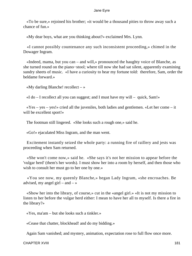«To be sure,» rejoined his brother; «it would be a thousand pities to throw away such a chance of fun.»

«My dear boys, what are you thinking about?» exclaimed Mrs. Lynn.

 «I cannot possibly countenance any such inconsistent proceeding,» chimed in the Dowager Ingram.

 «Indeed, mama, but you can – and will,» pronounced the haughty voice of Blanche, as she turned round on the piano−stool; where till now she had sat silent, apparently examining sundry sheets of music. «I have a curiosity to hear my fortune told: therefore, Sam, order the beldame forward.»

«My darling Blanche! recollect  $-\infty$ 

«I do – I recollect all you can suggest; and I must have my will – quick, Sam!»

 «Yes – yes – yes!» cried all the juveniles, both ladies and gentlemen. «Let her come – it will be excellent sport!»

The footman still lingered. «She looks such a rough one,» said he.

«Go!» ejaculated Miss Ingram, and the man went.

 Excitement instantly seized the whole party: a running fire of raillery and jests was proceeding when Sam returned.

 «She won't come now,» said he. «She says it's not her mission to appear before the 'vulgar herd' (them's her words). I must show her into a room by herself, and then those who wish to consult her must go to her one by one.»

 «You see now, my queenly Blanche,» began Lady Ingram, «she encroaches. Be advised, my angel girl – and –  $\ast$ 

 «Show her into the library, of course,» cut in the «angel girl.» «It is not my mission to listen to her before the vulgar herd either: I mean to have her all to myself. Is there a fire in the library?»

«Yes, ma'am – but she looks such a tinkler.»

«Cease that chatter, blockhead! and do my bidding.»

Again Sam vanished; and mystery, animation, expectation rose to full flow once more.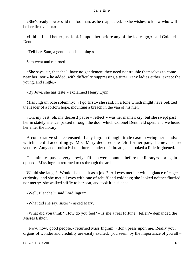«She's ready now,» said the footman, as he reappeared. «She wishes to know who will be her first visitor.»

 «I think I had better just look in upon her before any of the ladies go,» said Colonel Dent.

«Tell her, Sam, a gentleman is coming.»

Sam went and returned.

 «She says, sir, that she'll have no gentlemen; they need not trouble themselves to come near her; nor,» he added, with difficulty suppressing a titter, «any ladies either, except the young, and single.»

«By Jove, she has taste!» exclaimed Henry Lynn.

 Miss Ingram rose solemnly: «I go first,» she said, in a tone which might have befitted the leader of a forlorn hope, mounting a breach in the van of his men.

 «Oh, my best! oh, my dearest! pause – reflect!» was her mama's cry; but she swept past her in stately silence, passed through the door which Colonel Dent held open, and we heard her enter the library.

 A comparative silence ensued. Lady Ingram thought it «le cas» to wring her hands: which she did accordingly. Miss Mary declared she felt, for her part, she never dared venture. Amy and Louisa Eshton tittered under their breath, and looked a little frightened.

 The minutes passed very slowly: fifteen were counted before the library−door again opened. Miss Ingram returned to us through the arch.

 Would she laugh? Would she take it as a joke? All eyes met her with a glance of eager curiosity, and she met all eyes with one of rebuff and coldness; she looked neither flurried nor merry: she walked stiffly to her seat, and took it in silence.

«Well, Blanche?» said Lord Ingram.

«What did she say, sister?» asked Mary.

 «What did you think? How do you feel? – Is she a real fortune− teller?» demanded the Misses Eshton.

 «Now, now, good people,» returned Miss Ingram, «don't press upon me. Really your organs of wonder and credulity are easily excited: you seem, by the importance of you all –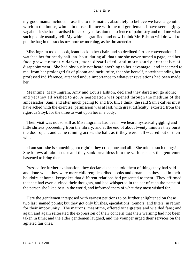my good mama included – ascribe to this matter, absolutely to believe we have a genuine witch in the house, who is in close alliance with the old gentleman. I have seen a gipsy vagabond; she has practised in hackneyed fashion the science of palmistry and told me what such people usually tell. My whim is gratified; and now I think Mr. Eshton will do well to put the hag in the stocks to−morrow morning, as he threatened.»

 Miss Ingram took a book, leant back in her chair, and so declined further conversation. I watched her for nearly half−an−hour: during all that time she never turned a page, and her face grew momently darker, more dissatisfied, and more sourly expressive of disappointment. She had obviously not heard anything to her advantage: and it seemed to me, from her prolonged fit of gloom and taciturnity, that she herself, notwithstanding her professed indifference, attached undue importance to whatever revelations had been made her.

 Meantime, Mary Ingram, Amy and Louisa Eshton, declared they dared not go alone; and yet they all wished to go. A negotiation was opened through the medium of the ambassador, Sam; and after much pacing to and fro, till, I think, the said Sam's calves must have ached with the exercise, permission was at last, with great difficulty, extorted from the rigorous Sibyl, for the three to wait upon her in a body.

 Their visit was not so still as Miss Ingram's had been: we heard hysterical giggling and little shrieks proceeding from the library; and at the end of about twenty minutes they burst the door open, and came running across the hall, as if they were half−scared out of their wits.

 «I am sure she is something not right!» they cried, one and all. «She told us such things! She knows all about us!» and they sank breathless into the various seats the gentlemen hastened to bring them.

 Pressed for further explanation, they declared she had told them of things they had said and done when they were mere children; described books and ornaments they had in their boudoirs at home: keepsakes that different relations had presented to them. They affirmed that she had even divined their thoughts, and had whispered in the ear of each the name of the person she liked best in the world, and informed them of what they most wished for.

 Here the gentlemen interposed with earnest petitions to be further enlightened on these two last−named points; but they got only blushes, ejaculations, tremors, and titters, in return for their importunity. The matrons, meantime, offered vinaigrettes and wielded fans; and again and again reiterated the expression of their concern that their warning had not been taken in time; and the elder gentlemen laughed, and the younger urged their services on the agitated fair ones.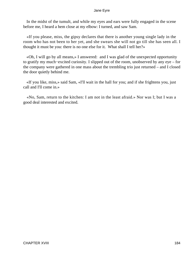In the midst of the tumult, and while my eyes and ears were fully engaged in the scene before me, I heard a hem close at my elbow: I turned, and saw Sam.

 «If you please, miss, the gipsy declares that there is another young single lady in the room who has not been to her yet, and she swears she will not go till she has seen all. I thought it must be you: there is no one else for it. What shall I tell her?»

 «Oh, I will go by all means,» I answered: and I was glad of the unexpected opportunity to gratify my much−excited curiosity. I slipped out of the room, unobserved by any eye – for the company were gathered in one mass about the trembling trio just returned – and I closed the door quietly behind me.

 «If you like, miss,» said Sam, «I'll wait in the hall for you; and if she frightens you, just call and I'll come in.»

 «No, Sam, return to the kitchen: I am not in the least afraid.» Nor was I; but I was a good deal interested and excited.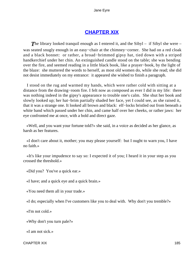# **[CHAPTER XIX](#page-434-0)**

**The library looked tranquil enough as I entered it, and the Sibyl – if Sibyl she were –** was seated snugly enough in an easy−chair at the chimney−corner. She had on a red cloak and a black bonnet: or rather, a broad−brimmed gipsy hat, tied down with a striped handkerchief under her chin. An extinguished candle stood on the table; she was bending over the fire, and seemed reading in a little black book, like a prayer−book, by the light of the blaze: she muttered the words to herself, as most old women do, while she read; she did not desist immediately on my entrance: it appeared she wished to finish a paragraph.

 I stood on the rug and warmed my hands, which were rather cold with sitting at a distance from the drawing−room fire. I felt now as composed as ever I did in my life: there was nothing indeed in the gipsy's appearance to trouble one's calm. She shut her book and slowly looked up; her hat−brim partially shaded her face, yet I could see, as she raised it, that it was a strange one. It looked all brown and black: elf−locks bristled out from beneath a white band which passed under her chin, and came half over her cheeks, or rather jaws: her eye confronted me at once, with a bold and direct gaze.

 «Well, and you want your fortune told?» she said, in a voice as decided as her glance, as harsh as her features.

 «I don't care about it, mother; you may please yourself: but I ought to warn you, I have no faith.»

 «It's like your impudence to say so: I expected it of you; I heard it in your step as you crossed the threshold.»

«Did you? You've a quick ear.»

«I have; and a quick eye and a quick brain.»

«You need them all in your trade.»

«I do; especially when I've customers like you to deal with. Why don't you tremble?»

«I'm not cold.»

«Why don't you turn pale?»

«I am not sick.»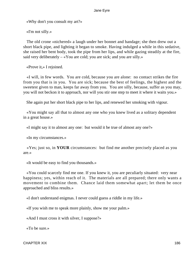«Why don't you consult my art?»

«I'm not silly.»

 The old crone «nichered» a laugh under her bonnet and bandage; she then drew out a short black pipe, and lighting it began to smoke. Having indulged a while in this sedative, she raised her bent body, took the pipe from her lips, and while gazing steadily at the fire, said very deliberately – «You are cold; you are sick; and you are silly.»

«Prove it,» I rejoined.

 «I will, in few words. You are cold, because you are alone: no contact strikes the fire from you that is in you. You are sick; because the best of feelings, the highest and the sweetest given to man, keeps far away from you. You are silly, because, suffer as you may, you will not beckon it to approach, nor will you stir one step to meet it where it waits you.»

She again put her short black pipe to her lips, and renewed her smoking with vigour.

 «You might say all that to almost any one who you knew lived as a solitary dependent in a great house.»

«I might say it to almost any one: but would it be true of almost any one?»

«In my circumstances.»

 «Yes; just so, in **YOUR** circumstances: but find me another precisely placed as you are.»

«It would be easy to find you thousands.»

 «You could scarcely find me one. If you knew it, you are peculiarly situated: very near happiness; yes, within reach of it. The materials are all prepared; there only wants a movement to combine them. Chance laid them somewhat apart; let them be once approached and bliss results.»

«I don't understand enigmas. I never could guess a riddle in my life.»

«If you wish me to speak more plainly, show me your palm.»

«And I must cross it with silver, I suppose?»

«To be sure.»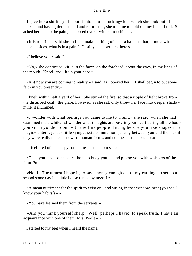I gave her a shilling: she put it into an old stocking−foot which she took out of her pocket, and having tied it round and returned it, she told me to hold out my hand. I did. She ached her face to the palm, and pored over it without touching it.

 «It is too fine,» said she. «I can make nothing of such a hand as that; almost without lines: besides, what is in a palm? Destiny is not written there.»

«I believe you,» said I.

 «No,» she continued, «it is in the face: on the forehead, about the eyes, in the lines of the mouth. Kneel, and lift up your head.»

 «Ah! now you are coming to reality,» I said, as I obeyed her. «I shall begin to put some faith in you presently.»

 I knelt within half a yard of her. She stirred the fire, so that a ripple of light broke from the disturbed coal: the glare, however, as she sat, only threw her face into deeper shadow: mine, it illumined.

 «I wonder with what feelings you came to me to−night,» she said, when she had examined me a while. «I wonder what thoughts are busy in your heart during all the hours you sit in yonder room with the fine people flitting before you like shapes in a magic−lantern: just as little sympathetic communion passing between you and them as if they were really mere shadows of human forms, and not the actual substance.»

«I feel tired often, sleepy sometimes, but seldom sad.»

 «Then you have some secret hope to buoy you up and please you with whispers of the future?»

 «Not I. The utmost I hope is, to save money enough out of my earnings to set up a school some day in a little house rented by myself.»

 «A mean nutriment for the spirit to exist on: and sitting in that window−seat (you see I know your habits  $) - \infty$ 

«You have learned them from the servants.»

 «Ah! you think yourself sharp. Well, perhaps I have: to speak truth, I have an acquaintance with one of them, Mrs. Poole – »

I started to my feet when I heard the name.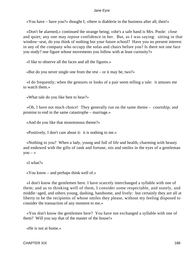«You have – have you?» thought I; «there is diablerie in the business after all, then!»

 «Don't be alarmed,» continued the strange being; «she's a safe hand is Mrs. Poole: close and quiet; any one may repose confidence in her. But, as I was saying: sitting in that window−seat, do you think of nothing but your future school? Have you no present interest in any of the company who occupy the sofas and chairs before you? Is there not one face you study? one figure whose movements you follow with at least curiosity?»

«I like to observe all the faces and all the figures.»

«But do you never single one from the rest – or it may be, two?»

 «I do frequently; when the gestures or looks of a pair seem telling a tale: it amuses me to watch them.»

«What tale do you like best to hear?»

 «Oh, I have not much choice! They generally run on the same theme – courtship; and promise to end in the same catastrophe – marriage.»

«And do you like that monotonous theme?»

«Positively, I don't care about it: it is nothing to me.»

 «Nothing to you? When a lady, young and full of life and health, charming with beauty and endowed with the gifts of rank and fortune, sits and smiles in the eyes of a gentleman  $\text{you} - \rightarrow$ 

«I what?»

«You know – and perhaps think well of.»

 «I don't know the gentlemen here. I have scarcely interchanged a syllable with one of them; and as to thinking well of them, I consider some respectable, and stately, and middle−aged, and others young, dashing, handsome, and lively: but certainly they are all at liberty to be the recipients of whose smiles they please, without my feeling disposed to consider the transaction of any moment to me.»

 «You don't know the gentlemen here? You have not exchanged a syllable with one of them? Will you say that of the master of the house!»

«He is not at home.»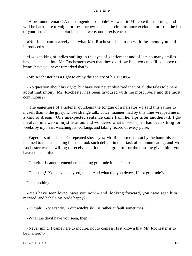«A profound remark! A most ingenious quibble! He went to Millcote this morning, and will be back here to−night or to−morrow: does that circumstance exclude him from the list of your acquaintance – blot him, as it were, out of existence?»

 «No; but I can scarcely see what Mr. Rochester has to do with the theme you had introduced.»

 «I was talking of ladies smiling in the eyes of gentlemen; and of late so many smiles have been shed into Mr. Rochester's eyes that they overflow like two cups filled above the brim: have you never remarked that?»

«Mr. Rochester has a right to enjoy the society of his guests.»

 «No question about his right: but have you never observed that, of all the tales told here about matrimony, Mr. Rochester has been favoured with the most lively and the most continuous?»

 «The eagerness of a listener quickens the tongue of a narrator.» I said this rather to myself than to the gipsy, whose strange talk, voice, manner, had by this time wrapped me in a kind of dream. One unexpected sentence came from her lips after another, till I got involved in a web of mystification; and wondered what unseen spirit had been sitting for weeks by my heart watching its workings and taking record of every pulse.

 «Eagerness of a listener!» repeated she: «yes; Mr. Rochester has sat by the hour, his ear inclined to the fascinating lips that took such delight in their task of communicating; and Mr. Rochester was so willing to receive and looked so grateful for the pastime given him; you have noticed this?»

«Grateful! I cannot remember detecting gratitude in his face.»

«Detecting! You have analysed, then. And what did you detect, if not gratitude?»

I said nothing.

 «You have seen love: have you not? – and, looking forward, you have seen him married, and beheld his bride happy?»

«Humph! Not exactly. Your witch's skill is rather at fault sometimes.»

«What the devil have you seen, then?»

 «Never mind: I came here to inquire, not to confess. Is it known that Mr. Rochester is to be married?»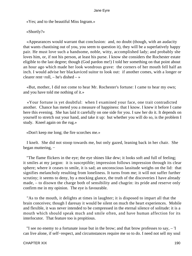«Yes; and to the beautiful Miss Ingram.»

«Shortly?»

 «Appearances would warrant that conclusion: and, no doubt (though, with an audacity that wants chastising out of you, you seem to question it), they will be a superlatively happy pair. He must love such a handsome, noble, witty, accomplished lady; and probably she loves him, or, if not his person, at least his purse. I know she considers the Rochester estate eligible to the last degree; though (God pardon me!) I told her something on that point about an hour ago which made her look wondrous grave: the corners of her mouth fell half an inch. I would advise her blackaviced suitor to look out: if another comes, with a longer or clearer rent−roll, – he's dished – »

 «But, mother, I did not come to hear Mr. Rochester's fortune: I came to hear my own; and you have told me nothing of it.»

 «Your fortune is yet doubtful: when I examined your face, one trait contradicted another. Chance has meted you a measure of happiness: that I know. I knew it before I came here this evening. She has laid it carefully on one side for you. I saw her do it. It depends on yourself to stretch out your hand, and take it up: but whether you will do so, is the problem I study. Kneel again on the rug.»

«Don't keep me long; the fire scorches me.»

 I knelt. She did not stoop towards me, but only gazed, leaning back in her chair. She began muttering, −

 "The flame flickers in the eye; the eye shines like dew; it looks soft and full of feeling; it smiles at my jargon: it is susceptible; impression follows impression through its clear sphere; where it ceases to smile, it is sad; an unconscious lassitude weighs on the lid: that signifies melancholy resulting from loneliness. It turns from me; it will not suffer further scrutiny; it seems to deny, by a mocking glance, the truth of the discoveries I have already made, – to disown the charge both of sensibility and chagrin: its pride and reserve only confirm me in my opinion. The eye is favourable.

 "As to the mouth, it delights at times in laughter; it is disposed to impart all that the brain conceives; though I daresay it would be silent on much the heart experiences. Mobile and flexible, it was never intended to be compressed in the eternal silence of solitude: it is a mouth which should speak much and smile often, and have human affection for its interlocutor. That feature too is propitious.

 "I see no enemy to a fortunate issue but in the brow; and that brow professes to say, – 'I can live alone, if self−respect, and circumstances require me so to do. I need not sell my soul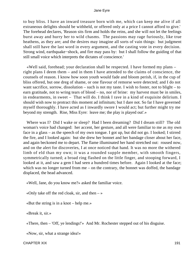to buy bliss. I have an inward treasure born with me, which can keep me alive if all extraneous delights should be withheld, or offered only at a price I cannot afford to give.' The forehead declares, 'Reason sits firm and holds the reins, and she will not let the feelings burst away and hurry her to wild chasms. The passions may rage furiously, like true heathens, as they are; and the desires may imagine all sorts of vain things: but judgment shall still have the last word in every argument, and the casting vote in every decision. Strong wind, earthquake−shock, and fire may pass by: but I shall follow the guiding of that still small voice which interprets the dictates of conscience.'

 «Well said, forehead; your declaration shall be respected. I have formed my plans – right plans I deem them – and in them I have attended to the claims of conscience, the counsels of reason. I know how soon youth would fade and bloom perish, if, in the cup of bliss offered, but one dreg of shame, or one flavour of remorse were detected; and I do not want sacrifice, sorrow, dissolution – such is not my taste. I wish to foster, not to blight – to earn gratitude, not to wring tears of blood – no, nor of brine: my harvest must be in smiles, in endearments, in sweet – That will do. I think I rave in a kind of exquisite delirium. I should wish now to protract this moment ad infinitum; but I dare not. So far I have governed myself thoroughly. I have acted as I inwardly swore I would act; but further might try me beyond my strength. Rise, Miss Eyre: leave me; the play is played out'.»

 Where was I? Did I wake or sleep? Had I been dreaming? Did I dream still? The old woman's voice had changed: her accent, her gesture, and all were familiar to me as my own face in a glass – as the speech of my own tongue. I got up, but did not go. I looked; I stirred the fire, and I looked again: but she drew her bonnet and her bandage closer about her face, and again beckoned me to depart. The flame illuminated her hand stretched out: roused now, and on the alert for discoveries, I at once noticed that hand. It was no more the withered limb of eld than my own; it was a rounded supple member, with smooth fingers, symmetrically turned; a broad ring flashed on the little finger, and stooping forward, I looked at it, and saw a gem I had seen a hundred times before. Again I looked at the face; which was no longer turned from me – on the contrary, the bonnet was doffed, the bandage displaced, the head advanced.

«Well, Jane, do you know me?» asked the familiar voice.

«Only take off the red cloak, sir, and then  $-\infty$ 

«But the string is in a knot – help me.»

«Break it, sir.»

«There, then – 'Off, ye lendings!'» And Mr. Rochester stepped out of his disguise.

«Now, sir, what a strange idea!»

CHAPTER XIX 191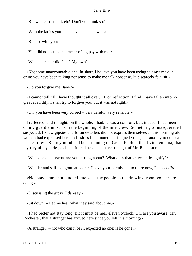«But well carried out, eh? Don't you think so?»

«With the ladies you must have managed well.»

«But not with you?»

«You did not act the character of a gipsy with me.»

«What character did I act? My own?»

 «No; some unaccountable one. In short, I believe you have been trying to draw me out – or in; you have been talking nonsense to make me talk nonsense. It is scarcely fair, sir.»

«Do you forgive me, Jane?»

 «I cannot tell till I have thought it all over. If, on reflection, I find I have fallen into no great absurdity, I shall try to forgive you; but it was not right.»

«Oh, you have been very correct – very careful, very sensible.»

 I reflected, and thought, on the whole, I had. It was a comfort; but, indeed, I had been on my guard almost from the beginning of the interview. Something of masquerade I suspected. I knew gipsies and fortune−tellers did not express themselves as this seeming old woman had expressed herself; besides I had noted her feigned voice, her anxiety to conceal her features. But my mind had been running on Grace Poole – that living enigma, that mystery of mysteries, as I considered her. I had never thought of Mr. Rochester.

«Well,» said he, «what are you musing about? What does that grave smile signify?»

«Wonder and self−congratulation, sir. I have your permission to retire now, I suppose?»

 «No; stay a moment; and tell me what the people in the drawing−room yonder are doing.»

«Discussing the gipsy, I daresay.»

«Sit down! – Let me hear what they said about me.»

 «I had better not stay long, sir; it must be near eleven o'clock. Oh, are you aware, Mr. Rochester, that a stranger has arrived here since you left this morning?»

«A stranger! – no; who can it be? I expected no one; is he gone?»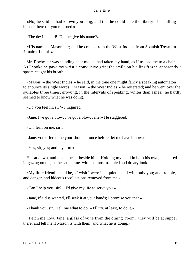«No; he said he had known you long, and that he could take the liberty of installing himself here till you returned.»

«The devil he did! Did he give his name?»

 «His name is Mason, sir; and he comes from the West Indies; from Spanish Town, in Jamaica, I think.»

 Mr. Rochester was standing near me; he had taken my hand, as if to lead me to a chair. As I spoke he gave my wrist a convulsive grip; the smile on his lips froze: apparently a spasm caught his breath.

 «Mason! – the West Indies!» he said, in the tone one might fancy a speaking automaton to enounce its single words; «Mason! – the West Indies!» he reiterated; and he went over the syllables three times, growing, in the intervals of speaking, whiter than ashes: he hardly seemed to know what he was doing.

«Do you feel ill, sir?» I inquired.

«Jane, I've got a blow; I've got a blow, Jane!» He staggered.

«Oh, lean on me, sir.»

«Jane, you offered me your shoulder once before; let me have it now.»

«Yes, sir, yes; and my arm.»

 He sat down, and made me sit beside him. Holding my hand in both his own, he chafed it; gazing on me, at the same time, with the most troubled and dreary look.

 «My little friend!» said he, «I wish I were in a quiet island with only you; and trouble, and danger, and hideous recollections removed from me.»

«Can I help you, sir? – I'd give my life to serve you.»

«Jane, if aid is wanted, I'll seek it at your hands; I promise you that.»

«Thank you, sir. Tell me what to do, – I'll try, at least, to do it.»

 «Fetch me now, Jane, a glass of wine from the dining−room: they will be at supper there; and tell me if Mason is with them, and what he is doing.»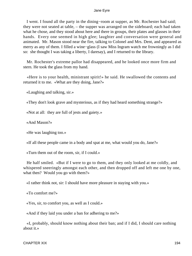I went. I found all the party in the dining−room at supper, as Mr. Rochester had said; they were not seated at table, – the supper was arranged on the sideboard; each had taken what he chose, and they stood about here and there in groups, their plates and glasses in their hands. Every one seemed in high glee; laughter and conversation were general and animated. Mr. Mason stood near the fire, talking to Colonel and Mrs. Dent, and appeared as merry as any of them. I filled a wine−glass (I saw Miss Ingram watch me frowningly as I did so: she thought I was taking a liberty, I daresay), and I returned to the library.

 Mr. Rochester's extreme pallor had disappeared, and he looked once more firm and stern. He took the glass from my hand.

 «Here is to your health, ministrant spirit!» he said. He swallowed the contents and returned it to me. «What are they doing, Jane?»

«Laughing and talking, sir.»

«They don't look grave and mysterious, as if they had heard something strange?»

«Not at all: they are full of jests and gaiety.»

«And Mason?»

«He was laughing too.»

«If all these people came in a body and spat at me, what would you do, Jane?»

«Turn them out of the room, sir, if I could.»

 He half smiled. «But if I were to go to them, and they only looked at me coldly, and whispered sneeringly amongst each other, and then dropped off and left me one by one, what then? Would you go with them?»

«I rather think not, sir: I should have more pleasure in staying with you.»

«To comfort me?»

«Yes, sir, to comfort you, as well as I could.»

«And if they laid you under a ban for adhering to me?»

 «I, probably, should know nothing about their ban; and if I did, I should care nothing about it.»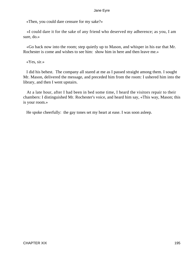«Then, you could dare censure for my sake?»

 «I could dare it for the sake of any friend who deserved my adherence; as you, I am sure, do.»

 «Go back now into the room; step quietly up to Mason, and whisper in his ear that Mr. Rochester is come and wishes to see him: show him in here and then leave me.»

«Yes, sir.»

 I did his behest. The company all stared at me as I passed straight among them. I sought Mr. Mason, delivered the message, and preceded him from the room: I ushered him into the library, and then I went upstairs.

 At a late hour, after I had been in bed some time, I heard the visitors repair to their chambers: I distinguished Mr. Rochester's voice, and heard him say, «This way, Mason; this is your room.»

He spoke cheerfully: the gay tones set my heart at ease. I was soon asleep.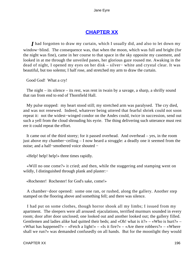# **[CHAPTER XX](#page-435-0)**

*I* had forgotten to draw my curtain, which I usually did, and also to let down my window−blind. The consequence was, that when the moon, which was full and bright (for the night was fine), came in her course to that space in the sky opposite my casement, and looked in at me through the unveiled panes, her glorious gaze roused me. Awaking in the dead of night, I opened my eyes on her disk – silver− white and crystal clear. It was beautiful, but too solemn; I half rose, and stretched my arm to draw the curtain.

Good God! What a cry!

 The night – its silence – its rest, was rent in twain by a savage, a sharp, a shrilly sound that ran from end to end of Thornfield Hall.

 My pulse stopped: my heart stood still; my stretched arm was paralysed. The cry died, and was not renewed. Indeed, whatever being uttered that fearful shriek could not soon repeat it: not the widest−winged condor on the Andes could, twice in succession, send out such a yell from the cloud shrouding his eyrie. The thing delivering such utterance must rest ere it could repeat the effort.

 It came out of the third storey; for it passed overhead. And overhead – yes, in the room just above my chamber−ceiling – I now heard a struggle: a deadly one it seemed from the noise; and a half−smothered voice shouted −

«Help! help! help!» three times rapidly.

 «Will no one come?» it cried; and then, while the staggering and stamping went on wildly, I distinguished through plank and plaster:−

«Rochester! Rochester! for God's sake, come!»

 A chamber−door opened: some one ran, or rushed, along the gallery. Another step stamped on the flooring above and something fell; and there was silence.

 I had put on some clothes, though horror shook all my limbs; I issued from my apartment. The sleepers were all aroused: ejaculations, terrified murmurs sounded in every room; door after door unclosed; one looked out and another looked out; the gallery filled. Gentlemen and ladies alike had quitted their beds; and «Oh! what is it?» – «Who is hurt?» – «What has happened?» – «Fetch a light!» – «Is it fire?» – «Are there robbers?» – «Where shall we run?» was demanded confusedly on all hands. But for the moonlight they would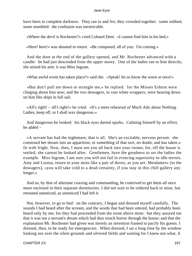have been in complete darkness. They ran to and fro; they crowded together: some sobbed, some stumbled: the confusion was inextricable.

«Where the devil is Rochester?» cried Colonel Dent. «I cannot find him in his bed.»

«Here! here!» was shouted in return. «Be composed, all of you: I'm coming.»

 And the door at the end of the gallery opened, and Mr. Rochester advanced with a candle: he had just descended from the upper storey. One of the ladies ran to him directly; she seized his arm: it was Miss Ingram.

«What awful event has taken place?» said she. «Speak! let us know the worst at once!»

 «But don't pull me down or strangle me,» he replied: for the Misses Eshton were clinging about him now; and the two dowagers, in vast white wrappers, were bearing down on him like ships in full sail.

 «All's right! – all's right!» he cried. «It's a mere rehearsal of Much Ado about Nothing. Ladies, keep off, or I shall wax dangerous.»

 And dangerous he looked: his black eyes darted sparks. Calming himself by an effort, he added −

 «A servant has had the nightmare; that is all. She's an excitable, nervous person: she construed her dream into an apparition, or something of that sort, no doubt; and has taken a fit with fright. Now, then, I must see you all back into your rooms; for, till the house is settled, she cannot be looked after. Gentlemen, have the goodness to set the ladies the example. Miss Ingram, I am sure you will not fail in evincing superiority to idle terrors. Amy and Louisa, return to your nests like a pair of doves, as you are. Mesdames» (to the dowagers), «you will take cold to a dead certainty, if you stay in this chill gallery any longer.»

 And so, by dint of alternate coaxing and commanding, he contrived to get them all once more enclosed in their separate dormitories. I did not wait to be ordered back to mine, but retreated unnoticed, as unnoticed I had left it.

 Not, however, to go to bed: on the contrary, I began and dressed myself carefully. The sounds I had heard after the scream, and the words that had been uttered, had probably been heard only by me; for they had proceeded from the room above mine: but they assured me that it was not a servant's dream which had thus struck horror through the house; and that the explanation Mr. Rochester had given was merely an invention framed to pacify his guests. I dressed, then, to be ready for emergencies. When dressed, I sat a long time by the window looking out over the silent grounds and silvered fields and waiting for I knew not what. It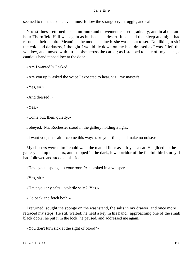seemed to me that some event must follow the strange cry, struggle, and call.

 No: stillness returned: each murmur and movement ceased gradually, and in about an hour Thornfield Hall was again as hushed as a desert. It seemed that sleep and night had resumed their empire. Meantime the moon declined: she was about to set. Not liking to sit in the cold and darkness, I thought I would lie down on my bed, dressed as I was. I left the window, and moved with little noise across the carpet; as I stooped to take off my shoes, a cautious hand tapped low at the door.

«Am I wanted?» I asked.

«Are you up?» asked the voice I expected to hear, viz., my master's.

«Yes, sir.»

«And dressed?»

«Yes.»

«Come out, then, quietly.»

I obeyed. Mr. Rochester stood in the gallery holding a light.

«I want you,» he said: «come this way: take your time, and make no noise.»

 My slippers were thin: I could walk the matted floor as softly as a cat. He glided up the gallery and up the stairs, and stopped in the dark, low corridor of the fateful third storey: I had followed and stood at his side.

«Have you a sponge in your room?» he asked in a whisper.

«Yes, sir.»

«Have you any salts – volatile salts? Yes.»

«Go back and fetch both.»

 I returned, sought the sponge on the washstand, the salts in my drawer, and once more retraced my steps. He still waited; he held a key in his hand: approaching one of the small, black doors, he put it in the lock; he paused, and addressed me again.

«You don't turn sick at the sight of blood?»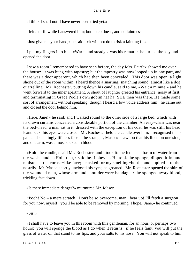«I think I shall not: I have never been tried yet.»

I felt a thrill while I answered him; but no coldness, and no faintness.

«Just give me your hand,» he said: «it will not do to risk a fainting fit.»

 I put my fingers into his. «Warm and steady,» was his remark: he turned the key and opened the door.

 I saw a room I remembered to have seen before, the day Mrs. Fairfax showed me over the house: it was hung with tapestry; but the tapestry was now looped up in one part, and there was a door apparent, which had then been concealed. This door was open; a light shone out of the room within: I heard thence a snarling, snatching sound, almost like a dog quarrelling. Mr. Rochester, putting down his candle, said to me, «Wait a minute,» and he went forward to the inner apartment. A shout of laughter greeted his entrance; noisy at first, and terminating in Grace Poole's own goblin ha! ha! SHE then was there. He made some sort of arrangement without speaking, though I heard a low voice address him: he came out and closed the door behind him.

 «Here, Jane!» he said; and I walked round to the other side of a large bed, which with its drawn curtains concealed a considerable portion of the chamber. An easy−chair was near the bed−head: a man sat in it, dressed with the exception of his coat; he was still; his head leant back; his eyes were closed. Mr. Rochester held the candle over him; I recognised in his pale and seemingly lifeless face – the stranger, Mason: I saw too that his linen on one side, and one arm, was almost soaked in blood.

 «Hold the candle,» said Mr. Rochester, and I took it: he fetched a basin of water from the washstand: «Hold that,» said he. I obeyed. He took the sponge, dipped it in, and moistened the corpse−like face; he asked for my smelling−bottle, and applied it to the nostrils. Mr. Mason shortly unclosed his eyes; he groaned. Mr. Rochester opened the shirt of the wounded man, whose arm and shoulder were bandaged: he sponged away blood, trickling fast down.

«Is there immediate danger?» murmured Mr. Mason.

 «Pooh! No – a mere scratch. Don't be so overcome, man: bear up! I'll fetch a surgeon for you now, myself: you'll be able to be removed by morning, I hope. Jane,» he continued.

«Sir?»

 «I shall have to leave you in this room with this gentleman, for an hour, or perhaps two hours: you will sponge the blood as I do when it returns: if he feels faint, you will put the glass of water on that stand to his lips, and your salts to his nose. You will not speak to him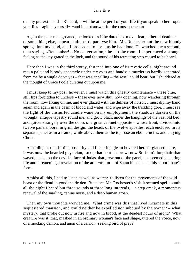on any pretext – and – Richard, it will be at the peril of your life if you speak to her: open your lips – agitate yourself− −and I'll not answer for the consequences.»

 Again the poor man groaned; he looked as if he dared not move; fear, either of death or of something else, appeared almost to paralyse him. Mr. Rochester put the now bloody sponge into my hand, and I proceeded to use it as he had done. He watched me a second, then saying, «Remember! – No conversation,» he left the room. I experienced a strange feeling as the key grated in the lock, and the sound of his retreating step ceased to be heard.

 Here then I was in the third storey, fastened into one of its mystic cells; night around me; a pale and bloody spectacle under my eyes and hands; a murderess hardly separated from me by a single door: yes – that was appalling – the rest I could bear; but I shuddered at the thought of Grace Poole bursting out upon me.

 I must keep to my post, however. I must watch this ghastly countenance – these blue, still lips forbidden to unclose – these eyes now shut, now opening, now wandering through the room, now fixing on me, and ever glazed with the dulness of horror. I must dip my hand again and again in the basin of blood and water, and wipe away the trickling gore. I must see the light of the unsnuffed candle wane on my employment; the shadows darken on the wrought, antique tapestry round me, and grow black under the hangings of the vast old bed, and quiver strangely over the doors of a great cabinet opposite – whose front, divided into twelve panels, bore, in grim design, the heads of the twelve apostles, each enclosed in its separate panel as in a frame; while above them at the top rose an ebon crucifix and a dying Christ.

According as the shifting obscurity and flickering gleam hovered here or glanced there, it was now the bearded physician, Luke, that bent his brow; now St. John's long hair that waved; and anon the devilish face of Judas, that grew out of the panel, and seemed gathering life and threatening a revelation of the arch−traitor – of Satan himself – in his subordinate's form.

 Amidst all this, I had to listen as well as watch: to listen for the movements of the wild beast or the fiend in yonder side den. But since Mr. Rochester's visit it seemed spellbound: all the night I heard but three sounds at three long intervals, – a step creak, a momentary renewal of the snarling, canine noise, and a deep human groan.

 Then my own thoughts worried me. What crime was this that lived incarnate in this sequestered mansion, and could neither be expelled nor subdued by the owner? – what mystery, that broke out now in fire and now in blood, at the deadest hours of night? What creature was it, that, masked in an ordinary woman's face and shape, uttered the voice, now of a mocking demon, and anon of a carrion−seeking bird of prey?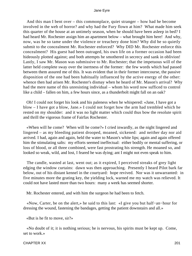And this man I bent over – this commonplace, quiet stranger – how had he become involved in the web of horror? and why had the Fury flown at him? What made him seek this quarter of the house at an untimely season, when he should have been asleep in bed? I had heard Mr. Rochester assign him an apartment below – what brought him here! And why, now, was he so tame under the violence or treachery done him? Why did he so quietly submit to the concealment Mr. Rochester enforced? Why DID Mr. Rochester enforce this concealment? His guest had been outraged, his own life on a former occasion had been hideously plotted against; and both attempts he smothered in secrecy and sank in oblivion! Lastly, I saw Mr. Mason was submissive to Mr. Rochester; that the impetuous will of the latter held complete sway over the inertness of the former: the few words which had passed between them assured me of this. It was evident that in their former intercourse, the passive disposition of the one had been habitually influenced by the active energy of the other: whence then had arisen Mr. Rochester's dismay when he heard of Mr. Mason's arrival? Why had the mere name of this unresisting individual – whom his word now sufficed to control like a child – fallen on him, a few hours since, as a thunderbolt might fall on an oak?

 Oh! I could not forget his look and his paleness when he whispered: «Jane, I have got a blow – I have got a blow, Jane.» I could not forget how the arm had trembled which he rested on my shoulder: and it was no light matter which could thus bow the resolute spirit and thrill the vigorous frame of Fairfax Rochester.

 «When will he come? When will he come?» I cried inwardly, as the night lingered and lingered – as my bleeding patient drooped, moaned, sickened: and neither day nor aid arrived. I had, again and again, held the water to Mason's white lips; again and again offered him the stimulating salts: my efforts seemed ineffectual: either bodily or mental suffering, or loss of blood, or all three combined, were fast prostrating his strength. He moaned so, and looked so weak, wild, and lost, I feared he was dying; ant I might not even speak to him.

 The candle, wasted at last, went out; as it expired, I perceived streaks of grey light edging the window curtains: dawn was then approaching. Presently I heard Pilot bark far below, out of his distant kennel in the courtyard: hope revived. Nor was it unwarranted: in five minutes more the grating key, the yielding lock, warned me my watch was relieved. It could not have lasted more than two hours: many a week has seemed shorter.

Mr. Rochester entered, and with him the surgeon he had been to fetch.

 «Now, Carter, be on the alert,» he said to this last: «I give you but half−an−hour for dressing the wound, fastening the bandages, getting the patient downstairs and all.»

«But is he fit to move, sir?»

 «No doubt of it; it is nothing serious; he is nervous, his spirits must be kept up. Come, set to work.»

#### CHAPTER XX 201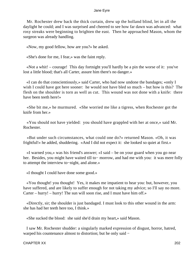Mr. Rochester drew back the thick curtain, drew up the holland blind, let in all the daylight he could; and I was surprised and cheered to see how far dawn was advanced: what rosy streaks were beginning to brighten the east. Then he approached Mason, whom the surgeon was already handling.

«Now, my good fellow, how are you?» he asked.

«She's done for me, I fear,» was the faint reply.

 «Not a whit! – courage! This day fortnight you'll hardly be a pin the worse of it: you've lost a little blood; that's all Carter, assure him there's no danger.»

 «I can do that conscientiously,» said Carter, who had now undone the bandages; «only I wish I could have got here sooner: he would not have bled so much – but how is this? The flesh on the shoulder is torn as well as cut. This wound was not done with a knife: there have been teeth here!»

 «She bit me,» he murmured. «She worried me like a tigress, when Rochester got the knife from her.»

 «You should not have yielded: you should have grappled with her at once,» said Mr. Rochester.

 «But under such circumstances, what could one do?» returned Mason. «Oh, it was frightful!» he added, shuddering. «And I did not expect it: she looked so quiet at first.»

 «I warned you,» was his friend's answer; «I said – be on your guard when you go near her. Besides, you might have waited till to− morrow, and had me with you: it was mere folly to attempt the interview to−night, and alone.»

«I thought I could have done some good.»

 «You thought! you thought! Yes, it makes me impatient to hear you: but, however, you have suffered, and are likely to suffer enough for not taking my advice; so I'll say no more. Carter – hurry! – hurry! The sun will soon rise, and I must have him off.»

 «Directly, sir; the shoulder is just bandaged. I must look to this other wound in the arm: she has had her teeth here too, I think.»

«She sucked the blood: she said she'd drain my heart,» said Mason.

 I saw Mr. Rochester shudder: a singularly marked expression of disgust, horror, hatred, warped his countenance almost to distortion; but he only said −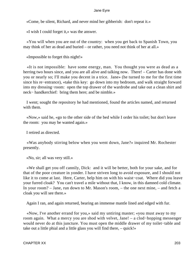«Come, be silent, Richard, and never mind her gibberish: don't repeat it.»

«I wish I could forget it,» was the answer.

 «You will when you are out of the country: when you get back to Spanish Town, you may think of her as dead and buried – or rather, you need not think of her at all.»

«Impossible to forget this night!»

 «It is not impossible: have some energy, man. You thought you were as dead as a herring two hours since, and you are all alive and talking now. There! – Carter has done with you or nearly so; I'll make you decent in a trice. Jane» (he turned to me for the first time since his re−entrance), «take this key: go down into my bedroom, and walk straight forward into my dressing−room: open the top drawer of the wardrobe and take out a clean shirt and neck− handkerchief: bring them here; and be nimble.»

 I went; sought the repository he had mentioned, found the articles named, and returned with them.

 «Now,» said he, «go to the other side of the bed while I order his toilet; but don't leave the room: you may be wanted again.»

I retired as directed.

 «Was anybody stirring below when you went down, Jane?» inquired Mr. Rochester presently.

«No, sir; all was very still.»

 «We shall get you off cannily, Dick: and it will be better, both for your sake, and for that of the poor creature in yonder. I have striven long to avoid exposure, and I should not like it to come at last. Here, Carter, help him on with his waist−coat. Where did you leave your furred cloak? You can't travel a mile without that, I know, in this damned cold climate. In your room? – Jane, run down to Mr. Mason's room, – the one next mine, – and fetch a cloak you will see there.»

Again I ran, and again returned, bearing an immense mantle lined and edged with fur.

 «Now, I've another errand for you,» said my untiring master; «you must away to my room again. What a mercy you are shod with velvet, Jane! – a clod−hopping messenger would never do at this juncture. You must open the middle drawer of my toilet−table and take out a little phial and a little glass you will find there, – quick!»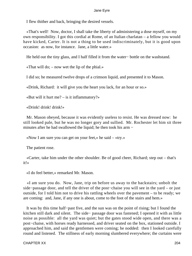I flew thither and back, bringing the desired vessels.

 «That's well! Now, doctor, I shall take the liberty of administering a dose myself, on my own responsibility. I got this cordial at Rome, of an Italian charlatan – a fellow you would have kicked, Carter. It is not a thing to be used indiscriminately, but it is good upon occasion: as now, for instance. Jane, a little water.»

He held out the tiny glass, and I half filled it from the water− bottle on the washstand.

«That will do;  $-$  now wet the lip of the phial.»

I did so; he measured twelve drops of a crimson liquid, and presented it to Mason.

«Drink, Richard: it will give you the heart you lack, for an hour or so.»

«But will it hurt me?  $-$  is it inflammatory?»

«Drink! drink! drink!»

 Mr. Mason obeyed, because it was evidently useless to resist. He was dressed now: he still looked pale, but he was no longer gory and sullied. Mr. Rochester let him sit three minutes after he had swallowed the liquid; he then took his arm −

«Now I am sure you can get on your feet,» he said – «try.»

The patient rose.

 «Carter, take him under the other shoulder. Be of good cheer, Richard; step out – that's it!»

«I do feel better,» remarked Mr. Mason.

 «I am sure you do. Now, Jane, trip on before us away to the backstairs; unbolt the side−passage door, and tell the driver of the post−chaise you will see in the yard – or just outside, for I told him not to drive his rattling wheels over the pavement – to be ready; we are coming: and, Jane, if any one is about, come to the foot of the stairs and hem.»

 It was by this time half−past five, and the sun was on the point of rising; but I found the kitchen still dark and silent. The side− passage door was fastened; I opened it with as little noise as possible: all the yard was quiet; but the gates stood wide open, and there was a post−chaise, with horses ready harnessed, and driver seated on the box, stationed outside. I approached him, and said the gentlemen were coming; he nodded: then I looked carefully round and listened. The stillness of early morning slumbered everywhere; the curtains were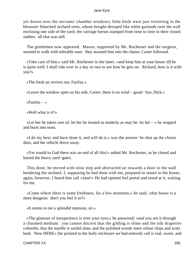yet drawn over the servants' chamber windows; little birds were just twittering in the blossom−blanched orchard trees, whose boughs drooped like white garlands over the wall enclosing one side of the yard; the carriage horses stamped from time to time in their closed stables: all else was still.

 The gentlemen now appeared. Mason, supported by Mr. Rochester and the surgeon, seemed to walk with tolerable ease: they assisted him into the chaise; Carter followed.

 «Take care of him,» said Mr. Rochester to the latter, «and keep him at your house till he is quite well: I shall ride over in a day or two to see how he gets on. Richard, how is it with you?»

«The fresh air revives me, Fairfax.»

«Leave the window open on his side, Carter; there is no wind – good− bye, Dick.»

«Fairfax – »

«Well what is it?»

«Let her be taken care of; let her be treated as tenderly as may be: let her  $-\infty$  he stopped and burst into tears.

 «I do my best; and have done it, and will do it,» was the answer: he shut up the chaise door, and the vehicle drove away.

 «Yet would to God there was an end of all this!» added Mr. Rochester, as he closed and barred the heavy yard−gates.

 This done, he moved with slow step and abstracted air towards a door in the wall bordering the orchard. I, supposing he had done with me, prepared to return to the house; again, however, I heard him call «Jane!» He had opened feel portal and stood at it, waiting for me.

 «Come where there is some freshness, for a few moments,» he said; «that house is a mere dungeon: don't you feel it so?»

«It seems to me a splendid mansion, sir.»

 «The glamour of inexperience is over your eyes,» he answered; «and you see it through a charmed medium: you cannot discern that the gilding is slime and the silk draperies cobwebs; that the marble is sordid slate, and the polished woods mere refuse chips and scaly bark. Now HERE» (he pointed to the leafy enclosure we had entered) «all is real, sweet, and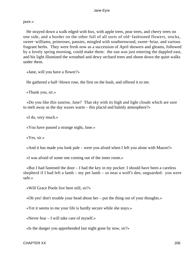pure.»

 He strayed down a walk edged with box, with apple trees, pear trees, and cherry trees on one side, and a border on the other full of all sorts of old−fashioned flowers, stocks, sweet−williams, primroses, pansies, mingled with southernwood, sweet−briar, and various fragrant herbs. They were fresh now as a succession of April showers and gleams, followed by a lovely spring morning, could make them: the sun was just entering the dappled east, and his light illumined the wreathed and dewy orchard trees and shone down the quiet walks under them.

«Jane, will you have a flower?»

He gathered a half–blown rose, the first on the bush, and offered it to me.

«Thank you, sir.»

 «Do you like this sunrise, Jane? That sky with its high and light clouds which are sure to melt away as the day waxes warm – this placid and balmly atmosphere?»

«I do, very much.»

«You have passed a strange night, Jane.»

«Yes, sir.»

«And it has made you look pale – were you afraid when I left you alone with Mason?»

«I was afraid of some one coming out of the inner room.»

 «But I had fastened the door – I had the key in my pocket: I should have been a careless shepherd if I had left a lamb – my pet lamb – so near a wolf's den, unguarded: you were safe.»

«Will Grace Poole live here still, sir?»

«Oh yes! don't trouble your head about her – put the thing out of your thoughts.»

«Yet it seems to me your life is hardly secure while she stays.»

«Never fear – I will take care of myself.»

«Is the danger you apprehended last night gone by now, sir?»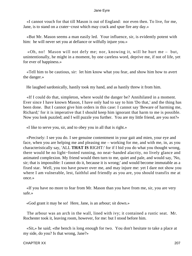«I cannot vouch for that till Mason is out of England: nor even then. To live, for me, Jane, is to stand on a crater−crust which may crack and spue fire any day.»

 «But Mr. Mason seems a man easily led. Your influence, sir, is evidently potent with him: he will never set you at defiance or wilfully injure you.»

 «Oh, no! Mason will not defy me; nor, knowing it, will he hurt me – but, unintentionally, he might in a moment, by one careless word, deprive me, if not of life, yet for ever of happiness.»

 «Tell him to be cautious, sir: let him know what you fear, and show him how to avert the danger.»

He laughed sardonically, hastily took my hand, and as hastily threw it from him.

 «If I could do that, simpleton, where would the danger be? Annihilated in a moment. Ever since I have known Mason, I have only had to say to him 'Do that,' and the thing has been done. But I cannot give him orders in this case: I cannot say 'Beware of harming me, Richard;' for it is imperative that I should keep him ignorant that harm to me is possible. Now you look puzzled; and I will puzzle you further. You are my little friend, are you not?»

«I like to serve you, sir, and to obey you in all that is right.»

 «Precisely: I see you do. I see genuine contentment in your gait and mien, your eye and face, when you are helping me and pleasing me – working for me, and with me, in, as you characteristically say, 'ALL **THAT IS** RIGHT:' for if I bid you do what you thought wrong, there would be no light−footed running, no neat−handed alacrity, no lively glance and animated complexion. My friend would then turn to me, quiet and pale, and would say, 'No, sir; that is impossible: I cannot do it, because it is wrong;' and would become immutable as a fixed star. Well, you too have power over me, and may injure me: yet I dare not show you where I am vulnerable, lest, faithful and friendly as you are, you should transfix me at once.»

 «If you have no more to fear from Mr. Mason than you have from me, sir, you are very safe.»

«God grant it may be so! Here, Jane, is an arbour; sit down.»

 The arbour was an arch in the wall, lined with ivy; it contained a rustic seat. Mr. Rochester took it, leaving room, however, for me: but I stood before him.

 «Sit,» he said; «the bench is long enough for two. You don't hesitate to take a place at my side, do you? Is that wrong, Jane?»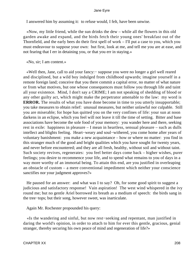I answered him by assuming it: to refuse would, I felt, have been unwise.

 «Now, my little friend, while the sun drinks the dew – while all the flowers in this old garden awake and expand, and the birds fetch their young ones' breakfast out of the Thornfield, and the early bees do their first spell of work – I'll put a case to you, which you must endeavour to suppose your own: but first, look at me, and tell me you are at ease, and not fearing that I err in detaining you, or that you err in staying.»

«No, sir; I am content.»

 «Well then, Jane, call to aid your fancy:− suppose you were no longer a girl well reared and disciplined, but a wild boy indulged from childhood upwards; imagine yourself in a remote foreign land; conceive that you there commit a capital error, no matter of what nature or from what motives, but one whose consequences must follow you through life and taint all your existence. Mind, I don't say a CRIME; I am not speaking of shedding of blood or any other guilty act, which might make the perpetrator amenable to the law: my word is **ERROR.** The results of what you have done become in time to you utterly insupportable; you take measures to obtain relief: unusual measures, but neither unlawful nor culpable. Still you are miserable; for hope has quitted you on the very confines of life: your sun at noon darkens in an eclipse, which you feel will not leave it till the time of setting. Bitter and base associations have become the sole food of your memory: you wander here and there, seeking rest in exile: happiness in pleasure – I mean in heartless, sensual pleasure – such as dulls intellect and blights feeling. Heart−weary and soul−withered, you come home after years of voluntary banishment: you make a new acquaintance – how or where no matter: you find in this stranger much of the good and bright qualities which you have sought for twenty years, and never before encountered; and they are all fresh, healthy, without soil and without taint. Such society revives, regenerates: you feel better days come back – higher wishes, purer feelings; you desire to recommence your life, and to spend what remains to you of days in a way more worthy of an immortal being. To attain this end, are you justified in overleaping an obstacle of custom – a mere conventional impediment which neither your conscience sanctifies nor your judgment approves?»

 He paused for an answer: and what was I to say? Oh, for some good spirit to suggest a judicious and satisfactory response! Vain aspiration! The west wind whispered in the ivy round me; but no gentle Ariel borrowed its breath as a medium of speech: the birds sang in the tree−tops; but their song, however sweet, was inarticulate.

Again Mr. Rochester propounded his query:

 «Is the wandering and sinful, but now rest−seeking and repentant, man justified in daring the world's opinion, in order to attach to him for ever this gentle, gracious, genial stranger, thereby securing his own peace of mind and regeneration of life?»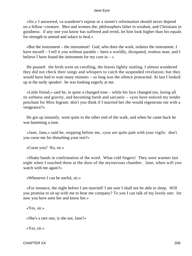«Sir,» I answered, «a wanderer's repose or a sinner's reformation should never depend on a fellow−creature. Men and women die; philosophers falter in wisdom, and Christians in goodness: if any one you know has suffered and erred, let him look higher than his equals for strength to amend and solace to heal.»

 «But the instrument – the instrument! God, who does the work, ordains the instrument. I have myself – I tell it you without parable – been a worldly, dissipated, restless man; and I believe I have found the instrument for my cure in  $-\infty$ 

 He paused: the birds went on carolling, the leaves lightly rustling. I almost wondered they did not check their songs and whispers to catch the suspended revelation; but they would have had to wait many minutes – so long was the silence protracted. At last I looked up at the tardy speaker: he was looking eagerly at me.

 «Little friend,» said he, in quite a changed tone – while his face changed too, losing all its softness and gravity, and becoming harsh and sarcastic – «you have noticed my tender penchant for Miss Ingram: don't you think if I married her she would regenerate me with a vengeance?»

 He got up instantly, went quite to the other end of the walk, and when he came back he was humming a tune.

 «Jane, Jane,» said he, stopping before me, «you are quite pale with your vigils: don't you curse me for disturbing your rest?»

«Curse you? No, sir.»

 «Shake hands in confirmation of the word. What cold fingers! They were warmer last night when I touched them at the door of the mysterious chamber. Jane, when will you watch with me again?»

«Whenever I can be useful, sir.»

 «For instance, the night before I am married! I am sure I shall not be able to sleep. Will you promise to sit up with me to bear me company? To you I can talk of my lovely one: for now you have seen her and know her.»

«Yes, sir.»

«She's a rare one, is she not, Jane?»

«Yes, sir.»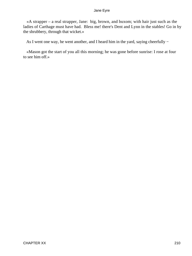«A strapper – a real strapper, Jane: big, brown, and buxom; with hair just such as the ladies of Carthage must have had. Bless me! there's Dent and Lynn in the stables! Go in by the shrubbery, through that wicket.»

As I went one way, he went another, and I heard him in the yard, saying cheerfully −

 «Mason got the start of you all this morning; he was gone before sunrise: I rose at four to see him off.»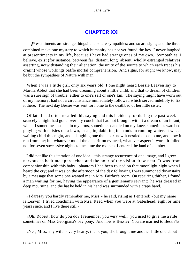# **[CHAPTER XXI](#page-435-0)**

**P**resentiments are strange things! and so are sympathies; and so are signs; and the three combined make one mystery to which humanity has not yet found the key. I never laughed at presentiments in my life, because I have had strange ones of my own. Sympathies, I believe, exist (for instance, between far−distant, long−absent, wholly estranged relatives asserting, notwithstanding their alienation, the unity of the source to which each traces his origin) whose workings baffle mortal comprehension. And signs, for aught we know, may be but the sympathies of Nature with man.

 When I was a little girl, only six years old, I one night heard Bessie Leaven say to Martha Abbot that she had been dreaming about a little child; and that to dream of children was a sure sign of trouble, either to one's self or one's kin. The saying might have worn out of my memory, had not a circumstance immediately followed which served indelibly to fix it there. The next day Bessie was sent for home to the deathbed of her little sister.

 Of late I had often recalled this saying and this incident; for during the past week scarcely a night had gone over my couch that had not brought with it a dream of an infant, which I sometimes hushed in my arms, sometimes dandled on my knee, sometimes watched playing with daisies on a lawn, or again, dabbling its hands in running water. It was a wailing child this night, and a laughing one the next: now it nestled close to me, and now it ran from me; but whatever mood the apparition evinced, whatever aspect it wore, it failed not for seven successive nights to meet me the moment I entered the land of slumber.

 I did not like this iteration of one idea – this strange recurrence of one image, and I grew nervous as bedtime approached and the hour of the vision drew near. It was from companionship with this baby− phantom I had been roused on that moonlight night when I heard the cry; and it was on the afternoon of the day following I was summoned downstairs by a message that some one wanted me in Mrs. Fairfax's room. On repairing thither, I found a man waiting for me, having the appearance of a gentleman's servant: he was dressed in deep mourning, and the hat he held in his hand was surrounded with a crape band.

 «I daresay you hardly remember me, Miss,» he said, rising as I entered; «but my name is Leaven: I lived coachman with Mrs. Reed when you were at Gateshead, eight or nine years since, and I live there still.»

 «Oh, Robert! how do you do? I remember you very well: you used to give me a ride sometimes on Miss Georgiana's bay pony. And how is Bessie? You are married to Bessie?»

«Yes, Miss: my wife is very hearty, thank you; she brought me another little one about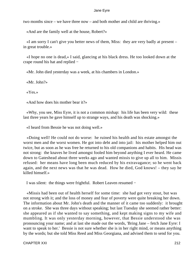two months since – we have three now – and both mother and child are thriving.»

«And are the family well at the house, Robert?»

 «I am sorry I can't give you better news of them, Miss: they are very badly at present – in great trouble.»

 «I hope no one is dead,» I said, glancing at his black dress. He too looked down at the crape round his hat and replied −

«Mr. John died yesterday was a week, at his chambers in London.»

«Mr. John?»

«Yes.»

«And how does his mother bear it?»

 «Why, you see, Miss Eyre, it is not a common mishap: his life has been very wild: these last three years he gave himself up to strange ways, and his death was shocking.»

«I heard from Bessie he was not doing well.»

 «Doing well! He could not do worse: he ruined his health and his estate amongst the worst men and the worst women. He got into debt and into jail: his mother helped him out twice, but as soon as he was free he returned to his old companions and habits. His head was not strong: the knaves he lived amongst fooled him beyond anything I ever heard. He came down to Gateshead about three weeks ago and wanted missis to give up all to him. Missis refused: her means have long been much reduced by his extravagance; so he went back again, and the next news was that he was dead. How he died, God knows! – they say he killed himself.»

I was silent: the things were frightful. Robert Leaven resumed −

 «Missis had been out of health herself for some time: she had got very stout, but was not strong with it; and the loss of money and fear of poverty were quite breaking her down. The information about Mr. John's death and the manner of it came too suddenly: it brought on a stroke. She was three days without speaking; but last Tuesday she seemed rather better: she appeared as if she wanted to say something, and kept making signs to my wife and mumbling. It was only yesterday morning, however, that Bessie understood she was pronouncing your name; and at last she made out the words, 'Bring Jane – fetch Jane Eyre: I want to speak to her.' Bessie is not sure whether she is in her right mind, or means anything by the words; but she told Miss Reed and Miss Georgiana, and advised them to send for you.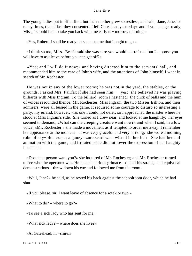The young ladies put it off at first; but their mother grew so restless, and said, 'Jane, Jane,' so many times, that at last they consented. I left Gateshead yesterday: and if you can get ready, Miss, I should like to take you back with me early to− morrow morning.»

«Yes, Robert, I shall be ready: it seems to me that I ought to go.»

 «I think so too, Miss. Bessie said she was sure you would not refuse: but I suppose you will have to ask leave before you can get off?»

 «Yes; and I will do it now;» and having directed him to the servants' hall, and recommended him to the care of John's wife, and the attentions of John himself, I went in search of Mr. Rochester.

 He was not in any of the lower rooms; he was not in the yard, the stables, or the grounds. I asked Mrs. Fairfax if she had seen him;− −yes: she believed he was playing billiards with Miss Ingram. To the billiard−room I hastened: the click of balls and the hum of voices resounded thence; Mr. Rochester, Miss Ingram, the two Misses Eshton, and their admirers, were all busied in the game. It required some courage to disturb so interesting a party; my errand, however, was one I could not defer, so I approached the master where he stood at Miss Ingram's side. She turned as I drew near, and looked at me haughtily: her eyes seemed to demand, «What can the creeping creature want now?» and when I said, in a low voice, «Mr. Rochester,» she made a movement as if tempted to order me away. I remember her appearance at the moment – it was very graceful and very striking: she wore a morning robe of sky−blue crape; a gauzy azure scarf was twisted in her hair. She had been all animation with the game, and irritated pride did not lower the expression of her haughty lineaments.

 «Does that person want you?» she inquired of Mr. Rochester; and Mr. Rochester turned to see who the «person» was. He made a curious grimace – one of his strange and equivocal demonstrations – threw down his cue and followed me from the room.

 «Well, Jane?» he said, as he rested his back against the schoolroom door, which he had shut.

«If you please, sir, I want leave of absence for a week or two.»

«What to do? – where to go?»

«To see a sick lady who has sent for me.»

«What sick lady? – where does she live?»

«At Gateshead; in −shire.»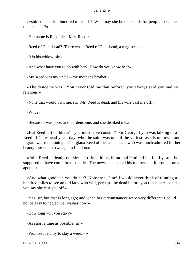«−shire? That is a hundred miles off! Who may she be that sends for people to see her that distance?»

«Her name is Reed, sir – Mrs. Reed.»

«Reed of Gateshead? There was a Reed of Gateshead, a magistrate.»

«It is his widow, sir.»

«And what have you to do with her? How do you know her?»

«Mr. Reed was my uncle – my mother's brother.»

 «The deuce he was! You never told me that before: you always said you had no relations.»

«None that would own me, sir. Mr. Reed is dead, and his wife cast me off.»

«Why?»

«Because I was poor, and burdensome, and she disliked me.»

 «But Reed left children? – you must have cousins? Sir George Lynn was talking of a Reed of Gateshead yesterday, who, he said, was one of the veriest rascals on town; and Ingram was mentioning a Georgiana Reed of the same place, who was much admired for her beauty a season or two ago in London.»

 «John Reed is dead, too, sir: he ruined himself and half−ruined his family, and is supposed to have committed suicide. The news so shocked his mother that it brought on an apoplectic attack.»

 «And what good can you do her? Nonsense, Jane! I would never think of running a hundred miles to see an old lady who will, perhaps, be dead before you reach her: besides, you say she cast you off.»

 «Yes, sir, but that is long ago; and when her circumstances were very different: I could not be easy to neglect her wishes now.»

«How long will you stay?»

«As short a time as possible, sir.»

«Promise me only to stay a week  $-\infty$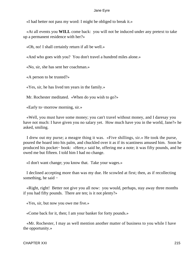«I had better not pass my word: I might be obliged to break it.»

 «At all events you **WILL** come back: you will not be induced under any pretext to take up a permanent residence with her?»

«Oh, no! I shall certainly return if all be well.»

«And who goes with you? You don't travel a hundred miles alone.»

«No, sir, she has sent her coachman.»

«A person to be trusted?»

«Yes, sir, he has lived ten years in the family.»

Mr. Rochester meditated. «When do you wish to go?»

«Early to−morrow morning, sir.»

 «Well, you must have some money; you can't travel without money, and I daresay you have not much: I have given you no salary yet. How much have you in the world, Jane?» he asked, smiling.

 I drew out my purse; a meagre thing it was. «Five shillings, sir.» He took the purse, poured the hoard into his palm, and chuckled over it as if its scantiness amused him. Soon he produced his pocket− book: «Here,» said he, offering me a note; it was fifty pounds, and he owed me but fifteen. I told him I had no change.

«I don't want change; you know that. Take your wages.»

 I declined accepting more than was my due. He scowled at first; then, as if recollecting something, he said −

 «Right, right! Better not give you all now: you would, perhaps, stay away three months if you had fifty pounds. There are ten; is it not plenty?»

«Yes, sir, but now you owe me five.»

«Come back for it, then; I am your banker for forty pounds.»

 «Mr. Rochester, I may as well mention another matter of business to you while I have the opportunity.»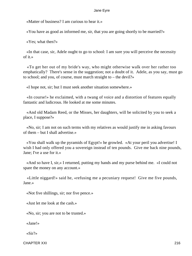«Matter of business? I am curious to hear it.»

«You have as good as informed me, sir, that you are going shortly to be married?»

«Yes; what then?»

 «In that case, sir, Adele ought to go to school: I am sure you will perceive the necessity of it.»

 «To get her out of my bride's way, who might otherwise walk over her rather too emphatically? There's sense in the suggestion; not a doubt of it. Adele, as you say, must go to school; and you, of course, must march straight to – the devil?»

«I hope not, sir; but I must seek another situation somewhere.»

 «In course!» he exclaimed, with a twang of voice and a distortion of features equally fantastic and ludicrous. He looked at me some minutes.

 «And old Madam Reed, or the Misses, her daughters, will be solicited by you to seek a place, I suppose?»

 «No, sir; I am not on such terms with my relatives as would justify me in asking favours of them – but I shall advertise.»

 «You shall walk up the pyramids of Egypt!» he growled. «At your peril you advertise! I wish I had only offered you a sovereign instead of ten pounds. Give me back nine pounds, Jane; I've a use for it.»

 «And so have I, sir,» I returned, putting my hands and my purse behind me. «I could not spare the money on any account.»

 «Little niggard!» said he, «refusing me a pecuniary request! Give me five pounds, Jane.»

«Not five shillings, sir; nor five pence.»

«Just let me look at the cash.»

«No, sir; you are not to be trusted.»

«Jane!»

«Sir?»

CHAPTER XXI 216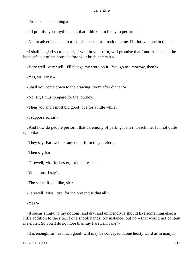«Promise me one thing.»

«I'll promise you anything, sir, that I think I am likely to perform.»

«Not to advertise: and to trust this quest of a situation to me. I'll find you one in time.»

 «I shall be glad so to do, sir, if you, in your turn, will promise that I and Adele shall be both safe out of the house before your bride enters it.»

«Very well! very well! I'll pledge my word on it. You go to− morrow, then?»

«Yes, sir; early.»

«Shall you come down to the drawing−room after dinner?»

«No, sir, I must prepare for the journey.»

«Then you and I must bid good−bye for a little while?»

«I suppose so, sir.»

 «And how do people perform that ceremony of parting, Jane? Teach me; I'm not quite up to it.»

«They say, Farewell, or any other form they prefer.»

«Then say it.»

«Farewell, Mr. Rochester, for the present.»

«What must I say?»

«The same, if you like, sir.»

«Farewell, Miss Eyre, for the present; is that all?»

«Yes?»

 «It seems stingy, to my notions, and dry, and unfriendly. I should like something else: a little addition to the rite. If one shook hands, for instance; but no – that would not content me either. So you'll do no more than say Farewell, Jane?»

«It is enough, sir: as much good−will may be conveyed in one hearty word as in many.»

CHAPTER XXI 217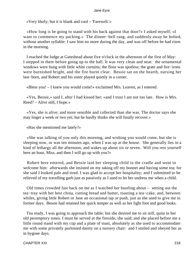«Very likely; but it is blank and cool – 'Farewell.'»

 «How long is he going to stand with his back against that door?» I asked myself; «I want to commence my packing.» The dinner−bell rang, and suddenly away he bolted, without another syllable: I saw him no more during the day, and was off before he had risen in the morning.

 I reached the lodge at Gateshead about five o'clock in the afternoon of the first of May: I stepped in there before going up to the hall. It was very clean and neat: the ornamental windows were hung with little white curtains; the floor was spotless; the grate and fire−irons were burnished bright, and the fire burnt clear. Bessie sat on the hearth, nursing her last−born, and Robert and his sister played quietly in a corner.

«Bless you! – I knew you would come!» exclaimed Mrs. Leaven, as I entered.

 «Yes, Bessie,» said I, after I had kissed her; «and I trust I am not too late. How is Mrs. Reed? – Alive still, I hope.»

 «Yes, she is alive; and more sensible and collected than she was. The doctor says she may linger a week or two yet; but he hardly thinks she will finally recover.»

«Has she mentioned me lately?»

 «She was talking of you only this morning, and wishing you would come, but she is sleeping now, or was ten minutes ago, when I was up at the house. She generally lies in a kind of lethargy all the afternoon, and wakes up about six or seven. Will you rest yourself here an hour, Miss, and then I will go up with you?»

 Robert here entered, and Bessie laid her sleeping child in the cradle and went to welcome him: afterwards she insisted on my taking off my bonnet and having some tea; for she said I looked pale and tired. I was glad to accept her hospitality; and I submitted to be relieved of my travelling garb just as passively as I used to let her undress me when a child.

 Old times crowded fast back on me as I watched her bustling about – setting out the tea−tray with her best china, cutting bread and butter, toasting a tea−cake, and, between whiles, giving little Robert or Jane an occasional tap or push, just as she used to give me in former days. Bessie had retained her quick temper as well as her light foot and good looks.

 Tea ready, I was going to approach the table; but she desired me to sit still, quite in her old peremptory tones. I must be served at the fireside, she said; and she placed before me a little round stand with my cup and a plate of toast, absolutely as she used to accommodate me with some privately purloined dainty on a nursery chair: and I smiled and obeyed her as in bygone days.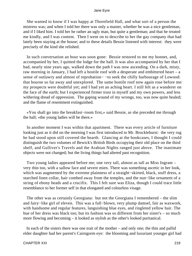She wanted to know if I was happy at Thornfield Hall, and what sort of a person the mistress was; and when I told her there was only a master, whether he was a nice gentleman, and if I liked him. I told her he rather an ugly man, but quite a gentleman; and that he treated me kindly, and I was content. Then I went on to describe to her the gay company that had lately been staying at the house; and to these details Bessie listened with interest: they were precisely of the kind she relished.

 In such conversation an hour was soon gone: Bessie restored to me my bonnet, and, accompanied by her, I quitted the lodge for the hall. It was also accompanied by her that I had, nearly nine years ago, walked down the path I was now ascending. On a dark, misty, raw morning in January, I had left a hostile roof with a desperate and embittered heart – a sense of outlawry and almost of reprobation– −to seek the chilly harbourage of Lowood: that bourne so far away and unexplored. The same hostile roof now again rose before me: my prospects were doubtful yet; and I had yet an aching heart. I still felt as a wanderer on the face of the earth; but I experienced firmer trust in myself and my own powers, and less withering dread of oppression. The gaping wound of my wrongs, too, was now quite healed; and the flame of resentment extinguished.

 «You shall go into the breakfast−room first,» said Bessie, as she preceded me through the hall; «the young ladies will be there.»

 In another moment I was within that apartment. There was every article of furniture looking just as it did on the morning I was first introduced to Mr. Brocklehurst: the very rug he had stood upon still covered the hearth. Glancing at the bookcases, I thought I could distinguish the two volumes of Bewick's British Birds occupying their old place on the third shelf, and Gulliver's Travels and the Arabian Nights ranged just above. The inanimate objects were not changed; but the living things had altered past recognition.

 Two young ladies appeared before me; one very tall, almost as tall as Miss Ingram – very thin too, with a sallow face and severe mien. There was something ascetic in her look, which was augmented by the extreme plainness of a straight−skirted, black, stuff dress, a starched linen collar, hair combed away from the temples, and the nun−like ornament of a string of ebony beads and a crucifix. This I felt sure was Eliza, though I could trace little resemblance to her former self in that elongated and colourless visage.

 The other was as certainly Georgiana: but not the Georgiana I remembered – the slim and fairy−like girl of eleven. This was a full−blown, very plump damsel, fair as waxwork, with handsome and regular features, languishing blue eyes, and ringleted yellow hair. The hue of her dress was black too; but its fashion was so different from her sister's – so much more flowing and becoming – it looked as stylish as the other's looked puritanical.

 In each of the sisters there was one trait of the mother – and only one; the thin and pallid elder daughter had her parent's Cairngorm eye: the blooming and luxuriant younger girl had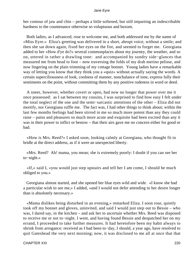her contour of jaw and chin – perhaps a little softened, but still imparting an indescribable hardness to the countenance otherwise so voluptuous and buxom.

 Both ladies, as I advanced, rose to welcome me, and both addressed me by the name of «Miss Eyre.» Eliza's greeting was delivered in a short, abrupt voice, without a smile; and then she sat down again, fixed her eyes on the fire, and seemed to forget me. Georgiana added to her «How d'ye do?» several commonplaces about my journey, the weather, and so on, uttered in rather a drawling tone: and accompanied by sundry side−glances that measured me from head to foot – now traversing the folds of my drab merino pelisse, and now lingering on the plain trimming of my cottage bonnet. Young ladies have a remarkable way of letting you know that they think you a «quiz» without actually saying the words. A certain superciliousness of look, coolness of manner, nonchalance of tone, express fully their sentiments on the point, without committing them by any positive rudeness in word or deed.

 A sneer, however, whether covert or open, had now no longer that power over me it once possessed: as I sat between my cousins, I was surprised to find how easy I felt under the total neglect of the one and the semi−sarcastic attentions of the other – Eliza did not mortify, nor Georgiana ruffle me. The fact was, I had other things to think about; within the last few months feelings had been stirred in me so much more potent than any they could raise – pains and pleasures so much more acute and exquisite had been excited than any it was in their power to inflict or bestow – that their airs gave me no concern either for good or bad.

 «How is Mrs. Reed?» I asked soon, looking calmly at Georgiana, who thought fit to bridle at the direct address, as if it were an unexpected liberty.

 «Mrs. Reed? Ah! mama, you mean; she is extremely poorly: I doubt if you can see her to−night.»

 «If,» said I, «you would just step upstairs and tell her I am come, I should be much obliged to you.»

 Georgiana almost started, and she opened her blue eyes wild and wide. «I know she had a particular wish to see me,» I added, «and I would not defer attending to her desire longer than is absolutely necessary.»

 «Mama dislikes being disturbed in an evening,» remarked Eliza. I soon rose, quietly took off my bonnet and gloves, uninvited, and said I would just step out to Bessie – who was, I dared say, in the kitchen – and ask her to ascertain whether Mrs. Reed was disposed to receive me or not to−night. I went, and having found Bessie and despatched her on my errand, I proceeded to take further measures. It had heretofore been my habit always to shrink from arrogance: received as I had been to−day, I should, a year ago, have resolved to quit Gateshead the very next morning; now, it was disclosed to me all at once that that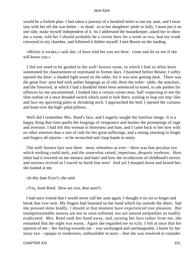would be a foolish plan. I had taken a journey of a hundred miles to see my aunt, and I must stay with her till she was better – or dead: as to her daughters' pride or folly, I must put it on one side, make myself independent of it. So I addressed the housekeeper; asked her to show me a room, told her I should probably be a visitor here for a week or two, had my trunk conveyed to my chamber, and followed it thither myself: I met Bessie on the landing.

 «Missis is awake,» said she; «I have told her you are here: come and let us see if she will know you.»

 I did not need to be guided to the well−known room, to which I had so often been summoned for chastisement or reprimand in former days. I hastened before Bessie; I softly opened the door: a shaded light stood on the table, for it was now getting dark. There was the great four−post bed with amber hangings as of old; there the toilet− table, the armchair, and the footstool, at which I had a hundred times been sentenced to kneel, to ask pardon for offences by me uncommitted. I looked into a certain corner near, half−expecting to see the slim outline of a once dreaded switch which used to lurk there, waiting to leap out imp−like and lace my quivering palm or shrinking neck. I approached the bed; I opened the curtains and leant over the high−piled pillows.

 Well did I remember Mrs. Reed's face, and I eagerly sought the familiar image. It is a happy thing that time quells the longings of vengeance and hushes the promptings of rage and aversion. I had left this woman in bitterness and hate, and I came back to her now with no other emotion than a sort of ruth for her great sufferings, and a strong yearning to forget and forgive all injuries – to be reconciled and clasp hands in amity.

 The well−known face was there: stern, relentless as ever – there was that peculiar eye which nothing could melt, and the somewhat raised, imperious, despotic eyebrow. How often had it lowered on me menace and hate! and how the recollection of childhood's terrors and sorrows revived as I traced its harsh line now! And yet I stooped down and kissed her: she looked at me.

«Is this Jane Eyre?» she said.

«Yes, Aunt Reed. How are you, dear aunt?»

 I had once vowed that I would never call her aunt again: I thought it no sin to forget and break that vow now. My fingers had fastened on her hand which lay outside the sheet: had she pressed mine kindly, I should at that moment have experienced true pleasure. But unimpressionable natures are not so soon softened, nor are natural antipathies so readily eradicated. Mrs. Reed took her hand away, and, turning her face rather from me, she remarked that the night was warm. Again she regarded me so icily, I felt at once that her opinion of me – her feeling towards me – was unchanged and unchangeable. I knew by her stony eye – opaque to tenderness, indissoluble to tears – that she was resolved to consider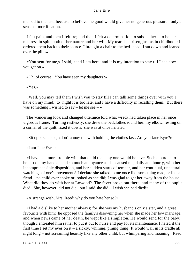me bad to the last; because to believe me good would give her no generous pleasure: only a sense of mortification.

 I felt pain, and then I felt ire; and then I felt a determination to subdue her – to be her mistress in spite both of her nature and her will. My tears had risen, just as in childhood: I ordered them back to their source. I brought a chair to the bed−head: I sat down and leaned over the pillow.

 «You sent for me,» I said, «and I am here; and it is my intention to stay till I see how you get on.»

«Oh, of course! You have seen my daughters?»

«Yes.»

 «Well, you may tell them I wish you to stay till I can talk some things over with you I have on my mind: to−night it is too late, and I have a difficulty in recalling them. But there was something I wished to say – let me see –  $\ast$ 

 The wandering look and changed utterance told what wreck had taken place in her once vigorous frame. Turning restlessly, she drew the bedclothes round her; my elbow, resting on a corner of the quilt, fixed it down: she was at once irritated.

«Sit up!» said she; «don't annoy me with holding the clothes fast. Are you Jane Eyre?»

«I am Jane Eyre.»

 «I have had more trouble with that child than any one would believe. Such a burden to be left on my hands – and so much annoyance as she caused me, daily and hourly, with her incomprehensible disposition, and her sudden starts of temper, and her continual, unnatural watchings of one's movements! I declare she talked to me once like something mad, or like a fiend – no child ever spoke or looked as she did; I was glad to get her away from the house. What did they do with her at Lowood? The fever broke out there, and many of the pupils died. She, however, did not die: but I said she did – I wish she had died!»

«A strange wish, Mrs. Reed; why do you hate her so?»

 «I had a dislike to her mother always; for she was my husband's only sister, and a great favourite with him: he opposed the family's disowning her when she made her low marriage; and when news came of her death, he wept like a simpleton. He would send for the baby; though I entreated him rather to put it out to nurse and pay for its maintenance. I hated it the first time I set my eyes on it – a sickly, whining, pining thing! It would wail in its cradle all night long – not screaming heartily like any other child, but whimpering and moaning. Reed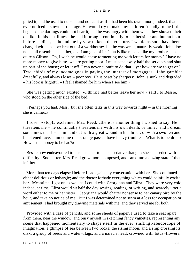pitied it; and he used to nurse it and notice it as if it had been his own: more, indeed, than he ever noticed his own at that age. He would try to make my children friendly to the little beggar: the darlings could not bear it, and he was angry with them when they showed their dislike. In his last illness, he had it brought continually to his bedside; and but an hour before he died, he bound me by vow to keep the creature. I would as soon have been charged with a pauper brat out of a workhouse: but he was weak, naturally weak. John does not at all resemble his father, and I am glad of it: John is like me and like my brothers – he is quite a Gibson. Oh, I wish he would cease tormenting me with letters for money? I have no more money to give him: we are getting poor. I must send away half the servants and shut up part of the house; or let it off. I can never submit to do that – yet how are we to get on? Two−thirds of my income goes in paying the interest of mortgages. John gambles dreadfully, and always loses – poor boy! He is beset by sharpers: John is sunk and degraded – his look is frightful – I feel ashamed for him when I see him.»

 She was getting much excited. «I think I had better leave her now,» said I to Bessie, who stood on the other side of the bed.

 «Perhaps you had, Miss: but she often talks in this way towards night – in the morning she is calmer.»

 I rose. «Stop!» exclaimed Mrs. Reed, «there is another thing I wished to say. He threatens me – he continually threatens me with his own death, or mine: and I dream sometimes that I see him laid out with a great wound in his throat, or with a swollen and blackened face. I am come to a strange pass: I have heavy troubles. What is to be done? How is the money to be had?»

 Bessie now endeavoured to persuade her to take a sedative draught: she succeeded with difficulty. Soon after, Mrs. Reed grew more composed, and sank into a dozing state. I then left her.

 More than ten days elapsed before I had again any conversation with her. She continued either delirious or lethargic; and the doctor forbade everything which could painfully excite her. Meantime, I got on as well as I could with Georgiana and Eliza. They were very cold, indeed, at first. Eliza would sit half the day sewing, reading, or writing, and scarcely utter a word either to me or her sister. Georgiana would chatter nonsense to her canary bird by the hour, and take no notice of me. But I was determined not to seem at a loss for occupation or amusement: I had brought my drawing materials with me, and they served me for both.

 Provided with a case of pencils, and some sheets of paper, I used to take a seat apart from them, near the window, and busy myself in sketching fancy vignettes, representing any scene that happened momentarily to shape itself in the ever−shifting kaleidoscope of imagination: a glimpse of sea between two rocks; the rising moon, and a ship crossing its disk; a group of reeds and water−flags, and a naiad's head, crowned with lotus−flowers,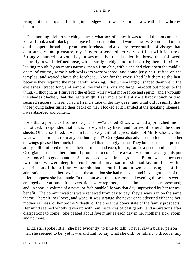rising out of them; an elf sitting in a hedge−sparrow's nest, under a wreath of hawthorn− bloom

 One morning I fell to sketching a face: what sort of a face it was to be, I did not care or know. I took a soft black pencil, gave it a broad point, and worked away. Soon I had traced on the paper a broad and prominent forehead and a square lower outline of visage: that contour gave me pleasure; my fingers proceeded actively to fill it with features. Strongly−marked horizontal eyebrows must be traced under that brow; then followed, naturally, a well−defined nose, with a straight ridge and full nostrils; then a flexible− looking mouth, by no means narrow; then a firm chin, with a decided cleft down the middle of it: of course, some black whiskers were wanted, and some jetty hair, tufted on the temples, and waved above the forehead. Now for the eyes: I had left them to the last, because they required the most careful working. I drew them large; I shaped them well: the eyelashes I traced long and sombre; the irids lustrous and large. «Good! but not quite the thing,» I thought, as I surveyed the effect: «they want more force and spirit;» and I wrought the shades blacker, that the lights might flash more brilliantly – a happy touch or two secured success. There, I had a friend's face under my gaze; and what did it signify that those young ladies turned their backs on me? I looked at it; I smiled at the speaking likeness: I was absorbed and content.

 «Is that a portrait of some one you know?» asked Eliza, who had approached me unnoticed. I responded that it was merely a fancy head, and hurried it beneath the other sheets. Of course, I lied: it was, in fact, a very faithful representation of Mr. Rochester. But what was that to her, or to any one but myself? Georgiana also advanced to look. The other drawings pleased her much, but she called that «an ugly man.» They both seemed surprised at my skill. I offered to sketch their portraits; and each, in turn, sat for a pencil outline. Then Georgiana produced her album. I promised to contribute a water−colour drawing: this put her at once into good humour. She proposed a walk in the grounds. Before we had been out two hours, we were deep in a confidential conversation: she had favoured me with a description of the brilliant winter she had spent in London two seasons ago – of the admiration she had there excited – the attention she had received; and I even got hints of the titled conquest she had made. In the course of the afternoon and evening these hints were enlarged on: various soft conversations were reported, and sentimental scenes represented; and, in short, a volume of a novel of fashionable life was that day improvised by her for my benefit. The communications were renewed from day to day: they always ran on the same theme – herself, her loves, and woes. It was strange she never once adverted either to her mother's illness, or her brother's death, or the present gloomy state of the family prospects. Her mind seemed wholly taken up with reminiscences of past gaiety, and aspirations after dissipations to come. She passed about five minutes each day in her mother's sick−room, and no more.

 Eliza still spoke little: she had evidently no time to talk. I never saw a busier person than she seemed to be; yet it was difficult to say what she did: or rather, to discover any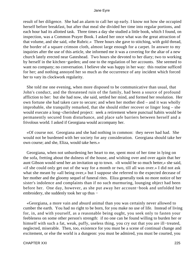result of her diligence. She had an alarm to call her up early. I know not how she occupied herself before breakfast, but after that meal she divided her time into regular portions, and each hour had its allotted task. Three times a day she studied a little book, which I found, on inspection, was a Common Prayer Book. I asked her once what was the great attraction of that volume, and she said, «the Rubric.» Three hours she gave to stitching, with gold thread, the border of a square crimson cloth, almost large enough for a carpet. In answer to my inquiries after the use of this article, she informed me it was a covering for the altar of a new church lately erected near Gateshead. Two hours she devoted to her diary; two to working by herself in the kitchen−garden; and one to the regulation of her accounts. She seemed to want no company; no conversation. I believe she was happy in her way: this routine sufficed for her; and nothing annoyed her so much as the occurrence of any incident which forced her to vary its clockwork regularity.

 She told me one evening, when more disposed to be communicative than usual, that John's conduct, and the threatened ruin of the family, had been a source of profound affliction to her: but she had now, she said, settled her mind, and formed her resolution. Her own fortune she had taken care to secure; and when her mother died – and it was wholly improbable, she tranquilly remarked, that she should either recover or linger long – she would execute a long−cherished project: seek a retirement where punctual habits would be permanently secured from disturbance, and place safe barriers between herself and a frivolous world. I asked if Georgiana would accompany her.

 «Of course not. Georgiana and she had nothing in common: they never had had. She would not be burdened with her society for any consideration. Georgiana should take her own course; and she, Eliza, would take hers.»

 Georgiana, when not unburdening her heart to me, spent most of her time in lying on the sofa, fretting about the dulness of the house, and wishing over and over again that her aunt Gibson would send her an invitation up to town. «It would be so much better,» she said, «if she could only get out of the way for a month or two, till all was over.» I did not ask what she meant by «all being over,» but I suppose she referred to the expected decease of her mother and the gloomy sequel of funeral rites. Eliza generally took no more notice of her sister's indolence and complaints than if no such murmuring, lounging object had been before her. One day, however, as she put away her account−book and unfolded her embroidery, she suddenly took her up thus −

 «Georgiana, a more vain and absurd animal than you was certainly never allowed to cumber the earth. You had no right to be born, for you make no use of life. Instead of living for, in, and with yourself, as a reasonable being ought, you seek only to fasten your feebleness on some other person's strength: if no one can be found willing to burden her or himself with such a fat, weak, puffy, useless thing, you cry out that you are ill−treated, neglected, miserable. Then, too, existence for you must be a scene of continual change and excitement, or else the world is a dungeon: you must be admired, you must be courted, you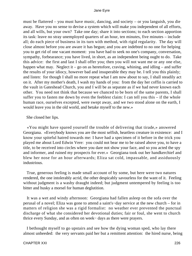must be flattered – you must have music, dancing, and society – or you languish, you die away. Have you no sense to devise a system which will make you independent of all efforts, and all wills, but your own? Take one day; share it into sections; to each section apportion its task: leave no stray unemployed quarters of an hour, ten minutes, five minutes – include all; do each piece of business in its turn with method, with rigid regularity. The day will close almost before you are aware it has begun; and you are indebted to no one for helping you to get rid of one vacant moment: you have had to seek no one's company, conversation, sympathy, forbearance; you have lived, in short, as an independent being ought to do. Take this advice: the first and last I shall offer you; then you will not want me or any one else, happen what may. Neglect it – go on as heretofore, craving, whining, and idling – and suffer the results of your idiocy, however bad and insuperable they may be. I tell you this plainly; and listen: for though I shall no more repeat what I am now about to say, I shall steadily act on it. After my mother's death, I wash my hands of you: from the day her coffin is carried to the vault in Gateshead Church, you and I will be as separate as if we had never known each other. You need not think that because we chanced to be born of the same parents, I shall suffer you to fasten me down by even the feeblest claim: I can tell you this – if the whole human race, ourselves excepted, were swept away, and we two stood alone on the earth, I would leave you in the old world, and betake myself to the new.»

She closed her lips.

 «You might have spared yourself the trouble of delivering that tirade,» answered Georgiana. «Everybody knows you are the most selfish, heartless creature in existence: and I know your spiteful hatred towards me: I have had a specimen of it before in the trick you played me about Lord Edwin Vere: you could not bear me to be raised above you, to have a title, to be received into circles where you dare not show your face, and so you acted the spy and informer, and ruined my prospects for ever.» Georgiana took out her handkerchief and blew her nose for an hour afterwards; Eliza sat cold, impassable, and assiduously industrious.

 True, generous feeling is made small account of by some, but here were two natures rendered, the one intolerably acrid, the other despicably savourless for the want of it. Feeling without judgment is a washy draught indeed; but judgment untempered by feeling is too bitter and husky a morsel for human deglutition.

 It was a wet and windy afternoon: Georgiana had fallen asleep on the sofa over the perusal of a novel; Eliza was gone to attend a saint's−day service at the new church – for in matters of religion she was a rigid formalist: no weather ever prevented the punctual discharge of what she considered her devotional duties; fair or foul, she went to church thrice every Sunday, and as often on week− days as there were prayers.

 I bethought myself to go upstairs and see how the dying woman sped, who lay there almost unheeded: the very servants paid her but a remittent attention: the hired nurse, being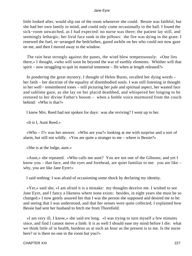little looked after, would slip out of the room whenever she could. Bessie was faithful; but she had her own family to mind, and could only come occasionally to the hall. I found the sick−room unwatched, as I had expected: no nurse was there; the patient lay still, and seemingly lethargic; her livid face sunk in the pillows: the fire was dying in the grate. I renewed the fuel, re−arranged the bedclothes, gazed awhile on her who could not now gaze on me, and then I moved away to the window.

 The rain beat strongly against the panes, the wind blew tempestuously: «One lies there,» I thought, «who will soon be beyond the war of earthly elements. Whither will that spirit – now struggling to quit its material tenement – flit when at length released?»

 In pondering the great mystery, I thought of Helen Burns, recalled her dying words – her faith – her doctrine of the equality of disembodied souls. I was still listening in thought to her well− remembered tones – still picturing her pale and spiritual aspect, her wasted face and sublime gaze, as she lay on her placid deathbed, and whispered her longing to be restored to her divine Father's bosom – when a feeble voice murmured from the couch behind: «Who is that?»

I knew Mrs. Reed had not spoken for days: was she reviving? I went up to her.

«It is I, Aunt Reed.»

 «Who – I?» was her answer. «Who are you?» looking at me with surprise and a sort of alarm, but still not wildly. «You are quite a stranger to me – where is Bessie?»

«She is at the lodge, aunt.»

 «Aunt,» she repeated. «Who calls me aunt? You are not one of the Gibsons; and yet I know you – that face, and the eyes and forehead, are quiet familiar to me: you are like – why, you are like Jane Eyre!»

I said nothing: I was afraid of occasioning some shock by declaring my identity.

 «Yet,» said she, «I am afraid it is a mistake: my thoughts deceive me. I wished to see Jane Eyre, and I fancy a likeness where none exists: besides, in eight years she must be so changed.» I now gently assured her that I was the person she supposed and desired me to be: and seeing that I was understood, and that her senses were quite collected, I explained how Bessie had sent her husband to fetch me from Thornfield.

 «I am very ill, I know,» she said ere long. «I was trying to turn myself a few minutes since, and find I cannot move a limb. It is as well I should ease my mind before I die: what we think little of in health, burdens us at such an hour as the present is to me. Is the nurse here? or is there no one in the room but you?»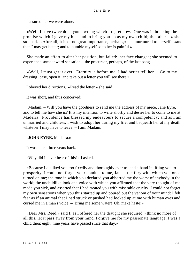I assured her we were alone.

 «Well, I have twice done you a wrong which I regret now. One was in breaking the promise which I gave my husband to bring you up as my own child; the other  $-\infty$  she stopped. «After all, it is of no great importance, perhaps,» she murmured to herself: «and then I may get better; and to humble myself so to her is painful.»

 She made an effort to alter her position, but failed: her face changed; she seemed to experience some inward sensation – the precursor, perhaps, of the last pang.

 «Well, I must get it over. Eternity is before me: I had better tell her. – Go to my dressing−case, open it, and take out a letter you will see there.»

I obeyed her directions. «Read the letter,» she said.

It was short, and thus conceived:−

 "Madam, – Will you have the goodness to send me the address of my niece, Jane Eyre, and to tell me how she is? It is my intention to write shortly and desire her to come to me at Madeira. Providence has blessed my endeavours to secure a competency; and as I am unmarried and childless, I wish to adopt her during my life, and bequeath her at my death whatever I may have to leave. – I am, Madam,

«JOHN **EYRE,** Madeira.»

It was dated three years back.

«Why did I never hear of this?» I asked.

 «Because I disliked you too fixedly and thoroughly ever to lend a hand in lifting you to prosperity. I could not forget your conduct to me, Jane – the fury with which you once turned on me; the tone in which you declared you abhorred me the worst of anybody in the world; the unchildlike look and voice with which you affirmed that the very thought of me made you sick, and asserted that I had treated you with miserable cruelty. I could not forget my own sensations when you thus started up and poured out the venom of your mind: I felt fear as if an animal that I had struck or pushed had looked up at me with human eyes and cursed me in a man's voice. – Bring me some water! Oh, make haste!»

 «Dear Mrs. Reed,» said I, as I offered her the draught she required, «think no more of all this, let it pass away from your mind. Forgive me for my passionate language: I was a child then; eight, nine years have passed since that day.»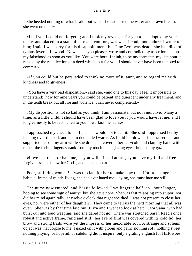She heeded nothing of what I said; but when she had tasted the water and drawn breath, she went on thus –

 «I tell you I could not forget it; and I took my revenge: for you to be adopted by your uncle, and placed in a state of ease and comfort, was what I could not endure. I wrote to him; I said I was sorry for his disappointment, but Jane Eyre was dead: she had died of typhus fever at Lowood. Now act as you please: write and contradict my assertion – expose my falsehood as soon as you like. You were born, I think, to be my torment: my last hour is racked by the recollection of a deed which, but for you, I should never have been tempted to commit.»

 «If you could but be persuaded to think no more of it, aunt, and to regard me with kindness and forgiveness»

 «You have a very bad disposition,» said she, «and one to this day I feel it impossible to understand: how for nine years you could be patient and quiescent under any treatment, and in the tenth break out all fire and violence, I can never comprehend.»

 «My disposition is not so bad as you think: I am passionate, but not vindictive. Many a time, as a little child, I should have been glad to love you if you would have let me; and I long earnestly to be reconciled to you now: kiss me, aunt.»

 I approached my cheek to her lips: she would not touch it. She said I oppressed her by leaning over the bed, and again demanded water. As I laid her down – for I raised her and supported her on my arm while she drank – I covered her ice−cold and clammy hand with mine: the feeble fingers shrank from my touch – the glazing eyes shunned my gaze.

 «Love me, then, or hate me, as you will,» I said at last, «you have my full and free forgiveness: ask now for God's, and be at peace.»

 Poor, suffering woman! it was too late for her to make now the effort to change her habitual frame of mind: living, she had ever hated me – dying, she must hate me still.

 The nurse now entered, and Bessie followed. I yet lingered half−an− hour longer, hoping to see some sign of amity: but she gave none. She was fast relapsing into stupor; nor did her mind again rally: at twelve o'clock that night she died. I was not present to close her eyes, nor were either of her daughters. They came to tell us the next morning that all was over. She was by that time laid out. Eliza and I went to look at her: Georgiana, who had burst out into loud weeping, said she dared not go. There was stretched Sarah Reed's once robust and active frame, rigid and still: her eye of flint was covered with its cold lid; her brow and strong traits wore yet the impress of her inexorable soul. A strange and solemn object was that corpse to me. I gazed on it with gloom and pain: nothing soft, nothing sweet, nothing pitying, or hopeful, or subduing did it inspire; only a grating anguish for HER woes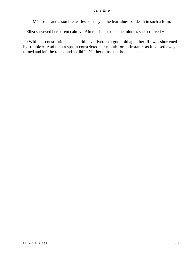– not MY loss – and a sombre tearless dismay at the fearfulness of death in such a form.

Eliza surveyed her parent calmly. After a silence of some minutes she observed −

 «With her constitution she should have lived to a good old age: her life was shortened by trouble.» And then a spasm constricted her mouth for an instant: as it passed away she turned and left the room, and so did I. Neither of us had dropt a tear.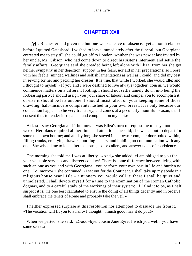# **[CHAPTER XXII](#page-435-0)**

**M**r. Rochester had given me but one week's leave of absence: yet a month elapsed before I quitted Gateshead. I wished to leave immediately after the funeral, but Georgiana entreated me to stay till she could get off to London, whither she was now at last invited by her uncle, Mr. Gibson, who had come down to direct his sister's interment and settle the family affairs. Georgiana said she dreaded being left alone with Eliza; from her she got neither sympathy in her dejection, support in her fears, nor aid in her preparations; so I bore with her feeble−minded wailings and selfish lamentations as well as I could, and did my best in sewing for her and packing her dresses. It is true, that while I worked, she would idle; and I thought to myself, «If you and I were destined to live always together, cousin, we would commence matters on a different footing. I should not settle tamely down into being the forbearing party; I should assign you your share of labour, and compel you to accomplish it, or else it should be left undone: I should insist, also, on your keeping some of those drawling, half−insincere complaints hushed in your own breast. It is only because our connection happens to be very transitory, and comes at a peculiarly mournful season, that I consent thus to render it so patient and compliant on my part.»

 At last I saw Georgiana off; but now it was Eliza's turn to request me to stay another week. Her plans required all her time and attention, she said; she was about to depart for some unknown bourne; and all day long she stayed in her own room, her door bolted within, filling trunks, emptying drawers, burning papers, and holding no communication with any one. She wished me to look after the house, to see callers, and answer notes of condolence.

 One morning she told me I was at liberty. «And,» she added, «I am obliged to you for your valuable services and discreet conduct! There is some difference between living with such an one as you and with Georgiana: you perform your own part in life and burden no one. To−morrow,» she continued, «I set out for the Continent. I shall take up my abode in a religious house near Lisle – a nunnery you would call it; there I shall be quiet and unmolested. I shall devote myself for a time to the examination of the Roman Catholic dogmas, and to a careful study of the workings of their system: if I find it to be, as I half suspect it is, the one best calculated to ensure the doing of all things decently and in order, I shall embrace the tenets of Rome and probably take the veil.»

 I neither expressed surprise at this resolution nor attempted to dissuade her from it. «The vocation will fit you to a hair,» I thought: «much good may it do you!»

 When we parted, she said: «Good−bye, cousin Jane Eyre; I wish you well: you have some sense.»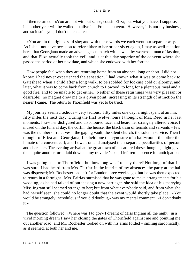I then returned: «You are not without sense, cousin Eliza; but what you have, I suppose, in another year will be walled up alive in a French convent. However, it is not my business, and so it suits you, I don't much care.»

 «You are in the right,» said she; and with these words we each went our separate way. As I shall not have occasion to refer either to her or her sister again, I may as well mention here, that Georgiana made an advantageous match with a wealthy worn−out man of fashion, and that Eliza actually took the veil, and is at this day superior of the convent where she passed the period of her novitiate, and which she endowed with her fortune.

 How people feel when they are returning home from an absence, long or short, I did not know: I had never experienced the sensation. I had known what it was to come back to Gateshead when a child after a long walk, to be scolded for looking cold or gloomy; and later, what it was to come back from church to Lowood, to long for a plenteous meal and a good fire, and to be unable to get either. Neither of these returnings was very pleasant or desirable: no magnet drew me to a given point, increasing in its strength of attraction the nearer I came. The return to Thornfield was yet to be tried.

 My journey seemed tedious – very tedious: fifty miles one day, a night spent at an inn; fifty miles the next day. During the first twelve hours I thought of Mrs. Reed in her last moments; I saw her disfigured and discoloured face, and heard her strangely altered voice. I mused on the funeral day, the coffin, the hearse, the black train of tenants and servants – few was the number of relatives – the gaping vault, the silent church, the solemn service. Then I thought of Eliza and Georgiana; I beheld one the cynosure of a ball−room, the other the inmate of a convent cell; and I dwelt on and analysed their separate peculiarities of person and character. The evening arrival at the great town of – scattered these thoughts; night gave them quite another turn: laid down on my traveller's bed, I left reminiscence for anticipation.

 I was going back to Thornfield: but how long was I to stay there? Not long; of that I was sure. I had heard from Mrs. Fairfax in the interim of my absence: the party at the hall was dispersed; Mr. Rochester had left for London three weeks ago, but he was then expected to return in a fortnight. Mrs. Fairfax surmised that he was gone to make arrangements for his wedding, as he had talked of purchasing a new carriage: she said the idea of his marrying Miss Ingram still seemed strange to her; but from what everybody said, and from what she had herself seen, she could no longer doubt that the event would shortly take place. «You would be strangely incredulous if you did doubt it,» was my mental comment. «I don't doubt it.»

 The question followed, «Where was I to go?» I dreamt of Miss Ingram all the night: in a vivid morning dream I saw her closing the gates of Thornfield against me and pointing me out another road; and Mr. Rochester looked on with his arms folded – smiling sardonically, as it seemed, at both her and me.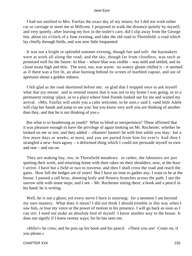I had not notified to Mrs. Fairfax the exact day of my return; for I did not wish either car or carriage to meet me at Millcote. I proposed to walk the distance quietly by myself; and very quietly, after leaving my box in the ostler's care, did I slip away from the George Inn, about six o'clock of a June evening, and take the old road to Thornfield: a road which lay chiefly through fields, and was now little frequented.

 It was not a bright or splendid summer evening, though fair and soft: the haymakers were at work all along the road; and the sky, though far from cloudless, was such as promised well for the future: its blue – where blue was visible – was mild and settled, and its cloud strata high and thin. The west, too, was warm: no watery gleam chilled it – it seemed as if there was a fire lit, an altar burning behind its screen of marbled vapour, and out of apertures shone a golden redness.

 I felt glad as the road shortened before me: so glad that I stopped once to ask myself what that joy meant: and to remind reason that it was not to my home I was going, or to a permanent resting−place, or to a place where fond friends looked out for me and waited my arrival. «Mrs. Fairfax will smile you a calm welcome, to be sure,» said I; «and little Adele will clap her hands and jump to see you: but you know very well you are thinking of another than they, and that he is not thinking of you.»

 But what is so headstrong as youth? What so blind as inexperience? These affirmed that it was pleasure enough to have the privilege of again looking on Mr. Rochester, whether he looked on me or not; and they added – «Hasten! hasten! be with him while you may: but a few more days or weeks, at most, and you are parted from him for ever!» And then I strangled a new−born agony – a deformed thing which I could not persuade myself to own and rear – and ran on.

 They are making hay, too, in Thornfield meadows: or rather, the labourers are just quitting their work, and returning home with their rakes on their shoulders, now, at the hour I arrive. I have but a field or two to traverse, and then I shall cross the road and reach the gates. How full the hedges are of roses! But I have no time to gather any; I want to be at the house. I passed a tall briar, shooting leafy and flowery branches across the path; I see the narrow stile with stone steps; and I see – Mr. Rochester sitting there, a book and a pencil in his hand; he is writing.

 Well, he is not a ghost; yet every nerve I have is unstrung: for a moment I am beyond my own mastery. What does it mean? I did not think I should tremble in this way when I saw him, or lose my voice or the power of motion in his presence. I will go back as soon as I can stir: I need not make an absolute fool of myself. I know another way to the house. It does not signify if I knew twenty ways; for he has seen me.

 «Hillo!» he cries; and he puts up his book and his pencil. «There you are! Come on, if you please.»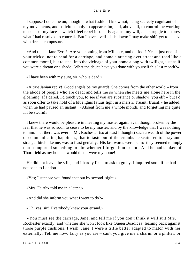I suppose I do come on; though in what fashion I know not; being scarcely cognisant of my movements, and solicitous only to appear calm; and, above all, to control the working muscles of my face – which I feel rebel insolently against my will, and struggle to express what I had resolved to conceal. But I have a veil – it is down: I may make shift yet to behave with decent composure.

 «And this is Jane Eyre? Are you coming from Millcote, and on foot? Yes – just one of your tricks: not to send for a carriage, and come clattering over street and road like a common mortal, but to steal into the vicinage of your home along with twilight, just as if you were a dream or a shade. What the deuce have you done with yourself this last month?»

«I have been with my aunt, sir, who is dead.»

 «A true Janian reply! Good angels be my guard! She comes from the other world – from the abode of people who are dead; and tells me so when she meets me alone here in the gloaming! If I dared, I'd touch you, to see if you are substance or shadow, you elf! – but I'd as soon offer to take hold of a blue ignis fatuus light in a marsh. Truant! truant!» he added, when he had paused an instant. «Absent from me a whole month, and forgetting me quite, I'll be sworn!»

 I knew there would be pleasure in meeting my master again, even though broken by the fear that he was so soon to cease to be my master, and by the knowledge that I was nothing to him: but there was ever in Mr. Rochester (so at least I thought) such a wealth of the power of communicating happiness, that to taste but of the crumbs he scattered to stray and stranger birds like me, was to feast genially. His last words were balm: they seemed to imply that it imported something to him whether I forgot him or not. And he had spoken of Thornfield as my home – would that it were my home!

 He did not leave the stile, and I hardly liked to ask to go by. I inquired soon if he had not been to London.

«Yes; I suppose you found that out by second−sight.»

«Mrs. Fairfax told me in a letter.»

«And did she inform you what I went to do?»

«Oh, yes, sir! Everybody knew your errand.»

 «You must see the carriage, Jane, and tell me if you don't think it will suit Mrs. Rochester exactly; and whether she won't look like Queen Boadicea, leaning back against those purple cushions. I wish, Jane, I were a trifle better adapted to match with her externally. Tell me now, fairy as you are – can't you give me a charm, or a philter, or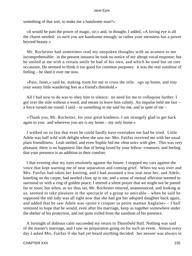something of that sort, to make me a handsome man?»

 «It would be past the power of magic, sir;» and, in thought, I added, «A loving eye is all the charm needed: to such you are handsome enough; or rather your sternness has a power beyond beauty.»

 Mr. Rochester had sometimes read my unspoken thoughts with an acumen to me incomprehensible: in the present instance he took no notice of my abrupt vocal response; but he smiled at me with a certain smile he had of his own, and which he used but on rare occasions. He seemed to think it too good for common purposes: it was the real sunshine of feeling – he shed it over me now.

 «Pass, Janet,» said he, making room for me to cross the stile: «go up home, and stay your weary little wandering feet at a friend's threshold.»

 All I had now to do was to obey him in silence: no need for me to colloquise further. I got over the stile without a word, and meant to leave him calmly. An impulse held me fast – a force turned me round. I said – or something in me said for me, and in spite of me −

 «Thank you, Mr. Rochester, for your great kindness. I am strangely glad to get back again to you: and wherever you are is my home – my only home.»

 I walked on so fast that even he could hardly have overtaken me had he tried. Little Adele was half wild with delight when she saw me. Mrs. Fairfax received me with her usual plain friendliness. Leah smiled, and even Sophie bid me «bon soir» with glee. This was very pleasant; there is no happiness like that of being loved by your fellow−creatures, and feeling that your presence is an addition to their comfort.

 I that evening shut my eyes resolutely against the future: I stopped my cars against the voice that kept warning me of near separation and coming grief. When tea was over and Mrs. Fairfax had taken her knitting, and I had assumed a low seat near her, and Adele, kneeling on the carpet, had nestled close up to me, and a sense of mutual affection seemed to surround us with a ring of golden peace, I uttered a silent prayer that we might not be parted far or soon; but when, as we thus sat, Mr. Rochester entered, unannounced, and looking at us, seemed to take pleasure in the spectacle of a group so amicable – when he said he supposed the old lady was all right now that she had got her adopted daughter back again, and added that he saw Adele was «prete e croquer sa petite maman Anglaise» – I half ventured to hope that he would, even after his marriage, keep us together somewhere under the shelter of his protection, and not quite exiled from the sunshine of his presence.

 A fortnight of dubious calm succeeded my return to Thornfield Hall. Nothing was said of the master's marriage, and I saw no preparation going on for such an event. Almost every day I asked Mrs. Fairfax if she had yet heard anything decided: her answer was always in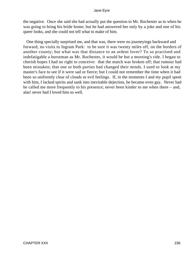the negative. Once she said she had actually put the question to Mr. Rochester as to when he was going to bring his bride home; but he had answered her only by a joke and one of his queer looks, and she could not tell what to make of him.

 One thing specially surprised me, and that was, there were no journeyings backward and forward, no visits to Ingram Park: to be sure it was twenty miles off, on the borders of another county; but what was that distance to an ardent lover? To so practised and indefatigable a horseman as Mr. Rochester, it would be but a morning's ride. I began to cherish hopes I had no right to conceive: that the match was broken off; that rumour had been mistaken; that one or both parties had changed their minds. I used to look at my master's face to see if it were sad or fierce; but I could not remember the time when it had been so uniformly clear of clouds or evil feelings. If, in the moments I and my pupil spent with him, I lacked spirits and sank into inevitable dejection, he became even gay. Never had he called me more frequently to his presence; never been kinder to me when there – and, alas! never had I loved him so well.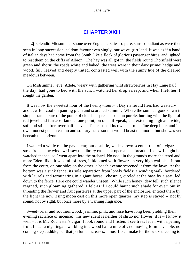# **[CHAPTER XXIII](#page-435-0)**

A splendid Midsummer shone over England: skies so pure, suns so radiant as were then seen in long succession, seldom favour even singly, our wave−girt land. It was as if a band of Italian days had come from the South, like a flock of glorious passenger birds, and lighted to rest them on the cliffs of Albion. The hay was all got in; the fields round Thornfield were green and shorn; the roads white and baked; the trees were in their dark prime; hedge and wood, full−leaved and deeply tinted, contrasted well with the sunny hue of the cleared meadows between.

 On Midsummer−eve, Adele, weary with gathering wild strawberries in Hay Lane half the day, had gone to bed with the sun. I watched her drop asleep, and when I left her, I sought the garden.

It was now the sweetest hour of the twenty–four:− «Day its fervid fires had wasted,» and dew fell cool on panting plain and scorched summit. Where the sun had gone down in simple state – pure of the pomp of clouds – spread a solemn purple, burning with the light of red jewel and furnace flame at one point, on one hill−peak, and extending high and wide, soft and still softer, over half heaven. The east had its own charm or fine deep blue, and its own modest gem, a casino and solitary star: soon it would boast the moon; but she was yet beneath the horizon.

 I walked a while on the pavement; but a subtle, well−known scent – that of a cigar – stole from some window; I saw the library casement open a handbreadth; I knew I might be watched thence; so I went apart into the orchard. No nook in the grounds more sheltered and more Eden−like; it was full of trees, it bloomed with flowers: a very high wall shut it out from the court, on one side; on the other, a beech avenue screened it from the lawn. At the bottom was a sunk fence; its sole separation from lonely fields: a winding walk, bordered with laurels and terminating in a giant horse− chestnut, circled at the base by a seat, led down to the fence. Here one could wander unseen. While such honey−dew fell, such silence reigned, such gloaming gathered, I felt as if I could haunt such shade for ever; but in threading the flower and fruit parterres at the upper part of the enclosure, enticed there by the light the now rising moon cast on this more open quarter, my step is stayed – not by sound, not by sight, but once more by a warning fragrance.

 Sweet−briar and southernwood, jasmine, pink, and rose have long been yielding their evening sacrifice of incense: this new scent is neither of shrub nor flower; it is – I know it well – it is Mr. Rochester's cigar. I look round and I listen. I see trees laden with ripening fruit. I hear a nightingale warbling in a wood half a mile off; no moving form is visible, no coming step audible; but that perfume increases: I must flee. I make for the wicket leading to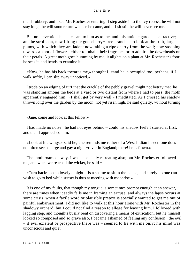the shrubbery, and I see Mr. Rochester entering. I step aside into the ivy recess; he will not stay long: he will soon return whence he came, and if I sit still he will never see me.

 But no – eventide is as pleasant to him as to me, and this antique garden as attractive; and he strolls on, now lifting the gooseberry− tree branches to look at the fruit, large as plums, with which they are laden; now taking a ripe cherry from the wall; now stooping towards a knot of flowers, either to inhale their fragrance or to admire the dew−beads on their petals. A great moth goes humming by me; it alights on a plant at Mr. Rochester's foot: he sees it, and bends to examine it.

 «Now, he has his back towards me,» thought I, «and he is occupied too; perhaps, if I walk softly, I can slip away unnoticed.»

 I trode on an edging of turf that the crackle of the pebbly gravel might not betray me: he was standing among the beds at a yard or two distant from where I had to pass; the moth apparently engaged him. «I shall get by very well,» I meditated. As I crossed his shadow, thrown long over the garden by the moon, not yet risen high, he said quietly, without turning −

«Jane, come and look at this fellow.»

 I had made no noise: he had not eyes behind – could his shadow feel? I started at first, and then I approached him.

 «Look at his wings,» said he, «he reminds me rather of a West Indian insect; one does not often see so large and gay a night−rover in England; there! he is flown.»

 The moth roamed away. I was sheepishly retreating also; but Mr. Rochester followed me, and when we reached the wicket, he said −

 «Turn back: on so lovely a night it is a shame to sit in the house; and surely no one can wish to go to bed while sunset is thus at meeting with moonrise.»

 It is one of my faults, that though my tongue is sometimes prompt enough at an answer, there are times when it sadly fails me in framing an excuse; and always the lapse occurs at some crisis, when a facile word or plausible pretext is specially wanted to get me out of painful embarrassment. I did not like to walk at this hour alone with Mr. Rochester in the shadowy orchard; but I could not find a reason to allege for leaving him. I followed with lagging step, and thoughts busily bent on discovering a means of extrication; but he himself looked so composed and so grave also, I became ashamed of feeling any confusion: the evil – if evil existent or prospective there was – seemed to lie with me only; his mind was unconscious and quiet.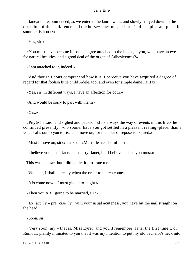«Jane,» he recommenced, as we entered the laurel walk, and slowly strayed down in the direction of the sunk fence and the horse− chestnut, «Thornfield is a pleasant place in summer, is it not?»

«Yes, sir.»

 «You must have become in some degree attached to the house, – you, who have an eye for natural beauties, and a good deal of the organ of Adhesiveness?»

«I am attached to it, indeed.»

 «And though I don't comprehend how it is, I perceive you have acquired a degree of regard for that foolish little child Adele, too; and even for simple dame Fairfax?»

«Yes, sir; in different ways, I have an affection for both.»

«And would be sorry to part with them?»

«Yes.»

 «Pity!» he said, and sighed and paused. «It is always the way of events in this life,» he continued presently: «no sooner have you got settled in a pleasant resting−place, than a voice calls out to you to rise and move on, for the hour of repose is expired.»

«Must I move on, sir?» I asked. «Must I leave Thornfield?»

«I believe you must, Jane. I am sorry, Janet, but I believe indeed you must.»

This was a blow: but I did not let it prostrate me.

«Well, sir, I shall be ready when the order to march comes.»

«It is come now – I must give it to−night.»

«Then you ARE going to be married, sir?»

 «Ex−act−ly – pre−cise−ly: with your usual acuteness, you have hit the nail straight on the head.»

«Soon, sir?»

 «Very soon, my – that is, Miss Eyre: and you'll remember, Jane, the first time I, or Rumour, plainly intimated to you that it was my intention to put my old bachelor's neck into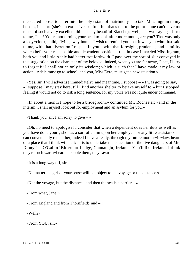the sacred noose, to enter into the holy estate of matrimony – to take Miss Ingram to my bosom, in short (she's an extensive armful: but that's not to the point – one can't have too much of such a very excellent thing as my beautiful Blanche): well, as I was saying – listen to me, Jane! You're not turning your head to look after more moths, are you? That was only a lady−clock, child, 'flying away home.' I wish to remind you that it was you who first said to me, with that discretion I respect in you – with that foresight, prudence, and humility which befit your responsible and dependent position – that in case I married Miss Ingram, both you and little Adele had better trot forthwith. I pass over the sort of slur conveyed in this suggestion on the character of my beloved; indeed, when you are far away, Janet, I'll try to forget it: I shall notice only its wisdom; which is such that I have made it my law of action. Adele must go to school; and you, Miss Eyre, must get a new situation.»

«Yes, sir, I will advertise immediately: and meantime, I suppose  $-\rightarrow$  I was going to say, «I suppose I may stay here, till I find another shelter to betake myself to:» but I stopped, feeling it would not do to risk a long sentence, for my voice was not quite under command.

 «In about a month I hope to be a bridegroom,» continued Mr. Rochester; «and in the interim, I shall myself look out for employment and an asylum for you.»

«Thank you, sir; I am sorry to give  $-\infty$ 

 «Oh, no need to apologise! I consider that when a dependent does her duty as well as you have done yours, she has a sort of claim upon her employer for any little assistance he can conveniently render her; indeed I have already, through my future mother−in−law, heard of a place that I think will suit: it is to undertake the education of the five daughters of Mrs. Dionysius O'Gall of Bitternutt Lodge, Connaught, Ireland. You'll like Ireland, I think: they're such warm−hearted people there, they say.»

«It is a long way off, sir.»

«No matter – a girl of your sense will not object to the voyage or the distance.»

«Not the voyage, but the distance: and then the sea is a barrier  $-\infty$ 

«From what, Jane?»

«From England and from Thornfield: and  $-\infty$ 

«Well?»

«From YOU, sir.»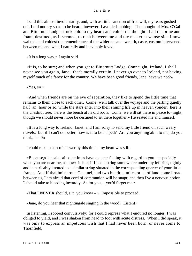I said this almost involuntarily, and, with as little sanction of free will, my tears gushed out. I did not cry so as to be heard, however; I avoided sobbing. The thought of Mrs. O'Gall and Bitternutt Lodge struck cold to my heart; and colder the thought of all the brine and foam, destined, as it seemed, to rush between me and the master at whose side I now walked, and coldest the remembrance of the wider ocean – wealth, caste, custom intervened between me and what I naturally and inevitably loved.

«It is a long way,» I again said.

 «It is, to be sure; and when you get to Bitternutt Lodge, Connaught, Ireland, I shall never see you again, Jane: that's morally certain. I never go over to Ireland, not having myself much of a fancy for the country. We have been good friends, Jane; have we not?»

«Yes, sir.»

 «And when friends are on the eve of separation, they like to spend the little time that remains to them close to each other. Come! we'll talk over the voyage and the parting quietly half–an–hour or so, while the stars enter into their shining life up in heaven yonder: here is the chestnut tree: here is the bench at its old roots. Come, we will sit there in peace to−night, though we should never more be destined to sit there together.» He seated me and himself.

 «It is a long way to Ireland, Janet, and I am sorry to send my little friend on such weary travels: but if I can't do better, how is it to be helped? Are you anything akin to me, do you think, Jane?»

I could risk no sort of answer by this time: my heart was still.

 «Because,» he said, «I sometimes have a queer feeling with regard to you – especially when you are near me, as now: it is as if I had a string somewhere under my left ribs, tightly and inextricably knotted to a similar string situated in the corresponding quarter of your little frame. And if that boisterous Channel, and two hundred miles or so of land come broad between us, I am afraid that cord of communion will be snapt; and then I've a nervous notion I should take to bleeding inwardly. As for you, – you'd forget me.»

«That **I NEVER** should, sir: you know  $-\infty$  Impossible to proceed.

«Jane, do you hear that nightingale singing in the wood? Listen!»

 In listening, I sobbed convulsively; for I could repress what I endured no longer; I was obliged to yield, and I was shaken from head to foot with acute distress. When I did speak, it was only to express an impetuous wish that I had never been born, or never come to Thornfield.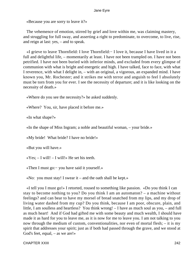«Because you are sorry to leave it?»

 The vehemence of emotion, stirred by grief and love within me, was claiming mastery, and struggling for full sway, and asserting a right to predominate, to overcome, to live, rise, and reign at last: yes, – and to speak.

 «I grieve to leave Thornfield: I love Thornfield:− I love it, because I have lived in it a full and delightful life, – momentarily at least. I have not been trampled on. I have not been petrified. I have not been buried with inferior minds, and excluded from every glimpse of communion with what is bright and energetic and high. I have talked, face to face, with what I reverence, with what I delight in, – with an original, a vigorous, an expanded mind. I have known you, Mr. Rochester; and it strikes me with terror and anguish to feel I absolutely must be torn from you for ever. I see the necessity of departure; and it is like looking on the necessity of death.»

«Where do you see the necessity?» he asked suddenly.

«Where? You, sir, have placed it before me.»

«In what shape?»

«In the shape of Miss Ingram; a noble and beautiful woman, – your bride.»

«My bride! What bride? I have no bride!»

«But you will have.»

 $\langle Yes; -I will! -I will! \rangle$  He set his teeth.

«Then I must go:− you have said it yourself.»

«No: you must stay! I swear it – and the oath shall be kept.»

 «I tell you I must go!» I retorted, roused to something like passion. «Do you think I can stay to become nothing to you? Do you think I am an automaton? – a machine without feelings? and can bear to have my morsel of bread snatched from my lips, and my drop of living water dashed from my cup? Do you think, because I am poor, obscure, plain, and little, I am soulless and heartless? You think wrong! – I have as much soul as you, – and full as much heart! And if God had gifted me with some beauty and much wealth, I should have made it as hard for you to leave me, as it is now for me to leave you. I am not talking to you now through the medium of custom, conventionalities, nor even of mortal flesh; – it is my spirit that addresses your spirit; just as if both had passed through the grave, and we stood at God's feet, equal, – as we are!»

CHAPTER XXIII 242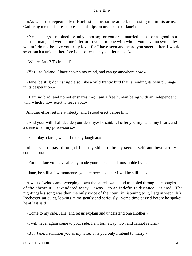«As we are!» repeated Mr. Rochester – «so,» he added, enclosing me in his arms. Gathering me to his breast, pressing his lips on my lips: «so, Jane!»

 «Yes, so, sir,» I rejoined: «and yet not so; for you are a married man – or as good as a married man, and wed to one inferior to you – to one with whom you have no sympathy – whom I do not believe you truly love; for I have seen and heard you sneer at her. I would scorn such a union: therefore I am better than you – let me go!»

«Where, Jane? To Ireland?»

«Yes – to Ireland. I have spoken my mind, and can go anywhere now.»

 «Jane, be still; don't struggle so, like a wild frantic bird that is rending its own plumage in its desperation.»

 «I am no bird; and no net ensnares me; I am a free human being with an independent will, which I now exert to leave you.»

Another effort set me at liberty, and I stood erect before him.

 «And your will shall decide your destiny,» he said: «I offer you my hand, my heart, and a share of all my possessions.»

«You play a farce, which I merely laugh at.»

 «I ask you to pass through life at my side – to be my second self, and best earthly companion.»

«For that fate you have already made your choice, and must abide by it.»

«Jane, be still a few moments: you are over−excited: I will be still too.»

 A waft of wind came sweeping down the laurel−walk, and trembled through the boughs of the chestnut: it wandered away – away – to an indefinite distance – it died. The nightingale's song was then the only voice of the hour: in listening to it, I again wept. Mr. Rochester sat quiet, looking at me gently and seriously. Some time passed before he spoke; he at last said −

«Come to my side, Jane, and let us explain and understand one another.»

«I will never again come to your side: I am torn away now, and cannot return.»

«But, Jane, I summon you as my wife: it is you only I intend to marry.»

CHAPTER XXIII 243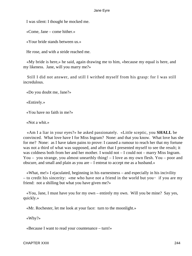I was silent: I thought he mocked me.

«Come, Jane – come hither.»

«Your bride stands between us.»

He rose, and with a stride reached me.

 «My bride is here,» he said, again drawing me to him, «because my equal is here, and my likeness. Jane, will you marry me?»

 Still I did not answer, and still I writhed myself from his grasp: for I was still incredulous.

«Do you doubt me, Jane?»

«Entirely.»

«You have no faith in me?»

«Not a whit.»

 «Am I a liar in your eyes?» he asked passionately. «Little sceptic, you **SHALL** be convinced. What love have I for Miss Ingram? None: and that you know. What love has she for me? None: as I have taken pains to prove: I caused a rumour to reach her that my fortune was not a third of what was supposed, and after that I presented myself to see the result; it was coldness both from her and her mother. I would not – I could not – marry Miss Ingram. You – you strange, you almost unearthly thing! – I love as my own flesh. You – poor and obscure, and small and plain as you are – I entreat to accept me as a husband.»

 «What, me!» I ejaculated, beginning in his earnestness – and especially in his incivility – to credit his sincerity: «me who have not a friend in the world but you− if you are my friend: not a shilling but what you have given me?»

 «You, Jane, I must have you for my own – entirely my own. Will you be mine? Say yes, quickly.»

«Mr. Rochester, let me look at your face: turn to the moonlight.»

«Why?»

«Because I want to read your countenance – turn!»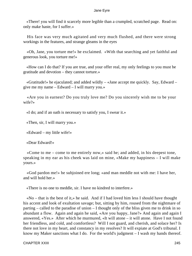«There! you will find it scarcely more legible than a crumpled, scratched page. Read on: only make haste, for I suffer.»

 His face was very much agitated and very much flushed, and there were strong workings in the features, and strange gleams in the eyes

 «Oh, Jane, you torture me!» he exclaimed. «With that searching and yet faithful and generous look, you torture me!»

 «How can I do that? If you are true, and your offer real, my only feelings to you must be gratitude and devotion – they cannot torture.»

 «Gratitude!» he ejaculated; and added wildly – «Jane accept me quickly. Say, Edward – give me my name – Edward – I will marry you.»

 «Are you in earnest? Do you truly love me? Do you sincerely wish me to be your wife?»

«I do; and if an oath is necessary to satisfy you, I swear it.»

«Then, sir, I will marry you.»

«Edward – my little wife!»

«Dear Edward!»

 «Come to me – come to me entirely now,» said he; and added, in his deepest tone, speaking in my ear as his cheek was laid on mine, «Make my happiness – I will make yours.»

 «God pardon me!» he subjoined ere long; «and man meddle not with me: I have her, and will hold her.»

«There is no one to meddle, sir. I have no kindred to interfere.»

 «No – that is the best of it,» he said. And if I had loved him less I should have thought his accent and look of exultation savage; but, sitting by him, roused from the nightmare of parting – called to the paradise of union – I thought only of the bliss given me to drink in so abundant a flow. Again and again he said, «Are you happy, Jane?» And again and again I answered, «Yes.» After which he murmured, «It will atone – it will atone. Have I not found her friendless, and cold, and comfortless? Will I not guard, and cherish, and solace her? Is there not love in my heart, and constancy in my resolves? It will expiate at God's tribunal. I know my Maker sanctions what I do. For the world's judgment – I wash my hands thereof.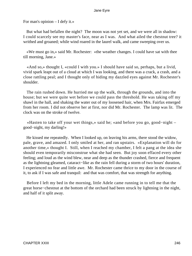For man's opinion – I defy it.»

 But what had befallen the night? The moon was not yet set, and we were all in shadow: I could scarcely see my master's face, near as I was. And what ailed the chestnut tree? it writhed and groaned; while wind roared in the laurel walk, and came sweeping over us.

 «We must go in,» said Mr. Rochester: «the weather changes. I could have sat with thee till morning, Jane.»

 «And so,» thought I, «could I with you.» I should have said so, perhaps, but a livid, vivid spark leapt out of a cloud at which I was looking, and there was a crack, a crash, and a close rattling peal; and I thought only of hiding my dazzled eyes against Mr. Rochester's shoulder.

 The rain rushed down. He hurried me up the walk, through the grounds, and into the house; but we were quite wet before we could pass the threshold. He was taking off my shawl in the hall, and shaking the water out of my loosened hair, when Mrs. Fairfax emerged from her room. I did not observe her at first, nor did Mr. Rochester. The lamp was lit. The clock was on the stroke of twelve.

 «Hasten to take off your wet things,» said he; «and before you go, good−night – good−night, my darling!»

 He kissed me repeatedly. When I looked up, on leaving his arms, there stood the widow, pale, grave, and amazed. I only smiled at her, and ran upstairs. «Explanation will do for another time,» thought I. Still, when I reached my chamber, I felt a pang at the idea she should even temporarily misconstrue what she had seen. But joy soon effaced every other feeling; and loud as the wind blew, near and deep as the thunder crashed, fierce and frequent as the lightning gleamed, cataract−like as the rain fell during a storm of two hours' duration, I experienced no fear and little awe. Mr. Rochester came thrice to my door in the course of it, to ask if I was safe and tranquil: and that was comfort, that was strength for anything.

 Before I left my bed in the morning, little Adele came running in to tell me that the great horse−chestnut at the bottom of the orchard had been struck by lightning in the night, and half of it split away.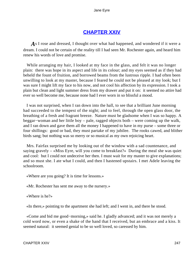# **[CHAPTER XXIV](#page-435-0)**

As I rose and dressed, I thought over what had happened, and wondered if it were a dream. I could not be certain of the reality till I had seen Mr. Rochester again, and heard him renew his words of love and promise.

 While arranging my hair, I looked at my face in the glass, and felt it was no longer plain: there was hope in its aspect and life in its colour; and my eyes seemed as if they had beheld the fount of fruition, and borrowed beams from the lustrous ripple. I had often been unwilling to look at my master, because I feared he could not be pleased at my look; but I was sure I might lift my face to his now, and not cool his affection by its expression. I took a plain but clean and light summer dress from my drawer and put it on: it seemed no attire had ever so well become me, because none had I ever worn in so blissful a mood.

 I was not surprised, when I ran down into the hall, to see that a brilliant June morning had succeeded to the tempest of the night; and to feel, through the open glass door, the breathing of a fresh and fragrant breeze. Nature must be gladsome when I was so happy. A beggar−woman and her little boy – pale, ragged objects both – were coming up the walk, and I ran down and gave them all the money I happened to have in my purse – some three or four shillings: good or bad, they must partake of my jubilee. The rooks cawed, and blither birds sang; but nothing was so merry or so musical as my own rejoicing heart.

 Mrs. Fairfax surprised me by looking out of the window with a sad countenance, and saying gravely – «Miss Eyre, will you come to breakfast?» During the meal she was quiet and cool: but I could not undeceive her then. I must wait for my master to give explanations; and so must she. I ate what I could, and then I hastened upstairs. I met Adele leaving the schoolroom.

«Where are you going? It is time for lessons.»

«Mr. Rochester has sent me away to the nursery.»

«Where is he?»

«In there,» pointing to the apartment she had left; and I went in, and there he stood.

 «Come and bid me good−morning,» said he. I gladly advanced; and it was not merely a cold word now, or even a shake of the hand that I received, but an embrace and a kiss. It seemed natural: it seemed genial to be so well loved, so caressed by him.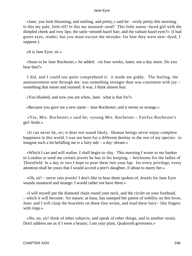«Jane, you look blooming, and smiling, and pretty,» said he: «truly pretty this morning. Is this my pale, little elf? Is this my mustard−seed? This little sunny−faced girl with the dimpled cheek and rosy lips; the satin−smooth hazel hair, and the radiant hazel eyes?» (I had green eyes, reader; but you must excuse the mistake: for him they were new−dyed, I suppose.)

«It is Jane Eyre, sir.»

 «Soon to be Jane Rochester,» he added: «in four weeks, Janet; not a day more. Do you hear that?»

 I did, and I could not quite comprehend it: it made me giddy. The feeling, the announcement sent through me, was something stronger than was consistent with joy – something that smote and stunned. It was, I think almost fear.

«You blushed, and now you are white, Jane: what is that for?»

«Because you gave me a new name – Jane Rochester; and it seems so strange.»

 «Yes, Mrs. Rochester,» said he; «young Mrs. Rochester – Fairfax Rochester's girl−bride.»

 «It can never be, sir; it does not sound likely. Human beings never enjoy complete happiness in this world. I was not born for a different destiny to the rest of my species: to imagine such a lot befalling me is a fairy tale – a day−dream.»

 «Which I can and will realise. I shall begin to−day. This morning I wrote to my banker in London to send me certain jewels he has in his keeping, – heirlooms for the ladies of Thornfield. In a day or two I hope to pour them into your lap: for every privilege, every attention shall be yours that I would accord a peer's daughter, if about to marry her.»

 «Oh, sir! – never rain jewels! I don't like to hear them spoken of. Jewels for Jane Eyre sounds unnatural and strange: I would rather not have them.»

 «I will myself put the diamond chain round your neck, and the circlet on your forehead, – which it will become: for nature, at least, has stamped her patent of nobility on this brow, Jane; and I will clasp the bracelets on these fine wrists, and load these fairy− like fingers with rings.»

 «No, no, sir! think of other subjects, and speak of other things, and in another strain. Don't address me as if I were a beauty; I am your plain, Quakerish governess.»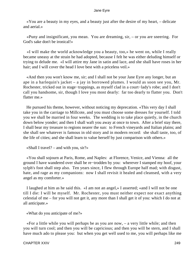«You are a beauty in my eyes, and a beauty just after the desire of my heart, – delicate and aerial.»

 «Puny and insignificant, you mean. You are dreaming, sir, – or you are sneering. For God's sake don't be ironical!»

 «I will make the world acknowledge you a beauty, too,» he went on, while I really became uneasy at the strain he had adopted, because I felt he was either deluding himself or trying to delude me. «I will attire my Jane in satin and lace, and she shall have roses in her hair; and I will cover the head I love best with a priceless veil.»

 «And then you won't know me, sir; and I shall not be your Jane Eyre any longer, but an ape in a harlequin's jacket – a jay in borrowed plumes. I would as soon see you, Mr. Rochester, tricked out in stage−trappings, as myself clad in a court−lady's robe; and I don't call you handsome, sir, though I love you most dearly: far too dearly to flatter you. Don't flatter me.»

 He pursued his theme, however, without noticing my deprecation. «This very day I shall take you in the carriage to Millcote, and you must choose some dresses for yourself. I told you we shall be married in four weeks. The wedding is to take place quietly, in the church down below yonder; and then I shall waft you away at once to town. After a brief stay there, I shall bear my treasure to regions nearer the sun: to French vineyards and Italian plains; and she shall see whatever is famous in old story and in modern record: she shall taste, too, of the life of cities; and she shall learn to value herself by just comparison with others.»

«Shall I travel? – and with you,  $\sin$ ?»

 «You shall sojourn at Paris, Rome, and Naples: at Florence, Venice, and Vienna: all the ground I have wandered over shall be re−trodden by you: wherever I stamped my hoof, your sylph's foot shall step also. Ten years since, I flew through Europe half mad; with disgust, hate, and rage as my companions: now I shall revisit it healed and cleansed, with a very angel as my comforter.»

 I laughed at him as he said this. «I am not an angel,» I asserted; «and I will not be one till I die: I will be myself. Mr. Rochester, you must neither expect nor exact anything celestial of me – for you will not get it, any more than I shall get it of you: which I do not at all anticipate.»

«What do you anticipate of me?»

 «For a little while you will perhaps be as you are now, – a very little while; and then you will turn cool; and then you will be capricious; and then you will be stern, and I shall have much ado to please you: but when you get well used to me, you will perhaps like me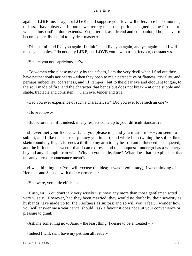again, – **LIKE** me, I say, not **LOVE** me. I suppose your love will effervesce in six months, or less. I have observed in books written by men, that period assigned as the farthest to which a husband's ardour extends. Yet, after all, as a friend and companion, I hope never to become quite distasteful to my dear master.»

 «Distasteful! and like you again! I think I shall like you again, and yet again: and I will make you confess I do not only **LIKE,** but **LOVE** you – with truth, fervour, constancy.»

«Yet are you not capricious, sir?»

 «To women who please me only by their faces, I am the very devil when I find out they have neither souls nor hearts – when they open to me a perspective of flatness, triviality, and perhaps imbecility, coarseness, and ill−temper: but to the clear eye and eloquent tongue, to the soul made of fire, and the character that bends but does not break – at once supple and stable, tractable and consistent– –I am ever tender and true.»

«Had you ever experience of such a character, sir? Did you ever love such an one?»

«I love it now.»

«But before me: if I, indeed, in any respect come up to your difficult standard?»

 «I never met your likeness. Jane, you please me, and you master me− −you seem to submit, and I like the sense of pliancy you impart; and while I am twining the soft, silken skein round my finger, it sends a thrill up my arm to my heart. I am influenced – conquered; and the influence is sweeter than I can express; and the conquest I undergo has a witchery beyond any triumph I can win. Why do you smile, Jane? What does that inexplicable, that uncanny turn of countenance mean?»

 «I was thinking, sir (you will excuse the idea; it was involuntary), I was thinking of Hercules and Samson with their charmers – »

«You were, you little elfish  $-\infty$ 

 «Hush, sir! You don't talk very wisely just now; any more than those gentlemen acted very wisely. However, had they been married, they would no doubt by their severity as husbands have made up for their softness as suitors; and so will you, I fear. I wonder how you will answer me a year hence, should I ask a favour it does not suit your convenience or pleasure to grant.»

«Ask me something now, Jane,  $-$  the least thing: I desire to be entreated  $-$  »

«Indeed I will, sir; I have my petition all ready.»

CHAPTER XXIV 250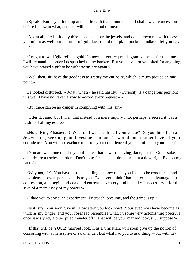«Speak! But if you look up and smile with that countenance, I shall swear concession before I know to what, and that will make a fool of me.»

 «Not at all, sir; I ask only this: don't send for the jewels, and don't crown me with roses: you might as well put a border of gold lace round that plain pocket handkerchief you have there.»

 «I might as well 'gild refined gold.' I know it: you request is granted then – for the time. I will remand the order I despatched to my banker. But you have not yet asked for anything; you have prayed a gift to be withdrawn: try again.»

 «Well then, sir, have the goodness to gratify my curiosity, which is much piqued on one point.»

 He looked disturbed. «What? what?» he said hastily. «Curiosity is a dangerous petition: it is well I have not taken a vow to accord every request  $-\infty$ 

«But there can be no danger in complying with this, sir.»

 «Utter it, Jane: but I wish that instead of a mere inquiry into, perhaps, a secret, it was a wish for half my estate.»

 «Now, King Ahasuerus! What do I want with half your estate? Do you think I am a Jew−usurer, seeking good investment in land? I would much rather have all your confidence. You will not exclude me from your confidence if you admit me to your heart?»

 «You are welcome to all my confidence that is worth having, Jane; but for God's sake, don't desire a useless burden! Don't long for poison – don't turn out a downright Eve on my hands!»

 «Why not, sir? You have just been telling me how much you liked to be conquered, and how pleasant over−persuasion is to you. Don't you think I had better take advantage of the confession, and begin and coax and entreat – even cry and be sulky if necessary – for the sake of a mere essay of my power?»

«I dare you to any such experiment. Encroach, presume, and the game is up.»

 «Is it, sir? You soon give in. How stern you look now! Your eyebrows have become as thick as my finger, and your forehead resembles what, in some very astonishing poetry, I once saw styled, 'a blue−piled thunderloft.' That will be your married look, sir, I suppose?»

 «If that will be **YOUR** married look, I, as a Christian, will soon give up the notion of consorting with a mere sprite or salamander. But what had you to ask, thing, – out with it?»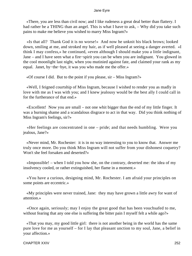«There, you are less than civil now; and I like rudeness a great deal better than flattery. I had rather be a THING than an angel. This is what I have to ask, – Why did you take such pains to make me believe you wished to marry Miss Ingram?»

 «Is that all? Thank God it is no worse!» And now he unknit his black brows; looked down, smiling at me, and stroked my hair, as if well pleased at seeing a danger averted. «I think I may confess,» he continued, «even although I should make you a little indignant, Jane – and I have seen what a fire−spirit you can be when you are indignant. You glowed in the cool moonlight last night, when you mutinied against fate, and claimed your rank as my equal. Janet, by−the−bye, it was you who made me the offer.»

«Of course I did. But to the point if you please, sir – Miss Ingram?»

 «Well, I feigned courtship of Miss Ingram, because I wished to render you as madly in love with me as I was with you; and I knew jealousy would be the best ally I could call in for the furtherance of that end.»

 «Excellent! Now you are small – not one whit bigger than the end of my little finger. It was a burning shame and a scandalous disgrace to act in that way. Did you think nothing of Miss Ingram's feelings, sir?»

 «Her feelings are concentrated in one – pride; and that needs humbling. Were you jealous, Jane?»

 «Never mind, Mr. Rochester: it is in no way interesting to you to know that. Answer me truly once more. Do you think Miss Ingram will not suffer from your dishonest coquetry? Won't she feel forsaken and deserted?»

 «Impossible! – when I told you how she, on the contrary, deserted me: the idea of my insolvency cooled, or rather extinguished, her flame in a moment.»

 «You have a curious, designing mind, Mr. Rochester. I am afraid your principles on some points are eccentric.»

 «My principles were never trained, Jane: they may have grown a little awry for want of attention.»

 «Once again, seriously; may I enjoy the great good that has been vouchsafed to me, without fearing that any one else is suffering the bitter pain I myself felt a while ago?»

 «That you may, my good little girl: there is not another being in the world has the same pure love for me as yourself – for I lay that pleasant unction to my soul, Jane, a belief in your affection.»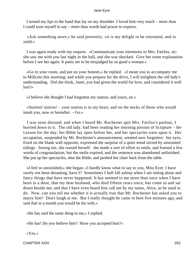I turned my lips to the hand that lay on my shoulder. I loved him very much – more than I could trust myself to say – more than words had power to express.

 «Ask something more,» he said presently; «it is my delight to be entreated, and to yield.»

 I was again ready with my request. «Communicate your intentions to Mrs. Fairfax, sir: she saw me with you last night in the hall, and she was shocked. Give her some explanation before I see her again. It pains me to be misjudged by so good a woman.»

 «Go to your room, and put on your bonnet,» he replied. «I mean you to accompany me to Millcote this morning; and while you prepare for the drive, I will enlighten the old lady's understanding. Did she think, Janet, you had given the world for love, and considered it well lost?»

«I believe she thought I had forgotten my station, and yours, sir.»

 «Station! station! – your station is in my heart, and on the necks of those who would insult you, now or hereafter. – Go.»

 I was soon dressed; and when I heard Mr. Rochester quit Mrs. Fairfax's parlour, I hurried down to it. The old lady, had been reading her morning portion of Scripture – the Lesson for the day; her Bible lay open before her, and her spectacles were upon it. Her occupation, suspended by Mr. Rochester's announcement, seemed now forgotten: her eyes, fixed on the blank wall opposite, expressed the surprise of a quiet mind stirred by unwonted tidings. Seeing me, she roused herself: she made a sort of effort to smile, and framed a few words of congratulation; but the smile expired, and the sentence was abandoned unfinished. She put up her spectacles, shut the Bible, and pushed her chair back from the table.

 «I feel so astonished,» she began, «I hardly know what to say to you, Miss Eyre. I have surely not been dreaming, have I? Sometimes I half fall asleep when I am sitting alone and fancy things that have never happened. It has seemed to me more than once when I have been in a doze, that my dear husband, who died fifteen years since, has come in and sat down beside me; and that I have even heard him call me by my name, Alice, as he used to do. Now, can you tell me whether it is actually true that Mr. Rochester has asked you to marry him? Don't laugh at me. But I really thought he came in here five minutes ago, and said that in a month you would be his wife.»

«He has said the same thing to me,» I replied.

«He has! Do you believe him? Have you accepted him?»

«Yes.»

CHAPTER XXIV 253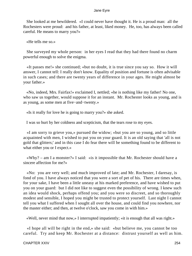She looked at me bewildered. «I could never have thought it. He is a proud man: all the Rochesters were proud: and his father, at least, liked money. He, too, has always been called careful. He means to marry you?»

«He tells me so.»

 She surveyed my whole person: in her eyes I read that they had there found no charm powerful enough to solve the enigma.

 «It passes me!» she continued; «but no doubt, it is true since you say so. How it will answer, I cannot tell: I really don't know. Equality of position and fortune is often advisable in such cases; and there are twenty years of difference in your ages. He might almost be your father.»

 «No, indeed, Mrs. Fairfax!» exclaimed I, nettled; «he is nothing like my father! No one, who saw us together, would suppose it for an instant. Mr. Rochester looks as young, and is as young, as some men at five−and−twenty.»

«Is it really for love he is going to marry you?» she asked.

I was so hurt by her coldness and scepticism, that the tears rose to my eyes.

 «I am sorry to grieve you,» pursued the widow; «but you are so young, and so little acquainted with men, I wished to put you on your guard. It is an old saying that 'all is not gold that glitters;' and in this case I do fear there will be something found to be different to what either you or I expect.»

 «Why? – am I a monster?» I said: «is it impossible that Mr. Rochester should have a sincere affection for me?»

 «No: you are very well; and much improved of late; and Mr. Rochester, I daresay, is fond of you. I have always noticed that you were a sort of pet of his. There are times when, for your sake, I have been a little uneasy at his marked preference, and have wished to put you on your guard: but I did not like to suggest even the possibility of wrong. I knew such an idea would shock, perhaps offend you; and you were so discreet, and so thoroughly modest and sensible, I hoped you might be trusted to protect yourself. Last night I cannot tell you what I suffered when I sought all over the house, and could find you nowhere, nor the master either; and then, at twelve o'clock, saw you come in with him.»

«Well, never mind that now,» I interrupted impatiently; «it is enough that all was right.»

 «I hope all will be right in the end,» she said: «but believe me, you cannot be too careful. Try and keep Mr. Rochester at a distance: distrust yourself as well as him.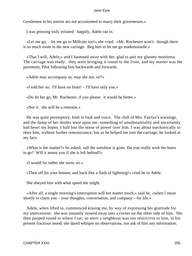Gentlemen in his station are not accustomed to marry their governesses.»

I was growing truly irritated: happily, Adele ran in.

 «Let me go, – let me go to Millcote too!» she cried. «Mr. Rochester won't: though there is so much room in the new carriage. Beg him to let me go mademoiselle.»

 «That I will, Adele;» and I hastened away with her, glad to quit my gloomy monitress. The carriage was ready: they were bringing it round to the front, and my master was the pavement, Pilot following him backwards and forwards.

«Adele may accompany us, may she not, sir?»

«I told her no. I'll have no brats! – I'll have only you.»

«Do let her go, Mr. Rochester, if you please: it would be better.»

«Not it: she will be a restraint.»

 He was quite peremptory, both in look and voice. The chill of Mrs. Fairfax's warnings, and the damp of her doubts were upon me: something of unsubstantiality and uncertainty had beset my hopes. I half lost the sense of power over him. I was about mechanically to obey him, without further remonstrance; but as he helped me into the carriage, he looked at my face.

 «What is the matter?» he asked; «all the sunshine is gone. Do you really wish the bairn to go? Will it annoy you if she is left behind?»

«I would far rather she went, sir.»

«Then off for your bonnet, and back like a flash of lightning!» cried he to Adele.

She obeyed him with what speed she might.

 «After all, a single morning's interruption will not matter much,» said he, «when I mean shortly to claim you – your thoughts, conversation, and company – for life.»

 Adele, when lifted in, commenced kissing me, by way of expressing her gratitude for my intercession: she was instantly stowed away into a corner on the other side of him. She then peeped round to where I sat; so stern a neighbour was too restrictive to him, in his present fractious mood, she dared whisper no observations, nor ask of him any information.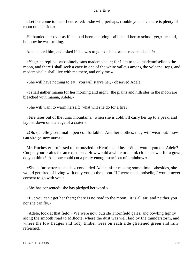«Let her come to me,» I entreated: «she will, perhaps, trouble you, sir: there is plenty of room on this side.»

 He handed her over as if she had been a lapdog. «I'll send her to school yet,» he said, but now he was smiling.

Adele heard him, and asked if she was to go to school «sans mademoiselle?»

 «Yes,» he replied, «absolutely sans mademoiselle; for I am to take mademoiselle to the moon, and there I shall seek a cave in one of the white valleys among the volcano−tops, and mademoiselle shall live with me there, and only me.»

«She will have nothing to eat: you will starve her,» observed Adele.

 «I shall gather manna for her morning and night: the plains and hillsides in the moon are bleached with manna, Adele.»

«She will want to warm herself: what will she do for a fire?»

 «Fire rises out of the lunar mountains: when she is cold, I'll carry her up to a peak, and lay her down on the edge of a crater.»

 «Oh, qu' elle y sera mal – peu comfortable! And her clothes, they will wear out: how can she get new ones?»

 Mr. Rochester professed to be puzzled. «Hem!» said he. «What would you do, Adele? Cudgel your brains for an expedient. How would a white or a pink cloud answer for a gown, do you think? And one could cut a pretty enough scarf out of a rainbow.»

 «She is far better as she is,» concluded Adele, after musing some time: «besides, she would get tired of living with only you in the moon. If I were mademoiselle, I would never consent to go with you.»

«She has consented: she has pledged her word.»

 «But you can't get her there; there is no road to the moon: it is all air; and neither you nor she can fly.»

 «Adele, look at that field.» We were now outside Thornfield gates, and bowling lightly along the smooth road to Millcote, where the dust was well laid by the thunderstorm, and, where the low hedges and lofty timber trees on each side glistened green and rain− refreshed.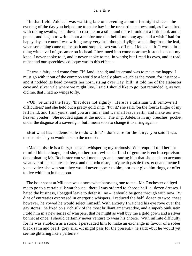"In that field, Adele, I was walking late one evening about a fortnight since – the evening of the day you helped me to make hay in the orchard meadows; and, as I was tired with raking swaths, I sat down to rest me on a stile; and there I took out a little book and a pencil, and began to write about a misfortune that befell me long ago, and a wish I had for happy days to come: I was writing away very fast, though daylight was fading from the leaf, when something came up the path and stopped two yards off me. I looked at it. It was a little thing with a veil of gossamer on its head. I beckoned it to come near me; it stood soon at my knee. I never spoke to it, and it never spoke to me, in words; but I read its eyes, and it read mine; and our speechless colloquy was to this effect −

 "It was a fairy, and come from Elf−land, it said; and its errand was to make me happy: I must go with it out of the common world to a lonely place – such as the moon, for instance – and it nodded its head towards her horn, rising over Hay−hill: it told me of the alabaster cave and silver vale where we might live. I said I should like to go; but reminded it, as you did me, that I had no wings to fly.

 «'Oh,' returned the fairy, 'that does not signify! Here is a talisman will remove all difficulties;' and she held out a pretty gold ring. 'Put it,' she said, 'on the fourth finger of my left hand, and I am yours, and you are mine; and we shall leave earth, and make our own heaven yonder.' She nodded again at the moon. The ring, Adele, is in my breeches−pocket, under the disguise of a sovereign: but I mean soon to change it to a ring again.»

 «But what has mademoiselle to do with it? I don't care for the fairy: you said it was mademoiselle you would take to the moon?»

 «Mademoiselle is a fairy,» he said, whispering mysteriously. Whereupon I told her not to mind his badinage; and she, on her part, evinced a fund of genuine French scepticism: denominating Mr. Rochester «un vrai menteur,» and assuring him that she made no account whatever of his «contes de fee,» and that «du reste, il n'y avait pas de fees, et quand meme il y en avait:» she was sure they would never appear to him, nor ever give him rings, or offer to live with him in the moon.

 The hour spent at Millcote was a somewhat harassing one to me. Mr. Rochester obliged me to go to a certain silk warehouse: there I was ordered to choose half−a−dozen dresses. I hated the business, I begged leave to defer it:  $no - it$  should be gone through with now. By dint of entreaties expressed in energetic whispers, I reduced the half−dozen to two: these however, he vowed he would select himself. With anxiety I watched his eye rove over the gay stores: he fixed on a rich silk of the most brilliant amethyst dye, and a superb pink satin. I told him in a new series of whispers, that he might as well buy me a gold gown and a silver bonnet at once: I should certainly never venture to wear his choice. With infinite difficulty, for he was stubborn as a stone, I persuaded him to make an exchange in favour of a sober black satin and pearl−grey silk. «It might pass for the present,» he said; «but he would yet see me glittering like a parterre.»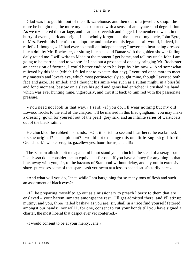Glad was I to get him out of the silk warehouse, and then out of a jewellers shop: the more he bought me, the more my cheek burned with a sense of annoyance and degradation. As we re−entered the carriage, and I sat back feverish and fagged, I remembered what, in the hurry of events, dark and bright, I had wholly forgotten – the letter of my uncle, John Eyre, to Mrs. Reed: his intention to adopt me and make me his legatee. «It would, indeed, be a relief,» I thought, «if I had ever so small an independency; I never can bear being dressed like a doll by Mr. Rochester, or sitting like a second Danae with the golden shower falling daily round me. I will write to Madeira the moment I get home, and tell my uncle John I am going to be married, and to whom: if I had but a prospect of one day bringing Mr. Rochester an accession of fortune, I could better endure to be kept by him now.» And somewhat relieved by this idea (which I failed not to execute that day), I ventured once more to meet my master's and lover's eye, which most pertinaciously sought mine, though I averted both face and gaze. He smiled; and I thought his smile was such as a sultan might, in a blissful and fond moment, bestow on a slave his gold and gems had enriched: I crushed his hand, which was ever hunting mine, vigorously, and thrust it back to him red with the passionate pressure.

 «You need not look in that way,» I said; «if you do, I'll wear nothing but my old Lowood frocks to the end of the chapter. I'll be married in this lilac gingham: you may make a dressing−gown for yourself out of the pearl−grey silk, and an infinite series of waistcoats out of the black satin.»

 He chuckled; he rubbed his hands. «Oh, it is rich to see and hear her?» he exclaimed. «Is she original? Is she piquant? I would not exchange this one little English girl for the Grand Turk's whole seraglio, gazelle−eyes, houri forms, and all!»

The Eastern allusion bit me again. «I'll not stand you an inch in the stead of a seraglio,» I said; «so don't consider me an equivalent for one. If you have a fancy for anything in that line, away with you, sir, to the bazaars of Stamboul without delay, and lay out in extensive slave−purchases some of that spare cash you seem at a loss to spend satisfactorily here.»

 «And what will you do, Janet, while I am bargaining for so many tons of flesh and such an assortment of black eyes?»

 «I'll be preparing myself to go out as a missionary to preach liberty to them that are enslaved – your harem inmates amongst the rest. I'll get admitted there, and I'll stir up mutiny; and you, three−tailed bashaw as you are, sir, shall in a trice find yourself fettered amongst our hands: nor will I, for one, consent to cut your bonds till you have signed a charter, the most liberal that despot ever yet conferred.»

«I would consent to be at your mercy, Jane.»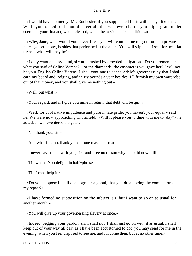«I would have no mercy, Mr. Rochester, if you supplicated for it with an eye like that. While you looked so, I should be certain that whatever charter you might grant under coercion, your first act, when released, would be to violate its conditions.»

 «Why, Jane, what would you have? I fear you will compel me to go through a private marriage ceremony, besides that performed at the altar. You will stipulate, I see, for peculiar terms – what will they be?»

 «I only want an easy mind, sir; not crushed by crowded obligations. Do you remember what you said of Celine Varens? – of the diamonds, the cashmeres you gave her? I will not be your English Celine Varens. I shall continue to act as Adele's governess; by that I shall earn my board and lodging, and thirty pounds a year besides. I'll furnish my own wardrobe out of that money, and you shall give me nothing but  $-\infty$ 

«Well, but what?»

«Your regard; and if I give you mine in return, that debt will be quit.»

 «Well, for cool native impudence and pure innate pride, you haven't your equal,» said he. We were now approaching Thornfield. «Will it please you to dine with me to−day?» he asked, as we re−entered the gates.

«No, thank you, sir.»

«And what for, 'no, thank you?' if one may inquire.»

«I never have dined with you, sir: and I see no reason why I should now: till  $-\infty$ 

«Till what? You delight in half−phrases.»

«Till I can't help it.»

 «Do you suppose I eat like an ogre or a ghoul, that you dread being the companion of my repast?»

 «I have formed no supposition on the subject, sir; but I want to go on as usual for another month.»

«You will give up your governessing slavery at once.»

 «Indeed, begging your pardon, sir, I shall not. I shall just go on with it as usual. I shall keep out of your way all day, as I have been accustomed to do: you may send for me in the evening, when you feel disposed to see me, and I'll come then; but at no other time.»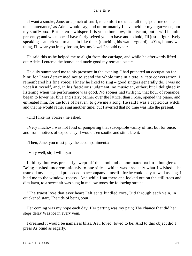«I want a smoke, Jane, or a pinch of snuff, to comfort me under all this, 'pour me donner une contenance,' as Adele would say; and unfortunately I have neither my cigar−case, nor my snuff−box. But listen – whisper. It is your time now, little tyrant, but it will be mine presently; and when once I have fairly seized you, to have and to hold, I'll just – figuratively speaking – attach you to a chain like this» (touching his watch−guard). «Yes, bonny wee thing, I'll wear you in my bosom, lest my jewel I should tyne.»

 He said this as he helped me to alight from the carriage, and while he afterwards lifted out Adele, I entered the house, and made good my retreat upstairs.

 He duly summoned me to his presence in the evening. I had prepared an occupation for him; for I was determined not to spend the whole time in a tete−e−tete conversation. I remembered his fine voice; I knew he liked to sing – good singers generally do. I was no vocalist myself, and, in his fastidious judgment, no musician, either; but I delighted in listening when the performance was good. No sooner had twilight, that hour of romance, began to lower her blue and starry banner over the lattice, than I rose, opened the piano, and entreated him, for the love of heaven, to give me a song. He said I was a capricious witch, and that he would rather sing another time; but I averred that no time was like the present.

«Did I like his voice?» he asked.

 «Very much.» I was not fond of pampering that susceptible vanity of his; but for once, and from motives of expediency, I would e'en soothe and stimulate it.

«Then, Jane, you must play the accompaniment.»

«Very well, sir, I will try.»

 I did try, but was presently swept off the stool and denominated «a little bungler.» Being pushed unceremoniously to one side – which was precisely what I wished – he usurped my place, and proceeded to accompany himself: for he could play as well as sing. I hied me to the window−recess. And while I sat there and looked out on the still trees and dim lawn, to a sweet air was sung in mellow tones the following strain:−

 "The truest love that ever heart Felt at its kindled core, Did through each vein, in quickened start, The tide of being pour.

 Her coming was my hope each day, Her parting was my pain; The chance that did her steps delay Was ice in every vein.

 I dreamed it would be nameless bliss, As I loved, loved to be; And to this object did I press As blind as eagerly.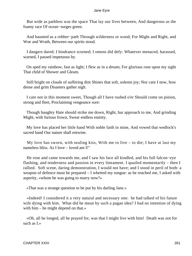But wide as pathless was the space That lay our lives between, And dangerous as the foamy race Of ocean−surges green.

 And haunted as a robber−path Through wilderness or wood; For Might and Right, and Woe and Wrath, Between our spirits stood.

 I dangers dared; I hindrance scorned; I omens did defy: Whatever menaced, harassed, warned, I passed impetuous by.

 On sped my rainbow, fast as light; I flew as in a dream; For glorious rose upon my sight That child of Shower and Gleam.

 Still bright on clouds of suffering dim Shines that soft, solemn joy; Nor care I now, how dense and grim Disasters gather nigh.

 I care not in this moment sweet, Though all I have rushed o'er Should come on pinion, strong and fleet, Proclaiming vengeance sore:

 Though haughty Hate should strike me down, Right, bar approach to me, And grinding Might, with furious frown, Swear endless enmity.

 My love has placed her little hand With noble faith in mine, And vowed that wedlock's sacred band Our nature shall entwine.

 My love has sworn, with sealing kiss, With me to live – to die; I have at last my nameless bliss. As I love – loved am I!"

 He rose and came towards me, and I saw his face all kindled, and his full falcon−eye flashing, and tenderness and passion in every lineament. I quailed momentarily – then I rallied. Soft scene, daring demonstration, I would not have; and I stood in peril of both: a weapon of defence must be prepared – I whetted my tongue: as he reached me, I asked with asperity, «whom he was going to marry now?»

«That was a strange question to be put by his darling Jane.»

 «Indeed! I considered it a very natural and necessary one: he had talked of his future wife dying with him. What did he mean by such a pagan idea? I had no intention of dying with him – he might depend on that.»

 «Oh, all he longed, all he prayed for, was that I might live with him! Death was not for such as I.»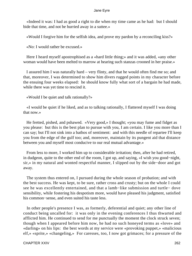«Indeed it was: I had as good a right to die when my time came as he had: but I should bide that time, and not be hurried away in a suttee.»

«Would I forgive him for the selfish idea, and prove my pardon by a reconciling kiss?»

«No: I would rather be excused.»

 Here I heard myself apostrophised as a «hard little thing;» and it was added, «any other woman would have been melted to marrow at hearing such stanzas crooned in her praise.»

 I assured him I was naturally hard – very flinty, and that he would often find me so; and that, moreover, I was determined to show him divers rugged points in my character before the ensuing four weeks elapsed: he should know fully what sort of a bargain he had made, while there was yet time to rescind it.

«Would I be quiet and talk rationally?»

 «I would be quiet if he liked, and as to talking rationally, I flattered myself I was doing that now.»

 He fretted, pished, and pshawed. «Very good,» I thought; «you may fume and fidget as you please: but this is the best plan to pursue with you, I am certain. I like you more than I can say; but I'll not sink into a bathos of sentiment: and with this needle of repartee I'll keep you from the edge of the gulf too; and, moreover, maintain by its pungent aid that distance between you and myself most conducive to our real mutual advantage.»

 From less to more, I worked him up to considerable irritation; then, after he had retired, in dudgeon, quite to the other end of the room, I got up, and saying, «I wish you good−night, sir,» in my natural and wonted respectful manner, I slipped out by the side−door and got away.

 The system thus entered on, I pursued during the whole season of probation; and with the best success. He was kept, to be sure, rather cross and crusty; but on the whole I could see he was excellently entertained, and that a lamb−like submission and turtle− dove sensibility, while fostering his despotism more, would have pleased his judgment, satisfied his common−sense, and even suited his taste less.

 In other people's presence I was, as formerly, deferential and quiet; any other line of conduct being uncalled for: it was only in the evening conferences I thus thwarted and afflicted him. He continued to send for me punctually the moment the clock struck seven; though when I appeared before him now, he had no such honeyed terms as «love» and «darling» on his lips: the best words at my service were «provoking puppet,» «malicious elf,» «sprite,» «changeling,» For caresses, too, I now got grimaces; for a pressure of the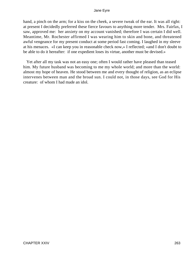hand, a pinch on the arm; for a kiss on the cheek, a severe tweak of the ear. It was all right: at present I decidedly preferred these fierce favours to anything more tender. Mrs. Fairfax, I saw, approved me: her anxiety on my account vanished; therefore I was certain I did well. Meantime, Mr. Rochester affirmed I was wearing him to skin and bone, and threatened awful vengeance for my present conduct at some period fast coming. I laughed in my sleeve at his menaces. «I can keep you in reasonable check now,» I reflected; «and I don't doubt to be able to do it hereafter: if one expedient loses its virtue, another must be devised.»

 Yet after all my task was not an easy one; often I would rather have pleased than teased him. My future husband was becoming to me my whole world; and more than the world: almost my hope of heaven. He stood between me and every thought of religion, as an eclipse intervenes between man and the broad sun. I could not, in those days, see God for His creature: of whom I had made an idol.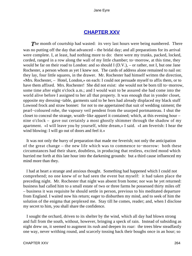# **[CHAPTER XXV](#page-435-0)**

**The month of courtship had wasted: its very last hours were being numbered. There** was no putting off the day that advanced – the bridal day; and all preparations for its arrival were complete. I, at least, had nothing more to do: there were my trunks, packed, locked, corded, ranged in a row along the wall of my little chamber; to−morrow, at this time, they would be far on their road to London: and so should I (D.V.), – or rather, not I, but one Jane Rochester, a person whom as yet I knew not. The cards of address alone remained to nail on: they lay, four little squares, in the drawer. Mr. Rochester had himself written the direction, «Mrs. Rochester, – Hotel, London,» on each: I could not persuade myself to affix them, or to have them affixed. Mrs. Rochester! She did not exist: she would not be born till to−morrow, some time after eight o'clock a.m.; and I would wait to be assured she had come into the world alive before I assigned to her all that property. It was enough that in yonder closet, opposite my dressing−table, garments said to be hers had already displaced my black stuff Lowood frock and straw bonnet: for not to me appertained that suit of wedding raiment; the pearl−coloured robe, the vapoury veil pendent from the usurped portmanteau. I shut the closet to conceal the strange, wraith−like apparel it contained; which, at this evening hour – nine o'clock – gave out certainly a most ghostly shimmer through the shadow of my apartment. «I will leave you by yourself, white dream,» I said. «I am feverish: I hear the wind blowing: I will go out of doors and feel it.»

 It was not only the hurry of preparation that made me feverish; not only the anticipation of the great change – the new life which was to commence to−morrow: both these circumstances had their share, doubtless, in producing that restless, excited mood which hurried me forth at this late hour into the darkening grounds: but a third cause influenced my mind more than they.

 I had at heart a strange and anxious thought. Something had happened which I could not comprehend; no one knew of or had seen the event but myself: it had taken place the preceding night. Mr. Rochester that night was absent from home; nor was he yet returned: business had called him to a small estate of two or three farms he possessed thirty miles off – business it was requisite he should settle in person, previous to his meditated departure from England. I waited now his return; eager to disburthen my mind, and to seek of him the solution of the enigma that perplexed me. Stay till he comes, reader; and, when I disclose my secret to him, you shall share the confidence.

 I sought the orchard, driven to its shelter by the wind, which all day had blown strong and full from the south, without, however, bringing a speck of rain. Instead of subsiding as night drew on, it seemed to augment its rush and deepen its roar: the trees blew steadfastly one way, never writhing round, and scarcely tossing back their boughs once in an hour; so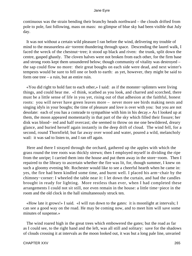continuous was the strain bending their branchy heads northward – the clouds drifted from pole to pole, fast following, mass on mass: no glimpse of blue sky had been visible that July day.

 It was not without a certain wild pleasure I ran before the wind, delivering my trouble of mind to the measureless air−torrent thundering through space. Descending the laurel walk, I faced the wreck of the chestnut−tree; it stood up black and riven: the trunk, split down the centre, gasped ghastly. The cloven halves were not broken from each other, for the firm base and strong roots kept them unsundered below; though community of vitality was destroyed – the sap could flow no more: their great boughs on each side were dead, and next winter's tempests would be sure to fell one or both to earth: as yet, however, they might be said to form one tree – a ruin, but an entire ruin.

 «You did right to hold fast to each other,» I said: as if the monster−splinters were living things, and could hear me. «I think, scathed as you look, and charred and scorched, there must be a little sense of life in you yet, rising out of that adhesion at the faithful, honest roots: you will never have green leaves more – never more see birds making nests and singing idyls in your boughs; the time of pleasure and love is over with you: but you are not desolate: each of you has a comrade to sympathise with him in his decay.» As I looked up at them, the moon appeared momentarily in that part of the sky which filled their fissure; her disk was blood− red and half overcast; she seemed to throw on me one bewildered, dreary glance, and buried herself again instantly in the deep drift of cloud. The wind fell, for a second, round Thornfield; but far away over wood and water, poured a wild, melancholy wail: it was sad to listen to, and I ran off again.

 Here and there I strayed through the orchard, gathered up the apples with which the grass round the tree roots was thickly strewn; then I employed myself in dividing the ripe from the unripe; I carried them into the house and put them away in the store−room. Then I repaired to the library to ascertain whether the fire was lit, for, though summer, I knew on such a gloomy evening Mr. Rochester would like to see a cheerful hearth when he came in: yes, the fire had been kindled some time, and burnt well. I placed his arm−chair by the chimney−corner: I wheeled the table near it: I let down the curtain, and had the candles brought in ready for lighting. More restless than ever, when I had completed these arrangements I could not sit still, nor even remain in the house: a little time−piece in the room and the old clock in the hall simultaneously struck ten.

 «How late it grows!» I said. «I will run down to the gates: it is moonlight at intervals; I can see a good way on the road. He may be coming now, and to meet him will save some minutes of suspense.»

 The wind roared high in the great trees which embowered the gates; but the road as far as I could see, to the right hand and the left, was all still and solitary: save for the shadows of clouds crossing it at intervals as the moon looked out, it was but a long pale line, unvaried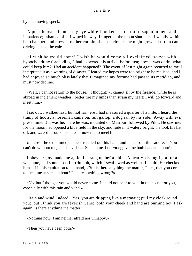by one moving speck.

 A puerile tear dimmed my eye while I looked – a tear of disappointment and impatience; ashamed of it, I wiped it away. I lingered; the moon shut herself wholly within her chamber, and drew close her curtain of dense cloud: the night grew dark; rain came driving fast on the gale.

 «I wish he would come! I wish he would come!» I exclaimed, seized with hypochondriac foreboding. I had expected his arrival before tea; now it was dark: what could keep him? Had an accident happened? The event of last night again recurred to me. I interpreted it as a warning of disaster. I feared my hopes were too bright to be realised; and I had enjoyed so much bliss lately that I imagined my fortune had passed its meridian, and must now decline.

 «Well, I cannot return to the house,» I thought; «I cannot sit by the fireside, while he is abroad in inclement weather: better tire my limbs than strain my heart; I will go forward and meet him.»

 I set out; I walked fast, but not far: ere I had measured a quarter of a mile, I heard the tramp of hoofs; a horseman came on, full gallop; a dog ran by his side. Away with evil presentiment! It was he: here he was, mounted on Mesrour, followed by Pilot. He saw me; for the moon had opened a blue field in the sky, and rode in it watery bright: he took his hat off, and waved it round his head. I now ran to meet him.

 «There!» he exclaimed, as he stretched out his hand and bent from the saddle: «You can't do without me, that is evident. Step on my boot−toe; give me both hands: mount!»

 I obeyed: joy made me agile: I sprang up before him. A hearty kissing I got for a welcome, and some boastful triumph, which I swallowed as well as I could. He checked himself in his exultation to demand, «But is there anything the matter, Janet, that you come to meet me at such an hour? Is there anything wrong?»

 «No, but I thought you would never come. I could not bear to wait in the house for you, especially with this rain and wind.»

 "Rain and wind, indeed! Yes, you are dripping like a mermaid; pull my cloak round you: but I think you are feverish, Jane: both your cheek and hand are burning hot. I ask again, is there anything the matter?

«Nothing now; I am neither afraid nor unhappy.»

«Then you have been both?»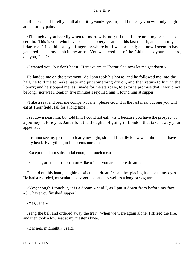«Rather: but I'll tell you all about it by−and−bye, sir; and I daresay you will only laugh at me for my pains.»

 «I'll laugh at you heartily when to−morrow is past; till then I dare not: my prize is not certain. This is you, who have been as slippery as an eel this last month, and as thorny as a briar−rose? I could not lay a finger anywhere but I was pricked; and now I seem to have gathered up a stray lamb in my arms. You wandered out of the fold to seek your shepherd, did you, Jane?»

«I wanted you: but don't boast. Here we are at Thornfield: now let me get down.»

 He landed me on the pavement. As John took his horse, and he followed me into the hall, he told me to make haste and put something dry on, and then return to him in the library; and he stopped me, as I made for the staircase, to extort a promise that I would not be long: nor was I long; in five minutes I rejoined him. I found him at supper.

 «Take a seat and bear me company, Jane: please God, it is the last meal but one you will eat at Thornfield Hall for a long time.»

 I sat down near him, but told him I could not eat. «Is it because you have the prospect of a journey before you, Jane? Is it the thoughts of going to London that takes away your appetite?»

 «I cannot see my prospects clearly to−night, sir; and I hardly know what thoughts I have in my head. Everything in life seems unreal.»

«Except me: I am substantial enough – touch me.»

«You, sir, are the most phantom−like of all: you are a mere dream.»

 He held out his hand, laughing. «Is that a dream?» said he, placing it close to my eyes. He had a rounded, muscular, and vigorous hand, as well as a long, strong arm.

 «Yes; though I touch it, it is a dream,» said I, as I put it down from before my face. «Sir, have you finished supper?»

«Yes, Jane.»

 I rang the bell and ordered away the tray. When we were again alone, I stirred the fire, and then took a low seat at my master's knee.

«It is near midnight,» I said.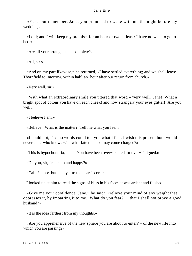«Yes: but remember, Jane, you promised to wake with me the night before my wedding.»

 «I did; and I will keep my promise, for an hour or two at least: I have no wish to go to bed.»

«Are all your arrangements complete?»

«All, sir.»

 «And on my part likewise,» he returned, «I have settled everything; and we shall leave Thornfield to−morrow, within half−an−hour after our return from church.»

«Very well, sir.»

 «With what an extraordinary smile you uttered that word – 'very well,' Jane! What a bright spot of colour you have on each cheek! and how strangely your eyes glitter! Are you well?»

«I believe I am.»

«Believe! What is the matter? Tell me what you feel.»

 «I could not, sir: no words could tell you what I feel. I wish this present hour would never end: who knows with what fate the next may come charged?»

«This is hypochondria, Jane. You have been over−excited, or over− fatigued.»

«Do you, sir, feel calm and happy?»

«Calm? – no: but happy – to the heart's core.»

I looked up at him to read the signs of bliss in his face: it was ardent and flushed.

 «Give me your confidence, Jane,» he said: «relieve your mind of any weight that oppresses it, by imparting it to me. What do you fear?− −that I shall not prove a good husband?»

«It is the idea farthest from my thoughts.»

 «Are you apprehensive of the new sphere you are about to enter? – of the new life into which you are passing?»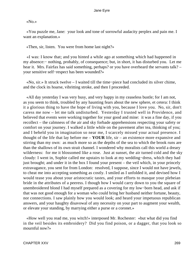«No.»

 «You puzzle me, Jane: your look and tone of sorrowful audacity perplex and pain me. I want an explanation.»

«Then, sir, listen. You were from home last night?»

 «I was: I know that; and you hinted a while ago at something which had happened in my absence:− nothing, probably, of consequence; but, in short, it has disturbed you. Let me hear it. Mrs. Fairfax has said something, perhaps? or you have overheard the servants talk? – your sensitive self−respect has been wounded?»

 «No, sir.» It struck twelve – I waited till the time−piece had concluded its silver chime, and the clock its hoarse, vibritting stroke, and then I proceeded.

 «All day yesterday I was very busy, and very happy in my ceaseless bustle; for I am not, as you seem to think, troubled by any haunting fears about the new sphere, et cetera: I think it a glorious thing to have the hope of living with you, because I love you. No, sir, don't caress me now – let me talk undisturbed. Yesterday I trusted well in Providence, and believed that events were working together for your good and mine: it was a fine day, if you recollect – the calmness of the air and sky forbade apprehensions respecting your safety or comfort on your journey. I walked a little while on the pavement after tea, thinking of you; and I beheld you in imagination so near me, I scarcely missed your actual presence. I thought of the life that lay before me – **YOUR** life, sir – an existence more expansive and stirring than my own: as much more so as the depths of the sea to which the brook runs are than the shallows of its own strait channel. I wondered why moralists call this world a dreary wilderness: for me it blossomed like a rose. Just at sunset, the air turned cold and the sky cloudy: I went in, Sophie called me upstairs to look at my wedding−dress, which they had just brought; and under it in the box I found your present – the veil which, in your princely extravagance, you sent for from London: resolved, I suppose, since I would not have jewels, to cheat me into accepting something as costly. I smiled as I unfolded it, and devised how I would tease you about your aristocratic tastes, and your efforts to masque your plebeian bride in the attributes of a peeress. I though how I would carry down to you the square of unembroidered blond I had myself prepared as a covering for my low−born head, and ask if that was not good enough for a woman who could bring her husband neither fortune, beauty, nor connections. I saw plainly how you would look; and heard your impetuous republican answers, and your haughty disavowal of any necessity on your part to augment your wealth, or elevate your standing, by marrying either a purse or a coronet.»

 «How well you read me, you witch!» interposed Mr. Rochester: «but what did you find in the veil besides its embroidery? Did you find poison, or a dagger, that you look so mournful now?»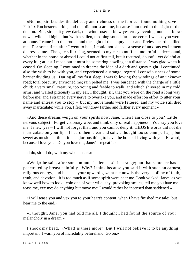«No, no, sir; besides the delicacy and richness of the fabric, I found nothing save Fairfax Rochester's pride; and that did not scare me, because I am used to the sight of the demon. But, sir, as it grew dark, the wind rose: it blew yesterday evening, not as it blows now – wild and high – but 'with a sullen, moaning sound' far more eerie. I wished you were at home. I came into this room, and the sight of the empty chair and fireless hearth chilled me. For some time after I went to bed, I could not sleep – a sense of anxious excitement distressed me. The gale still rising, seemed to my ear to muffle a mournful under−sound; whether in the house or abroad I could not at first tell, but it recurred, doubtful yet doleful at every lull; at last I made out it must be some dog howling at a distance. I was glad when it ceased. On sleeping, I continued in dreams the idea of a dark and gusty night. I continued also the wish to be with you, and experienced a strange, regretful consciousness of some barrier dividing us. During all my first sleep, I was following the windings of an unknown road; total obscurity environed me; rain pelted me; I was burdened with the charge of a little child: a very small creature, too young and feeble to walk, and which shivered in my cold arms, and wailed piteously in my ear. I thought, sir, that you were on the road a long way before me; and I strained every nerve to overtake you, and made effort on effort to utter your name and entreat you to stop – but my movements were fettered, and my voice still died away inarticulate; while you, I felt, withdrew farther and farther every moment.»

 «And these dreams weigh on your spirits now, Jane, when I am close to you? Little nervous subject! Forget visionary woe, and think only of real happiness! You say you love me, Janet: yes – I will not forget that; and you cannot deny it. **THOSE** words did not die inarticulate on your lips. I heard them clear and soft: a thought too solemn perhaps, but sweet as music – 'I think it is a glorious thing to have the hope of living with you, Edward, because I love you.' Do you love me, Jane? – repeat it.»

 $\ll$ I do, sir – I do, with my whole heart.»

 «Well,» he said, after some minutes' silence, «it is strange; but that sentence has penetrated by breast painfully. Why? I think because you said it with such an earnest, religious energy, and because your upward gaze at me now is the very sublime of faith, truth, and devotion: it is too much as if some spirit were near me. Look wicked, Jane: as you know well how to look: coin one of your wild, shy, provoking smiles; tell me you hate me – tease me, vex me; do anything but move me: I would rather be incensed than saddened.»

 «I will tease you and vex you to your heart's content, when I have finished my tale: but hear me to the end.»

 «I thought, Jane, you had told me all. I thought I had found the source of your melancholy in a dream.»

 I shook my head. «What! is there more? But I will not believe it to be anything important. I warn you of incredulity beforehand. Go on.»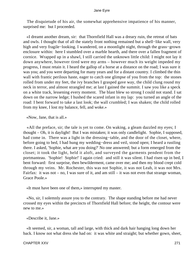The disquietude of his air, the somewhat apprehensive impatience of his manner, surprised me: but I proceeded.

 «I dreamt another dream, sir: that Thornfield Hall was a dreary ruin, the retreat of bats and owls. I thought that of all the stately front nothing remained but a shell−like wall, very high and very fragile−looking. I wandered, on a moonlight night, through the grass−grown enclosure within: here I stumbled over a marble hearth, and there over a fallen fragment of cornice. Wrapped up in a shawl, I still carried the unknown little child: I might not lay it down anywhere, however tired were my arms – however much its weight impeded my progress, I must retain it. I heard the gallop of a horse at a distance on the road; I was sure it was you; and you were departing for many years and for a distant country. I climbed the thin wall with frantic perilous haste, eager to catch one glimpse of you from the top: the stones rolled from under my feet, the ivy branches I grasped gave way, the child clung round my neck in terror, and almost strangled me; at last I gained the summit. I saw you like a speck on a white track, lessening every moment. The blast blew so strong I could not stand. I sat down on the narrow ledge; I hushed the scared infant in my lap: you turned an angle of the road: I bent forward to take a last look; the wall crumbled; I was shaken; the child rolled from my knee, I lost my balance, fell, and woke.»

«Now, Jane, that is all.»

 «All the preface, sir; the tale is yet to come. On waking, a gleam dazzled my eyes; I thought – Oh, it is daylight! But I was mistaken; it was only candlelight. Sophie, I supposed, had come in. There was a light in the dressing−table, and the door of the closet, where, before going to bed, I had hung my wedding−dress and veil, stood open; I heard a rustling there. I asked, 'Sophie, what are you doing?' No one answered; but a form emerged from the closet; it took the light, held it aloft, and surveyed the garments pendent from the portmanteau. 'Sophie! Sophie!' I again cried: and still it was silent. I had risen up in bed, I bent forward: first surprise, then bewilderment, came over me; and then my blood crept cold through my veins. Mr. Rochester, this was not Sophie, it was not Leah, it was not Mrs. Fairfax: it was not – no, I was sure of it, and am still – it was not even that strange woman, Grace Poole.»

«It must have been one of them,» interrupted my master.

 «No, sir, I solemnly assure you to the contrary. The shape standing before me had never crossed my eyes within the precincts of Thornfield Hall before; the height, the contour were new to me.»

«Describe it, Jane.»

 «It seemed, sir, a woman, tall and large, with thick and dark hair hanging long down her back. I know not what dress she had on: it was white and straight; but whether gown, sheet,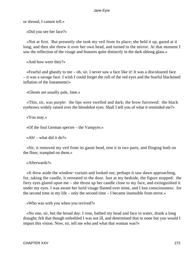or shroud, I cannot tell.»

«Did you see her face?»

 «Not at first. But presently she took my veil from its place; she held it up, gazed at it long, and then she threw it over her own head, and turned to the mirror. At that moment I saw the reflection of the visage and features quite distinctly in the dark oblong glass.»

«And how were they?»

 «Fearful and ghastly to me – oh, sir, I never saw a face like it! It was a discoloured face – it was a savage face. I wish I could forget the roll of the red eyes and the fearful blackened inflation of the lineaments!»

«Ghosts are usually pale, Jane.»

 «This, sir, was purple: the lips were swelled and dark; the brow furrowed: the black eyebrows widely raised over the bloodshot eyes. Shall I tell you of what it reminded me?»

«You may.»

«Of the foul German spectre – the Vampyre.»

«Ah! – what did it do?»

 «Sir, it removed my veil from its gaunt head, rent it in two parts, and flinging both on the floor, trampled on them.»

«Afterwards?»

 «It drew aside the window−curtain and looked out; perhaps it saw dawn approaching, for, taking the candle, it retreated to the door. Just at my bedside, the figure stopped: the fiery eyes glared upon me – she thrust up her candle close to my face, and extinguished it under my eyes. I was aware her lurid visage flamed over mine, and I lost consciousness: for the second time in my life – only the second time – I became insensible from terror.»

«Who was with you when you revived?»

 «No one, sir, but the broad day. I rose, bathed my head and face in water, drank a long draught; felt that though enfeebled I was not ill, and determined that to none but you would I impart this vision. Now, sir, tell me who and what that woman was?»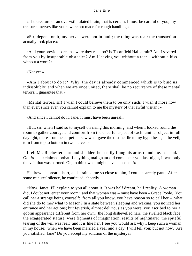«The creature of an over−stimulated brain; that is certain. I must be careful of you, my treasure: nerves like yours were not made for rough handling.»

 «Sir, depend on it, my nerves were not in fault; the thing was real: the transaction actually took place.»

 «And your previous dreams, were they real too? Is Thornfield Hall a ruin? Am I severed from you by insuperable obstacles? Am I leaving you without a tear – without a kiss – without a word?»

«Not yet.»

 «Am I about to do it? Why, the day is already commenced which is to bind us indissolubly; and when we are once united, there shall be no recurrence of these mental terrors: I guarantee that.»

 «Mental terrors, sir! I wish I could believe them to be only such: I wish it more now than ever; since even you cannot explain to me the mystery of that awful visitant.»

«And since I cannot do it, Jane, it must have been unreal.»

 «But, sir, when I said so to myself on rising this morning, and when I looked round the room to gather courage and comfort from the cheerful aspect of each familiar object in full daylight, there – on the carpet – I saw what gave the distinct lie to my hypothesis, – the veil, torn from top to bottom in two halves!»

 I felt Mr. Rochester start and shudder; he hastily flung his arms round me. «Thank God!» he exclaimed, «that if anything malignant did come near you last night, it was only the veil that was harmed. Oh, to think what might have happened!»

 He drew his breath short, and strained me so close to him, I could scarcely pant. After some minutes' silence, he continued, cheerily −

 «Now, Janet, I'll explain to you all about it. It was half dream, half reality. A woman did, I doubt not, enter your room: and that woman was – must have been – Grace Poole. You call her a strange being yourself: from all you know, you have reason so to call her – what did she do to me? what to Mason? In a state between sleeping and waking, you noticed her entrance and her actions; but feverish, almost delirious as you were, you ascribed to her a goblin appearance different from her own: the long dishevelled hair, the swelled black face, the exaggerated stature, were figments of imagination; results of nightmare: the spiteful tearing of the veil was real: and it is like her. I see you would ask why I keep such a woman in my house: when we have been married a year and a day, I will tell you; but not now. Are you satisfied, Jane? Do you accept my solution of the mystery?»

CHAPTER XXV 273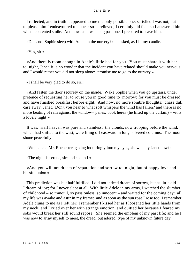I reflected, and in truth it appeared to me the only possible one: satisfied I was not, but to please him I endeavoured to appear so – relieved, I certainly did feel; so I answered him with a contented smile. And now, as it was long past one, I prepared to leave him.

«Does not Sophie sleep with Adele in the nursery?» he asked, as I lit my candle.

«Yes, sir.»

 «And there is room enough in Adele's little bed for you. You must share it with her to−night, Jane: it is no wonder that the incident you have related should make you nervous, and I would rather you did not sleep alone: promise me to go to the nursery.»

«I shall be very glad to do so, sir.»

 «And fasten the door securely on the inside. Wake Sophie when you go upstairs, under pretence of requesting her to rouse you in good time to−morrow; for you must be dressed and have finished breakfast before eight. And now, no more sombre thoughts: chase dull care away, Janet. Don't you hear to what soft whispers the wind has fallen? and there is no more beating of rain against the window− panes: look here» (he lifted up the curtain) – «it is a lovely night!»

 It was. Half heaven was pure and stainless: the clouds, now trooping before the wind, which had shifted to the west, were filing off eastward in long, silvered columns. The moon shone peacefully.

«Well,» said Mr. Rochester, gazing inquiringly into my eyes, «how is my Janet now?»

«The night is serene, sir; and so am I.»

 «And you will not dream of separation and sorrow to−night; but of happy love and blissful union.»

 This prediction was but half fulfilled: I did not indeed dream of sorrow, but as little did I dream of joy; for I never slept at all. With little Adele in my arms, I watched the slumber of childhood – so tranquil, so passionless, so innocent – and waited for the coming day: all my life was awake and astir in my frame: and as soon as the sun rose I rose too. I remember Adele clung to me as I left her: I remember I kissed her as I loosened her little hands from my neck; and I cried over her with strange emotion, and quitted her because I feared my sobs would break her still sound repose. She seemed the emblem of my past life; and he I was now to array myself to meet, the dread, but adored, type of my unknown future day.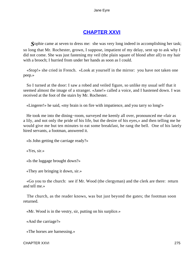# **[CHAPTER XXVI](#page-435-0)**

*Sophie came at seven to dress me:* she was very long indeed in accomplishing her task; so long that Mr. Rochester, grown, I suppose, impatient of my delay, sent up to ask why I did not come. She was just fastening my veil (the plain square of blond after all) to my hair with a brooch; I hurried from under her hands as soon as I could.

 «Stop!» she cried in French. «Look at yourself in the mirror: you have not taken one peep.»

 So I turned at the door: I saw a robed and veiled figure, so unlike my usual self that it seemed almost the image of a stranger. «Jane!» called a voice, and I hastened down. I was received at the foot of the stairs by Mr. Rochester.

«Lingerer!» he said, «my brain is on fire with impatience, and you tarry so long!»

He took me into the dining–room, surveyed me keenly all over, pronounced me «fair as a lily, and not only the pride of his life, but the desire of his eyes,» and then telling me he would give me but ten minutes to eat some breakfast, he rang the bell. One of his lately hired servants, a footman, answered it.

«Is John getting the carriage ready?»

«Yes, sir.»

«Is the luggage brought down?»

«They are bringing it down, sir.»

 «Go you to the church: see if Mr. Wood (the clergyman) and the clerk are there: return and tell me.»

 The church, as the reader knows, was but just beyond the gates; the footman soon returned.

«Mr. Wood is in the vestry, sir, putting on his surplice.»

«And the carriage?»

«The horses are harnessing.»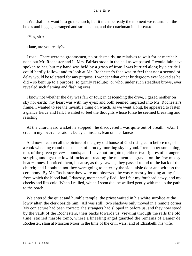«We shall not want it to go to church; but it must be ready the moment we return: all the boxes and luggage arranged and strapped on, and the coachman in his seat.»

«Yes, sir.»

«Jane, are you ready?»

 I rose. There were no groomsmen, no bridesmaids, no relatives to wait for or marshal: none but Mr. Rochester and I. Mrs. Fairfax stood in the hall as we passed. I would fain have spoken to her, but my hand was held by a grasp of iron: I was hurried along by a stride I could hardly follow; and to look at Mr. Rochester's face was to feel that not a second of delay would be tolerated for any purpose. I wonder what other bridegroom ever looked as he did – so bent up to a purpose, so grimly resolute: or who, under such steadfast brows, ever revealed such flaming and flashing eyes.

 I know not whether the day was fair or foul; in descending the drive, I gazed neither on sky nor earth: my heart was with my eyes; and both seemed migrated into Mr. Rochester's frame. I wanted to see the invisible thing on which, as we went along, he appeared to fasten a glance fierce and fell. I wanted to feel the thoughts whose force he seemed breasting and resisting.

 At the churchyard wicket he stopped: he discovered I was quite out of breath. «Am I cruel in my love?» he said. «Delay an instant: lean on me, Jane.»

 And now I can recall the picture of the grey old house of God rising calm before me, of a rook wheeling round the steeple, of a ruddy morning sky beyond. I remember something, too, of the green grave− mounds; and I have not forgotten, either, two figures of strangers straying amongst the low hillocks and reading the mementoes graven on the few mossy head−stones. I noticed them, because, as they saw us, they passed round to the back of the church; and I doubted not they were going to enter by the side−aisle door and witness the ceremony. By Mr. Rochester they were not observed; he was earnestly looking at my face from which the blood had, I daresay, momentarily fled: for I felt my forehead dewy, and my cheeks and lips cold. When I rallied, which I soon did, he walked gently with me up the path to the porch.

We entered the quiet and humble temple; the priest waited in his white surplice at the lowly altar, the clerk beside him. All was still: two shadows only moved in a remote corner. My conjecture had been correct: the strangers had slipped in before us, and they now stood by the vault of the Rochesters, their backs towards us, viewing through the rails the old time−stained marble tomb, where a kneeling angel guarded the remains of Damer de Rochester, slain at Marston Moor in the time of the civil wars, and of Elizabeth, his wife.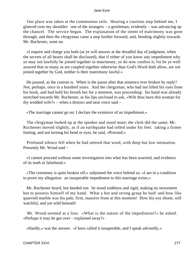Our place was taken at the communion rails. Hearing a cautious step behind me, I glanced over my shoulder: one of the strangers – a gentleman, evidently – was advancing up the chancel. The service began. The explanation of the intent of matrimony was gone through; and then the clergyman came a step further forward, and, bending slightly towards Mr. Rochester, went on.

 «I require and charge you both (as ye will answer at the dreadful day of judgment, when the secrets of all hearts shall be disclosed), that if either of you know any impediment why ye may not lawfully be joined together in matrimony, ye do now confess it; for be ye well assured that so many as are coupled together otherwise than God's Word doth allow, are not joined together by God, neither is their matrimony lawful.»

 He paused, as the custom is. When is the pause after that sentence ever broken by reply? Not, perhaps, once in a hundred years. And the clergyman, who had not lifted his eyes from his book, and had held his breath but for a moment, was proceeding: his hand was already stretched towards Mr. Rochester, as his lips unclosed to ask, «Wilt thou have this woman for thy wedded wife?» – when a distinct and near voice said −

«The marriage cannot go on: I declare the existence of an impediment.»

 The clergyman looked up at the speaker and stood mute; the clerk did the same; Mr. Rochester moved slightly, as if an earthquake had rolled under his feet: taking a firmer footing, and not turning his head or eyes, he said, «Proceed.»

 Profound silence fell when he had uttered that word, with deep but low intonation. Presently Mr. Wood said −

 «I cannot proceed without some investigation into what has been asserted, and evidence of its truth or falsehood.»

 «The ceremony is quite broken off,» subjoined the voice behind us. «I am in a condition to prove my allegation: an insuperable impediment to this marriage exists.»

 Mr. Rochester heard, but heeded not: he stood stubborn and rigid, making no movement but to possess himself of my hand. What a hot and strong grasp he had! and how like quarried marble was his pale, firm, massive front at this moment! How his eye shone, still watchful, and yet wild beneath!

 Mr. Wood seemed at a loss. «What is the nature of the impediment?» he asked. «Perhaps it may be got over – explained away?»

«Hardly,» was the answer. «I have called it insuperable, and I speak advisedly.»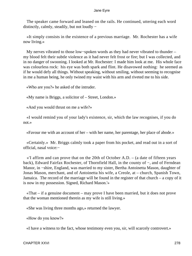The speaker came forward and leaned on the rails. He continued, uttering each word distinctly, calmly, steadily, but not loudly −

 «It simply consists in the existence of a previous marriage. Mr. Rochester has a wife now living.»

 My nerves vibrated to those low−spoken words as they had never vibrated to thunder – my blood felt their subtle violence as it had never felt frost or fire; but I was collected, and in no danger of swooning. I looked at Mr. Rochester: I made him look at me. His whole face was colourless rock: his eye was both spark and flint. He disavowed nothing: he seemed as if he would defy all things. Without speaking, without smiling, without seeming to recognise in me a human being, he only twined my waist with his arm and riveted me to his side.

«Who are you?» he asked of the intruder.

«My name is Briggs, a solicitor of – Street, London.»

«And you would thrust on me a wife?»

 «I would remind you of your lady's existence, sir, which the law recognises, if you do not.»

«Favour me with an account of her – with her name, her parentage, her place of abode.»

 «Certainly.» Mr. Briggs calmly took a paper from his pocket, and read out in a sort of official, nasal voice:−

 «'I affirm and can prove that on the 20th of October A.D. – (a date of fifteen years back), Edward Fairfax Rochester, of Thornfield Hall, in the county of −, and of Ferndean Manor, in −shire, England, was married to my sister, Bertha Antoinetta Mason, daughter of Jonas Mason, merchant, and of Antoinetta his wife, a Creole, at – church, Spanish Town, Jamaica. The record of the marriage will be found in the register of that church – a copy of it is now in my possession. Signed, Richard Mason.'»

 «That – if a genuine document – may prove I have been married, but it does not prove that the woman mentioned therein as my wife is still living.»

«She was living three months ago,» returned the lawyer.

«How do you know?»

«I have a witness to the fact, whose testimony even you, sir, will scarcely controvert.»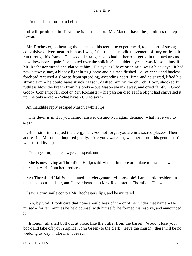«Produce him – or go to hell.»

 «I will produce him first – he is on the spot. Mr. Mason, have the goodness to step forward.»

 Mr. Rochester, on hearing the name, set his teeth; he experienced, too, a sort of strong convulsive quiver; near to him as I was, I felt the spasmodic movement of fury or despair run through his frame. The second stranger, who had hitherto lingered in the background, now drew near; a pale face looked over the solicitor's shoulder – yes, it was Mason himself. Mr. Rochester turned and glared at him. His eye, as I have often said, was a black eye: it had now a tawny, nay, a bloody light in its gloom; and his face flushed – olive cheek and hueless forehead received a glow as from spreading, ascending heart−fire: and he stirred, lifted his strong arm – he could have struck Mason, dashed him on the church−floor, shocked by ruthless blow the breath from his body – but Mason shrank away, and cried faintly, «Good God!» Contempt fell cool on Mr. Rochester – his passion died as if a blight had shrivelled it up: he only asked – «What have YOU to say?»

An inaudible reply escaped Mason's white lips.

 «The devil is in it if you cannot answer distinctly. I again demand, what have you to say?»

 «Sir – sir,» interrupted the clergyman, «do not forget you are in a sacred place.» Then addressing Mason, he inquired gently, «Are you aware, sir, whether or not this gentleman's wife is still living?»

«Courage,» urged the lawyer, – «speak out.»

 «She is now living at Thornfield Hall,» said Mason, in more articulate tones: «I saw her there last April. I am her brother.»

 «At Thornfield Hall!» ejaculated the clergyman. «Impossible! I am an old resident in this neighbourhood, sir, and I never heard of a Mrs. Rochester at Thornfield Hall.»

I saw a grim smile contort Mr. Rochester's lips, and he muttered −

 «No, by God! I took care that none should hear of it – or of her under that name.» He mused – for ten minutes he held counsel with himself: he formed his resolve, and announced  $it -$ 

 «Enough! all shall bolt out at once, like the bullet from the barrel. Wood, close your book and take off your surplice; John Green (to the clerk), leave the church: there will be no wedding to−day.» The man obeyed.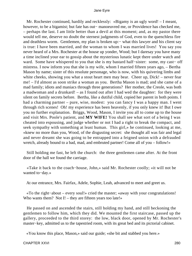Mr. Rochester continued, hardily and recklessly: «Bigamy is an ugly word! – I meant, however, to be a bigamist; but fate has out− manoeuvred me, or Providence has checked me, – perhaps the last. I am little better than a devil at this moment; and, as my pastor there would tell me, deserve no doubt the sternest judgments of God, even to the quenchless fire and deathless worm. Gentlemen, my plan is broken up:− what this lawyer and his client say is true: I have been married, and the woman to whom I was married lives! You say you never heard of a Mrs. Rochester at the house up yonder, Wood; but I daresay you have many a time inclined your ear to gossip about the mysterious lunatic kept there under watch and ward. Some have whispered to you that she is my bastard half–sister: some, my cast– off mistress. I now inform you that she is my wife, whom I married fifteen years ago, – Bertha Mason by name; sister of this resolute personage, who is now, with his quivering limbs and white cheeks, showing you what a stout heart men may bear. Cheer up, Dick! – never fear me! – I'd almost as soon strike a woman as you. Bertha Mason is mad; and she came of a mad family; idiots and maniacs through three generations? Her mother, the Creole, was both a madwoman and a drunkard! – as I found out after I had wed the daughter: for they were silent on family secrets before. Bertha, like a dutiful child, copied her parent in both points. I had a charming partner – pure, wise, modest: you can fancy I was a happy man. I went through rich scenes! Oh! my experience has been heavenly, if you only knew it! But I owe you no further explanation. Briggs, Wood, Mason, I invite you all to come up to the house and visit Mrs. Poole's patient, and **MY WIFE!** You shall see what sort of a being I was cheated into espousing, and judge whether or not I had a right to break the compact, and seek sympathy with something at least human. This girl,» he continued, looking at me, «knew no more than you, Wood, of the disgusting secret: she thought all was fair and legal and never dreamt she was going to be entrapped into a feigned union with a defrauded wretch, already bound to a bad, mad, and embruted partner! Come all of you – follow!»

 Still holding me fast, he left the church: the three gentlemen came after. At the front door of the hall we found the carriage.

 «Take it back to the coach−house, John,» said Mr. Rochester coolly; «it will not be wanted to−day.»

At our entrance, Mrs. Fairfax, Adele, Sophie, Leah, advanced to meet and greet us.

 «To the right−about – every soul!» cried the master; «away with your congratulations! Who wants them? Not I! – they are fifteen years too late!»

 He passed on and ascended the stairs, still holding my hand, and still beckoning the gentlemen to follow him, which they did. We mounted the first staircase, passed up the gallery, proceeded to the third storey: the low, black door, opened by Mr. Rochester's master−key, admitted us to the tapestried room, with its great bed and its pictorial cabinet.

«You know this place, Mason,» said our guide; «she bit and stabbed you here.»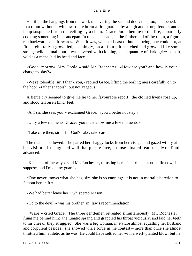He lifted the hangings from the wall, uncovering the second door: this, too, he opened. In a room without a window, there burnt a fire guarded by a high and strong fender, and a lamp suspended from the ceiling by a chain. Grace Poole bent over the fire, apparently cooking something in a saucepan. In the deep shade, at the farther end of the room, a figure ran backwards and forwards. What it was, whether beast or human being, one could not, at first sight, tell: it grovelled, seemingly, on all fours; it snatched and growled like some strange wild animal: but it was covered with clothing, and a quantity of dark, grizzled hair, wild as a mane, hid its head and face.

 «Good−morrow, Mrs. Poole!» said Mr. Rochester. «How are you? and how is your charge to−day?»

 «We're tolerable, sir, I thank you,» replied Grace, lifting the boiling mess carefully on to the hob: «rather snappish, but not 'rageous.»

 A fierce cry seemed to give the lie to her favourable report: the clothed hyena rose up, and stood tall on its hind−feet.

«Ah! sir, she sees you!» exclaimed Grace: «you'd better not stay.»

«Only a few moments, Grace: you must allow me a few moments.»

«Take care then, sir! – for God's sake, take care!»

 The maniac bellowed: she parted her shaggy locks from her visage, and gazed wildly at her visitors. I recognised well that purple face, – those bloated features. Mrs. Poole advanced.

 «Keep out of the way,» said Mr. Rochester, thrusting her aside: «she has no knife now, I suppose, and I'm on my guard.»

 «One never knows what she has, sir: she is so cunning: it is not in mortal discretion to fathom her craft.»

«We had better leave her,» whispered Mason.

«Go to the devil!» was his brother−in−law's recommendation.

 «'Ware!» cried Grace. The three gentlemen retreated simultaneously. Mr. Rochester flung me behind him: the lunatic sprang and grappled his throat viciously, and laid her teeth to his cheek: they struggled. She was a big woman, in stature almost equalling her husband, and corpulent besides: she showed virile force in the contest – more than once she almost throttled him, athletic as he was. He could have settled her with a well−planted blow; but he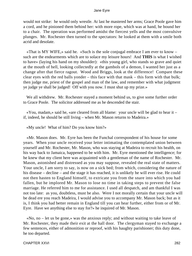would not strike: he would only wrestle. At last he mastered her arms; Grace Poole gave him a cord, and he pinioned them behind her: with more rope, which was at hand, he bound her to a chair. The operation was performed amidst the fiercest yells and the most convulsive plunges. Mr. Rochester then turned to the spectators: he looked at them with a smile both acrid and desolate.

 «That is MY WIFE,» said he. «Such is the sole conjugal embrace I am ever to know – such are the endearments which are to solace my leisure hours! And **THIS** is what I wished to have» (laying his hand on my shoulder): «this young girl, who stands so grave and quiet at the mouth of hell, looking collectedly at the gambols of a demon, I wanted her just as a change after that fierce ragout. Wood and Briggs, look at the difference! Compare these clear eyes with the red balls yonder – this face with that mask – this form with that bulk; then judge me, priest of the gospel and man of the law, and remember with what judgment ye judge ye shall be judged! Off with you now. I must shut up my prize.»

 We all withdrew. Mr. Rochester stayed a moment behind us, to give some further order to Grace Poole. The solicitor addressed me as he descended the stair.

 «You, madam,» said he, «are cleared from all blame: your uncle will be glad to hear it – if, indeed, he should be still living – when Mr. Mason returns to Madeira.»

«My uncle! What of him? Do you know him?»

 «Mr. Mason does. Mr. Eyre has been the Funchal correspondent of his house for some years. When your uncle received your letter intimating the contemplated union between yourself and Mr. Rochester, Mr. Mason, who was staying at Madeira to recruit his health, on his way back to Jamaica, happened to be with him. Mr. Eyre mentioned the intelligence; for he knew that my client here was acquainted with a gentleman of the name of Rochester. Mr. Mason, astonished and distressed as you may suppose, revealed the real state of matters. Your uncle, I am sorry to say, is now on a sick bed; from which, considering the nature of his disease – decline – and the stage it has reached, it is unlikely he will ever rise. He could not then hasten to England himself, to extricate you from the snare into which you had fallen, but he implored Mr. Mason to lose no time in taking steps to prevent the false marriage. He referred him to me for assistance. I used all despatch, and am thankful I was not too late: as you, doubtless, must be also. Were I not morally certain that your uncle will be dead ere you reach Madeira, I would advise you to accompany Mr. Mason back; but as it is, I think you had better remain in England till you can hear further, either from or of Mr. Eyre. Have we anything else to stay for?» he inquired of Mr. Mason.

 «No, no – let us be gone,» was the anxious reply; and without waiting to take leave of Mr. Rochester, they made their exit at the hall door. The clergyman stayed to exchange a few sentences, either of admonition or reproof, with his haughty parishioner; this duty done, he too departed.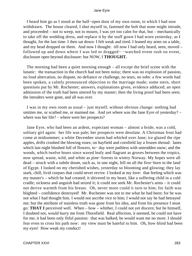I heard him go as I stood at the half−open door of my own room, to which I had now withdrawn. The house cleared, I shut myself in, fastened the bolt that none might intrude, and proceeded – not to weep, not to mourn, I was yet too calm for that, but – mechanically to take off the wedding dress, and replace it by the stuff gown I had worn yesterday, as I thought, for the last time. I then sat down: I felt weak and tired. I leaned my arms on a table, and my head dropped on them. And now I thought: till now I had only heard, seen, moved – followed up and down where I was led or dragged− −watched event rush on event, disclosure open beyond disclosure: but NOW, I **THOUGHT.**

 The morning had been a quiet morning enough – all except the brief scene with the lunatic: the transaction in the church had not been noisy; there was no explosion of passion, no loud altercation, no dispute, no defiance or challenge, no tears, no sobs: a few words had been spoken, a calmly pronounced objection to the marriage made; some stern, short questions put by Mr. Rochester; answers, explanations given, evidence adduced; an open admission of the truth had been uttered by my master; then the living proof had been seen; the intruders were gone, and all was over.

 I was in my own room as usual – just myself, without obvious change: nothing had smitten me, or scathed me, or maimed me. And yet where was the Jane Eyre of yesterday? – where was her life? – where were her prospects?

 Jane Eyre, who had been an ardent, expectant woman – almost a bride, was a cold, solitary girl again: her life was pale; her prospects were desolate. A Christmas frost had come at midsummer; a white December storm had whirled over June; ice glazed the ripe apples, drifts crushed the blowing roses; on hayfield and cornfield lay a frozen shroud: lanes which last night blushed full of flowers, to− day were pathless with untrodden snow; and the woods, which twelve hours since waved leafy and flagrant as groves between the tropics, now spread, waste, wild, and white as pine−forests in wintry Norway. My hopes were all dead – struck with a subtle doom, such as, in one night, fell on all the first−born in the land of Egypt. I looked on my cherished wishes, yesterday so blooming and glowing; they lay stark, chill, livid corpses that could never revive. I looked at my love: that feeling which was my master's – which he had created; it shivered in my heart, like a suffering child in a cold cradle; sickness and anguish had seized it; it could not seek Mr. Rochester's arms – it could not derive warmth from his breast. Oh, never more could it turn to him; for faith was blighted – confidence destroyed! Mr. Rochester was not to me what he had been; for he was not what I had thought him. I would not ascribe vice to him; I would not say he had betrayed me; but the attribute of stainless truth was gone from his idea, and from his presence I must go: **THAT I** perceived well. When – how – whither, I could not yet discern; but he himself, I doubted not, would hurry me from Thornfield. Real affection, it seemed, he could not have for me; it had been only fitful passion: that was balked; he would want me no more. I should fear even to cross his path now: my view must be hateful to him. Oh, how blind had been my eyes! How weak my conduct!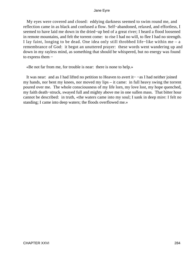My eyes were covered and closed: eddying darkness seemed to swim round me, and reflection came in as black and confused a flow. Self−abandoned, relaxed, and effortless, I seemed to have laid me down in the dried−up bed of a great river; I heard a flood loosened in remote mountains, and felt the torrent come: to rise I had no will, to flee I had no strength. I lay faint, longing to be dead. One idea only still throbbed life−like within me – a remembrance of God: it begot an unuttered prayer: these words went wandering up and down in my rayless mind, as something that should be whispered, but no energy was found to express them −

«Be not far from me, for trouble is near: there is none to help.»

 It was near: and as I had lifted no petition to Heaven to avert it− −as I had neither joined my hands, nor bent my knees, nor moved my lips – it came: in full heavy swing the torrent poured over me. The whole consciousness of my life lorn, my love lost, my hope quenched, my faith death−struck, swayed full and mighty above me in one sullen mass. That bitter hour cannot be described: in truth, «the waters came into my soul; I sank in deep mire: I felt no standing; I came into deep waters; the floods overflowed me.»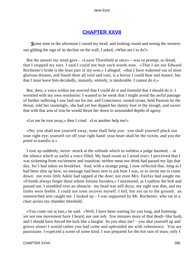# **[CHAPTER XXVII](#page-435-0)**

*S*ome time in the afternoon I raised my head, and looking round and seeing the western sun gilding the sign of its decline on the wall, I asked, «What am I to do?»

 But the answer my mind gave – «Leave Thornfield at once» – was so prompt, so dread, that I stopped my ears. I said I could not bear such words now. «That I am not Edward Rochester's bride is the least part of my woe,» I alleged: «that I have wakened out of most glorious dreams, and found them all void and vain, is a horror I could bear and master; but that I must leave him decidedly, instantly, entirely, is intolerable. I cannot do it.»

 But, then, a voice within me averred that I could do it and foretold that I should do it. I wrestled with my own resolution: I wanted to be weak that I might avoid the awful passage of further suffering I saw laid out for me; and Conscience, turned tyrant, held Passion by the throat, told her tauntingly, she had yet but dipped her dainty foot in the slough, and swore that with that arm of iron he would thrust her down to unsounded depths of agony.

«Let me be torn away,» then I cried. «Let another help me!»

 «No; you shall tear yourself away, none shall help you: you shall yourself pluck out your right eye; yourself cut off your right hand: your heart shall be the victim, and you the priest to transfix it.»

 I rose up suddenly, terror−struck at the solitude which so ruthless a judge haunted, – at the silence which so awful a voice filled. My head swam as I stood erect. I perceived that I was sickening from excitement and inanition; neither meat nor drink had passed my lips that day, for I had taken no breakfast. And, with a strange pang, I now reflected that, long as I had been shut up here, no message had been sent to ask how I was, or to invite me to come down: not even little Adele had tapped at the door; not even Mrs. Fairfax had sought me. «Friends always forget those whom fortune forsakes,» I murmured, as I undrew the bolt and passed out. I stumbled over an obstacle: my head was still dizzy, my sight was dim, and my limbs were feeble. I could not soon recover myself. I fell, but not on to the ground: an outstretched arm caught me. I looked up  $-I$  was supported by Mr. Rochester, who sat in a chair across my chamber threshold.

 «You come out at last,» he said. «Well, I have been waiting for you long, and listening: yet not one movement have I heard, nor one sob: five minutes more of that death−like hush, and I should have forced the lock like a burglar. So you shun me? – you shut yourself up and grieve alone! I would rather you had come and upbraided me with vehemence. You are passionate. I expected a scene of some kind. I was prepared for the hot rain of tears; only I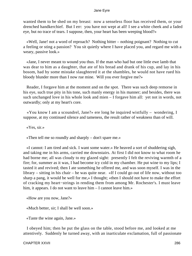wanted them to be shed on my breast: now a senseless floor has received them, or your drenched handkerchief. But I err: you have not wept at all! I see a white cheek and a faded eye, but no trace of tears. I suppose, then, your heart has been weeping blood?»

 «Well, Jane! not a word of reproach? Nothing bitter – nothing poignant? Nothing to cut a feeling or sting a passion? You sit quietly where I have placed you, and regard me with a weary, passive look.»

 «Jane, I never meant to wound you thus. If the man who had but one little ewe lamb that was dear to him as a daughter, that ate of his bread and drank of his cup, and lay in his bosom, had by some mistake slaughtered it at the shambles, he would not have rued his bloody blunder more than I now rue mine. Will you ever forgive me?»

 Reader, I forgave him at the moment and on the spot. There was such deep remorse in his eye, such true pity in his tone, such manly energy in his manner; and besides, there was such unchanged love in his whole look and mien – I forgave him all: yet not in words, not outwardly; only at my heart's core.

 «You know I am a scoundrel, Jane?» ere long he inquired wistfully – wondering, I suppose, at my continued silence and tameness, the result rather of weakness than of will.

«Yes, sir.»

«Then tell me so roundly and sharply – don't spare me.»

 «I cannot: I am tired and sick. I want some water.» He heaved a sort of shuddering sigh, and taking me in his arms, carried me downstairs. At first I did not know to what room he had borne me; all was cloudy to my glazed sight: presently I felt the reviving warmth of a fire; for, summer as it was, I had become icy cold in my chamber. He put wine to my lips; I tasted it and revived; then I ate something he offered me, and was soon myself. I was in the library – sitting in his chair – he was quite near. «If I could go out of life now, without too sharp a pang, it would be well for me,» I thought; «then I should not have to make the effort of cracking my heart−strings in rending them from among Mr. Rochester's. I must leave him, it appears. I do not want to leave him – I cannot leave him.»

«How are you now, Jane?»

«Much better, sir; I shall be well soon.»

«Taste the wine again, Jane.»

 I obeyed him; then he put the glass on the table, stood before me, and looked at me attentively. Suddenly he turned away, with an inarticulate exclamation, full of passionate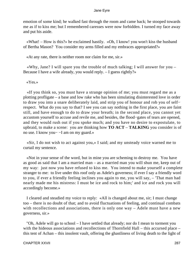emotion of some kind; he walked fast through the room and came back; he stooped towards me as if to kiss me; but I remembered caresses were now forbidden. I turned my face away and put his aside.

 «What! – How is this?» he exclaimed hastily. «Oh, I know! you won't kiss the husband of Bertha Mason? You consider my arms filled and my embraces appropriated?»

«At any rate, there is neither room nor claim for me, sir.»

 «Why, Jane? I will spare you the trouble of much talking; I will answer for you – Because I have a wife already, you would reply. – I guess rightly?»

«Yes.»

 «If you think so, you must have a strange opinion of me; you must regard me as a plotting profligate – a base and low rake who has been simulating disinterested love in order to draw you into a snare deliberately laid, and strip you of honour and rob you of self− respect. What do you say to that? I see you can say nothing in the first place, you are faint still, and have enough to do to draw your breath; in the second place, you cannot yet accustom yourself to accuse and revile me, and besides, the flood−gates of tears are opened, and they would rush out if you spoke much; and you have no desire to expostulate, to upbraid, to make a scene: you are thinking how **TO ACT** – **TALKING** you consider is of no use. I know you− −I am on my guard.»

 «Sir, I do not wish to act against you,» I said; and my unsteady voice warned me to curtail my sentence.

 «Not in your sense of the word, but in mine you are scheming to destroy me. You have as good as said that I am a married man – as a married man you will shun me, keep out of my way: just now you have refused to kiss me. You intend to make yourself a complete stranger to me: to live under this roof only as Adele's governess; if ever I say a friendly word to you, if ever a friendly feeling inclines you again to me, you will say, – 'That man had nearly made me his mistress: I must be ice and rock to him;' and ice and rock you will accordingly become.»

 I cleared and steadied my voice to reply: «All is changed about me, sir; I must change too – there is no doubt of that; and to avoid fluctuations of feeling, and continual combats with recollections and associations, there is only one way – Adele must have a new governess, sir.»

 "Oh, Adele will go to school – I have settled that already; nor do I mean to torment you with the hideous associations and recollections of Thornfield Hall – this accursed place – this tent of Achan – this insolent vault, offering the ghastliness of living death to the light of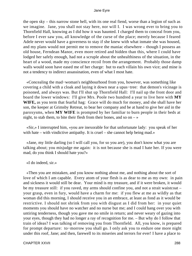the open sky – this narrow stone hell, with its one real fiend, worse than a legion of such as we imagine. Jane, you shall not stay here, nor will I. I was wrong ever to bring you to Thornfield Hall, knowing as I did how it was haunted. I charged them to conceal from you, before I ever saw you, all knowledge of the curse of the place; merely because I feared Adele never would have a governess to stay if she knew with what inmate she was housed, and my plans would not permit me to remove the maniac elsewhere – though I possess an old house, Ferndean Manor, even more retired and hidden than this, where I could have lodged her safely enough, had not a scruple about the unhealthiness of the situation, in the heart of a wood, made my conscience recoil from the arrangement. Probably those damp walls would soon have eased me of her charge: but to each villain his own vice; and mine is not a tendency to indirect assassination, even of what I most hate.

 «Concealing the mad−woman's neighbourhood from you, however, was something like covering a child with a cloak and laying it down near a upas−tree: that demon's vicinage is poisoned, and always was. But I'll shut up Thornfield Hall: I'll nail up the front door and board the lower windows: I'll give Mrs. Poole two hundred a year to live here with **MY WIFE,** as you term that fearful hag: Grace will do much for money, and she shall have her son, the keeper at Grimsby Retreat, to bear her company and be at hand to give her aid in the paroxysms, when **MY WIFE** is prompted by her familiar to burn people in their beds at night, to stab them, to bite their flesh from their bones, and so on  $-\infty$ 

 «Sir,» I interrupted him, «you are inexorable for that unfortunate lady: you speak of her with hate – with vindictive antipathy. It is cruel – she cannot help being mad.»

 «Jane, my little darling (so I will call you, for so you are), you don't know what you are talking about; you misjudge me again: it is not because she is mad I hate her. If you were mad, do you think I should hate you?»

«I do indeed, sir.»

 «Then you are mistaken, and you know nothing about me, and nothing about the sort of love of which I am capable. Every atom of your flesh is as dear to me as my own: in pain and sickness it would still be dear. Your mind is my treasure, and if it were broken, it would be my treasure still: if you raved, my arms should confine you, and not a strait waistcoat – your grasp, even in fury, would have a charm for me: if you flew at me as wildly as that woman did this morning, I should receive you in an embrace, at least as fond as it would be restrictive. I should not shrink from you with disgust as I did from her: in your quiet moments you should have no watcher and no nurse but me; and I could hang over you with untiring tenderness, though you gave me no smile in return; and never weary of gazing into your eyes, though they had no longer a ray of recognition for me. – But why do I follow that train of ideas? I was talking of removing you from Thornfield. All, you know, is prepared for prompt departure: to−morrow you shall go. I only ask you to endure one more night under this roof, Jane; and then, farewell to its miseries and terrors for ever! I have a place to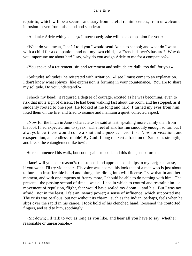repair to, which will be a secure sanctuary from hateful reminiscences, from unwelcome intrusion – even from falsehood and slander.»

«And take Adele with you, sir,» I interrupted; «she will be a companion for you.»

 «What do you mean, Jane? I told you I would send Adele to school; and what do I want with a child for a companion, and not my own child, – a French dancer's bastard? Why do you importune me about her! I say, why do you assign Adele to me for a companion?»

«You spoke of a retirement, sir; and retirement and solitude are dull: too dull for you.»

 «Solitude! solitude!» he reiterated with irritation. «I see I must come to an explanation. I don't know what sphynx−like expression is forming in your countenance. You are to share my solitude. Do you understand?»

 I shook my head: it required a degree of courage, excited as he was becoming, even to risk that mute sign of dissent. He had been walking fast about the room, and he stopped, as if suddenly rooted to one spot. He looked at me long and hard: I turned my eyes from him, fixed them on the fire, and tried to assume and maintain a quiet, collected aspect.

 «Now for the hitch in Jane's character,» he said at last, speaking more calmly than from his look I had expected him to speak. «The reel of silk has run smoothly enough so far; but I always knew there would come a knot and a puzzle: here it is. Now for vexation, and exasperation, and endless trouble! By God! I long to exert a fraction of Samson's strength, and break the entanglement like tow!»

He recommenced his walk, but soon again stopped, and this time just before me.

 «Jane! will you hear reason?» (he stooped and approached his lips to my ear); «because, if you won't, I'll try violence.» His voice was hoarse; his look that of a man who is just about to burst an insufferable bond and plunge headlong into wild license. I saw that in another moment, and with one impetus of frenzy more, I should be able to do nothing with him. The present – the passing second of time – was all I had in which to control and restrain him – a movement of repulsion, flight, fear would have sealed my doom, – and his. But I was not afraid: not in the least. I felt an inward power; a sense of influence, which supported me. The crisis was perilous; but not without its charm: such as the Indian, perhaps, feels when he slips over the rapid in his canoe. I took hold of his clenched hand, loosened the contorted fingers, and said to him, soothingly −

 «Sit down; I'll talk to you as long as you like, and hear all you have to say, whether reasonable or unreasonable.»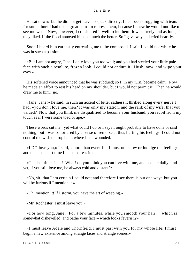He sat down: but he did not get leave to speak directly. I had been struggling with tears for some time: I had taken great pains to repress them, because I knew he would not like to see me weep. Now, however, I considered it well to let them flow as freely and as long as they liked. If the flood annoyed him, so much the better. So I gave way and cried heartily.

 Soon I heard him earnestly entreating me to be composed. I said I could not while he was in such a passion.

 «But I am not angry, Jane: I only love you too well; and you had steeled your little pale face with such a resolute, frozen look, I could not endure it. Hush, now, and wipe your eyes.»

 His softened voice announced that he was subdued; so I, in my turn, became calm. Now he made an effort to rest his head on my shoulder, but I would not permit it. Then he would draw me to him: no.

 «Jane! Jane!» he said, in such an accent of bitter sadness it thrilled along every nerve I had; «you don't love me, then? It was only my station, and the rank of my wife, that you valued? Now that you think me disqualified to become your husband, you recoil from my touch as if I were some toad or ape.»

 These words cut me: yet what could I do or I say? I ought probably to have done or said nothing; but I was so tortured by a sense of remorse at thus hurting his feelings, I could not control the wish to drop balm where I had wounded.

 «I DO love you,» I said, «more than ever: but I must not show or indulge the feeling: and this is the last time I must express it.»

 «The last time, Jane! What! do you think you can live with me, and see me daily, and yet, if you still love me, be always cold and distant?»

 «No, sir; that I am certain I could not; and therefore I see there is but one way: but you will be furious if I mention it.»

«Oh, mention it! If I storm, you have the art of weeping.»

«Mr. Rochester, I must leave you.»

 «For how long, Jane? For a few minutes, while you smooth your hair− −which is somewhat dishevelled; and bathe your face – which looks feverish?»

 «I must leave Adele and Thornfield. I must part with you for my whole life: I must begin a new existence among strange faces and strange scenes.»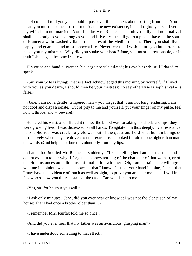«Of course: I told you you should. I pass over the madness about parting from me. You mean you must become a part of me. As to the new existence, it is all right: you shall yet be my wife: I am not married. You shall be Mrs. Rochester – both virtually and nominally. I shall keep only to you so long as you and I live. You shall go to a place I have in the south of France: a whitewashed villa on the shores of the Mediterranean. There you shall live a happy, and guarded, and most innocent life. Never fear that I wish to lure you into error – to make you my mistress. Why did you shake your head? Jane, you must be reasonable, or in truth I shall again become frantic.»

 His voice and hand quivered: his large nostrils dilated; his eye blazed: still I dared to speak.

 «Sir, your wife is living: that is a fact acknowledged this morning by yourself. If I lived with you as you desire, I should then be your mistress: to say otherwise is sophistical – is false.»

 «Jane, I am not a gentle−tempered man – you forget that: I am not long−enduring; I am not cool and dispassionate. Out of pity to me and yourself, put your finger on my pulse, feel how it throbs, and – beware!»

 He bared his wrist, and offered it to me: the blood was forsaking his cheek and lips, they were growing livid; I was distressed on all hands. To agitate him thus deeply, by a resistance he so abhorred, was cruel: to yield was out of the question. I did what human beings do instinctively when they are driven to utter extremity – looked for aid to one higher than man: the words «God help me!» burst involuntarily from my lips.

 «I am a fool!» cried Mr. Rochester suddenly. "I keep telling her I am not married, and do not explain to her why. I forget she knows nothing of the character of that woman, or of the circumstances attending my infernal union with her. Oh, I am certain Jane will agree with me in opinion, when she knows all that I know! Just put your hand in mine, Janet – that I may have the evidence of touch as well as sight, to prove you are near me – and I will in a few words show you the real state of the case. Can you listen to me

«Yes, sir; for hours if you will.»

 «I ask only minutes. Jane, did you ever hear or know at I was not the eldest son of my house: that I had once a brother older than I?»

«I remember Mrs. Fairfax told me so once.»

«And did you ever hear that my father was an avaricious, grasping man?»

«I have understood something to that effect.»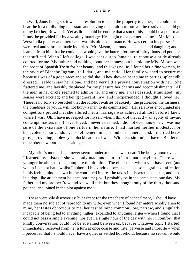«Well, Jane, being so, it was his resolution to keep the property together; he could not bear the idea of dividing his estate and leaving me a fair portion: all, he resolved, should go to my brother, Rowland. Yet as little could he endure that a son of his should be a poor man. I must be provided for by a wealthy marriage. He sought me a partner betimes. Mr. Mason, a West India planter and merchant, was his old acquaintance. He was certain his possessions were real and vast: he made inquiries. Mr. Mason, he found, had a son and daughter; and he learned from him that he could and would give the latter a fortune of thirty thousand pounds: that sufficed. When I left college, I was sent out to Jamaica, to espouse a bride already courted for me. My father said nothing about her money; but he told me Miss Mason was the boast of Spanish Town for her beauty: and this was no lie. I found her a fine woman, in the style of Blanche Ingram: tall, dark, and majestic. Her family wished to secure me because I was of a good race; and so did she. They showed her to me in parties, splendidly dressed. I seldom saw her alone, and had very little private conversation with her. She flattered me, and lavishly displayed for my pleasure her charms and accomplishments. All the men in her circle seemed to admire her and envy me. I was dazzled, stimulated: my senses were excited; and being ignorant, raw, and inexperienced, I thought I loved her. There is no folly so besotted that the idiotic rivalries of society, the prurience, the rashness, the blindness of youth, will not hurry a man to its commission. Her relatives encouraged me; competitors piqued me; she allured me: a marriage was achieved almost before I knew where I was. Oh, I have no respect for myself when I think of that act! – an agony of inward contempt masters me. I never loved, I never esteemed, I did not even know her. I was not sure of the existence of one virtue in her nature: I had marked neither modesty, nor benevolence, nor candour, nor refinement in her mind or manners – and, I married her:− gross, grovelling, mole−eyed blockhead that I was! With less sin I might have – But let me remember to whom I am speaking.»

 «My bride's mother I had never seen: I understood she was dead. The honeymoon over, I learned my mistake; she was only mad, and shut up in a lunatic asylum. There was a younger brother, too – a complete dumb idiot. The elder one, whom you have seen (and whom I cannot hate, whilst I abhor all his kindred, because he has some grains of affection in his feeble mind, shown in the continued interest he takes in his wretched sister, and also in a dog−like attachment he once bore me), will probably be in the same state one day. My father and my brother Rowland knew all this; but they thought only of the thirty thousand pounds, and joined in the plot against me.»

 "These were vile discoveries; but except for the treachery of concealment, I should have made them no subject of reproach to my wife, even when I found her nature wholly alien to mine, her tastes obnoxious to me, her cast of mind common, low, narrow, and singularly incapable of being led to anything higher, expanded to anything larger – when I found that I could not pass a single evening, nor even a single hour of the day with her in comfort; that kindly conversation could not be sustained between us, because whatever topic I started, immediately received from her a turn at once coarse and trite, perverse and imbecile – when I perceived that I should never have a quiet or settled household, because no servant would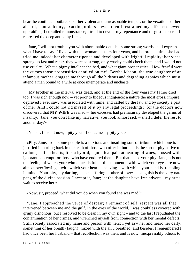bear the continued outbreaks of her violent and unreasonable temper, or the vexations of her absurd, contradictory, exacting orders – even then I restrained myself: I eschewed upbraiding, I curtailed remonstrance; I tried to devour my repentance and disgust in secret; I repressed the deep antipathy I felt.

 "Jane, I will not trouble you with abominable details: some strong words shall express what I have to say. I lived with that woman upstairs four years, and before that time she had tried me indeed: her character ripened and developed with frightful rapidity; her vices sprang up fast and rank: they were so strong, only cruelty could check them, and I would not use cruelty. What a pigmy intellect she had, and what giant propensities! How fearful were the curses those propensities entailed on me! Bertha Mason, the true daughter of an infamous mother, dragged me through all the hideous and degrading agonies which must attend a man bound to a wife at once intemperate and unchaste.

 «My brother in the interval was dead, and at the end of the four years my father died too. I was rich enough now – yet poor to hideous indigence: a nature the most gross, impure, depraved I ever saw, was associated with mine, and called by the law and by society a part of me. And I could not rid myself of it by any legal proceedings: for the doctors now discovered that **MY WIFE** was mad – her excesses had prematurely developed the germs of insanity. Jane, you don't like my narrative; you look almost sick – shall I defer the rest to another day?»

«No, sir, finish it now; I pity you – I do earnestly pity you.»

 «Pity, Jane, from some people is a noxious and insulting sort of tribute, which one is justified in hurling back in the teeth of those who offer it; but that is the sort of pity native to callous, selfish hearts; it is a hybrid, egotistical pain at hearing of woes, crossed with ignorant contempt for those who have endured them. But that is not your pity, Jane; it is not the feeling of which your whole face is full at this moment – with which your eyes are now almost overflowing – with which your heart is heaving – with which your hand is trembling in mine. Your pity, my darling, is the suffering mother of love: its anguish is the very natal pang of the divine passion. I accept it, Jane; let the daughter have free advent – my arms wait to receive her.

«Now, sir, proceed; what did you do when you found she was mad?»

 "Jane, I approached the verge of despair; a remnant of self−respect was all that intervened between me and the gulf. In the eyes of the world, I was doubtless covered with grimy dishonour; but I resolved to be clean in my own sight – and to the last I repudiated the contamination of her crimes, and wrenched myself from connection with her mental defects. Still, society associated my name and person with hers; I yet saw her and heard her daily: something of her breath (faugh!) mixed with the air I breathed; and besides, I remembered I had once been her husband – that recollection was then, and is now, inexpressibly odious to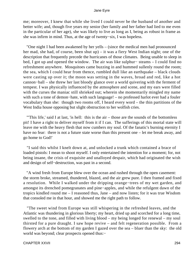me; moreover, I knew that while she lived I could never be the husband of another and better wife; and, though five years my senior (her family and her father had lied to me even in the particular of her age), she was likely to live as long as I, being as robust in frame as she was infirm in mind. Thus, at the age of twenty−six, I was hopeless.

 "One night I had been awakened by her yells – (since the medical men had pronounced her mad, she had, of course, been shut up) – it was a fiery West Indian night; one of the description that frequently precede the hurricanes of those climates. Being unable to sleep in bed, I got up and opened the window. The air was like sulphur− steams – I could find no refreshment anywhere. Mosquitoes came buzzing in and hummed sullenly round the room; the sea, which I could hear from thence, rumbled dull like an earthquake – black clouds were casting up over it; the moon was setting in the waves, broad and red, like a hot cannon−ball – she threw her last bloody glance over a world quivering with the ferment of tempest. I was physically influenced by the atmosphere and scene, and my ears were filled with the curses the maniac still shrieked out; wherein she momentarily mingled my name with such a tone of demon−hate, with such language! – no professed harlot ever had a fouler vocabulary than she: though two rooms off, I heard every word – the thin partitions of the West India house opposing but slight obstruction to her wolfish cries.

 "'This life,' said I at last, 'is hell: this is the air – those are the sounds of the bottomless pit! I have a right to deliver myself from it if I can. The sufferings of this mortal state will leave me with the heavy flesh that now cumbers my soul. Of the fanatic's burning eternity I have no fear: there is not a future state worse than this present one – let me break away, and go home to God!'

 "I said this whilst I knelt down at, and unlocked a trunk which contained a brace of loaded pistols: I mean to shoot myself. I only entertained the intention for a moment; for, not being insane, the crisis of exquisite and unalloyed despair, which had originated the wish and design of self−destruction, was past in a second.

 "A wind fresh from Europe blew over the ocean and rushed through the open casement: the storm broke, streamed, thundered, blazed, and the air grew pure. I then framed and fixed a resolution. While I walked under the dripping orange−trees of my wet garden, and amongst its drenched pomegranates and pine−apples, and while the refulgent dawn of the tropics kindled round me – I reasoned thus, Jane – and now listen; for it was true Wisdom that consoled me in that hour, and showed me the right path to follow.

 "The sweet wind from Europe was still whispering in the refreshed leaves, and the Atlantic was thundering in glorious liberty; my heart, dried up and scorched for a long time, swelled to the tone, and filled with living blood – my being longed for renewal – my soul thirsted for a pure draught. I saw hope revive – and felt regeneration possible. From a flowery arch at the bottom of my garden I gazed over the sea – bluer than the sky: the old world was beyond; clear prospects opened thus:−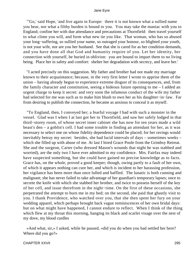"'Go,' said Hope, 'and live again in Europe: there it is not known what a sullied name you bear, nor what a filthy burden is bound to you. You may take the maniac with you to England; confine her with due attendance and precautions at Thornfield: then travel yourself to what clime you will, and form what new tie you like. That woman, who has so abused your long−suffering, so sullied your name, so outraged your honour, so blighted your youth, is not your wife, nor are you her husband. See that she is cared for as her condition demands, and you have done all that God and humanity require of you. Let her identity, her connection with yourself, be buried in oblivion: you are bound to impart them to no living being. Place her in safety and comfort: shelter her degradation with secrecy, and leave her.'

 "I acted precisely on this suggestion. My father and brother had not made my marriage known to their acquaintance; because, in the very first letter I wrote to apprise them of the union – having already begun to experience extreme disgust of its consequences, and, from the family character and constitution, seeing a hideous future opening to me – I added an urgent charge to keep it secret: and very soon the infamous conduct of the wife my father had selected for me was such as to make him blush to own her as his daughter−in−law. Far from desiring to publish the connection, he became as anxious to conceal it as myself.

 "To England, then, I conveyed her; a fearful voyage I had with such a monster in the vessel. Glad was I when I at last got her to Thornfield, and saw her safely lodged in that third−storey room, of whose secret inner cabinet she has now for ten years made a wild beast's den – a goblin's cell. I had some trouble in finding an attendant for her, as it was necessary to select one on whose fidelity dependence could be placed; for her ravings would inevitably betray my secret: besides, she had lucid intervals of days – sometimes weeks – which she filled up with abuse of me. At last I hired Grace Poole from the Grimbsy Retreat. She and the surgeon, Carter (who dressed Mason's wounds that night he was stabbed and worried), are the only two I have ever admitted to my confidence. Mrs. Fairfax may indeed have suspected something, but she could have gained no precise knowledge as to facts. Grace has, on the whole, proved a good keeper; though, owing partly to a fault of her own, of which it appears nothing can cure her, and which is incident to her harassing profession, her vigilance has been more than once lulled and baffled. The lunatic is both cunning and malignant; she has never failed to take advantage of her guardian's temporary lapses; once to secrete the knife with which she stabbed her brother, and twice to possess herself of the key of her cell, and issue therefrom in the night−time. On the first of these occasions, she perpetrated the attempt to burn me in my bed; on the second, she paid that ghastly visit to you. I thank Providence, who watched over you, that she then spent her fury on your wedding apparel, which perhaps brought back vague reminiscences of her own bridal days: but on what might have happened, I cannot endure to reflect. When I think of the thing which flew at my throat this morning, hanging its black and scarlet visage over the nest of my dove, my blood curdles

 «And what, sir,» I asked, while he paused, «did you do when you had settled her here? Where did you go?»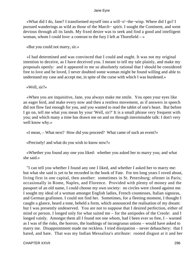«What did I do, Jane? I transformed myself into a will−o'−the−wisp. Where did I go? I pursued wanderings as wild as those of the March− spirit. I sought the Continent, and went devious through all its lands. My fixed desire was to seek and find a good and intelligent woman, whom I could love: a contrast to the fury I left at Thornfield – »

«But you could not marry, sir.»

 «I had determined and was convinced that I could and ought. It was not my original intention to deceive, as I have deceived you. I meant to tell my tale plainly, and make my proposals openly: and it appeared to me so absolutely rational that I should be considered free to love and be loved, I never doubted some woman might be found willing and able to understand my case and accept me, in spite of the curse with which I was burdened.»

«Well, sir?»

 «When you are inquisitive, Jane, you always make me smile. You open your eyes like an eager bird, and make every now and then a restless movement, as if answers in speech did not flow fast enough for you, and you wanted to read the tablet of one's heart. But before I go on, tell me what you mean by your 'Well, sir?' It is a small phrase very frequent with you; and which many a time has drawn me on and on through interminable talk: I don't very well know why.»

«I mean, – What next? How did you proceed? What came of such an event?»

«Precisely! and what do you wish to know now?»

 «Whether you found any one you liked: whether you asked her to marry you; and what she said.»

 "I can tell you whether I found any one I liked, and whether I asked her to marry me: but what she said is yet to be recorded in the book of Fate. For ten long years I roved about, living first in one capital, then another: sometimes in St. Petersburg; oftener in Paris; occasionally in Rome, Naples, and Florence. Provided with plenty of money and the passport of an old name, I could choose my own society: no circles were closed against me. I sought my ideal of a woman amongst English ladies, French countesses, Italian signoras, and German grafinnen. I could not find her. Sometimes, for a fleeting moment, I thought I caught a glance, heard a tone, beheld a form, which announced the realisation of my dream: but I was presently undeserved. You are not to suppose that I desired perfection, either of mind or person. I longed only for what suited me – for the antipodes of the Creole: and I longed vainly. Amongst them all I found not one whom, had I been ever so free, I – warned as I was of the risks, the horrors, the loathings of incongruous unions – would have asked to marry me. Disappointment made me reckless. I tried dissipation – never debauchery: that I hated, and hate. That was my Indian Messalina's attribute: rooted disgust at it and her

CHAPTER XXVII 296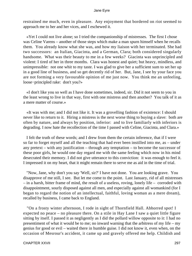restrained me much, even in pleasure. Any enjoyment that bordered on riot seemed to approach me to her and her vices, and I eschewed it.

 «Yet I could not live alone; so I tried the companionship of mistresses. The first I chose was Celine Varens – another of those steps which make a man spurn himself when he recalls them. You already know what she was, and how my liaison with her terminated. She had two successors: an Italian, Giacinta, and a German, Clara; both considered singularly handsome. What was their beauty to me in a few weeks? Giacinta was unprincipled and violent: I tired of her in three months. Clara was honest and quiet; but heavy, mindless, and unimpressible: not one whit to my taste. I was glad to give her a sufficient sum to set her up in a good line of business, and so get decently rid of her. But, Jane, I see by your face you are not forming a very favourable opinion of me just now. You think me an unfeeling, loose−principled rake: don't you?»

 «I don't like you so well as I have done sometimes, indeed, sir. Did it not seem to you in the least wrong to live in that way, first with one mistress and then another? You talk of it as a mere matter of course.»

 «It was with me; and I did not like it. It was a grovelling fashion of existence: I should never like to return to it. Hiring a mistress is the next worse thing to buying a slave: both are often by nature, and always by position, inferior: and to live familiarly with inferiors is degrading. I now hate the recollection of the time I passed with Celine, Giacinta, and Clara.»

 I felt the truth of these words; and I drew from them the certain inference, that if I were so far to forget myself and all the teaching that had ever been instilled into me, as – under any pretext – with any justification – through any temptation – to become the successor of these poor girls, he would one day regard me with the same feeling which now in his mind desecrated their memory. I did not give utterance to this conviction: it was enough to feel it. I impressed it on my heart, that it might remain there to serve me as aid in the time of trial.

 "Now, Jane, why don't you say 'Well, sir?' I have not done. You are looking grave. You disapprove of me still, I see. But let me come to the point. Last January, rid of all mistresses – in a harsh, bitter frame of mind, the result of a useless, roving, lonely life – corroded with disappointment, sourly disposed against all men, and especially against all womankind (for I began to regard the notion of an intellectual, faithful, loving woman as a mere dream), recalled by business, I came back to England.

 "On a frosty winter afternoon, I rode in sight of Thornfield Hall. Abhorred spot! I expected no peace – no pleasure there. On a stile in Hay Lane I saw a quiet little figure sitting by itself. I passed it as negligently as I did the pollard willow opposite to it: I had no presentiment of what it would be to me; no inward warning that the arbitress of my life – my genius for good or evil – waited there in humble guise. I did not know it, even when, on the occasion of Mesrour's accident, it came up and gravely offered me help. Childish and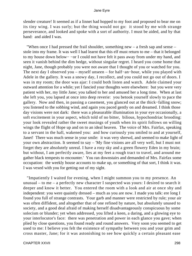slender creature! It seemed as if a linnet had hopped to my foot and proposed to bear me on its tiny wing. I was surly; but the thing would not go: it stood by me with strange perseverance, and looked and spoke with a sort of authority. I must be aided, and by that hand: and aided I was.

 "When once I had pressed the frail shoulder, something new – a fresh sap and sense – stole into my frame. It was well I had learnt that this elf must return to me – that it belonged to my house down below− −or I could not have felt it pass away from under my hand, and seen it vanish behind the dim hedge, without singular regret. I heard you come home that night, Jane, though probably you were not aware that I thought of you or watched for you. The next day I observed you – myself unseen – for half−an−hour, while you played with Adele in the gallery. It was a snowy day, I recollect, and you could not go out of doors. I was in my room; the door was ajar: I could both listen and watch. Adele claimed your outward attention for a while; yet I fancied your thoughts were elsewhere: but you were very patient with her, my little Jane; you talked to her and amused her a long time. When at last she left you, you lapsed at once into deep reverie: you betook yourself slowly to pace the gallery. Now and then, in passing a casement, you glanced out at the thick−falling snow; you listened to the sobbing wind, and again you paced gently on and dreamed. I think those day visions were not dark: there was a pleasurable illumination in your eye occasionally, a soft excitement in your aspect, which told of no bitter, bilious, hypochondriac brooding: your look revealed rather the sweet musings of youth when its spirit follows on willing wings the flight of Hope up and on to an ideal heaven. The voice of Mrs. Fairfax, speaking to a servant in the hall, wakened you: and how curiously you smiled to and at yourself, Janet! There was much sense in your smile: it was very shrewd, and seemed to make light of your own abstraction. It seemed to say – 'My fine visions are all very well, but I must not forget they are absolutely unreal. I have a rosy sky and a green flowery Eden in my brain; but without, I am perfectly aware, lies at my feet a rough tract to travel, and around me gather black tempests to encounter.' You ran downstairs and demanded of Mrs. Fairfax some occupation: the weekly house accounts to make up, or something of that sort, I think it was. I was vexed with you for getting out of my sight.

 "Impatiently I waited for evening, when I might summon you to my presence. An unusual – to me – a perfectly new character I suspected was yours: I desired to search it deeper and know it better. You entered the room with a look and air at once shy and independent: you were quaintly dressed – much as you are now. I made you talk: ere long I found you full of strange contrasts. Your garb and manner were restricted by rule; your air was often diffident, and altogether that of one refined by nature, but absolutely unused to society, and a good deal afraid of making herself disadvantageously conspicuous by some solecism or blunder; yet when addressed, you lifted a keen, a daring, and a glowing eye to your interlocutor's face: there was penetration and power in each glance you gave; when plied by close questions, you found ready and round answers. Very soon you seemed to get used to me: I believe you felt the existence of sympathy between you and your grim and cross master, Jane; for it was astonishing to see how quickly a certain pleasant ease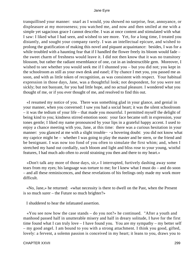tranquillised your manner: snarl as I would, you showed no surprise, fear, annoyance, or displeasure at my moroseness; you watched me, and now and then smiled at me with a simple yet sagacious grace I cannot describe. I was at once content and stimulated with what I saw: I liked what I had seen, and wished to see more. Yet, for a long time, I treated you distantly, and sought your company rarely. I was an intellectual epicure, and wished to prolong the gratification of making this novel and piquant acquaintance: besides, I was for a while troubled with a haunting fear that if I handled the flower freely its bloom would fade – the sweet charm of freshness would leave it. I did not then know that it was no transitory blossom, but rather the radiant resemblance of one, cut in an indestructible gem. Moreover, I wished to see whether you would seek me if I shunned you – but you did not; you kept in the schoolroom as still as your own desk and easel; if by chance I met you, you passed me as soon, and with as little token of recognition, as was consistent with respect. Your habitual expression in those days, Jane, was a thoughtful look; not despondent, for you were not sickly; but not buoyant, for you had little hope, and no actual pleasure. I wondered what you thought of me, or if you ever thought of me, and resolved to find this out.

 «I resumed my notice of you. There was something glad in your glance, and genial in your manner, when you conversed: I saw you had a social heart; it was the silent schoolroom – it was the tedium of your life – that made you mournful. I permitted myself the delight of being kind to you; kindness stirred emotion soon: your face became soft in expression, your tones gentle; I liked my name pronounced by your lips in a grateful happy accent. I used to enjoy a chance meeting with you, Jane, at this time: there was a curious hesitation in your manner: you glanced at me with a slight trouble− −a hovering doubt: you did not know what my caprice might be – whether I was going to play the master and be stern, or the friend and be benignant. I was now too fond of you often to simulate the first whim; and, when I stretched my hand out cordially, such bloom and light and bliss rose to your young, wistful features, I had much ado often to avoid straining you then and there to my heart.»

 «Don't talk any more of those days, sir,» I interrupted, furtively dashing away some tears from my eyes; his language was torture to me; for I knew what I must do – and do soon – and all these reminiscences, and these revelations of his feelings only made my work more difficult.

 «No, Jane,» he returned: «what necessity is there to dwell on the Past, when the Present is so much surer – the Future so much brighter?»

I shuddered to hear the infatuated assertion.

 «You see now how the case stands – do you not?» he continued. "After a youth and manhood passed half in unutterable misery and half in dreary solitude, I have for the first time found what I can truly love – I have found you. You are my sympathy – my better self – my good angel. I am bound to you with a strong attachment. I think you good, gifted, lovely: a fervent, a solemn passion is conceived in my heart; it leans to you, draws you to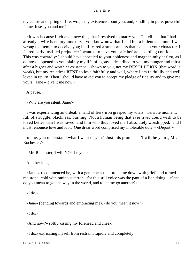my centre and spring of life, wraps my existence about you, and, kindling in pure, powerful flame, fuses you and me in one.

 «It was because I felt and knew this, that I resolved to marry you. To tell me that I had already a wife is empty mockery: you know now that I had but a hideous demon. I was wrong to attempt to deceive you; but I feared a stubbornness that exists in your character. I feared early instilled prejudice: I wanted to have you safe before hazarding confidences. This was cowardly: I should have appealed to your nobleness and magnanimity at first, as I do now – opened to you plainly my life of agony – described to you my hunger and thirst after a higher and worthier existence – shown to you, not my **RESOLUTION** (that word is weak), but my resistless **BENT** to love faithfully and well, where I am faithfully and well loved in return. Then I should have asked you to accept my pledge of fidelity and to give me yours. Jane – give it me now.»

A pause.

«Why are you silent, Jane?»

 I was experiencing an ordeal: a hand of fiery iron grasped my vitals. Terrible moment: full of struggle, blackness, burning! Not a human being that ever lived could wish to be loved better than I was loved; and him who thus loved me I absolutely worshipped: and I must renounce love and idol. One drear word comprised my intolerable duty – «Depart!»

 «Jane, you understand what I want of you? Just this promise – 'I will be yours, Mr. Rochester.'»

«Mr. Rochester, I will NOT be yours.»

Another long silence.

 «Jane!» recommenced he, with a gentleness that broke me down with grief, and turned me stone−cold with ominous terror – for this still voice was the pant of a lion rising – «Jane, do you mean to go one way in the world, and to let me go another?»

«I do.»

«Jane» (bending towards and embracing me), «do you mean it now?»

«I do.»

«And now?» softly kissing my forehead and cheek.

«I do,» extricating myself from restraint rapidly and completely.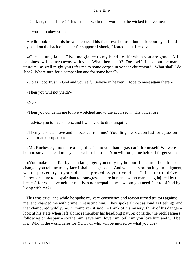«Oh, Jane, this is bitter! This – this is wicked. It would not be wicked to love me.»

«It would to obey you.»

 A wild look raised his brows – crossed his features: he rose; but he forebore yet. I laid my hand on the back of a chair for support: I shook, I feared – but I resolved.

 «One instant, Jane. Give one glance to my horrible life when you are gone. All happiness will be torn away with you. What then is left? For a wife I have but the maniac upstairs: as well might you refer me to some corpse in yonder churchyard. What shall I do, Jane? Where turn for a companion and for some hope?»

«Do as I do: trust in God and yourself. Believe in heaven. Hope to meet again there.»

«Then you will not yield?»

«No.»

«Then you condemn me to live wretched and to die accursed?» His voice rose.

«I advise you to live sinless, and I wish you to die tranquil.»

 «Then you snatch love and innocence from me? You fling me back on lust for a passion – vice for an occupation?»

 «Mr. Rochester, I no more assign this fate to you than I grasp at it for myself. We were born to strive and endure – you as well as I: do so. You will forget me before I forget you.»

 «You make me a liar by such language: you sully my honour. I declared I could not change: you tell me to my face I shall change soon. And what a distortion in your judgment, what a perversity in your ideas, is proved by your conduct! Is it better to drive a fellow−creature to despair than to transgress a mere human law, no man being injured by the breach? for you have neither relatives nor acquaintances whom you need fear to offend by living with me?»

 This was true: and while he spoke my very conscience and reason turned traitors against me, and charged me with crime in resisting him. They spoke almost as loud as Feeling: and that clamoured wildly. «Oh, comply!» it said. «Think of his misery; think of his danger – look at his state when left alone; remember his headlong nature; consider the recklessness following on despair – soothe him; save him; love him; tell him you love him and will be his. Who in the world cares for YOU? or who will be injured by what you do?»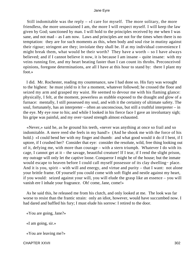Still indomitable was the reply  $-\ll 1$  care for myself. The more solitary, the more friendless, the more unsustained I am, the more I will respect myself. I will keep the law given by God; sanctioned by man. I will hold to the principles received by me when I was sane, and not mad – as I am now. Laws and principles are not for the times when there is no temptation: they are for such moments as this, when body and soul rise in mutiny against their rigour; stringent are they; inviolate they shall be. If at my individual convenience I might break them, what would be their worth? They have a worth – so I have always believed; and if I cannot believe it now, it is because I am insane – quite insane: with my veins running fire, and my heart beating faster than I can count its throbs. Preconceived opinions, foregone determinations, are all I have at this hour to stand by: there I plant my foot.»

 I did. Mr. Rochester, reading my countenance, saw I had done so. His fury was wrought to the highest: he must yield to it for a moment, whatever followed; he crossed the floor and seized my arm and grasped my waist. He seemed to devour me with his flaming glance: physically, I felt, at the moment, powerless as stubble exposed to the draught and glow of a furnace: mentally, I still possessed my soul, and with it the certainty of ultimate safety. The soul, fortunately, has an interpreter – often an unconscious, but still a truthful interpreter – in the eye. My eye rose to his; and while I looked in his fierce face I gave an involuntary sigh; his gripe was painful, and my over−taxed strength almost exhausted.

 «Never,» said he, as he ground his teeth, «never was anything at once so frail and so indomitable. A mere reed she feels in my hand!» (And he shook me with the force of his hold.) «I could bend her with my finger and thumb: and what good would it do if I bent, if I uptore, if I crushed her? Consider that eye: consider the resolute, wild, free thing looking out of it, defying me, with more than courage – with a stern triumph. Whatever I do with its cage, I cannot get at it – the savage, beautiful creature! If I tear, if I rend the slight prison, my outrage will only let the captive loose. Conqueror I might be of the house; but the inmate would escape to heaven before I could call myself possessor of its clay dwelling− place. And it is you, spirit – with will and energy, and virtue and purity – that I want: not alone your brittle frame. Of yourself you could come with soft flight and nestle against my heart, if you would: seized against your will, you will elude the grasp like an essence – you will vanish ere I inhale your fragrance. Oh! come, Jane, come!»

 As he said this, he released me from his clutch, and only looked at me. The look was far worse to resist than the frantic strain: only an idiot, however, would have succumbed now. I had dared and baffled his fury; I must elude his sorrow: I retired to the door.

«You are going, Jane?»

«I am going, sir.»

«You are leaving me?»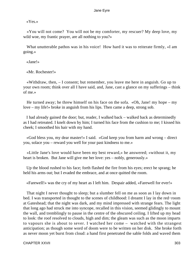«Yes.»

 «You will not come? You will not be my comforter, my rescuer? My deep love, my wild woe, my frantic prayer, are all nothing to you?»

What unutterable pathos was in his voice! How hard it was to reiterate firmly,  $\ll 1$  am going.»

«Jane!»

«Mr. Rochester!»

 «Withdraw, then, – I consent; but remember, you leave me here in anguish. Go up to your own room; think over all I have said, and, Jane, cast a glance on my sufferings – think of me.»

 He turned away; he threw himself on his face on the sofa. «Oh, Jane! my hope – my love – my life!» broke in anguish from his lips. Then came a deep, strong sob.

 I had already gained the door; but, reader, I walked back – walked back as determinedly as I had retreated. I knelt down by him; I turned his face from the cushion to me; I kissed his cheek; I smoothed his hair with my hand.

 «God bless you, my dear master!» I said. «God keep you from harm and wrong – direct you, solace you – reward you well for your past kindness to me.»

 «Little Jane's love would have been my best reward,» he answered; «without it, my heart is broken. But Jane will give me her love: yes – nobly, generously.»

 Up the blood rushed to his face; forth flashed the fire from his eyes; erect he sprang; he held his arms out; but I evaded the embrace, and at once quitted the room.

«Farewell!» was the cry of my heart as I left him. Despair added, «Farewell for ever!»

 That night I never thought to sleep; but a slumber fell on me as soon as I lay down in bed. I was transported in thought to the scenes of childhood: I dreamt I lay in the red−room at Gateshead; that the night was dark, and my mind impressed with strange fears. The light that long ago had struck me into syncope, recalled in this vision, seemed glidingly to mount the wall, and tremblingly to pause in the centre of the obscured ceiling. I lifted up my head to look: the roof resolved to clouds, high and dim; the gleam was such as the moon imparts to vapours she is about to sever. I watched her come – watched with the strangest anticipation; as though some word of doom were to be written on her disk. She broke forth as never moon yet burst from cloud: a hand first penetrated the sable folds and waved them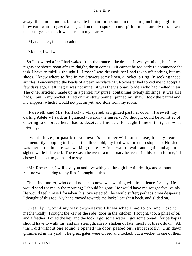away; then, not a moon, but a white human form shone in the azure, inclining a glorious brow earthward. It gazed and gazed on me. It spoke to my spirit: immeasurably distant was the tone, yet so near, it whispered in my heart −

«My daughter, flee temptation.»

«Mother, I will.»

 So I answered after I had waked from the trance−like dream. It was yet night, but July nights are short: soon after midnight, dawn comes. «It cannot be too early to commence the task I have to fulfil,» thought I. I rose: I was dressed; for I had taken off nothing but my shoes. I knew where to find in my drawers some linen, a locket, a ring. In seeking these articles, I encountered the beads of a pearl necklace Mr. Rochester had forced me to accept a few days ago. I left that; it was not mine: it was the visionary bride's who had melted in air. The other articles I made up in a parcel; my purse, containing twenty shillings (it was all I had), I put in my pocket: I tied on my straw bonnet, pinned my shawl, took the parcel and my slippers, which I would not put on yet, and stole from my room.

 «Farewell, kind Mrs. Fairfax!» I whispered, as I glided past her door. «Farewell, my darling Adele!» I said, as I glanced towards the nursery. No thought could be admitted of entering to embrace her. I had to deceive a fine ear: for aught I knew it might now be listening.

 I would have got past Mr. Rochester's chamber without a pause; but my heart momentarily stopping its beat at that threshold, my foot was forced to stop also. No sleep was there: the inmate was walking restlessly from wall to wall; and again and again he sighed while I listened. There was a heaven – a temporary heaven – in this room for me, if I chose: I had but to go in and to say −

 «Mr. Rochester, I will love you and live with you through life till death,» and a fount of rapture would spring to my lips. I thought of this.

 That kind master, who could not sleep now, was waiting with impatience for day. He would send for me in the morning; I should be gone. He would have me sought for: vainly. He would feel himself forsaken; his love rejected: he would suffer; perhaps grow desperate. I thought of this too. My hand moved towards the lock: I caught it back, and glided on.

 Drearily I wound my way downstairs: I knew what I had to do, and I did it mechanically. I sought the key of the side−door in the kitchen; I sought, too, a phial of oil and a feather; I oiled the key and the lock. I got some water, I got some bread: for perhaps I should have to walk far; and my strength, sorely shaken of late, must not break down. All this I did without one sound. I opened the door, passed out, shut it softly. Dim dawn glimmered in the yard. The great gates were closed and locked; but a wicket in one of them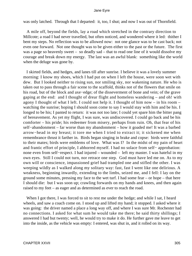was only latched. Through that I departed: it, too, I shut; and now I was out of Thornfield.

 A mile off, beyond the fields, lay a road which stretched in the contrary direction to Millcote; a road I had never travelled, but often noticed, and wondered where it led: thither I bent my steps. No reflection was to be allowed now: not one glance was to be cast back; not even one forward. Not one thought was to be given either to the past or the future. The first was a page so heavenly sweet – so deadly sad – that to read one line of it would dissolve my courage and break down my energy. The last was an awful blank: something like the world when the deluge was gone by.

 I skirted fields, and hedges, and lanes till after sunrise. I believe it was a lovely summer morning: I know my shoes, which I had put on when I left the house, were soon wet with dew. But I looked neither to rising sun, nor smiling sky, nor wakening nature. He who is taken out to pass through a fair scene to the scaffold, thinks not of the flowers that smile on his road, but of the block and axe−edge; of the disseverment of bone and vein; of the grave gaping at the end: and I thought of drear flight and homeless wandering – and oh! with agony I thought of what I left. I could not help it. I thought of him now – in his room – watching the sunrise; hoping I should soon come to say I would stay with him and be his. I longed to be his; I panted to return: it was not too late; I could yet spare him the bitter pang of bereavement. As yet my flight, I was sure, was undiscovered. I could go back and be his comforter – his pride; his redeemer from misery, perhaps from ruin. Oh, that fear of his self−abandonment – far worse than my abandonment – how it goaded me! It was a barbed arrow−head in my breast; it tore me when I tried to extract it; it sickened me when remembrance thrust it farther in. Birds began singing in brake and copse: birds were faithful to their mates; birds were emblems of love. What was I? In the midst of my pain of heart and frantic effort of principle, I abhorred myself. I had no solace from self− approbation: none even from self−respect. I had injured – wounded – left my master. I was hateful in my own eyes. Still I could not turn, nor retrace one step. God must have led me on. As to my own will or conscience, impassioned grief had trampled one and stifled the other. I was weeping wildly as I walked along my solitary way: fast, fast I went like one delirious. A weakness, beginning inwardly, extending to the limbs, seized me, and I fell: I lay on the ground some minutes, pressing my face to the wet turf. I had some fear – or hope – that here I should die: but I was soon up; crawling forwards on my hands and knees, and then again raised to my feet – as eager and as determined as ever to reach the road.

When I got there, I was forced to sit to rest me under the hedge; and while I sat, I heard wheels, and saw a coach come on. I stood up and lifted my hand; it stopped. I asked where it was going: the driver named a place a long way off, and where I was sure Mr. Rochester had no connections. I asked for what sum he would take me there; he said thirty shillings; I answered I had but twenty; well, he would try to make it do. He further gave me leave to get into the inside, as the vehicle was empty: I entered, was shut in, and it rolled on its way.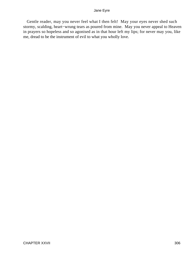Gentle reader, may you never feel what I then felt! May your eyes never shed such stormy, scalding, heart−wrung tears as poured from mine. May you never appeal to Heaven in prayers so hopeless and so agonised as in that hour left my lips; for never may you, like me, dread to be the instrument of evil to what you wholly love.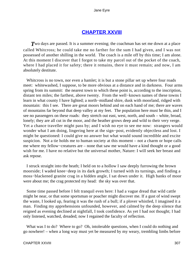# **[CHAPTER XXVIII](#page-435-0)**

**T**wo days are passed. It is a summer evening; the coachman has set me down at a place called Whitcross; he could take me no farther for the sum I had given, and I was not possessed of another shilling in the world. The coach is a mile off by this time; I am alone. At this moment I discover that I forgot to take my parcel out of the pocket of the coach, where I had placed it for safety; there it remains, there it must remain; and now, I am absolutely destitute.

 Whitcross is no town, nor even a hamlet; it is but a stone pillar set up where four roads meet: whitewashed, I suppose, to be more obvious at a distance and in darkness. Four arms spring from its summit: the nearest town to which these point is, according to the inscription, distant ten miles; the farthest, above twenty. From the well−known names of these towns I learn in what county I have lighted; a north−midland shire, dusk with moorland, ridged with mountain: this I see. There are great moors behind and on each hand of me; there are waves of mountains far beyond that deep valley at my feet. The population here must be thin, and I see no passengers on these roads: they stretch out east, west, north, and south – white, broad, lonely; they are all cut in the moor, and the heather grows deep and wild to their very verge. Yet a chance traveller might pass by; and I wish no eye to see me now: strangers would wonder what I am doing, lingering here at the sign−post, evidently objectless and lost. I might be questioned: I could give no answer but what would sound incredible and excite suspicion. Not a tie holds me to human society at this moment – not a charm or hope calls me where my fellow−creatures are – none that saw me would have a kind thought or a good wish for me. I have no relative but the universal mother, Nature: I will seek her breast and ask repose.

 I struck straight into the heath; I held on to a hollow I saw deeply furrowing the brown moorside; I waded knee−deep in its dark growth; I turned with its turnings, and finding a moss−blackened granite crag in a hidden angle, I sat down under it. High banks of moor were about me; the crag protected my head: the sky was over that.

 Some time passed before I felt tranquil even here: I had a vague dread that wild cattle might be near, or that some sportsman or poacher might discover me. If a gust of wind swept the waste, I looked up, fearing it was the rush of a bull; if a plover whistled, I imagined it a man. Finding my apprehensions unfounded, however, and calmed by the deep silence that reigned as evening declined at nightfall, I took confidence. As yet I had not thought; I had only listened, watched, dreaded; now I regained the faculty of reflection.

What was I to do? Where to go? Oh, intolerable questions, when I could do nothing and go nowhere! – when a long way must yet be measured by my weary, trembling limbs before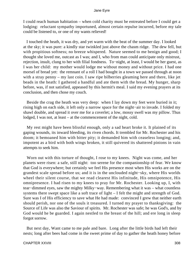I could reach human habitation – when cold charity must be entreated before I could get a lodging: reluctant sympathy importuned, almost certain repulse incurred, before my tale could be listened to, or one of my wants relieved!

 I touched the heath, it was dry, and yet warm with the beat of the summer day. I looked at the sky; it was pure: a kindly star twinkled just above the chasm ridge. The dew fell, but with propitious softness; no breeze whispered. Nature seemed to me benign and good; I thought she loved me, outcast as I was; and I, who from man could anticipate only mistrust, rejection, insult, clung to her with filial fondness. To−night, at least, I would be her guest, as I was her child: my mother would lodge me without money and without price. I had one morsel of bread yet: the remnant of a roll I had bought in a town we passed through at noon with a stray penny – my last coin. I saw ripe bilberries gleaming here and there, like jet beads in the heath: I gathered a handful and ate them with the bread. My hunger, sharp before, was, if not satisfied, appeased by this hermit's meal. I said my evening prayers at its conclusion, and then chose my couch.

 Beside the crag the heath was very deep: when I lay down my feet were buried in it; rising high on each side, it left only a narrow space for the night−air to invade. I folded my shawl double, and spread it over me for a coverlet; a low, mossy swell was my pillow. Thus lodged, I was not, at least – at the commencement of the night, cold.

 My rest might have been blissful enough, only a sad heart broke it. It plained of its gaping wounds, its inward bleeding, its riven chords. It trembled for Mr. Rochester and his doom; it bemoaned him with bitter pity; it demanded him with ceaseless longing; and, impotent as a bird with both wings broken, it still quivered its shattered pinions in vain attempts to seek him.

 Worn out with this torture of thought, I rose to my knees. Night was come, and her planets were risen: a safe, still night: too serene for the companionship of fear. We know that God is everywhere; but certainly we feel His presence most when His works are on the grandest scale spread before us; and it is in the unclouded night−sky, where His worlds wheel their silent course, that we read clearest His infinitude, His omnipotence, His omnipresence. I had risen to my knees to pray for Mr. Rochester. Looking up, I, with tear−dimmed eyes, saw the mighty Milky−way. Remembering what it was – what countless systems there swept space like a soft trace of light – I felt the might and strength of God. Sure was I of His efficiency to save what He had made: convinced I grew that neither earth should perish, nor one of the souls it treasured. I turned my prayer to thanksgiving: the Source of Life was also the Saviour of spirits. Mr. Rochester was safe; he was God's, and by God would he be guarded. I again nestled to the breast of the hill; and ere long in sleep forgot sorrow.

 But next day, Want came to me pale and bare. Long after the little birds had left their nests; long after bees had come in the sweet prime of day to gather the heath honey before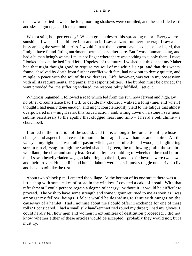the dew was dried – when the long morning shadows were curtailed, and the sun filled earth and sky – I got up, and I looked round me.

What a still, hot, perfect day! What a golden desert this spreading moor! Everywhere sunshine. I wished I could live in it and on it. I saw a lizard run over the crag; I saw a bee busy among the sweet bilberries. I would fain at the moment have become bee or lizard, that I might have found fitting nutriment, permanent shelter here. But I was a human being, and had a human being's wants: I must not linger where there was nothing to supply them. I rose; I looked back at the bed I had left. Hopeless of the future, I wished but this – that my Maker had that night thought good to require my soul of me while I slept; and that this weary frame, absolved by death from further conflict with fate, had now but to decay quietly, and mingle in peace with the soil of this wilderness. Life, however, was yet in my possession, with all its requirements, and pains, and responsibilities. The burden must be carried; the want provided for; the suffering endured; the responsibility fulfilled. I set out.

 Whitcross regained, I followed a road which led from the sun, now fervent and high. By no other circumstance had I will to decide my choice. I walked a long time, and when I thought I had nearly done enough, and might conscientiously yield to the fatigue that almost overpowered me – might relax this forced action, and, sitting down on a stone I saw near, submit resistlessly to the apathy that clogged heart and  $limb - I$  heard a bell chime – a church bell.

 I turned in the direction of the sound, and there, amongst the romantic hills, whose changes and aspect I had ceased to note an hour ago, I saw a hamlet and a spire. All the valley at my right hand was full of pasture−fields, and cornfields, and wood; and a glittering stream ran zig−zag through the varied shades of green, the mellowing grain, the sombre woodland, the clear and sunny lea. Recalled by the rumbling of wheels to the road before me, I saw a heavily−laden waggon labouring up the hill, and not far beyond were two cows and their drover. Human life and human labour were near. I must struggle on: strive to live and bend to toil like the rest.

 About two o'clock p.m. I entered the village. At the bottom of its one street there was a little shop with some cakes of bread in the window. I coveted a cake of bread. With that refreshment I could perhaps regain a degree of energy: without it, it would be difficult to proceed. The wish to have some strength and some vigour returned to me as soon as I was amongst my fellow−beings. I felt it would be degrading to faint with hunger on the causeway of a hamlet. Had I nothing about me I could offer in exchange for one of these rolls? I considered. I had a small silk handkerchief tied round my throat; I had my gloves. I could hardly tell how men and women in extremities of destitution proceeded. I did not know whether either of these articles would be accepted: probably they would not; but I must try.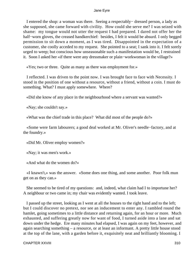I entered the shop: a woman was there. Seeing a respectably− dressed person, a lady as she supposed, she came forward with civility. How could she serve me? I was seized with shame: my tongue would not utter the request I had prepared. I dared not offer her the half−worn gloves, the creased handkerchief: besides, I felt it would be absurd. I only begged permission to sit down a moment, as I was tired. Disappointed in the expectation of a customer, she coolly acceded to my request. She pointed to a seat; I sank into it. I felt sorely urged to weep; but conscious how unseasonable such a manifestation would be, I restrained it. Soon I asked her «if there were any dressmaker or plain−workwoman in the village?»

«Yes; two or three. Quite as many as there was employment for.»

 I reflected. I was driven to the point now. I was brought face to face with Necessity. I stood in the position of one without a resource, without a friend, without a coin. I must do something. What? I must apply somewhere. Where?

«Did she know of any place in the neighbourhood where a servant was wanted?»

«Nay; she couldn't say.»

«What was the chief trade in this place? What did most of the people do?»

 «Some were farm labourers; a good deal worked at Mr. Oliver's needle−factory, and at the foundry.»

«Did Mr. Oliver employ women?»

«Nay; it was men's work.»

«And what do the women do?»

 «I knawn't,» was the answer. «Some does one thing, and some another. Poor folk mun get on as they can.»

 She seemed to be tired of my questions: and, indeed, what claim had I to importune her? A neighbour or two came in; my chair was evidently wanted. I took leave.

 I passed up the street, looking as I went at all the houses to the right hand and to the left; but I could discover no pretext, nor see an inducement to enter any. I rambled round the hamlet, going sometimes to a little distance and returning again, for an hour or more. Much exhausted, and suffering greatly now for want of food, I turned aside into a lane and sat down under the hedge. Ere many minutes had elapsed, I was again on my feet, however, and again searching something – a resource, or at least an informant. A pretty little house stood at the top of the lane, with a garden before it, exquisitely neat and brilliantly blooming. I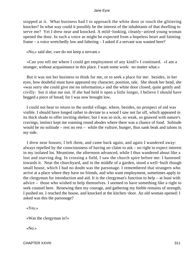stopped at it. What business had I to approach the white door or touch the glittering knocker? In what way could it possibly be the interest of the inhabitants of that dwelling to serve me? Yet I drew near and knocked. A mild–looking, cleanly–attired young woman opened the door. In such a voice as might be expected from a hopeless heart and fainting frame – a voice wretchedly low and faltering – I asked if a servant was wanted here?

«No,» said she; «we do not keep a servant.»

 «Can you tell me where I could get employment of any kind?» I continued. «I am a stranger, without acquaintance in this place. I want some work: no matter what.»

 But it was not her business to think for me, or to seek a place for me: besides, in her eyes, how doubtful must have appeared my character, position, tale. She shook her head, she «was sorry she could give me no information,» and the white door closed, quite gently and civilly: but it shut me out. If she had held it open a little longer, I believe I should have begged a piece of bread; for I was now brought low.

 I could not bear to return to the sordid village, where, besides, no prospect of aid was visible. I should have longed rather to deviate to a wood I saw not far off, which appeared in its thick shade to offer inviting shelter; but I was so sick, so weak, so gnawed with nature's cravings, instinct kept me roaming round abodes where there was a chance of food. Solitude would be no solitude – rest no rest – while the vulture, hunger, thus sank beak and talons in my side.

 I drew near houses; I left them, and came back again, and again I wandered away: always repelled by the consciousness of having no claim to ask – no right to expect interest in my isolated lot. Meantime, the afternoon advanced, while I thus wandered about like a lost and starving dog. In crossing a field, I saw the church spire before me: I hastened towards it. Near the churchyard, and in the middle of a garden, stood a well−built though small house, which I had no doubt was the parsonage. I remembered that strangers who arrive at a place where they have no friends, and who want employment, sometimes apply to the clergyman for introduction and aid. It is the clergyman's function to help – at least with advice – those who wished to help themselves. I seemed to have something like a right to seek counsel here. Renewing then my courage, and gathering my feeble remains of strength, I pushed on. I reached the house, and knocked at the kitchen−door. An old woman opened: I asked was this the parsonage?

«Yes.»

«Was the clergyman in?»

«No.»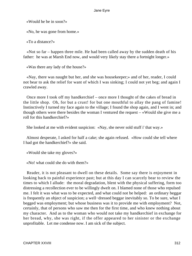«Would he be in soon?»

«No, he was gone from home.»

«To a distance?»

 «Not so far – happen three mile. He had been called away by the sudden death of his father: he was at Marsh End now, and would very likely stay there a fortnight longer.»

«Was there any lady of the house?»

 «Nay, there was naught but her, and she was housekeeper;» and of her, reader, I could not bear to ask the relief for want of which I was sinking; I could not yet beg; and again I crawled away.

 Once more I took off my handkerchief – once more I thought of the cakes of bread in the little shop. Oh, for but a crust! for but one mouthful to allay the pang of famine! Instinctively I turned my face again to the village; I found the shop again, and I went in; and though others were there besides the woman I ventured the request – «Would she give me a roll for this handkerchief?»

She looked at me with evident suspicion: «Nay, she never sold stuff i' that way.»

 Almost desperate, I asked for half a cake; she again refused. «How could she tell where I had got the handkerchief?» she said.

«Would she take my gloves?»

«No! what could she do with them?»

 Reader, it is not pleasant to dwell on these details. Some say there is enjoyment in looking back to painful experience past; but at this day I can scarcely bear to review the times to which I allude: the moral degradation, blent with the physical suffering, form too distressing a recollection ever to be willingly dwelt on. I blamed none of those who repulsed me. I felt it was what was to be expected, and what could not be helped: an ordinary beggar is frequently an object of suspicion; a well−dressed beggar inevitably so. To be sure, what I begged was employment; but whose business was it to provide me with employment? Not, certainly, that of persons who saw me then for the first time, and who knew nothing about my character. And as to the woman who would not take my handkerchief in exchange for her bread, why, she was right, if the offer appeared to her sinister or the exchange unprofitable. Let me condense now. I am sick of the subject.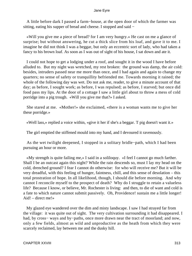A little before dark I passed a farm−house, at the open door of which the farmer was sitting, eating his supper of bread and cheese. I stopped and said −

 «Will you give me a piece of bread? for I am very hungry.» He cast on me a glance of surprise; but without answering, he cut a thick slice from his loaf, and gave it to me. I imagine he did not think I was a beggar, but only an eccentric sort of lady, who had taken a fancy to his brown loaf. As soon as I was out of sight of his house, I sat down and ate it.

 I could not hope to get a lodging under a roof, and sought it in the wood I have before alluded to. But my night was wretched, my rest broken: the ground was damp, the air cold: besides, intruders passed near me more than once, and I had again and again to change my quarters; no sense of safety or tranquillity befriended me. Towards morning it rained; the whole of the following day was wet. Do not ask me, reader, to give a minute account of that day; as before, I sought work; as before, I was repulsed; as before, I starved; but once did food pass my lips. At the door of a cottage I saw a little girl about to throw a mess of cold porridge into a pig trough. «Will you give me that?» I asked.

 She stared at me. «Mother!» she exclaimed, «there is a woman wants me to give her these porridge.»

«Well lass,» replied a voice within, «give it her if she's a beggar. T pig doesn't want it.»

The girl emptied the stiffened mould into my hand, and I devoured it ravenously.

 As the wet twilight deepened, I stopped in a solitary bridle−path, which I had been pursuing an hour or more.

 «My strength is quite failing me,» I said in a soliloquy. «I feel I cannot go much farther. Shall I be an outcast again this night? While the rain descends so, must I lay my head on the cold, drenched ground? I fear I cannot do otherwise: for who will receive me? But it will be very dreadful, with this feeling of hunger, faintness, chill, and this sense of desolation – this total prostration of hope. In all likelihood, though, I should die before morning. And why cannot I reconcile myself to the prospect of death? Why do I struggle to retain a valueless life? Because I know, or believe, Mr. Rochester is living: and then, to die of want and cold is a fate to which nature cannot submit passively. Oh, Providence! sustain me a little longer! Aid! – direct me!»

 My glazed eye wandered over the dim and misty landscape. I saw I had strayed far from the village: it was quite out of sight. The very cultivation surrounding it had disappeared. I had, by cross− ways and by−paths, once more drawn near the tract of moorland; and now, only a few fields, almost as wild and unproductive as the heath from which they were scarcely reclaimed, lay between me and the dusky hill.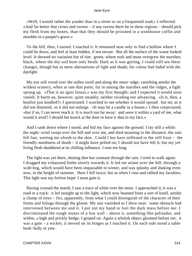«Well, I would rather die yonder than in a street or on a frequented road,» I reflected. «And far better that crows and ravens – if any ravens there be in these regions – should pick my flesh from my bones, than that they should be prisoned in a workhouse coffin and moulder in a pauper's grave.»

 To the hill, then, I turned. I reached it. It remained now only to find a hollow where I could lie down, and feel at least hidden, if not secure. But all the surface of the waste looked level. It showed no variation but of tint: green, where rush and moss overgrew the marshes; black, where the dry soil bore only heath. Dark as it was getting, I could still see these changes, though but as mere alternations of light and shade; for colour had faded with the daylight.

 My eye still roved over the sullen swell and along the moor−edge, vanishing amidst the wildest scenery, when at one dim point, far in among the marshes and the ridges, a light sprang up. «That is an ignis fatuus,» was my first thought; and I expected it would soon vanish. It burnt on, however, quite steadily, neither receding nor advancing. «Is it, then, a bonfire just kindled?» I questioned. I watched to see whether it would spread: but no; as it did not diminish, so it did not enlarge. «It may be a candle in a house,» I then conjectured; «but if so, I can never reach it. It is much too far away: and were it within a yard of me, what would it avail? I should but knock at the door to have it shut in my face.»

 And I sank down where I stood, and hid my face against the ground. I lay still a while: the night−wind swept over the hill and over me, and died moaning in the distance; the rain fell fast, wetting me afresh to the skin. Could I but have stiffened to the still frost – the friendly numbness of death – it might have pelted on; I should not have felt it; but my yet living flesh shuddered at its chilling influence. I rose ere long.

 The light was yet there, shining dim but constant through the rain. I tried to walk again: I dragged my exhausted limbs slowly towards it. It led me aslant over the hill, through a wide bog, which would have been impassable in winter, and was splashy and shaking even now, in the height of summer. Here I fell twice; but as often I rose and rallied my faculties. This light was my forlorn hope: I must gain it.

 Having crossed the marsh, I saw a trace of white over the moor. I approached it; it was a road or a track: it led straight up to the light, which now beamed from a sort of knoll, amidst a clump of trees – firs, apparently, from what I could distinguish of the character of their forms and foliage through the gloom. My star vanished as I drew near: some obstacle had intervened between me and it. I put out my hand to feel the dark mass before me: I discriminated the rough stones of a low wall – above it, something like palisades, and within, a high and prickly hedge. I groped on. Again a whitish object gleamed before me: it was a gate – a wicket; it moved on its hinges as I touched it. On each side stood a sable bush−holly or yew.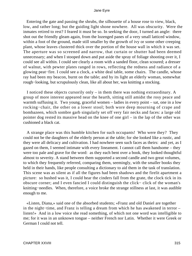Entering the gate and passing the shrubs, the silhouette of a house rose to view, black, low, and rather long; but the guiding light shone nowhere. All was obscurity. Were the inmates retired to rest? I feared it must be so. In seeking the door, I turned an angle: there shot out the friendly gleam again, from the lozenged panes of a very small latticed window, within a foot of the ground, made still smaller by the growth of ivy or some other creeping plant, whose leaves clustered thick over the portion of the house wall in which it was set. The aperture was so screened and narrow, that curtain or shutter had been deemed unnecessary; and when I stooped down and put aside the spray of foliage shooting over it, I could see all within. I could see clearly a room with a sanded floor, clean scoured; a dresser of walnut, with pewter plates ranged in rows, reflecting the redness and radiance of a glowing peat−fire. I could see a clock, a white deal table, some chairs. The candle, whose ray had been my beacon, burnt on the table; and by its light an elderly woman, somewhat rough−looking, but scrupulously clean, like all about her, was knitting a stocking.

 I noticed these objects cursorily only – in them there was nothing extraordinary. A group of more interest appeared near the hearth, sitting still amidst the rosy peace and warmth suffusing it. Two young, graceful women – ladies in every point – sat, one in a low rocking−chair, the other on a lower stool; both wore deep mourning of crape and bombazeen, which sombre garb singularly set off very fair necks and faces: a large old pointer dog rested its massive head on the knee of one girl – in the lap of the other was cushioned a black cat.

 A strange place was this humble kitchen for such occupants! Who were they? They could not be the daughters of the elderly person at the table; for she looked like a rustic, and they were all delicacy and cultivation. I had nowhere seen such faces as theirs: and yet, as I gazed on them, I seemed intimate with every lineament. I cannot call them handsome – they were too pale and grave for the word: as they each bent over a book, they looked thoughtful almost to severity. A stand between them supported a second candle and two great volumes, to which they frequently referred, comparing them, seemingly, with the smaller books they held in their hands, like people consulting a dictionary to aid them in the task of translation. This scene was as silent as if all the figures had been shadows and the firelit apartment a picture: so hushed was it, I could hear the cinders fall from the grate, the clock tick in its obscure corner; and I even fancied I could distinguish the click− click of the woman's knitting−needles. When, therefore, a voice broke the strange stillness at last, it was audible enough to me.

 «Listen, Diana,» said one of the absorbed students; «Franz and old Daniel are together in the night−time, and Franz is telling a dream from which he has awakened in terror – listen!» And in a low voice she read something, of which not one word was intelligible to me; for it was in an unknown tongue – neither French nor Latin. Whether it were Greek or German I could not tell.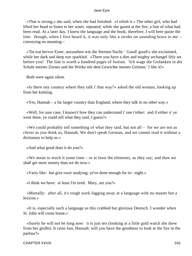«That is strong,» she said, when she had finished: «I relish it.» The other girl, who had lifted her head to listen to her sister, repeated, while she gazed at the fire, a line of what had been read. At a later day, I knew the language and the book; therefore, I will here quote the line: though, when I first heard it, it was only like a stroke on sounding brass to me – conveying no meaning:−

 «'Da trat hervor Einer, anzusehen wie die Sternen Nacht.' Good! good!» she exclaimed, while her dark and deep eye sparkled. «There you have a dim and mighty archangel fitly set before you! The line is worth a hundred pages of fustian. 'Ich wage die Gedanken in der Schale meines Zornes und die Werke mit dem Gewichte meines Grimms.' I like it!»

Both were again silent.

 «Is there ony country where they talk i' that way?» asked the old woman, looking up from her knitting.

«Yes, Hannah – a far larger country than England, where they talk in no other way.»

 «Well, for sure case, I knawn't how they can understand t' one t'other: and if either o' ye went there, ye could tell what they said, I guess?»

 «We could probably tell something of what they said, but not all – for we are not as clever as you think us, Hannah. We don't speak German, and we cannot read it without a dictionary to help us.»

«And what good does it do you?»

 «We mean to teach it some time – or at least the elements, as they say; and then we shall get more money than we do now.»

«Varry like: but give ower studying; ye've done enough for to− night.»

«I think we have: at least I'm tired. Mary, are you?»

 «Mortally: after all, it's tough work fagging away at a language with no master but a lexicon.»

 «It is, especially such a language as this crabbed but glorious Deutsch. I wonder when St. John will come home.»

 «Surely he will not be long now: it is just ten (looking at a little gold watch she drew from her girdle). It rains fast, Hannah: will you have the goodness to look at the fire in the parlour?»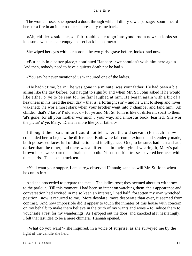The woman rose: she opened a door, through which I dimly saw a passage: soon I heard her stir a fire in an inner room; she presently came back.

 «Ah, childer!» said she, «it fair troubles me to go into yond' room now: it looks so lonesome wi' the chair empty and set back in a corner.»

She wiped her eyes with her apron: the two girls, grave before, looked sad now.

 «But he is in a better place,» continued Hannah: «we shouldn't wish him here again. And then, nobody need to have a quieter death nor he had.»

«You say he never mentioned us?» inquired one of the ladies.

 «He hadn't time, bairn: he was gone in a minute, was your father. He had been a bit ailing like the day before, but naught to signify; and when Mr. St. John asked if he would like either o' ye to be sent for, he fair laughed at him. He began again with a bit of a heaviness in his head the next day – that is, a fortnight sin' – and he went to sleep and niver wakened: he wor a'most stark when your brother went into t' chamber and fand him. Ah, childer! that's t' last o' t' old stock – for ye and Mr. St. John is like of different soart to them 'at's gone; for all your mother wor mich i' your way, and a'most as book−learned. She wor the pictur' o' ye, Mary: Diana is more like your father.»

 I thought them so similar I could not tell where the old servant (for such I now concluded her to be) saw the difference. Both were fair complexioned and slenderly made; both possessed faces full of distinction and intelligence. One, to be sure, had hair a shade darker than the other, and there was a difference in their style of wearing it; Mary's pale brown locks were parted and braided smooth: Diana's duskier tresses covered her neck with thick curls. The clock struck ten.

 «Ye'll want your supper, I am sure,» observed Hannah; «and so will Mr. St. John when he comes in.»

 And she proceeded to prepare the meal. The ladies rose; they seemed about to withdraw to the parlour. Till this moment, I had been so intent on watching them, their appearance and conversation had excited in me so keen an interest, I had half−forgotten my own wretched position: now it recurred to me. More desolate, more desperate than ever, it seemed from contrast. And how impossible did it appear to touch the inmates of this house with concern on my behalf; to make them believe in the truth of my wants and woes – to induce them to vouchsafe a rest for my wanderings! As I groped out the door, and knocked at it hesitatingly, I felt that last idea to be a mere chimera. Hannah opened.

 «What do you want?» she inquired, in a voice of surprise, as she surveyed me by the light of the candle she held.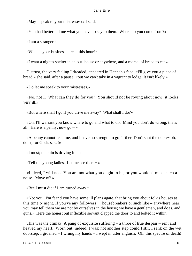«May I speak to your mistresses?» I said.

«You had better tell me what you have to say to them. Where do you come from?»

«I am a stranger.»

«What is your business here at this hour?»

«I want a night's shelter in an out−house or anywhere, and a morsel of bread to eat.»

 Distrust, the very feeling I dreaded, appeared in Hannah's face. «I'll give you a piece of bread,» she said, after a pause; «but we can't take in a vagrant to lodge. It isn't likely.»

«Do let me speak to your mistresses.»

 «No, not I. What can they do for you? You should not be roving about now; it looks very ill.»

«But where shall I go if you drive me away? What shall I do?»

 «Oh, I'll warrant you know where to go and what to do. Mind you don't do wrong, that's all. Here is a penny; now go  $-\infty$ 

 «A penny cannot feed me, and I have no strength to go farther. Don't shut the door:− oh, don't, for God's sake!»

«I must; the rain is driving in  $-\infty$ 

«Tell the young ladies. Let me see them− »

 «Indeed, I will not. You are not what you ought to be, or you wouldn't make such a noise. Move off.»

«But I must die if I am turned away.»

 «Not you. I'm fear'd you have some ill plans agate, that bring you about folk's houses at this time o' night. If you've any followers− −housebreakers or such like – anywhere near, you may tell them we are not by ourselves in the house; we have a gentleman, and dogs, and guns.» Here the honest but inflexible servant clapped the door to and bolted it within.

 This was the climax. A pang of exquisite suffering – a throe of true despair – rent and heaved my heart. Worn out, indeed, I was; not another step could I stir. I sank on the wet doorstep: I groaned – I wrung my hands – I wept in utter anguish. Oh, this spectre of death!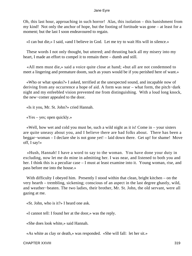Oh, this last hour, approaching in such horror! Alas, this isolation – this banishment from my kind! Not only the anchor of hope, but the footing of fortitude was gone – at least for a moment; but the last I soon endeavoured to regain.

«I can but die,» I said, «and I believe in God. Let me try to wait His will in silence.»

 These words I not only thought, but uttered; and thrusting back all my misery into my heart, I made an effort to compel it to remain there – dumb and still.

 «All men must die,» said a voice quite close at hand; «but all are not condemned to meet a lingering and premature doom, such as yours would be if you perished here of want.»

 «Who or what speaks?» I asked, terrified at the unexpected sound, and incapable now of deriving from any occurrence a hope of aid. A form was near – what form, the pitch−dark night and my enfeebled vision prevented me from distinguishing. With a loud long knock, the new−comer appealed to the door.

«Is it you, Mr. St. John?» cried Hannah.

«Yes – yes; open quickly.»

 «Well, how wet and cold you must be, such a wild night as it is! Come in – your sisters are quite uneasy about you, and I believe there are bad folks about. There has been a beggar−woman – I declare she is not gone yet! – laid down there. Get up! for shame! Move off, I say!»

 «Hush, Hannah! I have a word to say to the woman. You have done your duty in excluding, now let me do mine in admitting her. I was near, and listened to both you and her. I think this is a peculiar case – I must at least examine into it. Young woman, rise, and pass before me into the house.»

With difficulty I obeyed him. Presently I stood within that clean, bright kitchen – on the very hearth – trembling, sickening; conscious of an aspect in the last degree ghastly, wild, and weather−beaten. The two ladies, their brother, Mr. St. John, the old servant, were all gazing at me.

«St. John, who is it?» I heard one ask.

«I cannot tell: I found her at the door,» was the reply.

«She does look white,» said Hannah.

«As white as clay or death,» was responded. «She will fall: let her sit.»

CHAPTER XXVIII 319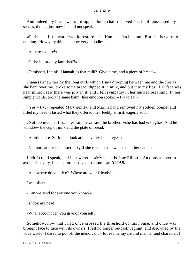And indeed my head swam: I dropped, but a chair received me. I still possessed my senses, though just now I could not speak.

 «Perhaps a little water would restore her. Hannah, fetch some. But she is worn to nothing. How very thin, and how very bloodless!»

«A mere spectre!»

«Is she ill, or only famished?»

«Famished, I think. Hannah, is that milk? Give it me, and a piece of bread.»

 Diana (I knew her by the long curls which I saw drooping between me and the fire as she bent over me) broke some bread, dipped it in milk, and put it to my lips. Her face was near mine: I saw there was pity in it, and I felt sympathy in her hurried breathing. In her simple words, too, the same balm−like emotion spoke: «Try to eat.»

 «Yes – try,» repeated Mary gently; and Mary's hand removed my sodden bonnet and lifted my head. I tasted what they offered me: feebly at first, eagerly soon.

 «Not too much at first – restrain her,» said the brother; «she has had enough.» And he withdrew the cup of milk and the plate of bread.

«A little more, St. John – look at the avidity in her eyes.»

«No more at present, sister. Try if she can speak now – ask her her name.»

 I felt I could speak, and I answered – «My name is Jane Elliott.» Anxious as ever to avoid discovery, I had before resolved to assume an **ALIAS.**

«And where do you live? Where are your friends?»

I was silent.

«Can we send for any one you know?»

I shook my head.

«What account can you give of yourself?»

 Somehow, now that I had once crossed the threshold of this house, and once was brought face to face with its owners, I felt no longer outcast, vagrant, and disowned by the wide world. I dared to put off the mendicant – to resume my natural manner and character. I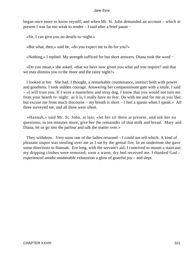began once more to know myself; and when Mr. St. John demanded an account – which at present I was far too weak to render – I said after a brief pause −

«Sir, I can give you no details to−night.»

«But what, then,» said he, «do you expect me to do for you?»

«Nothing,» I replied. My strength sufficed for but short answers. Diana took the word −

 «Do you mean,» she asked, «that we have now given you what aid you require? and that we may dismiss you to the moor and the rainy night?»

 I looked at her. She had, I thought, a remarkable countenance, instinct both with power and goodness. I took sudden courage. Answering her compassionate gate with a smile, I said – «I will trust you. If I were a masterless and stray dog, I know that you would not turn me from your hearth to−night: as it is, I really have no fear. Do with me and for me as you like; but excuse me from much discourse – my breath is short – I feel a spasm when I speak.» All three surveyed me, and all three were silent.

 «Hannah,» said Mr. St. John, at last, «let her sit there at present, and ask her no questions; in ten minutes more, give her the remainder of that milk and bread. Mary and Diana, let us go into the parlour and talk the matter over.»

 They withdrew. Very soon one of the ladies returned – I could not tell which. A kind of pleasant stupor was stealing over me as I sat by the genial fire. In an undertone she gave some directions to Hannah. Ere long, with the servant's aid, I contrived to mount a staircase; my dripping clothes were removed; soon a warm, dry bed received me. I thanked God – experienced amidst unutterable exhaustion a glow of grateful joy – and slept.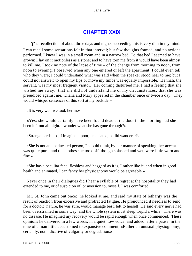# **[CHAPTER XXIX](#page-435-0)**

**The recollection of about three days and nights succeeding this is very dim in my mind.** I can recall some sensations felt in that interval; but few thoughts framed, and no actions performed. I knew I was in a small room and in a narrow bed. To that bed I seemed to have grown; I lay on it motionless as a stone; and to have torn me from it would have been almost to kill me. I took no note of the lapse of time – of the change from morning to noon, from noon to evening. I observed when any one entered or left the apartment: I could even tell who they were; I could understand what was said when the speaker stood near to me; but I could not answer; to open my lips or move my limbs was equally impossible. Hannah, the servant, was my most frequent visitor. Her coming disturbed me. I had a feeling that she wished me away: that she did not understand me or my circumstances; that she was prejudiced against me. Diana and Mary appeared in the chamber once or twice a day. They would whisper sentences of this sort at my bedside −

«It is very well we took her in.»

 «Yes; she would certainly have been found dead at the door in the morning had she been left out all night. I wonder what she has gone through?»

«Strange hardships, I imagine – poor, emaciated, pallid wanderer?»

 «She is not an uneducated person, I should think, by her manner of speaking; her accent was quite pure; and the clothes she took off, though splashed and wet, were little worn and fine.»

 «She has a peculiar face; fleshless and haggard as it is, I rather like it; and when in good health and animated, I can fancy her physiognomy would be agreeable.»

 Never once in their dialogues did I hear a syllable of regret at the hospitality they had extended to me, or of suspicion of, or aversion to, myself. I was comforted.

 Mr. St. John came but once: he looked at me, and said my state of lethargy was the result of reaction from excessive and protracted fatigue. He pronounced it needless to send for a doctor: nature, he was sure, would manage best, left to herself. He said every nerve had been overstrained in some way, and the whole system must sleep torpid a while. There was no disease. He imagined my recovery would be rapid enough when once commenced. These opinions he delivered in a few words, in a quiet, low voice; and added, after a pause, in the tone of a man little accustomed to expansive comment, «Rather an unusual physiognomy; certainly, not indicative of vulgarity or degradation.»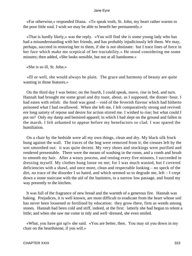«Far otherwise,» responded Diana. «To speak truth, St. John, my heart rather warms to the poor little soul. I wish we may be able to benefit her permanently.»

 «That is hardly likely,» was the reply. «You will find she is some young lady who has had a misunderstanding with her friends, and has probably injudiciously left them. We may, perhaps, succeed in restoring her to them, if she is not obstinate: but I trace lines of force in her face which make me sceptical of her tractability.» He stood considering me some minutes; then added, «She looks sensible, but not at all handsome.»

«She is so ill, St. John.»

 «Ill or well, she would always be plain. The grace and harmony of beauty are quite wanting in those features.»

 On the third day I was better; on the fourth, I could speak, move, rise in bed, and turn. Hannah had brought me some gruel and dry toast, about, as I supposed, the dinner−hour. I had eaten with relish: the food was good – void of the feverish flavour which had hitherto poisoned what I had swallowed. When she left me, I felt comparatively strong and revived: ere long satiety of repose and desire for action stirred me. I wished to rise; but what could I put on? Only my damp and bemired apparel; in which I had slept on the ground and fallen in the marsh. I felt ashamed to appear before my benefactors so clad. I was spared the humiliation.

 On a chair by the bedside were all my own things, clean and dry. My black silk frock hung against the wall. The traces of the bog were removed from it; the creases left by the wet smoothed out: it was quite decent. My very shoes and stockings were purified and rendered presentable. There were the means of washing in the room, and a comb and brush to smooth my hair. After a weary process, and resting every five minutes, I succeeded in dressing myself. My clothes hung loose on me; for I was much wasted, but I covered deficiencies with a shawl, and once more, clean and respectable looking – no speck of the dirt, no trace of the disorder I so hated, and which seemed so to degrade me, left – I crept down a stone staircase with the aid of the banisters, to a narrow low passage, and found my way presently to the kitchen.

 It was full of the fragrance of new bread and the warmth of a generous fire. Hannah was baking. Prejudices, it is well known, are most difficult to eradicate from the heart whose soil has never been loosened or fertilised by education: they grow there, firm as weeds among stones. Hannah had been cold and stiff, indeed, at the first: latterly she had begun to relent a little; and when she saw me come in tidy and well−dressed, she even smiled.

 «What, you have got up!» she said. «You are better, then. You may sit you down in my chair on the hearthstone, if you will.»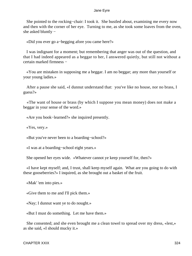She pointed to the rocking−chair: I took it. She bustled about, examining me every now and then with the corner of her eye. Turning to me, as she took some loaves from the oven, she asked bluntly −

«Did you ever go a−begging afore you came here?»

 I was indignant for a moment; but remembering that anger was out of the question, and that I had indeed appeared as a beggar to her, I answered quietly, but still not without a certain marked firmness −

 «You are mistaken in supposing me a beggar. I am no beggar; any more than yourself or your young ladies.»

 After a pause she said, «I dunnut understand that: you've like no house, nor no brass, I guess?»

 «The want of house or brass (by which I suppose you mean money) does not make a beggar in your sense of the word.»

«Are you book−learned?» she inquired presently.

«Yes, very.»

«But you've never been to a boarding−school?»

«I was at a boarding−school eight years.»

She opened her eyes wide. «Whatever cannot ye keep yourself for, then?»

 «I have kept myself; and, I trust, shall keep myself again. What are you going to do with these gooseberries?» I inquired, as she brought out a basket of the fruit.

«Mak' 'em into pies.»

«Give them to me and I'll pick them.»

«Nay; I dunnut want ye to do nought.»

«But I must do something. Let me have them.»

 She consented; and she even brought me a clean towel to spread over my dress, «lest,» as she said, «I should mucky it.»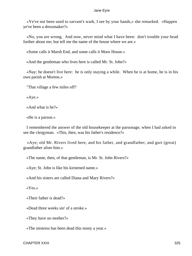«Ye've not been used to sarvant's wark, I see by your hands,» she remarked. «Happen ye've been a dressmaker?»

 «No, you are wrong. And now, never mind what I have been: don't trouble your head further about me; but tell me the name of the house where we are.»

«Some calls it Marsh End, and some calls it Moor House.»

«And the gentleman who lives here is called Mr. St. John?»

 «Nay; he doesn't live here: he is only staying a while. When he is at home, he is in his own parish at Morton.»

"That village a few miles off?

«Aye.»

«And what is he?»

«He is a parson.»

 I remembered the answer of the old housekeeper at the parsonage, when I had asked to see the clergyman. «This, then, was his father's residence?»

 «Aye; old Mr. Rivers lived here, and his father, and grandfather, and gurt (great) grandfather afore him.»

«The name, then, of that gentleman, is Mr. St. John Rivers?»

«Aye; St. John is like his kirstened name.»

«And his sisters are called Diana and Mary Rivers?»

«Yes.»

«Their father is dead?»

«Dead three weeks sin' of a stroke.»

«They have no mother?»

«The mistress has been dead this mony a year.»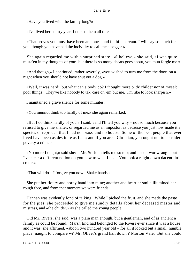«Have you lived with the family long?»

«I've lived here thirty year. I nursed them all three.»

 «That proves you must have been an honest and faithful servant. I will say so much for you, though you have had the incivility to call me a beggar.»

 She again regarded me with a surprised stare. «I believe,» she said, «I was quite mista'en in my thoughts of you: but there is so mony cheats goes about, you mun forgie me.»

 «And though,» I continued, rather severely, «you wished to turn me from the door, on a night when you should not have shut out a dog.»

 «Well, it was hard: but what can a body do? I thought more o' th' childer nor of mysel: poor things! They've like nobody to tak' care on 'em but me. I'm like to look sharpish.»

I maintained a grave silence for some minutes.

«You munnut think too hardly of me,» she again remarked.

 «But I do think hardly of you,» I said; «and I'll tell you why – not so much because you refused to give me shelter, or regarded me as an impostor, as because you just now made it a species of reproach that I had no 'brass' and no house. Some of the best people that ever lived have been as destitute as I am; and if you are a Christian, you ought not to consider poverty a crime.»

 «No more I ought,» said she: «Mr. St. John tells me so too; and I see I wor wrang – but I've clear a different notion on you now to what I had. You look a raight down dacent little crater.»

«That will do – I forgive you now. Shake hands.»

 She put her floury and horny hand into mine; another and heartier smile illumined her rough face, and from that moment we were friends.

 Hannah was evidently fond of talking. While I picked the fruit, and she made the paste for the pies, she proceeded to give me sundry details about her deceased master and mistress, and «the childer,» as she called the young people.

 Old Mr. Rivers, she said, was a plain man enough, but a gentleman, and of as ancient a family as could be found. Marsh End had belonged to the Rivers ever since it was a house: and it was, she affirmed, «aboon two hundred year old – for all it looked but a small, humble place, naught to compare wi' Mr. Oliver's grand hall down i' Morton Vale. But she could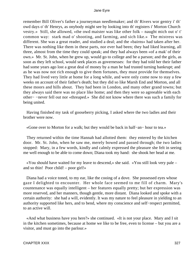remember Bill Oliver's father a journeyman needlemaker; and th' Rivers wor gentry i' th' owd days o' th' Henrys, as onybody might see by looking into th' registers i' Morton Church vestry.» Still, she allowed, «the owd maister was like other folk – naught mich out o' t' common way: stark mad o' shooting, and farming, and sich like.» The mistress was different. She was a great reader, and studied a deal; and the «bairns» had taken after her. There was nothing like them in these parts, nor ever had been; they had liked learning, all three, almost from the time they could speak; and they had always been «of a mak' of their own.» Mr. St. John, when he grew up, would go to college and be a parson; and the girls, as soon as they left school, would seek places as governesses: for they had told her their father had some years ago lost a great deal of money by a man he had trusted turning bankrupt; and as he was now not rich enough to give them fortunes, they must provide for themselves. They had lived very little at home for a long while, and were only come now to stay a few weeks on account of their father's death; but they did so like Marsh End and Morton, and all these moors and hills about. They had been in London, and many other grand towns; but they always said there was no place like home; and then they were so agreeable with each other− −never fell out nor «threaped.» She did not know where there was such a family for being united.

 Having finished my task of gooseberry picking, I asked where the two ladies and their brother were now.

«Gone over to Morton for a walk; but they would be back in half−an− hour to tea.»

 They returned within the time Hannah had allotted them: they entered by the kitchen door. Mr. St. John, when he saw me, merely bowed and passed through; the two ladies stopped: Mary, in a few words, kindly and calmly expressed the pleasure she felt in seeing me well enough to be able to come down; Diana took my hand: she shook her head at me.

 «You should have waited for my leave to descend,» she said. «You still look very pale – and so thin! Poor child! – poor girl!»

 Diana had a voice toned, to my ear, like the cooing of a dove. She possessed eyes whose gaze I delighted to encounter. Her whole face seemed to me fill of charm. Mary's countenance was equally intelligent – her features equally pretty; but her expression was more reserved, and her manners, though gentle, more distant. Diana looked and spoke with a certain authority: she had a will, evidently. It was my nature to feel pleasure in yielding to an authority supported like hers, and to bend, where my conscience and self−respect permitted, to an active will.

 «And what business have you here?» she continued. «It is not your place. Mary and I sit in the kitchen sometimes, because at home we like to be free, even to license – but you are a visitor, and must go into the parlour.»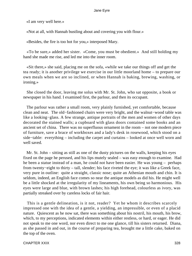«I am very well here.»

«Not at all, with Hannah bustling about and covering you with flour.»

«Besides, the fire is too hot for you,» interposed Mary.

 «To be sure,» added her sister. «Come, you must be obedient.» And still holding my hand she made me rise, and led me into the inner room.

 «Sit there,» she said, placing me on the sofa, «while we take our things off and get the tea ready; it is another privilege we exercise in our little moorland home – to prepare our own meals when we are so inclined, or when Hannah is baking, brewing, washing, or ironing.»

 She closed the door, leaving me solus with Mr. St. John, who sat opposite, a book or newspaper in his hand. I examined first, the parlour, and then its occupant.

 The parlour was rather a small room, very plainly furnished, yet comfortable, because clean and neat. The old−fashioned chairs were very bright, and the walnut−wood table was like a looking−glass. A few strange, antique portraits of the men and women of other days decorated the stained walls; a cupboard with glass doors contained some books and an ancient set of china. There was no superfluous ornament in the room – not one modern piece of furniture, save a brace of workboxes and a lady's desk in rosewood, which stood on a side−table: everything – including the carpet and curtains – looked at once well worn and well saved.

 Mr. St. John – sitting as still as one of the dusty pictures on the walls, keeping his eyes fixed on the page he perused, and his lips mutely sealed – was easy enough to examine. Had he been a statue instead of a man, he could not have been easier. He was young – perhaps from twenty−eight to thirty – tall, slender; his face riveted the eye; it was like a Greek face, very pure in outline: quite a straight, classic nose; quite an Athenian mouth and chin. It is seldom, indeed, an English face comes so near the antique models as did his. He might well be a little shocked at the irregularity of my lineaments, his own being so harmonious. His eyes were large and blue, with brown lashes; his high forehead, colourless as ivory, was partially streaked over by careless locks of fair hair.

 This is a gentle delineation, is it not, reader? Yet he whom it describes scarcely impressed one with the idea of a gentle, a yielding, an impressible, or even of a placid nature. Quiescent as he now sat, there was something about his nostril, his mouth, his brow, which, to my perceptions, indicated elements within either restless, or hard, or eager. He did not speak to me one word, nor even direct to me one glance, till his sisters returned. Diana, as she passed in and out, in the course of preparing tea, brought me a little cake, baked on the top of the oven.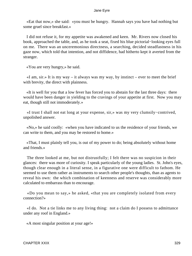«Eat that now,» she said: «you must be hungry. Hannah says you have had nothing but some gruel since breakfast.»

 I did not refuse it, for my appetite was awakened and keen. Mr. Rivers now closed his book, approached the table, and, as he took a seat, fixed his blue pictorial−looking eyes full on me. There was an unceremonious directness, a searching, decided steadfastness in his gaze now, which told that intention, and not diffidence, had hitherto kept it averted from the stranger.

«You are very hungry,» he said.

 $\ll$ I am, sir.» It is my way – it always was my way, by instinct – ever to meet the brief with brevity, the direct with plainness.

 «It is well for you that a low fever has forced you to abstain for the last three days: there would have been danger in yielding to the cravings of your appetite at first. Now you may eat, though still not immoderately.»

 «I trust I shall not eat long at your expense, sir,» was my very clumsily−contrived, unpolished answer.

 «No,» he said coolly: «when you have indicated to us the residence of your friends, we can write to them, and you may be restored to home.»

 «That, I must plainly tell you, is out of my power to do; being absolutely without home and friends.»

 The three looked at me, but not distrustfully; I felt there was no suspicion in their glances: there was more of curiosity. I speak particularly of the young ladies. St. John's eyes, though clear enough in a literal sense, in a figurative one were difficult to fathom. He seemed to use them rather as instruments to search other people's thoughts, than as agents to reveal his own: the which combination of keenness and reserve was considerably more calculated to embarrass than to encourage.

 «Do you mean to say,» he asked, «that you are completely isolated from every connection?»

 «I do. Not a tie links me to any living thing: not a claim do I possess to admittance under any roof in England.»

«A most singular position at your age!»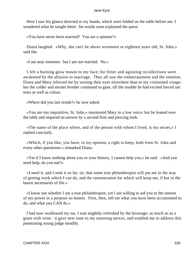Here I saw his glance directed to my hands, which were folded on the table before me. I wondered what he sought there: his words soon explained the quest.

«You have never been married? You are a spinster?»

 Diana laughed. «Why, she can't he above seventeen or eighteen years old, St. John,» said she.

«I am near nineteen: but I am not married. No.»

 I felt a burning glow mount to my face; for bitter and agitating recollections were awakened by the allusion to marriage. They all saw the embarrassment and the emotion. Diana and Mary relieved me by turning their eyes elsewhere than to my crimsoned visage; but the colder and sterner brother continued to gaze, till the trouble he had excited forced out tears as well as colour.

«Where did you last reside?» he now asked.

 «You are too inquisitive, St. John,» murmured Mary in a low voice; but he leaned over the table and required an answer by a second firm and piercing look.

 «The name of the place where, and of the person with whom I lived, is my secret,» I replied concisely.

 «Which, if you like, you have, in my opinion, a right to keep, both from St. John and every other questioner,» remarked Diana.

 «Yet if I know nothing about you or your history, I cannot help you,» he said. «And you need help, do you not?»

 «I need it, and I seek it so far, sir, that some true philanthropist will put me in the way of getting work which I can do, and the remuneration for which will keep me, if but in the barest necessaries of life.»

 «I know not whether I am a true philanthropist; yet I am willing to aid you to the utmost of my power in a purpose so honest. First, then, tell me what you have been accustomed to do, and what you CAN do.»

 I had now swallowed my tea. I was mightily refreshed by the beverage; as much so as a giant with wine: it gave new tone to my unstrung nerves, and enabled me to address this penetrating young judge steadily.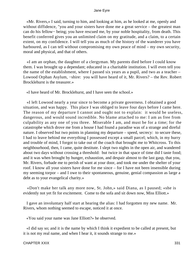«Mr. Rivers,» I said, turning to him, and looking at him, as he looked at me, openly and without diffidence, "you and your sisters have done me a great service – the greatest man can do his fellow− being; you have rescued me, by your noble hospitality, from death. This benefit conferred gives you an unlimited claim on my gratitude, and a claim, to a certain extent, on my confidence. I will tell you as much of the history of the wanderer you have harboured, as I can tell without compromising my own peace of mind – my own security, moral and physical, and that of others.

 «I am an orphan, the daughter of a clergyman. My parents died before I could know them. I was brought up a dependant; educated in a charitable institution. I will even tell you the name of the establishment, where I passed six years as a pupil, and two as a teacher – Lowood Orphan Asylum, −shire: you will have heard of it, Mr. Rivers? – the Rev. Robert Brocklehurst is the treasurer.»

«I have heard of Mr. Brocklehurst, and I have seen the school.»

 «I left Lowood nearly a year since to become a private governess. I obtained a good situation, and was happy. This place I was obliged to leave four days before I came here. The reason of my departure I cannot and ought not to explain: it would be useless, dangerous, and would sound incredible. No blame attached to me: I am as free from culpability as any one of you three. Miserable I am, and must be for a time; for the catastrophe which drove me from a house I had found a paradise was of a strange and direful nature. I observed but two points in planning my departure – speed, secrecy: to secure these, I had to leave behind me everything I possessed except a small parcel; which, in my hurry and trouble of mind, I forgot to take out of the coach that brought me to Whitcross. To this neighbourhood, then, I came, quite destitute. I slept two nights in the open air, and wandered about two days without crossing a threshold: but twice in that space of time did I taste food; and it was when brought by hunger, exhaustion, and despair almost to the last gasp, that you, Mr. Rivers, forbade me to perish of want at your door, and took me under the shelter of your roof. I know all your sisters have done for me since – for I have not been insensible during my seeming torpor – and I owe to their spontaneous, genuine, genial compassion as large a debt as to your evangelical charity.»

 «Don't make her talk any more now, St. John,» said Diana, as I paused; «she is evidently not yet fit for excitement. Come to the sofa and sit down now, Miss Elliott.»

 I gave an involuntary half start at hearing the alias: I had forgotten my new name. Mr. Rivers, whom nothing seemed to escape, noticed it at once.

«You said your name was Jane Elliott?» he observed.

 «I did say so; and it is the name by which I think it expedient to be called at present, but it is not my real name, and when I hear it, it sounds strange to me.»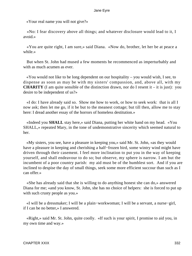«Your real name you will not give?»

 «No: I fear discovery above all things; and whatever disclosure would lead to it, I avoid.»

 «You are quite right, I am sure,» said Diana. «Now do, brother, let her be at peace a while.»

 But when St. John had mused a few moments he recommenced as imperturbably and with as much acumen as ever.

 «You would not like to be long dependent on our hospitality – you would wish, I see, to dispense as soon as may be with my sisters' compassion, and, above all, with my **CHARITY** (I am quite sensible of the distinction drawn, nor do I resent it – it is just): you desire to be independent of us?»

 «I do: I have already said so. Show me how to work, or how to seek work: that is all I now ask; then let me go, if it be but to the meanest cottage; but till then, allow me to stay here: I dread another essay of the horrors of homeless destitution.»

 «Indeed you **SHALL** stay here,» said Diana, putting her white hand on my head. «You SHALL,» repeated Mary, in the tone of undemonstrative sincerity which seemed natural to her.

 «My sisters, you see, have a pleasure in keeping you,» said Mr. St. John, «as they would have a pleasure in keeping and cherishing a half−frozen bird, some wintry wind might have driven through their casement. I feel more inclination to put you in the way of keeping yourself, and shall endeavour to do so; but observe, my sphere is narrow. I am but the incumbent of a poor country parish: my aid must be of the humblest sort. And if you are inclined to despise the day of small things, seek some more efficient succour than such as I can offer.»

 «She has already said that she is willing to do anything honest she can do,» answered Diana for me; «and you know, St. John, she has no choice of helpers: she is forced to put up with such crusty people as you.»

 «I will be a dressmaker; I will be a plain−workwoman; I will be a servant, a nurse−girl, if I can be no better,» I answered.

 «Right,» said Mr. St. John, quite coolly. «If such is your spirit, I promise to aid you, in my own time and way.»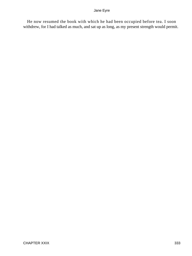He now resumed the book with which he had been occupied before tea. I soon withdrew, for I had talked as much, and sat up as long, as my present strength would permit.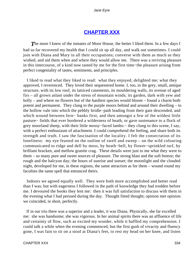# **[CHAPTER XXX](#page-435-0)**

**The more I knew of the inmates of Moor House, the better I liked them. In a few days I** had so far recovered my health that I could sit up all day, and walk out sometimes. I could join with Diana and Mary in all their occupations; converse with them as much as they wished, and aid them when and where they would allow me. There was a reviving pleasure in this intercourse, of a kind now tasted by me for the first time−the pleasure arising from perfect congeniality of tastes, sentiments, and principles.

 I liked to read what they liked to read: what they enjoyed, delighted me; what they approved, I reverenced. They loved their sequestered home. I, too, in the grey, small, antique structure, with its low roof, its latticed casements, its mouldering walls, its avenue of aged firs – all grown aslant under the stress of mountain winds; its garden, dark with yew and holly – and where no flowers but of the hardiest species would bloom – found a charm both potent and permanent. They clung to the purple moors behind and around their dwelling – to the hollow vale into which the pebbly bridle−path leading from their gate descended, and which wound between fern− banks first, and then amongst a few of the wildest little pasture− fields that ever bordered a wilderness of heath, or gave sustenance to a flock of grey moorland sheep, with their little mossy−faced lambs:− they clung to this scene, I say, with a perfect enthusiasm of attachment. I could comprehend the feeling, and share both its strength and truth. I saw the fascination of the locality. I felt the consecration of its loneliness: my eye feasted on the outline of swell and sweep – on the wild colouring communicated to ridge and dell by moss, by heath−bell, by flower−sprinkled turf, by brilliant bracken, and mellow granite crag. These details were just to me what they were to them – so many pure and sweet sources of pleasure. The strong blast and the soft breeze; the rough and the halcyon day; the hours of sunrise and sunset; the moonlight and the clouded night, developed for me, in these regions, the same attraction as for them – wound round my faculties the same spell that entranced theirs.

 Indoors we agreed equally well. They were both more accomplished and better read than I was; but with eagerness I followed in the path of knowledge they had trodden before me. I devoured the books they lent me: then it was full satisfaction to discuss with them in the evening what I had perused during the day. Thought fitted thought; opinion met opinion: we coincided, in short, perfectly.

 If in our trio there was a superior and a leader, it was Diana. Physically, she far excelled me: she was handsome; she was vigorous. In her animal spirits there was an affluence of life and certainty of flow, such as excited my wonder, while it baffled my comprehension. I could talk a while when the evening commenced, but the first gush of vivacity and fluency gone, I was fain to sit on a stool at Diana's feet, to rest my head on her knee, and listen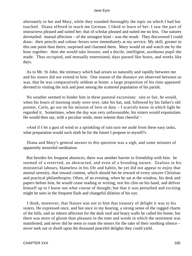alternately to her and Mary, while they sounded thoroughly the topic on which I had but touched. Diana offered to teach me German. I liked to learn of her: I saw the part of instructress pleased and suited her; that of scholar pleased and suited me no less. Our natures dovetailed: mutual affection – of the strongest kind – was the result. They discovered I could draw: their pencils and colour−boxes were immediately at my service. My skill, greater in this one point than theirs, surprised and charmed them. Mary would sit and watch me by the hour together: then she would take lessons; and a docile, intelligent, assiduous pupil she made. Thus occupied, and mutually entertained, days passed like hours, and weeks like days.

 As to Mr. St John, the intimacy which had arisen so naturally and rapidly between me and his sisters did not extend to him. One reason of the distance yet observed between us was, that he was comparatively seldom at home: a large proportion of his time appeared devoted to visiting the sick and poor among the scattered population of his parish.

 No weather seemed to hinder him in these pastoral excursions: rain or fair, he would, when his hours of morning study were over, take his hat, and, followed by his father's old pointer, Carlo, go out on his mission of love or duty – I scarcely know in which light he regarded it. Sometimes, when the day was very unfavourable, his sisters would expostulate. He would then say, with a peculiar smile, more solemn than cheerful –

 «And if I let a gust of wind or a sprinkling of rain turn me aside from these easy tasks, what preparation would such sloth be for the future I propose to myself?»

 Diana and Mary's general answer to this question was a sigh, and some minutes of apparently mournful meditation.

 But besides his frequent absences, there was another barrier to friendship with him: he seemed of a reserved, an abstracted, and even of a brooding nature. Zealous in his ministerial labours, blameless in his life and habits, he yet did not appear to enjoy that mental serenity, that inward content, which should bet he reward of every sincere Christian and practical philanthropist. Often, of an evening, when he sat at the window, his desk and papers before him, he would cease reading or writing, rest his chin on his hand, and deliver himself up to I know not what course of thought; but that it was perturbed and exciting might be seen in the frequent flash and changeful dilation of his eye.

 I think, moreover, that Nature was not to him that treasury of delight it was to his sisters. He expressed once, and but once in my hearing, a strong sense of the rugged charm of the hills, and an inborn affection for the dark roof and hoary walls he called his home; but there was more of gloom than pleasure in the tone and words in which the sentiment was manifested; and never did he seem to roam the moors for the sake of their soothing silence – never seek out or dwell upon the thousand peaceful delights they could yield.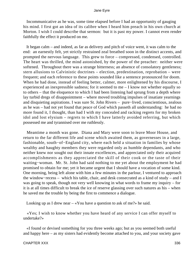Incommunicative as he was, some time elapsed before I had an opportunity of gauging his mind. I first got an idea of its calibre when I heard him preach in his own church at Morton. I wish I could describe that sermon: but it is past my power. I cannot even render faithfully the effect it produced on me.

 It began calm – and indeed, as far as delivery and pitch of voice went, it was calm to the end: an earnestly felt, yet strictly restrained zeal breathed soon in the distinct accents, and prompted the nervous language. This grew to force – compressed, condensed, controlled. The heart was thrilled, the mind astonished, by the power of the preacher: neither were softened. Throughout there was a strange bitterness; an absence of consolatory gentleness; stern allusions to Calvinistic doctrines – election, predestination, reprobation – were frequent; and each reference to these points sounded like a sentence pronounced for doom. When he had done, instead of feeling better, calmer, more enlightened by his discourse, I experienced an inexpressible sadness; for it seemed to me – I know not whether equally so to others – that the eloquence to which I had been listening had sprung from a depth where lay turbid dregs of disappointment – where moved troubling impulses of insatiate yearnings and disquieting aspirations. I was sure St. John Rivers – pure−lived, conscientious, zealous as he was – had not yet found that peace of God which passeth all understanding: he had no more found it, I thought, than had I with my concealed and racking regrets for my broken idol and lost elysium – regrets to which I have latterly avoided referring, but which possessed me and tyrannised over me ruthlessly.

 Meantime a month was gone. Diana and Mary were soon to leave Moor House, and return to the far different life and scene which awaited them, as governesses in a large, fashionable, south−of−England city, where each held a situation in families by whose wealthy and haughty members they were regarded only as humble dependants, and who neither knew nor sought out their innate excellences, and appreciated only their acquired accomplishments as they appreciated the skill of their cook or the taste of their waiting−woman. Mr. St. John had said nothing to me yet about the employment he had promised to obtain for me; yet it became urgent that I should have a vocation of some kind. One morning, being left alone with him a few minutes in the parlour, I ventured to approach the window−recess – which his table, chair, and desk consecrated as a kind of study – and I was going to speak, though not very well knowing in what words to frame my inquiry – for it is at all times difficult to break the ice of reserve glassing over such natures as his – when he saved me the trouble by being the first to commence a dialogue.

Looking up as I drew near  $-\ll$  You have a question to ask of me?» he said.

 «Yes; I wish to know whether you have heard of any service I can offer myself to undertake?»

 «I found or devised something for you three weeks ago; but as you seemed both useful and happy here – as my sisters had evidently become attached to you, and your society gave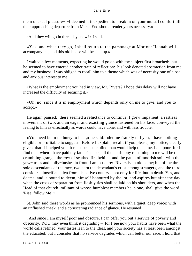them unusual pleasure− −I deemed it inexpedient to break in on your mutual comfort till their approaching departure from Marsh End should render yours necessary.»

«And they will go in three days now?» I said.

 «Yes; and when they go, I shall return to the parsonage at Morton: Hannah will accompany me; and this old house will be shut up.»

 I waited a few moments, expecting he would go on with the subject first broached: but he seemed to have entered another train of reflection: his look denoted abstraction from me and my business. I was obliged to recall him to a theme which was of necessity one of close and anxious interest to me.

 «What is the employment you had in view, Mr. Rivers? I hope this delay will not have increased the difficulty of securing it.»

 «Oh, no; since it is in employment which depends only on me to give, and you to accept.»

 He again paused: there seemed a reluctance to continue. I grew impatient: a restless movement or two, and an eager and exacting glance fastened on his face, conveyed the feeling to him as effectually as words could have done, and with less trouble.

 «You need be in no hurry to hear,» he said: «let me frankly tell you, I have nothing eligible or profitable to suggest. Before I explain, recall, if you please, my notice, clearly given, that if I helped you, it must be as the blind man would help the lame. I am poor; for I find that, when I have paid my father's debts, all the patrimony remaining to me will be this crumbling grange, the row of scathed firs behind, and the patch of moorish soil, with the yew− trees and holly−bushes in front. I am obscure: Rivers is an old name; but of the three sole descendants of the race, two earn the dependant's crust among strangers, and the third considers himself an alien from his native country – not only for life, but in death. Yes, and deems, and is bound to deem, himself honoured by the lot, and aspires but after the day when the cross of separation from fleshly ties shall be laid on his shoulders, and when the Head of that church–militant of whose humblest members he is one, shall give the word, 'Rise, follow Me!'»

 St. John said these words as he pronounced his sermons, with a quiet, deep voice; with an unflushed cheek, and a coruscating radiance of glance. He resumed −

 «And since I am myself poor and obscure, I can offer you but a service of poverty and obscurity. YOU may even think it degrading – for I see now your habits have been what the world calls refined: your tastes lean to the ideal, and your society has at least been amongst the educated; but I consider that no service degrades which can better our race. I hold that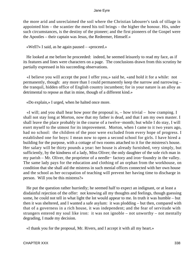the more arid and unreclaimed the soil where the Christian labourer's task of tillage is appointed him – the scantier the meed his toil brings – the higher the honour. His, under such circumstances, is the destiny of the pioneer; and the first pioneers of the Gospel were the Apostles – their captain was Jesus, the Redeemer, Himself.»

«Well?» I said, as he again paused – «proceed.»

 He looked at me before he proceeded: indeed, he seemed leisurely to read my face, as if its features and lines were characters on a page. The conclusions drawn from this scrutiny he partially expressed in his succeeding observations.

 «I believe you will accept the post I offer you,» said he, «and hold it for a while: not permanently, though: any more than I could permanently keep the narrow and narrowing – the tranquil, hidden office of English country incumbent; for in your nature is an alloy as detrimental to repose as that in mine, though of a different kind.»

«Do explain,» I urged, when he halted once more.

 «I will; and you shall hear how poor the proposal is, – how trivial – how cramping. I shall not stay long at Morton, now that my father is dead, and that I am my own master. I shall leave the place probably in the course of a twelve−month; but while I do stay, I will exert myself to the utmost for its improvement. Morton, when I came to it two years ago, had no school: the children of the poor were excluded from every hope of progress. I established one for boys: I mean now to open a second school for girls. I have hired a building for the purpose, with a cottage of two rooms attached to it for the mistress's house. Her salary will be thirty pounds a year: her house is already furnished, very simply, but sufficiently, by the kindness of a lady, Miss Oliver; the only daughter of the sole rich man in my parish – Mr. Oliver, the proprietor of a needle− factory and iron−foundry in the valley. The same lady pays for the education and clothing of an orphan from the workhouse, on condition that she shall aid the mistress in such menial offices connected with her own house and the school as her occupation of teaching will prevent her having time to discharge in person. Will you be this mistress?»

 He put the question rather hurriedly; he seemed half to expect an indignant, or at least a disdainful rejection of the offer: not knowing all my thoughts and feelings, though guessing some, he could not tell in what light the lot would appear to me. In truth it was humble – but then it was sheltered, and I wanted a safe asylum: it was plodding – but then, compared with that of a governess in a rich house, it was independent; and the fear of servitude with strangers entered my soul like iron: it was not ignoble – not unworthy – not mentally degrading, I made my decision.

«I thank you for the proposal, Mr. Rivers, and I accept it with all my heart.»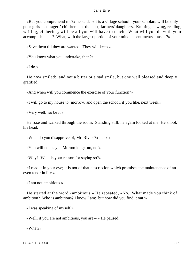«But you comprehend me?» he said. «It is a village school: your scholars will be only poor girls – cottagers' children – at the best, farmers' daughters. Knitting, sewing, reading, writing, ciphering, will be all you will have to teach. What will you do with your accomplishments? What, with the largest portion of your mind – sentiments – tastes?»

«Save them till they are wanted. They will keep.»

«You know what you undertake, then?»

«I do.»

 He now smiled: and not a bitter or a sad smile, but one well pleased and deeply gratified.

«And when will you commence the exercise of your function?»

«I will go to my house to−morrow, and open the school, if you like, next week.»

«Very well: so be it.»

 He rose and walked through the room. Standing still, he again looked at me. He shook his head.

«What do you disapprove of, Mr. Rivers?» I asked.

«You will not stay at Morton long: no, no!»

«Why? What is your reason for saying so?»

 «I read it in your eye; it is not of that description which promises the maintenance of an even tenor in life.»

«I am not ambitious.»

 He started at the word «ambitious.» He repeated, «No. What made you think of ambition? Who is ambitious? I know I am: but how did you find it out?»

«I was speaking of myself.»

«Well, if you are not ambitious, you are  $\rightarrow$  He paused.

«What?»

CHAPTER XXX 339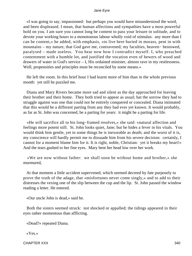«I was going to say, impassioned: but perhaps you would have misunderstood the word, and been displeased. I mean, that human affections and sympathies have a most powerful hold on you. I am sure you cannot long be content to pass your leisure in solitude, and to devote your working hours to a monotonous labour wholly void of stimulus: any more than I can be content,» he added, with emphasis, «to live here buried in morass, pent in with mountains – my nature, that God gave me, contravened; my faculties, heaven− bestowed, paralysed – made useless. You hear now how I contradict myself. I, who preached contentment with a humble lot, and justified the vocation even of hewers of wood and drawers of water in God's service – I, His ordained minister, almost rave in my restlessness. Well, propensities and principles must be reconciled by some means.»

 He left the room. In this brief hour I had learnt more of him than in the whole previous month: yet still he puzzled me.

 Diana and Mary Rivers became more sad and silent as the day approached for leaving their brother and their home. They both tried to appear as usual; bat the sorrow they had to struggle against was one that could not be entirely conquered or concealed. Diana intimated that this would be a different parting from any they had ever yet known. It would probably, as far as St. John was concerned, be a parting for years: it might be a parting for life.

 «He will sacrifice all to his long−framed resolves,» she said: «natural affection and feelings more potent still. St. John looks quiet, Jane; but he hides a fever in his vitals. You would think him gentle, yet in some things he is inexorable as death; and the worst of it is, my conscience will hardly permit me to dissuade him from his severe decision: certainly, I cannot for a moment blame him for it. It is right, noble, Christian: yet it breaks my heart!» And the tears gushed to her fine eyes. Mary bent her head low over her work.

 «We are now without father: we shall soon be without home and brother,» she murmured,

 At that moment a little accident supervened, which seemed decreed by fate purposely to prove the truth of the adage, that «misfortunes never come singly,» and to add to their distresses the vexing one of the slip between the cup and the lip. St. John passed the window reading a letter. He entered.

«Our uncle John is dead,» said he.

 Both the sisters seemed struck: not shocked or appalled; the tidings appeared in their eyes rather momentous than afflicting.

«Dead?» repeated Diana.

«Yes.»

CHAPTER XXX 340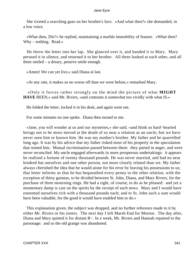She riveted a searching gaze on her brother's face. «And what then?» she demanded, in a low voice.

 «What then, Die?» he replied, maintaining a marble immobility of feature. «What then? Why – nothing. Read.»

 He threw the letter into her lap. She glanced over it, and handed it to Mary. Mary perused it in silence, and returned it to her brother. All three looked at each other, and all three smiled – a dreary, pensive smile enough.

«Amen! We can yet live,» said Diana at last.

«At any rate, it makes us no worse off than we were before,» remarked Mary.

 «Only it forces rather strongly on the mind the picture of what **MIGHT HAVE** BEEN,» said Mr. Rivers, «and contrasts it somewhat too vividly with what IS.»

He folded the letter, locked it in his desk, and again went out.

For some minutes no one spoke. Diana then turned to me.

 «Jane, you will wonder at us and our mysteries,» she said, «and think us hard−hearted beings not to be more moved at the death of so near a relation as an uncle; but we have never seen him or known him. He was my mother's brother. My father and he quarrelled long ago. It was by his advice that my father risked most of his property in the speculation that ruined him. Mutual recrimination passed between them: they parted in anger, and were never reconciled. My uncle engaged afterwards in more prosperous undertakings: it appears he realised a fortune of twenty thousand pounds. He was never married, and had no near kindred but ourselves and one other person, not more closely related than we. My father always cherished the idea that he would atone for his error by leaving his possessions to us; that letter informs us that he has bequeathed every penny to the other relation, with the exception of thirty guineas, to be divided between St. John, Diana, and Mary Rivers, for the purchase of three mourning rings. He had a right, of course, to do as he pleased: and yet a momentary damp is cast on the spirits by the receipt of such news. Mary and I would have esteemed ourselves rich with a thousand pounds each; and to St. John such a sum would have been valuable, for the good it would have enabled him to do.»

 This explanation given, the subject was dropped, and no further reference made to it by either Mr. Rivers or his sisters. The next day I left Marsh End for Morton. The day after, Diana and Mary quitted it for distant B−. In a week, Mr. Rivers and Hannah repaired to the parsonage: and so the old grange was abandoned.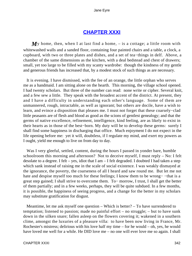# **[CHAPTER XXXI](#page-435-0)**

My home, then, when I at last find a home, – is a cottage; a little room with whitewashed walls and a sanded floor, containing four painted chairs and a table, a clock, a cupboard, with two or three plates and dishes, and a set of tea−things in delf. Above, a chamber of the same dimensions as the kitchen, with a deal bedstead and chest of drawers; small, yet too large to be filled with my scanty wardrobe: though the kindness of my gentle and generous friends has increased that, by a modest stock of such things as are necessary.

 It is evening. I have dismissed, with the fee of an orange, the little orphan who serves me as a handmaid. I am sitting alone on the hearth. This morning, the village school opened. I had twenty scholars. But three of the number can read: none write or cipher. Several knit, and a few sew a little. They speak with the broadest accent of the district. At present, they and I have a difficulty in understanding each other's language. Some of them are unmannered, rough, intractable, as well as ignorant; but others are docile, have a wish to learn, and evince a disposition that pleases me. I must not forget that these coarsely−clad little peasants are of flesh and blood as good as the scions of gentlest genealogy; and that the germs of native excellence, refinement, intelligence, kind feeling, are as likely to exist in their hearts as in those of the best−born. My duty will be to develop these germs: surely I shall find some happiness in discharging that office. Much enjoyment I do not expect in the life opening before me: yet it will, doubtless, if I regulate my mind, and exert my powers as I ought, yield me enough to live on from day to day.

 Was I very gleeful, settled, content, during the hours I passed in yonder bare, humble schoolroom this morning and afternoon? Not to deceive myself, I must reply – No: I felt desolate to a degree. I felt – yes, idiot that I am – I felt degraded. I doubted I had taken a step which sank instead of raising me in the scale of social existence. I was weakly dismayed at the ignorance, the poverty, the coarseness of all I heard and saw round me. But let me not hate and despise myself too much for these feelings; I know them to be wrong– −that is a great step gained; I shall strive to overcome them. To− morrow, I trust, I shall get the better of them partially; and in a few weeks, perhaps, they will be quite subdued. In a few months, it is possible, the happiness of seeing progress, and a change for the better in my scholars may substitute gratification for disgust.

 Meantime, let me ask myself one question – Which is better? – To have surrendered to temptation; listened to passion; made no painful effort – no struggle; – but to have sunk down in the silken snare; fallen asleep on the flowers covering it; wakened in a southern clime, amongst the luxuries of a pleasure villa: to have been now living in France, Mr. Rochester's mistress; delirious with his love half my time – for he would – oh, yes, he would have loved me well for a while. He DID love me – no one will ever love me so again. I shall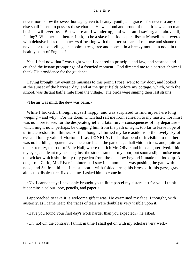never more know the sweet homage given to beauty, youth, and grace – for never to any one else shall I seem to possess these charms. He was fond and proud of me – it is what no man besides will ever be. – But where am I wandering, and what am I saying, and above all, feeling? Whether is it better, I ask, to be a slave in a fool's paradise at Marseilles – fevered with delusive bliss one hour− −suffocating with the bitterest tears of remorse and shame the next– −or to be a village–schoolmistress, free and honest, in a breezy mountain nook in the healthy heart of England?

 Yes; I feel now that I was right when I adhered to principle and law, and scorned and crushed the insane promptings of a frenzied moment. God directed me to a correct choice: I thank His providence for the guidance!

 Having brought my eventide musings to this point, I rose, went to my door, and looked at the sunset of the harvest−day, and at the quiet fields before my cottage, which, with the school, was distant half a mile from the village. The birds were singing their last strains −

«The air was mild, the dew was balm.»

 While I looked, I thought myself happy, and was surprised to find myself ere long weeping – and why? For the doom which had reft me from adhesion to my master: for him I was no more to see; for the desperate grief and fatal fury – consequences of my departure – which might now, perhaps, be dragging him from the path of right, too far to leave hope of ultimate restoration thither. At this thought, I turned my face aside from the lovely sky of eve and lonely vale of Morton – I say **LONELY,** for in that bend of it visible to me there was no building apparent save the church and the parsonage, half−hid in trees, and, quite at the extremity, the roof of Vale Hall, where the rich Mr. Oliver and his daughter lived. I hid my eyes, and leant my head against the stone frame of my door; but soon a slight noise near the wicket which shut in my tiny garden from the meadow beyond it made me look up. A dog – old Carlo, Mr. Rivers' pointer, as I saw in a moment – was pushing the gate with his nose, and St. John himself leant upon it with folded arms; his brow knit, his gaze, grave almost to displeasure, fixed on me. I asked him to come in.

 «No, I cannot stay; I have only brought you a little parcel my sisters left for you. I think it contains a colour−box, pencils, and paper.»

 I approached to take it: a welcome gift it was. He examined my face, I thought, with austerity, as I came near: the traces of tears were doubtless very visible upon it.

«Have you found your first day's work harder than you expected?» he asked.

«Oh, no! On the contrary, I think in time I shall get on with my scholars very well.»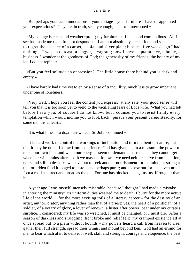«But perhaps your accommodations – your cottage – your furniture – have disappointed your expectations? They are, in truth, scanty enough; but – » I interrupted −

 «My cottage is clean and weather−proof; my furniture sufficient and commodious. All I see has made me thankful, not despondent. I am not absolutely such a fool and sensualist as to regret the absence of a carpet, a sofa, and silver plate; besides, five weeks ago I had nothing – I was an outcast, a beggar, a vagrant; now I have acquaintance, a home, a business. I wonder at the goodness of God; the generosity of my friends; the bounty of my lot. I do not repine.»

 «But you feel solitude an oppression? The little house there behind you is dark and empty.»

 «I have hardly had time yet to enjoy a sense of tranquillity, much less to grow impatient under one of loneliness.»

 «Very well; I hope you feel the content you express: at any rate, your good sense will tell you that it is too soon yet to yield to the vacillating fears of Lot's wife. What you had left before I saw you, of course I do not know; but I counsel you to resist firmly every temptation which would incline you to look back: pursue your present career steadily, for some months at least.»

«It is what I mean to do,» I answered. St. John continued −

 "It is hard work to control the workings of inclination and turn the bent of nature; but that it may be done, I know from experience. God has given us, in a measure, the power to make our own fate; and when our energies seem to demand a sustenance they cannot get – when our will strains after a path we may not follow – we need neither starve from inanition, nor stand still in despair: we have but to seek another nourishment for the mind, as strong as the forbidden food it longed to taste – and perhaps purer; and to hew out for the adventurous foot a road as direct and broad as the one Fortune has blocked up against us, if rougher than it.

 "A year ago I was myself intensely miserable, because I thought I had made a mistake in entering the ministry: its uniform duties wearied me to death. I burnt for the more active life of the world− −for the more exciting toils of a literary career – for the destiny of an artist, author, orator; anything rather than that of a priest: yes, the heart of a politician, of a soldier, of a votary of glory, a lover of renown, a luster after power, beat under my curate's surplice. I considered; my life was so wretched, it must be changed, or I must die. After a season of darkness and struggling, light broke and relief fell: my cramped existence all at once spread out to a plain without bounds – my powers heard a call from heaven to rise, gather their full strength, spread their wings, and mount beyond ken. God had an errand for me; to bear which afar, to deliver it well, skill and strength, courage and eloquence, the best

CHAPTER XXXI 344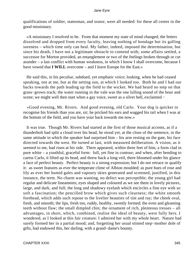qualifications of soldier, statesman, and orator, were all needed: for these all centre in the good missionary.

 «A missionary I resolved to be. From that moment my state of mind changed; the fetters dissolved and dropped from every faculty, leaving nothing of bondage but its galling soreness – which time only can heal. My father, indeed, imposed the determination, but since his death, I have not a legitimate obstacle to contend with; some affairs settled, a successor for Morton provided, an entanglement or two of the feelings broken through or cut asunder – a last conflict with human weakness, in which I know I shall overcome, because I have vowed that **I WILL** overcome – and I leave Europe for the East.»

 He said this, in his peculiar, subdued, yet emphatic voice; looking, when he had ceased speaking, not at me, but at the setting sun, at which I looked too. Both he and I had our backs towards the path leading up the field to the wicket. We had heard no step on that grass−grown track; the water running in the vale was the one lulling sound of the hour and scene; we might well then start when a gay voice, sweet as a silver bell, exclaimed −

 «Good evening, Mr. Rivers. And good evening, old Carlo. Your dog is quicker to recognise his friends than you are, sir; he pricked his ears and wagged his tail when I was at the bottom of the field, and you have your back towards me now.»

 It was true. Though Mr. Rivers had started at the first of those musical accents, as if a thunderbolt had split a cloud over his head, he stood yet, at the close of the sentence, in the same attitude in which the speaker had surprised him – his arm resting on the gate, his face directed towards the west. He turned at last, with measured deliberation. A vision, as it seemed to me, had risen at his side. There appeared, within three feet of him, a form clad in pure white – a youthful, graceful form: full, yet fine in contour; and when, after bending to caress Carlo, it lifted up its head, and threw back a long veil, there bloomed under his glance a face of perfect beauty. Perfect beauty is a strong expression; but I do not retrace or qualify it: as sweet features as ever the temperate clime of Albion moulded; as pure hues of rose and lily as ever her humid gales and vapoury skies generated and screened, justified, in this instance, the term. No charm was wanting, no defect was perceptible; the young girl had regular and delicate lineaments; eyes shaped and coloured as we see them in lovely pictures, large, and dark, and full; the long and shadowy eyelash which encircles a fine eye with so soft a fascination; the pencilled brow which gives such clearness; the white smooth forehead, which adds such repose to the livelier beauties of tint and ray; the cheek oval, fresh, and smooth; the lips, fresh too, ruddy, healthy, sweetly formed; the even and gleaming teeth without flaw; the small dimpled chin; the ornament of rich, plenteous tresses – all advantages, in short, which, combined, realise the ideal of beauty, were fully hers. I wondered, as I looked at this fair creature: I admired her with my whole heart. Nature had surely formed her in a partial mood; and, forgetting her usual stinted step−mother dole of gifts, had endowed this, her darling, with a grand−dame's bounty.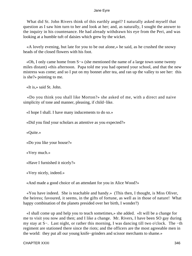What did St. John Rivers think of this earthly angel? I naturally asked myself that question as I saw him turn to her and look at her; and, as naturally, I sought the answer to the inquiry in his countenance. He had already withdrawn his eye from the Peri, and was looking at a humble tuft of daisies which grew by the wicket.

 «A lovely evening, but late for you to be out alone,» he said, as he crushed the snowy heads of the closed flowers with his foot.

 «Oh, I only came home from S−» (she mentioned the name of a large town some twenty miles distant) «this afternoon. Papa told me you had opened your school, and that the new mistress was come; and so I put on my bonnet after tea, and ran up the valley to see her: this is she?» pointing to me.

«It is,» said St. John.

 «Do you think you shall like Morton?» she asked of me, with a direct and naive simplicity of tone and manner, pleasing, if child−like.

«I hope I shall. I have many inducements to do so.»

«Did you find your scholars as attentive as you expected?»

«Quite.»

«Do you like your house?»

«Very much.»

«Have I furnished it nicely?»

«Very nicely, indeed.»

«And made a good choice of an attendant for you in Alice Wood?»

 «You have indeed. She is teachable and handy.» (This then, I thought, is Miss Oliver, the heiress; favoured, it seems, in the gifts of fortune, as well as in those of nature! What happy combination of the planets presided over her birth, I wonder?)

 «I shall come up and help you to teach sometimes,» she added. «It will be a change for me to visit you now and then; and I like a change. Mr. Rivers, I have been SO gay during my stay at S−. Last night, or rather this morning, I was dancing till two o'clock. The −th regiment are stationed there since the riots; and the officers are the most agreeable men in the world: they put all our young knife−grinders and scissor merchants to shame.»

CHAPTER XXXI 346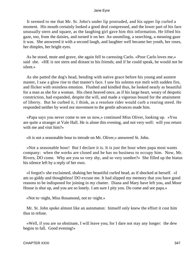It seemed to me that Mr. St. John's under lip protruded, and his upper lip curled a moment. His mouth certainly looked a good deal compressed, and the lower part of his face unusually stern and square, as the laughing girl gave him this information. He lifted his gaze, too, from the daisies, and turned it on her. An unsmiling, a searching, a meaning gaze it was. She answered it with a second laugh, and laughter well became her youth, her roses, her dimples, her bright eyes.

 As he stood, mute and grave, she again fell to caressing Carlo. «Poor Carlo loves me,» said she. «HE is not stern and distant to his friends; and if he could speak, he would not be silent.»

 As she patted the dog's head, bending with native grace before his young and austere master, I saw a glow rise to that master's face. I saw his solemn eye melt with sudden fire, and flicker with resistless emotion. Flushed and kindled thus, he looked nearly as beautiful for a man as she for a woman. His chest heaved once, as if his large heart, weary of despotic constriction, had expanded, despite the will, and made a vigorous bound for the attainment of liberty. But he curbed it, I think, as a resolute rider would curb a rearing steed. He responded neither by word nor movement to the gentle advances made him.

 «Papa says you never come to see us now,» continued Miss Oliver, looking up. «You are quite a stranger at Vale Hall. He is alone this evening, and not very well: will you return with me and visit him?»

«It is not a seasonable hour to intrude on Mr. Oliver,» answered St. John.

 «Not a seasonable hour! But I declare it is. It is just the hour when papa most wants company: when the works are closed and he has no business to occupy him. Now, Mr. Rivers, DO come. Why are you so very shy, and so very sombre?» She filled up the hiatus his silence left by a reply of her own.

 «I forgot!» she exclaimed, shaking her beautiful curled head, as if shocked at herself. «I am so giddy and thoughtless! DO excuse me. It had slipped my memory that you have good reasons to be indisposed for joining in my chatter. Diana and Mary have left you, and Moor House is shut up, and you are so lonely. I am sure I pity you. Do come and see papa.»

«Not to−night, Miss Rosamond, not to−night.»

 Mr. St. John spoke almost like an automaton: himself only knew the effort it cost him thus to refuse.

 «Well, if you are so obstinate, I will leave you; for I dare not stay any longer: the dew begins to fall. Good evening!»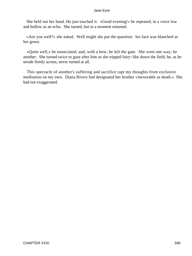She held out her hand. He just touched it. «Good evening!» he repeated, in a voice low and hollow as an echo. She turned, but in a moment returned.

 «Are you well?» she asked. Well might she put the question: his face was blanched as her gown.

 «Quite well,» he enunciated; and, with a bow, he left the gate. She went one way; he another. She turned twice to gaze after him as she tripped fairy−like down the field; he, as he strode firmly across, never turned at all.

 This spectacle of another's suffering and sacrifice rapt my thoughts from exclusive meditation on my own. Diana Rivers had designated her brother «inexorable as death.» She had not exaggerated.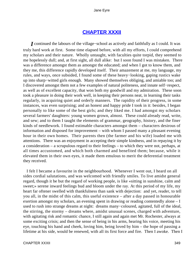# **[CHAPTER XXXII](#page-435-0)**

*I* continued the labours of the village–school as actively and faithfully as I could. It was truly hard work at first. Some time elapsed before, with all my efforts, I could comprehend my scholars and their nature. Wholly untaught, with faculties quite torpid, they seemed to me hopelessly dull; and, at first sight, all dull alike: but I soon found I was mistaken. There was a difference amongst them as amongst the educated; and when I got to know them, and they me, this difference rapidly developed itself. Their amazement at me, my language, my rules, and ways, once subsided, I found some of these heavy−looking, gaping rustics wake up into sharp−witted girls enough. Many showed themselves obliging, and amiable too; and I discovered amongst them not a few examples of natural politeness, and innate self−respect, as well as of excellent capacity, that won both my goodwill and my admiration. These soon took a pleasure in doing their work well, in keeping their persons neat, in learning their tasks regularly, in acquiring quiet and orderly manners. The rapidity of their progress, in some instances, was even surprising; and an honest and happy pride I took in it: besides, I began personally to like some of the best girls; and they liked me. I had amongst my scholars several farmers' daughters: young women grown, almost. These could already read, write, and sew; and to them I taught the elements of grammar, geography, history, and the finer kinds of needlework. I found estimable characters amongst them – characters desirous of information and disposed for improvement – with whom I passed many a pleasant evening hour in their own homes. Their parents then (the farmer and his wife) loaded me with attentions. There was an enjoyment in accepting their simple kindness, and in repaying it by a consideration – a scrupulous regard to their feelings – to which they were not, perhaps, at all times accustomed, and which both charmed and benefited them; because, while it elevated them in their own eyes, it made them emulous to merit the deferential treatment they received.

 I felt I became a favourite in the neighbourhood. Whenever I went out, I heard on all sides cordial salutations, and was welcomed with friendly smiles. To live amidst general regard, though it be but the regard of working people, is like «sitting in sunshine, calm and sweet;» serene inward feelings bud and bloom under the ray. At this period of my life, my heart far oftener swelled with thankfulness than sank with dejection: and yet, reader, to tell you all, in the midst of this calm, this useful existence – after a day passed in honourable exertion amongst my scholars, an evening spent in drawing or reading contentedly alone – I used to rush into strange dreams at night: dreams many−coloured, agitated, full of the ideal, the stirring, the stormy – dreams where, amidst unusual scenes, charged with adventure, with agitating risk and romantic chance, I still again and again met Mr. Rochester, always at some exciting crisis; and then the sense of being in his arms, hearing his voice, meeting his eye, touching his hand and cheek, loving him, being loved by him – the hope of passing a lifetime at his side, would be renewed, with all its first force and fire. Then I awoke. Then I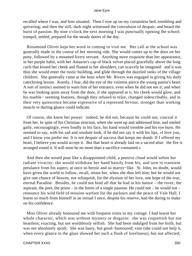recalled where I was, and how situated. Then I rose up on my curtainless bed, trembling and quivering; and then the still, dark night witnessed the convulsion of despair, and heard the burst of passion. By nine o'clock the next morning I was punctually opening the school; tranquil, settled, prepared for the steady duties of the day.

 Rosamond Oliver kept her word in coming to visit me. Her call at the school was generally made in the course of her morning ride. She would canter up to the door on her pony, followed by a mounted livery servant. Anything more exquisite than her appearance, in her purple habit, with her Amazon's cap of black velvet placed gracefully above the long curls that kissed her cheek and floated to her shoulders, can scarcely be imagined: and it was thus she would enter the rustic building, and glide through the dazzled ranks of the village children. She generally came at the hour when Mr. Rivers was engaged in giving his daily catechising lesson. Keenly, I fear, did the eye of the visitress pierce the young pastor's heart. A sort of instinct seemed to warn him of her entrance, even when he did not see it; and when he was looking quite away from the door, if she appeared at it, his cheek would glow, and his marble− seeming features, though they refused to relax, changed indescribably, and in their very quiescence became expressive of a repressed fervour, stronger than working muscle or darting glance could indicate.

 Of course, she knew her power: indeed, he did not, because he could not, conceal it from her. In spite of his Christian stoicism, when she went up and addressed him, and smiled gaily, encouragingly, even fondly in his face, his hand would tremble and his eye burn. He seemed to say, with his sad and resolute look, if he did not say it with his lips, «I love you, and I know you prefer me. It is not despair of success that keeps me dumb. If I offered my heart, I believe you would accept it. But that heart is already laid on a sacred altar: the fire is arranged round it. It will soon be no more than a sacrifice consumed.»

 And then she would pout like a disappointed child; a pensive cloud would soften her radiant vivacity; she would withdraw her hand hastily from his, and turn in transient petulance from his aspect, at once so heroic and so martyr−like. St. John, no doubt, would have given the world to follow, recall, retain her, when she thus left him; but he would not give one chance of heaven, nor relinquish, for the elysium of her love, one hope of the true, eternal Paradise. Besides, he could not bind all that he had in his nature – the rover, the aspirant, the poet, the priest – in the limits of a single passion. He could not – he would not – renounce his wild field of mission warfare for the parlours and the peace of Vale Hall. I learnt so much from himself in an inroad I once, despite his reserve, had the daring to make on his confidence.

 Miss Oliver already honoured me with frequent visits to my cottage. I had learnt her whole character, which was without mystery or disguise: she was coquettish but not heartless; exacting, but not worthlessly selfish. She had been indulged from her birth, but was not absolutely spoilt. She was hasty, but good−humoured; vain (she could not help it, when every glance in the glass showed her such a flush of loveliness), but not affected;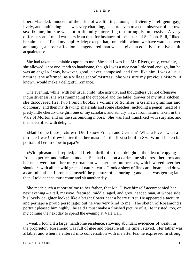liberal−handed; innocent of the pride of wealth; ingenuous; sufficiently intelligent; gay, lively, and unthinking: she was very charming, in short, even to a cool observer of her own sex like me; but she was not profoundly interesting or thoroughly impressive. A very different sort of mind was hers from that, for instance, of the sisters of St. John. Still, I liked her almost as I liked my pupil Adele; except that, for a child whom we have watched over and taught, a closer affection is engendered than we can give an equally attractive adult acquaintance.

 She had taken an amiable caprice to me. She said I was like Mr. Rivers, only, certainly, she allowed, «not one−tenth so handsome, though I was a nice neat little soul enough, but he was an angel.» I was, however, good, clever, composed, and firm, like him. I was a lusus naturae, she affirmed, as a village schoolmistress: she was sure my previous history, if known, would make a delightful romance.

 One evening, while, with her usual child−like activity, and thoughtless yet not offensive inquisitiveness, she was rummaging the cupboard and the table−drawer of my little kitchen, she discovered first two French books, a volume of Schiller, a German grammar and dictionary, and then my drawing−materials and some sketches, including a pencil−head of a pretty little cherub−like girl, one of my scholars, and sundry views from nature, taken in the Vale of Morton and on the surrounding moors. She was first transfixed with surprise, and then electrified with delight.

 «Had I done these pictures? Did I know French and German? What a love – what a miracle I was! I drew better than her master in the first school in S−. Would I sketch a portrait of her, to show to papa?»

 «With pleasure,» I replied; and I felt a thrill of artist – delight at the idea of copying from so perfect and radiant a model. She had then on a dark−blue silk dress; her arms and her neck were bare; her only ornament was her chestnut tresses, which waved over her shoulders with all the wild grace of natural curls. I took a sheet of fine card−board, and drew a careful outline. I promised myself the pleasure of colouring it; and, as it was getting late then, I told her she must come and sit another day.

 She made such a report of me to her father, that Mr. Oliver himself accompanied her next evening – a tall, massive−featured, middle−aged, and grey−headed man, at whose side his lovely daughter looked like a bright flower near a hoary turret. He appeared a taciturn, and perhaps a proud personage; but he was very kind to me. The sketch of Rosamond's portrait pleased him highly: he said I must make a finished picture of it. He insisted, too, on my coming the next day to spend the evening at Vale Hall.

 I went. I found it a large, handsome residence, showing abundant evidences of wealth in the proprietor. Rosamond was full of glee and pleasure all the time I stayed. Her father was affable; and when he entered into conversation with me after tea, he expressed in strong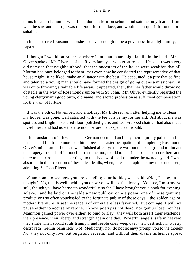terms his approbation of what I had done in Morton school, and said he only feared, from what he saw and heard, I was too good for the place, and would soon quit it for one more suitable.

 «Indeed,» cried Rosamond, «she is clever enough to be a governess in a high family, papa.»

 I thought I would far rather be where I am than in any high family in the land. Mr. Oliver spoke of Mr. Rivers – of the Rivers family – with great respect. He said it was a very old name in that neighbourhood; that the ancestors of the house were wealthy; that all Morton had once belonged to them; that even now he considered the representative of that house might, if he liked, make an alliance with the best. He accounted it a pity that so fine and talented a young man should have formed the design of going out as a missionary; it was quite throwing a valuable life away. It appeared, then, that her father would throw no obstacle in the way of Rosamond's union with St. John. Mr. Oliver evidently regarded the young clergyman's good birth, old name, and sacred profession as sufficient compensation for the want of fortune.

 It was the 5th of November, and a holiday. My little servant, after helping me to clean my house, was gone, well satisfied with the fee of a penny for her aid. All about me was spotless and bright – scoured floor, polished grate, and well−rubbed chairs. I had also made myself neat, and had now the afternoon before me to spend as I would.

 The translation of a few pages of German occupied an hour; then I got my palette and pencils, and fell to the more soothing, because easier occupation, of completing Rosamond Oliver's miniature. The head was finished already: there was but the background to tint and the drapery to shade off; a touch of carmine, too, to add to the ripe lips – a soft curl here and there to the tresses – a deeper tinge to the shadow of the lash under the azured eyelid. I was absorbed in the execution of these nice details, when, after one rapid tap, my door unclosed, admitting St. John Rivers.

 «I am come to see how you are spending your holiday,» he said. «Not, I hope, in thought? No, that is well: while you draw you will not feel lonely. You see, I mistrust you still, though you have borne up wonderfully so far. I have brought you a book for evening solace,» and he laid on the table a new publication – a poem: one of those genuine productions so often vouchsafed to the fortunate public of those days – the golden age of modern literature. Alas! the readers of our era are less favoured. But courage! I will not pause either to accuse or repine. I know poetry is not dead, nor genius lost; nor has Mammon gained power over either, to bind or slay: they will both assert their existence, their presence, their liberty and strength again one day. Powerful angels, safe in heaven! they smile when sordid souls triumph, and feeble ones weep over their destruction. Poetry destroyed? Genius banished? No! Mediocrity, no: do not let envy prompt you to the thought. No; they not only live, but reign and redeem: and without their divine influence spread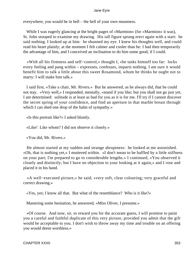everywhere, you would be in hell – the hell of your own meanness.

While I was eagerly glancing at the bright pages of «Marmion» (for «Marmion» it was), St. John stooped to examine my drawing. His tall figure sprang erect again with a start: he said nothing. I looked up at him: he shunned my eye. I knew his thoughts well, and could read his heart plainly; at the moment I felt calmer and cooler than he: I had then temporarily the advantage of him, and I conceived an inclination to do him some good, if I could.

 «With all his firmness and self−control,» thought I, «he tasks himself too far: locks every feeling and pang within – expresses, confesses, imparts nothing. I am sure it would benefit him to talk a little about this sweet Rosamond, whom he thinks he ought not to marry: I will make him talk.»

 I said first, «Take a chair, Mr. Rivers.» But he answered, as he always did, that he could not stay. «Very well,» I responded, mentally, «stand if you like; but you shall not go just yet, I am determined: solitude is at least as bad for you as it is for me. I'll try if I cannot discover the secret spring of your confidence, and find an aperture in that marble breast through which I can shed one drop of the balm of sympathy.»

«Is this portrait like?» I asked bluntly.

«Like! Like whom? I did not observe it closely.»

«You did, Mr. Rivers.»

 He almost started at my sudden and strange abruptness: he looked at me astonished. «Oh, that is nothing yet,» I muttered within. «I don't mean to be baffled by a little stiffness on your part; I'm prepared to go to considerable lengths.» I continued, «You observed it closely and distinctly; but I have no objection to your looking at it again,» and I rose and placed it in his hand.

 «A well−executed picture,» he said; «very soft, clear colouring; very graceful and correct drawing.»

«Yes, yes; I know all that. But what of the resemblance? Who is it like?»

Mastering some hesitation, he answered, «Miss Oliver, I presume.»

 «Of course. And now, sir, to reward you for the accurate guess, I will promise to paint you a careful and faithful duplicate of this very picture, provided you admit that the gift would be acceptable to you. I don't wish to throw away my time and trouble on an offering you would deem worthless.»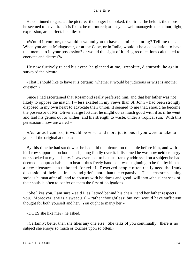He continued to gaze at the picture: the longer he looked, the firmer he held it, the more he seemed to covet it. «It is like!» he murmured; «the eye is well managed: the colour, light, expression, are perfect. It smiles!»

 «Would it comfort, or would it wound you to have a similar painting? Tell me that. When you are at Madagascar, or at the Cape, or in India, would it be a consolation to have that memento in your possession? or would the sight of it bring recollections calculated to enervate and distress?»

 He now furtively raised his eyes: he glanced at me, irresolute, disturbed: he again surveyed the picture.

 «That I should like to have it is certain: whether it would be judicious or wise is another question.»

 Since I had ascertained that Rosamond really preferred him, and that her father was not likely to oppose the match, I – less exalted in my views than St. John – had been strongly disposed in my own heart to advocate their union. It seemed to me that, should he become the possessor of Mr. Oliver's large fortune, he might do as much good with it as if he went and laid his genius out to wither, and his strength to waste, under a tropical sun. With this persuasion I now answered −

 «As far as I can see, it would be wiser and more judicious if you were to take to yourself the original at once.»

 By this time he had sat down: he had laid the picture on the table before him, and with his brow supported on both hands, hung fondly over it. I discerned he was now neither angry nor shocked at my audacity. I saw even that to be thus frankly addressed on a subject he had deemed unapproachable – to hear it thus freely handled – was beginning to be felt by him as a new pleasure – an unhoped−for relief. Reserved people often really need the frank discussion of their sentiments and griefs more than the expansive. The sternest− seeming stoic is human after all; and to «burst» with boldness and good−will into «the silent sea» of their souls is often to confer on them the first of obligations.

 «She likes you, I am sure,» said I, as I stood behind his chair, «and her father respects you. Moreover, she is a sweet girl – rather thoughtless; but you would have sufficient thought for both yourself and her. You ought to marry her.»

«DOES she like me?» he asked.

 «Certainly; better than she likes any one else. She talks of you continually: there is no subject she enjoys so much or touches upon so often.»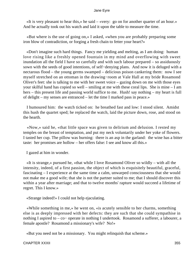«It is very pleasant to hear this,» he said – «very: go on for another quarter of an hour.» And he actually took out his watch and laid it upon the table to measure the time.

 «But where is the use of going on,» I asked, «when you are probably preparing some iron blow of contradiction, or forging a fresh chain to fetter your heart?»

 «Don't imagine such hard things. Fancy me yielding and melting, as I am doing: human love rising like a freshly opened fountain in my mind and overflowing with sweet inundation all the field I have so carefully and with such labour prepared – so assiduously sown with the seeds of good intentions, of self−denying plans. And now it is deluged with a nectarous flood – the young germs swamped – delicious poison cankering them: now I see myself stretched on an ottoman in the drawing−room at Vale Hall at my bride Rosamond Oliver's feet: she is talking to me with her sweet voice – gazing down on me with those eyes your skilful hand has copied so well – smiling at me with these coral lips. She is mine – I am hers – this present life and passing world suffice to me. Hush! say nothing – my heart is full of delight – my senses are entranced – let the time I marked pass in peace.»

 I humoured him: the watch ticked on: he breathed fast and low: I stood silent. Amidst this hush the quartet sped; he replaced the watch, laid the picture down, rose, and stood on the hearth.

 «Now,» said he, «that little space was given to delirium and delusion. I rested my temples on the breast of temptation, and put my neck voluntarily under her yoke of flowers. I tasted her cup. The pillow was burning: there is an asp in the garland: the wine has a bitter taste: her promises are hollow – her offers false: I see and know all this.»

I gazed at him in wonder.

 «It is strange,» pursued he, «that while I love Rosamond Oliver so wildly – with all the intensity, indeed, of a first passion, the object of which is exquisitely beautiful, graceful, fascinating – I experience at the same time a calm, unwarped consciousness that she would not make me a good wife; that she is not the partner suited to me; that I should discover this within a year after marriage; and that to twelve months' rapture would succeed a lifetime of regret. This I know.»

«Strange indeed!» I could not help ejaculating.

 «While something in me,» he went on, «is acutely sensible to her charms, something else is as deeply impressed with her defects: they are such that she could sympathise in nothing I aspired to – co− operate in nothing I undertook. Rosamond a sufferer, a labourer, a female apostle? Rosamond a missionary's wife? No!»

«But you need not be a missionary. You might relinquish that scheme.»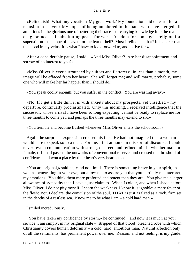«Relinquish! What! my vocation? My great work? My foundation laid on earth for a mansion in heaven? My hopes of being numbered in the band who have merged all ambitions in the glorious one of bettering their race – of carrying knowledge into the realms of ignorance – of substituting peace for war – freedom for bondage – religion for superstition – the hope of heaven for the fear of hell? Must I relinquish that? It is dearer than the blood in my veins. It is what I have to look forward to, and to live for.»

 After a considerable pause, I said – «And Miss Oliver? Are her disappointment and sorrow of no interest to you?»

 «Miss Oliver is ever surrounded by suitors and flatterers: in less than a month, my image will be effaced from her heart. She will forget me; and will marry, probably, some one who will make her far happier than I should do.»

«You speak coolly enough; but you suffer in the conflict. You are wasting away.»

 «No. If I get a little thin, it is with anxiety about my prospects, yet unsettled – my departure, continually procrastinated. Only this morning, I received intelligence that the successor, whose arrival I have been so long expecting, cannot be ready to replace me for three months to come yet; and perhaps the three months may extend to six.»

«You tremble and become flushed whenever Miss Oliver enters the schoolroom.»

 Again the surprised expression crossed his face. He had not imagined that a woman would dare to speak so to a man. For me, I felt at home in this sort of discourse. I could never rest in communication with strong, discreet, and refined minds, whether male or female, till I had passed the outworks of conventional reserve, and crossed the threshold of confidence, and won a place by their heart's very hearthstone.

 «You are original,» said he, «and not timid. There is something brave in your spirit, as well as penetrating in your eye; but allow me to assure you that you partially misinterpret my emotions. You think them more profound and potent than they are. You give me a larger allowance of sympathy than I have a just claim to. When I colour, and when I shade before Miss Oliver, I do not pity myself. I scorn the weakness. I know it is ignoble: a mere fever of the flesh: not, I declare, the convulsion of the soul. **THAT** is just as fixed as a rock, firm set in the depths of a restless sea. Know me to be what  $I$  am  $-$  a cold hard man.»

I smiled incredulously.

 «You have taken my confidence by storm,» he continued, «and now it is much at your service. I am simply, in my original state – stripped of that blood−bleached robe with which Christianity covers human deformity – a cold, hard, ambitious man. Natural affection only, of all the sentiments, has permanent power over me. Reason, and not feeling, is my guide;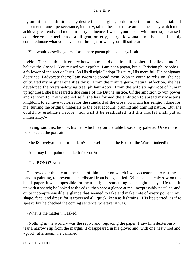my ambition is unlimited: my desire to rise higher, to do more than others, insatiable. I honour endurance, perseverance, industry, talent; because these are the means by which men achieve great ends and mount to lofty eminence. I watch your career with interest, because I consider you a specimen of a diligent, orderly, energetic woman: not because I deeply compassionate what you have gone through, or what you still suffer.»

«You would describe yourself as a mere pagan philosopher,» I said.

 «No. There is this difference between me and deistic philosophers: I believe; and I believe the Gospel. You missed your epithet. I am not a pagan, but a Christian philosopher – a follower of the sect of Jesus. As His disciple I adopt His pure, His merciful, His benignant doctrines. I advocate them: I am sworn to spread them. Won in youth to religion, she has cultivated my original qualities thus:− From the minute germ, natural affection, she has developed the overshadowing tree, philanthropy. From the wild stringy root of human uprightness, she has reared a due sense of the Divine justice. Of the ambition to win power and renown for my wretched self, she has formed the ambition to spread my Master's kingdom; to achieve victories for the standard of the cross. So much has religion done for me; turning the original materials to the best account; pruning and training nature. But she could not eradicate nature: nor will it be eradicated 'till this mortal shall put on immortality.'»

 Having said this, he took his hat, which lay on the table beside my palette. Once more he looked at the portrait.

«She IS lovely,» he murmured. «She is well named the Rose of the World, indeed!»

«And may I not paint one like it for you?»

«CUI **BONO?** No.»

 He drew over the picture the sheet of thin paper on which I was accustomed to rest my hand in painting, to prevent the cardboard from being sullied. What he suddenly saw on this blank paper, it was impossible for me to tell; but something had caught his eye. He took it up with a snatch; he looked at the edge; then shot a glance at me, inexpressibly peculiar, and quite incomprehensible: a glance that seemed to take and make note of every point in my shape, face, and dress; for it traversed all, quick, keen as lightning. His lips parted, as if to speak: but he checked the coming sentence, whatever it was.

«What is the matter?» I asked.

 «Nothing in the world,» was the reply; and, replacing the paper, I saw him dexterously tear a narrow slip from the margin. It disappeared in his glove; and, with one hasty nod and «good− afternoon,» he vanished.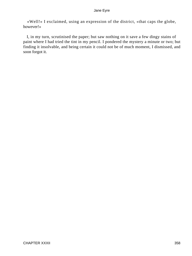«Well!» I exclaimed, using an expression of the district, «that caps the globe, however!»

 I, in my turn, scrutinised the paper; but saw nothing on it save a few dingy stains of paint where I had tried the tint in my pencil. I pondered the mystery a minute or two; but finding it insolvable, and being certain it could not be of much moment, I dismissed, and soon forgot it.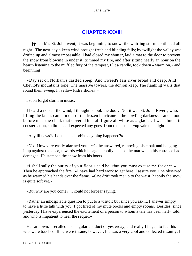# **[CHAPTER XXXIII](#page-435-0)**

*W*hen Mr. St. John went, it was beginning to snow; the whirling storm continued all night. The next day a keen wind brought fresh and blinding falls; by twilight the valley was drifted up and almost impassable. I had closed my shutter, laid a mat to the door to prevent the snow from blowing in under it, trimmed my fire, and after sitting nearly an hour on the hearth listening to the muffled fury of the tempest, I lit a candle, took down «Marmion,» and beginning −

 «Day set on Norham's castled steep, And Tweed's fair river broad and deep, And Cheviot's mountains lone; The massive towers, the donjon keep, The flanking walls that round them sweep, In yellow lustre shone» −

I soon forgot storm in music.

 I heard a noise: the wind, I thought, shook the door. No; it was St. John Rivers, who, lifting the latch, came in out of the frozen hurricane – the howling darkness – and stood before me: the cloak that covered his tall figure all white as a glacier. I was almost in consternation, so little had I expected any guest from the blocked−up vale that night.

«Any ill news?» I demanded. «Has anything happened?»

 «No. How very easily alarmed you are?» he answered, removing his cloak and hanging it up against the door, towards which he again coolly pushed the mat which his entrance had deranged. He stamped the snow from his boots.

 «I shall sully the purity of your floor,» said he, «but you must excuse me for once.» Then he approached the fire. «I have had hard work to get here, I assure you,» he observed, as he warmed his hands over the flame. «One drift took me up to the waist; happily the snow is quite soft yet.»

«But why are you come?» I could not forbear saying.

 «Rather an inhospitable question to put to a visitor; but since you ask it, I answer simply to have a little talk with you; I got tired of my mute books and empty rooms. Besides, since yesterday I have experienced the excitement of a person to whom a tale has been half− told, and who is impatient to hear the sequel.»

 He sat down. I recalled his singular conduct of yesterday, and really I began to fear his wits were touched. If he were insane, however, his was a very cool and collected insanity: I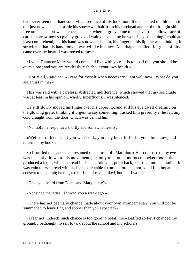had never seen that handsome−featured face of his look more like chiselled marble than it did just now, as he put aside his snow−wet hair from his forehead and let the firelight shine free on his pale brow and cheek as pale, where it grieved me to discover the hollow trace of care or sorrow now so plainly graved. I waited, expecting he would say something I could at least comprehend; but his hand was now at his chin, his finger on his lip: he was thinking. It struck me that his hand looked wasted like his face. A perhaps uncalled−for gush of pity came over my heart: I was moved to say −

 «I wish Diana or Mary would come and live with you: it is too bad that you should be quite alone; and you are recklessly rash about your own health.»

 «Not at all,» said he: «I care for myself when necessary. I am well now. What do you see amiss in me?»

 This was said with a careless, abstracted indifference, which showed that my solicitude was, at least in his opinion, wholly superfluous. I was silenced.

 He still slowly moved his finger over his upper lip, and still his eye dwelt dreamily on the glowing grate; thinking it urgent to say something, I asked him presently if he felt any cold draught from the door, which was behind him.

«No, no!» he responded shortly and somewhat testily.

 «Well,» I reflected, «if you won't talk, you may be still; I'll let you alone now, and return to my book.»

 So I snuffed the candle and resumed the perusal of «Marmion.» He soon stirred; my eye was instantly drawn to his movements; he only took out a morocco pocket−book, thence produced a letter, which he read in silence, folded it, put it back, relapsed into meditation. It was vain to try to read with such an inscrutable fixture before me; nor could I, in impatience, consent to be dumb; he might rebuff me if my he liked, but talk I would.

«Have you heard from Diana and Mary lately?»

«Not since the letter I showed you a week ago.»

 «There has not been any change made about your own arrangements? You will not be summoned to leave England sooner than you expected?»

 «I fear not, indeed: such chance is too good to befall me.» Baffled so far, I changed my ground. I bethought myself to talk about the school and my scholars.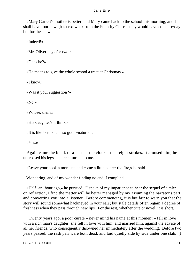«Mary Garrett's mother is better, and Mary came back to the school this morning, and I shall have four new girls next week from the Foundry Close – they would have come to−day but for the snow.»

«Indeed!»

«Mr. Oliver pays for two.»

«Does he?»

«He means to give the whole school a treat at Christmas.»

«I know.»

«Was it your suggestion?»

«No.»

«Whose, then?»

«His daughter's, I think.»

«It is like her: she is so good−natured.»

«Yes.»

 Again came the blank of a pause: the clock struck eight strokes. It aroused him; he uncrossed his legs, sat erect, turned to me.

«Leave your book a moment, and come a little nearer the fire,» he said.

Wondering, and of my wonder finding no end, I complied.

 «Half−an−hour ago,» he pursued, "I spoke of my impatience to hear the sequel of a tale: on reflection, I find the matter will be better managed by my assuming the narrator's part, and converting you into a listener. Before commencing, it is but fair to warn you that the story will sound somewhat hackneyed in your ears; but stale details often regain a degree of freshness when they pass through new lips. For the rest, whether trite or novel, it is short.

 «Twenty years ago, a poor curate – never mind his name at this moment – fell in love with a rich man's daughter; she fell in love with him, and married him, against the advice of all her friends, who consequently disowned her immediately after the wedding. Before two years passed, the rash pair were both dead, and laid quietly side by side under one slab. (I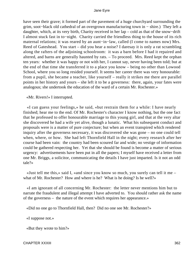have seen their grave; it formed part of the pavement of a huge churchyard surrounding the grim, soot−black old cathedral of an overgrown manufacturing town in − shire.) They left a daughter, which, at its very birth, Charity received in her lap – cold as that of the snow−drift I almost stuck fast in to−night. Charity carried the friendless thing to the house of its rich maternal relations; it was reared by an aunt−in−law, called (I come to names now) Mrs. Reed of Gateshead. You start – did you hear a noise? I daresay it is only a rat scrambling along the rafters of the adjoining schoolroom: it was a barn before I had it repaired and altered, and barns are generally haunted by rats. – To proceed. Mrs. Reed kept the orphan ten years: whether it was happy or not with her, I cannot say, never having been told; but at the end of that time she transferred it to a place you know – being no other than Lowood School, where you so long resided yourself. It seems her career there was very honourable: from a pupil, she became a teacher, like yourself – really it strikes me there are parallel points in her history and yours – she left it to be a governess: there, again, your fates were analogous; she undertook the education of the ward of a certain Mr. Rochester.»

«Mr. Rivers!» I interrupted.

 «I can guess your feelings,» he said, «but restrain them for a while: I have nearly finished; hear me to the end. Of Mr. Rochester's character I know nothing, but the one fact that he professed to offer honourable marriage to this young girl, and that at the very altar she discovered he had a wife yet alive, though a lunatic. What his subsequent conduct and proposals were is a matter of pure conjecture; but when an event transpired which rendered inquiry after the governess necessary, it was discovered she was gone – no one could tell when, where, or how. She had left Thornfield Hall in the night; every research after her course had been vain: the country had been scoured far and wide; no vestige of information could be gathered respecting her. Yet that she should be found is become a matter of serious urgency: advertisements have been put in all the papers; I myself have received a letter from one Mr. Briggs, a solicitor, communicating the details I have just imparted. Is it not an odd tale?»

 «Just tell me this,» said I, «and since you know so much, you surely can tell it me – what of Mr. Rochester? How and where is he? What is he doing? Is he well?»

 «I am ignorant of all concerning Mr. Rochester: the letter never mentions him but to narrate the fraudulent and illegal attempt I have adverted to. You should rather ask the name of the governess – the nature of the event which requires her appearance.»

«Did no one go to Thornfield Hall, then? Did no one see Mr. Rochester?»

«I suppose not.»

«But they wrote to him?»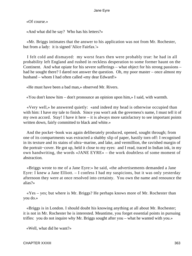«Of course.»

«And what did he say? Who has his letters?»

 «Mr. Briggs intimates that the answer to his application was not from Mr. Rochester, but from a lady: it is signed 'Alice Fairfax.'»

 I felt cold and dismayed: my worst fears then were probably true: he had in all probability left England and rushed in reckless desperation to some former haunt on the Continent. And what opiate for his severe sufferings – what object for his strong passions – had he sought there? I dared not answer the question. Oh, my poor master – once almost my husband – whom I had often called «my dear Edward!»

«He must have been a bad man,» observed Mr. Rivers.

«You don't know him – don't pronounce an opinion upon him,» I said, with warmth.

 «Very well,» he answered quietly: «and indeed my head is otherwise occupied than with him: I have my tale to finish. Since you won't ask the governess's name, I must tell it of my own accord. Stay! I have it here – it is always more satisfactory to see important points written down, fairly committed to black and white.»

 And the pocket−book was again deliberately produced, opened, sought through; from one of its compartments was extracted a shabby slip of paper, hastily torn off: I recognised in its texture and its stains of ultra−marine, and lake, and vermillion, the ravished margin of the portrait−cover. He got up, held it close to my eyes: and I read, traced in Indian ink, in my own handwriting, the words «JANE EYRE» – the work doubtless of some moment of abstraction.

 «Briggs wrote to me of a Jane Eyre:» he said, «the advertisements demanded a Jane Eyre: I knew a Jane Elliott. – I confess I had my suspicions, but it was only yesterday afternoon they were at once resolved into certainty. You own the name and renounce the alias?»

 «Yes – yes; but where is Mr. Briggs? He perhaps knows more of Mr. Rochester than you do.»

 «Briggs is in London. I should doubt his knowing anything at all about Mr. Rochester; it is not in Mr. Rochester he is interested. Meantime, you forget essential points in pursuing trifles: you do not inquire why Mr. Briggs sought after you – what he wanted with you.»

«Well, what did he want?»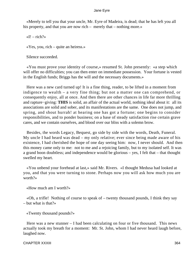«Merely to tell you that your uncle, Mr. Eyre of Madeira, is dead; that he has left you all his property, and that you are now rich – merely that – nothing more.»

«I! – rich?»

«Yes, you, rich – quite an heiress.»

Silence succeeded.

 «You must prove your identity of course,» resumed St. John presently: «a step which will offer no difficulties; you can then enter on immediate possession. Your fortune is vested in the English funds; Briggs has the will and the necessary documents.»

 Here was a new card turned up! It is a fine thing, reader, to be lifted in a moment from indigence to wealth – a very fine thing; but not a matter one can comprehend, or consequently enjoy, all at once. And then there are other chances in life far more thrilling and rapture−giving: **THIS** is solid, an affair of the actual world, nothing ideal about it: all its associations are solid and sober, and its manifestations are the same. One does not jump, and spring, and shout hurrah! at hearing one has got a fortune; one begins to consider responsibilities, and to ponder business; on a base of steady satisfaction rise certain grave cares, and we contain ourselves, and blood over our bliss with a solemn brow.

 Besides, the words Legacy, Bequest, go side by side with the words, Death, Funeral. My uncle I had heard was dead – my only relative; ever since being made aware of his existence, I had cherished the hope of one day seeing him: now, I never should. And then this money came only to me: not to me and a rejoicing family, but to my isolated self. It was a grand boon doubtless; and independence would be glorious – yes, I felt that – that thought swelled my heart.

 «You unbend your forehead at last,» said Mr. Rivers. «I thought Medusa had looked at you, and that you were turning to stone. Perhaps now you will ask how much you are worth?»

«How much am I worth?»

 «Oh, a trifle! Nothing of course to speak of – twenty thousand pounds, I think they say  $-$  but what is that?»

«Twenty thousand pounds?»

 Here was a new stunner – I had been calculating on four or five thousand. This news actually took my breath for a moment: Mr. St. John, whom I had never heard laugh before, laughed now.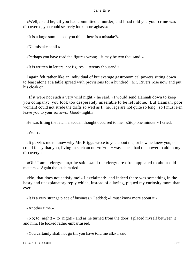«Well,» said he, «if you had committed a murder, and I had told you your crime was discovered, you could scarcely look more aghast.»

«It is a large sum – don't you think there is a mistake?»

«No mistake at all.»

«Perhaps you have read the figures wrong – it may be two thousand!»

«It is written in letters, not figures, – twenty thousand.»

 I again felt rather like an individual of but average gastronomical powers sitting down to feast alone at a table spread with provisions for a hundred. Mr. Rivers rose now and put his cloak on.

 «If it were not such a very wild night,» he said, «I would send Hannah down to keep you company: you look too desperately miserable to be left alone. But Hannah, poor woman! could not stride the drifts so well as I: her legs are not quite so long: so I must e'en leave you to your sorrows. Good−night.»

He was lifting the latch: a sudden thought occurred to me. «Stop one minute!» I cried.

«Well?»

 «It puzzles me to know why Mr. Briggs wrote to you about me; or how he knew you, or could fancy that you, living in such an out−of−the− way place, had the power to aid in my discovery.»

 «Oh! I am a clergyman,» he said; «and the clergy are often appealed to about odd matters.» Again the latch rattled.

 «No; that does not satisfy me!» I exclaimed: and indeed there was something in the hasty and unexplanatory reply which, instead of allaying, piqued my curiosity more than ever.

«It is a very strange piece of business,» I added; «I must know more about it.»

«Another time.»

 «No; to−night! – to−night!» and as he turned from the door, I placed myself between it and him. He looked rather embarrassed.

«You certainly shall not go till you have told me all,» I said.

CHAPTER XXXIII 365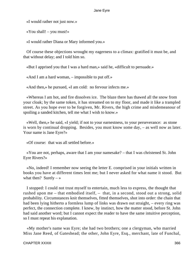«I would rather not just now.»

«You shall! – you must!»

«I would rather Diana or Mary informed you.»

 Of course these objections wrought my eagerness to a climax: gratified it must be, and that without delay; and I told him so.

«But I apprised you that I was a hard man,» said he, «difficult to persuade.»

«And I am a hard woman, – impossible to put off.»

«And then,» he pursued, «I am cold: no fervour infects me.»

 «Whereas I am hot, and fire dissolves ice. The blaze there has thawed all the snow from your cloak; by the same token, it has streamed on to my floor, and made it like a trampled street. As you hope ever to be forgiven, Mr. Rivers, the high crime and misdemeanour of spoiling a sanded kitchen, tell me what I wish to know.»

 «Well, then,» he said, «I yield; if not to your earnestness, to your perseverance: as stone is worn by continual dropping. Besides, you must know some day, – as well now as later. Your name is Jane Eyre?»

«Of course: that was all settled before.»

 «You are not, perhaps, aware that I am your namesake? – that I was christened St. John Eyre Rivers?»

 «No, indeed! I remember now seeing the letter E. comprised in your initials written in books you have at different times lent me; but I never asked for what name it stood. But what then? Surely  $-\infty$ 

 I stopped: I could not trust myself to entertain, much less to express, the thought that rushed upon me – that embodied itself, – that, in a second, stood out a strong, solid probability. Circumstances knit themselves, fitted themselves, shot into order: the chain that had been lying hitherto a formless lump of links was drawn out straight, – every ring was perfect, the connection complete. I knew, by instinct, how the matter stood, before St. John had said another word; but I cannot expect the reader to have the same intuitive perception, so I must repeat his explanation.

 «My mother's name was Eyre; she had two brothers; one a clergyman, who married Miss Jane Reed, of Gateshead; the other, John Eyre, Esq., merchant, late of Funchal,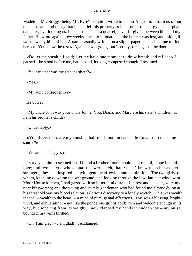Madeira. Mr. Briggs, being Mr. Eyre's solicitor, wrote to us last August to inform us of our uncle's death, and to say that he had left his property to his brother the clergyman's orphan daughter, overlooking us, in consequence of a quarrel, never forgiven, between him and my father. He wrote again a few weeks since, to intimate that the heiress was lost, and asking if we knew anything of her. A name casually written on a slip of paper has enabled me to find her out. You know the rest.» Again he was going, but I set my back against the door.

 «Do let me speak,» I said; «let me have one moment to draw breath and reflect.» I paused – he stood before me, hat in hand, looking composed enough. I resumed −

«Your mother was my father's sister?»

«Yes.»

«My aunt, consequently?»

He bowed.

 «My uncle John was your uncle John? You, Diana, and Mary are his sister's children, as I am his brother's child?»

«Undeniably.»

 «You three, then, are my cousins; half our blood on each side flows from the same source?»

«We are cousins; yes.»

 I surveyed him. It seemed I had found a brother: one I could be proud of, – one I could love; and two sisters, whose qualities were such, that, when I knew them but as mere strangers, they had inspired me with genuine affection and admiration. The two girls, on whom, kneeling down on the wet ground, and looking through the low, latticed window of Moor House kitchen, I had gazed with so bitter a mixture of interest and despair, were my near kinswomen; and the young and stately gentleman who had found me almost dying at his threshold was my blood relation. Glorious discovery to a lonely wretch! This was wealth indeed! – wealth to the heart! – a mine of pure, genial affections. This was a blessing, bright, vivid, and exhilarating; – not like the ponderous gift of gold: rich and welcome enough in its way, but sobering from its weight. I now clapped my hands in sudden joy – my pulse bounded, my veins thrilled.

«Oh, I am glad! – I am glad!» I exclaimed.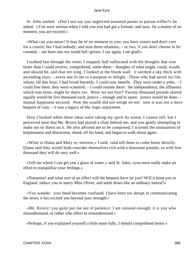St. John smiled. «Did I not say you neglected essential points to pursue trifles?» he asked. «You were serious when I told you you had got a fortune; and now, for a matter of no moment, you are excited.»

 «What can you mean? It may be of no moment to you; you have sisters and don't care for a cousin; but I had nobody; and now three relations, – or two, if you don't choose to be counted, – are born into my world full−grown. I say again, I am glad!»

 I walked fast through the room: I stopped, half suffocated with the thoughts that rose faster than I could receive, comprehend, settle them:− thoughts of what might, could, would, and should be, and that ere long. I looked at the blank wall: it seemed a sky thick with ascending stars, – every one lit me to a purpose or delight. Those who had saved my life, whom, till this hour, I had loved barrenly, I could now benefit. They were under a yoke,  $-1$ could free them: they were scattered, – I could reunite them: the independence, the affluence which was mine, might be theirs too. Were we not four? Twenty thousand pounds shared equally would be five thousand each, justice – enough and to spare: justice would be done, – mutual happiness secured. Now the wealth did not weigh on me: now it was not a mere bequest of coin, – it was a legacy of life, hope, enjoyment.

 How I looked while these ideas were taking my spirit by storm, I cannot tell; but I perceived soon that Mr. Rivers had placed a chair behind me, and was gently attempting to make me sit down on it. He also advised me to be composed; I scorned the insinuation of helplessness and distraction, shook off his hand, and began to walk about again.

 «Write to Diana and Mary to−morrow,» I said, «and tell them to come home directly. Diana said they would both consider themselves rich with a thousand pounds, so with five thousand they will do very well.»

 «Tell me where I can get you a glass of water,» said St. John; «you must really make an effort to tranquillise your feelings.»

 «Nonsense! and what sort of an effect will the bequest have on you? Will it keep you in England, induce you to marry Miss Oliver, and settle down like an ordinary mortal?»

 «You wander: your head becomes confused. I have been too abrupt in communicating the news; it has excited you beyond your strength.»

 «Mr. Rivers! you quite put me out of patience: I am rational enough; it is you who misunderstand, or rather who affect to misunderstand.»

«Perhaps, if you explained yourself a little more fully, I should comprehend better.»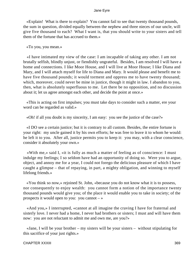«Explain! What is there to explain? You cannot fail to see that twenty thousand pounds, the sum in question, divided equally between the nephew and three nieces of our uncle, will give five thousand to each? What I want is, that you should write to your sisters and tell them of the fortune that has accrued to them.»

«To you, you mean.»

 «I have intimated my view of the case: I am incapable of taking any other. I am not brutally selfish, blindly unjust, or fiendishly ungrateful. Besides, I am resolved I will have a home and connections. I like Moor House, and I will live at Moor House; I like Diana and Mary, and I will attach myself for life to Diana and Mary. It would please and benefit me to have five thousand pounds; it would torment and oppress me to have twenty thousand; which, moreover, could never be mine in justice, though it might in law. I abandon to you, then, what is absolutely superfluous to me. Let there be no opposition, and no discussion about it; let us agree amongst each other, and decide the point at once.»

 «This is acting on first impulses; you must take days to consider such a matter, ere your word can be regarded as valid.»

«Oh! if all you doubt is my sincerity, I am easy: you see the justice of the case?»

 «I DO see a certain justice; but it is contrary to all custom. Besides, the entire fortune is your right: my uncle gained it by his own efforts; he was free to leave it to whom he would: he left it to you. After all, justice permits you to keep it: you may, with a clear conscience, consider it absolutely your own.»

 «With me,» said I, «it is fully as much a matter of feeling as of conscience: I must indulge my feelings; I so seldom have had an opportunity of doing so. Were you to argue, object, and annoy me for a year, I could not forego the delicious pleasure of which I have caught a glimpse – that of repaying, in part, a mighty obligation, and winning to myself lifelong friends.»

 «You think so now,» rejoined St. John, «because you do not know what it is to possess, nor consequently to enjoy wealth: you cannot form a notion of the importance twenty thousand pounds would give you; of the place it would enable you to take in society; of the prospects it would open to you: you cannot  $-\infty$ 

 «And you,» I interrupted, «cannot at all imagine the craving I have for fraternal and sisterly love. I never had a home, I never had brothers or sisters; I must and will have them now: you are not reluctant to admit me and own me, are you?»

 «Jane, I will be your brother – my sisters will be your sisters – without stipulating for this sacrifice of your just rights.»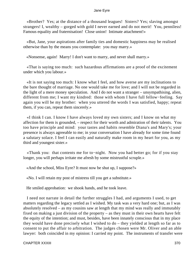«Brother? Yes; at the distance of a thousand leagues! Sisters? Yes; slaving amongst strangers! I, wealthy – gorged with gold I never earned and do not merit! You, penniless! Famous equality and fraternisation! Close union! Intimate attachment!»

 «But, Jane, your aspirations after family ties and domestic happiness may be realised otherwise than by the means you contemplate: you may marry.»

«Nonsense, again! Marry! I don't want to marry, and never shall marry.»

 «That is saying too much: such hazardous affirmations are a proof of the excitement under which you labour.»

 «It is not saying too much: I know what I feel, and how averse are my inclinations to the bare thought of marriage. No one would take me for love; and I will not be regarded in the light of a mere money speculation. And I do not want a stranger – unsympathising, alien, different from me; I want my kindred: those with whom I have full fellow−feeling. Say again you will be my brother: when you uttered the words I was satisfied, happy; repeat them, if you can, repeat them sincerely.»

 «I think I can. I know I have always loved my own sisters; and I know on what my affection for them is grounded, – respect for their worth and admiration of their talents. You too have principle and mind: your tastes and habits resemble Diana's and Mary's; your presence is always agreeable to me; in your conversation I have already for some time found a salutary solace. I feel I can easily and naturally make room in my heart for you, as my third and youngest sister.»

 «Thank you: that contents me for to−night. Now you had better go; for if you stay longer, you will perhaps irritate me afresh by some mistrustful scruple.»

«And the school, Miss Eyre? It must now be shut up, I suppose?»

«No. I will retain my post of mistress till you get a substitute.»

He smiled approbation: we shook hands, and he took leave.

 I need not narrate in detail the further struggles I had, and arguments I used, to get matters regarding the legacy settled as I wished. My task was a very hard one; but, as I was absolutely resolved – as my cousins saw at length that my mind was really and immutably fixed on making a just division of the property – as they must in their own hearts have felt the equity of the intention; and must, besides, have been innately conscious that in my place they would have done precisely what I wished to do – they yielded at length so far as to consent to put the affair to arbitration. The judges chosen were Mr. Oliver and an able lawyer: both coincided in my opinion: I carried my point. The instruments of transfer were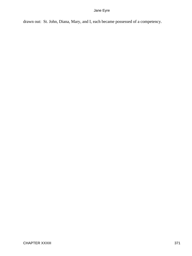drawn out: St. John, Diana, Mary, and I, each became possessed of a competency.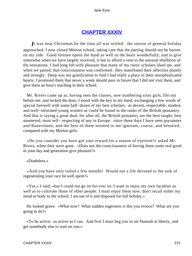# **[CHAPTER XXXIV](#page-435-0)**

*I*t was near Christmas by the time all was settled: the season of general holiday approached. I now closed Morton school, taking care that the parting should not be barren on my side. Good fortune opens the hand as well as the heart wonderfully; and to give somewhat when we have largely received, is but to afford a vent to the unusual ebullition of the sensations. I had long felt with pleasure that many of my rustic scholars liked me, and when we parted, that consciousness was confirmed: they manifested their affection plainly and strongly. Deep was my gratification to find I had really a place in their unsophisticated hearts: I promised them that never a week should pass in future that I did not visit them, and give them an hour's teaching in their school.

 Mr. Rivers came up as, having seen the classes, now numbering sixty girls, file out before me, and locked the door, I stood with the key in my hand, exchanging a few words of special farewell with some half−dozen of my best scholars: as decent, respectable, modest, and well−informed young women as could be found in the ranks of the British peasantry. And that is saying a great deal; for after all, the British peasantry are the best taught, best mannered, most self– respecting of any in Europe: since those days I have seen paysannes and Bauerinnen; and the best of them seemed to me ignorant, coarse, and besotted, compared with my Morton girls.

 «Do you consider you have got your reward for a season of exertion?» asked Mr. Rivers, when they were gone. «Does not the consciousness of having done some real good in your day and generation give pleasure?»

# «Doubtless.»

 «And you have only toiled a few months! Would not a life devoted to the task of regenerating your race be well spent?»

 «Yes,» I said; «but I could not go on for ever so: I want to enjoy my own faculties as well as to cultivate those of other people. I must enjoy them now; don't recall either my mind or body to the school; I am out of it and disposed for full holiday.»

 He looked grave. «What now? What sudden eagerness is this you evince? What are you going to do?»

 «To be active: as active as I can. And first I must beg you to set Hannah at liberty, and get somebody else to wait on you.»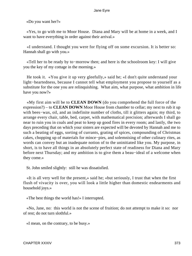«Do you want her?»

 «Yes, to go with me to Moor House. Diana and Mary will be at home in a week, and I want to have everything in order against their arrival.»

 «I understand. I thought you were for flying off on some excursion. It is better so: Hannah shall go with you.»

 «Tell her to be ready by to−morrow then; and here is the schoolroom key: I will give you the key of my cottage in the morning.»

 He took it. «You give it up very gleefully,» said he; «I don't quite understand your light−heartedness, because I cannot tell what employment you propose to yourself as a substitute for the one you are relinquishing. What aim, what purpose, what ambition in life have you now?»

 «My first aim will be to **CLEAN DOWN** (do you comprehend the full force of the expression?) – to **CLEAN DOWN** Moor House from chamber to cellar; my next to rub it up with bees−wax, oil, and an indefinite number of cloths, till it glitters again; my third, to arrange every chair, table, bed, carpet, with mathematical precision; afterwards I shall go near to ruin you in coals and peat to keep up good fires in every room; and lastly, the two days preceding that on which your sisters are expected will be devoted by Hannah and me to such a beating of eggs, sorting of currants, grating of spices, compounding of Christmas cakes, chopping up of materials for mince−pies, and solemnising of other culinary rites, as words can convey but an inadequate notion of to the uninitiated like you. My purpose, in short, is to have all things in an absolutely perfect state of readiness for Diana and Mary before next Thursday; and my ambition is to give them a beau−ideal of a welcome when they come.»

St. John smiled slightly: still he was dissatisfied.

 «It is all very well for the present,» said he; «but seriously, I trust that when the first flush of vivacity is over, you will look a little higher than domestic endearments and household joys.»

«The best things the world has!» I interrupted.

 «No, Jane, no: this world is not the scene of fruition; do not attempt to make it so: nor of rest; do not turn slothful.»

«I mean, on the contrary, to be busy.»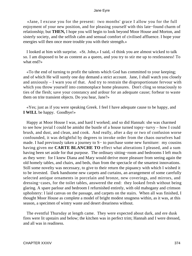«Jane, I excuse you for the present: two months' grace I allow you for the full enjoyment of your new position, and for pleasing yourself with this late−found charm of relationship; but **THEN,** I hope you will begin to look beyond Moor House and Morton, and sisterly society, and the selfish calm and sensual comfort of civilised affluence. I hope your energies will then once more trouble you with their strength.»

 I looked at him with surprise. «St. John,» I said, «I think you are almost wicked to talk so. I am disposed to be as content as a queen, and you try to stir me up to restlessness! To what end?»

 «To the end of turning to profit the talents which God has committed to your keeping; and of which He will surely one day demand a strict account. Jane, I shall watch you closely and anxiously – I warn you of that. And try to restrain the disproportionate fervour with which you throw yourself into commonplace home pleasures. Don't cling so tenaciously to ties of the flesh; save your constancy and ardour for an adequate cause; forbear to waste them on trite transient objects. Do you hear, Jane?»

 «Yes; just as if you were speaking Greek. I feel I have adequate cause to be happy, and **I WILL** be happy. Goodbye!»

 Happy at Moor House I was, and hard I worked; and so did Hannah: she was charmed to see how jovial I could be amidst the bustle of a house turned topsy−turvy – how I could brush, and dust, and clean, and cook. And really, after a day or two of confusion worse confounded, it was delightful by degrees to invoke order from the chaos ourselves had made. I had previously taken a journey to S− to purchase some new furniture: my cousins having given me **CARTE BLANCHE TO** effect what alterations I pleased, and a sum having been set aside for that purpose. The ordinary sitting−room and bedrooms I left much as they were: for I knew Diana and Mary would derive more pleasure from seeing again the old homely tables, and chairs, and beds, than from the spectacle of the smartest innovations. Still some novelty was necessary, to give to their return the piquancy with which I wished it to be invested. Dark handsome new carpets and curtains, an arrangement of some carefully selected antique ornaments in porcelain and bronze, new coverings, and mirrors, and dressing−cases, for the toilet tables, answered the end: they looked fresh without being glaring. A spare parlour and bedroom I refurnished entirely, with old mahogany and crimson upholstery: I laid canvas on the passage, and carpets on the stairs. When all was finished, I thought Moor House as complete a model of bright modest snugness within, as it was, at this season, a specimen of wintry waste and desert dreariness without.

 The eventful Thursday at length came. They were expected about dark, and ere dusk fires were lit upstairs and below; the kitchen was in perfect trim; Hannah and I were dressed, and all was in readiness.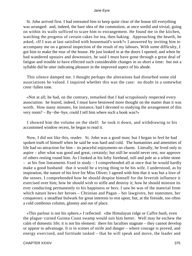St. John arrived first. I had entreated him to keep quite clear of the house till everything was arranged: and, indeed, the bare idea of the commotion, at once sordid and trivial, going on within its walls sufficed to scare him to estrangement. He found me in the kitchen, watching the progress of certain cakes for tea, then baking. Approaching the hearth, he asked, «If I was at last satisfied with housemaid's work?» I answered by inviting him to accompany me on a general inspection of the result of my labours. With some difficulty, I got him to make the tour of the house. He just looked in at the doors I opened; and when he had wandered upstairs and downstairs, he said I must have gone through a great deal of fatigue and trouble to have effected such considerable changes in so short a time: but not a syllable did he utter indicating pleasure in the improved aspect of his abode.

 This silence damped me. I thought perhaps the alterations had disturbed some old associations he valued. I inquired whether this was the case: no doubt in a somewhat crest−fallen tone.

 «Not at all; he had, on the contrary, remarked that I had scrupulously respected every association: he feared, indeed, I must have bestowed more thought on the matter than it was worth. How many minutes, for instance, had I devoted to studying the arrangement of this very room? – By−the−bye, could I tell him where such a book was?»

 I showed him the volume on the shelf: he took it down, and withdrawing to his accustomed window recess, he began to read it.

 Now, I did not like this, reader. St. John was a good man; but I began to feel he had spoken truth of himself when he said he was hard and cold. The humanities and amenities of life had no attraction for him – its peaceful enjoyments no charm. Literally, he lived only to aspire – after what was good and great, certainly; but still he would never rest, nor approve of others resting round him. As I looked at his lofty forehead, still and pale as a white stone – at his fine lineaments fixed in study – I comprehended all at once that he would hardly make a good husband: that it would be a trying thing to be his wife. I understood, as by inspiration, the nature of his love for Miss Oliver; I agreed with him that it was but a love of the senses. I comprehended how he should despise himself for the feverish influence it exercised over him; how he should wish to stifle and destroy it; how he should mistrust its ever conducting permanently to his happiness or hers. I saw he was of the material from which nature hews her heroes – Christian and Pagan – her lawgivers, her statesmen, her conquerors: a steadfast bulwark for great interests to rest upon; but, at the fireside, too often a cold cumbrous column, gloomy and out of place.

 «This parlour is not his sphere,» I reflected: «the Himalayan ridge or Caffre bush, even the plague−cursed Guinea Coast swamp would suit him better. Well may he eschew the calm of domestic life; it is not his element: there his faculties stagnate – they cannot develop or appear to advantage. It is in scenes of strife and danger – where courage is proved, and energy exercised, and fortitude tasked – that he will speak and move, the leader and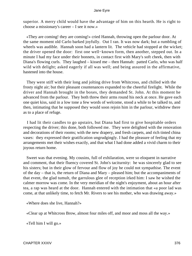superior. A merry child would have the advantage of him on this hearth. He is right to choose a missionary's career – I see it now.»

 «They are coming! they are coming!» cried Hannah, throwing open the parlour door. At the same moment old Carlo barked joyfully. Out I ran. It was now dark; but a rumbling of wheels was audible. Hannah soon had a lantern lit. The vehicle had stopped at the wicket; the driver opened the door: first one well−known form, then another, stepped out. In a minute I had my face under their bonnets, in contact first with Mary's soft cheek, then with Diana's flowing curls. They laughed – kissed me – then Hannah: patted Carlo, who was half wild with delight; asked eagerly if all was well; and being assured in the affirmative, hastened into the house.

 They were stiff with their long and jolting drive from Whitcross, and chilled with the frosty night air; but their pleasant countenances expanded to the cheerful firelight. While the driver and Hannah brought in the boxes, they demanded St. John. At this moment he advanced from the parlour. They both threw their arms round his neck at once. He gave each one quiet kiss, said in a low tone a few words of welcome, stood a while to be talked to, and then, intimating that he supposed they would soon rejoin him in the parlour, withdrew there as to a place of refuge.

 I had lit their candles to go upstairs, but Diana had first to give hospitable orders respecting the driver; this done, both followed me. They were delighted with the renovation and decorations of their rooms; with the new drapery, and fresh carpets, and rich tinted china vases: they expressed their gratification ungrudgingly. I had the pleasure of feeling that my arrangements met their wishes exactly, and that what I had done added a vivid charm to their joyous return home.

 Sweet was that evening. My cousins, full of exhilaration, were so eloquent in narrative and comment, that their fluency covered St. John's taciturnity: he was sincerely glad to see his sisters; but in their glow of fervour and flow of joy he could not sympathise. The event of the day – that is, the return of Diana and Mary – pleased him; but the accompaniments of that event, the glad tumult, the garrulous glee of reception irked him: I saw he wished the calmer morrow was come. In the very meridian of the night's enjoyment, about an hour after tea, a rap was heard at the door. Hannah entered with the intimation that «a poor lad was come, at that unlikely time, to fetch Mr. Rivers to see his mother, who was drawing away.»

«Where does she live, Hannah?»

«Clear up at Whitcross Brow, almost four miles off, and moor and moss all the way.»

«Tell him I will go.»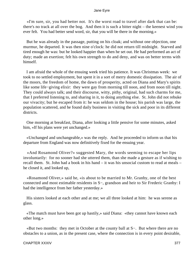«I'm sure, sir, you had better not. It's the worst road to travel after dark that can be: there's no track at all over the bog. And then it is such a bitter night – the keenest wind you ever felt. You had better send word, sir, that you will be there in the morning.»

 But he was already in the passage, putting on his cloak; and without one objection, one murmur, he departed. It was then nine o'clock: he did not return till midnight. Starved and tired enough he was: but he looked happier than when he set out. He had performed an act of duty; made an exertion; felt his own strength to do and deny, and was on better terms with himself.

 I am afraid the whole of the ensuing week tried his patience. It was Christmas week: we took to no settled employment, but spent it in a sort of merry domestic dissipation. The air of the moors, the freedom of home, the dawn of prosperity, acted on Diana and Mary's spirits like some life−giving elixir: they were gay from morning till noon, and from noon till night. They could always talk; and their discourse, witty, pithy, original, had such charms for me, that I preferred listening to, and sharing in it, to doing anything else. St. John did not rebuke our vivacity; but he escaped from it: he was seldom in the house; his parish was large, the population scattered, and he found daily business in visiting the sick and poor in its different districts.

 One morning at breakfast, Diana, after looking a little pensive for some minutes, asked him, «If his plans were yet unchanged.»

 «Unchanged and unchangeable,» was the reply. And he proceeded to inform us that his departure from England was now definitively fixed for the ensuing year.

 «And Rosamond Oliver?» suggested Mary, the words seeming to escape her lips involuntarily: for no sooner had she uttered them, than she made a gesture as if wishing to recall them. St. John had a book in his hand – it was his unsocial custom to read at meals – he closed it, and looked up,

 «Rosamond Oliver,» said he, «is about to be married to Mr. Granby, one of the best connected and most estimable residents in S−, grandson and heir to Sir Frederic Granby: I had the intelligence from her father yesterday.»

 His sisters looked at each other and at me; we all three looked at him: he was serene as glass.

 «The match must have been got up hastily,» said Diana: «they cannot have known each other long.»

 «But two months: they met in October at the county ball at S−. But where there are no obstacles to a union, as in the present case, where the connection is in every point desirable,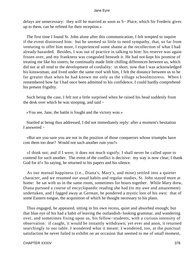delays are unnecessary: they will be married as soon as S− Place, which Sir Frederic gives up to them, can he refitted for their reception.»

 The first time I found St. John alone after this communication, I felt tempted to inquire if the event distressed him: but he seemed so little to need sympathy, that, so far from venturing to offer him more, I experienced some shame at the recollection of what I had already hazarded. Besides, I was out of practice in talking to him: his reserve was again frozen over, and my frankness was congealed beneath it. He had not kept his promise of treating me like his sisters; he continually made little chilling differences between us, which did not at all tend to the development of cordiality: in short, now that I was acknowledged his kinswoman, and lived under the same roof with him, I felt the distance between us to be far greater than when he had known me only as the village schoolmistress. When I remembered how far I had once been admitted to his confidence, I could hardly comprehend his present frigidity.

 Such being the case, I felt not a little surprised when he raised his head suddenly from the desk over which he was stooping, and said −

«You see, Jane, the battle is fought and the victory won.»

 Startled at being thus addressed, I did not immediately reply: after a moment's hesitation I answered −

 «But are you sure you are not in the position of those conquerors whose triumphs have cost them too dear? Would not such another ruin you?»

 «I think not; and if I were, it does not much signify; I shall never be called upon to contend for such another. The event of the conflict is decisive: my way is now clear; I thank God for it!» So saying, he returned to his papers and his silence.

 As our mutual happiness (i.e., Diana's, Mary's, and mine) settled into a quieter character, and we resumed our usual habits and regular studies, St. John stayed more at home: he sat with us in the same room, sometimes for hours together. While Mary drew, Diana pursued a course of encyclopaedic reading she had (to my awe and amazement) undertaken, and I fagged away at German, he pondered a mystic lore of his own: that of some Eastern tongue, the acquisition of which he thought necessary to his plans.

 Thus engaged, he appeared, sitting in his own recess, quiet and absorbed enough; but that blue eye of his had a habit of leaving the outlandish−looking grammar, and wandering over, and sometimes fixing upon us, his fellow−students, with a curious intensity of observation: if caught, it would be instantly withdrawn; yet ever and anon, it returned searchingly to our table. I wondered what it meant: I wondered, too, at the punctual satisfaction he never failed to exhibit on an occasion that seemed to me of small moment,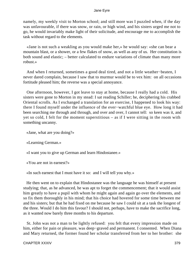namely, my weekly visit to Morton school; and still more was I puzzled when, if the day was unfavourable, if there was snow, or rain, or high wind, and his sisters urged me not to go, he would invariably make light of their solicitude, and encourage me to accomplish the task without regard to the elements.

 «Jane is not such a weakling as you would make her,» he would say: «she can bear a mountain blast, or a shower, or a few flakes of snow, as well as any of us. Her constitution is both sound and elastic; – better calculated to endure variations of climate than many more robust.»

 And when I returned, sometimes a good deal tired, and not a little weather−beaten, I never dared complain, because I saw that to murmur would be to vex him: on all occasions fortitude pleased him; the reverse was a special annoyance.

 One afternoon, however, I got leave to stay at home, because I really had a cold. His sisters were gone to Morton in my stead: I sat reading Schiller; he, deciphering his crabbed Oriental scrolls. As I exchanged a translation for an exercise, I happened to look his way: there I found myself under the influence of the ever−watchful blue eye. How long it had been searching me through and through, and over and over, I cannot tell: so keen was it, and yet so cold, I felt for the moment superstitious – as if I were sitting in the room with something uncanny.

«Jane, what are you doing?»

«Learning German.»

«I want you to give up German and learn Hindostanee.»

«You are not in earnest?»

«In such earnest that I must have it so: and I will tell you why.»

 He then went on to explain that Hindostanee was the language he was himself at present studying; that, as he advanced, he was apt to forget the commencement; that it would assist him greatly to have a pupil with whom he might again and again go over the elements, and so fix them thoroughly in his mind; that his choice had hovered for some time between me and his sisters; but that he had fixed on me because he saw I could sit at a task the longest of the three. Would I do him this favour? I should not, perhaps, have to make the sacrifice long, as it wanted now barely three months to his departure.

 St. John was not a man to be lightly refused: you felt that every impression made on him, either for pain or pleasure, was deep−graved and permanent. I consented. When Diana and Mary returned, the former found her scholar transferred from her to her brother: she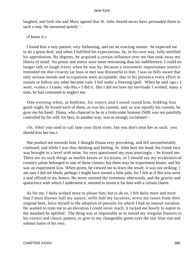laughed, and both she and Mary agreed that St. John should never have persuaded them to such a step. He answered quietly −

# «I know it.»

 I found him a very patient, very forbearing, and yet an exacting master: he expected me to do a great deal; and when I fulfilled his expectations, he, in his own way, fully testified his approbation. By degrees, he acquired a certain influence over me that took away my liberty of mind: his praise and notice were more restraining than his indifference. I could no longer talk or laugh freely when he was by, because a tiresomely importunate instinct reminded me that vivacity (at least in me) was distasteful to him. I was so fully aware that only serious moods and occupations were acceptable, that in his presence every effort to sustain or follow any other became vain: I fell under a freezing spell. When he said «go,» I went; «come,» I came; «do this,» I did it. But I did not love my servitude: I wished, many a time, he had continued to neglect me.

 One evening when, at bedtime, his sisters and I stood round him, bidding him good−night, he kissed each of them, as was his custom; and, as was equally his custom, he gave me his hand. Diana, who chanced to be in a frolicsome humour (SHE was not painfully controlled by his will; for hers, in another way, was as strong), exclaimed −

 «St. John! you used to call Jane your third sister, but you don't treat her as such: you should kiss her too.»

 She pushed me towards him. I thought Diana very provoking, and felt uncomfortably confused; and while I was thus thinking and feeling, St. John bent his head; his Greek face was brought to a level with mine, his eyes questioned my eyes piercingly – he kissed me. There are no such things as marble kisses or ice kisses, or I should say my ecclesiastical cousin's salute belonged to one of these classes; but there may be experiment kisses, and his was an experiment kiss. When given, he viewed me to learn the result; it was not striking: I am sure I did not blush; perhaps I might have turned a little pale, for I felt as if this kiss were a seal affixed to my fetters. He never omitted the ceremony afterwards, and the gravity and quiescence with which I underwent it, seemed to invest it for him with a certain charm.

 As for me, I daily wished more to please him; but to do so, I felt daily more and more that I must disown half my nature, stifle half my faculties, wrest my tastes from their original bent, force myself to the adoption of pursuits for which I had no natural vocation. He wanted to train me to an elevation I could never reach; it racked me hourly to aspire to the standard he uplifted. The thing was as impossible as to mould my irregular features to his correct and classic pattern, to give to my changeable green eyes the sea−blue tint and solemn lustre of his own.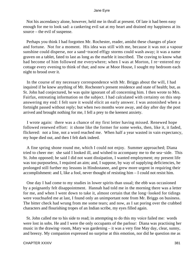Not his ascendancy alone, however, held me in thrall at present. Of late it had been easy enough for me to look sad: a cankering evil sat at my heart and drained my happiness at its source – the evil of suspense.

 Perhaps you think I had forgotten Mr. Rochester, reader, amidst these changes of place and fortune. Not for a moment. His idea was still with me, because it was not a vapour sunshine could disperse, nor a sand−traced effigy storms could wash away; it was a name graven on a tablet, fated to last as long as the marble it inscribed. The craving to know what had become of him followed me everywhere; when I was at Morton, I re−entered my cottage every evening to think of that; and now at Moor House, I sought my bedroom each night to brood over it.

 In the course of my necessary correspondence with Mr. Briggs about the will, I had inquired if he knew anything of Mr. Rochester's present residence and state of health; but, as St. John had conjectured, he was quite ignorant of all concerning him. I then wrote to Mrs. Fairfax, entreating information on the subject. I had calculated with certainty on this step answering my end: I felt sure it would elicit an early answer. I was astonished when a fortnight passed without reply; but when two months wore away, and day after day the post arrived and brought nothing for me, I fell a prey to the keenest anxiety.

 I wrote again: there was a chance of my first letter having missed. Renewed hope followed renewed effort: it shone like the former for some weeks, then, like it, it faded, flickered: not a line, not a word reached me. When half a year wasted in vain expectancy, my hope died out, and then I felt dark indeed.

 A fine spring shone round me, which I could not enjoy. Summer approached; Diana tried to cheer me: she said I looked ill, and wished to accompany me to the sea−side. This St. John opposed; he said I did not want dissipation, I wanted employment; my present life was too purposeless, I required an aim; and, I suppose, by way of supplying deficiencies, he prolonged still further my lessons in Hindostanee, and grew more urgent in requiring their accomplishment: and I, like a fool, never thought of resisting him – I could not resist him.

 One day I had come to my studies in lower spirits than usual; the ebb was occasioned by a poignantly felt disappointment. Hannah had told me in the morning there was a letter for me, and when I went down to take it, almost certain that the long−looked for tidings were vouchsafed me at last, I found only an unimportant note from Mr. Briggs on business. The bitter check had wrung from me some tears; and now, as I sat poring over the crabbed characters and flourishing tropes of an Indian scribe, my eyes filled again.

 St. John called me to his side to read; in attempting to do this my voice failed me: words were lost in sobs. He and I were the only occupants of the parlour: Diana was practising her music in the drawing−room, Mary was gardening – it was a very fine May day, clear, sunny, and breezy. My companion expressed no surprise at this emotion, nor did he question me as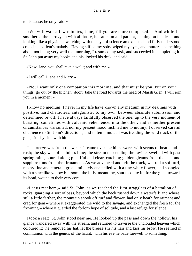to its cause; he only said −

 «We will wait a few minutes, Jane, till you are more composed.» And while I smothered the paroxysm with all haste, he sat calm and patient, leaning on his desk, and looking like a physician watching with the eye of science an expected and fully understood crisis in a patient's malady. Having stifled my sobs, wiped my eyes, and muttered something about not being very well that morning, I resumed my task, and succeeded in completing it. St. John put away my books and his, locked his desk, and said −

«Now, Jane, you shall take a walk; and with me.»

«I will call Diana and Mary.»

 «No; I want only one companion this morning, and that must be you. Put on your things; go out by the kitchen−door: take the road towards the head of Marsh Glen: I will join you in a moment.»

 I know no medium: I never in my life have known any medium in my dealings with positive, hard characters, antagonistic to my own, between absolute submission and determined revolt. I have always faithfully observed the one, up to the very moment of bursting, sometimes with volcanic vehemence, into the other; and as neither present circumstances warranted, nor my present mood inclined me to mutiny, I observed careful obedience to St. John's directions; and in ten minutes I was treading the wild track of the glen, side by side with him.

 The breeze was from the west: it came over the hills, sweet with scents of heath and rush; the sky was of stainless blue; the stream descending the ravine, swelled with past spring rains, poured along plentiful and clear, catching golden gleams from the sun, and sapphire tints from the firmament. As we advanced and left the track, we trod a soft turf, mossy fine and emerald green, minutely enamelled with a tiny white flower, and spangled with a star−like yellow blossom: the hills, meantime, shut us quite in; for the glen, towards its head, wound to their very core.

 «Let us rest here,» said St. John, as we reached the first stragglers of a battalion of rocks, guarding a sort of pass, beyond which the beck rushed down a waterfall; and where, still a little farther, the mountain shook off turf and flower, had only heath for raiment and crag for gem – where it exaggerated the wild to the savage, and exchanged the fresh for the frowning – where it guarded the forlorn hope of solitude, and a last refuge for silence.

 I took a seat: St. John stood near me. He looked up the pass and down the hollow; his glance wandered away with the stream, and returned to traverse the unclouded heaven which coloured it: he removed his hat, let the breeze stir his hair and kiss his brow. He seemed in communion with the genius of the haunt: with his eye he bade farewell to something.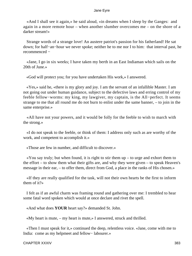«And I shall see it again,» he said aloud, «in dreams when I sleep by the Ganges: and again in a more remote hour – when another slumber overcomes me – on the shore of a darker stream!»

 Strange words of a strange love! An austere patriot's passion for his fatherland! He sat down; for half−an−hour we never spoke; neither he to me nor I to him: that interval past, he recommenced −

 «Jane, I go in six weeks; I have taken my berth in an East Indiaman which sails on the 20th of June.»

«God will protect you; for you have undertaken His work,» I answered.

 «Yes,» said he, «there is my glory and joy. I am the servant of an infallible Master. I am not going out under human guidance, subject to the defective laws and erring control of my feeble fellow−worms: my king, my lawgiver, my captain, is the All−perfect. It seems strange to me that all round me do not burn to enlist under the same banner, – to join in the same enterprise.»

 «All have not your powers, and it would be folly for the feeble to wish to march with the strong.»

 «I do not speak to the feeble, or think of them: I address only such as are worthy of the work, and competent to accomplish it.»

«Those are few in number, and difficult to discover.»

 $\alpha$ You say truly; but when found, it is right to stir them up – to urge and exhort them to the effort – to show them what their gifts are, and why they were given – to speak Heaven's message in their ear, – to offer them, direct from God, a place in the ranks of His chosen.»

 «If they are really qualified for the task, will not their own hearts be the first to inform them of it?»

 I felt as if an awful charm was framing round and gathering over me: I trembled to hear some fatal word spoken which would at once declare and rivet the spell.

«And what does **YOUR** heart say?» demanded St. John.

«My heart is mute, – my heart is mute,» I answered, struck and thrilled.

 «Then I must speak for it,» continued the deep, relentless voice. «Jane, come with me to India: come as my helpmeet and fellow− labourer.»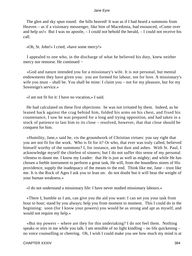The glen and sky spun round: the hills heaved! It was as if I had heard a summons from Heaven – as if a visionary messenger, like him of Macedonia, had enounced, «Come over and help us!» But I was no apostle, – I could not behold the herald, – I could not receive his call.

«Oh, St. John!» I cried, «have some mercy!»

 I appealed to one who, in the discharge of what he believed his duty, knew neither mercy nor remorse. He continued −

 «God and nature intended you for a missionary's wife. It is not personal, but mental endowments they have given you: you are formed for labour, not for love. A missionary's wife you must – shall be. You shall be mine: I claim you – not for my pleasure, but for my Sovereign's service.»

«I am not fit for it: I have no vocation,» I said.

 He had calculated on these first objections: he was not irritated by them. Indeed, as he leaned back against the crag behind him, folded his arms on his chest, and fixed his countenance, I saw he was prepared for a long and trying opposition, and had taken in a stock of patience to last him to its close – resolved, however, that that close should be conquest for him.

 «Humility, Jane,» said he, «is the groundwork of Christian virtues: you say right that you are not fit for the work. Who is fit for it? Or who, that ever was truly called, believed himself worthy of the summons? I, for instance, am but dust and ashes. With St. Paul, I acknowledge myself the chiefest of sinners; but I do not suffer this sense of my personal vileness to daunt me. I know my Leader: that He is just as well as mighty; and while He has chosen a feeble instrument to perform a great task, He will, from the boundless stores of His providence, supply the inadequacy of the means to the end. Think like me, Jane – trust like me. It is the Rock of Ages I ask you to lean on: do not doubt but it will bear the weight of your human weakness.»

«I do not understand a missionary life: I have never studied missionary labours.»

 «There I, humble as I am, can give you the aid you want: I can set you your task from hour to hour; stand by you always; help you from moment to moment. This I could do in the beginning: soon (for I know your powers) you would be as strong and apt as myself, and would not require my help.»

 «But my powers – where are they for this undertaking? I do not feel them. Nothing speaks or stirs in me while you talk. I am sensible of no light kindling – no life quickening – no voice counselling or cheering. Oh, I wish I could make you see how much my mind is at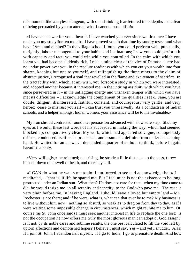this moment like a rayless dungeon, with one shrinking fear fettered in its depths – the fear of being persuaded by you to attempt what I cannot accomplish!»

 «I have an answer for you – hear it. I have watched you ever since we first met: I have made you my study for ten months. I have proved you in that time by sundry tests: and what have I seen and elicited? In the village school I found you could perform well, punctually, uprightly, labour uncongenial to your habits and inclinations; I saw you could perform it with capacity and tact: you could win while you controlled. In the calm with which you learnt you had become suddenly rich, I read a mind clear of the vice of Demas:− lucre had no undue power over you. In the resolute readiness with which you cut your wealth into four shares, keeping but one to yourself, and relinquishing the three others to the claim of abstract justice, I recognised a soul that revelled in the flame and excitement of sacrifice. In the tractability with which, at my wish, you forsook a study in which you were interested, and adopted another because it interested me; in the untiring assiduity with which you have since persevered in it – in the unflagging energy and unshaken temper with which you have met its difficulties – I acknowledge the complement of the qualities I seek. Jane, you are docile, diligent, disinterested, faithful, constant, and courageous; very gentle, and very heroic: cease to mistrust yourself – I can trust you unreservedly. As a conductress of Indian schools, and a helper amongst Indian women, your assistance will be to me invaluable.»

 My iron shroud contracted round me; persuasion advanced with slow sure step. Shut my eyes as I would, these last words of his succeeded in making the way, which had seemed blocked up, comparatively clear. My work, which had appeared so vague, so hopelessly diffuse, condensed itself as he proceeded, and assumed a definite form under his shaping hand. He waited for an answer. I demanded a quarter of an hour to think, before I again hazarded a reply.

 «Very willingly,» he rejoined; and rising, he strode a little distance up the pass, threw himself down on a swell of heath, and there lay still.

 «I CAN do what he wants me to do: I am forced to see and acknowledge that,» I meditated, – "that is, if life be spared me. But I feel mine is not the existence to be long protracted under an Indian sun. What then? He does not care for that: when my time came to die, he would resign me, in all serenity and sanctity, to the God who gave me. The case is very plain before me. In leaving England, I should leave a loved but empty land – Mr. Rochester is not there; and if he were, what is, what can that ever be to me? My business is to live without him now: nothing so absurd, so weak as to drag on from day to day, as if I were waiting some impossible change in circumstances, which might reunite me to him. Of course (as St. John once said) I must seek another interest in life to replace the one lost: is not the occupation he now offers me truly the most glorious man can adopt or God assign? Is it not, by its noble cares and sublime results, the one best calculated to fill the void left by uptorn affections and demolished hopes? I believe I must say, Yes – and yet I shudder. Alas! If I join St. John, I abandon half myself: if I go to India, I go to premature death. And how

CHAPTER XXXIV 385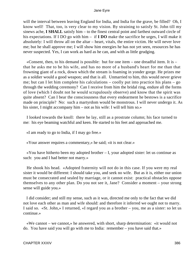will the interval between leaving England for India, and India for the grave, be filled? Oh, I know well! That, too, is very clear to my vision. By straining to satisfy St. John till my sinews ache, **I SHALL** satisfy him – to the finest central point and farthest outward circle of his expectations. If I DO go with him – if **I DO** make the sacrifice he urges, I will make it absolutely: I will throw all on the altar – heart, vitals, the entire victim. He will never love me; but he shall approve me; I will show him energies he has not yet seen, resources he has never suspected. Yes, I can work as hard as he can, and with as little grudging.

 «Consent, then, to his demand is possible: but for one item – one dreadful item. It is – that he asks me to be his wife, and has no more of a husband's heart for me than that frowning giant of a rock, down which the stream is foaming in yonder gorge. He prizes me as a soldier would a good weapon; and that is all. Unmarried to him, this would never grieve me; but can I let him complete his calculations – coolly put into practice his plans – go through the wedding ceremony? Can I receive from him the bridal ring, endure all the forms of love (which I doubt not he would scrupulously observe) and know that the spirit was quite absent? Can I bear the consciousness that every endearment he bestows is a sacrifice made on principle? No: such a martyrdom would be monstrous. I will never undergo it. As his sister, I might accompany him – not as his wife: I will tell him so.»

 I looked towards the knoll: there he lay, still as a prostrate column; his face turned to me: his eye beaming watchful and keen. He started to his feet and approached me.

«I am ready to go to India, if I may go free.»

«Your answer requires a commentary,» he said; «it is not clear.»

 «You have hitherto been my adopted brother – I, your adopted sister: let us continue as such: you and I had better not marry.»

 He shook his head. «Adopted fraternity will not do in this case. If you were my real sister it would be different: I should take you, and seek no wife. But as it is, either our union must be consecrated and sealed by marriage, or it cannot exist: practical obstacles oppose themselves to any other plan. Do you not see it, Jane? Consider a moment – your strong sense will guide you.»

 I did consider; and still my sense, such as it was, directed me only to the fact that we did not love each other as man and wife should: and therefore it inferred we ought not to marry. I said so. «St. John,» I returned, «I regard you as a brother – you, me as a sister: so let us continue.»

 «We cannot – we cannot,» he answered, with short, sharp determination: «it would not do. You have said you will go with me to India: remember – you have said that.»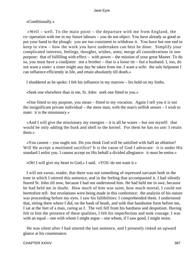«Conditionally.»

 «Well – well. To the main point – the departure with me from England, the co−operation with me in my future labours – you do not object. You have already as good as put your hand to the plough: you are too consistent to withdraw it. You have but one end to keep in view – how the work you have undertaken can best be done. Simplify your complicated interests, feelings, thoughts, wishes, aims; merge all considerations in one purpose: that of fulfilling with effect – with power – the mission of your great Master. To do so, you must have a coadjutor: not a brother – that is a loose tie – but a husband. I, too, do not want a sister: a sister might any day be taken from me. I want a wife: the sole helpmeet I can influence efficiently in life, and retain absolutely till death.»

I shuddered as he spoke: I felt his influence in my marrow – his hold on my limbs.

«Seek one elsewhere than in me, St. John: seek one fitted to you.»

 «One fitted to my purpose, you mean – fitted to my vocation. Again I tell you it is not the insignificant private individual – the mere man, with the man's selfish senses – I wish to mate: it is the missionary.»

 «And I will give the missionary my energies – it is all he wants – but not myself: that would be only adding the husk and shell to the kernel. For them he has no use: I retain them.»

 «You cannot – you ought not. Do you think God will be satisfied with half an oblation? Will He accept a mutilated sacrifice? It is the cause of God I advocate: it is under His standard I enlist you. I cannot accept on His behalf a divided allegiance: it must be entire.»

«Oh! I will give my heart to God,» I said. «YOU do not want it.»

 I will not swear, reader, that there was not something of repressed sarcasm both in the tone in which I uttered this sentence, and in the feeling that accompanied it. I had silently feared St. John till now, because I had not understood him. He had held me in awe, because he had held me in doubt. How much of him was saint, how much mortal, I could not heretofore tell: but revelations were being made in this conference: the analysis of his nature was proceeding before my eyes. I saw his fallibilities: I comprehended them. I understood that, sitting there where I did, on the bank of heath, and with that handsome form before me, I sat at the feet of a man, caring as I. The veil fell from his hardness and despotism. Having felt in him the presence of these qualities, I felt his imperfection and took courage. I was with an equal – one with whom I might argue – one whom, if I saw good, I might resist.

 He was silent after I had uttered the last sentence, and I presently risked an upward glance at his countenance.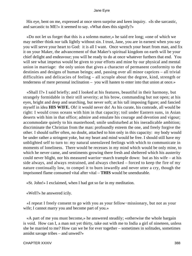His eye, bent on me, expressed at once stern surprise and keen inquiry. «Is she sarcastic, and sarcastic to ME!» it seemed to say. «What does this signify?»

 «Do not let us forget that this is a solemn matter,» he said ere long; «one of which we may neither think nor talk lightly without sin. I trust, Jane, you are in earnest when you say you will serve your heart to God: it is all I want. Once wrench your heart from man, and fix it on your Maker, the advancement of that Maker's spiritual kingdom on earth will be your chief delight and endeavour; you will be ready to do at once whatever furthers that end. You will see what impetus would be given to your efforts and mine by our physical and mental union in marriage: the only union that gives a character of permanent conformity to the destinies and designs of human beings; and, passing over all minor caprices – all trivial difficulties and delicacies of feeling – all scruple about the degree, kind, strength or tenderness of mere personal inclination – you will hasten to enter into that union at once.»

 «Shall I?» I said briefly; and I looked at his features, beautiful in their harmony, but strangely formidable in their still severity; at his brow, commanding but not open; at his eyes, bright and deep and searching, but never soft; at his tall imposing figure; and fancied myself in idea **HIS WIFE.** Oh! it would never do! As his curate, his comrade, all would be right: I would cross oceans with him in that capacity; toil under Eastern suns, in Asian deserts with him in that office; admire and emulate his courage and devotion and vigour; accommodate quietly to his masterhood; smile undisturbed at his ineradicable ambition; discriminate the Christian from the man: profoundly esteem the one, and freely forgive the other. I should suffer often, no doubt, attached to him only in this capacity: my body would be under rather a stringent yoke, but my heart and mind would be free. I should still have my unblighted self to turn to: my natural unenslaved feelings with which to communicate in moments of loneliness. There would be recesses in my mind which would be only mine, to which he never came, and sentiments growing there fresh and sheltered which his austerity could never blight, nor his measured warrior−march trample down: but as his wife – at his side always, and always restrained, and always checked – forced to keep the fire of my nature continually low, to compel it to burn inwardly and never utter a cry, though the imprisoned flame consumed vital after vital – **THIS** would be unendurable.

«St. John!» I exclaimed, when I had got so far in my meditation.

«Well?» he answered icily.

 «I repeat I freely consent to go with you as your fellow−missionary, but not as your wife; I cannot marry you and become part of you.»

 «A part of me you must become,» he answered steadily; «otherwise the whole bargain is void. How can I, a man not yet thirty, take out with me to India a girl of nineteen, unless she be married to me? How can we be for ever together – sometimes in solitudes, sometimes amidst savage tribes – and unwed?»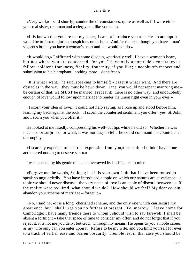«Very well,» I said shortly; «under the circumstances, quite as well as if I were either your real sister, or a man and a clergyman like yourself.»

 «It is known that you are not my sister; I cannot introduce you as such: to attempt it would be to fasten injurious suspicions on us both. And for the rest, though you have a man's vigorous brain, you have a woman's heart and – it would not do.»

 «It would do,» I affirmed with some disdain, «perfectly well. I have a woman's heart, but not where you are concerned; for you I have only a comrade's constancy; a fellow−soldier's frankness, fidelity, fraternity, if you like; a neophyte's respect and submission to his hierophant: nothing more – don't fear.»

 «It is what I want,» he said, speaking to himself; «it is just what I want. And there are obstacles in the way: they must be hewn down. Jane, you would not repent marrying me – be certain of that; we **MUST** be married. I repeat it: there is no other way; and undoubtedly enough of love would follow upon marriage to render the union right even in your eyes.»

 «I scorn your idea of love,» I could not help saying, as I rose up and stood before him, leaning my back against the rock. «I scorn the counterfeit sentiment you offer: yes, St. John, and I scorn you when you offer it.»

 He looked at me fixedly, compressing his well−cut lips while he did so. Whether he was incensed or surprised, or what, it was not easy to tell: he could command his countenance thoroughly.

 «I scarcely expected to hear that expression from you,» he said: «I think I have done and uttered nothing to deserve scorn.»

I was touched by his gentle tone, and overawed by his high, calm mien.

 «Forgive me the words, St. John; but it is your own fault that I have been roused to speak so unguardedly. You have introduced a topic on which our natures are at variance – a topic we should never discuss: the very name of love is an apple of discord between us. If the reality were required, what should we do? How should we feel? My dear cousin, abandon your scheme of marriage – forget it.»

 «No,» said he; «it is a long−cherished scheme, and the only one which can secure my great end: but I shall urge you no further at present. To−morrow, I leave home for Cambridge: I have many friends there to whom I should wish to say farewell. I shall be absent a fortnight – take that space of time to consider my offer: and do not forget that if you reject it, it is not me you deny, but God. Through my means, He opens to you a noble career; as my wife only can you enter upon it. Refuse to be my wife, and you limit yourself for ever to a track of selfish ease and barren obscurity. Tremble lest in that case you should be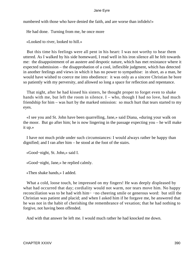numbered with those who have denied the faith, and are worse than infidels!»

He had done. Turning from me, he once more

«Looked to river, looked to hill.»

 But this time his feelings were all pent in his heart: I was not worthy to hear them uttered. As I walked by his side homeward, I read well in his iron silence all he felt towards me: the disappointment of an austere and despotic nature, which has met resistance where it expected submission – the disapprobation of a cool, inflexible judgment, which has detected in another feelings and views in which it has no power to sympathise: in short, as a man, he would have wished to coerce me into obedience: it was only as a sincere Christian he bore so patiently with my perversity, and allowed so long a space for reflection and repentance.

 That night, after he had kissed his sisters, he thought proper to forget even to shake hands with me, but left the room in silence. I – who, though I had no love, had much friendship for him – was hurt by the marked omission: so much hurt that tears started to my eyes.

 «I see you and St. John have been quarrelling, Jane,» said Diana, «during your walk on the moor. But go after him; he is now lingering in the passage expecting you – he will make it up.»

 I have not much pride under such circumstances: I would always rather be happy than dignified; and I ran after him – he stood at the foot of the stairs.

«Good−night, St. John,» said I.

«Good−night, Jane,» he replied calmly.

«Then shake hands,» I added.

 What a cold, loose touch, he impressed on my fingers! He was deeply displeased by what had occurred that day; cordiality would not warm, nor tears move him. No happy reconciliation was to be had with him− −no cheering smile or generous word: but still the Christian was patient and placid; and when I asked him if he forgave me, he answered that he was not in the habit of cherishing the remembrance of vexation; that he had nothing to forgive, not having been offended.

And with that answer he left me. I would much rather he had knocked me down.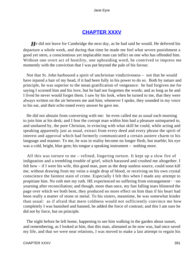# **[CHAPTER XXXV](#page-435-0)**

*H*e did not leave for Cambridge the next day, as he had said he would. He deferred his departure a whole week, and during that time he made me feel what severe punishment a good yet stern, a conscientious yet implacable man can inflict on one who has offended him. Without one overt act of hostility, one upbraiding word, he contrived to impress me momently with the conviction that I was put beyond the pale of his favour.

 Not that St. John harboured a spirit of unchristian vindictiveness – not that he would have injured a hair of my head, if it had been fully in his power to do so. Both by nature and principle, he was superior to the mean gratification of vengeance: he had forgiven me for saying I scorned him and his love, but he had not forgotten the words; and as long as he and I lived he never would forget them. I saw by his look, when he turned to me, that they were always written on the air between me and him; whenever I spoke, they sounded in my voice to his ear, and their echo toned every answer he gave me.

 He did not abstain from conversing with me: he even called me as usual each morning to join him at his desk; and I fear the corrupt man within him had a pleasure unimparted to, and unshared by, the pure Christian, in evincing with what skill he could, while acting and speaking apparently just as usual, extract from every deed and every phrase the spirit of interest and approval which had formerly communicated a certain austere charm to his language and manner. To me, he was in reality become no longer flesh, but marble; his eye was a cold, bright, blue gem; his tongue a speaking instrument – nothing more.

 All this was torture to me – refined, lingering torture. It kept up a slow fire of indignation and a trembling trouble of grief, which harassed and crushed me altogether. I felt how – if I were his wife, this good man, pure as the deep sunless source, could soon kill me, without drawing from my veins a single drop of blood, or receiving on his own crystal conscience the faintest stain of crime. Especially I felt this when I made any attempt to propitiate him. No ruth met my ruth. HE experienced no suffering from estrangement− −no yearning after reconciliation; and though, more than once, my fast falling tears blistered the page over which we both bent, they produced no more effect on him than if his heart had been really a matter of stone or metal. To his sisters, meantime, he was somewhat kinder than usual: as if afraid that mere coldness would not sufficiently convince me how completely I was banished and banned, he added the force of contrast; and this I am sure he did not by force, but on principle.

 The night before he left home, happening to see him walking in the garden about sunset, and remembering, as I looked at him, that this man, alienated as he now was, had once saved my life, and that we were near relations, I was moved to make a last attempt to regain his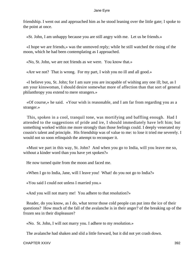friendship. I went out and approached him as he stood leaning over the little gate; I spoke to the point at once.

«St. John, I am unhappy because you are still angry with me. Let us be friends.»

 «I hope we are friends,» was the unmoved reply; while he still watched the rising of the moon, which he had been contemplating as I approached.

«No, St. John, we are not friends as we were. You know that.»

«Are we not? That is wrong. For my part, I wish you no ill and all good.»

 «I believe you, St. John; for I am sure you are incapable of wishing any one ill; but, as I am your kinswoman, I should desire somewhat more of affection than that sort of general philanthropy you extend to mere strangers.»

 «Of course,» he said. «Your wish is reasonable, and I am far from regarding you as a stranger.»

 This, spoken in a cool, tranquil tone, was mortifying and baffling enough. Had I attended to the suggestions of pride and ire, I should immediately have left him; but something worked within me more strongly than those feelings could. I deeply venerated my cousin's talent and principle. His friendship was of value to me: to lose it tried me severely. I would not so soon relinquish the attempt to reconquer it.

 «Must we part in this way, St. John? And when you go to India, will you leave me so, without a kinder word than you have yet spoken?»

He now turned quite from the moon and faced me.

«When I go to India, Jane, will I leave you! What! do you not go to India?»

«You said I could not unless I married you.»

«And you will not marry me! You adhere to that resolution?»

 Reader, do you know, as I do, what terror those cold people can put into the ice of their questions? How much of the fall of the avalanche is in their anger? of the breaking up of the frozen sea in their displeasure?

«No. St. John, I will not marry you. I adhere to my resolution.»

The avalanche had shaken and slid a little forward, but it did not yet crash down.

CHAPTER XXXV 392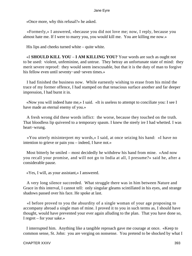«Once more, why this refusal?» he asked.

 «Formerly,» I answered, «because you did not love me; now, I reply, because you almost hate me. If I were to marry you, you would kill me. You are killing me now.»

His lips and cheeks turned white – quite white.

 «I **SHOULD KILL YOU** – **I AM KILLING YOU?** Your words are such as ought not to be used: violent, unfeminine, and untrue. They betray an unfortunate state of mind: they merit severe reproof: they would seem inexcusable, but that it is the duty of man to forgive his fellow even until seventy−and−seven times.»

 I had finished the business now. While earnestly wishing to erase from his mind the trace of my former offence, I had stamped on that tenacious surface another and far deeper impression, I had burnt it in.

 «Now you will indeed hate me,» I said. «It is useless to attempt to conciliate you: I see I have made an eternal enemy of you.»

 A fresh wrong did these words inflict: the worse, because they touched on the truth. That bloodless lip quivered to a temporary spasm. I knew the steely ire I had whetted. I was heart−wrung.

 «You utterly misinterpret my words,» I said, at once seizing his hand: «I have no intention to grieve or pain you – indeed, I have not.»

 Most bitterly he smiled – most decidedly he withdrew his hand from mine. «And now you recall your promise, and will not go to India at all, I presume?» said he, after a considerable pause.

«Yes, I will, as your assistant,» I answered.

 A very long silence succeeded. What struggle there was in him between Nature and Grace in this interval, I cannot tell: only singular gleams scintillated in his eyes, and strange shadows passed over his face. He spoke at last.

 «I before proved to you the absurdity of a single woman of your age proposing to accompany abroad a single man of mine. I proved it to you in such terms as, I should have thought, would have prevented your ever again alluding to the plan. That you have done so, I regret – for your sake.»

 I interrupted him. Anything like a tangible reproach gave me courage at once. «Keep to common sense, St. John: you are verging on nonsense. You pretend to be shocked by what I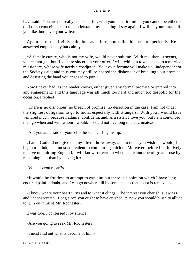have said. You are not really shocked: for, with your superior mind, you cannot be either so dull or so conceited as to misunderstand my meaning. I say again, I will be your curate, if you like, but never your wife.»

 Again he turned lividly pale; but, as before, controlled his passion perfectly. He answered emphatically but calmly −

 «A female curate, who is not my wife, would never suit me. With me, then, it seems, you cannot go: but if you are sincere in your offer, I will, while in town, speak to a married missionary, whose wife needs a coadjutor. Your own fortune will make you independent of the Society's aid; and thus you may still be spared the dishonour of breaking your promise and deserting the band you engaged to join.»

 Now I never had, as the reader knows, either given any formal promise or entered into any engagement; and this language was all much too hard and much too despotic for the occasion. I replied −

 «There is no dishonour, no breach of promise, no desertion in the case. I am not under the slightest obligation to go to India, especially with strangers. With you I would have ventured much, because I admire, confide in, and, as a sister, I love you; but I am convinced that, go when and with whom I would, I should not live long in that climate.»

«Ah! you are afraid of yourself,» he said, curling his lip.

 «I am. God did not give me my life to throw away; and to do as you wish me would, I begin to think, be almost equivalent to committing suicide. Moreover, before I definitively resolve on quitting England, I will know for certain whether I cannot be of greater use by remaining in it than by leaving it.»

«What do you mean?»

 «It would be fruitless to attempt to explain; but there is a point on which I have long endured painful doubt, and I can go nowhere till by some means that doubt is removed.»

 «I know where your heart turns and to what it clings. The interest you cherish is lawless and unconsecrated. Long since you ought to have crushed it: now you should blush to allude to it. You think of Mr. Rochester?»

It was true. I confessed it by silence.

«Are you going to seek Mr. Rochester?»

«I must find out what is become of him.»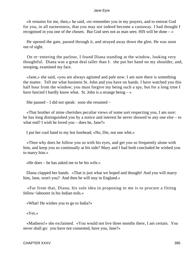«It remains for me, then,» he said, «to remember you in my prayers, and to entreat God for you, in all earnestness, that you may not indeed become a castaway. I had thought I recognised in you one of the chosen. But God sees not as man sees: HIS will be done – »

 He opened the gate, passed through it, and strayed away down the glen. He was soon out of sight.

 On re−entering the parlour, I found Diana standing at the window, looking very thoughtful. Diana was a great deal taller than I: she put her hand on my shoulder, and, stooping, examined my face.

 «Jane,» she said, «you are always agitated and pale now. I am sure there is something the matter. Tell me what business St. John and you have on hands. I have watched you this half hour from the window; you must forgive my being such a spy, but for a long time I have fancied I hardly know what. St. John is a strange being  $-\infty$ 

She paused – I did not speak: soon she resumed −

 «That brother of mine cherishes peculiar views of some sort respecting you, I am sure: he has long distinguished you by a notice and interest he never showed to any one else – to what end? I wish he loved you – does he, Jane?»

I put her cool hand to my hot forehead; «No, Die, not one whit.»

 «Then why does he follow you so with his eyes, and get you so frequently alone with him, and keep you so continually at his side? Mary and I had both concluded he wished you to marry him.»

«He does – he has asked me to be his wife.»

 Diana clapped her hands. «That is just what we hoped and thought! And you will marry him, Jane, won't you? And then he will stay in England.»

 «Far from that, Diana; his sole idea in proposing to me is to procure a fitting fellow−labourer in his Indian toils.»

«What! He wishes you to go to India?»

«Yes.»

 «Madness!» she exclaimed. «You would not live three months there, I am certain. You never shall go: you have not consented, have you, Jane?»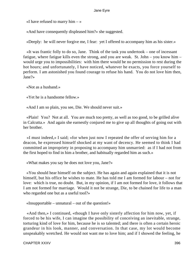«I have refused to marry him  $-\infty$ 

«And have consequently displeased him?» she suggested.

«Deeply: he will never forgive me, I fear: yet I offered to accompany him as his sister.»

 «It was frantic folly to do so, Jane. Think of the task you undertook – one of incessant fatigue, where fatigue kills even the strong, and you are weak. St. John – you know him – would urge you to impossibilities: with him there would be no permission to rest during the hot hours; and unfortunately, I have noticed, whatever he exacts, you force yourself to perform. I am astonished you found courage to refuse his hand. You do not love him then, Jane?»

«Not as a husband.»

«Yet he is a handsome fellow.»

«And I am so plain, you see, Die. We should never suit.»

 «Plain! You? Not at all. You are much too pretty, as well as too good, to be grilled alive in Calcutta.» And again she earnestly conjured me to give up all thoughts of going out with her brother.

 «I must indeed,» I said; «for when just now I repeated the offer of serving him for a deacon, he expressed himself shocked at my want of decency. He seemed to think I had committed an impropriety in proposing to accompany him unmarried: as if I had not from the first hoped to find in him a brother, and habitually regarded him as such.»

«What makes you say he does not love you, Jane?»

 «You should hear himself on the subject. He has again and again explained that it is not himself, but his office he wishes to mate. He has told me I am formed for labour – not for love: which is true, no doubt. But, in my opinion, if I am not formed for love, it follows that I am not formed for marriage. Would it not be strange, Die, to be chained for life to a man who regarded one but as a useful tool?»

«Insupportable – unnatural – out of the question!»

 «And then,» I continued, «though I have only sisterly affection for him now, yet, if forced to be his wife, I can imagine the possibility of conceiving an inevitable, strange, torturing kind of love for him, because he is so talented; and there is often a certain heroic grandeur in his look, manner, and conversation. In that case, my lot would become unspeakably wretched. He would not want me to love him; and if I showed the feeling, he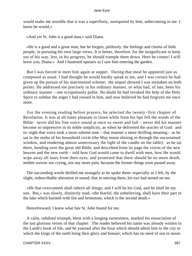would make me sensible that it was a superfluity, unrequired by him, unbecoming in me. I know he would.»

«And yet St. John is a good man,» said Diana.

 «He is a good and a great man; but he forgets, pitilessly, the feelings and claims of little people, in pursuing his own large views. It is better, therefore, for the insignificant to keep out of his way, lest, in his progress, he should trample them down. Here he comes! I will leave you, Diana.» And I hastened upstairs as I saw him entering the garden.

 But I was forced to meet him again at supper. During that meal he appeared just as composed as usual. I had thought he would hardly speak to me, and I was certain he had given up the pursuit of his matrimonial scheme: the sequel showed I was mistaken on both points. He addressed me precisely in his ordinary manner, or what had, of late, been his ordinary manner – one scrupulously polite. No doubt he had invoked the help of the Holy Spirit to subdue the anger I had roused in him, and now believed he had forgiven me once more.

 For the evening reading before prayers, he selected the twenty−first chapter of Revelation. It was at all times pleasant to listen while from his lips fell the words of the Bible: never did his fine voice sound at once so sweet and full – never did his manner become so impressive in its noble simplicity, as when he delivered the oracles of God: and to−night that voice took a more solemn tone – that manner a more thrilling meaning – as he sat in the midst of his household circle (the May moon shining in through the uncurtained window, and rendering almost unnecessary the light of the candle on the table): as he sat there, bending over the great old Bible, and described from its page the vision of the new heaven and the new earth – told how God would come to dwell with men, how He would wipe away all tears from their eyes, and promised that there should be no more death, neither sorrow nor crying, nor any more pain, because the former things were passed away.

 The succeeding words thrilled me strangely as he spoke them: especially as I felt, by the slight, indescribable alteration in sound, that in uttering them, his eye had turned on me.

 «He that overcometh shall inherit all things; and I will be his God, and he shall be my son. But,» was slowly, distinctly read, «the fearful, the unbelieving, shall have their part in the lake which burneth with fire and brimstone, which is the second death.»

Henceforward, I knew what fate St. John feared for me.

 A calm, subdued triumph, blent with a longing earnestness, marked his enunciation of the last glorious verses of that chapter. The reader believed his name was already written in the Lamb's book of life, and he yearned after the hour which should admit him to the city to which the kings of the earth bring their glory and honour; which has no need of sun or moon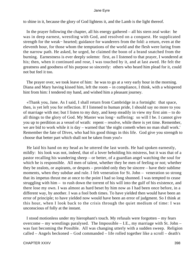to shine in it, because the glory of God lightens it, and the Lamb is the light thereof.

 In the prayer following the chapter, all his energy gathered – all his stern zeal woke: he was in deep earnest, wrestling with God, and resolved on a conquest. He supplicated strength for the weak− hearted; guidance for wanderers from the fold: a return, even at the eleventh hour, for those whom the temptations of the world and the flesh were luring from the narrow path. He asked, he urged, he claimed the boon of a brand snatched from the burning. Earnestness is ever deeply solemn: first, as I listened to that prayer, I wondered at his; then, when it continued and rose, I was touched by it, and at last awed. He felt the greatness and goodness of his purpose so sincerely: others who heard him plead for it, could not but feel it too.

 The prayer over, we took leave of him: he was to go at a very early hour in the morning. Diana and Mary having kissed him, left the room – in compliance, I think, with a whispered hint from him: I tendered my hand, and wished him a pleasant journey.

 «Thank you, Jane. As I said, I shall return from Cambridge in a fortnight: that space, then, is yet left you for reflection. If I listened to human pride, I should say no more to you of marriage with me; but I listen to my duty, and keep steadily in view my first aim – to do all things to the glory of God. My Master was long− suffering: so will I be. I cannot give you up to perdition as a vessel of wrath: repent – resolve, while there is yet time. Remember, we are bid to work while it is day – warned that 'the night cometh when no man shall work.' Remember the fate of Dives, who had his good things in this life. God give you strength to choose that better part which shall not be taken from you!»

 He laid his hand on my head as he uttered the last words. He had spoken earnestly, mildly: his look was not, indeed, that of a lover beholding his mistress, but it was that of a pastor recalling his wandering sheep – or better, of a guardian angel watching the soul for which he is responsible. All men of talent, whether they be men of feeling or not; whether they be zealots, or aspirants, or despots – provided only they be sincere – have their sublime moments, when they subdue and rule. I felt veneration for St. John – veneration so strong that its impetus thrust me at once to the point I had so long shunned. I was tempted to cease struggling with him – to rush down the torrent of his will into the gulf of his existence, and there lose my own. I was almost as hard beset by him now as I had been once before, in a different way, by another. I was a fool both times. To have yielded then would have been an error of principle; to have yielded now would have been an error of judgment. So I think at this hour, when I look back to the crisis through the quiet medium of time: I was unconscious of folly at the instant.

 I stood motionless under my hierophant's touch. My refusals were forgotten – my fears overcome – my wrestlings paralysed. The Impossible – I.E., my marriage with St. John – was fast becoming the Possible. All was changing utterly with a sudden sweep. Religion called – Angels beckoned – God commanded – life rolled together like a scroll – death's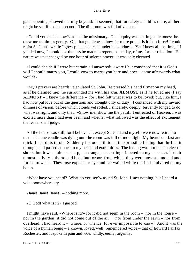gates opening, showed eternity beyond: it seemed, that for safety and bliss there, all here might be sacrificed in a second. The dim room was full of visions.

 «Could you decide now?» asked the missionary. The inquiry was put in gentle tones: he drew me to him as gently. Oh, that gentleness! how far more potent is it than force! I could resist St. John's wrath: I grew pliant as a reed under his kindness. Yet I knew all the time, if I yielded now, I should not the less be made to repent, some day, of my former rebellion. His nature was not changed by one hour of solemn prayer: it was only elevated.

 «I could decide if I were but certain,» I answered: «were I but convinced that it is God's will I should marry you, I could vow to marry you here and now – come afterwards what would!»

 «My I prayers are heard!» ejaculated St. John. He pressed his hand firmer on my head, as if he claimed me: he surrounded me with his arm, **ALMOST** as if he loved me (I say **ALMOST** – I knew the difference – for I had felt what it was to be loved; but, like him, I had now put love out of the question, and thought only of duty). I contended with my inward dimness of vision, before which clouds yet rolled. I sincerely, deeply, fervently longed to do what was right; and only that. «Show me, show me the path!» I entreated of Heaven. I was excited more than I had ever been; and whether what followed was the effect of excitement the reader shall judge.

 All the house was still; for I believe all, except St. John and myself, were now retired to rest. The one candle was dying out: the room was full of moonlight. My heart beat fast and thick: I heard its throb. Suddenly it stood still to an inexpressible feeling that thrilled it through, and passed at once to my head and extremities. The feeling was not like an electric shock, but it was quite as sharp, as strange, as startling: it acted on my senses as if their utmost activity hitherto had been but torpor, from which they were now summoned and forced to wake. They rose expectant: eye and ear waited while the flesh quivered on my bones.

 «What have you heard? What do you see?» asked St. John. I saw nothing, but I heard a voice somewhere cry −

«Jane! Jane! Jane!» – nothing more.

«O God! what is it?» I gasped.

 I might have said, «Where is it?» for it did not seem in the room – nor in the house – nor in the garden; it did not come out of the air− −nor from under the earth – nor from overhead. I had heard it – where, or whence, for ever impossible to know! And it was the voice of a human being – a known, loved, well−remembered voice – that of Edward Fairfax Rochester; and it spoke in pain and woe, wildly, eerily, urgently.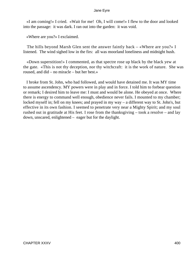«I am coming!» I cried. «Wait for me! Oh, I will come!» I flew to the door and looked into the passage: it was dark. I ran out into the garden: it was void.

«Where are you?» I exclaimed.

 The hills beyond Marsh Glen sent the answer faintly back – «Where are you?» I listened. The wind sighed low in the firs: all was moorland loneliness and midnight hush.

 «Down superstition!» I commented, as that spectre rose up black by the black yew at the gate. «This is not thy deception, nor thy witchcraft: it is the work of nature. She was roused, and did – no miracle – but her best.»

 I broke from St. John, who had followed, and would have detained me. It was MY time to assume ascendency. MY powers were in play and in force. I told him to forbear question or remark; I desired him to leave me: I must and would be alone. He obeyed at once. Where there is energy to command well enough, obedience never fails. I mounted to my chamber; locked myself in; fell on my knees; and prayed in my way – a different way to St. John's, but effective in its own fashion. I seemed to penetrate very near a Mighty Spirit; and my soul rushed out in gratitude at His feet. I rose from the thanksgiving – took a resolve – and lay down, unscared, enlightened – eager but for the daylight.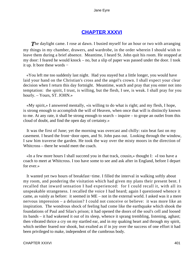## **[CHAPTER XXXVI](#page-435-0)**

**The daylight came.** I rose at dawn. I busied myself for an hour or two with arranging my things in my chamber, drawers, and wardrobe, in the order wherein I should wish to leave them during a brief absence. Meantime, I heard St. John quit his room. He stopped at my door: I feared he would knock – no, but a slip of paper was passed under the door. I took it up. It bore these words −

 «You left me too suddenly last night. Had you stayed but a little longer, you would have laid your hand on the Christian's cross and the angel's crown. I shall expect your clear decision when I return this day fortnight. Meantime, watch and pray that you enter not into temptation: the spirit, I trust, is willing, but the flesh, I see, is weak. I shall pray for you hourly. – Yours, ST. JOHN.»

 «My spirit,» I answered mentally, «is willing to do what is right; and my flesh, I hope, is strong enough to accomplish the will of Heaven, when once that will is distinctly known to me. At any rate, it shall be strong enough to search – inquire – to grope an outlet from this cloud of doubt, and find the open day of certainty.»

 It was the first of June; yet the morning was overcast and chilly: rain beat fast on my casement. I heard the front−door open, and St. John pass out. Looking through the window, I saw him traverse the garden. He took the way over the misty moors in the direction of Whitcross – there he would meet the coach.

 «In a few more hours I shall succeed you in that track, cousin,» thought I: «I too have a coach to meet at Whitcross. I too have some to see and ask after in England, before I depart for ever.»

 It wanted yet two hours of breakfast−time. I filled the interval in walking softly about my room, and pondering the visitation which had given my plans their present bent. I recalled that inward sensation I had experienced: for I could recall it, with all its unspeakable strangeness. I recalled the voice I had heard; again I questioned whence it came, as vainly as before: it seemed in ME – not in the external world. I asked was it a mere nervous impression – a delusion? I could not conceive or believe: it was more like an inspiration. The wondrous shock of feeling had come like the earthquake which shook the foundations of Paul and Silas's prison; it had opened the doors of the soul's cell and loosed its bands – it had wakened it out of its sleep, whence it sprang trembling, listening, aghast; then vibrated thrice a cry on my startled ear, and in my quaking heart and through my spirit, which neither feared nor shook, but exulted as if in joy over the success of one effort it had been privileged to make, independent of the cumbrous body.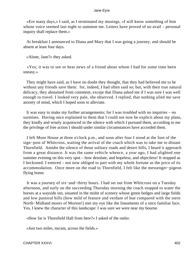«Ere many days,» I said, as I terminated my musings, «I will know something of him whose voice seemed last night to summon me. Letters have proved of no avail – personal inquiry shall replace them.»

 At breakfast I announced to Diana and Mary that I was going a journey, and should be absent at least four days.

«Alone, Jane?» they asked.

 «Yes; it was to see or hear news of a friend about whom I had for some time been uneasy.»

 They might have said, as I have no doubt they thought, that they had believed me to be without any friends save them: for, indeed, I had often said so; but, with their true natural delicacy, they abstained from comment, except that Diana asked me if I was sure I was well enough to travel. I looked very pale, she observed. I replied, that nothing ailed me save anxiety of mind, which I hoped soon to alleviate.

 It was easy to make my further arrangements; for I was troubled with no inquiries – no surmises. Having once explained to them that I could not now be explicit about my plans, they kindly and wisely acquiesced in the silence with which I pursued them, according to me the privilege of free action I should under similar circumstances have accorded them.

 I left Moor House at three o'clock p.m., and soon after four I stood at the foot of the sign−post of Whitcross, waiting the arrival of the coach which was to take me to distant Thornfield. Amidst the silence of those solitary roads and desert hills, I heard it approach from a great distance. It was the same vehicle whence, a year ago, I had alighted one summer evening on this very spot – how desolate, and hopeless, and objectless! It stopped as I beckoned. I entered – not now obliged to part with my whole fortune as the price of its accommodation. Once more on the road to Thornfield, I felt like the messenger−pigeon flying home.

 It was a journey of six−and−thirty hours. I had set out from Whitcross on a Tuesday afternoon, and early on the succeeding Thursday morning the coach stopped to water the horses at a wayside inn, situated in the midst of scenery whose green hedges and large fields and low pastoral hills (how mild of feature and verdant of hue compared with the stern North−Midland moors of Morton!) met my eye like the lineaments of a once familiar face. Yes, I knew the character of this landscape: I was sure we were near my bourne.

«How far is Thornfield Hall from here?» I asked of the ostler.

«Just two miles, ma'am, across the fields.»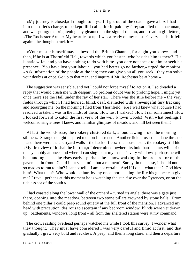«My journey is closed,» I thought to myself. I got out of the coach, gave a box I had into the ostler's charge, to be kept till I called for it; paid my fare; satisfied the coachman, and was going: the brightening day gleamed on the sign of the inn, and I read in gilt letters, «The Rochester Arms.» My heart leapt up: I was already on my master's very lands. It fell again: the thought struck it:−

 «Your master himself may be beyond the British Channel, for aught you know: and then, if he is at Thornfield Hall, towards which you hasten, who besides him is there? His lunatic wife: and you have nothing to do with him: you dare not speak to him or seek his presence. You have lost your labour – you had better go no farther,» urged the monitor. «Ask information of the people at the inn; they can give you all you seek: they can solve your doubts at once. Go up to that man, and inquire if Mr. Rochester be at home.»

 The suggestion was sensible, and yet I could not force myself to act on it. I so dreaded a reply that would crush me with despair. To prolong doubt was to prolong hope. I might yet once more see the Hall under the ray of her star. There was the stile before me – the very fields through which I had hurried, blind, deaf, distracted with a revengeful fury tracking and scourging me, on the morning I fled from Thornfield: ere I well knew what course I had resolved to take, I was in the midst of them. How fast I walked! How I ran sometimes! How I looked forward to catch the first view of the well−known woods! With what feelings I welcomed single trees I knew, and familiar glimpses of meadow and hill between them!

 At last the woods rose; the rookery clustered dark; a loud cawing broke the morning stillness. Strange delight inspired me: on I hastened. Another field crossed – a lane threaded – and there were the courtyard walls – the back offices: the house itself, the rookery still hid. «My first view of it shall be in front,» I determined, «where its bold battlements will strike the eye nobly at once, and where I can single out my master's very window: perhaps he will be standing at it – he rises early: perhaps he is now walking in the orchard, or on the pavement in front. Could I but see him! – but a moment! Surely, in that case, I should not be so mad as to run to him? I cannot tell – I am not certain. And if I did – what then? God bless him! What then? Who would be hurt by my once more tasting the life his glance can give me? I rave: perhaps at this moment he is watching the sun rise over the Pyrenees, or on the tideless sea of the south.»

 I had coasted along the lower wall of the orchard – turned its angle: there was a gate just there, opening into the meadow, between two stone pillars crowned by stone balls. From behind one pillar I could peep round quietly at the full front of the mansion. I advanced my head with precaution, desirous to ascertain if any bedroom window−blinds were yet drawn up: battlements, windows, long front – all from this sheltered station were at my command.

 The crows sailing overhead perhaps watched me while I took this survey. I wonder what they thought. They must have considered I was very careful and timid at first, and that gradually I grew very bold and reckless. A peep, and then a long stare; and then a departure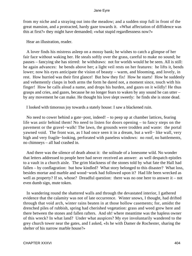from my niche and a straying out into the meadow; and a sudden stop full in front of the great mansion, and a protracted, hardy gaze towards it. «What affectation of diffidence was this at first?» they might have demanded; «what stupid regardlessness now?»

Hear an illustration, reader.

 A lover finds his mistress asleep on a mossy bank; he wishes to catch a glimpse of her fair face without waking her. He steals softly over the grass, careful to make no sound; he pauses – fancying she has stirred: he withdraws: not for worlds would he be seen. All is still: he again advances: he bends above her; a light veil rests on her features: he lifts it, bends lower; now his eyes anticipate the vision of beauty – warm, and blooming, and lovely, in rest. How hurried was their first glance! But how they fix! How he starts! How he suddenly and vehemently clasps in both arms the form he dared not, a moment since, touch with his finger! How he calls aloud a name, and drops his burden, and gazes on it wildly! He thus grasps and cries, and gazes, because he no longer fears to waken by any sound he can utter – by any movement he can make. He thought his love slept sweetly: he finds she is stone dead.

I looked with timorous joy towards a stately house: I saw a blackened ruin.

 No need to cower behind a gate−post, indeed! – to peep up at chamber lattices, fearing life was astir behind them! No need to listen for doors opening – to fancy steps on the pavement or the gravel−walk! The lawn, the grounds were trodden and waste: the portal yawned void. The front was, as I had once seen it in a dream, but a well− like wall, very high and very fragile−looking, perforated with paneless windows: no roof, no battlements, no chimneys – all had crashed in.

 And there was the silence of death about it: the solitude of a lonesome wild. No wonder that letters addressed to people here had never received an answer: as well despatch epistles to a vault in a church aisle. The grim blackness of the stones told by what fate the Hall had fallen – by conflagration: but how kindled? What story belonged to this disaster? What loss, besides mortar and marble and wood−work had followed upon it? Had life been wrecked as well as property? If so, whose? Dreadful question: there was no one here to answer it – not even dumb sign, mute token.

 In wandering round the shattered walls and through the devastated interior, I gathered evidence that the calamity was not of late occurrence. Winter snows, I thought, had drifted through that void arch, winter rains beaten in at those hollow casements; for, amidst the drenched piles of rubbish, spring had cherished vegetation: grass and weed grew here and there between the stones and fallen rafters. And oh! where meantime was the hapless owner of this wreck? In what land? Under what auspices? My eye involuntarily wandered to the grey church tower near the gates, and I asked, «Is he with Damer de Rochester, sharing the shelter of his narrow marble house?»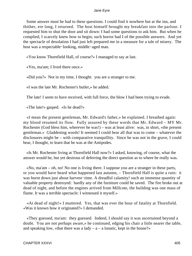Some answer must be had to these questions. I could find it nowhere but at the inn, and thither, ere long, I returned. The host himself brought my breakfast into the parlour. I requested him to shut the door and sit down: I had some questions to ask him. But when he complied, I scarcely knew how to begin; such horror had I of the possible answers. And yet the spectacle of desolation I had just left prepared me in a measure for a tale of misery. The host was a respectable−looking, middle−aged man.

«You know Thornfield Hall, of course?» I managed to say at last.

«Yes, ma'am; I lived there once.»

«Did you?» Not in my time, I thought: you are a stranger to me.

«I was the late Mr. Rochester's butler,» he added.

The late! I seem to have received, with full force, the blow I had been trying to evade.

«The late!» gasped. «Is he dead?»

 «I mean the present gentleman, Mr. Edward's father,» he explained. I breathed again: my blood resumed its flow. Fully assured by these words that Mr. Edward – MY Mr. Rochester (God bless him, wherever he was!) – was at least alive: was, in short, «the present gentleman.» Gladdening words! It seemed I could hear all that was to come – whatever the disclosures might be – with comparative tranquillity. Since he was not in the grave, I could bear, I thought, to learn that he was at the Antipodes.

 «Is Mr. Rochester living at Thornfield Hall now?» I asked, knowing, of course, what the answer would be, but yet desirous of deferring the direct question as to where he really was.

 «No, ma'am – oh, no! No one is living there. I suppose you are a stranger in these parts, or you would have heard what happened last autumn, – Thornfield Hall is quite a ruin: it was burnt down just about harvest−time. A dreadful calamity! such an immense quantity of valuable property destroyed: hardly any of the furniture could be saved. The fire broke out at dead of night, and before the engines arrived from Millcote, the building was one mass of flame. It was a terrible spectacle: I witnessed it myself.»

 «At dead of night!» I muttered. Yes, that was ever the hour of fatality at Thornfield. «Was it known how it originated?» I demanded.

 «They guessed, ma'am: they guessed. Indeed, I should say it was ascertained beyond a doubt. You are not perhaps aware,» he continued, edging his chair a little nearer the table, and speaking low, «that there was a lady  $- a - a$  lunatic, kept in the house?»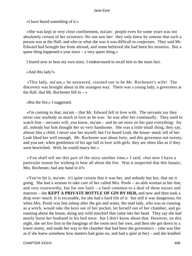«I have heard something of it.»

 «She was kept in very close confinement, ma'am: people even for some years was not absolutely certain of her existence. No one saw her: they only knew by rumour that such a person was at the Hall; and who or what she was it was difficult to conjecture. They said Mr. Edward had brought her from abroad, and some believed she had been his mistress. But a queer thing happened a year since – a very queer thing.»

I feared now to hear my own story. I endeavoured to recall him to the main fact.

«And this lady?»

 «This lady, ma'am,» he answered, «turned out to be Mr. Rochester's wife! The discovery was brought about in the strangest way. There was a young lady, a governess at the Hall, that Mr. Rochester fell in  $-\infty$ 

«But the fire,» I suggested.

 «I'm coming to that, ma'am – that Mr. Edward fell in love with. The servants say they never saw anybody so much in love as he was: he was after her continually. They used to watch him – servants will, you know, ma'am – and he set store on her past everything: for all, nobody but him thought her so very handsome. She was a little small thing, they say, almost like a child. I never saw her myself; but I've heard Leah, the house−maid, tell of her. Leah liked her well enough. Mr. Rochester was about forty, and this governess not twenty; and you see, when gentlemen of his age fall in love with girls, they are often like as if they were bewitched. Well, he would marry her.»

 «You shall tell me this part of the story another time,» I said; «but now I have a particular reason for wishing to hear all about the fire. Was it suspected that this lunatic, Mrs. Rochester, had any hand in it?»

 «You've hit it, ma'am: it's quite certain that it was her, and nobody but her, that set it going. She had a woman to take care of her called Mrs. Poole – an able woman in her line, and very trustworthy, but for one fault – a fault common to a deal of them nurses and matrons – she **KEPT A PRIVATE BOTTLE OF GIN BY HER,** and now and then took a drop over−much. It is excusable, for she had a hard life of it: but still it was dangerous; for when Mrs. Poole was fast asleep after the gin and water, the mad lady, who was as cunning as a witch, would take the keys out of her pocket, let herself out of her chamber, and go roaming about the house, doing any wild mischief that came into her head. They say she had nearly burnt her husband in his bed once: but I don't know about that. However, on this night, she set fire first to the hangings of the room next her own, and then she got down to a lower storey, and made her way to the chamber that had been the governess's – (she was like as if she knew somehow how matters had gone on, and had a spite at her) – and she kindled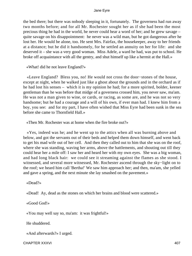the bed there; but there was nobody sleeping in it, fortunately. The governess had run away two months before; and for all Mr. Rochester sought her as if she had been the most precious thing he had in the world, he never could hear a word of her; and he grew savage – quite savage on his disappointment: he never was a wild man, but he got dangerous after he lost her. He would be alone, too. He sent Mrs. Fairfax, the housekeeper, away to her friends at a distance; but he did it handsomely, for he settled an annuity on her for life: and she deserved it – she was a very good woman. Miss Adele, a ward he had, was put to school. He broke off acquaintance with all the gentry, and shut himself up like a hermit at the Hall.»

«What! did he not leave England?»

 «Leave England? Bless you, no! He would not cross the door−stones of the house, except at night, when he walked just like a ghost about the grounds and in the orchard as if he had lost his senses – which it is my opinion he had; for a more spirited, bolder, keener gentleman than he was before that midge of a governess crossed him, you never saw, ma'am. He was not a man given to wine, or cards, or racing, as some are, and he was not so very handsome; but he had a courage and a will of his own, if ever man had. I knew him from a boy, you see: and for my part, I have often wished that Miss Eyre had been sunk in the sea before she came to Thornfield Hall.»

«Then Mr. Rochester was at home when the fire broke out?»

 «Yes, indeed was he; and he went up to the attics when all was burning above and below, and got the servants out of their beds and helped them down himself, and went back to get his mad wife out of her cell. And then they called out to him that she was on the roof, where she was standing, waving her arms, above the battlements, and shouting out till they could hear her a mile off: I saw her and heard her with my own eyes. She was a big woman, and had long black hair: we could see it streaming against the flames as she stood. I witnessed, and several more witnessed, Mr. Rochester ascend through the sky−light on to the roof; we heard him call 'Bertha!' We saw him approach her; and then, ma'am, she yelled and gave a spring, and the next minute she lay smashed on the pavement.»

«Dead?»

«Dead! Ay, dead as the stones on which her brains and blood were scattered.»

«Good God!»

«You may well say so, ma'am: it was frightful!»

He shuddered.

«And afterwards?» I urged.

CHAPTER XXXVI 407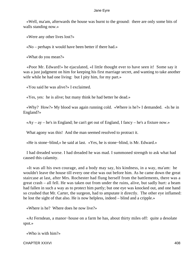«Well, ma'am, afterwards the house was burnt to the ground: there are only some bits of walls standing now.»

«Were any other lives lost?»

«No – perhaps it would have been better if there had.»

«What do you mean?»

 «Poor Mr. Edward!» he ejaculated, «I little thought ever to have seen it! Some say it was a just judgment on him for keeping his first marriage secret, and wanting to take another wife while he had one living: but I pity him, for my part.»

«You said he was alive?» I exclaimed.

«Yes, yes: he is alive; but many think he had better he dead.»

 «Why? How?» My blood was again running cold. «Where is he?» I demanded. «Is he in England?»

«Ay – ay – he's in England; he can't get out of England, I fancy – he's a fixture now.»

What agony was this! And the man seemed resolved to protract it.

«He is stone−blind,» he said at last. «Yes, he is stone−blind, is Mr. Edward.»

 I had dreaded worse. I had dreaded he was mad. I summoned strength to ask what had caused this calamity.

 «It was all his own courage, and a body may say, his kindness, in a way, ma'am: he wouldn't leave the house till every one else was out before him. As he came down the great staircase at last, after Mrs. Rochester had flung herself from the battlements, there was a great crash – all fell. He was taken out from under the ruins, alive, but sadly hurt: a beam had fallen in such a way as to protect him partly; but one eye was knocked out, and one hand so crushed that Mr. Carter, the surgeon, had to amputate it directly. The other eye inflamed: he lost the sight of that also. He is now helpless, indeed – blind and a cripple.»

«Where is he? Where does he now live?»

 «At Ferndean, a manor−house on a farm he has, about thirty miles off: quite a desolate spot.»

«Who is with him?»

CHAPTER XXXVI 408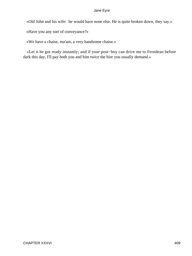«Old John and his wife: he would have none else. He is quite broken down, they say.»

«Have you any sort of conveyance?»

«We have a chaise, ma'am, a very handsome chaise.»

 «Let it be got ready instantly; and if your post−boy can drive me to Ferndean before dark this day, I'll pay both you and him twice the hire you usually demand.»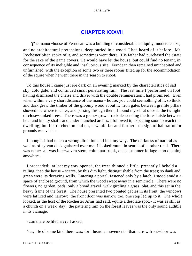## **[CHAPTER XXXVII](#page-435-0)**

*T*he manor−house of Ferndean was a building of considerable antiquity, moderate size, and no architectural pretensions, deep buried in a wood. I had heard of it before. Mr. Rochester often spoke of it, and sometimes went there. His father had purchased the estate for the sake of the game covers. He would have let the house, but could find no tenant, in consequence of its ineligible and insalubrious site. Ferndean then remained uninhabited and unfurnished, with the exception of some two or three rooms fitted up for the accommodation of the squire when he went there in the season to shoot.

 To this house I came just ere dark on an evening marked by the characteristics of sad sky, cold gale, and continued small penetrating rain. The last mile I performed on foot, having dismissed the chaise and driver with the double remuneration I had promised. Even when within a very short distance of the manor− house, you could see nothing of it, so thick and dark grew the timber of the gloomy wood about it. Iron gates between granite pillars showed me where to enter, and passing through them, I found myself at once in the twilight of close−ranked trees. There was a grass−grown track descending the forest aisle between hoar and knotty shafts and under branched arches. I followed it, expecting soon to reach the dwelling; but it stretched on and on, it would far and farther: no sign of habitation or grounds was visible.

 I thought I had taken a wrong direction and lost my way. The darkness of natural as well as of sylvan dusk gathered over me. I looked round in search of another road. There was none: all was interwoven stem, columnar trunk, dense summer foliage – no opening anywhere.

 I proceeded: at last my way opened, the trees thinned a little; presently I beheld a railing, then the house – scarce, by this dim light, distinguishable from the trees; so dank and green were its decaying walls. Entering a portal, fastened only by a latch, I stood amidst a space of enclosed ground, from which the wood swept away in a semicircle. There were no flowers, no garden−beds; only a broad gravel−walk girdling a grass−plat, and this set in the heavy frame of the forest. The house presented two pointed gables in its front; the windows were latticed and narrow: the front door was narrow too, one step led up to it. The whole looked, as the host of the Rochester Arms had said, «quite a desolate spot.» It was as still as a church on a week−day: the pattering rain on the forest leaves was the only sound audible in its vicinage.

«Can there be life here?» I asked.

Yes, life of some kind there was; for I heard a movement – that narrow front−door was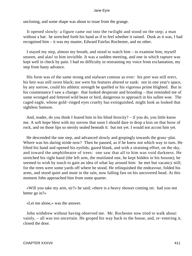unclosing, and some shape was about to issue from the grange.

 It opened slowly: a figure came out into the twilight and stood on the step; a man without a hat: he stretched forth his hand as if to feel whether it rained. Dusk as it was, I had recognised him – it was my master, Edward Fairfax Rochester, and no other.

 I stayed my step, almost my breath, and stood to watch him – to examine him, myself unseen, and alas! to him invisible. It was a sudden meeting, and one in which rapture was kept well in check by pain. I had no difficulty in restraining my voice from exclamation, my step from hasty advance.

 His form was of the same strong and stalwart contour as ever: his port was still erect, his heir was still raven black; nor were his features altered or sunk: not in one year's space, by any sorrow, could his athletic strength be quelled or his vigorous prime blighted. But in his countenance I saw a change: that looked desperate and brooding – that reminded me of some wronged and fettered wild beast or bird, dangerous to approach in his sullen woe. The caged eagle, whose gold−ringed eyes cruelty has extinguished, might look as looked that sightless Samson.

 And, reader, do you think I feared him in his blind ferocity? – if you do, you little know me. A soft hope blest with my sorrow that soon I should dare to drop a kiss on that brow of rock, and on those lips so sternly sealed beneath it: but not yet. I would not accost him yet.

 He descended the one step, and advanced slowly and gropingly towards the grass−plat. Where was his daring stride now? Then he paused, as if he knew not which way to turn. He lifted his hand and opened his eyelids; gazed blank, and with a straining effort, on the sky, and toward the amphitheatre of trees: one saw that all to him was void darkness. He stretched his right hand (the left arm, the mutilated one, he kept hidden in his bosom); he seemed to wish by touch to gain an idea of what lay around him: he met but vacancy still; for the trees were some yards off where he stood. He relinquished the endeavour, folded his arms, and stood quiet and mute in the rain, now falling fast on his uncovered head. At this moment John approached him from some quarter.

 «Will you take my arm, sir?» he said; «there is a heavy shower coming on: had you not better go in?»

«Let me alone,» was the answer.

 John withdrew without having observed me. Mr. Rochester now tried to walk about: vainly, – all was too uncertain. He groped his way back to the house, and, re−entering it, closed the door.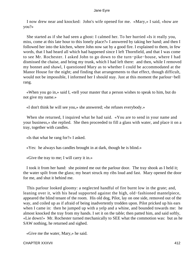I now drew near and knocked: John's wife opened for me. «Mary,» I said, «how are you?»

 She started as if she had seen a ghost: I calmed her. To her hurried «Is it really you, miss, come at this late hour to this lonely place?» I answered by taking her hand; and then I followed her into the kitchen, where John now sat by a good fire. I explained to them, in few words, that I had heard all which had happened since I left Thornfield, and that I was come to see Mr. Rochester. I asked John to go down to the turn−pike−house, where I had dismissed the chaise, and bring my trunk, which I had left there: and then, while I removed my bonnet and shawl, I questioned Mary as to whether I could be accommodated at the Manor House for the night; and finding that arrangements to that effect, though difficult, would not be impossible, I informed her I should stay. Just at this moment the parlour−bell rang.

 «When you go in,» said I, «tell your master that a person wishes to speak to him, but do not give my name.»

«I don't think he will see you,» she answered; «he refuses everybody.»

When she returned, I inquired what he had said. «You are to send in your name and your business,» she replied. She then proceeded to fill a glass with water, and place it on a tray, together with candles.

«Is that what he rang for?» I asked.

«Yes: he always has candles brought in at dark, though he is blind.»

«Give the tray to me; I will carry it in.»

 I took it from her hand: she pointed me out the parlour door. The tray shook as I held it; the water spilt from the glass; my heart struck my ribs loud and fast. Mary opened the door for me, and shut it behind me.

 This parlour looked gloomy: a neglected handful of fire burnt low in the grate; and, leaning over it, with his head supported against the high, old−fashioned mantelpiece, appeared the blind tenant of the room. His old dog, Pilot, lay on one side, removed out of the way, and coiled up as if afraid of being inadvertently trodden upon. Pilot pricked up his ears when I came in: then he jumped up with a yelp and a whine, and bounded towards me: he almost knocked the tray from my hands. I set it on the table; then patted him, and said softly, «Lie down!» Mr. Rochester turned mechanically to SEE what the commotion was: but as he SAW nothing, he returned and sighed.

```
 «Give me the water, Mary,» he said.
```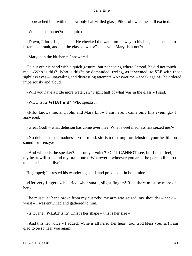I approached him with the now only half−filled glass; Pilot followed me, still excited.

«What is the matter?» he inquired.

 «Down, Pilot!» I again said. He checked the water on its way to his lips, and seemed to listen: he drank, and put the glass down. «This is you, Mary, is it not?»

«Mary is in the kitchen,» I answered.

 He put out his hand with a quick gesture, but not seeing where I stood, he did not touch me. «Who is this? Who is this?» he demanded, trying, as it seemed, to SEE with those sightless eyes – unavailing and distressing attempt! «Answer me – speak again!» he ordered, imperiously and aloud.

«Will you have a little more water, sir? I spilt half of what was in the glass,» I said.

«WHO is it? **WHAT** is it? Who speaks?»

 «Pilot knows me, and John and Mary know I am here. I came only this evening,» I answered.

«Great God! – what delusion has come over me? What sweet madness has seized me?»

 «No delusion – no madness: your mind, sir, is too strong for delusion, your health too sound for frenzy.»

 «And where is the speaker? Is it only a voice? Oh! **I CANNOT** see, but I must feel, or my heart will stop and my brain burst. Whatever – whoever you are – be perceptible to the touch or I cannot live!»

He groped; I arrested his wandering hand, and prisoned it in both mine.

 «Her very fingers!» he cried; «her small, slight fingers! If so there must be more of her.»

 The muscular hand broke from my custody; my arm was seized, my shoulder – neck – waist – I was entwined and gathered to him.

«Is it Jane? **WHAT** is it? This is her shape – this is her size – »

 «And this her voice,» I added. «She is all here: her heart, too. God bless you, sir! I am glad to be so near you again.»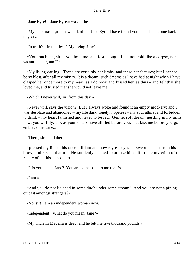«Jane Eyre! – Jane Eyre,» was all he said.

 «My dear master,» I answered, «I am Jane Eyre: I have found you out – I am come back to you.»

«In truth? – in the flesh? My living Jane?»

 «You touch me, sir, – you hold me, and fast enough: I am not cold like a corpse, nor vacant like air, am I?»

 «My living darling! These are certainly her limbs, and these her features; but I cannot be so blest, after all my misery. It is a dream; such dreams as I have had at night when I have clasped her once more to my heart, as I do now; and kissed her, as thus – and felt that she loved me, and trusted that she would not leave me.»

«Which I never will, sir, from this day.»

 «Never will, says the vision? But I always woke and found it an empty mockery; and I was desolate and abandoned – my life dark, lonely, hopeless – my soul athirst and forbidden to drink – my heart famished and never to be fed. Gentle, soft dream, nestling in my arms now, you will fly, too, as your sisters have all fled before you: but kiss me before you go – embrace me, Jane.»

«There, sir – and there!»'

 I pressed my lips to his once brilliant and now rayless eyes – I swept his hair from his brow, and kissed that too. He suddenly seemed to arouse himself: the conviction of the reality of all this seized him.

«It is you – is it, Jane? You are come back to me then?»

«I am.»

 «And you do not lie dead in some ditch under some stream? And you are not a pining outcast amongst strangers?»

«No, sir! I am an independent woman now.»

«Independent! What do you mean, Jane?»

«My uncle in Madeira is dead, and he left me five thousand pounds.»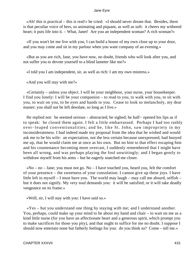«Ah! this is practical – this is real!» he cried: «I should never dream that. Besides, there is that peculiar voice of hers, so animating and piquant, as well as soft: it cheers my withered heart; it puts life into it. – What, Janet! Are you an independent woman? A rich woman?»

 «If you won't let me live with you, I can build a house of my own close up to your door, and you may come and sit in my parlour when you want company of an evening.»

 «But as you are rich, Jane, you have now, no doubt, friends who will look after you, and not suffer you to devote yourself to a blind lameter like me?»

«I told you I am independent, sir, as well as rich: I am my own mistress.»

«And you will stay with me?»

 «Certainly – unless you object. I will be your neighbour, your nurse, your housekeeper. I find you lonely: I will be your companion – to read to you, to walk with you, to sit with you, to wait on you, to be eyes and hands to you. Cease to look so melancholy, my dear master; you shall not be left desolate, so long as I live.»

He replied not: he seemed serious – abstracted; he sighed; he half– opened his lips as if to speak: he closed them again. I felt a little embarrassed. Perhaps I had too rashly over−leaped conventionalities; and he, like St. John, saw impropriety in my inconsiderateness. I had indeed made my proposal from the idea that he wished and would ask me to be his wife: an expectation, not the less certain because unexpressed, had buoyed me up, that he would claim me at once as his own. But no hint to that effect escaping him and his countenance becoming more overcast, I suddenly remembered that I might have been all wrong, and was perhaps playing the fool unwittingly; and I began gently to withdraw myself from his arms – but he eagerly snatched me closer.

 $\alpha$ No – no – Jane; you must not go. No – I have touched you, heard you, felt the comfort of your presence – the sweetness of your consolation: I cannot give up these joys. I have little left in myself – I must have you. The world may laugh – may call me absurd, selfish – but it does not signify. My very soul demands you: it will be satisfied, or it will take deadly vengeance on its frame.»

«Well, sir, I will stay with you: I have said so.»

 «Yes – but you understand one thing by staying with me; and I understand another. You, perhaps, could make up your mind to be about my hand and chair – to wait on me as a kind little nurse (for you have an affectionate heart and a generous spirit, which prompt you to make sacrifices for those you pity), and that ought to suffice for me no doubt. I suppose I should now entertain none but fatherly feelings for you: do you think so? Come – tell me.»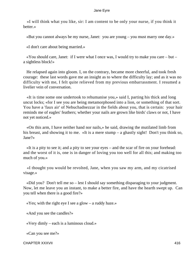«I will think what you like, sir: I am content to be only your nurse, if you think it better.»

«But you cannot always be my nurse, Janet: you are young – you must marry one day.»

«I don't care about being married.»

 «You should care, Janet: if I were what I once was, I would try to make you care – but – a sightless block!»

 He relapsed again into gloom. I, on the contrary, became more cheerful, and took fresh courage: these last words gave me an insight as to where the difficulty lay; and as it was no difficulty with me, I felt quite relieved from my previous embarrassment. I resumed a livelier vein of conversation.

 «It is time some one undertook to rehumanise you,» said I, parting his thick and long uncut locks; «for I see you are being metamorphosed into a lion, or something of that sort. You have a 'faux air' of Nebuchadnezzar in the fields about you, that is certain: your hair reminds me of eagles' feathers; whether your nails are grown like birds' claws or not, I have not yet noticed.»

 «On this arm, I have neither hand nor nails,» he said, drawing the mutilated limb from his breast, and showing it to me. «It is a mere stump – a ghastly sight! Don't you think so, Jane?»

 «It is a pity to see it; and a pity to see your eyes – and the scar of fire on your forehead: and the worst of it is, one is in danger of loving you too well for all this; and making too much of you.»

 «I thought you would be revolted, Jane, when you saw my arm, and my cicatrised visage.»

 «Did you? Don't tell me so – lest I should say something disparaging to your judgment. Now, let me leave you an instant, to make a better fire, and have the hearth swept up. Can you tell when there is a good fire?»

«Yes; with the right eye I see a glow – a ruddy haze.»

«And you see the candles?»

«Very dimly – each is a luminous cloud.»

«Can you see me?»

CHAPTER XXXVII 416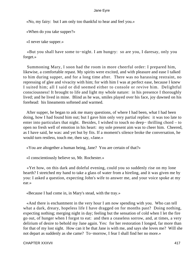«No, my fairy: but I am only too thankful to hear and feel you.»

«When do you take supper?»

«I never take supper.»

 «But you shall have some to−night. I am hungry: so are you, I daresay, only you forget.»

 Summoning Mary, I soon had the room in more cheerful order: I prepared him, likewise, a comfortable repast. My spirits were excited, and with pleasure and ease I talked to him during supper, and for a long time after. There was no harassing restraint, no repressing of glee and vivacity with him; for with him I was at perfect ease, because I knew I suited him; all I said or did seemed either to console or revive him. Delightful consciousness! It brought to life and light my whole nature: in his presence I thoroughly lived; and he lived in mine. Blind as he was, smiles played over his face, joy dawned on his forehead: his lineaments softened and warmed.

 After supper, he began to ask me many questions, of where I had been, what I had been doing, how I had found him out; but I gave him only very partial replies: it was too late to enter into particulars that night. Besides, I wished to touch no deep− thrilling chord – to open no fresh well of emotion in his heart: my sole present aim was to cheer him. Cheered, as I have said, he was: and yet but by fits. If a moment's silence broke the conversation, he would turn restless, touch me, then say, «Jane.»

«You are altogether a human being, Jane? You are certain of that?»

«I conscientiously believe so, Mr. Rochester.»

 «Yet how, on this dark and doleful evening, could you so suddenly rise on my lone hearth? I stretched my hand to take a glass of water from a hireling, and it was given me by you: I asked a question, expecting John's wife to answer me, and your voice spoke at my ear.»

«Because I had come in, in Mary's stead, with the tray.»

 «And there is enchantment in the very hour I am now spending with you. Who can tell what a dark, dreary, hopeless life I have dragged on for months past? Doing nothing, expecting nothing; merging night in day; feeling but the sensation of cold when I let the fire go out, of hunger when I forgot to eat: and then a ceaseless sorrow, and, at times, a very delirium of desire to behold my Jane again. Yes: for her restoration I longed, far more than for that of my lost sight. How can it be that Jane is with me, and says she loves me? Will she not depart as suddenly as she came? To−morrow, I fear I shall find her no more.»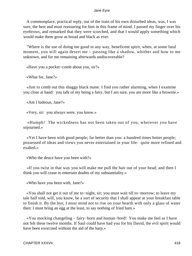A commonplace, practical reply, out of the train of his own disturbed ideas, was, I was sure, the best and most reassuring for him in this frame of mind. I passed my finger over his eyebrows, and remarked that they were scorched, and that I would apply something which would make them grow as broad and black as ever.

 "Where is the use of doing me good in any way, beneficent spirit, when, at some fatal moment, you will again desert me – passing like a shadow, whither and how to me unknown, and for me remaining afterwards undiscoverable?

«Have you a pocket−comb about you, sir?»

«What for, Jane?»

 «Just to comb out this shaggy black mane. I find you rather alarming, when I examine you close at hand: you talk of my being a fairy, but I am sure, you are more like a brownie.»

«Am I hideous, Jane?»

«Very, sir: you always were, you know.»

 «Humph! The wickedness has not been taken out of you, wherever you have sojourned.»

 «Yet I have been with good people; far better than you: a hundred times better people; possessed of ideas and views you never entertained in your life: quite more refined and exalted.»

«Who the deuce have you been with?»

 «If you twist in that way you will make me pull the hair out of your head; and then I think you will cease to entertain doubts of my substantiality.»

«Who have you been with, Jane?»

 «You shall not get it out of me to−night, sir; you must wait till to−morrow; to leave my tale half told, will, you know, be a sort of security that I shall appear at your breakfast table to finish it. By the bye, I must mind not to rise on your hearth with only a glass of water then: I must bring an egg at the least, to say nothing of fried ham.»

 «You mocking changeling – fairy−born and human−bred! You make me feel as I have not felt these twelve months. If Saul could have had you for his David, the evil spirit would have been exorcised without the aid of the harp.»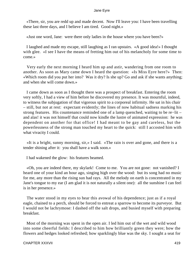«There, sir, you are redd up and made decent. Now I'll leave you: I have been travelling these last three days, and I believe I am tired. Good night.»

«Just one word, Jane: were there only ladies in the house where you have been?»

 I laughed and made my escape, still laughing as I ran upstairs. «A good idea!» I thought with glee. «I see I have the means of fretting him out of his melancholy for some time to come.»

 Very early the next morning I heard him up and astir, wandering from one room to another. As soon as Mary came down I heard the question: «Is Miss Eyre here?» Then: «Which room did you put her into? Was it dry? Is she up? Go and ask if she wants anything; and when she will come down.»

 I came down as soon as I thought there was a prospect of breakfast. Entering the room very softly, I had a view of him before he discovered my presence. It was mournful, indeed, to witness the subjugation of that vigorous spirit to a corporeal infirmity. He sat in his chair – still, but not at rest: expectant evidently; the lines of now habitual sadness marking his strong features. His countenance reminded one of a lamp quenched, waiting to be re−lit – and alas! it was not himself that could now kindle the lustre of animated expression: he was dependent on another for that office! I had meant to be gay and careless, but the powerlessness of the strong man touched my heart to the quick: still I accosted him with what vivacity I could.

 «It is a bright, sunny morning, sir,» I said. «The rain is over and gone, and there is a tender shining after it: you shall have a walk soon.»

I had wakened the glow: his features beamed.

 «Oh, you are indeed there, my skylark! Come to me. You are not gone: not vanished? I heard one of your kind an hour ago, singing high over the wood: but its song had no music for me, any more than the rising sun had rays. All the melody on earth is concentrated in my Jane's tongue to my ear (I am glad it is not naturally a silent one): all the sunshine I can feel is in her presence.»

 The water stood in my eyes to hear this avowal of his dependence; just as if a royal eagle, chained to a perch, should be forced to entreat a sparrow to become its purveyor. But I would not be lachrymose: I dashed off the salt drops, and busied myself with preparing breakfast.

 Most of the morning was spent in the open air. I led him out of the wet and wild wood into some cheerful fields: I described to him how brilliantly green they were; how the flowers and hedges looked refreshed; how sparklingly blue was the sky. I sought a seat for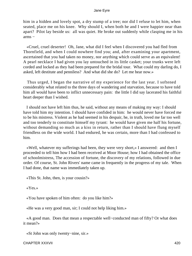him in a hidden and lovely spot, a dry stump of a tree; nor did I refuse to let him, when seated, place me on his knee. Why should I, when both he and I were happier near than apart? Pilot lay beside us: all was quiet. He broke out suddenly while clasping me in his arms −

 «Cruel, cruel deserter! Oh, Jane, what did I feel when I discovered you had fled from Thornfield, and when I could nowhere find you; and, after examining your apartment, ascertained that you had taken no money, nor anything which could serve as an equivalent! A pearl necklace I had given you lay untouched in its little casket; your trunks were left corded and locked as they had been prepared for the bridal tour. What could my darling do, I asked, left destitute and penniless? And what did she do? Let me hear now.»

 Thus urged, I began the narrative of my experience for the last year. I softened considerably what related to the three days of wandering and starvation, because to have told him all would have been to inflict unnecessary pain: the little I did say lacerated his faithful heart deeper than I wished.

 I should not have left him thus, he said, without any means of making my way: I should have told him my intention. I should have confided in him: he would never have forced me to be his mistress. Violent as he had seemed in his despair, he, in truth, loved me far too well and too tenderly to constitute himself my tyrant: he would have given me half his fortune, without demanding so much as a kiss in return, rather than I should have flung myself friendless on the wide world. I had endured, he was certain, more than I had confessed to him.

 «Well, whatever my sufferings had been, they were very short,» I answered: and then I proceeded to tell him how I had been received at Moor House; how I had obtained the office of schoolmistress, The accession of fortune, the discovery of my relations, followed in due order. Of course, St. John Rivers' name came in frequently in the progress of my tale. When I had done, that name was immediately taken up.

«This St. John, then, is your cousin?»

«Yes.»

«You have spoken of him often: do you like him?»

«He was a very good man, sir; I could not help liking him.»

 «A good man. Does that mean a respectable well−conducted man of fifty? Or what does it mean?»

«St John was only twenty−nine, sir.»

CHAPTER XXXVII 420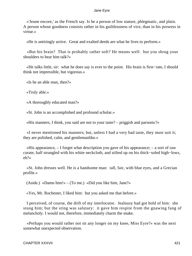«'Jeune encore,' as the French say. Is he a person of low stature, phlegmatic, and plain. A person whose goodness consists rather in his guiltlessness of vice, than in his prowess in virtue.»

«He is untiringly active. Great and exalted deeds are what he lives to perform.»

 «But his brain? That is probably rather soft? He means well: but you shrug your shoulders to hear him talk?»

 «He talks little, sir: what he does say is ever to the point. His brain is first−rate, I should think not impressible, but vigorous.»

«Is he an able man, then?»

«Truly able.»

«A thoroughly educated man?»

«St. John is an accomplished and profound scholar.»

«His manners, I think, you said are not to your taste? – priggish and parsonic?»

 «I never mentioned his manners; but, unless I had a very bad taste, they must suit it; they are polished, calm, and gentlemanlike.»

 «His appearance, – I forget what description you gave of his appearance; – a sort of raw curate, half strangled with his white neckcloth, and stilted up on his thick−soled high−lows, eh?»

 «St. John dresses well. He is a handsome man: tall, fair, with blue eyes, and a Grecian profile.»

(Aside.) «Damn him!» – (To me.) «Did you like him, Jane?»

«Yes, Mr. Rochester, I liked him: but you asked me that before.»

 I perceived, of course, the drift of my interlocutor. Jealousy had got hold of him: she stung him; but the sting was salutary: it gave him respite from the gnawing fang of melancholy. I would not, therefore, immediately charm the snake.

 «Perhaps you would rather not sit any longer on my knee, Miss Eyre?» was the next somewhat unexpected observation.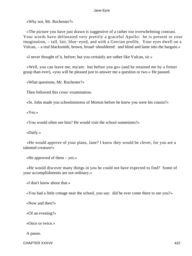«Why not, Mr. Rochester?»

 «The picture you have just drawn is suggestive of a rather too overwhelming contrast. Your words have delineated very prettily a graceful Apollo: he is present to your imagination, – tall, fair, blue−eyed, and with a Grecian profile. Your eyes dwell on a Vulcan, – a real blacksmith, brown, broad−shouldered: and blind and lame into the bargain.»

«I never thought of it, before; but you certainly are rather like Vulcan, sir.»

 «Well, you can leave me, ma'am: but before you go» (and he retained me by a firmer grasp than ever), «you will be pleased just to answer me a question or two.» He paused.

«What questions, Mr. Rochester?»

Then followed this cross−examination.

«St. John made you schoolmistress of Morton before he knew you were his cousin?»

«Yes.»

«You would often see him? He would visit the school sometimes?»

«Daily.»

 «He would approve of your plans, Jane? I know they would be clever, for you are a talented creature!»

«He approved of them – yes.»

 «He would discover many things in you he could not have expected to find? Some of your accomplishments are not ordinary.»

«I don't know about that.»

«You had a little cottage near the school, you say: did he ever come there to see you?»

«Now and then?»

«Of an evening?»

«Once or twice.»

A pause.

CHAPTER XXXVII 422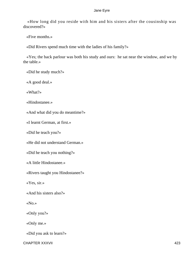«How long did you reside with him and his sisters after the cousinship was discovered?»

«Five months.»

«Did Rivers spend much time with the ladies of his family?»

 «Yes; the back parlour was both his study and ours: he sat near the window, and we by the table.»

«Did he study much?»

«A good deal.»

«What?»

«Hindostanee.»

«And what did you do meantime?»

«I learnt German, at first.»

«Did he teach you?»

«He did not understand German.»

«Did he teach you nothing?»

«A little Hindostanee.»

«Rivers taught you Hindostanee?»

«Yes, sir.»

«And his sisters also?»

«No.»

«Only you?»

«Only me.»

«Did you ask to learn?»

CHAPTER XXXVII 423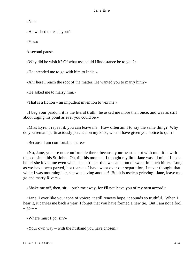«No.»

«He wished to teach you?»

«Yes.»

A second pause.

«Why did he wish it? Of what use could Hindostanee be to you?»

«He intended me to go with him to India.»

«Ah! here I reach the root of the matter. He wanted you to marry him?»

«He asked me to marry him.»

«That is a fiction – an impudent invention to vex me.»

 «I beg your pardon, it is the literal truth: he asked me more than once, and was as stiff about urging his point as ever you could be.»

 «Miss Eyre, I repeat it, you can leave me. How often am I to say the same thing? Why do you remain pertinaciously perched on my knee, when I have given you notice to quit?»

«Because I am comfortable there.»

 «No, Jane, you are not comfortable there, because your heart is not with me: it is with this cousin – this St. John. Oh, till this moment, I thought my little Jane was all mine! I had a belief she loved me even when she left me: that was an atom of sweet in much bitter. Long as we have been parted, hot tears as I have wept over our separation, I never thought that while I was mourning her, she was loving another! But it is useless grieving. Jane, leave me: go and marry Rivers.»

«Shake me off, then, sir, – push me away, for I'll not leave you of my own accord.»

 «Jane, I ever like your tone of voice: it still renews hope, it sounds so truthful. When I hear it, it carries me back a year. I forget that you have formed a new tie. But I am not a fool  $-$  go  $-$  »

«Where must I go, sir?»

«Your own way – with the husband you have chosen.»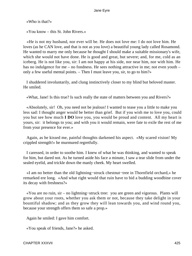«Who is that?»

«You know – this St. John Rivers.»

 «He is not my husband, nor ever will be. He does not love me: I do not love him. He loves (as he CAN love, and that is not as you love) a beautiful young lady called Rosamond. He wanted to marry me only because he thought I should make a suitable missionary's wife, which she would not have done. He is good and great, but severe; and, for me, cold as an iceberg. He is not like you, sir: I am not happy at his side, nor near him, nor with him. He has no indulgence for me – no fondness. He sees nothing attractive in me; not even youth – only a few useful mental points. – Then I must leave you, sir, to go to him?»

 I shuddered involuntarily, and clung instinctively closer to my blind but beloved master. He smiled.

«What, Jane! Is this true? Is such really the state of matters between you and Rivers?»

 «Absolutely, sir! Oh, you need not be jealous! I wanted to tease you a little to make you less sad: I thought anger would be better than grief. But if you wish me to love you, could you but see how much **I DO** love you, you would be proud and content. All my heart is yours, sir: it belongs to you; and with you it would remain, were fate to exile the rest of me from your presence for ever.»

 Again, as he kissed me, painful thoughts darkened his aspect. «My scared vision! My crippled strength!» he murmured regretfully.

 I caressed, in order to soothe him. I knew of what he was thinking, and wanted to speak for him, but dared not. As he turned aside his face a minute, I saw a tear slide from under the sealed eyelid, and trickle down the manly cheek. My heart swelled.

 «I am no better than the old lightning−struck chestnut−tree in Thornfield orchard,» he remarked ere long. «And what right would that ruin have to bid a budding woodbine cover its decay with freshness?»

 «You are no ruin, sir – no lightning−struck tree: you are green and vigorous. Plants will grow about your roots, whether you ask them or not, because they take delight in your bountiful shadow; and as they grow they will lean towards you, and wind round you, because your strength offers them so safe a prop.»

Again he smiled: I gave him comfort.

«You speak of friends, Jane?» he asked.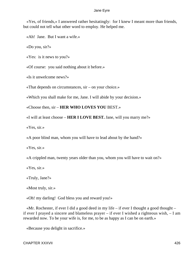«Yes, of friends,» I answered rather hesitatingly: for I knew I meant more than friends, but could not tell what other word to employ. He helped me.

«Ah! Jane. But I want a wife.»

«Do you, sir?»

«Yes: is it news to you?»

«Of course: you said nothing about it before.»

«Is it unwelcome news?»

«That depends on circumstances, sir – on your choice.»

«Which you shall make for me, Jane. I will abide by your decision.»

«Choose then, sir – **HER WHO LOVES YOU** BEST.»

«I will at least choose – **HER I LOVE BEST.** Jane, will you marry me?»

«Yes, sir.»

«A poor blind man, whom you will have to lead about by the hand?»

«Yes, sir.»

«A crippled man, twenty years older than you, whom you will have to wait on?»

«Yes, sir.»

«Truly, Jane?»

«Most truly, sir.»

«Oh! my darling! God bless you and reward you!»

«Mr. Rochester, if ever I did a good deed in my life – if ever I thought a good thought – if ever I prayed a sincere and blameless prayer – if ever I wished a righteous wish, – I am rewarded now. To be your wife is, for me, to be as happy as I can be on earth.»

«Because you delight in sacrifice.»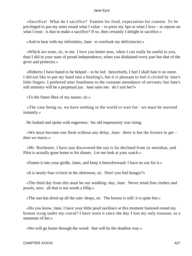«Sacrifice! What do I sacrifice? Famine for food, expectation for content. To be privileged to put my arms round what I value – to press my lips to what I love – to repose on what I trust: is that to make a sacrifice? If so, then certainly I delight in sacrifice.»

«And to bear with my infirmities, Jane: to overlook my deficiencies.»

 «Which are none, sir, to me. I love you better now, when I can really be useful to you, than I did in your state of proud independence, when you disdained every part but that of the giver and protector.»

 «Hitherto I have hated to be helped – to be led: henceforth, I feel I shall hate it no more. I did not like to put my hand into a hireling's, but it is pleasant to feel it circled by Jane's little fingers. I preferred utter loneliness to the constant attendance of servants; but Jane's soft ministry will be a perpetual joy. Jane suits me: do I suit her?»

«To the finest fibre of my nature, sir.»

 «The case being so, we have nothing in the world to wait for: we must be married instantly.»

He looked and spoke with eagerness: his old impetuosity was rising.

 «We must become one flesh without any delay, Jane: there is but the licence to get – then we marry.»

 «Mr. Rochester, I have just discovered the sun is far declined from its meridian, and Pilot is actually gone home to his dinner. Let me look at your watch.»

«Fasten it into your girdle, Janet, and keep it henceforward: I have no use for it.»

«It is nearly four o'clock in the afternoon, sir. Don't you feel hungry?»

 «The third day from this must be our wedding−day, Jane. Never mind fine clothes and jewels, now: all that is not worth a fillip.»

«The sun has dried up all the rain−drops, sir. The breeze is still: it is quite hot.»

 «Do you know, Jane, I have your little pearl necklace at this moment fastened round my bronze scrag under my cravat? I have worn it since the day I lost my only treasure, as a memento of her.»

«We will go home through the wood: that will be the shadiest way.»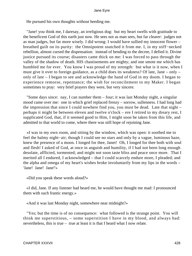He pursued his own thoughts without heeding me.

 "Jane! you think me, I daresay, an irreligious dog: but my heart swells with gratitude to the beneficent God of this earth just now. He sees not as man sees, but far clearer: judges not as man judges, but far more wisely. I did wrong: I would have sullied my innocent flower – breathed guilt on its purity: the Omnipotent snatched it from me. I, in my stiff−necked rebellion, almost cursed the dispensation: instead of bending to the decree, I defied it. Divine justice pursued its course; disasters came thick on me: I was forced to pass through the valley of the shadow of death. HIS chastisements are mighty; and one smote me which has humbled me for ever. You know I was proud of my strength: but what is it now, when I must give it over to foreign guidance, as a child does its weakness? Of late, Jane – only – only of late – I began to see and acknowledge the hand of God in my doom. I began to experience remorse, repentance; the wish for reconcilement to my Maker. I began sometimes to pray: very brief prayers they were, but very sincere.

 "Some days since: nay, I can number them – four; it was last Monday night, a singular mood came over me: one in which grief replaced frenzy – sorrow, sullenness. I had long had the impression that since I could nowhere find you, you must be dead. Late that night – perhaps it might be between eleven and twelve o'clock – ere I retired to my dreary rest, I supplicated God, that, if it seemed good to Him, I might soon be taken from this life, and admitted to that world to come, where there was still hope of rejoining Jane.

 «I was in my own room, and sitting by the window, which was open: it soothed me to feel the balmy night−air; though I could see no stars and only by a vague, luminous haze, knew the presence of a moon. I longed for thee, Janet! Oh, I longed for thee both with soul and flesh! I asked of God, at once in anguish and humility, if I had not been long enough desolate, afflicted, tormented; and might not soon taste bliss and peace once more. That I merited all I endured, I acknowledged – that I could scarcely endure more, I pleaded; and the alpha and omega of my heart's wishes broke involuntarily from my lips in the words – 'Jane! Jane! Jane!'»

«Did you speak these words aloud?»

 «I did, Jane. If any listener had heard me, he would have thought me mad: I pronounced them with such frantic energy.»

«And it was last Monday night, somewhere near midnight?»

 "Yes; but the time is of no consequence: what followed is the strange point. You will think me superstitious, – some superstition I have in my blood, and always had: nevertheless, this is true – true at least it is that I heard what I now relate.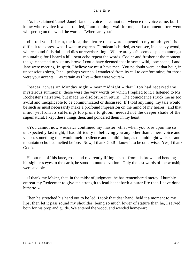"As I exclaimed 'Jane! Jane! Jane!' a voice – I cannot tell whence the voice came, but I know whose voice it was – replied, 'I am coming: wait for me;' and a moment after, went whispering on the wind the words – 'Where are you?'

 «I'll tell you, if I can, the idea, the picture these words opened to my mind: yet it is difficult to express what I want to express. Ferndean is buried, as you see, in a heavy wood, where sound falls dull, and dies unreverberating. 'Where are you?' seemed spoken amongst mountains; for I heard a hill−sent echo repeat the words. Cooler and fresher at the moment the gale seemed to visit my brow: I could have deemed that in some wild, lone scene, I and Jane were meeting. In spirit, I believe we must have met. You no doubt were, at that hour, in unconscious sleep, Jane: perhaps your soul wandered from its cell to comfort mine; for those were your accents− −as certain as I live – they were yours!»

 Reader, it was on Monday night – near midnight – that I too had received the mysterious summons: those were the very words by which I replied to it. I listened to Mr. Rochester's narrative, but made no disclosure in return. The coincidence struck me as too awful and inexplicable to be communicated or discussed. If I told anything, my tale would be such as must necessarily make a profound impression on the mind of my hearer: and that mind, yet from its sufferings too prone to gloom, needed not the deeper shade of the supernatural. I kept these things then, and pondered them in my heart.

 «You cannot now wonder,» continued my master, «that when you rose upon me so unexpectedly last night, I had difficulty in believing you any other than a mere voice and vision, something that would melt to silence and annihilation, as the midnight whisper and mountain echo had melted before. Now, I thank God! I know it to be otherwise. Yes, I thank God!»

 He put me off his knee, rose, and reverently lifting his hat from his brow, and bending his sightless eyes to the earth, he stood in mute devotion. Only the last words of the worship were audible.

 «I thank my Maker, that, in the midst of judgment, he has remembered mercy. I humbly entreat my Redeemer to give me strength to lead henceforth a purer life than I have done hitherto!»

 Then he stretched his hand out to be led. I took that dear hand, held it a moment to my lips, then let it pass round my shoulder: being so much lower of stature than he, I served both for his prop and guide. We entered the wood, and wended homeward.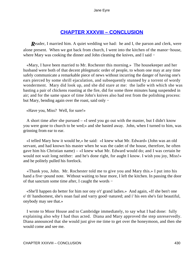# **[CHAPTER XXXVIII – CONCLUSION](#page-435-0)**

*Reader*, I married him. A quiet wedding we had: he and I, the parson and clerk, were alone present. When we got back from church, I went into the kitchen of the manor−house, where Mary was cooking the dinner and John cleaning the knives, and I said −

 «Mary, I have been married to Mr. Rochester this morning.» The housekeeper and her husband were both of that decent phlegmatic order of people, to whom one may at any time safely communicate a remarkable piece of news without incurring the danger of having one's ears pierced by some shrill ejaculation, and subsequently stunned by a torrent of wordy wonderment. Mary did look up, and she did stare at me: the ladle with which she was basting a pair of chickens roasting at the fire, did for some three minutes hang suspended in air; and for the same space of time John's knives also had rest from the polishing process: but Mary, bending again over the roast, said only −

«Have you, Miss? Well, for sure!»

 A short time after she pursued – «I seed you go out with the master, but I didn't know you were gone to church to be wed;» and she basted away. John, when I turned to him, was grinning from ear to ear.

 «I telled Mary how it would be,» he said: «I knew what Mr. Edward» (John was an old servant, and had known his master when he was the cadet of the house, therefore, he often gave him his Christian name) – «I knew what Mr. Edward would do; and I was certain he would not wait long neither: and he's done right, for aught I know. I wish you joy, Miss!» and he politely pulled his forelock.

 «Thank you, John. Mr. Rochester told me to give you and Mary this.» I put into his hand a five−pound note. Without waiting to hear more, I left the kitchen. In passing the door of that sanctum some time after, I caught the words −

 «She'll happen do better for him nor ony o't' grand ladies.» And again, «If she ben't one o' th' handsomest, she's noan faal and varry good−natured; and i' his een she's fair beautiful, onybody may see that.»

 I wrote to Moor House and to Cambridge immediately, to say what I had done: fully explaining also why I had thus acted. Diana and Mary approved the step unreservedly. Diana announced that she would just give me time to get over the honeymoon, and then she would come and see me.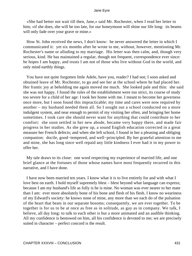«She had better not wait till then, Jane,» said Mr. Rochester, when I read her letter to him; «if she does, she will be too late, for our honeymoon will shine our life long: its beams will only fade over your grave or mine.»

 How St. John received the news, I don't know: he never answered the letter in which I communicated it: yet six months after he wrote to me, without, however, mentioning Mr. Rochester's name or alluding to my marriage. His letter was then calm, and, though very serious, kind. He has maintained a regular, though not frequent, correspondence ever since: he hopes I am happy, and trusts I am not of those who live without God in the world, and only mind earthly things.

 You have not quite forgotten little Adele, have you, reader? I had not; I soon asked and obtained leave of Mr. Rochester, to go and see her at the school where he had placed her. Her frantic joy at beholding me again moved me much. She looked pale and thin: she said she was not happy. I found the rules of the establishment were too strict, its course of study too severe for a child of her age: I took her home with me. I meant to become her governess once more, but I soon found this impracticable; my time and cares were now required by another – my husband needed them all. So I sought out a school conducted on a more indulgent system, and near enough to permit of my visiting her often, and bringing her home sometimes. I took care she should never want for anything that could contribute to her comfort: she soon settled in her new abode, became very happy there, and made fair progress in her studies. As she grew up, a sound English education corrected in a great measure her French defects; and when she left school, I found in her a pleasing and obliging companion: docile, good−tempered, and well−principled. By her grateful attention to me and mine, she has long since well repaid any little kindness I ever had it in my power to offer her.

 My tale draws to its close: one word respecting my experience of married life, and one brief glance at the fortunes of those whose names have most frequently recurred in this narrative, and I have done.

 I have now been married ten years. I know what it is to live entirely for and with what I love best on earth. I hold myself supremely blest – blest beyond what language can express; because I am my husband's life as fully is he is mine. No woman was ever nearer to her mate than I am: ever more absolutely bone of his bone and flesh of his flesh. I know no weariness of my Edward's society: he knows none of mine, any more than we each do of the pulsation of the heart that beats in our separate bosoms; consequently, we are ever together. To be together is for us to be at once as free as in solitude, as gay as in company. We talk, I believe, all day long: to talk to each other is but a more animated and an audible thinking. All my confidence is bestowed on him, all his confidence is devoted to me; we are precisely suited in character – perfect concord is the result.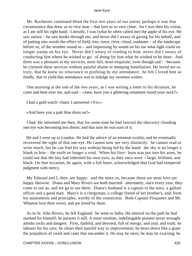Mr. Rochester continued blind the first two years of our union; perhaps it was that circumstance that drew us so very near – that knit us so very close: for I was then his vision, as I am still his right hand. Literally, I was (what he often called me) the apple of his eye. He saw nature – he saw books through me; and never did I weary of gazing for his behalf, and of putting into words the effect of field, tree, town, river, cloud, sunbeam – of the landscape before us; of the weather round us – and impressing by sound on his ear what light could no longer stamp on his eye. Never did I weary of reading to him; never did I weary of conducting him where he wished to go: of doing for him what he wished to be done. And there was a pleasure in my services, most full, most exquisite, even though sad− −because he claimed these services without painful shame or damping humiliation. He loved me so truly, that he knew no reluctance in profiting by my attendance: he felt I loved him so fondly, that to yield that attendance was to indulge my sweetest wishes.

 One morning at the end of the two years, as I was writing a letter to his dictation, he came and bent over me, and said – «Jane, have you a glittering ornament round your neck?»

I had a gold watch−chain: I answered «Yes.»

«And have you a pale blue dress on?»

 I had. He informed me then, that for some time he had fancied the obscurity clouding one eye was becoming less dense; and that now he was sure of it.

 He and I went up to London. He had the advice of an eminent oculist; and he eventually recovered the sight of that one eye. He cannot now see very distinctly: he cannot read or write much; but he can find his way without being led by the hand: the sky is no longer a blank to him – the earth no longer a void. When his first− born was put into his arms, he could see that the boy had inherited his own eyes, as they once were – large, brilliant, and black. On that occasion, he again, with a full heart, acknowledged that God had tempered judgment with mercy.

 My Edward and I, then, are happy: and the more so, because those we most love are happy likewise. Diana and Mary Rivers are both married: alternately, once every year, they come to see us, and we go to see them. Diana's husband is a captain in the navy, a gallant officer and a good man. Mary's is a clergyman, a college friend of her brother's, and, from his attainments and principles, worthy of the connection. Both Captain Fitzjames and Mr. Wharton love their wives, and are loved by them.

 As to St. John Rivers, he left England: he went to India. He entered on the path he had marked for himself; he pursues it still. A more resolute, indefatigable pioneer never wrought amidst rocks and dangers. Firm, faithful, and devoted, full of energy, and zeal, and truth, he labours for his race; he clears their painful way to improvement; he hews down like a giant the prejudices of creed and caste that encumber it. He may be stern; he may be exacting; he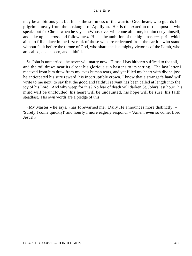may be ambitious yet; but his is the sternness of the warrior Greatheart, who guards his pilgrim convoy from the onslaught of Apollyon. His is the exaction of the apostle, who speaks but for Christ, when he says  $-\alpha$ Whosoever will come after me, let him deny himself, and take up his cross and follow me.» His is the ambition of the high master−spirit, which aims to fill a place in the first rank of those who are redeemed from the earth – who stand without fault before the throne of God, who share the last mighty victories of the Lamb, who are called, and chosen, and faithful.

 St. John is unmarried: he never will marry now. Himself has hitherto sufficed to the toil, and the toil draws near its close: his glorious sun hastens to its setting. The last letter I received from him drew from my eves human tears, and yet filled my heart with divine joy: he anticipated his sure reward, his incorruptible crown. I know that a stranger's hand will write to me next, to say that the good and faithful servant has been called at length into the joy of his Lord. And why weep for this? No fear of death will darken St. John's last hour: his mind will be unclouded, his heart will be undaunted, his hope will be sure, his faith steadfast. His own words are a pledge of this −

 «My Master,» he says, «has forewarned me. Daily He announces more distinctly, – 'Surely I come quickly!' and hourly I more eagerly respond, – 'Amen; even so come, Lord Jesus!'»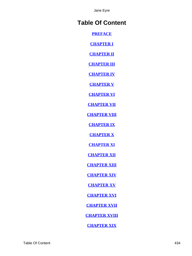Jane Eyre

## **Table Of Content**

**[PREFACE](#page-3-0)**

**[CHAPTER I](#page-6-0)**

**[CHAPTER II](#page-11-0)**

**[CHAPTER III](#page-17-0)**

**[CHAPTER IV](#page-25-0)**

**[CHAPTER V](#page-38-0)**

**[CHAPTER VI](#page-50-0)**

**[CHAPTER VII](#page-57-0)**

**[CHAPTER VIII](#page-65-0)**

**[CHAPTER IX](#page-72-0)**

**[CHAPTER X](#page-79-0)**

**[CHAPTER XI](#page-89-0)**

**[CHAPTER XII](#page-103-0)**

**[CHAPTER XIII](#page-112-0)**

**[CHAPTER XIV](#page-123-0)**

**[CHAPTER XV](#page-135-0)**

**[CHAPTER XVI](#page-145-0)**

**[CHAPTER XVII](#page-154-0)**

**[CHAPTER XVIII](#page-172-0)**

**[CHAPTER XIX](#page-185-0)**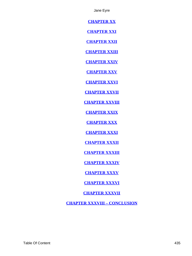Jane Eyre

**[CHAPTER XX](#page-196-0)**

**[CHAPTER XXI](#page-211-0)**

**[CHAPTER XXII](#page-231-0)**

**[CHAPTER XXIII](#page-237-0)**

**[CHAPTER XXIV](#page-247-0)**

**[CHAPTER XXV](#page-264-0)**

**[CHAPTER XXVI](#page-275-0)**

**[CHAPTER XXVII](#page-285-0)**

**[CHAPTER XXVIII](#page-307-0)**

**[CHAPTER XXIX](#page-322-0)**

**[CHAPTER XXX](#page-334-0)**

**[CHAPTER XXXI](#page-342-0)**

**[CHAPTER XXXII](#page-349-0)**

**[CHAPTER XXXIII](#page-359-0)**

**[CHAPTER XXXIV](#page-372-0)**

**[CHAPTER XXXV](#page-391-0)**

**[CHAPTER XXXVI](#page-401-0)**

**[CHAPTER XXXVII](#page-410-0)**

**[CHAPTER XXXVIII – CONCLUSION](#page-430-0)**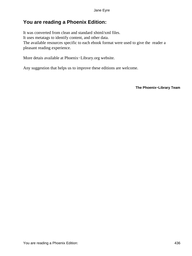## **You are reading a Phoenix Edition:**

It was converted from clean and standard xhtml/xml files. It uses metatags to identify content, and other data. The available resources specific to each ebook format were used to give the reader a pleasant reading experience.

More detais available at Phoenix−Library.org website.

Any suggestion that helps us to improve these editions are welcome.

**The Phoenix−Library Team**